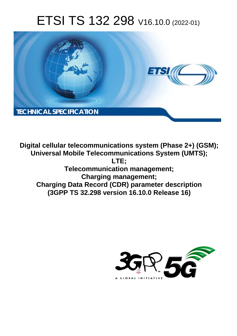# ETSI TS 132 298 V16.10.0 (2022-01)



**Digital cellular telecommunications system (Phase 2+) (GSM); Universal Mobile Telecommunications System (UMTS); LTE; Telecommunication management; Charging management; Charging Data Record (CDR) parameter description (3GPP TS 32.298 version 16.10.0 Release 16)** 

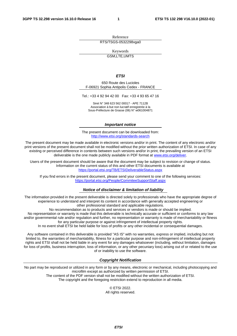Reference RTS/TSGS-0532298vga0

Keywords

GSM,LTE,UMTS

#### *ETSI*

650 Route des Lucioles F-06921 Sophia Antipolis Cedex - FRANCE

Tel.: +33 4 92 94 42 00 Fax: +33 4 93 65 47 16

Siret N° 348 623 562 00017 - APE 7112B Association à but non lucratif enregistrée à la Sous-Préfecture de Grasse (06) N° w061004871

#### *Important notice*

The present document can be downloaded from: <http://www.etsi.org/standards-search>

The present document may be made available in electronic versions and/or in print. The content of any electronic and/or print versions of the present document shall not be modified without the prior written authorization of ETSI. In case of any existing or perceived difference in contents between such versions and/or in print, the prevailing version of an ETSI deliverable is the one made publicly available in PDF format at [www.etsi.org/deliver](http://www.etsi.org/deliver).

Users of the present document should be aware that the document may be subject to revision or change of status. Information on the current status of this and other ETSI documents is available at <https://portal.etsi.org/TB/ETSIDeliverableStatus.aspx>

If you find errors in the present document, please send your comment to one of the following services: <https://portal.etsi.org/People/CommiteeSupportStaff.aspx>

#### *Notice of disclaimer & limitation of liability*

The information provided in the present deliverable is directed solely to professionals who have the appropriate degree of experience to understand and interpret its content in accordance with generally accepted engineering or other professional standard and applicable regulations.

No recommendation as to products and services or vendors is made or should be implied.

No representation or warranty is made that this deliverable is technically accurate or sufficient or conforms to any law and/or governmental rule and/or regulation and further, no representation or warranty is made of merchantability or fitness for any particular purpose or against infringement of intellectual property rights.

In no event shall ETSI be held liable for loss of profits or any other incidental or consequential damages.

Any software contained in this deliverable is provided "AS IS" with no warranties, express or implied, including but not limited to, the warranties of merchantability, fitness for a particular purpose and non-infringement of intellectual property rights and ETSI shall not be held liable in any event for any damages whatsoever (including, without limitation, damages for loss of profits, business interruption, loss of information, or any other pecuniary loss) arising out of or related to the use of or inability to use the software.

#### *Copyright Notification*

No part may be reproduced or utilized in any form or by any means, electronic or mechanical, including photocopying and microfilm except as authorized by written permission of ETSI. The content of the PDF version shall not be modified without the written authorization of ETSI.

The copyright and the foregoing restriction extend to reproduction in all media.

© ETSI 2022. All rights reserved.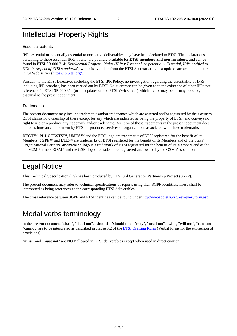# Intellectual Property Rights

#### Essential patents

IPRs essential or potentially essential to normative deliverables may have been declared to ETSI. The declarations pertaining to these essential IPRs, if any, are publicly available for **ETSI members and non-members**, and can be found in ETSI SR 000 314: *"Intellectual Property Rights (IPRs); Essential, or potentially Essential, IPRs notified to ETSI in respect of ETSI standards"*, which is available from the ETSI Secretariat. Latest updates are available on the ETSI Web server ([https://ipr.etsi.org/\)](https://ipr.etsi.org/).

Pursuant to the ETSI Directives including the ETSI IPR Policy, no investigation regarding the essentiality of IPRs, including IPR searches, has been carried out by ETSI. No guarantee can be given as to the existence of other IPRs not referenced in ETSI SR 000 314 (or the updates on the ETSI Web server) which are, or may be, or may become, essential to the present document.

#### **Trademarks**

The present document may include trademarks and/or tradenames which are asserted and/or registered by their owners. ETSI claims no ownership of these except for any which are indicated as being the property of ETSI, and conveys no right to use or reproduce any trademark and/or tradename. Mention of those trademarks in the present document does not constitute an endorsement by ETSI of products, services or organizations associated with those trademarks.

**DECT™**, **PLUGTESTS™**, **UMTS™** and the ETSI logo are trademarks of ETSI registered for the benefit of its Members. **3GPP™** and **LTE™** are trademarks of ETSI registered for the benefit of its Members and of the 3GPP Organizational Partners. **oneM2M™** logo is a trademark of ETSI registered for the benefit of its Members and of the oneM2M Partners. **GSM**® and the GSM logo are trademarks registered and owned by the GSM Association.

# Legal Notice

This Technical Specification (TS) has been produced by ETSI 3rd Generation Partnership Project (3GPP).

The present document may refer to technical specifications or reports using their 3GPP identities. These shall be interpreted as being references to the corresponding ETSI deliverables.

The cross reference between 3GPP and ETSI identities can be found under<http://webapp.etsi.org/key/queryform.asp>.

# Modal verbs terminology

In the present document "**shall**", "**shall not**", "**should**", "**should not**", "**may**", "**need not**", "**will**", "**will not**", "**can**" and "**cannot**" are to be interpreted as described in clause 3.2 of the [ETSI Drafting Rules](https://portal.etsi.org/Services/editHelp!/Howtostart/ETSIDraftingRules.aspx) (Verbal forms for the expression of provisions).

"**must**" and "**must not**" are **NOT** allowed in ETSI deliverables except when used in direct citation.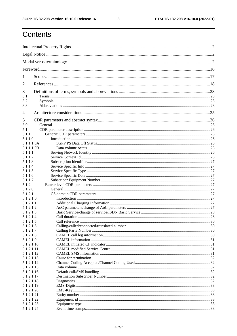$\mathbf{3}$ 

# Contents

| 1                        |                |    |
|--------------------------|----------------|----|
| 2                        |                |    |
| 3                        |                |    |
| 3.1                      |                |    |
| 3.2                      |                |    |
| 3.3                      |                |    |
| 4                        |                |    |
| 5                        |                |    |
| 5.0                      |                |    |
| 5.1                      |                |    |
| 5.1.1                    |                |    |
| 5.1.1.0                  |                |    |
| 5.1.1.1.0A               |                |    |
| 5.1.1.1.0B               |                |    |
| 5.1.1.1<br>5.1.1.2       |                |    |
| 5.1.1.3                  |                |    |
| 5.1.1.4                  |                |    |
| 5.1.1.5                  |                |    |
| 5.1.1.6                  |                |    |
| 5.1.1.7                  |                |    |
| 5.1.2                    |                |    |
| 5.1.2.0                  |                |    |
| 5.1.2.1                  |                |    |
| 5.1.2.1.0                |                |    |
| 5.1.2.1.1                |                |    |
| 5.1.2.1.2                |                |    |
| 5.1.2.1.3<br>5.1.2.1.4   |                |    |
| 5.1.2.1.5                | Call reference | 30 |
| 5.1.2.1.6                |                |    |
| 5.1.2.1.7                |                |    |
| 5.1.2.1.8                |                |    |
| 5.1.2.1.9                |                |    |
| 5.1.2.1.10               |                |    |
| 5.1.2.1.11               |                |    |
| 5.1.2.1.12               |                |    |
| 5.1.2.1.13               |                |    |
| 5.1.2.1.14               |                |    |
| 5.1.2.1.15               |                |    |
| 5.1.2.1.16               |                |    |
| 5.1.2.1.17<br>5.1.2.1.18 |                |    |
| 5.1.2.1.19               |                |    |
| 5.1.2.1.20               |                |    |
| 5.1.2.1.21               |                |    |
| 5.1.2.1.22               |                |    |
| 5.1.2.1.23               |                |    |
| 5.1.2.1.24               |                |    |
|                          |                |    |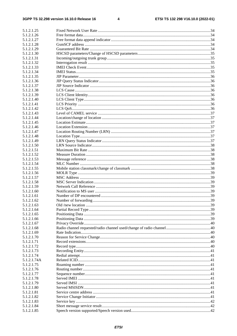#### $\overline{\mathbf{4}}$

| 5.1.2.1.25  |  |
|-------------|--|
| 5.1.2.1.26  |  |
| 5.1.2.1.27  |  |
| 5.1.2.1.28  |  |
| 5.1.2.1.29  |  |
| 5.1.2.1.30  |  |
| 5.1.2.1.31  |  |
| 5.1.2.1.32  |  |
| 5.1.2.1.33  |  |
| 5.1.2.1.34  |  |
| 5.1.2.1.35  |  |
| 5.1.2.1.36  |  |
| 5.1.2.1.37  |  |
| 5.1.2.1.38  |  |
| 5.1.2.1.39  |  |
| 5.1.2.1.40  |  |
| 5.1.2.1.41  |  |
| 5.1.2.1.42  |  |
| 5.1.2.1.43  |  |
| 5.1.2.1.44  |  |
| 5.1.2.1.45  |  |
| 5.1.2.1.46  |  |
| 5.1.2.1.47  |  |
| 5.1.2.1.48  |  |
| 5.1.2.1.49  |  |
| 5.1.2.1.50  |  |
| 5.1.2.1.51  |  |
| 5.1.2.1.52  |  |
| 5.1.2.1.53  |  |
| 5.1.2.1.54  |  |
| 5.1.2.1.55  |  |
| 5.1.2.1.56  |  |
| 5.1.2.1.57  |  |
| 5.1.2.1.58  |  |
| 5.1.2.1.59  |  |
| 5.1.2.1.60  |  |
| 5.1.2.1.61  |  |
| 5.1.2.1.62  |  |
| 5.1.2.1.63  |  |
| 5.1.2.1.64  |  |
| 5.1.2.1.65  |  |
| 5.1.2.1.66  |  |
| 5.1.2.1.67  |  |
| 5.1.2.1.68  |  |
| 5.1.2.1.69  |  |
| 5.1.2.1.70  |  |
| 5.1.2.1.71  |  |
| 5.1.2.1.72  |  |
| 5.1.2.1.73  |  |
| 5.1.2.1.74  |  |
| 5.1.2.1.74A |  |
| 5.1.2.1.75  |  |
| 5.1.2.1.76  |  |
| 5.1.2.1.77  |  |
| 5.1.2.1.78  |  |
| 5.1.2.1.79  |  |
| 5.1.2.1.80  |  |
| 5.1.2.1.81  |  |
| 5.1.2.1.82  |  |
| 5.1.2.1.83  |  |
| 5.1.2.1.84  |  |
| 5.1.2.1.85  |  |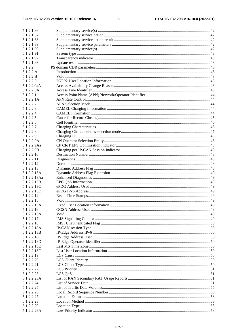$5\phantom{a}$ 

| 5.1.2.1.86                |  |
|---------------------------|--|
| 5.1.2.1.87                |  |
| 5.1.2.1.88                |  |
| 5.1.2.1.89                |  |
| 5.1.2.1.90                |  |
| 5.1.2.1.91                |  |
| 5.1.2.1.92                |  |
| 5.1.2.1.93                |  |
| 5.1.2.2                   |  |
| 5.1.2.2.A                 |  |
| 5.1.2.2.B                 |  |
| 5.1.2.2.0                 |  |
| 5.1.2.2.0aA               |  |
| 5.1.2.2.0A                |  |
| 5.1.2.2.1                 |  |
| 5.1.2.2.1A                |  |
| 5.1.2.2.2                 |  |
| 5.1.2.2.3                 |  |
| 5.1.2.2.4                 |  |
| 5.1.2.2.5                 |  |
| 5.1.2.2.6                 |  |
| 5.1.2.2.7                 |  |
| 5.1.2.2.8                 |  |
| 5.1.2.2.9                 |  |
| 5.1.2.2.9A                |  |
| 5.1.2.2.9Aa               |  |
| 5.1.2.2.9B                |  |
| 5.1.2.2.10                |  |
| 5.1.2.2.11                |  |
| 5.1.2.2.12                |  |
| 5.1.2.2.13                |  |
| 5.1.2.2.13A               |  |
| 5.1.2.2.13Aa              |  |
| 5.1.2.2.13B               |  |
| 5.1.2.2.13C               |  |
|                           |  |
| 5.1.2.2.13D               |  |
| 5.1.2.2.14<br>5.1.2.2.15  |  |
|                           |  |
| 5.1.2.2.15A<br>5.1.2.2.16 |  |
|                           |  |
| 5.1.2.2.16A               |  |
| 5.1.2.2.17                |  |
| 5.1.2.2.18                |  |
| 5.1.2.2.18A               |  |
| 5.1.2.2.18B               |  |
| 5.1.2.2.18C               |  |
| 5.1.2.2.18D               |  |
| 5.1.2.2.18E               |  |
| 5.1.2.2.18F               |  |
| 5.1.2.2.19                |  |
| 5.1.2.2.20                |  |
| 5.1.2.2.21                |  |
| 5.1.2.2.22                |  |
| 5.1.2.2.23                |  |
| 5.1.2.2.23A               |  |
| 5.1.2.2.24                |  |
| 5.1.2.2.25                |  |
| 5.1.2.2.26                |  |
| 5.1.2.2.27                |  |
| 5.1.2.2.28                |  |
| 5.1.2.2.29                |  |
| 5.1.2.2.29A               |  |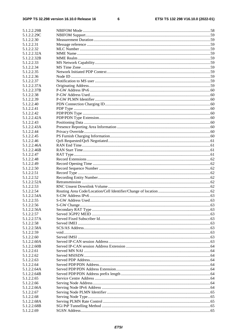$\bf 6$ 

| 5.1.2.2.29B               |  |
|---------------------------|--|
| 5.1.2.2.29C               |  |
| 5.1.2.2.30                |  |
| 5.1.2.2.31                |  |
| 5.1.2.2.32                |  |
| 5.1.2.2.32A               |  |
| 5.1.2.2.32B               |  |
| 5.1.2.2.33                |  |
| 5.1.2.2.34                |  |
| 5.1.2.2.35                |  |
| 5.1.2.2.36                |  |
| 5.1.2.2.37                |  |
| 5.1.2.2.37A               |  |
| 5.1.2.2.37B               |  |
| 5.1.2.2.38                |  |
| 5.1.2.2.39                |  |
| 5.1.2.2.40                |  |
| 5.1.2.2.41                |  |
| 5.1.2.2.42                |  |
| 5.1.2.2.42A               |  |
| 5.1.2.2.43                |  |
| 5.1.2.2.43A               |  |
| 5.1.2.2.44                |  |
| 5.1.2.2.45                |  |
| 5.1.2.2.46                |  |
| 5.1.2.2.46A               |  |
| 5.1.2.2.46B               |  |
| 5.1.2.2.47                |  |
| 5.1.2.2.48                |  |
| 5.1.2.2.49                |  |
| 5.1.2.2.50                |  |
| 5.1.2.2.51                |  |
| 5.1.2.2.52                |  |
| 5.1.2.2.52A               |  |
| 5.1.2.2.53                |  |
| 5.1.2.2.54                |  |
| 5.1.2.2.54A               |  |
| 5.1.2.2.55                |  |
| 5.1.2.2.56                |  |
| 5.1.2.2.56A               |  |
| 5.1.2.2.57                |  |
| 5.1.2.2.57A               |  |
| 5.1.2.2.58<br>5.1.2.2.58A |  |
| 5.1.2.2.59                |  |
|                           |  |
| 5.1.2.2.60<br>5.1.2.2.60A |  |
| 5.1.2.2.60B               |  |
| 5.1.2.2.61                |  |
| 5.1.2.2.62                |  |
| 5.1.2.2.63                |  |
| 5.1.2.2.64                |  |
| 5.1.2.2.64A               |  |
| 5.1.2.2.64B               |  |
| 5.1.2.2.65                |  |
| 5.1.2.2.66                |  |
| 5.1.2.2.66A               |  |
| 5.1.2.2.67                |  |
| 5.1.2.2.68                |  |
| 5.1.2.2.68A               |  |
| 5.1.2.2.68B               |  |
| 5.1.2.2.69                |  |
|                           |  |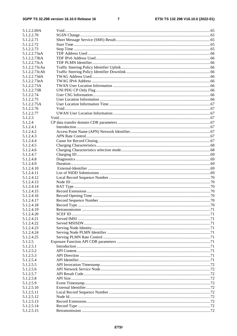#### $\overline{7}$

| 5.1.2.2.69A                   |  |
|-------------------------------|--|
| 5.1.2.2.70                    |  |
| 5.1.2.2.71                    |  |
| 5.1.2.2.72                    |  |
| 5.1.2.2.73                    |  |
| 5.1.2.2.73aA                  |  |
| 5.1.2.2.73bA                  |  |
| 5.1.2.2.73cA                  |  |
| 5.1.2.2.73cAa                 |  |
| 5.1.2.2.73cAb<br>5.1.2.2.73dA |  |
| 5.1.2.2.73eA                  |  |
| 5.1.2.2.73A                   |  |
| 5.1.2.2.73B                   |  |
| 5.1.2.2.74                    |  |
| 5.1.2.2.75                    |  |
| 5.1.2.2.75A                   |  |
| 5.1.2.2.76                    |  |
| 5.1.2.2.77                    |  |
| 5.1.2.3                       |  |
| 5.1.2.4                       |  |
| 5.1.2.4.1                     |  |
| 5.1.2.4.2                     |  |
| 5.1.2.4.3                     |  |
| 5.1.2.4.4                     |  |
| 5.1.2.4.5                     |  |
| 5.1.2.4.6<br>5.1.2.4.7        |  |
| 5.1.2.4.8                     |  |
| 5.1.2.4.9                     |  |
| 5.1.2.4.10                    |  |
| 5.1.2.4.11                    |  |
| 5.1.2.4.12                    |  |
| 5.1.2.4.13                    |  |
| 5.1.2.4.14                    |  |
| 5.1.2.4.15                    |  |
| 5.1.2.4.16                    |  |
| 5.1.2.4.17                    |  |
| 5.1.2.4.18                    |  |
| 5.1.2.4.19                    |  |
| 5.1.2.4.20                    |  |
| 5.1.2.4.21<br>5.1.2.4.22      |  |
| 5.1.2.4.23                    |  |
| 5.1.2.4.24                    |  |
| 5.1.2.4.25                    |  |
| 5.1.2.5                       |  |
| 5.1.2.5.1                     |  |
| 5.1.2.5.2                     |  |
| 5.1.2.5.3                     |  |
| 5.1.2.5.4                     |  |
| 5.1.2.5.5                     |  |
| 5.1.2.5.6                     |  |
| 5.1.2.5.7                     |  |
| 5.1.2.5.8                     |  |
| 5.1.2.5.9                     |  |
| 5.1.2.5.10                    |  |
| 5.1.2.5.11<br>5.1.2.5.12      |  |
| 5.1.2.5.13                    |  |
| 5.1.2.5.14                    |  |
| 5.1.2.5.15                    |  |
|                               |  |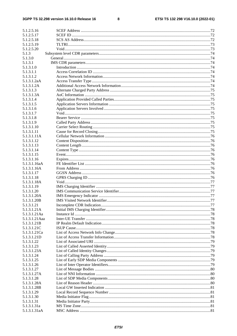#### $\bf{8}$

| 5.1.2.5.16                 |  |
|----------------------------|--|
| 5.1.2.5.17                 |  |
| 5.1.2.5.18                 |  |
| 5.1.2.5.19                 |  |
| 5.1.2.5.20                 |  |
| 5.1.3                      |  |
| 5.1.3.0                    |  |
| 5.1.3.1                    |  |
| 5.1.3.1.0                  |  |
| 5.1.3.1.1                  |  |
| 5.1.3.1.2                  |  |
| 5.1.3.1.2aA                |  |
| 5.1.3.1.2A                 |  |
| 5.1.3.1.3                  |  |
| 5.1.3.1.3A                 |  |
| 5.1.3.1.4                  |  |
| 5.1.3.1.5                  |  |
| 5.1.3.1.6<br>5.1.3.1.7     |  |
| 5.1.3.1.8                  |  |
| 5.1.3.1.9                  |  |
| 5.1.3.1.10                 |  |
| 5.1.3.1.11                 |  |
| 5.1.3.1.11A                |  |
| 5.1.3.1.12                 |  |
| 5.1.3.1.13                 |  |
| 5.1.3.1.14                 |  |
| 5.1.3.1.15                 |  |
| 5.1.3.1.16                 |  |
| 5.1.3.1.16aA               |  |
| 5.1.3.1.16A                |  |
| 5.1.3.1.17                 |  |
| 5.1.3.1.18                 |  |
| 5.1.3.1.18A                |  |
| 5.1.3.1.19                 |  |
| 5.1.3.1.20                 |  |
| 5.1.3.1.20A                |  |
| 5.1.3.1.20B<br>5.1.3.1.21  |  |
| 5.1.3.1.21A                |  |
| 5.1.3.1.21Aa               |  |
| 5.1.3.1.21 Aaa             |  |
| 5.1.3.1.21B                |  |
| 5.1.3.1.21C                |  |
| 5.1.3.1.21Ca               |  |
| 5.1.3.1.21D                |  |
| 5.1.3.1.22                 |  |
| 5.1.3.1.23                 |  |
| 5.1.3.1.23A                |  |
| 5.1.3.1.24                 |  |
| 5.1.3.1.25                 |  |
| 5.1.3.1.26                 |  |
| 5.1.3.1.27                 |  |
| 5.1.3.1.27A                |  |
| 5.1.3.1.28                 |  |
| 5.1.3.1.28A<br>5.1.3.1.28B |  |
| 5.1.3.1.29                 |  |
| 5.1.3.1.30                 |  |
| 5.1.3.1.31                 |  |
| 5.1.3.1.31a                |  |
|                            |  |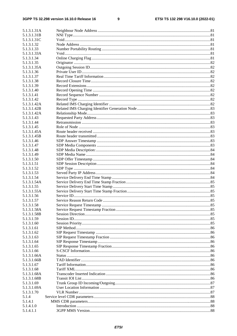$\boldsymbol{9}$ 

| 5.1.3.1.31A               |  |
|---------------------------|--|
| 5.1.3.1.31B               |  |
| 5.1.3.1.31C               |  |
| 5.1.3.1.32                |  |
| 5.1.3.1.33                |  |
| 5.1.3.1.33A               |  |
| 5.1.3.1.34                |  |
| 5.1.3.1.35                |  |
| 5.1.3.1.35A               |  |
| 5.1.3.1.36                |  |
| 5.1.3.1.37                |  |
| 5.1.3.1.38                |  |
| 5.1.3.1.39                |  |
| 5.1.3.1.40                |  |
| 5.1.3.1.41                |  |
| 5.1.3.1.42                |  |
| 5.1.3.1.42A               |  |
| 5.1.3.1.42B               |  |
| 5.1.3.1.42A               |  |
| 5.1.3.1.43                |  |
| 5.1.3.1.44                |  |
| 5.1.3.1.45                |  |
| 5.1.3.1.45A               |  |
| 5.1.3.1.45B               |  |
| 5.1.3.1.46                |  |
| 5.1.3.1.47                |  |
| 5.1.3.1.48                |  |
| 5.1.3.1.49                |  |
| 5.1.3.1.50                |  |
| 5.1.3.1.51                |  |
| 5.1.3.1.52                |  |
| 5.1.3.1.53                |  |
| 5.1.3.1.54<br>5.1.3.1.54A |  |
| 5.1.3.1.55                |  |
| 5.1.3.1.55A               |  |
| 5.1.3.1.56                |  |
| 5.1.3.1.57                |  |
| 5.1.3.1.58                |  |
| 5.1.3.1.58A               |  |
| 5.1.3.1.58B               |  |
| 5.1.3.1.59                |  |
| 5.1.3.1.60                |  |
| 5.1.3.1.61                |  |
| 5.1.3.1.62                |  |
| 5.1.3.1.63                |  |
| 5.1.3.1.64                |  |
| 5.1.3.1.65                |  |
| 5.1.3.1.66                |  |
| 5.1.3.1.66A               |  |
| 5.1.3.1.66B               |  |
| 5.1.3.1.67                |  |
| 5.1.3.1.68                |  |
| 5.1.3.1.68A               |  |
| 5.1.3.1.68B               |  |
| 5.1.3.1.69                |  |
| 5.1.3.1.69A               |  |
| 5.1.3.1.70                |  |
| 5.1.4                     |  |
| 5.1.4.1                   |  |
| 5.1.4.1.0                 |  |
| 5.1.4.1.1                 |  |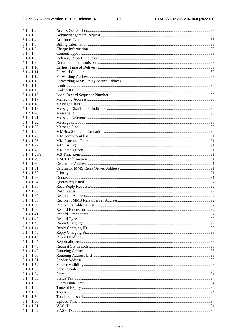| 5.1.4.1.2   |  |
|-------------|--|
| 5.1.4.1.3   |  |
| 5.1.4.1.4   |  |
| 5.1.4.1.5   |  |
| 5.1.4.1.6   |  |
| 5.1.4.1.7   |  |
| 5.1.4.1.8   |  |
| 5.1.4.1.9   |  |
| 5.1.4.1.10  |  |
| 5.1.4.1.11  |  |
| 5.1.4.1.12  |  |
| 5.1.4.1.13  |  |
| 5.1.4.1.14  |  |
| 5.1.4.1.15  |  |
| 5.1.4.1.16  |  |
| 5.1.4.1.17  |  |
| 5.1.4.1.18  |  |
| 5.1.4.1.19  |  |
| 5.1.4.1.20  |  |
| 5.1.4.1.21  |  |
| 5.1.4.1.22  |  |
| 5.1.4.1.23  |  |
| 5.1.4.1.24  |  |
| 5.1.4.1.25  |  |
| 5.1.4.1.26  |  |
| 5.1.4.1.27  |  |
| 5.1.4.1.28  |  |
| 5.1.4.1.28A |  |
| 5.1.4.1.29  |  |
| 5.1.4.1.30  |  |
| 5.1.4.1.31  |  |
| 5.1.4.1.32  |  |
| 5.1.4.1.33  |  |
| 5.1.4.1.34  |  |
| 5.1.4.1.35  |  |
| 5.1.4.1.36  |  |
| 5.1.4.1.37  |  |
| 5.1.4.1.38  |  |
| 5.1.4.1.39  |  |
| 5.1.4.1.40  |  |
| 5.1.4.1.41  |  |
| 5.1.4.1.42  |  |
| 5.1.4.1.43  |  |
| 5.1.4.1.44  |  |
| 5.1.4.1.45  |  |
| 5.1.4.1.46  |  |
| 5.1.4.1.47  |  |
| 5.1.4.1.48  |  |
| 5.1.4.1.49  |  |
| 5.1.4.1.50  |  |
| 5.1.4.1.51  |  |
| 5.1.4.1.52  |  |
| 5.1.4.1.53  |  |
| 5.1.4.1.54  |  |
| 5.1.4.1.55  |  |
| 5.1.4.1.56  |  |
| 5.1.4.1.57  |  |
| 5.1.4.1.58  |  |
| 5.1.4.1.59  |  |
| 5.1.4.1.60  |  |
| 5.1.4.1.61  |  |
| 5.1.4.1.62  |  |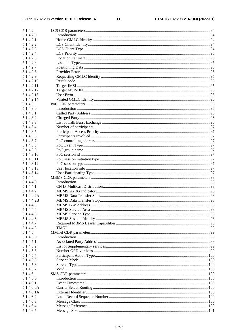| 5.1.4.2    |  |
|------------|--|
| 5.1.4.2.0  |  |
| 5.1.4.2.1  |  |
| 5.1.4.2.2  |  |
| 5.1.4.2.3  |  |
| 5.1.4.2.4  |  |
| 5.1.4.2.5  |  |
| 5.1.4.2.6  |  |
| 5.1.4.2.7  |  |
| 5.1.4.2.8  |  |
| 5.1.4.2.9  |  |
| 5.1.4.2.10 |  |
| 5.1.4.2.11 |  |
| 5.1.4.2.12 |  |
| 5.1.4.2.13 |  |
| 5.1.4.2.14 |  |
| 5.1.4.3    |  |
| 5.1.4.3.0  |  |
| 5.1.4.3.1  |  |
| 5.1.4.3.2  |  |
|            |  |
| 5.1.4.3.3  |  |
| 5.1.4.3.4  |  |
| 5.1.4.3.5  |  |
| 5.1.4.3.6  |  |
| 5.1.4.3.7  |  |
| 5.1.4.3.8  |  |
| 5.1.4.3.9  |  |
| 5.1.4.3.10 |  |
| 5.1.4.3.11 |  |
| 5.1.4.3.12 |  |
| 5.1.4.3.13 |  |
| 5.1.4.3.14 |  |
| 5.1.4.4    |  |
| 5.1.4.4.0  |  |
| 5.1.4.4.1  |  |
| 5.1.4.4.2  |  |
| 5.1.4.4.2A |  |
| 5.1.4.4.2B |  |
| 5.1.4.4.3  |  |
| 5.1.4.4.4  |  |
| 5.1.4.4.5  |  |
| 5.1.4.4.6  |  |
| 5.1.4.4.7  |  |
| 5.1.4.4.8  |  |
| 5.1.4.5    |  |
| 5.1.4.5.0  |  |
| 5.1.4.5.1  |  |
| 5.1.4.5.2  |  |
| 5.1.4.5.3  |  |
| 5.1.4.5.4  |  |
| 5.1.4.5.5  |  |
| 5.1.4.5.6  |  |
| 5.1.4.5.7  |  |
| 5.1.4.6    |  |
| 5.1.4.6.0  |  |
|            |  |
| 5.1.4.6.1  |  |
| 5.1.4.6.0A |  |
| 5.1.4.6.1A |  |
| 5.1.4.6.2  |  |
| 5.1.4.6.3  |  |
| 5.1.4.6.4  |  |
| 5.1.4.6.5  |  |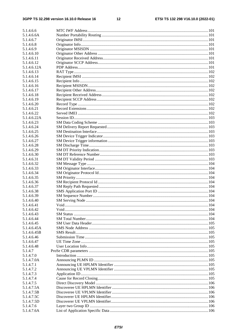| 5.1.4.6.6                |  |
|--------------------------|--|
| 5.1.4.6.6A               |  |
| 5.1.4.6.7                |  |
| 5.1.4.6.8                |  |
| 5.1.4.6.9                |  |
| 5.1.4.6.10               |  |
| 5.1.4.6.11               |  |
| 5.1.4.6.12               |  |
| 5.1.4.6.12A              |  |
| 5.1.4.6.13               |  |
| 5.1.4.6.14               |  |
| 5.1.4.6.15               |  |
| 5.1.4.6.16               |  |
| 5.1.4.6.17               |  |
| 5.1.4.6.18               |  |
| 5.1.4.6.19               |  |
| 5.1.4.6.20               |  |
| 5.1.4.6.21               |  |
| 5.1.4.6.22               |  |
| 5.1.4.6.22A              |  |
| 5.1.4.6.23               |  |
| 5.1.4.6.24               |  |
| 5.1.4.6.25               |  |
| 5.1.4.6.26               |  |
| 5.1.4.6.27               |  |
| 5.1.4.6.28               |  |
| 5.1.4.6.29               |  |
| 5.1.4.6.30               |  |
| 5.1.4.6.31               |  |
| 5.1.4.6.32               |  |
| 5.1.4.6.33               |  |
| 5.1.4.6.34               |  |
|                          |  |
| 5.1.4.6.35<br>5.1.4.6.36 |  |
| 5.1.4.6.37               |  |
|                          |  |
| 5.1.4.6.38               |  |
| 5.1.4.6.39               |  |
| 5.1.4.6.40               |  |
| 5.1.4.6.41<br>5.1.4.6.42 |  |
|                          |  |
| 5.1.4.6.43               |  |
| 5.1.4.6.44               |  |
| 5.1.4.6.45               |  |
| 5.1.4.6.45A              |  |
| 5.1.4.6.45B              |  |
| 5.1.4.6.46               |  |
| 5.1.4.6.47               |  |
| 5.1.4.6.48               |  |
| 5.1.4.7                  |  |
| 5.1.4.7.0                |  |
| 5.1.4.7.0A               |  |
| 5.1.4.7.1                |  |
| 5.1.4.7.2                |  |
| 5.1.4.7.3                |  |
| 5.1.4.7.4                |  |
| 5.1.4.7.5                |  |
| 5.1.4.7.5A               |  |
| 5.1.4.7.5B               |  |
| 5.1.4.7.5C               |  |
| 5.1.4.7.5D               |  |
| 5.1.4.7.6                |  |
| 5.1.4.7.6A               |  |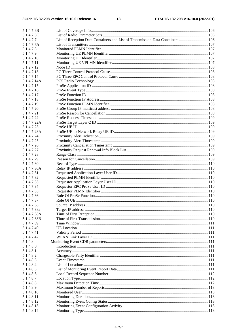| List of Reception Data Containers and List of Transmission Data Containers  106 |
|---------------------------------------------------------------------------------|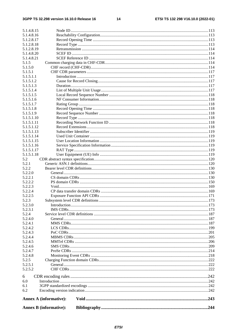| 5.1.4.8.15       |                               |  |
|------------------|-------------------------------|--|
| 5.1.4.8.16       |                               |  |
| 5.1.2.8.17       |                               |  |
| 5.1.2.8.18       |                               |  |
| 5.1.2.8.19       |                               |  |
| 5.1.4.8.20       |                               |  |
| 5.1.4.8.21       |                               |  |
| 5.1.5            |                               |  |
| 5.1.5.0          |                               |  |
| 5.1.5.1          |                               |  |
| 5.1.5.1.1        |                               |  |
| 5.1.5.1.2        |                               |  |
| 5.1.5.1.3        |                               |  |
| 5.1.5.1.4        |                               |  |
| 5.1.5.1.5        |                               |  |
| 5.1.5.1.6        |                               |  |
| 5.1.5.1.7        |                               |  |
| 5.1.5.1.8        |                               |  |
| 5.1.5.1.9        |                               |  |
| 5.1.5.1.10       |                               |  |
| 5.1.5.1.11       |                               |  |
| 5.1.5.1.12       |                               |  |
| 5.1.5.1.13       |                               |  |
| 5.1.5.1.14       |                               |  |
| 5.1.5.1.15       |                               |  |
| 5.1.5.1.16       |                               |  |
| 5.1.5.1.17       |                               |  |
| 5.1.5.1.18       |                               |  |
| 5.2              |                               |  |
| 5.2.1            |                               |  |
| 5.2.2            |                               |  |
| 5.2.2.0          |                               |  |
| 5.2.2.1          |                               |  |
| 5.2.2.2          |                               |  |
| 5.2.2.3          |                               |  |
| 5.2.2.4          |                               |  |
| 5.2.2.5          |                               |  |
| 5.2.3            |                               |  |
| 5.2.3.0          |                               |  |
| 5.2.3.1          |                               |  |
| 5.2.4            |                               |  |
| 5.2.4.0          |                               |  |
| 5.2.4.1          |                               |  |
| 5.2.4.2          |                               |  |
| 5.2.4.3          |                               |  |
| 5.2.4.4          |                               |  |
| 5.2.4.5          |                               |  |
| 5.2.4.6          |                               |  |
| 5.2.4.7          |                               |  |
| 5.2.4.8<br>5.2.5 |                               |  |
| 5.2.5.1          |                               |  |
| 5.2.5.2          |                               |  |
|                  |                               |  |
| 6                |                               |  |
| 6.0              |                               |  |
| 6.1              |                               |  |
| 6.2              |                               |  |
|                  | <b>Annex A (informative):</b> |  |
|                  | <b>Annex B</b> (informative): |  |
|                  |                               |  |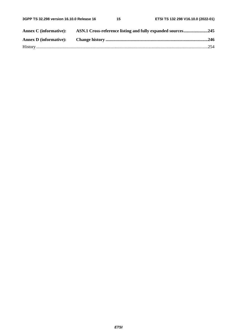| <b>Annex C</b> (informative): | ASN.1 Cross-reference listing and fully expanded sources245 |  |
|-------------------------------|-------------------------------------------------------------|--|
|                               |                                                             |  |
|                               |                                                             |  |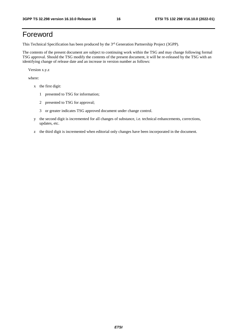# Foreword

This Technical Specification has been produced by the 3<sup>rd</sup> Generation Partnership Project (3GPP).

The contents of the present document are subject to continuing work within the TSG and may change following formal TSG approval. Should the TSG modify the contents of the present document, it will be re-released by the TSG with an identifying change of release date and an increase in version number as follows:

Version x.y.z

where:

- x the first digit:
	- 1 presented to TSG for information;
	- 2 presented to TSG for approval;
	- 3 or greater indicates TSG approved document under change control.
- y the second digit is incremented for all changes of substance, i.e. technical enhancements, corrections, updates, etc.
- z the third digit is incremented when editorial only changes have been incorporated in the document.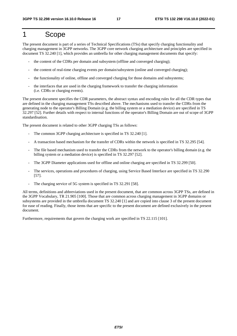# 1 Scope

The present document is part of a series of Technical Specifications (TSs) that specify charging functionality and charging management in 3GPP networks. The 3GPP core network charging architecture and principles are specified in document TS 32.240 [1], which provides an umbrella for other charging management documents that specify:

- the content of the CDRs per domain and subsystem (offline and converged charging);
- the content of real-time charging events per domain/subsystem (online and converged charging);
- the functionality of online, offline and converged charging for those domains and subsystems;
- the interfaces that are used in the charging framework to transfer the charging information (i.e. CDRs or charging events).

The present document specifies the CDR parameters, the abstract syntax and encoding rules for all the CDR types that are defined in the charging management TSs described above. The mechanisms used to transfer the CDRs from the generating node to the operator's Billing Domain (e.g. the billing system or a mediation device) are specified in TS 32.297 [52]. Further details with respect to internal functions of the operator's Billing Domain are out of scope of 3GPP standardisation.

The present document is related to other 3GPP charging TSs as follows:

- The common 3GPP charging architecture is specified in TS 32.240 [1].
- A transaction based mechanism for the transfer of CDRs within the network is specified in TS 32.295 [54].
- The file based mechanism used to transfer the CDRs from the network to the operator's billing domain (e.g. the billing system or a mediation device) is specified in TS 32.297 [52].
- The 3GPP Diameter applications used for offline and online charging are specified in TS 32.299 [50].
- The services, operations and procedures of charging, using Service Based Interface are specified in TS 32.290 [57].
- The charging service of 5G system is specified in TS 32.291 [58].

All terms, definitions and abbreviations used in the present document, that are common across 3GPP TSs, are defined in the 3GPP Vocabulary, TR 21.905 [100]. Those that are common across charging management in 3GPP domains or subsystems are provided in the umbrella document TS 32.240 [1] and are copied into clause 3 of the present document for ease of reading. Finally, those items that are specific to the present document are defined exclusively in the present document.

Furthermore, requirements that govern the charging work are specified in TS 22.115 [101].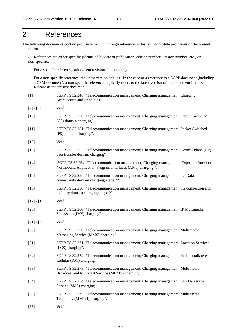# 2 References

The following documents contain provisions which, through reference in this text, constitute provisions of the present document.

References are either specific (identified by date of publication, edition number, version number, etc.) or non-specific.

- For a specific reference, subsequent revisions do not apply.
- For a non-specific reference, the latest version applies. In the case of a reference to a 3GPP document (including a GSM document), a non-specific reference implicitly refers to the latest version of that document in the same Release as the present document.
- [1] 3GPP TS 32.240: "Telecommunication management; Charging management; Charging Architecture and Principles". [2] - [9] Void. [10] 3GPP TS 32.250: "Telecommunication management; Charging management; Circuit Switched (CS) domain charging". [11] 3GPP TS 32.251: "Telecommunication management; Charging management; Packet Switched (PS) domain charging". [12] **Void.** [13] 3GPP TS 32.253: "Telecommunication management; Charging management; Control Plane (CP) data transfer domain charging". [14] 3GPP TS 32.254: "Telecommunication management; Charging management; Exposure function Northbound Application Program Interfaces (APIs) charging ". [15] 3GPP TS 32.255: "Telecommunication management; Charging management; 5G Data connectivity domain charging; stage 2". [16] 3GPP TS 32.256: "Telecommunication management; Charging management; 5G connection and mobility domain charging; stage 2".  $[17] - [19]$  Void. [20] 3GPP TS 32.260: "Telecommunication management; Charging management; IP Multimedia Subsystem (IMS) charging". [21] - [29] Void. [30] 3GPP TS 32.270: "Telecommunication management; Charging management; Multimedia Messaging Service (MMS) charging". [31] 3GPP TS 32.271: "Telecommunication management; Charging management; Location Services (LCS) charging". [32] 3GPP TS 32.272: "Telecommunication management; Charging management; Push-to-talk over Cellular (PoC) charging". [33] 3GPP TS 32.273: "Telecommunication management; Charging management; Multimedia Broadcast and Multicast Service (MBMS) charging". [34] 3GPP TS 32.274: "Telecommunication management; Charging management; Short Message Service (SMS) charging". [35] 3GPP TS 32.275: "Telecommunication management; Charging management; MultiMedia Telephony (MMTel) charging". [36] Void.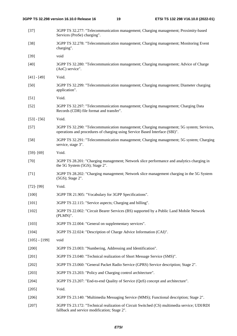| $[37]$          | 3GPP TS 32.277: "Telecommunication management; Charging management; Proximity-based<br>Services (ProSe) charging".                                                      |
|-----------------|-------------------------------------------------------------------------------------------------------------------------------------------------------------------------|
| $[38]$          | 3GPP TS 32.278: "Telecommunication management; Charging management; Monitoring Event<br>charging".                                                                      |
| $[39]$          | void                                                                                                                                                                    |
| $[40]$          | 3GPP TS 32.280: "Telecommunication management; Charging management; Advice of Charge<br>(AoC) service".                                                                 |
| $[41] - [49]$   | Void.                                                                                                                                                                   |
| $[50]$          | 3GPP TS 32.299: "Telecommunication management; Charging management; Diameter charging<br>application".                                                                  |
| $[51]$          | Void.                                                                                                                                                                   |
| $[52]$          | 3GPP TS 32.297: "Telecommunication management; Charging management; Charging Data<br>Records (CDR) file format and transfer".                                           |
| $[53] - [56]$   | Void.                                                                                                                                                                   |
| $[57]$          | 3GPP TS 32.290: "Telecommunication management; Charging management; 5G system; Services,<br>operations and procedures of charging using Service Based Interface (SBI)". |
| $[58]$          | 3GPP TS 32.291: "Telecommunication management; Charging management; 5G system; Charging<br>service, stage 3".                                                           |
| $[59] - [69]$   | Void.                                                                                                                                                                   |
| $[70]$          | 3GPP TS 28.201: "Charging management; Network slice performance and analytics charging in<br>the 5G System (5GS); Stage 2".                                             |
| $[71]$          | 3GPP TS 28.202: "Charging management; Network slice management charging in the 5G System<br>(5GS); Stage 2".                                                            |
| $[72] - [99]$   | Void.                                                                                                                                                                   |
| $[100]$         | 3GPP TR 21.905: "Vocabulary for 3GPP Specifications".                                                                                                                   |
| $[101]$         | 3GPP TS 22.115: "Service aspects; Charging and billing".                                                                                                                |
| $[102]$         | 3GPP TS 22.002: "Circuit Bearer Services (BS) supported by a Public Land Mobile Network<br>(PLMN)".                                                                     |
| [103]           | 3GPP TS 22.004: "General on supplementary services".                                                                                                                    |
| $[104]$         | 3GPP TS 22.024: "Description of Charge Advice Information (CAI)".                                                                                                       |
| $[105] - [199]$ | void                                                                                                                                                                    |
| $[200]$         | 3GPP TS 23.003: "Numbering, Addressing and Identification".                                                                                                             |
| $[201]$         | 3GPP TS 23.040: "Technical realization of Short Message Service (SMS)".                                                                                                 |
| $[202]$         | 3GPP TS 23.060: "General Packet Radio Service (GPRS) Service description; Stage 2".                                                                                     |
| $[203]$         | 3GPP TS 23.203: "Policy and Charging control architecture".                                                                                                             |
| $[204]$         | 3GPP TS 23.207: "End-to-end Quality of Service (QoS) concept and architecture".                                                                                         |
| $[205]$         | Void.                                                                                                                                                                   |
| $[206]$         | 3GPP TS 23.140: "Multimedia Messaging Service (MMS); Functional description; Stage 2".                                                                                  |
| $[207]$         | 3GPP TS 23.172: "Technical realization of Circuit Switched (CS) multimedia service; UDI/RDI<br>fallback and service modification; Stage 2".                             |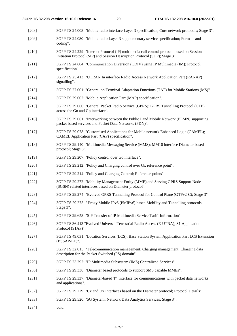- [208] 3GPP TS 24.008: "Mobile radio interface Layer 3 specification; Core network protocols; Stage 3". [209] 3GPP TS 24.080: "Mobile radio Layer 3 supplementary service specification; Formats and
- coding". [210] 3GPP TS 24.229: "Internet Protocol (IP) multimedia call control protocol based on Session
- Initiation Protocol (SIP) and Session Description Protocol (SDP); Stage 3".
- [211] 3GPP TS 24.604: "Communication Diversion (CDIV) using IP Multimedia (IM); Protocol specification".
- [212] 3GPP TS 25.413: "UTRAN Iu interface Radio Access Network Application Part (RANAP) signalling".
- [213] 3GPP TS 27.001: "General on Terminal Adaptation Functions (TAF) for Mobile Stations (MS)".
- [214] 3GPP TS 29.002: "Mobile Application Part (MAP) specification".
- [215] 3GPP TS 29.060: "General Packet Radio Service (GPRS); GPRS Tunnelling Protocol (GTP) across the Gn and Gp interface".
- [216] 3GPP TS 29.061: "Interworking between the Public Land Mobile Network (PLMN) supporting packet based services and Packet Data Networks (PDN)".
- [217] 3GPP TS 29.078: "Customised Applications for Mobile network Enhanced Logic (CAMEL); CAMEL Application Part (CAP) specification".
- [218] 3GPP TS 29.140: "Multimedia Messaging Service (MMS); MM10 interface Diameter based protocol; Stage 3".
- [219] 3GPP TS 29.207: "Policy control over Go interface".
- [220] 3GPP TS 29.212: "Policy and Charging control over Gx reference point".
- [221] 3GPP TS 29.214: "Policy and Charging Control; Reference points".
- [222] 3GPP TS 29.272: "Mobility Management Entity (MME) and Serving GPRS Support Node (SGSN) related interfaces based on Diameter protocol".
- [223] 3GPP TS 29.274: "Evolved GPRS Tunnelling Protocol for Control Plane (GTPv2-C); Stage 3".
- [224] 3GPP TS 29.275: " Proxy Mobile IPv6 (PMIPv6) based Mobility and Tunnelling protocols; Stage 3".
- [225] 3GPP TS 29.658: "SIP Transfer of IP Multimedia Service Tariff Information".
- [226] 3GPP TS 36.413 "Evolved Universal Terrestrial Radio Access (E-UTRA); S1 Application Protocol (S1AP)".
- [227] 3GPP TS 49.031: "Location Services (LCS); Base Station System Application Part LCS Extension (BSSAP-LE)".
- [228] 3GPP TS 32.015: "Telecommunication management; Charging management; Charging data description for the Packet Switched (PS) domain".
- [229] 3GPP TS 23.292: "IP Multimedia Subsystem (IMS) Centralized Services".
- [230] 3GPP TS 29.338: "Diameter based protocols to support SMS capable MMEs".
- [231] 3GPP TS 29.337: "Diameter-based T4 interface for communications with packet data networks and applications".
- [232] 3GPP TS 29.229: "Cx and Dx Interfaces based on the Diameter protocol; Protocol Details".
- [233] 3GPP TS 29.520: "5G System; Network Data Analytics Services; Stage 3".
- [234] void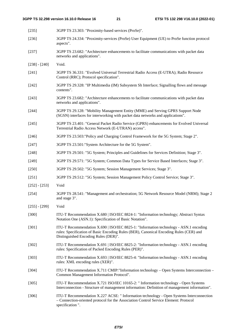| [235]           | 3GPP TS 23.303: "Proximity-based services (ProSe)".                                                                                                                                                                     |
|-----------------|-------------------------------------------------------------------------------------------------------------------------------------------------------------------------------------------------------------------------|
| $[236]$         | 3GPP TS 24.334: "Proximity-services (ProSe) User Equipment (UE) to ProSe function protocol<br>aspects".                                                                                                                 |
| $[237]$         | 3GPP TS 23.682: "Architecture enhancements to facilitate communications with packet data<br>networks and applications".                                                                                                 |
| $[238] - [240]$ | Void.                                                                                                                                                                                                                   |
| [241]           | 3GPP TS 36.331: "Evolved Universal Terrestrial Radio Access (E-UTRA); Radio Resource<br>Control (RRC); Protocol specification".                                                                                         |
| $[242]$         | 3GPP TS 29.328: "IP Multimedia (IM) Subsystem Sh Interface; Signalling flows and message<br>contents".                                                                                                                  |
| $[243]$         | 3GPP TS 23.682: "Architecture enhancements to facilitate communications with packet data<br>networks and applications".                                                                                                 |
| $[244]$         | 3GPP TS 29.128: "Mobility Management Entity (MME) and Serving GPRS Support Node<br>(SGSN) interfaces for interworking with packet data networks and applications".                                                      |
| [245]           | 3GPP TS 23.401: "General Packet Radio Service (GPRS) enhancements for Evolved Universal<br>Terrestrial Radio Access Network (E-UTRAN) access".                                                                          |
| $[246]$         | 3GPP TS 23.503: "Policy and Charging Control Framework for the 5G System; Stage 2".                                                                                                                                     |
| $[247]$         | 3GPP TS 23.501:"System Architecture for the 5G System".                                                                                                                                                                 |
| $[248]$         | 3GPP TS 29.501: "5G System; Principles and Guidelines for Services Definition; Stage 3".                                                                                                                                |
| $[249]$         | 3GPP TS 29.571: "5G System; Common Data Types for Service Based Interfaces; Stage 3".                                                                                                                                   |
| $[250]$         | 3GPP TS 29.502: "5G System; Session Management Services; Stage 3".                                                                                                                                                      |
| $[251]$         | 3GPP TS 29.512: "5G System; Session Management Policy Control Service; Stage 3".                                                                                                                                        |
| $[252] - [253]$ | Void                                                                                                                                                                                                                    |
| [254]           | 3GPP TS 28.541: "Management and orchestration; 5G Network Resource Model (NRM); Stage 2<br>and stage 3".                                                                                                                |
| $[255] - [299]$ | Void                                                                                                                                                                                                                    |
| $[300]$         | ITU-T Recommendation X.680   ISO/IEC 8824-1: "Information technology; Abstract Syntax<br>Notation One (ASN.1): Specification of Basic Notation".                                                                        |
| $[301]$         | ITU-T Recommendation X.690   ISO/IEC 8825-1: "Information technology - ASN.1 encoding<br>rules: Specification of Basic Encoding Rules (BER), Canonical Encoding Rules (CER) and<br>Distinguished Encoding Rules (DER)". |
| $[302]$         | ITU-T Recommendation X.691   ISO/IEC 8825-2: "Information technology - ASN.1 encoding<br>rules: Specification of Packed Encoding Rules (PER)".                                                                          |
| $[303]$         | ITU-T Recommendation X.693   ISO/IEC 8825-4: "Information technology - ASN.1 encoding<br>rules: XML encoding rules (XER)".                                                                                              |
| $[304]$         | ITU-T Recommendation X.711 CMIP:"Information technology - Open Systems Interconnection -<br>Common Management Information Protocol".                                                                                    |
| $[305]$         | ITU-T Recommendation X.721 ISO/IEC 10165-2: "Information technology - Open Systems<br>Interconnection - Structure of management information: Definition of management information".                                     |
| $[306]$         | ITU-T Recommendation X.227 ACSE: " Information technology - Open Systems Interconnection<br>- Connection-oriented protocol for the Association Control Service Element: Protocol<br>specification".                     |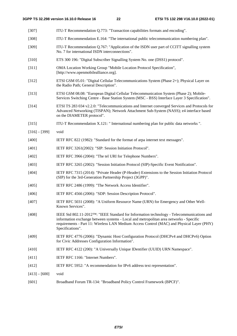| $[307]$         | ITU-T Recommendation Q.773: "Transaction capabilities formats and encoding".                                                                                                                                                                                                                                       |
|-----------------|--------------------------------------------------------------------------------------------------------------------------------------------------------------------------------------------------------------------------------------------------------------------------------------------------------------------|
| $[308]$         | ITU-T Recommendation E.164: "The international public telecommunication numbering plan".                                                                                                                                                                                                                           |
| [309]           | ITU-T Recommendation Q.767: "Application of the ISDN user part of CCITT signalling system<br>No. 7 for international ISDN interconnections".                                                                                                                                                                       |
| $[310]$         | ETS 300 196: "Digital Subscriber Signalling System No. one (DSS1) protocol".                                                                                                                                                                                                                                       |
| $[311]$         | OMA Location Working Group "Mobile Location Protocol Specification",<br>[http://www.openmobilealliance.org].                                                                                                                                                                                                       |
| $[312]$         | ETSI GSM 05.01: "Digital Cellular Telecommunications System (Phase 2+); Physical Layer on<br>the Radio Path; General Description".                                                                                                                                                                                 |
| $[313]$         | ETSI GSM 08.08: "European Digital Cellular Telecommunication System (Phase 2); Mobile-<br>Services Switching Centre - Base Station System (MSC - BSS) Interface Layer 3 Specification".                                                                                                                            |
| [314]           | ETSI TS 283 034 v2.2.0: "Telecommunications and Internet converged Services and Protocols for<br>Advanced Networking (TISPAN); Network Attachment Sub-System (NASS); e4 interface based<br>on the DIAMETER protocol".                                                                                              |
| [315]           | ITU-T Recommendation X.121: " International numbering plan for public data networks ".                                                                                                                                                                                                                             |
| $[316] - [399]$ | void                                                                                                                                                                                                                                                                                                               |
| [400]           | IETF RFC 822 (1982): "Standard for the format of arpa internet text messages".                                                                                                                                                                                                                                     |
| $[401]$         | IETF RFC 3261(2002): "SIP: Session Initiation Protocol".                                                                                                                                                                                                                                                           |
| [402]           | IETF RFC 3966 (2004): "The tel URI for Telephone Numbers".                                                                                                                                                                                                                                                         |
| [403]           | IETF RFC 3265 (2002): "Session Initiation Protocol (SIP)-Specific Event Notification".                                                                                                                                                                                                                             |
| [404]           | IETF RFC 7315 (2014): "Private Header (P-Header) Extensions to the Session Initiation Protocol<br>(SIP) for the 3rd-Generation Partnership Project (3GPP)".                                                                                                                                                        |
| [405]           | IETF RFC 2486 (1999): "The Network Access Identifier".                                                                                                                                                                                                                                                             |
| [406]           | IETF RFC 4566 (2006): "SDP: Session Description Protocol".                                                                                                                                                                                                                                                         |
| [407]           | IETF RFC 5031 (2008): "A Uniform Resource Name (URN) for Emergency and Other Well-<br>Known Services"                                                                                                                                                                                                              |
| $[408]$         | IEEE Std 802.11-2012 <sup>TM</sup> : "IEEE Standard for Information technology - Telecommunications and<br>information exchange between systems - Local and metropolitan area networks - Specific<br>requirements - Part 11: Wireless LAN Medium Access Control (MAC) and Physical Layer (PHY)<br>Specifications". |
| [409]           | IETF RFC 4776 (2006): "Dynamic Host Configuration Protocol (DHCPv4 and DHCPv6) Option<br>for Civic Addresses Configuration Information".                                                                                                                                                                           |
| [410]           | IETF RFC 4122 (200): "A Universally Unique IDentifier (UUID) URN Namespace".                                                                                                                                                                                                                                       |
| [411]           | IETF RFC 1166: "Internet Numbers".                                                                                                                                                                                                                                                                                 |
| [412]           | IETF RFC 5952: "A recommendation for IPv6 address text representation".                                                                                                                                                                                                                                            |
| $[413] - [600]$ | void                                                                                                                                                                                                                                                                                                               |
| $[601]$         | Broadband Forum TR-134: "Broadband Policy Control Framework (BPCF)".                                                                                                                                                                                                                                               |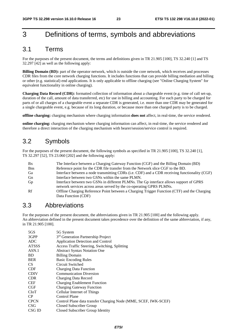# 3 Definitions of terms, symbols and abbreviations

### 3.1 Terms

For the purposes of the present document, the terms and definitions given in TR 21.905 [100], TS 32.240 [1] and TS 32.297 [42] as well as the following apply:

**Billing Domain (BD):** part of the operator network, which is outside the core network, which receives and processes CDR files from the core network charging functions. It includes functions that can provide billing mediation and billing or other (e.g. statistical) end applications. It is only applicable to offline charging (see "Online Charging System" for equivalent functionality in online charging).

**Charging Data Record (CDR):** formatted collection of information about a chargeable event (e.g. time of call set-up, duration of the call, amount of data transferred, etc) for use in billing and accounting. For each party to be charged for parts of or all charges of a chargeable event a separate CDR is generated, i.e. more than one CDR may be generated for a single chargeable event, e.g. because of its long duration, or because more than one charged party is to be charged.

**offline charging:** charging mechanism where charging information **does not** affect, in real-time, the service rendered.

**online charging:** charging mechanism where charging information can affect, in real-time, the service rendered and therefore a direct interaction of the charging mechanism with bearer/session/service control is required.

# 3.2 Symbols

For the purposes of the present document, the following symbols as specified in TR 21.905 [100], TS 32.240 [1], TS 32.297 [52], TS 23.060 [202] and the following apply:

| <b>B</b> <sub>x</sub> | The Interface between a Charging Gateway Function (CGF) and the Billing Domain (BD)           |
|-----------------------|-----------------------------------------------------------------------------------------------|
| <b>B</b> ns           | Reference point for the CDR file transfer from the Network slice CGF to the BD.               |
| Ga                    | Interface between a node transmitting CDRs (i.e. CDF) and a CDR receiving functionality (CGF) |
| Gn                    | Interface between two GSNs within the same PLMN.                                              |
| Gp                    | Interface between two GSNs in different PLMNs. The Gp interface allows support of GPRS        |
|                       | network services across areas served by the co-operating GPRS PLMNs.                          |
| Rf                    | Offline Charging Reference Point between a Charging Trigger Function (CTF) and the Charging   |
|                       | Data Function (CDF)                                                                           |

## 3.3 Abbreviations

For the purposes of the present document, the abbreviations given in TR 21.905 [100] and the following apply. An abbreviation defined in the present document takes precedence over the definition of the same abbreviation, if any, in TR 21.905 [100].

| 5GS          | 5G System                                                       |
|--------------|-----------------------------------------------------------------|
| 3GPP         | 3 <sup>rd</sup> Generation Partnership Project                  |
| <b>ADC</b>   | Application Detection and Control                               |
| <b>ATSSS</b> | Access Traffic Steering, Switching, Splitting                   |
| ASN.1        | <b>Abstract Syntax Notation One</b>                             |
| <b>BD</b>    | <b>Billing Domain</b>                                           |
| <b>BER</b>   | <b>Basic Encoding Rules</b>                                     |
| <b>CS</b>    | Circuit Switched                                                |
| <b>CDF</b>   | <b>Charging Data Function</b>                                   |
| <b>CDIV</b>  | <b>Communication Diversion</b>                                  |
| <b>CDR</b>   | Charging Data Record                                            |
| <b>CEF</b>   | <b>Charging Enablement Function</b>                             |
| CGF          | <b>Charging Gateway Function</b>                                |
| CloT         | <b>Cellular Internet of Things</b>                              |
| CP.          | <b>Control Plane</b>                                            |
| <b>CPCN</b>  | Control Plane data transfer Charging Node (MME, SCEF, IWK-SCEF) |
| <b>CSG</b>   | Closed Subscriber Group                                         |
| CSG ID       | Closed Subscriber Group Identity                                |
|              |                                                                 |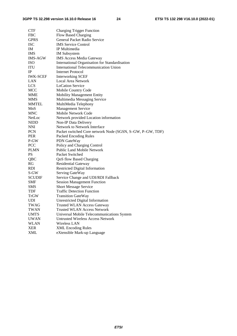| <b>CTF</b>      | <b>Charging Trigger Function</b>                          |
|-----------------|-----------------------------------------------------------|
| <b>FBC</b>      | <b>Flow Based Charging</b>                                |
| <b>GPRS</b>     | General Packet Radio Service                              |
| <b>ISC</b>      | <b>IMS</b> Service Control                                |
| IM              | IP Multimedia                                             |
| <b>IMS</b>      | <b>IM</b> Subsystem                                       |
| <b>IMS-AGW</b>  | <b>IMS Access Media Gateway</b>                           |
| <b>ISO</b>      | International Organisation for Standardisation            |
| <b>ITU</b>      | <b>International Telecommunication Union</b>              |
| IP              | <b>Internet Protocol</b>                                  |
| <b>IWK-SCEF</b> | Interworking SCEF                                         |
| LAN             | Local Area Network                                        |
| <b>LCS</b>      | <b>LoCation Service</b>                                   |
| <b>MCC</b>      | Mobile Country Code                                       |
| <b>MME</b>      | <b>Mobility Management Entity</b>                         |
| MMS             | Multimedia Messaging Service                              |
| <b>MMTEL</b>    | MultiMedia Telephony                                      |
| MnS             | <b>Management Service</b>                                 |
| <b>MNC</b>      | Mobile Network Code                                       |
| NetLoc          | Network provided Location information                     |
| <b>NIDD</b>     | Non-IP Data Delivery                                      |
| NNI             | Network to Network Interface                              |
| <b>PCN</b>      | Packet switched Core network Node (SGSN, S-GW, P-GW, TDF) |
| <b>PER</b>      | Packed Encoding Rules                                     |
| P-GW            | PDN GateWay                                               |
| <b>PCC</b>      | Policy and Charging Control                               |
| <b>PLMN</b>     | <b>Public Land Mobile Network</b>                         |
| PS              | Packet Switched                                           |
| QBC             | QoS flow Based Charging                                   |
| RG              | Residential Gateway                                       |
| <b>RDI</b>      | <b>Restricted Digital Information</b>                     |
| S-GW            | Serving GateWay                                           |
| <b>SCUDIF</b>   | Service Change and UDI/RDI Fallback                       |
| SMF             | <b>Session Management Function</b>                        |
| SMS             | <b>Short Message Service</b>                              |
| TDF             | <b>Traffic Detection Function</b>                         |
| TrGW            | <b>Transition GateWay</b>                                 |
| <b>UDI</b>      | <b>Unrestricted Digital Information</b>                   |
| TWAG            | <b>Trusted WLAN Access Gateway</b>                        |
| TWAN            | <b>Trusted WLAN Access Network</b>                        |
| <b>UMTS</b>     | Universal Mobile Telecommunications System                |
| <b>UWAN</b>     | <b>Untrusted Wireless Access Network</b>                  |
| <b>WLAN</b>     | <b>Wireless LAN</b>                                       |
| <b>XER</b>      | <b>XML Encoding Rules</b>                                 |
| XML             | eXtensible Mark-up Language                               |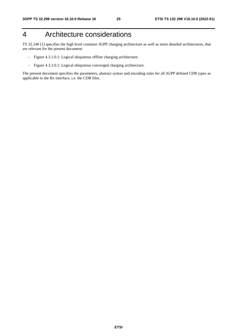# 4 Architecture considerations

TS 32.240 [1] specifies the high level common 3GPP charging architecture as well as more detailed architectures, that are relevant for the present document:

- Figure 4.3.1.0.1: Logical ubiquitous offline charging architecture.
- Figure 4.3.3.0.1: Logical ubiquitous converged charging architecture.

The present document specifies the parameters, abstract syntax and encoding rules for all 3GPP defined CDR types as applicable to the Bx interface, i.e. the CDR files.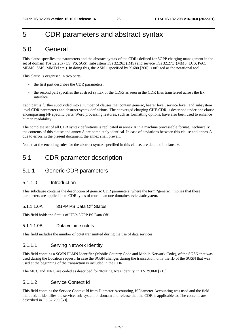# 5 CDR parameters and abstract syntax

# 5.0 General

This clause specifies the parameters and the abstract syntax of the CDRs defined for 3GPP charging management in the set of domain TSs 32.25x (CS, PS, 5GS), subsystem TSs 32.26x (IMS) and service TSs 32.27x (MMS, LCS, PoC, MBMS, SMS, MMTel etc.). In doing this, the ASN.1 specified by X.680 [300] is utilized as the notational tool.

This clause is organised in two parts:

- the first part describes the CDR parameters;
- the second part specifies the abstract syntax of the CDRs as seen in the CDR files transferred across the Bx interface.

Each part is further subdivided into a number of clauses that contain generic, bearer level, service level, and subsystem level CDR parameters and abstract syntax definitions. The converged charging CHF-CDR is described under one clause encompassing NF specific parts. Word processing features, such as formatting options, have also been used to enhance human readability.

The complete set of all CDR syntax definitions is replicated in annex A in a machine processable format. Technically, the contents of this clause and annex A are completely identical. In case of deviations between this clause and annex A due to errors in the present document, the annex shall prevail.

Note that the encoding rules for the abstract syntax specified in this clause, are detailed in clause 6.

# 5.1 CDR parameter description

### 5.1.1 Generic CDR parameters

#### 5.1.1.0 Introduction

This subclause contains the description of generic CDR parameters, where the term "generic" implies that these parameters are applicable to CDR types of more than one domain/service/subsystem.

#### 5.1.1.1.0A 3GPP PS Data Off Status

This field holds the Status of UE's 3GPP PS Data Off.

#### 5.1.1.1.0B Data volume octets

This field includes the number of octet transmitted during the use of data services.

#### 5.1.1.1 Serving Network Identity

This field contains a SGSN PLMN Identifier (Mobile Country Code and Mobile Network Code), of the SGSN that was used during the Location request. In case the SGSN changes during the transaction, only the ID of the SGSN that was used at the beginning of the transaction is included in the CDR.

The MCC and MNC are coded as described for 'Routing Area Identity' in TS 29.060 [215].

#### 5.1.1.2 Service Context Id

This field contains the Service Context Id from Diameter Accounting, if Diameter Accounting was used and the field included. It identifies the service, sub-system or domain and release that the CDR is applicable to. The contents are described in TS 32.299 [50].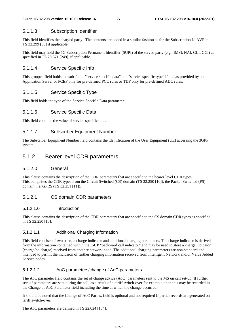#### 5.1.1.3 Subscription Identifier

This field identifies the charged party . The contents are coded in a similar fashion as for the Subscription-Id AVP in TS 32.299 [50] if applicable.

This field may hold the 5G Subscription Permanent Identifier (SUPI) of the served party (e.g., IMSI, NAI, GLI, GCI) as specified in TS 29.571 [249], if applicable.

#### 5.1.1.4 Service Specific Info

This grouped field holds the sub-fields "service specific data" and "service specific type" if and as provided by an Application Server or PCEF only for pre-defined PCC rules or TDF only for pre-defined ADC rules.

### 5.1.1.5 Service Specific Type

This field holds the type of the Service Specific Data parameter.

#### 5.1.1.6 Service Specific Data

This field contains the value of service specific data.

#### 5.1.1.7 Subscriber Equipment Number

The Subscriber Equipment Number field contains the identification of the User Equipment (UE) accessing the 3GPP system.

### 5.1.2 Bearer level CDR parameters

#### 5.1.2.0 General

This clause contains the description of the CDR parameters that are specific to the bearer level CDR types. This comprises the CDR types from the Circuit Switched (CS) domain (TS 32.250 [10]), the Packet Switched (PS) domain, i.e. GPRS (TS 32.251 [11]).

#### 5.1.2.1 CS domain CDR parameters

#### 5.1.2.1.0 Introduction

This clause contains the description of the CDR parameters that are specific to the CS domain CDR types as specified in TS 32.250 [10].

#### 5.1.2.1.1 Additional Charging Information

This field consists of two parts, a charge indicator and additional charging parameters. The charge indicator is derived from the information contained within the ISUP "backward call indicator" and may be used to store a charge indicator (charge/no charge) received from another network node. The additional charging parameters are non-standard and intended to permit the inclusion of further charging information received from Intelligent Network and/or Value Added Service nodes.

#### 5.1.2.1.2 AoC parameters/change of AoC parameters

The AoC parameter field contains the set of charge advice (AoC) parameters sent to the MS on call set-up. If further sets of parameters are sent during the call, as a result of a tariff switch-over for example, then this may be recorded in the Change of AoC Parameter field including the time at which the change occurred.

It should be noted that the Change of AoC Parms. field is optional and not required if partial records are generated on tariff switch-over.

The AoC parameters are defined in TS 22.024 [104].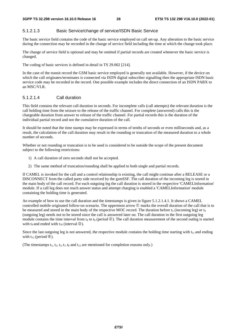#### 5.1.2.1.3 Basic Service/change of service/ISDN Basic Service

The basic service field contains the code of the basic service employed on call set-up. Any alteration to the basic service during the connection may be recorded in the change of service field including the time at which the change took place.

The change of service field is optional and may be omitted if partial records are created whenever the basic service is changed.

The coding of basic services is defined in detail in TS 29.002 [214].

In the case of the transit record the GSM basic service employed is generally not available. However, if the device on which the call originates/terminates is connected via ISDN digital subscriber signalling then the appropriate ISDN basic service code may be recorded in the record. One possible example includes the direct connection of an ISDN PABX to an MSC/VLR.

#### 5.1.2.1.4 Call duration

This field contains the relevant call duration in seconds. For incomplete calls (call attempts) the relevant duration is the call holding time from the seizure to the release of the traffic channel. For complete (answered) calls this is the chargeable duration from answer to release of the traffic channel. For partial records this is the duration of the individual partial record and not the cumulative duration of the call.

It should be noted that the time stamps may be expressed in terms of tenths of seconds or even milliseconds and, as a result, the calculation of the call duration may result in the rounding or truncation of the measured duration to a whole number of seconds.

Whether or not rounding or truncation is to be used is considered to be outside the scope of the present document subject to the following restrictions:

- 1) A call duration of zero seconds shall not be accepted.
- 2) The same method of truncation/rounding shall be applied to both single and partial records.

If CAMEL is invoked for the call and a control relationship is existing, the call might continue after a RELEASE or a DISCONNECT from the called party side received by the gsmSSF. The call duration of the incoming leg is stored in the main body of the call record. For each outgoing leg the call duration is stored in the respective 'CAMELInformation' module. If a call leg does not reach answer status and attempt charging is enabled a 'CAMELInformation' module containing the holding time is generated.

An example of how to use the call duration and the timestamps is given in figure 5.1.2.1.4.1. It shows a CAMEL controlled mobile originated follow-on scenario. The uppermost arrow  $\mathcal D$  marks the overall duration of the call that is to be measured and stored in the main body of the respective MOC record. The duration before  $t_5$  (incoming leg) or  $t_4$ (outgoing leg) needs not to be stored since the call is answered later on. The call duration in the first outgoing leg module contains the time interval from  $t_4$  to  $t_6$  (period  $\circledcirc$ ). The call duration measurement of the second outleg is started with t<sub>9</sub> and ended with t<sub>10</sub> (interval  $\circled{3}$ ).

Since the last outgoing leg is not answered, the respective module contains the holding time starting with  $t_{11}$  and ending with  $t_{13}$  (period  $\circled{4}$ ).

(The timestamps  $t_1$ ,  $t_2$ ,  $t_3$ ,  $t_7$ ,  $t_8$  and  $t_{12}$  are mentioned for completion reasons only.)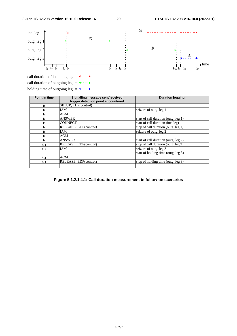

holding time of outgoing leg =  $\bullet \cdots \bullet$ 

| Point in time  | Signalling message sent/received<br>trigger detection point encountered | <b>Duration logging</b>              |
|----------------|-------------------------------------------------------------------------|--------------------------------------|
| $t_1$          | SETUP; TDP(control)                                                     |                                      |
| t <sub>2</sub> | IAM                                                                     | seizure of outg. leg 1               |
| t3             | ACM                                                                     |                                      |
| t4             | <b>ANSWER</b>                                                           | start of call duration (outg. leg 1) |
| ts.            | <b>CONNECT</b>                                                          | start of call duration (inc. leg)    |
| t6             | RELEASE; EDP(control)                                                   | stop of call duration (outg. leg 1)  |
| t7             | IAM                                                                     | seizure of outg. leg 2               |
| ts.            | ACM                                                                     |                                      |
| t9.            | <b>ANSWER</b>                                                           | start of call duration (outg. leg 2) |
| $t_{10}$       | RELEASE; EDP(control)                                                   | stop of call duration (outg. leg 2)  |
| $t_{11}$       | <b>IAM</b>                                                              | seizure of outg. leg 3               |
|                |                                                                         | start of holding time (outg. leg 3)  |
| $t_{12}$       | <b>ACM</b>                                                              |                                      |
| $t_{13}$       | RELEASE; EDP(control)                                                   | stop of holding time (outg. leg 3)   |
|                |                                                                         |                                      |

**Figure 5.1.2.1.4.1: Call duration measurement in follow-on scenarios**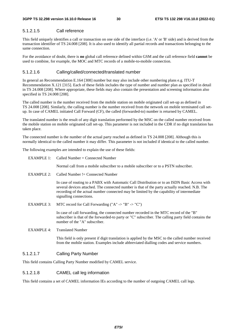### 5.1.2.1.5 Call reference

This field uniquely identifies a call or transaction on one side of the interface (i.e. 'A' or 'B' side) and is derived from the transaction identifier of TS 24.008 [208]. It is also used to identify all partial records and transactions belonging to the same connection.

For the avoidance of doubt, there is **no** global call reference defined within GSM and the call reference field **cannot** be used to combine, for example, the MOC and MTC records of a mobile-to-mobile connection.

#### 5.1.2.1.6 Calling/called/connected/translated number

In general an Recommendation E.164 [308] number but may also include other numbering plans e.g. ITU-T Recommendation X.121 [315]. Each of these fields includes the type of number and number plan as specified in detail in TS 24.008 [208]. Where appropriate, these fields may also contain the presentation and screening information also specified in TS 24.008 [208].

The called number is the number received from the mobile station on mobile originated call set-up as defined in TS 24.008 [208]. Similarly, the calling number is the number received from the network on mobile terminated call setup. In case of CAMEL initiated Call Forward (CF), the called (forwarded-to) number is returned by CAMEL.

The translated number is the result of any digit translation performed by the MSC on the called number received from the mobile station on mobile originated call set-up. This parameter is not included in the CDR if no digit translation has taken place.

The connected number is the number of the actual party reached as defined in TS 24.008 [208]. Although this is normally identical to the called number it may differ. This parameter is not included if identical to the called number.

The following examples are intended to explain the use of these fields:

| EXAMPLE 1:        | Called Number $=$ Connected Number                                                                                                                                                                                                                                                                                      |
|-------------------|-------------------------------------------------------------------------------------------------------------------------------------------------------------------------------------------------------------------------------------------------------------------------------------------------------------------------|
|                   | Normal call from a mobile subscriber to a mobile subscriber or to a PSTN subscriber.                                                                                                                                                                                                                                    |
| EXAMPLE 2:        | Called Number $!=$ Connected Number                                                                                                                                                                                                                                                                                     |
|                   | In case of routing to a PABX with Automatic Call Distribution or to an ISDN Basic Access with<br>several devices attached. The connected number is that of the party actually reached. N.B. The<br>recording of the actual number connected may be limited by the capability of intermediate<br>signalling connections. |
| <b>EXAMPLE 3:</b> | MTC record for Call Forwarding ("A" -> "B" -> "C")                                                                                                                                                                                                                                                                      |
|                   | In case of call forwarding, the connected number recorded in the MTC record of the "B"<br>subscriber is that of the forwarded-to party or "C" subscriber. The calling party field contains the<br>number of the "A" subscriber.                                                                                         |
| <b>EXAMPLE 4:</b> | <b>Translated Number</b>                                                                                                                                                                                                                                                                                                |
|                   | This field is only present if digit translation is applied by the MSC to the called number received                                                                                                                                                                                                                     |

from the mobile station. Examples include abbreviated dialling codes and service numbers.

#### 5.1.2.1.7 Calling Party Number

This field contains Calling Party Number modified by CAMEL service.

#### 5.1.2.1.8 CAMEL call leg information

This field contains a set of CAMEL information IEs according to the number of outgoing CAMEL call legs.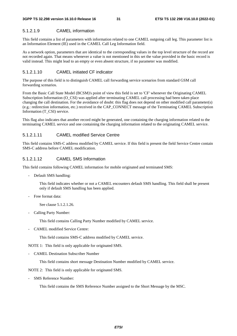#### 5.1.2.1.9 CAMEL information

This field contains a list of parameters with information related to one CAMEL outgoing call leg. This parameter list is an Information Element (IE) used in the CAMEL Call Leg Information field.

As a network option, parameters that are identical to the corresponding values in the top level structure of the record are not recorded again. That means whenever a value is not mentioned in this set the value provided in the basic record is valid instead. This might lead to an empty or even absent structure, if no parameter was modified.

#### 5.1.2.1.10 CAMEL initiated CF indicator

The purpose of this field is to distinguish CAMEL call forwarding service scenarios from standard GSM call forwarding scenarios.

From the Basic Call State Model (BCSM)'s point of view this field is set to 'CF' whenever the Originating CAMEL Subscription Information (O\_CSI) was applied after terminating CAMEL call processing had been taken place changing the call destination. For the avoidance of doubt: this flag does not depend on other modified call parameter(s) (e.g.: redirection information, etc.) received in the CAP\_CONNECT message of the Terminating CAMEL Subscription Information (T\_CSI) service.

This flag also indicates that another record might be generated, one containing the charging information related to the terminating CAMEL service and one containing the charging information related to the originating CAMEL service.

#### 5.1.2.1.11 CAMEL modified Service Centre

This field contains SMS-C address modified by CAMEL service. If this field is present the field Service Centre contain SMS-C address before CAMEL modification.

#### 5.1.2.1.12 CAMEL SMS Information

This field contains following CAMEL information for mobile originated and terminated SMS:

- Default SMS handling:

 This field indicates whether or not a CAMEL encounters default SMS handling. This field shall be present only if default SMS handling has been applied.

- Free format data:

See clause 5.1.2.1.26.

- Calling Party Number:

This field contains Calling Party Number modified by CAMEL service.

- CAMEL modified Service Centre:

This field contains SMS-C address modified by CAMEL service.

NOTE 1: This field is only applicable for originated SMS.

- CAMEL Destination Subscriber Number

This field contains short message Destination Number modified by CAMEL service.

NOTE 2: This field is only applicable for originated SMS.

- SMS Reference Number:

This field contains the SMS Reference Number assigned to the Short Message by the MSC.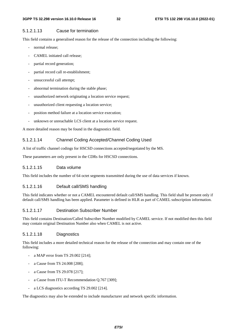### 5.1.2.1.13 Cause for termination

This field contains a generalised reason for the release of the connection including the following:

- normal release:
- CAMEL initiated call release:
- partial record generation;
- partial record call re-establishment;
- unsuccessful call attempt;
- abnormal termination during the stable phase;
- unauthorized network originating a location service request;
- unauthorized client requesting a location service;
- position method failure at a location service execution;
- unknown or unreachable LCS client at a location service request.

A more detailed reason may be found in the diagnostics field.

### 5.1.2.1.14 Channel Coding Accepted/Channel Coding Used

A list of traffic channel codings for HSCSD connections accepted/negotiated by the MS.

These parameters are only present in the CDRs for HSCSD connections.

### 5.1.2.1.15 Data volume

This field includes the number of 64 octet segments transmitted during the use of data services if known.

### 5.1.2.1.16 Default call/SMS handling

This field indicates whether or not a CAMEL encountered default call/SMS handling. This field shall be present only if default call/SMS handling has been applied. Parameter is defined in HLR as part of CAMEL subscription information.

### 5.1.2.1.17 Destination Subscriber Number

This field contains Destination/Called Subscriber Number modified by CAMEL service. If not modified then this field may contain original Destination Number also when CAMEL is not active.

### 5.1.2.1.18 Diagnostics

This field includes a more detailed technical reason for the release of the connection and may contain one of the following:

- a MAP error from TS 29.002 [214];
- a Cause from TS 24.008 [208];
- a Cause from TS 29.078 [217];
- a Cause from ITU-T Recommendation Q.767 [309];
- a LCS diagnostics according TS 29.002 [214].

The diagnostics may also be extended to include manufacturer and network specific information.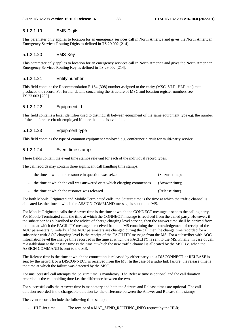#### 5.1.2.1.19 EMS-Digits

This parameter only applies to location for an emergency services call in North America and gives the North American Emergency Services Routing Digits as defined in TS 29.002 [214].

#### 5.1.2.1.20 EMS-Key

This parameter only applies to location for an emergency services call in North America and gives the North American Emergency Services Routing Key as defined in TS 29.002 [214].

#### 5.1.2.1.21 Entity number

This field contains the Recommendation E.164 [308] number assigned to the entity (MSC, VLR, HLR etc.) that produced the record. For further details concerning the structure of MSC and location register numbers see TS 23.003 [200].

#### 5.1.2.1.22 Equipment id

This field contains a local identifier used to distinguish between equipment of the same equipment type e.g. the number of the conference circuit employed if more than one is available.

#### 5.1.2.1.23 Equipment type

This field contains the type of common equipment employed e.g. conference circuit for multi-party service.

#### 5.1.2.1.24 Event time stamps

These fields contain the event time stamps relevant for each of the individual record types.

The call records may contain three significant call handling time stamps:

| - the time at which the resource in question was seized                  | (Seizure time); |
|--------------------------------------------------------------------------|-----------------|
| - the time at which the call was answered or at which charging commences | (Answer time);  |
| - the time at which the resource was released                            | (Release time). |

For both Mobile Originated and Mobile Terminated calls, the Seizure time is the time at which the traffic channel is allocated i.e. the time at which the ASSIGN COMMAND message is sent to the MS.

For Mobile Originated calls the Answer time is the time at which the CONNECT message is sent to the calling party. For Mobile Terminated calls the time at which the CONNECT message is received from the called party. However, if the subscriber has subscribed to the advice of charge charging level service, then the answer time shall be derived from the time at which the FACILITY message is received from the MS containing the acknowledgement of receipt of the AOC parameters. Similarly, if the AOC parameters are changed during the call then the change time recorded for a subscriber with AOC charging level is the receipt of the FACILITY message from the MS. For a subscriber with AOC information level the change time recorded is the time at which the FACILITY is sent to the MS. Finally, in case of call re-establishment the answer time is the time at which the new traffic channel is allocated by the MSC i.e. when the ASSIGN COMMAND is sent to the MS.

The Release time is the time at which the connection is released by either party i.e. a DISCONNECT or RELEASE is sent by the network or a DISCONNECT is received from the MS. In the case of a radio link failure, the release time is the time at which the failure was detected by the MSC.

For unsuccessful call attempts the Seizure time is mandatory. The Release time is optional and the call duration recorded is the call holding time i.e. the difference between the two.

For successful calls the Answer time is mandatory and both the Seizure and Release times are optional. The call duration recorded is the chargeable duration i.e. the difference between the Answer and Release time stamps.

The event records include the following time stamps:

HLR-int time: The receipt of a MAP\_SEND\_ROUTING\_INFO request by the HLR;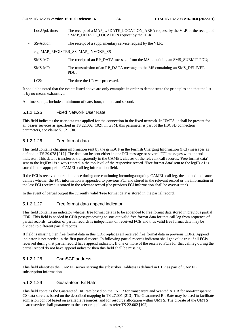- Loc.Upd. time: The receipt of a MAP\_UPDATE\_LOCATION\_AREA request by the VLR or the receipt of a MAP\_UPDATE\_LOCATION request by the HLR;
- SS-Action: The receipt of a supplementary service request by the VLR;

e.g. MAP\_REGISTER\_SS, MAP\_INVOKE\_SS

- SMS-MO: The receipt of an RP\_DATA message from the MS containing an SMS\_SUBMIT PDU;
- SMS-MT: The transmission of an RP\_DATA message to the MS containing an SMS\_DELIVER PDU;
- LCS: The time the LR was processed.

It should be noted that the events listed above are only examples in order to demonstrate the principles and that the list is by no means exhaustive.

All time-stamps include a minimum of date, hour, minute and second.

#### 5.1.2.1.25 Fixed Network User Rate

This field indicates the user data rate applied for the connection in the fixed network. In UMTS, it shall be present for all bearer services as specified in TS 22.002 [102]. In GSM, this parameter is part of the HSCSD connection parameters, see clause 5.1.2.1.30.

#### 5.1.2.1.26 Free format data

This field contains charging information sent by the gsmSCF in the Furnish Charging Information (FCI) messages as defined in TS 29.078 [217]. The data can be sent either in one FCI message or several FCI messages with append indicator. This data is transferred transparently in the CAMEL clauses of the relevant call records. 'Free format data' sent to the legID=1 is always stored in the top level of the respective record. 'Free format data' sent to the legID >1 is stored in the appropriate CAMEL call leg information field.

If the FCI is received more than once during one continuing incoming/outgoing CAMEL call leg, the append indicator defines whether the FCI information is appended to previous FCI and stored in the relevant record or the information of the last FCI received is stored in the relevant record (the previous FCI information shall be overwritten).

In the event of partial output the currently valid 'Free format data' is stored in the partial record.

#### 5.1.2.1.27 Free format data append indicator

This field contains an indicator whether free format data is to be appended to free format data stored in previous partial CDR. This field is needed in CDR post-processing to sort out valid free format data for that call leg from sequence of partial records. Creation of partial records is independent on received FCIs and thus valid free format data may be divided to different partial records.

If field is missing then free format data in this CDR replaces all received free format data in previous CDRs. Append indicator is not needed in the first partial record. In following partial records indicator shall get value true if all FCIs received during that partial record have append indicator. If one or more of the received FCIs for that call leg during the partial record do not have append indicator then this field shall be missing.

#### 5.1.2.1.28 GsmSCF address

This field identifies the CAMEL server serving the subscriber. Address is defined in HLR as part of CAMEL subscription information.

#### 5.1.2.1.29 Guaranteed Bit Rate

This field contains the Guaranteed Bit Rate based on the FNUR for transparent and Wanted AIUR for non-transparent CS data services based on the described mapping in TS 27.001 [213]. The Guaranteed Bit Rate may be used to facilitate admission control based on available resources, and for resource allocation within UMTS. The bit-rate of the UMTS bearer service shall guarantee to the user or applications refer TS 22.002 [102].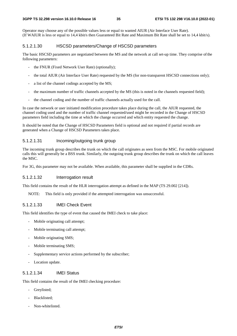Operator may choose any of the possible values less or equal to wanted AIUR (Air Interface User Rate). (If WAIUR is less or equal to 14,4 kbit/s then Guaranteed Bit Rate and Maximum Bit Rate shall be set to 14,4 kbit/s).

#### 5.1.2.1.30 HSCSD parameters/Change of HSCSD parameters

The basic HSCSD parameters are negotiated between the MS and the network at call set-up time. They comprise ofthe following parameters:

- the FNUR (Fixed Network User Rate) (optionally);
- the total AIUR (Air Interface User Rate) requested by the MS (for non-transparent HSCSD connections only);
- a list of the channel codings accepted by the MS;
- the maximum number of traffic channels accepted by the MS (this is noted in the channels requested field);
- the channel coding and the number of traffic channels actually used for the call.

In case the network or user initiated modification procedure takes place during the call, the AIUR requested, the channel coding used and the number of traffic channel requested/used might be recorded in the Change of HSCSD parameters field including the time at which the change occurred and which entity requested the change.

It should be noted that the Change of HSCSD Parameters field is optional and not required if partial records are generated when a Change of HSCSD Parameters takes place.

#### 5.1.2.1.31 Incoming/outgoing trunk group

The incoming trunk group describes the trunk on which the call originates as seen from the MSC. For mobile originated calls this will generally be a BSS trunk. Similarly, the outgoing trunk group describes the trunk on which the call leaves the MSC.

For 3G, this parameter may not be available. When available, this parameter shall be supplied in the CDRs.

#### 5.1.2.1.32 Interrogation result

This field contains the result of the HLR interrogation attempt as defined in the MAP (TS 29.002 [214]).

NOTE: This field is only provided if the attempted interrogation was unsuccessful.

#### 5.1.2.1.33 IMEI Check Event

This field identifies the type of event that caused the IMEI check to take place:

- Mobile originating call attempt;
- Mobile terminating call attempt;
- Mobile originating SMS;
- Mobile terminating SMS;
- Supplementary service actions performed by the subscriber;
- Location update.

#### 5.1.2.1.34 IMEI Status

This field contains the result of the IMEI checking procedure:

- Greylisted;
- Blacklisted;
- Non-whitelisted.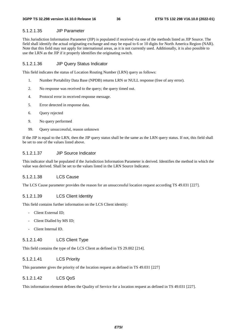## 5.1.2.1.35 JIP Parameter

This Jurisdiction Information Parameter (JIP) is populated if received via one of the methods listed as JIP Source. The field shall identify the actual originating exchange and may be equal to 6 or 10 digits for North America Region (NAR). Note that this field may not apply for international areas, as it is not currently used. Additionally, it is also possible to use the LRN as the JIP if it properly identifies the originating switch.

### 5.1.2.1.36 JIP Query Status Indicator

This field indicates the status of Location Routing Number (LRN) query as follows:

- 1. Number Portability Data Base (NPDB) returns LRN or NULL response (free of any error).
- 2. No response was received to the query; the query timed out.
- 4. Protocol error in received response message.
- 5. Error detected in response data.
- 6. Query rejected
- 9. No query performed
- 99. Query unsuccessful, reason unknown

If the JIP is equal to the LRN, then the JIP query status shall be the same as the LRN query status. If not, this field shall be set to one of the values listed above.

### 5.1.2.1.37 JIP Source Indicator

This indicator shall be populated if the Jurisdiction Information Parameter is derived. Identifies the method in which the value was derived. Shall be set to the values listed in the LRN Source Indicator.

# 5.1.2.1.38 LCS Cause

The LCS Cause parameter provides the reason for an unsuccessful location request according TS 49.031 [227].

### 5.1.2.1.39 LCS Client Identity

This field contains further information on the LCS Client identity:

- Client External ID;
- Client Dialled by MS ID;
- Client Internal ID.

# 5.1.2.1.40 LCS Client Type

This field contains the type of the LCS Client as defined in TS 29.002 [214].

### 5.1.2.1.41 LCS Priority

This parameter gives the priority of the location request as defined in TS 49.031 [227]

## 5.1.2.1.42 LCS QoS

This information element defines the Quality of Service for a location request as defined in TS 49.031 [227].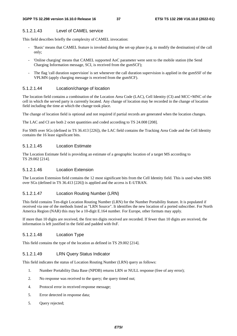## 5.1.2.1.43 Level of CAMEL service

This field describes briefly the complexity of CAMEL invocation:

- 'Basic' means that CAMEL feature is invoked during the set-up phase (e.g. to modify the destination) of the call only;
- 'Online charging' means that CAMEL supported AoC parameter were sent to the mobile station (the Send Charging Information message, SCI, is received from the gsmSCF);
- The flag 'call duration supervision' is set whenever the call duration supervision is applied in the gsmSSF of the VPLMN (apply charging message is received from the gsmSCF).

## 5.1.2.1.44 Location/change of location

The location field contains a combination of the Location Area Code (LAC), Cell Identity (CI) and MCC+MNC of the cell in which the served party is currently located. Any change of location may be recorded in the change of location field including the time at which the change took place.

The change of location field is optional and not required if partial records are generated when the location changes.

The LAC and CI are both 2 octet quantities and coded according to TS 24.008 [208].

For SMS over SGs (defined in TS 36.413 [226]), the LAC field contains the Tracking Area Code and the Cell Identity contains the 16 least significant bits.

## 5.1.2.1.45 Location Estimate

The Location Estimate field is providing an estimate of a geographic location of a target MS according to TS 29.002 [214].

### 5.1.2.1.46 Location Extension

The Location Extension field contains the 12 most significant bits from the Cell Identity field. This is used when SMS over SGs (defined in TS 36.413 [226]) is applied and the access is E-UTRAN.

# 5.1.2.1.47 Location Routing Number (LRN)

This field contains Ten-digit Location Routing Number (LRN) for the Number Portability feature. It is populated if received via one of the methods listed as "LRN Source". It identifies the new location of a ported subscriber. For North America Region (NAR) this may be a 10-digit E.164 number. For Europe, other formats may apply.

If more than 10 digits are received, the first ten digits received are recorded. If fewer than 10 digits are received, the information is left justified in the field and padded with 0xF.

# 5.1.2.1.48 Location Type

This field contains the type of the location as defined in TS 29.002 [214].

# 5.1.2.1.49 LRN Query Status Indicator

This field indicates the status of Location Routing Number (LRN) query as follows:

- 1. Number Portability Data Base (NPDB) returns LRN or NULL response (free of any error);
- 2. No response was received to the query; the query timed out;
- 4. Protocol error in received response message;
- 5. Error detected in response data;
- 5. Query rejected;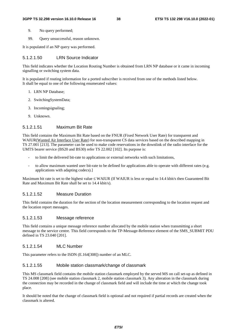- 9. No query performed;
- 99. Query unsuccessful, reason unknown.

It is populated if an NP query was performed.

## 5.1.2.1.50 LRN Source Indicator

This field indicates whether the Location Routing Number is obtained from LRN NP database or it came in incoming signalling or switching system data.

It is populated if routing information for a ported subscriber is received from one of the methods listed below. It shall be equal to one of the following enumerated values:

- 1. LRN NP Database;
- 2. SwitchingSystemData;
- 3. Incomingsignaling;
- 9. Unknown.

# 5.1.2.1.51 Maximum Bit Rate

This field contains the Maximum Bit Rate based on the FNUR (Fixed Network User Rate) for transparent and WAIUR(Wanted Air Interface User Rate) for non-transparent CS data services based on the described mapping in TS 27.001 [213]. The parameter can be used to make code reservations in the downlink of the radio interface for the UMTS bearer service (BS20 and BS30) refer TS 22.002 [102]. Its purpose is:

- to limit the delivered bit-rate to applications or external networks with such limitations,
- to allow maximum wanted user bit-rate to be defined for applications able to operate with different rates (e.g. applications with adapting codecs).]

Maximum bit rate is set to the highest value ≤ WAIUR (If WAIUR is less or equal to 14.4 kbit/s then Guaranteed Bit Rate and Maximum Bit Rate shall be set to 14.4 kbit/s).

### 5.1.2.1.52 Measure Duration

This field contains the duration for the section of the location measurement corresponding to the location request and the location report messages.

## 5.1.2.1.53 Message reference

This field contains a unique message reference number allocated by the mobile station when transmitting a short message to the service centre. This field corresponds to the TP-Message-Reference element of the SMS\_SUBMIT PDU defined in TS 23.040 [201].

### 5.1.2.1.54 MLC Number

This parameter refers to the ISDN (E.164[308]) number of an MLC.

### 5.1.2.1.55 Mobile station classmark/change of classmark

This MS classmark field contains the mobile station classmark employed by the served MS on call set-up as defined in TS 24.008 [208] (see mobile station classmark 2, mobile station classmark 3). Any alteration in the classmark during the connection may be recorded in the change of classmark field and will include the time at which the change took place.

It should be noted that the change of classmark field is optional and not required if partial records are created when the classmark is altered.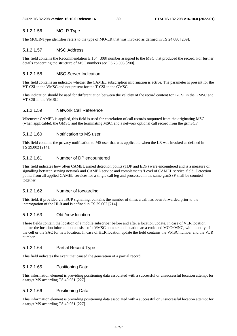# 5.1.2.1.56 MOLR Type

The MOLR-Type identifier refers to the type of MO-LR that was invoked as defined in TS 24.080 [209].

# 5.1.2.1.57 MSC Address

This field contains the Recommendation E.164 [308] number assigned to the MSC that produced the record. For further details concerning the structure of MSC numbers see TS 23.003 [200].

# 5.1.2.1.58 MSC Server Indication

This field contains an indicator whether the CAMEL subscription information is active. The parameter is present for the VT-CSI in the VMSC and not present for the T-CSI in the GMSC.

This indication should be used for differentiation between the validity of the record content for T-CSI in the GMSC and VT-CSI in the VMSC.

# 5.1.2.1.59 Network Call Reference

Whenever CAMEL is applied, this field is used for correlation of call records outputted from the originating MSC (when applicable), the GMSC and the terminating MSC, and a network optional call record from the gsmSCF.

# 5.1.2.1.60 Notification to MS user

This field contains the privacy notification to MS user that was applicable when the LR was invoked as defined in TS 29.002 [214].

# 5.1.2.1.61 Number of DP encountered

This field indicates how often CAMEL armed detection points (TDP and EDP) were encountered and is a measure of signalling between serving network and CAMEL service and complements 'Level of CAMEL service' field. Detection points from all applied CAMEL services for a single call leg and processed in the same gsmSSF shall be counted together.

# 5.1.2.1.62 Number of forwarding

This field, if provided via ISUP signalling, contains the number of times a call has been forwarded prior to the interrogation of the HLR and is defined in TS 29.002 [214].

# 5.1.2.1.63 Old /new location

These fields contain the location of a mobile subscriber before and after a location update. In case of VLR location update the location information consists of a VMSC number and location area code and MCC+MNC, with identity of the cell or the SAC for new location. In case of HLR location update the field contains the VMSC number and the VLR number.

# 5.1.2.1.64 Partial Record Type

This field indicates the event that caused the generation of a partial record.

# 5.1.2.1.65 Positioning Data

This information element is providing positioning data associated with a successful or unsuccessful location attempt for a target MS according TS 49.031 [227].

# 5.1.2.1.66 Positioning Data

This information element is providing positioning data associated with a successful or unsuccessful location attempt for a target MS according TS 49.031 [227].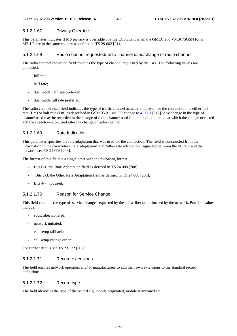# 5.1.2.1.67 Privacy Override

This parameter indicates if MS privacy is overridden by the LCS client when the GMLC and VMSC/SGSN for an MT-LR are in the same country as defined in TS 29.002 [214].

# 5.1.2.1.68 Radio channel requested/radio channel used/change of radio channel

The radio channel requested field contains the type of channel requested by the user. The following values are permitted:

- full rate;
- half rate;
- dual mode half rate preferred;
- dual mode full rate preferred.

The radio channel used field indicates the type of traffic channel actually employed for the connection i.e. either full rate (Bm) or half rate (Lm) as described in GSM 05.01 via CR change to [45.001](http://www.3gpp.org/DynaReport/45001.htm) [312]. Any change in the type of channel used may be recorded in the change of radio channel used field including the time at which the change occurred and the speech version used after the change of radio channel.

# 5.1.2.1.69 Rate Indication

This parameter specifies the rate adaptation that was used for the connection. The field is constructed from the information in the parameters "rate adaptation" and "other rate adaptation" signalled between the MS/UE and the network, see TS 24.008 [208].

The format of this field is a single octet with the following format:

- Bits 0-1: the Rate Adaptation field as defined in TS 24.008 [208];
- Bits 2-3: the Other Rate Adaptation field as defined in TS 24.008 [208];
- Bits 4-7: not used.

# 5.1.2.1.70 Reason for Service Change

This field contains the type of service change requested by the subscriber or performed by the network. Possible values include:

- subscriber initiated:
- network initiated;
- call setup fallback;
- call setup change order.

For further details see TS 23.172 [207].

# 5.1.2.1.71 Record extensions

The field enables network operators and/ or manufacturers to add their own extensions to the standard record definitions.

### 5.1.2.1.72 Record type

The field identifies the type of the record e.g. mobile originated, mobile terminated etc.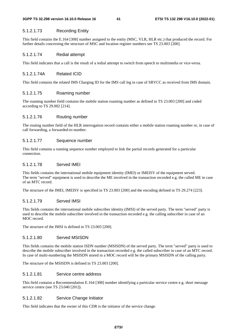# 5.1.2.1.73 Recording Entity

This field contains the E.164 [308] number assigned to the entity (MSC, VLR, HLR etc.) that produced the record. For further details concerning the structure of MSC and location register numbers see TS 23.003 [200].

# 5.1.2.1.74 Redial attempt

This field indicates that a call is the result of a redial attempt to switch from speech to multimedia or vice-versa.

# 5.1.2.1.74A Related ICID

This field contains the related IMS Charging ID for the IMS call leg in case of SRVCC as received from IMS domain.

# 5.1.2.1.75 Roaming number

The roaming number field contains the mobile station roaming number as defined in TS 23.003 [200] and coded according to TS 29.002 [214].

# 5.1.2.1.76 Routing number

The routing number field of the HLR interrogation record contains either a mobile station roaming number or, in case of call forwarding, a forwarded-to number.

# 5.1.2.1.77 Sequence number

This field contains a running sequence number employed to link the partial records generated for a particular connection.

# 5.1.2.1.78 Served IMEI

This fields contains the international mobile equipment identity (IMEI) or IMEISV of the equipment served. The term "served" equipment is used to describe the ME involved in the transaction recorded e.g. the called ME in case of an MTC record.

The structure of the IMEI, IMEISV is specified in TS 23.003 [200] and the encoding defined in TS 29.274 [223].

# 5.1.2.1.79 Served IMSI

This fields contains the international mobile subscriber identity (IMSI) of the served party. The term "served" party is used to describe the mobile subscriber involved in the transaction recorded e.g. the calling subscriber in case of an MOC record.

The structure of the IMSI is defined in TS 23.003 [200].

# 5.1.2.1.80 Served MSISDN

This fields contains the mobile station ISDN number (MSISDN) of the served party. The term "served" party is used to describe the mobile subscriber involved in the transaction recorded e.g. the called subscriber in case of an MTC record. In case of multi-numbering the MSISDN stored in a MOC record will be the primary MSISDN of the calling party.

The structure of the MSISDN is defined in TS 23.003 [200].

# 5.1.2.1.81 Service centre address

This field contains a Recommendation E.164 [308] number identifying a particular service centre e.g. short message service centre (see TS 23.040 [201]).

# 5.1.2.1.82 Service Change Initiator

This field indicates that the owner of this CDR is the initiator of the service change.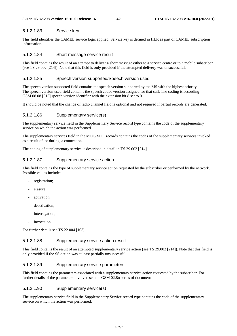### 5.1.2.1.83 Service key

This field identifies the CAMEL service logic applied. Service key is defined in HLR as part of CAMEL subscription information.

## 5.1.2.1.84 Short message service result

This field contains the result of an attempt to deliver a short message either to a service centre or to a mobile subscriber (see TS 29.002 [214]). Note that this field is only provided if the attempted delivery was unsuccessful.

#### 5.1.2.1.85 Speech version supported/Speech version used

The speech version supported field contains the speech version supported by the MS with the highest priority. The speech version used field contains the speech codec version assigned for that call. The coding is according GSM 08.08 [313] speech version identifier with the extension bit 8 set to 0.

It should be noted that the change of radio channel field is optional and not required if partial records are generated.

#### 5.1.2.1.86 Supplementary service(s)

The supplementary service field in the Supplementary Service record type contains the code of the supplementary service on which the action was performed.

The supplementary services field in the MOC/MTC records contains the codes of the supplementary services invoked as a result of, or during, a connection.

The coding of supplementary service is described in detail in TS 29.002 [214].

## 5.1.2.1.87 Supplementary service action

This field contains the type of supplementary service action requested by the subscriber or performed by the network. Possible values include:

- registration;
- erasure;
- activation:
- deactivation;
- interrogation;
- invocation.

For further details see TS 22.004 [103].

#### 5.1.2.1.88 Supplementary service action result

This field contains the result of an attempted supplementary service action (see TS 29.002 [214]). Note that this field is only provided if the SS-action was at least partially unsuccessful.

### 5.1.2.1.89 Supplementary service parameters

This field contains the parameters associated with a supplementary service action requested by the subscriber. For further details of the parameters involved see the GSM 02.8n series of documents.

## 5.1.2.1.90 Supplementary service(s)

The supplementary service field in the Supplementary Service record type contains the code of the supplementary service on which the action was performed.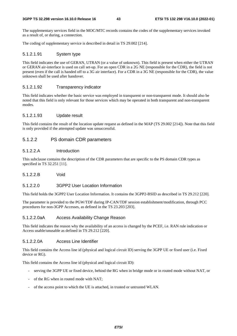The supplementary services field in the MOC/MTC records contains the codes of the supplementary services invoked as a result of, or during, a connection.

The coding of supplementary service is described in detail in TS 29.002 [214].

## 5.1.2.1.91 System type

This field indicates the use of GERAN, UTRAN (or a value of unknown). This field is present when either the UTRAN or GERAN air-interface is used on call set-up. For an open CDR in a 2G NE (responsible for the CDR), the field is not present (even if the call is handed off to a 3G air interface). For a CDR in a 3G NE (responsible for the CDR), the value unknown shall be used after handover.

## 5.1.2.1.92 Transparency indicator

This field indicates whether the basic service was employed in transparent or non-transparent mode. It should also be noted that this field is only relevant for those services which may be operated in both transparent and non-transparent modes.

### 5.1.2.1.93 Update result

This field contains the result of the location update request as defined in the MAP (TS 29.002 [214]). Note that this field is only provided if the attempted update was unsuccessful.

# 5.1.2.2 PS domain CDR parameters

# 5.1.2.2.A Introduction

This subclause contains the description of the CDR parameters that are specific to the PS domain CDR types as specified in TS 32.251 [11].

5.1.2.2.B Void

### 5.1.2.2.0 3GPP2 User Location Information

This field holds the 3GPP2 User Location Information. It contains the 3GPP2-BSID as described in TS 29.212 [220].

The parameter is provided to the PGW/TDF during IP-CAN/TDF session establishment/modification, through PCC procedures for non-3GPP Accesses, as defined in the TS 23.203 [203].

### 5.1.2.2.0aA Access Availability Change Reason

This field indicates the reason why the availability of an access is changed by the PCEF, i.e. RAN rule indication or Access usable/unusable as defined in TS 29.212 [220].

### 5.1.2.2.0A Access Line Identifier

This field contains the Access line id (physical and logical circuit ID) serving the 3GPP UE or fixed user (i.e. Fixed device or RG).

This field contains the Access line id (physical and logical circuit ID):

- serving the 3GPP UE or fixed device, behind the RG when in bridge mode or in routed mode without NAT, or
- of the RG when in routed mode with NAT:
- of the access point to which the UE is attached, in trusted or untrusted WLAN.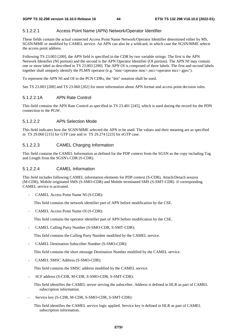# 5.1.2.2.1 Access Point Name (APN) Network/Operator Identifier

These fields contain the actual connected Access Point Name Network/Operator Identifier determined either by MS, SGSN/MME or modified by CAMEL service. An APN can also be a wildcard, in which case the SGSN/MME selects the access point address.

Following TS 23.003 [200], the APN field is specified in the CDR by two variable strings. The first is the APN Network Identifier (NI portion) and the second is the APN Operator Identifier (OI portion). The APN NI may contain one or more label as described in TS 23.003 [200]. The APN OI is composed of three labels. The first and second labels together shall uniquely identify the PLMN operator (e.g. "mnc<operator mnc>.mcc<operator mcc>.gprs").

To represent the APN NI and OI in the PCN CDRs, the "dot" notation shall be used.

See TS 23.003 [200] and TS 23.060 [202] for more information about APN format and access point decision rules.

# 5.1.2.2.1A APN Rate Control

This field contains the APN Rate Control as specified in TS 23.401 [245], which is used during the record for the PDN connection to the PGW.

## 5.1.2.2.2 APN Selection Mode

This field indicates how the SGSN/MME selected the APN to be used. The values and their meaning are as specified in TS 29.060 [215] for GTP case and in TS 29.274 [223] for eGTP case.

## 5.1.2.2.3 CAMEL Charging Information

This field contains the CAMEL Information as defined for the PDP context from the SGSN as the copy including Tag and Length from the SGSN's CDR (S-CDR).

### 5.1.2.2.4 CAMEL Information

This field includes following CAMEL information elements for PDP context (S-CDR), Attach/Detach session (M-CDR), Mobile originated SMS (S-SMO-CDR) and Mobile terminated SMS (S-SMT-CDR) if corresponding CAMEL service is activated.

- CAMEL Access Point Name NI (S-CDR):

This field contains the network identifier part of APN before modification by the CSE.

CAMEL Access Point Name OI (S-CDR):

This field contains the operator identifier part of APN before modification by the CSE.

- CAMEL Calling Party Number (S-SMO-CDR, S-SMT-CDR):

This field contains the Calling Party Number modified by the CAMEL service.

- CAMEL Destination Subscriber Number (S-SMO-CDR):

This field contains the short message Destination Number modified by the CAMEL service.

- CAMEL SMSC Address (S-SMO-CDR):

This field contains the SMSC address modified by the CAMEL service.

SCF address (S-CDR, M-CDR, S-SMO-CDR, S-SMT-CDR):

This field identifies the CAMEL server serving the subscriber. Address is defined in HLR as part of CAMEL subscription information.

Service key (S-CDR, M-CDR, S-SMO-CDR, S-SMT-CDR):

This field identifies the CAMEL service logic applied. Service key is defined in HLR as part of CAMEL subscription information.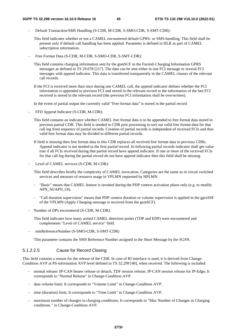- Default Transaction/SMS Handling (S-CDR, M-CDR, S-SMO-CDR, S-SMT-CDR):
	- This field indicates whether or not a CAMEL encountered default GPRS- or SMS-handling. This field shall be present only if default call handling has been applied. Parameter is defined in HLR as part of CAMEL subscription information.
- Free Format Data (S-CDR, M-CDR, S-SMO-CDR, S-SMT-CDR):
	- This field contains charging information sent by the gsmSCF in the Furnish Charging Information GPRS messages as defined in TS 29.078 [217]. The data can be sent either in one FCI message or several FCI messages with append indicator. This data is transferred transparently in the CAMEL clauses of the relevant call records.
	- If the FCI is received more than once during one CAMEL call, the append indicator defines whether the FCI information is appended to previous FCI and stored in the relevant record or the information of the last FCI received is stored in the relevant record (the previous FCI information shall be overwritten).

In the event of partial output the currently valid "Free format data" is stored in the partial record.

- FFD Append Indicator (S-CDR, M-CDR):
	- This field contains an indicator whether CAMEL free format data is to be appended to free format data stored in previous partial CDR. This field is needed in CDR post processing to sort out valid free format data for that call leg from sequence of partial records. Creation of partial records is independent of received FCIs and thus valid free format data may be divided to different partial records.
	- If field is missing then free format data in this CDR replaces all received free format data in previous CDRs. Append indicator is not needed in the first partial record. In following partial records indicator shall get value true if all FCIs received during that partial record have append indicator. If one or more of the received FCIs for that call leg during the partial record do not have append indicator then this field shall be missing.
- Level of CAMEL services (S-CDR, M-CDR):

This field describes briefly the complexity of CAMEL invocation. Categories are the same as in circuit switched services and measure of resource usage in VPLMN requested by HPLMN.

- "Basic" means that CAMEL feature is invoked during the PDP context activation phase only (e.g. to modify APN\_NI/APN\_OI).
- "Call duration supervision" means that PDP context duration or volume supervision is applied in the gprsSSF of the VPLMN (Apply Charging message is received from the gsmSCF).
- Number of DPs encountered (S-CDR, M-CDR):
	- This field indicates how many armed CAMEL detection points (TDP and EDP) were encountered and complements "Level of CAMEL service" field.
- smsReferenceNumber (S-SMO-CDR, S-SMT-CDR)

This parameter contains the SMS Reference Number assigned to the Short Message by the SGSN.

#### 5.1.2.2.5 Cause for Record Closing

This field contains a reason for the release of the CDR. In case of Rf interface is used, it is derived from Change-Condition AVP at PS-information AVP level defined in TS 32.299 [40], when received. The following is included:

- normal release: IP-CAN bearer release or detach, TDF session release, IP-CAN session release for IP-Edge; It corresponds to "Normal Release" in Change-Condition AVP.
- data volume limit; It corresponds to "Volume Limit" in Change-Condition AVP.
- time (duration) limit; It corresponds to "Time Limit" in Change-Condition AVP.
- maximum number of changes in charging conditions; It corresponds to "Max Number of Changes in Charging conditions " in Change-Condition AVP.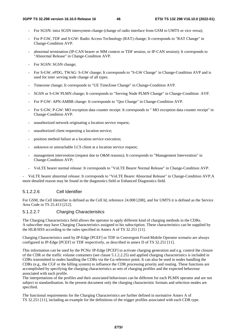- For SGSN: intra SGSN intersystem change (change of radio interface from GSM to UMTS or vice versa);
- For P-GW, TDF and S-GW: Radio Access Technology (RAT) change; It corresponds to "RAT Change" in Change-Condition AVP.
- abnormal termination (IP-CAN bearer or MM context or TDF session, or IP-CAN session); It corresponds to "Abnormal Release" in Change-Condition AVP.
- For SGSN: SGSN change;
- For S-GW, ePDG, TWAG: S-GW change; It corresponds to "S-GW Change" in Change-Condition AVP and is used for inter serving node change of all types.
- Timezone change; It corresponds to "UE TimeZone Change" in Change-Condition AVP.
- SGSN or S-GW PLMN change; It corresponds to "Serving Node PLMN Change" in Change-Condition AVP.
- For P-GW: APN-AMBR change: It corresponds to "Qos Change" in Change-Condition AVP.
- For S-GW, P-GW: MO exception data counter receipt: It corresponds to " MO exception data counter receipt" in Change-Condition AVP.
- unauthorized network originating a location service request;
- unauthorized client requesting a location service;
- position method failure at a location service execution;
- unknown or unreachable LCS client at a location service request;
- management intervention (request due to O&M reasons); It corresponds to "Management Intervention" in Change-Condition AVP;
- VoLTE bearer normal release: It corresponds to "VoLTE Bearer Normal Release" in Change-Condition AVP.

- VoLTE bearer abnormal release: It corresponds to "VoLTE Bearer Abnormal Release" in Change-Condition AVP.A more detailed reason may be found in the diagnostics field or Enhanced Diagnostics field.

## 5.1.2.2.6 Cell Identifier

For GSM, the Cell Identifier is defined as the Cell Id, reference 24.008 [208], and for UMTS it is defined as the Service Area Code in TS 25.413 [212].

# 5.1.2.2.7 Charging Characteristics

The Charging Characteristics field allows the operator to apply different kind of charging methods in the CDRs. A subscriber may have Charging Characteristics assigned to his subscription. These characteristics can be supplied by the HLR/HSS according to the rules specified in Annex A of TS 32.251 [11].

Charging Characteristics used by IP-Edge [PCEF] or TDF in Convergent Fixed-Mobile Operator scenario are always configured in IP-Edge [PCEF] or TDF respectively, as described in annex D of TS 32.251 [11].

This information can be used by the PCNs/ IP-Edge [PCEF] to activate charging generation and e.g. control the closure of the CDR or the traffic volume containers (see clause 5.1.2.2.25) and applied charging characteristics is included in CDRs transmitted to nodes handling the CDRs via the Ga reference point. It can also be used in nodes handling the CDRs (e.g., the CGF or the billing system) to influence the CDR processing priority and routing. These functions are accomplished by specifying the charging characteristics as sets of charging profiles and the expected behaviour associated with each profile.

The interpretations of the profiles and their associated behaviours can be different for each PLMN operator and are not subject to standardisation. In the present document only the charging characteristic formats and selection modes are specified.

The functional requirements for the Charging Characteristics are further defined in normative Annex A of TS 32.251 [11], including an example for the definitions of the trigger profiles associated with each CDR type.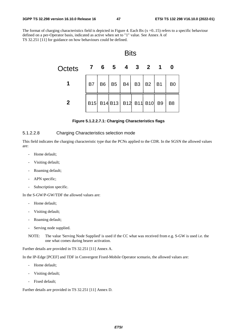The format of charging characteristics field is depicted in Figure 4. Each Bx  $(x = 0.15)$  refers to a specific behaviour defined on a per-Operator basis, indicated as active when set to "1" value. See Annex A of TS 32.251 [11] for guidance on how behaviours could be defined.



#### **Figure 5.1.2.2.7.1: Charging Characteristics flags**

### 5.1.2.2.8 Charging Characteristics selection mode

This field indicates the charging characteristic type that the PCNs applied to the CDR. In the SGSN the allowed values are:

- Home default;
- Visiting default;
- Roaming default;
- APN specific;
- Subscription specific.

In the S-GW/P-GW/TDF the allowed values are:

- Home default;
- Visiting default;
- Roaming default;
- Serving node supplied.
- NOTE: The value 'Serving Node Supplied' is used if the CC what was received from e.g. S-GW is used i.e. the one what comes during bearer activation.

Further details are provided in TS 32.251 [11] Annex A.

In the IP-Edge [PCEF] and TDF in Convergent Fixed-Mobile Operator scenario, the allowed values are:

- Home default;
- Visiting default;
- Fixed default;

Further details are provided in TS 32.251 [11] Annex D.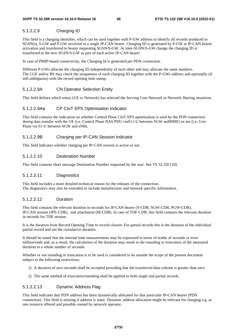# 5.1.2.2.9 Charging ID

This field is a charging identifier, which can be used together with P-GW address to identify all records produced in SGSN(s), S-GW and P-GW involved in a single IP-CAN bearer. Charging ID is generated by P-GW at IP-CAN bearer activation and transferred to bearer requesting SGSN/S-GW. At inter-SGSN/S-GW change the charging ID is transferred to the new SGSN/S-GW as part of each active IP-CAN bearer.

In case of PMIP-based connectivity, the Charging Id is generated per PDN connection.

Different P-GWs allocate the charging ID independently of each other and may allocate the same numbers. The CGF and/or BS may check the uniqueness of each charging ID together with the P-GWs address and optionally (if still ambiguous) with the record opening time stamp.

# 5.1.2.2.9A CN Operator Selection Entity

This field defines which entity (UE or Network) has selected the Serving Core Network in Network Sharing situations.

# 5.1.2.2.9Aa CP CIoT EPS Optimisation Indicator

This field contains the indication on whether Control Plane CIoT EPS optimisation is used by the PDN connection during data transfer with the UE (i.e. Control Plane NAS PDU viaS11-U between SGW andMME) or not (i.e. User Plane via S1-U between SGW and eNB).

# 5.1.2.2.9B Charging per IP-CAN Session Indicator

This field indicates whether charging per IP-CAN session is active or not.

## 5.1.2.2.10 Destination Number

This field contains short message Destination Number requested by the user. See TS 32.250 [10].

### 5.1.2.2.11 Diagnostics

This field includes a more detailed technical reason for the releases of the connection. The diagnostics may also be extended to include manufacturer and network specific information.

# 5.1.2.2.12 Duration

This field contains the relevant duration in seconds for IP-CAN bearer (S-CDR, SGW-CDR, PGW-CDR), IP-CAN session (IPE-CDR), and attachment (M-CDR). In case of TDF-CDR, this field contains the relevant duration in seconds for TDF session.

It is the duration from Record Opening Time to record closure. For partial records this is the duration of the individual partial record and not the cumulative duration.

It should be noted that the internal time measurements may be expressed in terms of tenths of seconds or even milliseconds and, as a result, the calculation of the duration may result in the rounding or truncation of the measured duration to a whole number of seconds.

Whether or not rounding or truncation is to be used is considered to be outside the scope of the present document subject to the following restrictions:

- 1) A duration of zero seconds shall be accepted providing that the transferred data volume is greater than zero.
- 2) The same method of truncation/rounding shall be applied to both single and partial records.

### 5.1.2.2.13 Dynamic Address Flag

This field indicates that PDN address has been dynamically allocated for that particular IP-CAN bearer (PDN connection). This field is missing if address is static. Dynamic address allocation might be relevant for charging e.g. as one resource offered and possible owned by network operator.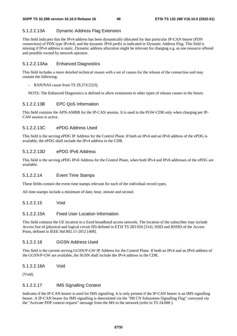## 5.1.2.2.13A Dynamic Address Flag Extension

This field indicates that the IPv4 address has been dynamically allocated for that particular IP-CAN bearer (PDN connection) of PDN type IPv4v6, and the dynamic IPv6 prefix is indicated in Dynamic Address Flag. This field is missing if IPv4 address is static. Dynamic address allocation might be relevant for charging e.g. as one resource offered and possible owned by network operator.

#### 5.1.2.2.13Aa Enhanced Diagnostics

This field includes a more detailed technical reason with a set of causes for the release of the connection and may contain the following:

- RAN/NAS cause from TS 29.274 [223];

NOTE: The Enhanced Diagnostics is defined to allow extensions to other types of release causes in the future.

#### 5.1.2.2.13B EPC QoS Information

This field contains the APN-AMBR for the IP-CAN session. It is used in the PGW-CDR only when charging per IP-CAN session is active.

### 5.1.2.2.13C ePDG Address Used

This field is the serving ePDG IP Address for the Control Plane. If both an IPv4 and an IPv6 address of the ePDG is available, the ePDG shall include the IPv4 address in the CDR.

### 5.1.2.2.13D ePDG IPv6 Address

This field is the serving ePDG IPv6 Address for the Control Plane, when both IPv4 and IPv6 addresses of the ePDG are available.

# 5.1.2.2.14 Event Time Stamps

These fields contain the event time stamps relevant for each of the individual record types.

All time-stamps include a minimum of date, hour, minute and second.

## 5.1.2.2.15 Void

#### 5.1.2.2.15A Fixed User Location Information

This field contains the UE location in a fixed broadband access network. The location of the subscriber may include Access line id (physical and logical circuit ID) defined in ETSI TS 283 034 [314], SSID and BSSID of the Access Point, defined in IEEE Std 802.11-2012 [408].

### 5.1.2.2.16 GGSN Address Used

This field is the current serving GGSN/P-GW IP Address for the Control Plane. If both an IPv4 and an IPv6 address of the GGSN/P-GW are available, the SGSN shall include the IPv4 address in the CDR.

5.1.2.2.16A Void

(Void)

#### 5.1.2.2.17 IMS Signalling Context

Indicates if the IP-CAN bearer is used for IMS signalling. It is only present if the IP-CAN bearer is an IMS signalling bearer. A IP-CAN bearer for IMS signalling is determined via the "IM CN Subsystem Signalling Flag" conveyed via the "Activate PDP context request" message from the MS to the network (refer to TS 24.008 ).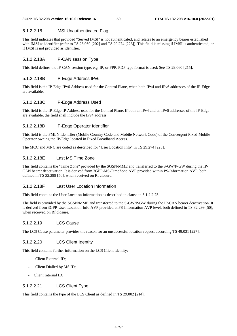### 5.1.2.2.18 IMSI Unauthenticated Flag

This field indicates that provided "Served IMSI" is not authenticated, and relates to an emergency bearer established with IMSI as identifier (refer to TS 23.060 [202] and TS 29.274 [223]). This field is missing if IMSI is authenticated, or if IMSI is not provided as identifier.

### 5.1.2.2.18A IP-CAN session Type

This field defines the IP-CAN session type, e.g. IP, or PPP. PDP type format is used: See TS 29.060 [215].

## 5.1.2.2.18B IP-Edge Address IPv6

This field is the IP-Edge IPv6 Address used for the Control Plane, when both IPv4 and IPv6 addresses of the IP-Edge are available.

## 5.1.2.2.18C IP-Edge Address Used

This field is the IP-Edge IP Address used for the Control Plane. If both an IPv4 and an IPv6 addresses of the IP-Edge are available, the field shall include the IPv4 address.

### 5.1.2.2.18D IP-Edge Operator Identifier

This field is the PMLN Identifier (Mobile Country Code and Mobile Network Code) of the Convergent Fixed-Mobile Operator owning the IP-Edge located in Fixed Broadband Access.

The MCC and MNC are coded as described for "User Location Info" in TS 29.274 [223].

# 5.1.2.2.18E Last MS Time Zone

This field contains the "Time Zone" provided by the SGSN/MME and transferred to the S-GW/P-GW during the IP-CAN bearer deactivation. It is derived from 3GPP-MS-TimeZone AVP provided within PS-Information AVP, both defined in TS 32.299 [50], when received on Rf closure.

# 5.1.2.2.18F Last User Location Information

This field contains the User Location Information as described in clause in 5.1.2.2.75.

The field is provided by the SGSN/MME and transferred to the S-GW/P-GW during the IP-CAN bearer deactivation. It is derived from 3GPP-User-Location-Info AVP provided at PS-Information AVP level, both defined in TS 32.299 [50], when received on Rf closure.

## 5.1.2.2.19 LCS Cause

The LCS Cause parameter provides the reason for an unsuccessful location request according TS 49.031 [227].

# 5.1.2.2.20 LCS Client Identity

This field contains further information on the LCS Client identity:

- Client External ID:
- Client Dialled by MS ID;
- Client Internal ID.

# 5.1.2.2.21 LCS Client Type

This field contains the type of the LCS Client as defined in TS 29.002 [214].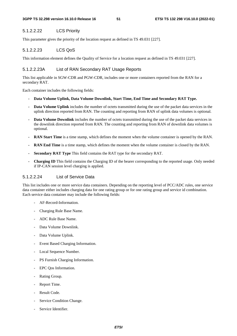## 5.1.2.2.22 LCS Priority

This parameter gives the priority of the location request as defined in TS 49.031 [227].

### 5.1.2.2.23 LCS QoS

This information element defines the Quality of Service for a location request as defined in TS 49.031 [227].

#### 5.1.2.2.23A List of RAN Secondary RAT Usage Reports

This list applicable in SGW-CDR and PGW-CDR, includes one or more containers reported from the RAN for a secondary RAT.

Each container includes the following fields:

- **Data Volume Uplink, Data Volume Downlink, Start Time, End Time and Secondary RAT Type.**
- **Data Volume Uplink** includes the number of octets transmitted during the use of the packet data services in the uplink direction reported from RAN. The counting and reporting from RAN of uplink data volumes is optional.
- **Data Volume Downlink** includes the number of octets transmitted during the use of the packet data services in the downlink direction reported from RAN. The counting and reporting from RAN of downlink data volumes is optional.
- **RAN Start Time** is a time stamp, which defines the moment when the volume container is opened by the RAN.
- **RAN End Time** is a time stamp, which defines the moment when the volume container is closed by the RAN.
- **Secondary RAT Type** This field contains the RAT type for the secondary RAT.
- **Charging ID** This field contains the Charging ID of the bearer corresponding to the reported usage. Only needed if IP-CAN session level charging is applied.

# 5.1.2.2.24 List of Service Data

This list includes one or more service data containers. Depending on the reporting level of PCC/ADC rules, one service data container either includes charging data for one rating group or for one rating group and service id combination. Each service data container may include the following fields:

- AF-Record-Information.
- Charging Rule Base Name.
- ADC Rule Base Name.
- Data Volume Downlink.
- Data Volume Uplink.
- Event Based Charging Information.
- Local Sequence Number.
- PS Furnish Charging Information.
- EPC Qos Information.
- Rating Group.
- Report Time.
- Result Code.
- Service Condition Change.
- Service Identifier.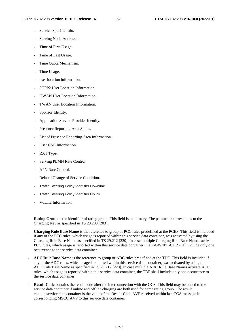- Service Specific Info.
- Serving Node Address.
- Time of First Usage.
- Time of Last Usage.
- Time Quota Mechanism.
- Time Usage.
- user location information.
- 3GPP2 User Location Information.
- UWAN User Location Information.
- TWAN User Location Information.
- Sponsor Identity.
- Application Service Provider Identity.
- Presence Reporting Area Status.
- List of Presence Reporting Area Information.
- User CSG Information.
- RAT Type.
- Serving PLMN Rate Control.
- APN Rate Control.
- Related Change of Service Condition.
- Traffic Steering Policy Identifier Downlink.
- Traffic Steering Policy Identifier Uplink.
- VoLTE Information.
- **Rating Group** is the identifier of rating group. This field is mandatory. The parameter corresponds to the Charging Key as specified in TS 23.203 [203].
- **Charging Rule Base Name** is the reference to group of PCC rules predefined at the PCEF. This field is included if any of the PCC rules, which usage is reported within this service data container, was activated by using the Charging Rule Base Name as specified in TS 29.212 [220]. In case multiple Charging Rule Base Names activate PCC rules, which usage is reported within this service data container, the P-GW/IPE-CDR shall include only one occurrence to the service data container.
- **ADC Rule Base Name** is the reference to group of ADC rules predefined at the TDF. This field is included if any of the ADC rules, which usage is reported within this service data container, was activated by using the ADC Rule Base Name as specified in TS 29.212 [220]. In case multiple ADC Rule Base Names activate ADC rules, which usage is reported within this service data container, the TDF shall include only one occurrence to the service data container.
- **Result Code** contains the result code after the interconnection with the OCS. This field may be added to the service data container if online and offline charging are both used for same rating group. The result code in service data container is the value of the Result-Code AVP received within last CCA message in corresponding MSCC AVP to this service data container.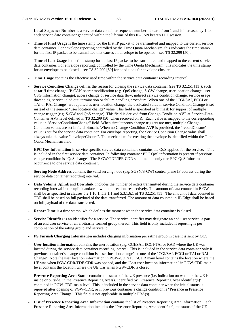- **Local Sequence Number** is a service data container sequence number. It starts from 1 and is increased by 1 for each service date container generated within the lifetime of this IP-CAN bearer/TDF session.
- **Time of First Usage** is the time stamp for the first IP packet to be transmitted and mapped to the current service data container. For envelope reporting controlled by the Time Quota Mechanism, this indicates the time stamp for the first IP packet to be transmitted that causes an envelope to be opened – see TS 32.299 [50].
- **Time of Last Usage** is the time stamp for the last IP packet to be transmitted and mapped to the current service data container. For envelope reporting, controlled by the Time Quota Mechanism, this indicates the time stamp for an envelope to be closed – see TS 32.299 [50] for conditions for envelope closure.
- **Time Usage** contains the effective used time within the service data container recording interval.
- **Service Condition Change** defines the reason for closing the service data container (see TS 32.251 [11]), such as tariff time change, IP-CAN bearer modification (e.g. QoS change, S-GW change, user location change, user CSG information change), access change of service data flow, indirect service condition change, service usage thresholds, service idled out, termination or failure handling procedure. When one of the "CGI/SAI, ECGI or TAI or RAI Change" are reported as user location change, the dedicated value in service Condition Change is set instead of the generic "user location change" value. This field is specified as bitmask for support of multiple change trigger (e.g. S-GW and QoS change). This field is derived from Change-Condition AVP at Service-Data-Container AVP level defined in TS 32.299 [50] when received on Rf. Each value is mapped to the corresponding value in "ServiceConditionChange" field. When simultaneous change triggers are met, multiple Change-Condition values are set in field bitmask. When no Change-Condition AVP is provided, the "recordClosure" value is set for the service data container. For envelope reporting, the Service Condition Change value shall always take the value "envelopeClosure". The mechanism for creating the envelope is identified within the Time Quota Mechanism field.
- **EPC Qos Information** in service specific service data containers contains the QoS applied for the service. This is included in the first service data container. In following container EPC QoS information is present if previous change condition is "QoS change". The P-GW/TDF/IPE-CDR shall include only one EPC QoS Information occurrence to one service data container.
- **Serving Node Address** contains the valid serving node (e.g. SGSN/S-GW) control plane IP address during the service data container recording interval.
- **Data Volume Uplink** and **Downlink,** includes the number of octets transmitted during the service data container recording interval in the uplink and/or downlink direction, respectively. The amount of data counted in P-GW shall be as specified in clauses 5.2.1.10.1, 5.3.1.1 and 5.3.1.6.1 of TS 32.251 [11]. The amount of data counted in TDF shall be based on full payload of the data transferred. The amount of data counted in IP-Edge shall be based on full payload of the data transferred.
- **Report Time** is a time stamp, which defines the moment when the service data container is closed.
- **Service Identifier** is an identifier for a service. The service identifier may designate an end user service, a part of an end user service or an arbitrarily formed group thereof. This field is only included if reporting is per combination of the rating group and service id.
- **PS Furnish Charging Information** includes charging information per rating group in case it is sent by OCS.
- User location information contains the user location (e.g. CGI/SAI, ECGI/TAI or RAI) where the UE was located during the service data container recording interval. This is included in the service data container only if previous container's change condition is "user location change" or one of the "CGI/SAI, ECGI or TAI or RAI Change". Note the user location information in PGW-CDR/TDF-CDR main level contains the location where the UE was when PGW-CDR/TDF-CDR was opened, and the "Last user location information" in PGW-CDR main level contains the location where the UE was when PGW-CDR is closed.
- **Presence Reporting Area Status** contains the status of the UE presence (i.e. indication on whether the UE is inside or outside) in the Presence Reporting Area(s) identified by "Presence Reporting Area identifier(s)" contained in PGW-CDR main level. This is included in the service data container when the initial status is reported after opening of PGW-CDR, or if previous container's change condition is "Presence in Presence Reporting Area Change". This field is not applicable in multiple PRA(s).
- **List of Presence Reporting Area Information** contains the list of Presence Reporting Area Information. Each Presence Reporting Area Information includes the "Presence Reporting Area identifier", the status of the UE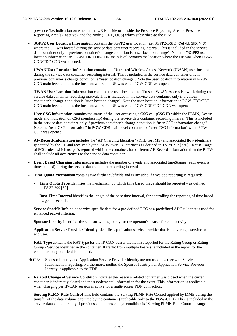presence (i.e. indication on whether the UE is inside or outside the Presence Reporting Area or Presence Reporting Area(s) inactive), and the Node (PCRF, OCS) which subscribed-to the PRA.

- **3GPP2 User Location Information** contains the 3GPP2 user location (i.e. 3GPP2-BSID: Cell-Id, SID, NID) where the UE was located during the service data container recording interval. This is included in the service data container only if previous container's change condition is "user location change". Note the "3GPP2 user location information" in PGW-CDR/TDF-CDR main level contains the location where the UE was when PGW-CDR/TDF-CDR was opened.
- **UWAN User Location Information** contains the Untrusted Wireless Access Network (UWAN) user location during the service data container recording interval. This is included in the service data container only if previous container's change condition is "user location change". Note the user location information in PGW-CDR main level contains the location where the UE was when PGW-CDR was opened.
- **TWAN User Location Information** contains the user location in a Trusted WLAN Access Network during the service data container recording interval. This is included in the service data container only if previous container's change condition is "user location change". Note the user location information in PGW-CDR/TDF-CDR main level contains the location where the UE was when PGW-CDR/TDF-CDR was opened.
- User CSG information contains the status of the user accessing a CSG cell (CSG ID within the PLMN, Access mode and indication on CSG membership) during the service data container recording interval. This is included in the service data container only if previous container's change condition is "user CSG information change". Note the "user CSG information" in PGW-CDR main level contains the "user CSG information" when PGW-CDR was opened.
- **AF-Record-Information** includes the "AF Charging Identifier" (ICID for IMS) and associated flow identifiers generated by the AF and received by the P-GW over Gx interfaces as defined in TS 29.212 [220]. In case usage of PCC rules, which usage is reported within the container, has different AF-Record-Information then the P-GW shall include all occurrences to the service data container.
- **Event Based Charging Information** includes the number of events and associated timeStamps (each event is timestamped) during the service data container recording interval.
- **Time Quota Mechanism** contains two further subfields and is included if envelope reporting is required:
	- **Time Quota Type** identifies the mechanism by which time based usage should be reported as defined in TS 32.299 [50].
	- **Base Time Interval** identifies the length of the base time interval, for controlling the reporting of time based usage, in seconds.
- **Service Specific Info** holds service specific data for a pre-defined PCC or a predefined ADC rule that is used for enhanced packet filtering.
- **Sponsor Identity** identifies the sponsor willing to pay for the operator's charge for connectivity.
- **Application Service Provider Identity** identifies application service provider that is delivering a service to an end user.
- **RAT Type** contains the RAT type for the IP-CAN bearer that is first reported for the Rating Group or Rating Group / Service Identifier in the container. If traffic from multiple bearers is included in the report for the container, only one field is included.
- NOTE: Sponsor Identity and Application Service Provider Identity are not used together with Service Identification reporting. Furthermore, neither the Sponsor Identity nor Application Service Provider Identity is applicable to the TDF.
- **Related Change of Service Condition** indicates the reason a related container was closed when the current container is indirectly closed and the supplemental information for the event. This information is applicable when charging per IP-CAN session is active for a multi-access PDN connection.
- **Serving PLMN Rate Control** This field contains the Serving PLMN Rate Control applied by MME during the transfer of the data volume captured by the container (applicable only to the PGW-CDR). This is included in the service data container only if previous container's change condition is "Serving PLMN Rate Control change ".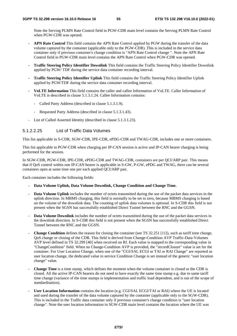Note the Serving PLMN Rate Control field in PGW-CDR main level contains the Serving PLMN Rate Control when PGW-CDR was opened.

- **APN Rate Control** This field contains the APN Rate Control applied by PGW during the transfer of the data volume captured by the container (applicable only to the PGW-CDR). This is included in the service data container only if previous container's change condition is "APN Rate Control change ". Note the APN Rate Control field in PGW-CDR main level contains the APN Rate Control when PGW-CDR was opened.
- **Traffic Steering Policy Identifier Downlink** This field contains the Traffic Steering Policy Identifier Downlink applied by PGW/ TDF during the service data container recording interval.
- **Traffic Steering Policy Identifier Uplink** This field contains the Traffic Steering Policy Identifier Uplink applied by PGW/TDF during the service data container recording interval.
- **VoLTE Information** This field contains the caller and callee Information of VoLTE. Caller Information of VoLTE is described in clause 5.1.3.1.24. Callee Information contains:
	- Called Party Address (described in clause 5.1.3.1.9).
	- Requested Party Address (described in clause 5.1.3.1.43).
- List of Called Asserted Identity (described in clause 5.1.3.1.23).

## 5.1.2.2.25 List of Traffic Data Volumes

This list applicable in S-CDR, SGW-CDR, IPE-CDR, ePDG-CDR and TWAG-CDR, includes one or more containers.

This list applicable in PGW-CDR when charging per IP-CAN session is active and IP-CAN bearer charging is being performed for the session.

In SGW-CDR, PGW-CDR, IPE-CDR, ePDG-CDR and TWAG-CDR, containers are per QCI/ARP pair. This means that if QoS control within one IP-CAN bearer is applicable in S-GW, P-GW, ePDG and TWAG, there can be several containers open at same time one per each applied QCI/ARP pair.

Each container includes the following fields:

- **Data Volume Uplink, Data Volume Downlink, Change Condition and Change Time.**
- **Data Volume Uplink** includes the number of octets transmitted during the use of the packet data services in the uplink direction. In MBMS charging, this field is normally to be set to zero, because MBMS charging is based on the volume of the downlink data. The counting of uplink data volumes is optional. In S-CDR this field is not present when the SGSN has successfully established Direct Tunnel between the RNC and the GGSN.
- Data Volume Downlink includes the number of octets transmitted during the use of the packet data services in the downlink direction. In S-CDR this field is not present when the SGSN has successfully established Direct Tunnel between the RNC and the GGSN.
- **Change Condition** defines the reason for closing the container (see TS 32.251 [11]), such as tariff time change, QoS change or closing of the CDR. This field is derived from Change-Condition AVP Traffic-Data-Volumes AVP level defined in TS 32.299 [40] when received on Rf. Each value is mapped to the corresponding value in "ChangeCondition" field. When no Change-Condition AVP is provided, the "recordClosure" value is set for the container. For User Location Change, when one of the "CGI/SAI, ECGI or TAI or RAI Change" are reported as user location change, the dedicated value in service Condition Change is set instead of the generic "user location change" value.
- **Change Time** is a time stamp, which defines the moment when the volume container is closed or the CDR is closed. All the active IP-CAN bearers do not need to have exactly the same time stamp e.g. due to same tariff time change (variance of the time stamps is implementation and traffic load dependent, and is out of the scope of standardisation).
- **User Location Information** contains the location (e.g. CGI/SAI, ECGI/TAI or RAI) where the UE is located and used during the transfer of the data volume captured by the container (applicable only to the SGW-CDR). This is included in the Traffic data container only if previous container's change condition is "user location change". Note the user location information in SGW-CDR main level contains the location where the UE was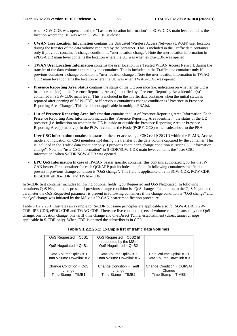when SGW-CDR was opened, and the "Last user location information" in SGW-CDR main level contains the location where the UE was when SGW-CDR is closed.

- **UWAN User Location Information** contains the Untrusted Wireless Access Network (UWAN) user location during the transfer of the data volume captured by the container. This is included in the Traffic data container only if previous container's change condition is "user location change". Note the user location information in ePDG-CDR main level contains the location where the UE was when ePDG-CDR was opened.
- **TWAN User Location Information** contains the user location in a Trusted WLAN Access Network during the transfer of the data volume captured by the container. This is included in the Traffic data container only if previous container's change condition is "user location change". Note the user location information in TWAG-CDR main level contains the location where the UE was when TWAG-CDR was opened.
- **Presence Reporting Area Status** contains the status of the UE presence (i.e. indication on whether the UE is inside or outside) in the Presence Reporting Area(s) identified by "Presence Reporting Area identifier(s)" contained in SGW-CDR main level. This is included in the Traffic data container when the initial status is reported after opening of SGW-CDR, or if previous container's change condition is "Presence in Presence Reporting Area Change". This field is not applicable in multiple PRA(s).
- **List of Presence Reporting Area Information** contains the list of Presence Reporting Area Information. Each Presence Reporting Area Information includes the "Presence Reporting Area identifier", the status of the UE presence (i.e. indication on whether the UE is inside or outside the Presence Reporting Area or Presence Reporting Area(s) inactive). In the PGW it contains the Node (PCRF, OCS) which subscribed-to the PRA.
- **User CSG information** contains the status of the user accessing a CSG cell (CSG ID within the PLMN, Access mode and indication on CSG membership) during the transfer of the data volume captured by the container. This is included in the Traffic data container only if previous container's change condition is "user CSG information change". Note the "user CSG information" in S-CDR/SGW-CDR main level contains the "user CSG information" when S-CDR/SGW-CDR was opened.
- **EPC QoS Information** In case of IP-CAN bearer specific container this contains authorized QoS for the IP-CAN bearer. First container for each QCI/ARP pair includes this field. In following containers this field is present if previous change condition is "QoS change". This field is applicable only in SGW-CDR, PGW-CDR, IPE-CDR, ePDG-CDR, and TWAG-CDR.

In S-CDR first container includes following optional fields: QoS Requested and QoS Negotiated. In following containers QoS Negotiated is present if previous change condition is "QoS change". In addition to the QoS Negotiated parameter the QoS Requested parameter is present in following containers if the change condition is "QoS change" and the QoS change was initiated by the MS via a IP-CAN bearer modification procedure.

Table 5.1.2.2.25.1 illustrates an example for S-CDR but same principles are applicable also for SGW-CDR, PGW-CDR, IPE-CDR, ePDG-CDR and TWAG-CDR. There are five containers (sets of volume counts) caused by one QoS change, one location change, one tariff time change and one Direct Tunnel establishment (direct tunnel change applicable in S-CDR only). When CDR is opened the subscriber is in CGI1.

| $QoS$ Requested = $QoS1$                             | $QoS$ Requested = $QoS$ 2 (if<br>requested by the MS)  |                                                     |
|------------------------------------------------------|--------------------------------------------------------|-----------------------------------------------------|
| $QoS$ Negotiated = $QoS1$                            | $QoS$ Negotiated = $QoS2$                              |                                                     |
| Data Volume Uplink = 1<br>Data Volume Downlink = $2$ | Data Volume Uplink = $5$<br>Data Volume Downlink = $6$ | Data Volume Uplink = 10<br>Data Volume Downlink = 3 |
|                                                      |                                                        |                                                     |
| Change Condition = $QoS$<br>change                   | Change Condition = Tariff<br>change                    | Change Condition = CGI/SAI<br>Change                |
| Time Stamp = $TIME1$                                 | Time Stamp = $TIME2$                                   | $Time$ Stamp = $TIME3$                              |

#### **Table 5.1.2.2.25.1: Example list of traffic data volumes**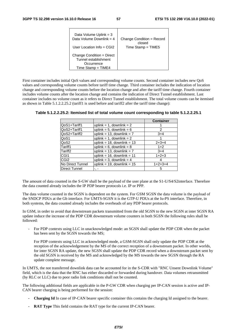| Data Volume Uplink = $3$                                                                | Change Condition = Record |
|-----------------------------------------------------------------------------------------|---------------------------|
| Data Volume Downlink = 4                                                                | closed                    |
| User Location Info = $CGI2$                                                             | $Time$ Stamp = $TIME5$    |
| Change Condition = Direct<br>Tunnel establishment<br>Occurrence<br>Time Stamp = $TIME4$ |                           |

First container includes initial QoS values and corresponding volume counts. Second container includes new QoS values and corresponding volume counts before tariff time change. Third container includes the indication of location change and corresponding volume counts before the location change and after the tariff time change. Fourth container includes volume counts after the location change and contains the indication of Direct Tunnel establishment. Last container includes no volume count as it refers to Direct Tunnel establishment. The total volume counts can be itemised as shown in Table 5.1.2.2.25.2 (tariff1 is used before and tariff2 after the tariff time change):

|                      |                                 | <b>Container</b> |
|----------------------|---------------------------------|------------------|
| QoS1+Tariff1         | uplink = 1, downlink = $2$      |                  |
| QoS2+Tariff1         | uplink = $5$ , downlink = $6$   | 2                |
| QoS2+Tariff2         | uplink = $13$ , downlink = $7$  | $3+4$            |
| QoS1                 | uplink = 1, downlink = $2$      |                  |
| QoS2                 | uplink = $18$ , downlink = $13$ | $2+3+4$          |
| Tariff1              | uplink = $6$ , downlink = $8$   | $1+2$            |
| Tariff <sub>2</sub>  | uplink = $13$ , downlink = $7$  | $3+4$            |
| CGI <sub>1</sub>     | uplink = $16$ , downlink = $11$ | $1+2+3$          |
| CGI <sub>2</sub>     | uplink = 3, downlink = $4$      | 4                |
| No Direct Tunnel     | uplink = $19$ , downlink = $15$ | $1+2+3+4$        |
| <b>Direct Tunnel</b> |                                 | 5                |

| Table 5.1.2.2.25.2: Itemised list of total volume count corresponding to table 5.1.2.2.25.1 |  |
|---------------------------------------------------------------------------------------------|--|
|---------------------------------------------------------------------------------------------|--|

The amount of data counted in the S-GW shall be the payload of the user plane at the S1-U/S4/S2interface. Therefore the data counted already includes the IP PDP bearer protocols i.e. IP or PPP.

The data volume counted in the SGSN is dependent on the system. For GSM SGSN the data volume is the payload of the SNDCP PDUs at the Gb interface. For UMTS-SGSN it is the GTP-U PDUs at the Iu-PS interface. Therefore, in both systems, the data counted already includes the overheads of any PDP bearer protocols.

In GSM, in order to avoid that downstream packets transmitted from the old SGSN to the new SGSN at inter SGSN RA update induce the increase of the PDP CDR downstream volume counters in both SGSN the following rules shall be followed:

- For PDP contexts using LLC in unacknowledged mode: an SGSN shall update the PDP CDR when the packet has been sent by the SGSN towards the MS;

 For PDP contexts using LLC in acknowledged mode, a GSM-SGSN shall only update the PDP CDR at the reception of the acknowledgement by the MS of the correct reception of a downstream packet. In other worlds, for inter SGSN RA update, the new SGSN shall update the PDP CDR record when a downstream packet sent by the old SGSN is received by the MS and acknowledged by the MS towards the new SGSN through the RA update complete message.

In UMTS, the not transferred downlink data can be accounted for in the S-CDR with "RNC Unsent Downlink Volume" field, which is the data that the RNC has either discarded or forwarded during handover. Data volumes retransmitted (by RLC or LLC) due to poor radio link conditions shall not be counted.

The following additional fields are applicable in the P-GW CDR when charging per IP-CAN session is active and IP-CAN bearer charging is being performed for the session:

- **Charging Id** In case of IP-CAN bearer specific container this contains the charging Id assigned to the bearer.
- **RAT Type** This field contains the RAT type for the current IP-CAN bearer.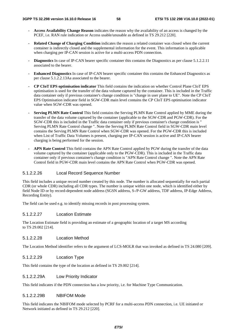- **Access Availability Change Reason** indicates the reason why the availability of an access is changed by the PCEF, i.e. RAN rule indication or Access usable/unusable as defined in TS 29.212 [220].
- **Related Change of Charging Condition** indicates the reason a related container was closed when the current container is indirectly closed and the supplemental information for the event. This information is applicable when charging per IP-CAN session is active for a multi-access PDN connection.
- **Diagnostics** In case of IP-CAN bearer specific container this contains the Diagnostics as per clause 5.1.2.2.11 associated to the bearer.
- **Enhanced Diagnostics** In case of IP-CAN bearer specific container this contains the Enhanced Diagnostics as per clause 5.1.2.2.13Aa associated to the bearer.
- **CP CIoT EPS optimisation indicator** This field contains the indication on whether Control Plane CIoT EPS optimisation is used for the transfer of the data volume captured by the container. This is included in the Traffic data container only if previous container's change condition is "change in user plane to UE". Note the CP CIoT EPS Optimisation indicator field in SGW-CDR main level contains the CP CIoT EPS optimisation indicator value when SGW-CDR was opened.
- **Serving PLMN Rate Control** This field contains the Serving PLMN Rate Control applied by MME during the transfer of the data volume captured by the container (applicable to the SGW-CDR and PGW-CDR). For the SGW-CDR this is included in the Traffic data container only if previous container's change condition is " Serving PLMN Rate Control change ". Note the Serving PLMN Rate Control field in SGW-CDR main level contains the Serving PLMN Rate Control when SGW-CDR was opened. For the PGW-CDR this is included when List of Traffic Data Volumes is present, charging per IP-CAN session is active and IP-CAN bearer charging is being performed for the session.
- **APN Rate Control** This field contains the APN Rate Control applied by PGW during the transfer of the data volume captured by the container (applicable only to the PGW-CDR). This is included in the Traffic data container only if previous container's change condition is "APN Rate Control change ". Note the APN Rate Control field in PGW-CDR main level contains the APN Rate Control when PGW-CDR was opened.

# 5.1.2.2.26 Local Record Sequence Number

This field includes a unique record number created by this node. The number is allocated sequentially for each partial CDR (or whole CDR) including all CDR types. The number is unique within one node, which is identified either by field Node ID or by record-dependent node address (SGSN address, S-/P-GW address, TDF address, IP-Edge Address, Recording Entity).

The field can be used e.g. to identify missing records in post processing system.

# 5.1.2.2.27 Location Estimate

The Location Estimate field is providing an estimate of a geographic location of a target MS according to TS 29.002 [214].

## 5.1.2.2.28 Location Method

The Location Method identifier refers to the argument of LCS-MOLR that was invoked as defined in TS 24.080 [209].

### 5.1.2.2.29 Location Type

This field contains the type of the location as defined in TS 29.002 [214].

### 5.1.2.2.29A Low Priority Indicator

This field indicates if the PDN connection has a low priority, i.e. for Machine Type Communication.

## 5.1.2.2.29B NBIFOM Mode

This field indicates the NBIFOM mode selected by PCRF for a multi-access PDN connection, i.e. UE initiated or Network initiated as defined in TS 29.212 [220].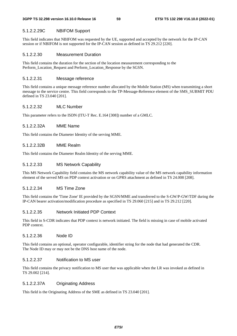# 5.1.2.2.29C NBIFOM Support

This field indicates that NBIFOM was requested by the UE, supported and accepted by the network for the IP-CAN session or if NBIFOM is not supported for the IP-CAN session as defined in TS 29.212 [220].

# 5.1.2.2.30 Measurement Duration

This field contains the duration for the section of the location measurement corresponding to the Perform\_Location\_Request and Perform\_Location\_Response by the SGSN.

# 5.1.2.2.31 Message reference

This field contains a unique message reference number allocated by the Mobile Station (MS) when transmitting a short message to the service centre. This field corresponds to the TP-Message-Reference element of the SMS\_SUBMIT PDU defined in TS 23.040 [201].

# 5.1.2.2.32 MLC Number

This parameter refers to the ISDN (ITU-T Rec. E.164 [308]) number of a GMLC.

# 5.1.2.2.32A MME Name

This field contains the Diameter Identity of the serving MME.

# 5.1.2.2.32B MME Realm

This field contains the Diameter Realm Identity of the serving MME.

# 5.1.2.2.33 MS Network Capability

This MS Network Capability field contains the MS network capability value of the MS network capability information element of the served MS on PDP context activation or on GPRS attachment as defined in TS 24.008 [208].

# 5.1.2.2.34 MS Time Zone

This field contains the 'Time Zone' IE provided by the SGSN/MME and transferred to the S-GW/P-GW/TDF during the IP-CAN bearer activation/modification procedure as specified in TS 29.060 [215] and in TS 29.212 [220].

# 5.1.2.2.35 Network Initiated PDP Context

This field in S-CDR indicates that PDP context is network initiated. The field is missing in case of mobile activated PDP context.

# 5.1.2.2.36 Node ID

This field contains an optional, operator configurable, identifier string for the node that had generated the CDR. The Node ID may or may not be the DNS host name of the node.

# 5.1.2.2.37 Notification to MS user

This field contains the privacy notification to MS user that was applicable when the LR was invoked as defined in TS 29.002 [214].

# 5.1.2.2.37A Originating Address

This field is the Originating Address of the SME as defined in TS 23.040 [201].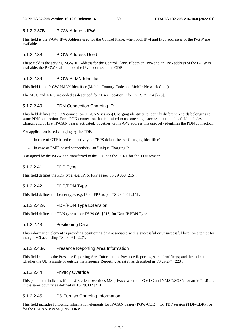## 5.1.2.2.37B P-GW Address IPv6

This field is the P-GW IPv6 Address used for the Control Plane, when both IPv4 and IPv6 addresses of the P-GW are available.

### 5.1.2.2.38 P-GW Address Used

These field is the serving P-GW IP Address for the Control Plane. If both an IPv4 and an IPv6 address of the P-GW is available, the P-GW shall include the IPv4 address in the CDR.

# 5.1.2.2.39 P-GW PLMN Identifier

This field is the P-GW PMLN Identifier (Mobile Country Code and Mobile Network Code).

The MCC and MNC are coded as described for "User Location Info" in TS 29.274 [223].

# 5.1.2.2.40 PDN Connection Charging ID

This field defines the PDN connection (IP-CAN session) Charging identifier to identify different records belonging to same PDN connection. For a PDN connection that is limited to use one single access at a time this field includes Charging Id of first IP-CAN bearer activated. Together with P-GW address this uniquely identifies the PDN connection.

For application based charging by the TDF:

- In case of GTP based connectivity, an "EPS default bearer Charging Identifier"
- In case of PMIP based connectivity, an "unique Charging Id"

is assigned by the P-GW and transferred to the TDF via the PCRF for the TDF session.

# 5.1.2.2.41 PDP Type

This field defines the PDP type, e.g. IP, or PPP as per TS 29.060 [215] .

# 5.1.2.2.42 PDP/PDN Type

This field defines the bearer type, e.g. IP, or PPP as per TS 29.060 [215] .

# 5.1.2.2.42A PDP/PDN Type Extension

This field defines the PDN type as per TS 29.061 [216] for Non-IP PDN Type.

### 5.1.2.2.43 Positioning Data

This information element is providing positioning data associated with a successful or unsuccessful location attempt for a target MS according TS 49.031 [227].

### 5.1.2.2.43A Presence Reporting Area Information

This field contains the Presence Reporting Area Information: Presence Reporting Area identifier(s) and the indication on whether the UE is inside or outside the Presence Reporting Area(s), as described in TS 29.274 [223].

### 5.1.2.2.44 Privacy Override

This parameter indicates if the LCS client overrides MS privacy when the GMLC and VMSC/SGSN for an MT-LR are in the same country as defined in TS 29.002 [214].

## 5.1.2.2.45 PS Furnish Charging Information

This field includes following information elements for IP-CAN bearer (PGW-CDR) , for TDF session (TDF-CDR) , or for the IP-CAN session (IPE-CDR):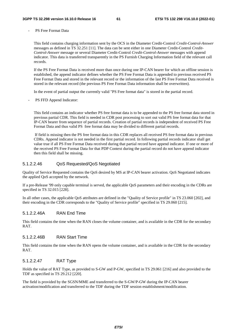PS Free Format Data

This field contains charging information sent by the OCS in the Diameter Credit-Control *Credit-Control-Answer* messages as defined in TS 32.251 [11]. The data can be sent either in one Diameter Credit-Control *Credit-Control-Answer* message or several Diameter Credit-Control *Credit-Control-Answer* messages with append indicator. This data is transferred transparently in the PS Furnish Charging Information field of the relevant call records.

If the PS Free Format Data is received more than once during one IP-CAN bearer for which an offline session is established, the append indicator defines whether the PS Free Format Data is appended to previous received PS Free Format Data and stored in the relevant record or the information of the last PS Free Format Data received is stored in the relevant record (the previous PS Free Format Data information shall be overwritten).

In the event of partial output the currently valid "PS Free format data" is stored in the partial record.

PS FFD Append Indicator:

This field contains an indicator whether PS free format data is to be appended to the PS free format data stored in previous partial CDR. This field is needed in CDR post processing to sort out valid PS free format data for that IP-CAN bearer from sequence of partial records. Creation of partial records is independent of received PS Free Format Data and thus valid PS free format data may be divided to different partial records.

 If field is missing then the PS free format data in this CDR replaces all received PS free format data in previous CDRs. Append indicator is not needed in the first partial record. In following partial records indicator shall get value true if all PS Free Format Data received during that partial record have append indicator. If one or more of the received PS Free Format Data for that PDP Context during the partial record do not have append indicator then this field shall be missing.

## 5.1.2.2.46 QoS Requested/QoS Negotiated

Quality of Service Requested contains the QoS desired by MS at IP-CAN bearer activation. QoS Negotiated indicates the applied QoS accepted by the network.

If a pre-Release '99 only capable terminal is served, the applicable QoS parameters and their encoding in the CDRs are specified in TS 32.015 [228].

In all other cases, the applicable QoS attributes are defined in the "Quality of Service profile" in TS 23.060 [202], and their encoding in the CDR corresponds to the "Quality of Service profile" specified in TS 29.060 [215].

### 5.1.2.2.46A RAN End Time

This field contains the time when the RAN closes the volume container, and is available in the CDR for the secondary RAT.

## 5.1.2.2.46B RAN Start Time

This field contains the time when the RAN opens the volume container, and is available in the CDR for the secondary RAT.

## 5.1.2.2.47 RAT Type

Holds the value of RAT Type, as provided to S-GW and P-GW, specified in TS 29.061 [216] and also provided to the TDF as specified in TS 29.212 [220].

The field is provided by the SGSN/MME and transferred to the S-GW/P-GW during the IP-CAN bearer activation/modification and transferred to the TDF during the TDF session establishment/modification.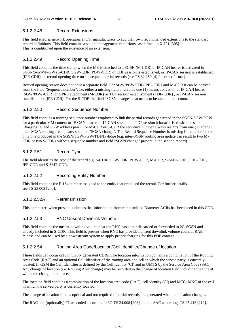# 5.1.2.2.48 Record Extensions

This field enables network operators and/or manufacturers to add their own recommended extensions to the standard record definitions. This field contains a set of "management extensions" as defined in X.721 [305]. This is conditioned upon the existence of an extension.

# 5.1.2.2.49 Record Opening Time

This field contains the time stamp when the MS is attached to a SGSN (M-CDR) or IP-CAN bearer is activated in SGSN/S-GW/P-GW (S-CDR, SGW-CDR, PGW-CDR) or TDF session is established, or IP-CAN session is established (IPE-CDR), or record opening time on subsequent partial records (see TS 32.250 [4] for exact format).

Record opening reason does not have a separate field. For SGW/PGW/TDF/IPE -CDRs and M-CDR it can be derived from the field "Sequence number"; i.e. either a missing field or a value one (1) means activation of IP-CAN bearer (SGW/PGW-CDR) or GPRS attachment (M-CDR) or TDF session establishment (TDF-CDR) , or IP-CAN session establishment (IPE-CDR). For the S-CDR the field "SGSN change" also needs to be taken into account.

# 5.1.2.2.50 Record Sequence Number

This field contains a running sequence number employed to link the partial records generated in the SGSN/SGW/PGW for a particular MM context or IP-CAN bearer, or IP-CAN session, or TDF session (characterised with the same Charging ID and PGW address pair). For M-CDR or S-CDR the sequence number always restarts from one (1) after an inter-SGSN routing area update, see field "SGSN change". The Record Sequence Number is missing if the record is the only one produced in the SGSN/SGW/PGW/TDF/IP-Edge (e.g. inter-SGSN routing area update can result to two M-CDR or two S-CDRs without sequence number and field "SGSN change" present in the second record).

# 5.1.2.2.51 Record Type

The field identifies the type of the record e.g. S-CDR, SGW-CDR, PGW-CDR, M-CDR, S-SMO-CDR, TDF-CDR, IPE-CDR and S-SMT-CDR.

# 5.1.2.2.52 Recording Entity Number

This field contains the E.164 number assigned to the entity that produced the record. For further details see TS 23.003 [200].

# 5.1.2.2.52A Retransmission

This parameter, when present, indicates that information from retransmitted Diameter ACRs has been used in this CDR.

# 5.1.2.2.53 RNC Unsent Downlink Volume

This field contains the unsent downlink volume that the RNC has either discarded or forwarded to 2G-SGSN and already included in S-CDR. This field is present when RNC has provided unsent downlink volume count at RAB release and can be used by a downstream system to apply proper charging for this PDP context.

# 5.1.2.2.54 Routing Area Code/Location/Cell Identifier/Change of location

These fields can occur only in SGSN generated CDRs. The location information contains a combination of the Routing Area Code (RAC) and an optional Cell Identifier of the routing area and cell in which the served party is currently located. In GSM the Cell Identifier is defined by the Cell Identity (CI) and in UMTS by the Service Area Code (SAC). Any change of location (i.e. Routing Area change) may be recorded in the change of location field including the time at which the change took place.

The location field contains a combination of the location area code (LAC), cell identity (CI) and MCC+MNC of the cell in which the served party is currently located.

The change of location field is optional and not required if partial records are generated when the location changes.

The RAC and (optionally) CI are coded according to 3G TS 24.008 [208] and the SAC according TS 25.413 [212].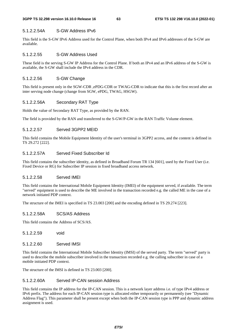### 5.1.2.2.54A S-GW Address IPv6

This field is the S-GW IPv6 Address used for the Control Plane, when both IPv4 and IPv6 addresses of the S-GW are available.

#### 5.1.2.2.55 S-GW Address Used

These field is the serving S-GW IP Address for the Control Plane. If both an IPv4 and an IPv6 address of the S-GW is available, the S-GW shall include the IPv4 address in the CDR.

### 5.1.2.2.56 S-GW Change

This field is present only in the SGW-CDR ,ePDG-CDR or TWAG-CDR to indicate that this is the first record after an inter serving node change (change from SGW, ePDG, TWAG, HSGW).

### 5.1.2.2.56A Secondary RAT Type

Holds the value of Secondary RAT Type, as provided by the RAN.

The field is provided by the RAN and transferred to the S-GW/P-GW in the RAN Traffic Volume element.

# 5.1.2.2.57 Served 3GPP2 MEID

This field contains the Mobile Equipment Identity of the user's terminal in 3GPP2 access, and the content is defined in TS 29.272 [222].

# 5.1.2.2.57A Served Fixed Subscriber Id

This field contains the subscriber identity, as defined in Broadband Forum TR 134 [601], used by the Fixed User (i.e. Fixed Device or RG) for Subscriber IP session in fixed broadband access network.

## 5.1.2.2.58 Served IMEI

This field contains the International Mobile Equipment Identity (IMEI) of the equipment served, if available. The term "served" equipment is used to describe the ME involved in the transaction recorded e.g. the called ME in the case of a network initiated PDP context.

The structure of the IMEI is specified in TS 23.003 [200] and the encoding defined in TS 29.274 [223].

### 5.1.2.2.58A SCS/AS Address

This field contains the Address of SCS/AS.

5.1.2.2.59 void

### 5.1.2.2.60 Served IMSI

This field contains the International Mobile Subscriber Identity (IMSI) of the served party. The term "served" party is used to describe the mobile subscriber involved in the transaction recorded e.g. the calling subscriber in case of a mobile initiated PDP context.

The structure of the IMSI is defined in TS 23.003 [200].

## 5.1.2.2.60A Served IP-CAN session Address

This field contains the IP address for the IP-CAN session. This is a network layer address i.e. of type IPv4 address or IPv6 prefix. The address for each IP-CAN session type is allocated either temporarily or permanently (see "Dynamic Address Flag"). This parameter shall be present except when both the IP-CAN session type is PPP and dynamic address assignment is used.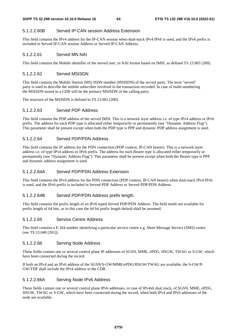## 5.1.2.2.60B Served IP-CAN session Address Extension

This field contains the IPv4 address for the IP-CAN session when dual-stack IPv4 IPv6 is used, and the IPv6 prefix is included in Served IP-CAN session Address or Served IP-CAN Address.

# 5.1.2.2.61 Served MN NAI

This field contains the Mobile identifier of the served user, in NAI format based on IMSI, as defined TS 23.003 [200].

## 5.1.2.2.62 Served MSISDN

This field contains the Mobile Station (MS) ISDN number (MSISDN) of the served party. The term "served" party is used to describe the mobile subscriber involved in the transaction recorded. In case of multi-numbering the MSISDN stored in a CDR will be the primary MSISDN of the calling party.

The structure of the MSISDN is defined in TS 23.003 [200].

## 5.1.2.2.63 Served PDP Address

This field contains the PDP address of the served IMSI. This is a network layer address i.e. of type IPv4 address or IPv6 prefix. The address for each PDP type is allocated either temporarily or permanently (see "Dynamic Address Flag"). This parameter shall be present except when both the PDP type is PPP and dynamic PDP address assignment is used.

## 5.1.2.2.64 Served PDP/PDN Address

This field contains the IP address for the PDN connection (PDP context, IP-CAN bearer). This is a network layer address i.e. of type IPv4 address or IPv6 prefix. The address for each Bearer type is allocated either temporarily or permanently (see "Dynamic Address Flag"). This parameter shall be present except when both the Bearer type is PPP and dynamic address assignment is used.

# 5.1.2.2.64A Served PDP/PDN Address Extension

This field contains the IPv4 address for the PDN connection (PDP context, IP-CAN bearer) when dual-stack IPv4 IPv6 is used, and the IPv6 prefix is included in Served PDP Address or Served PDP/PDN Address.

### 5.1.2.2.64B Served PDP/PDN Address prefix length

This field contains the prefix length of an IPv6 typed Served PDP/PDN Address. The field needs not available for prefix length of 64 bits, as in this case the 64 bit prefix length default shall be assumed.

## 5.1.2.2.65 Service Centre Address

This field contains a E.164 number identifying a particular service centre e.g. Short Message Service (SMS) centre (see TS 23.040 [201]).

## 5.1.2.2.66 Serving Node Address

These fields contain one or several control plane IP addresses of SGSN, MME, ePDG, HSGW, TWAG or S-GW, which have been connected during the record.

If both an IPv4 and an IPv6 address of the SGSN/S-GW/MME/ePDG/HSGW/TWAG are available, the S-GW/P-GW/TDF shall include the IPv4 address in the CDR.

## 5.1.2.2.66A Serving Node IPv6 Address

These fields contain one or several control plane IPv6 addresses, in case of IPv4v6 dual stack, of SGSN, MME, ePDG, HSGW, TWAG or S-GW, which have been connected during the record, when both IPv4 and IPv6 addresses of the node are available.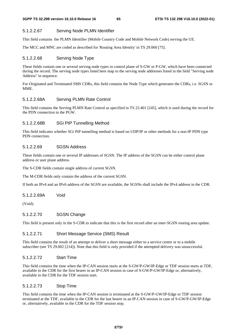## 5.1.2.2.67 Serving Node PLMN Identifier

This field contains the PLMN Identifier (Mobile Country Code and Mobile Network Code) serving the UE.

The MCC and MNC are coded as described for 'Routing Area Identity' in TS 29.060 [75].

## 5.1.2.2.68 Serving Node Type

These fields contain one or several serving node types in control plane of S-GW or P-GW, which have been connected during the record. The serving node types listed here map to the serving node addresses listed in the field "Serving node Address" in sequence.

For Originated and Terminated SMS CDRs, this field contains the Node Type which generates the CDRs, i.e. SGSN or MME.

## 5.1.2.2.68A Serving PLMN Rate Control

This field contains the Serving PLMN Rate Control as specified in TS 23.401 [245], which is used during the record for the PDN connection to the PGW.

# 5.1.2.2.68B SGi PtP Tunnelling Method

This field indicates whether SGi PtP tunnelling method is based on UDP/IP or other methods for a non-IP PDN type PDN connection.

### 5.1.2.2.69 SGSN Address

These fields contain one or several IP addresses of SGSN. The IP address of the SGSN can be either control plane address or user plane address.

The S-CDR fields contain single address of current SGSN.

The M-CDR fields only contain the address of the current SGSN.

If both an IPv4 and an IPv6 address of the SGSN are available, the SGSNs shall include the IPv4 address in the CDR.

### 5.1.2.2.69A Void

(Void).

## 5.1.2.2.70 SGSN Change

This field is present only in the S-CDR to indicate that this is the first record after an inter-SGSN routing area update.

## 5.1.2.2.71 Short Message Service (SMS) Result

This field contains the result of an attempt to deliver a short message either to a service centre or to a mobile subscriber (see TS 29.002 [214]). Note that this field is only provided if the attempted delivery was unsuccessful.

### 5.1.2.2.72 Start Time

This field contains the time when the IP-CAN session starts at the S-GW/P-GW/IP-Edge or TDF session starts at TDF, available in the CDR for the first bearer in an IP-CAN session in case of S-GW/P-GW/IP-Edge or, alternatively, available in the CDR for the TDF session start.

## 5.1.2.2.73 Stop Time

This field contains the time when the IP-CAN session is terminated at the S-GW/P-GW/IP-Edge or TDF session terminated at the TDF, available in the CDR for the last bearer in an IP-CAN session in case of S-GW/P-GW/IP-Edge or, alternatively, available in the CDR for the TDF session stop.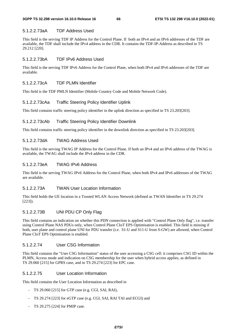## 5.1.2.2.73aA TDF Address Used

This field is the serving TDF IP Address for the Control Plane. If both an IPv4 and an IPv6 addresses of the TDF are available, the TDF shall include the IPv4 address in the CDR. It contains the TDF-IP-Address as described in TS 29.212 [220].

## 5.1.2.2.73bA TDF IPv6 Address Used

This field is the serving TDF IPv6 Address for the Control Plane, when both IPv4 and IPv6 addresses of the TDF are available.

## 5.1.2.2.73cA TDF PLMN Identifier

This field is the TDF PMLN Identifier (Mobile Country Code and Mobile Network Code).

# 5.1.2.2.73cAa Traffic Steering Policy Identifier Uplink

This field contains traffic steering policy identifier in the uplink direction as specified in TS 23.203[203].

## 5.1.2.2.73cAb Traffic Steering Policy Identifier Downlink

This field contains traffic steering policy identifier in the downlink direction as specified in TS 23.203[203].

## 5.1.2.2.73dA TWAG Address Used

This field is the serving TWAG IP Address for the Control Plane. If both an IPv4 and an IPv6 address of the TWAG is available, the TWAG shall include the IPv4 address in the CDR.

## 5.1.2.2.73eA TWAG IPv6 Address

This field is the serving TWAG IPv6 Address for the Control Plane, when both IPv4 and IPv6 addresses of the TWAG are available.

### 5.1.2.2.73A TWAN User Location Information

This field holds the UE location in a Trusted WLAN Access Network (defined as TWAN Identifier in TS 29.274 [223]).

### 5.1.2.2.73B UNI PDU CP Only Flag

This field contains an indication on whether this PDN connection is applied with "Control Plane Only flag", i.e. transfer using Control Plane NAS PDUs only, when Control Plane CIoT EPS Optimisation is enabled. This field is missing if both, user plane and control plane UNI for PDU transfer (i.e. S1-U and S11-U from S-GW) are allowed, when Control Plane CIoT EPS Optimisation is enabled.

### 5.1.2.2.74 User CSG Information

This field contains the "User CSG Information" status of the user accessing a CSG cell: it comprises CSG ID within the PLMN, Access mode and indication on CSG membership for the user when hybrid access applies, as defined in TS 29.060 [215] for GPRS case, and in TS 29.274 [223] for EPC case.

### 5.1.2.2.75 User Location Information

This field contains the User Location Information as described in

- TS 29.060 [215] for GTP case (e.g. CGI, SAI, RAI),
- TS 29.274 [223] for eGTP case (e.g. CGI, SAI, RAI TAI and ECGI) and
- TS 29.275 [224] for PMIP case.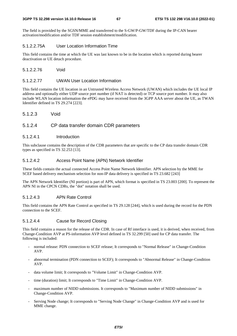The field is provided by the SGSN/MME and transferred to the S-GW/P-GW/TDF during the IP-CAN bearer activation/modification and/or TDF session establishment/modification.

# 5.1.2.2.75A User Location Information Time

This field contains the time at which the UE was last known to be in the location which is reported during bearer deactivation or UE detach procedure.

5.1.2.2.76 Void

#### 5.1.2.2.77 UWAN User Location Information

This field contains the UE location in an Untrusted Wireless Access Network (UWAN) which includes the UE local IP address and optionally either UDP source port number (if NAT is detected) or TCP source port number. It may also include WLAN location information the ePDG may have received from the 3GPP AAA server about the UE, as TWAN Identifier defined in TS 29.274 [223].

5.1.2.3 Void

# 5.1.2.4 CP data transfer domain CDR parameters

#### 5.1.2.4.1 Introduction

This subclause contains the description of the CDR parameters that are specific to the CP data transfer domain CDR types as specified in TS 32.253 [13].

### 5.1.2.4.2 Access Point Name (APN) Network Identifier

These fields contain the actual connected Access Point Name Network Identifier. APN selection by the MME for SCEF based delivery mechanism selection for non-IP data delivery is specified in TS 23.682 [243]

The APN Network Identifier (NI portion) is part of APN, which format is specified in TS 23.003 [200]. To represent the APN NI in the CPCN CDRs, the "dot" notation shall be used.

#### 5.1.2.4.3 APN Rate Control

This field contains the APN Rate Control as specified in TS 29.128 [244], which is used during the record for the PDN connection to the SCEF.

## 5.1.2.4.4 Cause for Record Closing

This field contains a reason for the release of the CDR. In case of Rf interface is used, it is derived, when received, from Change-Condition AVP at PS-information AVP level defined in TS 32.299 [50] used for CP data transfer. The following is included:

- normal release: PDN connection to SCEF release; It corresponds to "Normal Release" in Change-Condition AVP.
- abnormal termination (PDN connection to SCEF); It corresponds to "Abnormal Release" in Change-Condition AVP.
- data volume limit; It corresponds to "Volume Limit" in Change-Condition AVP.
- time (duration) limit; It corresponds to "Time Limit" in Change-Condition AVP.
- maximum number of NIDD submissions. It corresponds to "Maximum number of NIDD submissions" in Change-Condition AVP.
- Serving Node change; It corresponds to "Serving Node Change" in Change-Condition AVP and is used for MME change.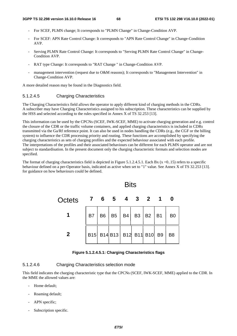- For SCEF, PLMN change; It corresponds to "PLMN Change" in Change-Condition AVP.
- For SCEF: APN Rate Control Change: It corresponds to "APN Rate Control Change" in Change-Condition AVP.
- Serving PLMN Rate Control Change: It corresponds to "Serving PLMN Rate Control Change" in Change-Condition AVP.
- RAT type Change: It corresponds to "RAT Change " in Change-Condition AVP.
- management intervention (request due to O&M reasons); It corresponds to "Management Intervention" in Change-Condition AVP.

A more detailed reason may be found in the Diagnostics field.

### 5.1.2.4.5 Charging Characteristics

The Charging Characteristics field allows the operator to apply different kind of charging methods in the CDRs. A subscriber may have Charging Characteristics assigned to his subscription. These characteristics can be supplied by the HSS and selected according to the rules specified in Annex X of TS 32.253 [13].

This information can be used by the CPCNs (SCEF, IWK-SCEF, MME) to activate charging generation and e.g. control the closure of the CDR or the traffic volume containers, and applied charging characteristics is included in CDRs transmitted via the Ga/Rf reference point. It can also be used in nodes handling the CDRs (e.g., the CGF or the billing system) to influence the CDR processing priority and routing. These functions are accomplished by specifying the charging characteristics as sets of charging profiles and the expected behaviour associated with each profile. The interpretations of the profiles and their associated behaviours can be different for each PLMN operator and are not subject to standardisation. In the present document only the charging characteristic formats and selection modes are specified.

The format of charging characteristics field is depicted in Figure 5.1.2.4.5.1. Each Bx ( $x = 0.15$ ) refers to a specific behaviour defined on a per-Operator basis, indicated as active when set to "1" value. See Annex X of TS 32.253 [13]. for guidance on how behaviours could be defined.



**Figure 5.1.2.4.5.1: Charging Characteristics flags** 

## 5.1.2.4.6 Charging Characteristics selection mode

This field indicates the charging characteristic type that the CPCNs (SCEF, IWK-SCEF, MME) applied to the CDR. In the MME the allowed values are:

- Home default:
- Roaming default;
- APN specific;
- Subscription specific.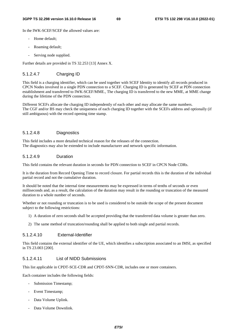In the IWK-SCEF/SCEF the allowed values are:

- Home default;
- Roaming default:
- Serving node supplied.

Further details are provided in TS 32.253 [13] Annex X.

# 5.1.2.4.7 Charging ID

This field is a charging identifier, which can be used together with SCEF Identity to identify all records produced in CPCN Nodes involved in a single PDN connection to a SCEF. Charging ID is generated by SCEF at PDN connection establishment and transferred to IWK-SCEF/MME., The charging ID is transferred to the new MME, at MME change during the lifetime of the PDN connection.

Different SCEFs allocate the charging ID independently of each other and may allocate the same numbers. The CGF and/or BS may check the uniqueness of each charging ID together with the SCEFs address and optionally (if still ambiguous) with the record opening time stamp.

## 5.1.2.4.8 Diagnostics

This field includes a more detailed technical reason for the releases of the connection. The diagnostics may also be extended to include manufacturer and network specific information.

## 5.1.2.4.9 Duration

This field contains the relevant duration in seconds for PDN connection to SCEF in CPCN Node CDRs.

It is the duration from Record Opening Time to record closure. For partial records this is the duration of the individual partial record and not the cumulative duration.

It should be noted that the internal time measurements may be expressed in terms of tenths of seconds or even milliseconds and, as a result, the calculation of the duration may result in the rounding or truncation of the measured duration to a whole number of seconds.

Whether or not rounding or truncation is to be used is considered to be outside the scope of the present document subject to the following restrictions:

- 1) A duration of zero seconds shall be accepted providing that the transferred data volume is greater than zero.
- 2) The same method of truncation/rounding shall be applied to both single and partial records.

### 5.1.2.4.10 External-Identifier

This field contains the external identifier of the UE, which identifies a subscription associated to an IMSI, as specified in TS 23.003 [200].

### 5.1.2.4.11 List of NIDD Submissions

This list applicable in CPDT-SCE-CDR and CPDT-SNN-CDR, includes one or more containers.

Each container includes the following fields:

- Submission Timestamp;
- Event Timestamp;
- Data Volume Uplink.
- Data Volume Downlink.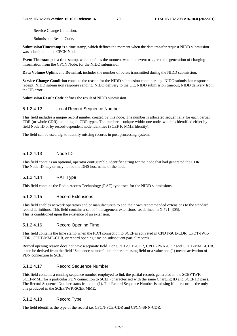- Service Change Condition.
- Submission Result Code.

**SubmissionTimestamp** is a time stamp, which defines the moment when the data transfer request NIDD submission was submitted to the CPCN Node.

**Event Timestamp** is a time stamp, which defines the moment when the event triggered the generation of charging information from the CPCN Node, for the NIDD submission.

**Data Volume Uplink** and **Downlink** includes the number of octets transmitted during the NIDD submission.

**Service Change Condition** contains the reason for the NIDD submission container, e.g. NIDD submission response receipt, NIDD submission response sending, NIDD delivery to the UE, NIDD submission timeout, NIDD delivery from the UE error.

**Submission Result Code** defines the result of NIDD submission.

### 5.1.2.4.12 Local Record Sequence Number

This field includes a unique record number created by this node. The number is allocated sequentially for each partial CDR (or whole CDR) including all CDR types. The number is unique within one node, which is identified either by field Node ID or by record-dependent node identities (SCEF F, MME Identity).

The field can be used e.g. to identify missing records in post processing system.

## 5.1.2.4.13 Node ID

This field contains an optional, operator configurable, identifier string for the node that had generated the CDR. The Node ID may or may not be the DNS host name of the node.

## 5.1.2.4.14 RAT Type

This field contains the Radio Access Technology (RAT) type used for the NIDD submissions.

## 5.1.2.4.15 Record Extensions

This field enables network operators and/or manufacturers to add their own recommended extensions to the standard record definitions. This field contains a set of "management extensions" as defined in X.721 [305]. This is conditioned upon the existence of an extension.

### 5.1.2.4.16 Record Opening Time

This field contains the time stamp when the PDN connection to SCEF is activated in CPDT-SCE-CDR, CPDT-IWK-CDR, CPDT-MME-CDR, or record opening time on subsequent partial records.

Record opening reason does not have a separate field. For CPDT-SCE-CDR, CPDT-IWK-CDR and CPDT-MME-CDR, it can be derived from the field "Sequence number"; i.e. either a missing field or a value one (1) means activation of PDN connection to SCEF.

### 5.1.2.4.17 Record Sequence Number

This field contains a running sequence number employed to link the partial records generated in the SCEF/IWK-SCEF/MME for a particular PDN connection to SCEF (characterised with the same Charging ID and SCEF ID pair). The Record Sequence Number starts from one (1). The Record Sequence Number is missing if the record is the only one produced in the SCEF/IWK-SCEF/MME.

## 5.1.2.4.18 Record Type

The field identifies the type of the record i.e. CPCN-SCE-CDR and CPCN-SNN-CDR.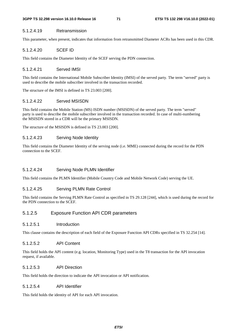#### 5.1.2.4.19 Retransmission

This parameter, when present, indicates that information from retransmitted Diameter ACRs has been used in this CDR.

### 5.1.2.4.20 SCEF ID

This field contains the Diameter Identity of the SCEF serving the PDN connection.

#### 5.1.2.4.21 Served IMSI

This field contains the International Mobile Subscriber Identity (IMSI) of the served party. The term "served" party is used to describe the mobile subscriber involved in the transaction recorded.

The structure of the IMSI is defined in TS 23.003 [200].

### 5.1.2.4.22 Served MSISDN

This field contains the Mobile Station (MS) ISDN number (MSISDN) of the served party. The term "served" party is used to describe the mobile subscriber involved in the transaction recorded. In case of multi-numbering the MSISDN stored in a CDR will be the primary MSISDN.

The structure of the MSISDN is defined in TS 23.003 [200].

## 5.1.2.4.23 Serving Node Identity

This field contains the Diameter Identity of the serving node (i.e. MME) connected during the record for the PDN connection to the SCEF.

## 5.1.2.4.24 Serving Node PLMN Identifier

This field contains the PLMN Identifier (Mobile Country Code and Mobile Network Code) serving the UE.

#### 5.1.2.4.25 Serving PLMN Rate Control

This field contains the Serving PLMN Rate Control as specified in TS 29.128 [244], which is used during the record for the PDN connection to the SCEF.

# 5.1.2.5 Exposure Function API CDR parameters

## 5.1.2.5.1 Introduction

This clause contains the description of each field of the Exposure Function API CDRs specified in TS 32.254 [14].

# 5.1.2.5.2 API Content

This field holds the API content (e.g. location, Monitoring Type) used in the T8 transaction for the API invocation request, if available.

### 5.1.2.5.3 API Direction

This field holds the direction to indicate the API invocation or API notification.

# 5.1.2.5.4 API Identifier

This field holds the identity of API for each API invocation.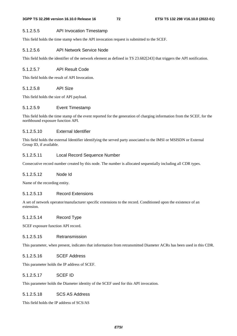#### 5.1.2.5.5 API Invocation Timestamp

This field holds the time stamp when the API invocation request is submitted to the SCEF.

#### 5.1.2.5.6 API Network Service Node

This field holds the identifier of the network element as defined in TS 23.682[243] that triggers the API notification.

#### 5.1.2.5.7 API Result Code

This field holds the result of API Invocation.

### 5.1.2.5.8 API Size

This field holds the size of API payload.

## 5.1.2.5.9 Event Timestamp

This field holds the time stamp of the event reported for the generation of charging information from the SCEF, for the northbound exposure function API.

## 5.1.2.5.10 External Identifier

This field holds the external Identifier identifying the served party associated to the IMSI or MSISDN or External Group ID, if available.

## 5.1.2.5.11 Local Record Sequence Number

Consecutive record number created by this node. The number is allocated sequentially including all CDR types.

## 5.1.2.5.12 Node Id

Name of the recording entity.

## 5.1.2.5.13 Record Extensions

A set of network operator/manufacturer specific extensions to the record. Conditioned upon the existence of an extension.

### 5.1.2.5.14 Record Type

SCEF exposure function API record.

#### 5.1.2.5.15 Retransmission

This parameter, when present, indicates that information from retransmitted Diameter ACRs has been used in this CDR.

## 5.1.2.5.16 SCEF Address

This parameter holds the IP address of SCEF.

#### 5.1.2.5.17 SCEF ID

This parameter holds the Diameter identity of the SCEF used for this API invocation.

#### 5.1.2.5.18 SCS AS Address

This field holds the IP address of SCS/AS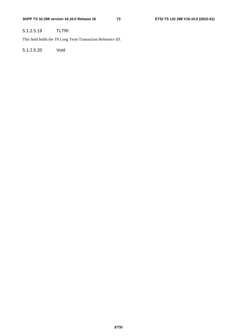# 5.1.2.5.19 TLTRI

This field holds the T8 Long Term Transaction Reference ID.

5.1.2.5.20 Void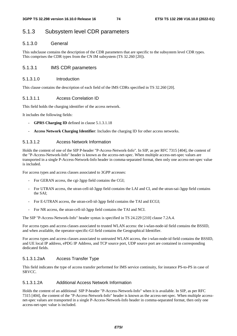# 5.1.3 Subsystem level CDR parameters

## 5.1.3.0 General

This subclause contains the description of the CDR parameters that are specific to the subsystem level CDR types. This comprises the CDR types from the CN IM subsystem (TS 32.260 [20]).

## 5.1.3.1 IMS CDR parameters

#### 5.1.3.1.0 Introduction

This clause contains the description of each field of the IMS CDRs specified in TS 32.260 [20].

#### 5.1.3.1.1 Access Correlation ID

This field holds the charging identifier of the access network.

It includes the following fields:

- **GPRS Charging ID** defined in clause 5.1.3.1.18
- **Access Network Charging Identifier**: Includes the charging ID for other access networks.

#### 5.1.3.1.2 Access Network Information

Holds the content of one of the SIP P-header "P-Access-Network-Info". In SIP, as per RFC 7315 [404], the content of the "P-Access-Network-Info" header is known as the access-net-spec. When multiple access-net-spec values are transported in a single P-Access-Network-Info header in comma-separated format, then only one access-net-spec value is included.

For access types and access classes associated to 3GPP accesses:

- For GERAN access, the cgi-3gpp field contains the CGI;
- For UTRAN access, the utran-cell-id-3gpp field contains the LAI and CI, and the utran-sai-3gpp field contains the SAI;
- For E-UTRAN access, the utran-cell-id-3gpp field contains the TAI and ECGI;
- For NR access, the utran-cell-id-3gpp field contains the TAI and NCI.

The SIP "P-Access-Network-Info" header syntax is specified in TS 24.229 [210] clause 7.2A.4.

For access types and access classes associated to trusted WLAN access: the i-wlan-node-id field contains the BSSID, and when available, the operator-specific-GI field contains the Geographical Identifier.

For access types and access classes associated to untrusted WLAN access, the i-wlan-node-id field contains the BSSID, and UE local IP address, ePDG IP Address, and TCP source port, UDP source port are contained in corresponding dedicated fields.

#### 5.1.3.1.2aA Access Transfer Type

This field indicates the type of access transfer performed for IMS service continuity, for instance PS-to-PS in case of SRVCC.

## 5.1.3.1.2A Additional Access Network Information

Holds the content of an additional SIP P-header "P-Access-Network-Info" when it is available. In SIP, as per RFC 7315 [404], the content of the "P-Access-Network-Info" header is known as the access-net-spec. When multiple accessnet-spec values are transported in a single P-Access-Network-Info header in comma-separated format, then only one access-net-spec value is included.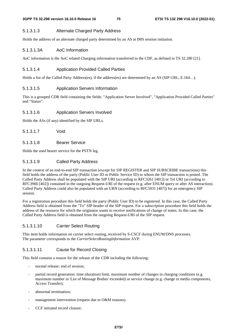## 5.1.3.1.3 Alternate Charged Party Address

Holds the address of an alternate charged party determined by an AS at IMS session initiation.

## 5.1.3.1.3A AoC Information

AoC information is the AoC related Charging information transferred to the CDF, as defined in TS 32.280 [21].

## 5.1.3.1.4 Application Provided Called Parties

Holds a list of the Called Party Address(es), if the address(es) are determined by an AS (SIP URL, E.164…).

## 5.1.3.1.5 Application Servers Information

This is a grouped CDR field containing the fields: "Application Server Involved", "Application Provided Called Parties" and "Status".

#### 5.1.3.1.6 Application Servers Involved

Holds the ASs (if any) identified by the SIP URLs.

5.1.3.1.7 Void

## 5.1.3.1.8 Bearer Service

Holds the used bearer service for the PSTN leg.

## 5.1.3.1.9 Called Party Address

In the context of an end-to-end SIP transaction (except for SIP REGISTER and SIP SUBSCRIBE transactions) this field holds the address of the party (Public User ID or Public Service ID) to whom the SIP transaction is posted. The Called Party Address shall be populated with the SIP URI (according to RFC3261 [401]) or Tel URI (according to RFC3966 [402]) contained in the outgoing Request-URI of the request (e.g. after ENUM query or after AS interaction). Called Party Address could also be populated with an URN (according to RFC5031 [407]) for an emergency SIP session.

For a registration procedure this field holds the party (Public User ID) to be registered. In this case, the Called Party Address field is obtained from the "To" SIP header of the SIP request. For a subscription procedure this field holds the address of the resource for which the originator wants to receive notifications of change of states. In this case, the Called Party Address field is obtained from the outgoing Request-URI of the SIP request.

## 5.1.3.1.10 Carrier Select Routing

This item holds information on carrier select routing, received by S-CSCF during ENUM/DNS processes. The parameter corresponds to the *CarrierSelectRoutingInformation* AVP.

## 5.1.3.1.11 Cause for Record Closing

This field contains a reason for the release of the CDR including the following:

- normal release: end of session;
- partial record generation: time (duration) limit, maximum number of changes in charging conditions (e.g. maximum number in 'List of Message Bodies' exceeded) or service change (e.g. change in media components, Access Transfer);
- abnormal termination;
- management intervention (request due to O&M reasons).
- CCF initiated record closure;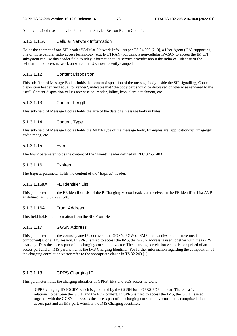A more detailed reason may be found in the Service Reason Return Code field.

#### 5.1.3.1.11A Cellular Network Information

Holds the content of one SIP header "Cellular-Network-Info". As per TS 24.299 [210], a User Agent (UA) supporting one or more cellular radio access technology (e.g. E-UTRAN) but using a non-cellular IP-CAN to access the IM CN subsystem can use this header field to relay information to its service provider about the radio cell identity of the cellular radio access network on which the UE most recently camped.

## 5.1.3.1.12 Content Disposition

This sub-field of Message Bodies holds the content disposition of the message body inside the SIP signalling, Contentdisposition header field equal to "render", indicates that "the body part should be displayed or otherwise rendered to the user". Content disposition values are: session, render, inline, icon, alert, attachment, etc.

## 5.1.3.1.13 Content Length

This sub-field of Message Bodies holds the size of the data of a message body in bytes.

## 5.1.3.1.14 Content Type

This sub-field of Message Bodies holds the MIME type of the message body, Examples are: application/zip, image/gif, audio/mpeg, etc.

## 5.1.3.1.15 Event

The *Event* parameter holds the content of the "Event" header defined in RFC 3265 [403],

## 5.1.3.1.16 Expires

The *Expires* parameter holds the content of the "Expires" header.

#### 5.1.3.1.16aA FE Identifier List

This parameter holds the FE Identifier List of the P-Charging-Vector header, as received in the FE-Identifier-List AVP as defined in TS 32.299 [50].

## 5.1.3.1.16A From Address

This field holds the information from the SIP From Header.

## 5.1.3.1.17 GGSN Address

This parameter holds the control plane IP address of the GGSN, PGW or SMF that handles one or more media component(s) of a IMS session. If GPRS is used to access the IMS, the GGSN address is used together with the GPRS charging ID as the access part of the charging correlation vector. The charging correlation vector is comprised of an access part and an IMS part, which is the IMS Charging Identifier. For further information regarding the composition of the charging correlation vector refer to the appropriate clause in TS 32.240 [1].

## 5.1.3.1.18 GPRS Charging ID

This parameter holds the charging identifier of GPRS, EPS and 5GS access network:

GPRS charging ID (GCID) which is generated by the GGSN for a GPRS PDP context. There is a 1:1 relationship between the GCID and the PDP context. If GPRS is used to access the IMS, the GCID is used together with the GGSN address as the access part of the charging correlation vector that is comprised of an access part and an IMS part, which is the IMS Charging Identifier.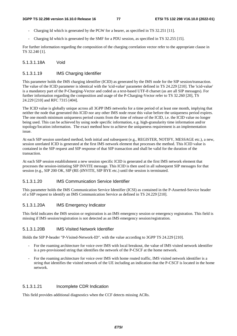- Charging Id which is generated by the PGW for a bearer, as specified in TS 32.251 [11].
- Charging Id which is generated by the SMF for a PDU session, as specified in TS 32.255 [15].

For further information regarding the composition of the charging correlation vector refer to the appropriate clause in TS 32.240 [1].

#### 5.1.3.1.18A Void

## 5.1.3.1.19 IMS Charging Identifier

This parameter holds the IMS charging identifier (ICID) as generated by the IMS node for the SIP session/transaction. The value of the ICID parameter is identical with the 'icid-value' parameter defined in TS 24.229 [210]. The 'icid-value' is a mandatory part of the P-Charging-Vector and coded as a text-based UTF-8 charset (as are all SIP messages). For further information regarding the composition and usage of the P-Charging-Vector refer to TS 32.260 [20], TS 24.229 [210] and RFC 7315 [404].

The ICID value is globally unique across all 3GPP IMS networks for a time period of at least one month, implying that neither the node that generated this ICID nor any other IMS node reuse this value before the uniqueness period expires. The one month minimum uniqueness period counts from the time of release of the ICID, i.e. the ICID value no longer being used. This can be achieved by using node specific information, e.g. high-granularity time information and/or topology/location information. The exact method how to achieve the uniqueness requirement is an implementation issue.

At each SIP session unrelated method, both initial and subsequent (e.g., REGISTER, NOTIFY, MESSAGE etc.), a new, session unrelated ICID is generated at the first IMS network element that processes the method. This ICID value is contained in the SIP request and SIP response of that SIP transaction and shall be valid for the duration of the transaction.

At each SIP session establishment a new session specific ICID is generated at the first IMS network element that processes the session-initiating SIP INVITE message. This ICID is then used in all subsequent SIP messages for that session (e.g., SIP 200 OK, SIP (RE-)INVITE, SIP BYE etc.) until the session is terminated.

#### 5.1.3.1.20 IMS Communication Service Identifier

This parameter holds the IMS Communication Service Identifier (ICSI) as contained in the P-Asserted-Service header of a SIP request to identify an IMS Communication Service as defined in TS 24.229 [210].

#### 5.1.3.1.20A IMS Emergency Indicator

This field indicates the IMS session or registration is an IMS emergency session or emergency registration. This field is missing if IMS session/registration is not detected as an IMS emergency session/registration.

#### 5.1.3.1.20B IMS Visited Network Identifier

Holds the SIP P-header "P-Visited-Network-ID". with the value according to 3GPP TS 24.229 [210].

- For the roaming architecture for voice over IMS with local breakout, the value of IMS visited network identifier is a pre-provisioned string that identifies the network of the P-CSCF at the home network.
- For the roaming architecture for voice over IMS with home routed traffic, IMS visited network identifier is a string that identifies the visited network of the UE including an indication that the P-CSCF is located in the home network.

## 5.1.3.1.21 Incomplete CDR Indication

This field provides additional diagnostics when the CCF detects missing ACRs.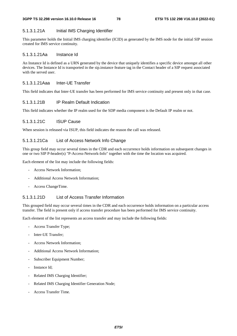## 5.1.3.1.21A Initial IMS Charging Identifier

This parameter holds the Initial IMS charging identifier (ICID) as generated by the IMS node for the initial SIP session created for IMS service continuity.

## 5.1.3.1.21Aa Instance Id

An Instance Id is defined as a URN generated by the device that uniquely identifies a specific device amongst all other devices. The Instance Id is transported in the sip.instance feature tag in the Contact header of a SIP request associated with the served user.

## 5.1.3.1.21Aaa Inter-UE Transfer

This field indicates that Inter-UE transfer has been performed for IMS service continuity and present only in that case.

#### 5.1.3.1.21B IP Realm Default Indication

This field indicates whether the IP realm used for the SDP media component is the Default IP realm or not.

## 5.1.3.1.21C ISUP Cause

When session is released via ISUP, this field indicates the reason the call was released.

#### 5.1.3.1.21Ca List of Access Network Info Change

This group field may occur several times in the CDR and each occurrence holds information on subsequent changes in one or two SIP P-header(s) "P-Access-Network-Info" together with the time the location was acquired.

Each element of the list may include the following fields:

- Access Network Information;
- Additional Access Network Information;
- Access ChangeTime.

### 5.1.3.1.21D List of Access Transfer Information

This grouped field may occur several times in the CDR and each occurrence holds information on a particular access transfer. The field is present only if access transfer procedure has been performed for IMS service continuity.

Each element of the list represents an access transfer and may include the following fields:

- Access Transfer Type;
- Inter-UE Transfer;
- Access Network Information:
- Additional Access Network Information;
- Subscriber Equipment Number;
- Instance Id;
- Related IMS Charging Identifier;
- Related IMS Charging Identifier Generation Node;
- Access Transfer Time.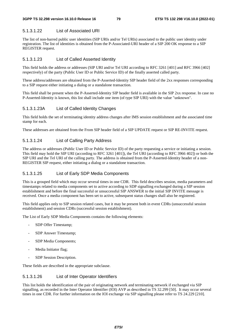## 5.1.3.1.22 List of Associated URI

The list of non-barred public user identities (SIP URIs and/or Tel URIs) associated to the public user identity under registration. The list of identities is obtained from the P-Associated-URI header of a SIP 200 OK response to a SIP REGISTER request.

## 5.1.3.1.23 List of Called Asserted Identity

This field holds the address or addresses (SIP URI and/or Tel URI according to RFC 3261 [401] and RFC 3966 [402] respectively) of the party (Public User ID or Public Service ID) of the finally asserted called party.

These address/addresses are obtained from the P-Asserted-Identity SIP header field of the 2xx responses corresponding to a SIP request either initiating a dialog or a standalone transaction.

This field shall be present when the P-Asserted-Identity SIP header field is available in the SIP 2xx response. In case no P-Asserted-Identity is known, this list shall include one item (of type SIP URI) with the value "unknown".

## 5.1.3.1.23A List of Called Identity Changes

This field holds the set of terminating identity address changes after IMS session establishment and the associated time stamp for each.

These addresses are obtained from the From SIP header field of a SIP UPDATE request or SIP RE-INVITE request.

## 5.1.3.1.24 List of Calling Party Address

The address or addresses (Public User ID or Public Service ID) of the party requesting a service or initiating a session. This field may hold the SIP URI (according to RFC 3261 [401]), the Tel URI (according to RFC 3966 402]) or both the SIP URI and the Tel URI of the calling party. The address is obtained from the P-Asserted-Identity header of a non-REGISTER SIP request, either initiating a dialog or a standalone transaction.

## 5.1.3.1.25 List of Early SDP Media Components

This is a grouped field which may occur several times in one CDR. This field describes session, media parameters and timestamps related to media components set to active according to SDP signalling exchanged during a SIP session establishment and before the final successful or unsuccessful SIP ANSWER to the initial SIP INVITE message is received. Once a media component has been set to active, subsequent status changes shall also be registered.

This field applies only to SIP session related cases, but it may be present both in event CDRs (unsuccessful session establishment) and session CDRs (successful session establishment).

The List of Early SDP Media Components contains the following elements:

- SDP Offer Timestamp;
- SDP Answer Timestamp;
- SDP Media Components;
- Media Initiator flag;
- SDP Session Description.

These fields are described in the appropriate subclause.

#### 5.1.3.1.26 List of Inter Operator Identifiers

This list holds the identification of the pair of originating network and terminating network if exchanged via SIP signalling, as recorded in the Inter Operator Identifier (IOI) AVP as described in TS 32.299 [50]. It may occur several times in one CDR. For further information on the IOI exchange via SIP signalling please refer to TS 24.229 [210].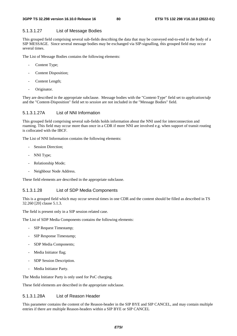## 5.1.3.1.27 List of Message Bodies

This grouped field comprising several sub-fields describing the data that may be conveyed end-to-end in the body of a SIP MESSAGE. Since several message bodies may be exchanged via SIP-signalling, this grouped field may occur several times.

The List of Message Bodies contains the following elements:

- Content Type;
- Content Disposition:
- Content Length;
- Originator.

They are described in the appropriate subclause. Message bodies with the "Content-Type" field set to *application/sdp* and the "Content-Disposition" field set to *session* are not included in the "Message Bodies" field.

#### 5.1.3.1.27A List of NNI Information

This grouped field comprising several sub-fields holds information about the NNI used for interconnection and roaming. This field may occur more than once in a CDR if more NNI are involved e.g. when support of transit routing is collocated with the IBCF.

The List of NNI Information contains the following elements:

- Session Direction:
- NNI Type;
- Relationship Mode;
- Neighbour Node Address.

These field elements are described in the appropriate subclause.

### 5.1.3.1.28 List of SDP Media Components

This is a grouped field which may occur several times in one CDR and the content should be filled as described in TS 32.260 [20] clause 5.1.3.

The field is present only in a SIP session related case.

The List of SDP Media Components contains the following elements:

- SIP Request Timestamp;
- SIP Response Timestamp;
- SDP Media Components;
- Media Initiator flag;
- SDP Session Description.
- Media Initiator Party.

The Media Initiator Party is only used for PoC charging.

These field elements are described in the appropriate subclause.

## 5.1.3.1.28A List of Reason Header

This parameter contains the content of the Reason-header in the SIP BYE and SIP CANCEL, and may contain multiple entries if there are multiple Reason-headers within a SIP BYE or SIP CANCEL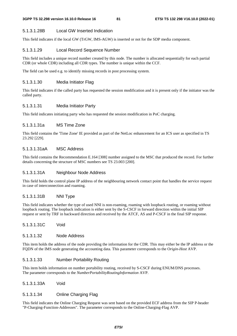## 5.1.3.1.28B Local GW Inserted Indication

This field indicates if the local GW (TrGW, IMS-AGW) is inserted or not for the SDP media component.

## 5.1.3.1.29 Local Record Sequence Number

This field includes a unique record number created by this node. The number is allocated sequentially for each partial CDR (or whole CDR) including all CDR types. The number is unique within the CCF.

The field can be used e.g. to identify missing records in post processing system.

## 5.1.3.1.30 Media Initiator Flag

This field indicates if the called party has requested the session modification and it is present only if the initiator was the called party.

## 5.1.3.1.31 Media Initiator Party

This field indicates initiating party who has requested the session modification in PoC charging.

## 5.1.3.1.31a MS Time Zone

This field contains the 'Time Zone' IE provided as part of the NetLoc enhancement for an ICS user as specified in TS 23.292 [229].

## 5.1.3.1.31aA MSC Address

This field contains the Recommendation E.164 [308] number assigned to the MSC that produced the record. For further details concerning the structure of MSC numbers see TS 23.003 [200].

## 5.1.3.1.31A Neighbour Node Address

This field holds the control plane IP address of the neighbouring network contact point that handles the service request in case of interconnection and roaming.

## 5.1.3.1.31B NNI Type

This field indicates whether the type of used NNI is non-roaming, roaming with loopback routing, or roaming without loopback routing. The loopback indication is either sent by the S-CSCF in forward direction within the initial SIP request or sent by TRF in backward direction and received by the ATCF, AS and P-CSCF in the final SIP response.

## 5.1.3.1.31C Void

## 5.1.3.1.32 Node Address

This item holds the address of the node providing the information for the CDR. This may either be the IP address or the FQDN of the IMS node generating the accounting data. This parameter corresponds to the O*rigin-Host* AVP.

## 5.1.3.1.33 Number Portability Routing

This item holds information on number portability routing, received by S-CSCF during ENUM/DNS processes. The parameter corresponds to the *NumberPortabilityRoutingInformation* AVP.

## 5.1.3.1.33A Void

## 5.1.3.1.34 Online Charging Flag

This field indicates the Online Charging Request was sent based on the provided ECF address from the SIP P-header "P-Charging-Function-Addresses". The parameter corresponds to the Online-Charging-Flag AVP.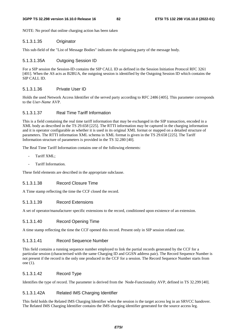NOTE: No proof that online charging action has been taken

### 5.1.3.1.35 Originator

This sub-field of the "List of Message Bodies" indicates the originating party of the message body.

## 5.1.3.1.35A Outgoing Session ID

For a SIP session the Session-ID contains the SIP CALL ID as defined in the Session Initiation Protocol RFC 3261 [401]. When the AS acts as B2BUA, the outgoing session is identified by the Outgoing Session ID which contains the SIP CALL ID.

## 5.1.3.1.36 Private User ID

Holds the used Network Access Identifier of the served party according to RFC 2486 [405]*.* This parameter corresponds to the *User-Name* AVP.

## 5.1.3.1.37 Real Time Tariff Information

This is a field containing the real time tariff information that may be exchanged in the SIP transaction, encoded in a XML body as described in the TS 29.658 [225]. The RTTI information may be captured in the charging information and it is operator configurable as whether it is used in its original XML format or mapped on a detailed structure of parameters. The RTTI information XML schema in XML format is given in the TS 29.658 [225]. The Tariff Information structure of parameters is provided in the TS 32.280 [40].

The Real Time Tariff Information contains one of the following elements:

- Tariff XML:
- Tariff Information.

These field elements are described in the appropriate subclause.

## 5.1.3.1.38 Record Closure Time

A Time stamp reflecting the time the CCF closed the record.

## 5.1.3.1.39 Record Extensions

A set of operator/manufacturer specific extensions to the record, conditioned upon existence of an extension.

## 5.1.3.1.40 Record Opening Time

A time stamp reflecting the time the CCF opened this record. Present only in SIP session related case.

#### 5.1.3.1.41 Record Sequence Number

This field contains a running sequence number employed to link the partial records generated by the CCF for a particular session (characterised with the same Charging ID and GGSN address pair). The Record Sequence Number is not present if the record is the only one produced in the CCF for a session. The Record Sequence Number starts from one (1).

## 5.1.3.1.42 Record Type

Identifies the type of record. The parameter is derived from the Node-Functionality AVP, defined in TS 32.299 [40].

## 5.1.3.1.42A Related IMS Charging Identifier

This field holds the Related IMS Charging Identifier when the session is the target access leg in an SRVCC handover. The Related IMS Charging Identifier contains the IMS charging identifier generated for the source access leg.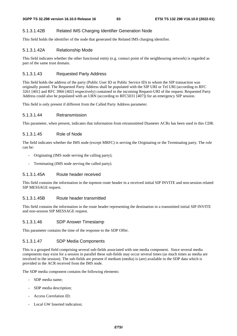## 5.1.3.1.42B Related IMS Charging Identifier Generation Node

This field holds the identifier of the node that generated the Related IMS charging identifier.

#### 5.1.3.1.42A Relationship Mode

This field indicates whether the other functional entity (e.g. contact point of the neighbouring network) is regarded as part of the same trust domain.

#### 5.1.3.1.43 Requested Party Address

This field holds the address of the party (Public User ID or Public Service ID) to whom the SIP transaction was originally posted. The Requested Party Address shall be populated with the SIP URI or Tel URI (according to RFC 3261 [401] and RFC 3966 [402] respectively) contained in the incoming Request-URI of the request. Requested Party Address could also be populated with an URN (according to RFC5031 [407]) for an emergency SIP session.

This field is only present if different from the Called Party Address parameter.

#### 5.1.3.1.44 Retransmission

This parameter, when present, indicates that information from retransmitted Diameter ACRs has been used in this CDR.

#### 5.1.3.1.45 Role of Node

The field indicates whether the IMS node (except MRFC) is serving the Originating or the Terminating party. The role can be:

- Originating (IMS node serving the calling party);
- Terminating (IMS node serving the called party).

## 5.1.3.1.45A Route header received

This field contains the information in the topmost route header in a received initial SIP INVITE and non-session related SIP MESSAGE request.

#### 5.1.3.1.45B Route header transmitted

This field contains the information in the route header representing the destination in a transmitted initial SIP INVITE and non-session SIP MESSAGE request.

#### 5.1.3.1.46 SDP Answer Timestamp

This parameter contains the time of the response to the SDP Offer.

#### 5.1.3.1.47 SDP Media Components

This is a grouped field comprising several sub-fields associated with one media component. Since several media components may exist for a session in parallel these sub-fields may occur several times (as much times as media are involved in the session). The sub-fields are present if medium (media) is (are) available in the SDP data which is provided in the ACR received from the IMS node.

The SDP media component contains the following elements:

- SDP media name;
- SDP media description;
- Access Correlation ID:
- Local GW Inserted indication;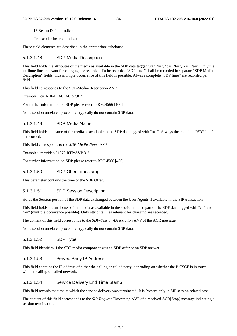- IP Realm Default indication:
- Transcoder Inserted indication.

These field elements are described in the appropriate subclause.

## 5.1.3.1.48 SDP Media Description:

This field holds the attributes of the media as available in the SDP data tagged with "i=", "c=","b=","k=", "a=". Only the attribute lines relevant for charging are recorded. To be recorded "SDP lines" shall be recorded in separate "SDP Media Description" fields, thus multiple occurrence of this field is possible. Always complete "SDP lines" are recorded per field.

This field corresponds to the SDP-Media-Description AVP.

Example: "c=IN IP4 134.134.157.81"

For further information on SDP please refer to RFC4566 [406].

Note: session unrelated procedures typically do not contain SDP data.

## 5.1.3.1.49 SDP Media Name

This field holds the name of the media as available in the SDP data tagged with "m=". Always the complete "SDP line" is recorded.

This field corresponds to the *SDP-Media-Name* AVP.

Example: "m=video 51372 RTP/AVP 31"

For further information on SDP please refer to RFC 4566 [406].

#### 5.1.3.1.50 SDP Offer Timestamp

This parameter contains the time of the SDP Offer.

#### 5.1.3.1.51 SDP Session Description

Holds the Session portion of the SDP data exchanged between the User Agents if available in the SIP transaction.

This field holds the attributes of the media as available in the session related part of the SDP data tagged with "c=" and "a=" (multiple occurrence possible). Only attribute lines relevant for charging are recorded.

The content of this field corresponds to the *SDP-Session-Description* AVP of the ACR message.

Note: session unrelated procedures typically do not contain SDP data.

## 5.1.3.1.52 SDP Type

This field identifies if the SDP media component was an SDP offer or an SDP answer.

## 5.1.3.1.53 Served Party IP Address

This field contains the IP address of either the calling or called party, depending on whether the P-CSCF is in touch with the calling or called network.

## 5.1.3.1.54 Service Delivery End Time Stamp

This field records the time at which the service delivery was terminated. It is Present only in SIP session related case.

The content of this field corresponds to the *SIP-Request-Timestamp* AVP of a received ACR[Stop] message indicating a session termination.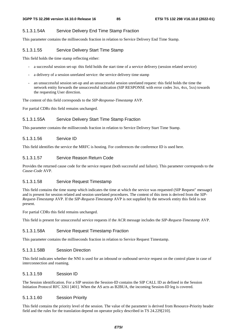## 5.1.3.1.54A Service Delivery End Time Stamp Fraction

This parameter contains the milliseconds fraction in relation to Service Delivery End Time Stamp.

#### 5.1.3.1.55 Service Delivery Start Time Stamp

This field holds the time stamp reflecting either:

- a successful session set-up: this field holds the start time of a service delivery (session related service)
- a delivery of a session unrelated service: the service delivery time stamp
- an unsuccessful session set-up and an unsuccessful session unrelated request: this field holds the time the network entity forwards the unsuccessful indication (SIP RESPONSE with error codes 3xx, 4xx, 5xx) towards the requesting User direction.

The content of this field corresponds to the *SIP-Response-Timestamp* AVP.

For partial CDRs this field remains unchanged.

#### 5.1.3.1.55A Service Delivery Start Time Stamp Fraction

This parameter contains the milliseconds fraction in relation to Service Delivery Start Time Stamp.

## 5.1.3.1.56 Service ID

This field identifies the service the MRFC is hosting. For conferences the conference ID is used here.

#### 5.1.3.1.57 Service Reason Return Code

Provides the returned cause code for the service request (both successful and failure). This parameter corresponds to the *Cause-Code* AVP.

#### 5.1.3.1.58 Service Request Timestamp

This field contains the time stamp which indicates the time at which the service was requested (SIP Request" message) and is present for session related and session unrelated procedures. The content of this item is derived from the *SIP-Request-Timestamp* AVP. If the *SIP-Request-Timestamp* AVP is not supplied by the network entity this field is not present.

For partial CDRs this field remains unchanged.

This field is present for unsuccessful service requests if the ACR message includes the *SIP-Request-Timestamp* AVP.

#### 5.1.3.1.58A Service Request Timestamp Fraction

This parameter contains the milliseconds fraction in relation to Service Request Timestamp.

#### 5.1.3.1.58B Session Direction

This field indicates whether the NNI is used for an inbound or outbound service request on the control plane in case of interconnection and roaming.

#### 5.1.3.1.59 Session ID

The Session identification. For a SIP session the Session-ID contains the SIP CALL ID as defined in the Session Initiation Protocol RFC 3261 [401]. When the AS acts as B2BUA, the incoming Session-ID leg is covered.

#### 5.1.3.1.60 Session Priority

This field contains the priority level of the session. The value of the parameter is derived from Resource-Priority header field and the rules for the translation depend on operator policy described in TS 24.229[210].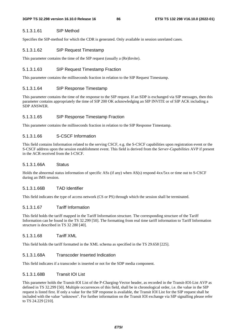### 5.1.3.1.61 SIP Method

Specifies the SIP-method for which the CDR is generated. Only available in session unrelated cases.

## 5.1.3.1.62 SIP Request Timestamp

This parameter contains the time of the SIP request (usually a (Re)Invite).

## 5.1.3.1.63 SIP Request Timestamp Fraction

This parameter contains the milliseconds fraction in relation to the SIP Request Timestamp.

## 5.1.3.1.64 SIP Response Timestamp

This parameter contains the time of the response to the SIP request. If an SDP is exchanged via SIP messages, then this parameter contains appropriately the time of SIP 200 OK acknowledging an SIP INVITE or of SIP ACK including a SDP ANSWER.

## 5.1.3.1.65 SIP Response Timestamp Fraction

This parameter contains the milliseconds fraction in relation to the SIP Response Timestamp.

## 5.1.3.1.66 S-CSCF Information

This field contains Information related to the serving CSCF, e.g. the S-CSCF capabilities upon registration event or the S-CSCF address upon the session establishment event. This field is derived from the *Server-Capabilities* AVP if present in the ACR received from the I-CSCF.

## 5.1.3.1.66A Status

Holds the abnormal status information of specific ASs (if any) when AS(s) respond 4xx/5xx or time out to S-CSCF during an IMS session.

#### 5.1.3.1.66B TAD Identifier

This field indicates the type of access network (CS or PS) through which the session shall be terminated.

### 5.1.3.1.67 Tariff Information

This field holds the tariff mapped in the Tariff Information structure. The corresponding structure of the Tariff Information can be found in the TS 32.299 [50]. The formatting from real time tariff information to Tariff Information structure is described in TS 32 280 [40].

#### 5.1.3.1.68 Tariff XML

This field holds the tariff formatted in the XML schema as specified in the TS 29.658 [225].

## 5.1.3.1.68A Transcoder Inserted Indication

This field indicates if a transcoder is inserted or not for the SDP media component.

#### 5.1.3.1.68B Transit IOI List

This parameter holds the Transit-IOI List of the P-Charging-Vector header, as recorded in the Transit-IOI-List AVP as defined in TS 32.299 [50]. Multiple occurrences of this field, shall be in chronological order, i.e. the value in the SIP request is listed first. If only a value for the SIP response is available, the Transit IOI List for the SIP request shall be included with the value "unknown". For further information on the Transit IOI exchange via SIP signalling please refer to TS 24.229 [210].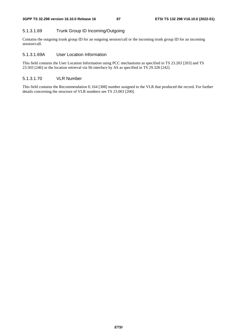## 5.1.3.1.69 Trunk Group ID Incoming/Outgoing

Contains the outgoing trunk group ID for an outgoing session/call or the incoming trunk group ID for an incoming session/call.

## 5.1.3.1.69A User Location Information

This field contains the User Location Information using PCC mechanisms as specified in TS 23.203 [203] and TS 23.503 [246] or the location retrieval via Sh interface by AS as specified in TS 29.328 [242].

#### 5.1.3.1.70 VLR Number

This field contains the Recommendation E.164 [308] number assigned to the VLR that produced the record. For further details concerning the structure of VLR numbers see TS 23.003 [200].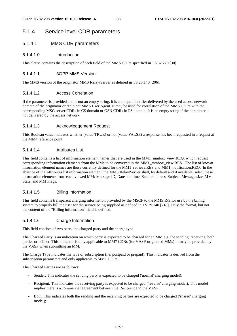# 5.1.4 Service level CDR parameters

## 5.1.4.1 MMS CDR parameters

## 5.1.4.1.0 Introduction

This clause contains the description of each field of the MMS CDRs specified in TS 32.270 [30].

## 5.1.4.1.1 3GPP MMS Version

The MMS version of the originator MMS Relay/Server as defined in TS 23.140 [206].

## 5.1.4.1.2 Access Correlation

If the parameter is provided and is not an empty string, it is a unique identifier delivered by the used access network domain of the originator or recipient MMS User Agent. It may be used for correlation of the MMS CDRs with the corresponding MSC server CDRs in CS domain or GSN CDRs in PS domain. It is an empty string if the parameter is not delivered by the access network.

## 5.1.4.1.3 Acknowledgement Request

This Boolean value indicates whether (value TRUE) or not (value FALSE) a response has been requested in a request at the MM4 reference point.

## 5.1.4.1.4 Attributes List

This field contains a list of information element names that are used in the MM1\_mmbox\_view.REQ, which request corresponding information elements from the MMs to be conveyed in the MM1\_mmbox\_view.RES. The list of known information element names are those currently defined for the MM1\_retrieve.RES and MM1\_notification.REQ. In the absence of the Attributes list information element, the MMS Relay/Server shall, by default and if available, select these information elements from each viewed MM: Message ID, Date and time, Sender address, Subject, Message size, MM State, and MM Flags.

## 5.1.4.1.5 Billing Information

This field contains transparent charging information provided by the MSCF to the MMS R/S for use by the billing system to properly bill the user for the service being supplied as defined in TS 29.140 [218]. Only the format, but not the content of the "Billing information" field is defined.

## 5.1.4.1.6 Charge Information

This field consists of two parts, the charged party and the charge type.

The Charged Party is an indication on which party is expected to be charged for an MM e.g. the sending, receiving, both parties or neither. This indicator is only applicable to MM7 CDRs (for VASP-originated MMs). It may be provided by the VASP when submitting an MM.

The Charge Type indicates the type of subscription (i.e. postpaid or prepaid). This indicator is derived from the subscription parameters and only applicable to MM1 CDRs.

The Charged Parties are as follows:

- Sender: This indicates the sending party is expected to be charged ('normal' charging model);
- Recipient: This indicates the receiving party is expected to be charged ('reverse' charging model). This model implies there is a commercial agreement between the Recipient and the VASP;
- Both: This indicates both the sending and the receiving parties are expected to be charged ('shared' charging model);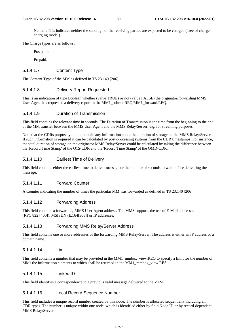Neither: This indicates neither the sending nor the receiving parties are expected to be charged ('free of charge' charging model).

The Charge types are as follows:

- Postpaid;
- Prepaid.

## 5.1.4.1.7 Content Type

The Content Type of the MM as defined in TS 23.140 [206].

#### 5.1.4.1.8 Delivery Report Requested

This is an indication of type Boolean whether (value TRUE) or not (value FALSE) the originator/forwarding MMS User Agent has requested a delivery report in the MM1\_submit.REQ/MM1\_forward.REQ.

#### 5.1.4.1.9 Duration of Transmission

This field contains the relevant time in seconds. The Duration of Transmission is the time from the beginning to the end of the MM transfer between the MMS User Agent and the MMS Relay/Server; e.g. for streaming purposes.

Note that the CDRs purposely do not contain any information about the duration of storage on the MMS Relay/Server. If such information is required it can be calculated by post-processing systems from the CDR timestamps. For instance, the total duration of storage on the originator MMS Relay/Server could be calculated by taking the difference between the 'Record Time Stamp' of the O1S-CDR and the 'Record Time Stamp' of the OMD-CDR.

## 5.1.4.1.10 Earliest Time of Delivery

This field contains either the earliest time to deliver message or the number of seconds to wait before delivering the message.

## 5.1.4.1.11 Forward Counter

A Counter indicating the number of times the particular MM was forwarded as defined in TS 23.140 [206].

#### 5.1.4.1.12 Forwarding Address

This field contains a forwarding MMS User Agent address. The MMS supports the use of E-Mail addresses (RFC 822 [400]), MSISDN (E.164[308]) or IP addresses.

#### 5.1.4.1.13 Forwarding MMS Relay/Server Address

This field contains one or more addresses of the forwarding MMS Relay/Server. The address is either an IP address or a domain name.

#### 5.1.4.1.14 Limit

This field contains a number that may be provided in the MM1\_mmbox\_view.REQ to specify a limit for the number of MMs the information elements to which shall be returned in the MM1\_mmbox\_view.RES.

#### 5.1.4.1.15 Linked ID

This field identifies a correspondence to a previous valid message delivered to the VASP

#### 5.1.4.1.16 Local Record Sequence Number

This field includes a unique record number created by this node. The number is allocated sequentially including all CDR types. The number is unique within one node, which is identified either by field Node ID or by record-dependent MMS Relay/Server.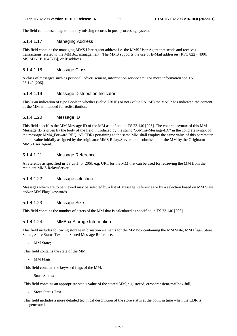The field can be used e.g. to identify missing records in post processing system.

## 5.1.4.1.17 Managing Address

This field contains the managing MMS User Agent address i.e. the MMS User Agent that sends and receives transactions related to the MMBox management . The MMS supports the use of E-Mail addresses (RFC 822) [400], MSISDN (E.164[308]) or IP address.

#### 5.1.4.1.18 Message Class

A class of messages such as personal, advertisement, information service etc. For more information see TS 23.140 [206].

#### 5.1.4.1.19 Message Distribution Indicator

This is an indication of type Boolean whether (value TRUE) or not (value FALSE) the VASP has indicated the content of the MM is intended for redistribution.

#### 5.1.4.1.20 Message ID

This field specifies the MM Message ID of the MM as defined in TS 23.140 [206]. The concrete syntax of this MM Message ID is given by the body of the field introduced by the string "X-Mms-Message-ID:" in the concrete syntax of the message MM4\_Forward.REQ. All CDRs pertaining to the same MM shall employ the same value of this parameter, i.e. the value initially assigned by the originator MMS Relay/Server upon submission of the MM by the Originator MMS User Agent.

## 5.1.4.1.21 Message Reference

A reference as specified in TS 23.140 [206], e.g. URI, for the MM that can be used for retrieving the MM from the recipient MMS Relay/Server.

#### 5.1.4.1.22 Message selection

Messages which are to be viewed may be selected by a list of Message References or by a selection based on MM State and/or MM Flags keywords.

#### 5.1.4.1.23 Message Size

This field contains the number of octets of the MM that is calculated as specified in TS 23.140 [206].

#### 5.1.4.1.24 MMBox Storage Information

This field includes following storage information elements for the MMBox containing the MM State, MM Flags, Store Status, Store Status Text and Stored Message Reference.

MM State:

This field contains the state of the MM.

- MM Flags:

This field contains the keyword flags of the MM.

- Store Status:

This field contains an appropriate status value of the stored MM, e.g. stored, error-transient-mailbox-full,…

- Store Status Text;

This field includes a more detailed technical description of the store status at the point in time when the CDR is generated.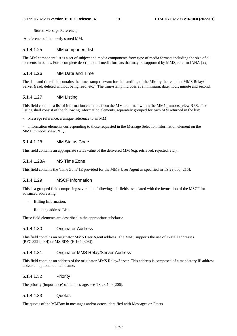Stored Message Reference;

A reference of the newly stored MM.

#### 5.1.4.1.25 MM component list

The MM component list is a set of subject and media components from type of media formats including the size of all elements in octets. For a complete description of media formats that may be supported by MMS, refer to IANA [xx].

## 5.1.4.1.26 MM Date and Time

The date and time field contains the time stamp relevant for the handling of the MM by the recipient MMS Relay/ Server (read, deleted without being read, etc.). The time-stamp includes at a minimum: date, hour, minute and second.

#### 5.1.4.1.27 MM Listing

This field contains a list of information elements from the MMs returned within the MM1\_mmbox\_view.RES. The listing shall consist of the following information elements, separately grouped for each MM returned in the list:

Message reference: a unique reference to an MM;

- Information elements corresponding to those requested in the Message Selection information element on the MM1\_mmbox\_view.REQ.

#### 5.1.4.1.28 MM Status Code

This field contains an appropriate status value of the delivered MM (e.g. retrieved, rejected, etc.).

## 5.1.4.1.28A MS Time Zone

This field contains the 'Time Zone' IE provided for the MMS User Agent as specified in TS 29.060 [215].

#### 5.1.4.1.29 MSCF Information

This is a grouped field comprising several the following sub-fields associated with the invocation of the MSCF for advanced addressing:

- Billing Information;
- Routeing address List.

These field elements are described in the appropriate subclause.

## 5.1.4.1.30 Originator Address

This field contains an originator MMS User Agent address. The MMS supports the use of E-Mail addresses (RFC 822 [400]) or MSISDN (E.164 [308]).

## 5.1.4.1.31 Originator MMS Relay/Server Address

This field contains an address of the originator MMS Relay/Server. This address is composed of a mandatory IP address and/or an optional domain name.

#### 5.1.4.1.32 Priority

The priority (importance) of the message, see TS 23.140 [206].

#### 5.1.4.1.33 Quotas

The quotas of the MMBox in messages and/or octets identified with Messages or Octets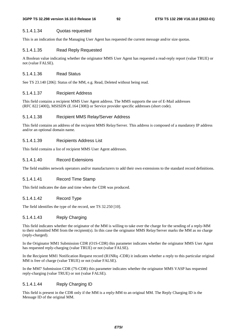#### 5.1.4.1.34 Quotas requested

This is an indication that the Managing User Agent has requested the current message and/or size quotas.

#### 5.1.4.1.35 Read Reply Requested

A Boolean value indicating whether the originator MMS User Agent has requested a read-reply report (value TRUE) or not (value FALSE).

### 5.1.4.1.36 Read Status

See TS 23.140 [206]: Status of the MM, e.g. Read, Deleted without being read.

#### 5.1.4.1.37 Recipient Address

This field contains a recipient MMS User Agent address. The MMS supports the use of E-Mail addresses (RFC 822 [400]), MSISDN (E.164 [308]) or Service provider specific addresses (short code).

#### 5.1.4.1.38 Recipient MMS Relay/Server Address

This field contains an address of the recipient MMS Relay/Server. This address is composed of a mandatory IP address and/or an optional domain name.

#### 5.1.4.1.39 Recipients Address List

This field contains a list of recipient MMS User Agent addresses.

### 5.1.4.1.40 Record Extensions

The field enables network operators and/or manufacturers to add their own extensions to the standard record definitions.

#### 5.1.4.1.41 Record Time Stamp

This field indicates the date and time when the CDR was produced.

## 5.1.4.1.42 Record Type

The field identifies the type of the record, see TS 32.250 [10].

## 5.1.4.1.43 Reply Charging

This field indicates whether the originator of the MM is willing to take over the charge for the sending of a reply-MM to their submitted MM from the recipient(s). In this case the originator MMS Relay/Server marks the MM as no charge (reply-charged).

In the Originator MM1 Submission CDR (O1S-CDR) this parameter indicates whether the originator MMS User Agent has requested reply-charging (value TRUE) or not (value FALSE).

In the Recipient MM1 Notification Request record (R1NRq -CDR) it indicates whether a reply to this particular original MM is free of charge (value TRUE) or not (value FALSE).

In the MM7 Submission CDR (7S-CDR) this parameter indicates whether the originator MMS VASP has requested reply-charging (value TRUE) or not (value FALSE).

#### 5.1.4.1.44 Reply Charging ID

This field is present in the CDR only if the MM is a reply-MM to an original MM. The Reply Charging ID is the Message ID of the original MM.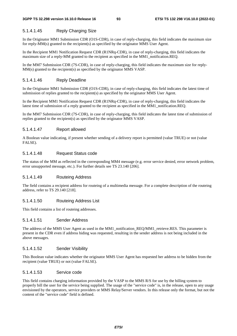## 5.1.4.1.45 Reply Charging Size

In the Originator MM1 Submission CDR (O1S-CDR), in case of reply-charging, this field indicates the maximum size for reply-MM(s) granted to the recipient(s) as specified by the originator MMS User Agent.

In the Recipient MM1 Notification Request CDR (R1NRq-CDR), in case of reply-charging, this field indicates the maximum size of a reply-MM granted to the recipient as specified in the MM1\_notification.REQ.

In the MM7 Submission CDR (7S-CDR), in case of reply-charging, this field indicates the maximum size for reply-MM(s) granted to the recipient(s) as specified by the originator MMS VASP.

## 5.1.4.1.46 Reply Deadline

In the Originator MM1 Submission CDR (O1S-CDR), in case of reply-charging, this field indicates the latest time of submission of replies granted to the recipient(s) as specified by the originator MMS User Agent.

In the Recipient MM1 Notification Request CDR (R1NRq-CDR), in case of reply-charging, this field indicates the latest time of submission of a reply granted to the recipient as specified in the MM1\_notification.REQ.

In the MM7 Submission CDR (7S-CDR), in case of reply-charging, this field indicates the latest time of submission of replies granted to the recipient(s) as specified by the originator MMS VASP.

## 5.1.4.1.47 Report allowed

A Boolean value indicating, if present whether sending of a delivery report is permitted (value TRUE) or not (value FALSE).

#### 5.1.4.1.48 Request Status code

The status of the MM as reflected in the corresponding MM4 message (e.g. error service denied, error network problem, error unsupported message, etc.). For further details see TS 23.140 [206].

## 5.1.4.1.49 Routeing Address

The field contains a recipient address for routeing of a multimedia message. For a complete description of the routeing address, refer to TS 29.140 [218].

## 5.1.4.1.50 Routeing Address List

This field contains a list of routeing addresses.

## 5.1.4.1.51 Sender Address

The address of the MMS User Agent as used in the MM1 notification REQ/MM1 retrieve.RES. This parameter is present in the CDR even if address hiding was requested, resulting in the sender address is not being included in the above messages.

#### 5.1.4.1.52 Sender Visibility

This Boolean value indicates whether the originator MMS User Agent has requested her address to be hidden from the recipient (value TRUE) or not (value FALSE).

#### 5.1.4.1.53 Service code

This field contains charging information provided by the VASP to the MMS R/S for use by the billing system to properly bill the user for the service being supplied. The usage of the "service code" is, in the release, open to any usage envisioned by the operators, service providers or MMS Relay/Server vendors. In this release only the format, but not the content of the "service code" field is defined.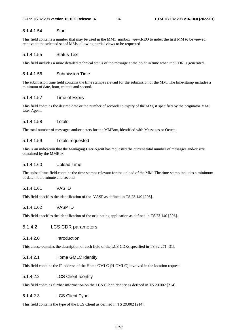## 5.1.4.1.54 Start

This field contains a number that may be used in the MM1\_mmbox\_view.REQ to index the first MM to be viewed, relative to the selected set of MMs, allowing partial views to be requested

# 5.1.4.1.55 Status Text

This field includes a more detailed technical status of the message at the point in time when the CDR is generated..

# 5.1.4.1.56 Submission Time

The submission time field contains the time stamps relevant for the submission of the MM. The time-stamp includes a minimum of date, hour, minute and second.

# 5.1.4.1.57 Time of Expiry

This field contains the desired date or the number of seconds to expiry of the MM, if specified by the originator MMS User Agent.

# 5.1.4.1.58 Totals

The total number of messages and/or octets for the MMBox, identified with Messages or Octets.

# 5.1.4.1.59 Totals requested

This is an indication that the Managing User Agent has requested the current total number of messages and/or size contained by the MMBox.

## 5.1.4.1.60 Upload Time

The upload time field contains the time stamps relevant for the upload of the MM. The time-stamp includes a minimum of date, hour, minute and second.

## 5.1.4.1.61 VAS ID

This field specifies the identification of the VASP as defined in TS 23.140 [206].

## 5.1.4.1.62 VASP ID

This field specifies the identification of the originating application as defined in TS 23.140 [206].

## 5.1.4.2 LCS CDR parameters

## 5.1.4.2.0 Introduction

This clause contains the description of each field of the LCS CDRs specified in TS 32.271 [31].

## 5.1.4.2.1 Home GMLC Identity

This field contains the IP address of the Home GMLC (H-GMLC) involved in the location request.

## 5.1.4.2.2 LCS Client Identity

This field contains further information on the LCS Client identity as defined in TS 29.002 [214].

## 5.1.4.2.3 LCS Client Type

This field contains the type of the LCS Client as defined in TS 29.002 [214].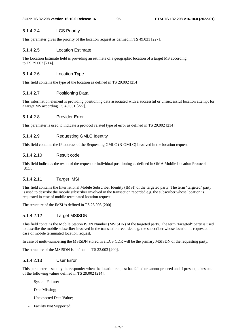## 5.1.4.2.4 LCS Priority

This parameter gives the priority of the location request as defined in TS 49.031 [227].

## 5.1.4.2.5 Location Estimate

The Location Estimate field is providing an estimate of a geographic location of a target MS according to TS 29.002 [214].

# 5.1.4.2.6 Location Type

This field contains the type of the location as defined in TS 29.002 [214].

# 5.1.4.2.7 Positioning Data

This information element is providing positioning data associated with a successful or unsuccessful location attempt for a target MS according TS 49.031 [227].

# 5.1.4.2.8 Provider Error

This parameter is used to indicate a protocol related type of error as defined in TS 29.002 [214].

# 5.1.4.2.9 Requesting GMLC Identity

This field contains the IP address of the Requesting GMLC (R-GMLC) involved in the location request.

# 5.1.4.2.10 Result code

This field indicates the result of the request or individual positioning as defined in OMA Mobile Location Protocol [311].

# 5.1.4.2.11 Target IMSI

This field contains the International Mobile Subscriber Identity (IMSI) of the targeted party. The term "targeted" party is used to describe the mobile subscriber involved in the transaction recorded e.g. the subscriber whose location is requested in case of mobile terminated location request.

The structure of the IMSI is defined in TS 23.003 [200].

# 5.1.4.2.12 Target MSISDN

This field contains the Mobile Station ISDN Number (MSISDN) of the targeted party. The term "targeted" party is used to describe the mobile subscriber involved in the transaction recorded e.g. the subscriber whose location is requested in case of mobile terminated location request.

In case of multi-numbering the MSISDN stored in a LCS CDR will be the primary MSISDN of the requesting party.

The structure of the MSISDN is defined in TS 23.003 [200].

# 5.1.4.2.13 User Error

This parameter is sent by the responder when the location request has failed or cannot proceed and if present, takes one of the following values defined in TS 29.002 [214]:

- System Failure;
- Data Missing;
- Unexpected Data Value;
- Facility Not Supported;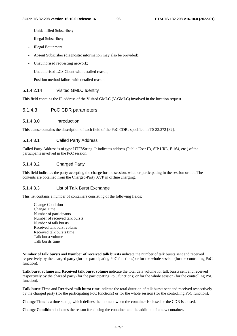- Unidentified Subscriber:
- Illegal Subscriber;
- Illegal Equipment;
- Absent Subscriber (diagnostic information may also be provided);
- Unauthorised requesting network;
- Unauthorised LCS Client with detailed reason;
- Position method failure with detailed reason.

#### 5.1.4.2.14 Visited GMLC Identity

This field contains the IP address of the Visited GMLC (V-GMLC) involved in the location request.

## 5.1.4.3 PoC CDR parameters

#### 5.1.4.3.0 Introduction

This clause contains the description of each field of the PoC CDRs specified in TS 32.272 [32].

#### 5.1.4.3.1 Called Party Address

Called Party Address is of type UTF8String. It indicates address (Public User ID, SIP URL, E.164, etc.) of the participants involved in the PoC session.

## 5.1.4.3.2 Charged Party

This field indicates the party accepting the charge for the session, whether participating in the session or not. The contents are obtained from the Charged-Party AVP in offline charging.

#### 5.1.4.3.3 List of Talk Burst Exchange

This list contains a number of containers consisting of the following fields:

Change Condition Change Time Number of participants Number of received talk bursts Number of talk bursts Received talk burst volume Received talk bursts time Talk burst volume Talk bursts time

**Number of talk bursts** and **Number of received talk bursts** indicate the number of talk bursts sent and received respectively by the charged party (for the participating PoC functions) or for the whole session (for the controlling PoC function).

**Talk burst volume** and **Received talk burst volume** indicate the total data volume for talk bursts sent and received respectively by the charged party (for the participating PoC functions) or for the whole session (for the controlling PoC function).

**Talk burst Time** and **Received talk burst time** indicate the total duration of talk bursts sent and received respectively by the charged party (for the participating PoC functions) or for the whole session (for the controlling PoC function).

**Change Time** is a time stamp, which defines the moment when the container is closed or the CDR is closed.

**Change Condition** indicates the reason for closing the container and the addition of a new container.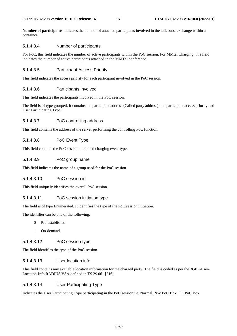**Number of participants** indicates the number of attached participants involved in the talk burst exchange within a container.

## 5.1.4.3.4 Number of participants

For PoC, this field indicates the number of active participants within the PoC session. For MMtel Charging, this field indicates the number of active participants attached in the MMTel conference.

## 5.1.4.3.5 Participant Access Priority

This field indicates the access priority for each participant involved in the PoC session.

## 5.1.4.3.6 Participants involved

This field indicates the participants involved in the PoC session.

The field is of type grouped. It contains the participant address (Called party address), the participant access priority and User Participating Type.

## 5.1.4.3.7 PoC controlling address

This field contains the address of the server performing the controlling PoC function.

## 5.1.4.3.8 PoC Event Type

This field contains the PoC session unrelated charging event type.

## 5.1.4.3.9 PoC group name

This field indicates the name of a group used for the PoC session.

## 5.1.4.3.10 PoC session id

This field uniquely identifies the overall PoC session.

#### 5.1.4.3.11 PoC session initiation type

The field is of type Enumerated. It identifies the type of the PoC session initiation.

The identifier can be one of the following:

- 0 Pre-established
- 1 On-demand

#### 5.1.4.3.12 PoC session type

The field identifies the type of the PoC session.

## 5.1.4.3.13 User location info

This field contains any available location information for the charged party. The field is coded as per the 3GPP-User-Location-Info RADIUS VSA defined in TS 29.061 [216].

#### 5.1.4.3.14 User Participating Type

Indicates the User Participating Type participating in the PoC session i.e. Normal, NW PoC Box, UE PoC Box.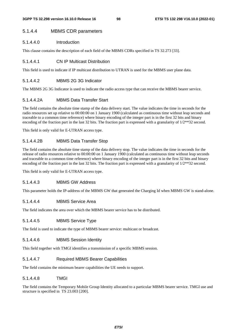## 5.1.4.4 MBMS CDR parameters

## 5.1.4.4.0 Introduction

This clause contains the description of each field of the MBMS CDRs specified in TS 32.273 [33].

#### 5.1.4.4.1 CN IP Multicast Distribution

This field is used to indicate if IP multicast distribution to UTRAN is used for the MBMS user plane data.

## 5.1.4.4.2 MBMS 2G 3G Indicator

The MBMS 2G 3G Indicator is used to indicate the radio access type that can receive the MBMS bearer service.

#### 5.1.4.4.2A MBMS Data Transfer Start

The field contains the absolute time stamp of the data delivery start. The value indicates the time in seconds for the radio resources set up relative to 00:00:00 on 1 January 1900 (calculated as continuous time without leap seconds and traceable to a common time reference) where binary encoding of the integer part is in the first 32 bits and binary encoding of the fraction part in the last 32 bits. The fraction part is expressed with a granularity of  $1/2**32$  second.

This field is only valid for E-UTRAN access type.

#### 5.1.4.4.2B MBMS Data Transfer Stop

The field contains the absolute time stamp of the data delivery stop. The value indicates the time in seconds for the release of radio resources relative to 00:00:00 on 1 January 1900 (calculated as continuous time without leap seconds and traceable to a common time reference) where binary encoding of the integer part is in the first 32 bits and binary encoding of the fraction part in the last 32 bits. The fraction part is expressed with a granularity of 1/2\*\*32 second.

This field is only valid for E-UTRAN access type.

## 5.1.4.4.3 MBMS GW Address

This parameter holds the IP-address of the MBMS GW that generated the Charging Id when MBMS GW is stand-alone.

#### 5.1.4.4.4 MBMS Service Area

The field indicates the area over which the MBMS bearer service has to be distributed.

### 5.1.4.4.5 MBMS Service Type

The field is used to indicate the type of MBMS bearer service: multicast or broadcast.

#### 5.1.4.4.6 MBMS Session Identity

This field together with TMGI identifies a transmission of a specific MBMS session.

#### 5.1.4.4.7 Required MBMS Bearer Capabilities

The field contains the minimum bearer capabilities the UE needs to support.

#### 5.1.4.4.8 TMGI

The field contains the Temporary Mobile Group Identity allocated to a particular MBMS bearer service. TMGI use and structure is specified in TS 23.003 [200].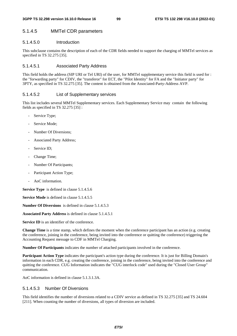# 5.1.4.5 MMTel CDR parameters

## 5.1.4.5.0 Introduction

This subclause contains the description of each of the CDR fields needed to support the charging of MMTel services as specified in TS 32.275 [35].

## 5.1.4.5.1 Associated Party Address

This field holds the address (SIP URI or Tel URI) of the user, for MMTel supplementary service this field is used for : the "forwarding party" for CDIV, the "transferor" for ECT, the "Pilot Identity" for FA and the "Initiator party" for 3PTY, as specified in TS 32.275 [35]. The content is obtained from the Associated-Party-Address AVP.

## 5.1.4.5.2 List of Supplementary services

This list includes several MMTel Supplementary services. Each Supplementary Service may contain the following fields as specified in TS 32.275 [35] :

- Service Type;
- Service Mode:
- Number Of Diversions;
- Associated Party Address;
- Service ID;
- Change Time;
- Number Of Participants;
- Participant Action Type:
- AoC information.

**Service Type** is defined in clause 5.1.4.5.6

**Service Mode** is defined in clause 5.1.4.5.5

**Number Of Diversions** is defined in clause 5.1.4.5.3

**Associated Party Address** is defined in clause 5.1.4.5.1

**Service ID** is an identifier of the conference.

**Change Time** is a time stamp, which defines the moment when the conference participant has an action (e.g. creating the conference, joining in the conference, being invited into the conference or quitting the conference) triggering the Accounting Request message to CDF in MMTel Charging.

**Number Of Participants** indicates the number of attached participants involved in the conference.

**Participant Action Type** indicates the participant's action type during the conference. It is just for Billing Domain's information in each CDR, e.g. creating the conference, joining in the conference, being invited into the conference and quitting the conference. CUG Information indicates the "CUG interlock code" used during the "Closed User Group" communication.

AoC information is defined in clause 5.1.3.1.3A.

## 5.1.4.5.3 Number Of Diversions

This field identifies the number of diversions related to a CDIV service as defined in TS 32.275 [35] and TS 24.604 [211]. When counting the number of diversions, all types of diversion are included.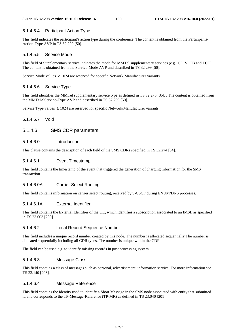# 5.1.4.5.4 Participant Action Type

This field indicates the participant's action type during the conference. The content is obtained from the Participants-Action-Type AVP in TS 32.299 [50].

# 5.1.4.5.5 Service Mode

This field of Supplementary service indicates the mode for MMTel supplementary services (e.g. CDIV, CB and ECT). The content is obtained from the Service-Mode AVP and described in TS 32.299 [50].

Service Mode values  $\geq 1024$  are reserved for specific Network/Manufacturer variants.

# 5.1.4.5.6 Service Type

This field identifies the MMTel supplementary service type as defined in TS 32.275 [35]. . The content is obtained from the MMTel-SService-Type AVP and described in TS 32.299 [50].

Service Type values  $\geq 1024$  are reserved for specific Network/Manufacturer variants

# 5.1.4.5.7 Void

# 5.1.4.6 SMS CDR parameters

# 5.1.4.6.0 Introduction

This clause contains the description of each field of the SMS CDRs specified in TS 32.274 [34].

# 5.1.4.6.1 Event Timestamp

This field contains the timestamp of the event that triggered the generation of charging information for the SMS transaction.

# 5.1.4.6.0A Carrier Select Routing

This field contains information on carrier select routing, received by S-CSCF during ENUM/DNS processes.

# 5.1.4.6.1A External Identifier

This field contains the External Identifier of the UE, which identifies a subscription associated to an IMSI, as specified in TS 23.003 [200].

# 5.1.4.6.2 Local Record Sequence Number

This field includes a unique record number created by this node. The number is allocated sequentially The number is allocated sequentially including all CDR types. The number is unique within the CDF.

The field can be used e.g. to identify missing records in post processing system.

# 5.1.4.6.3 Message Class

This field contains a class of messages such as personal, advertisement, information service. For more information see TS 23.140 [206].

# 5.1.4.6.4 Message Reference

This field contains the identity used to identify a Short Message in the SMS node associated with entity that submitted it, and corresponds to the TP-Message-Reference (TP-MR) as defined in TS 23.040 [201].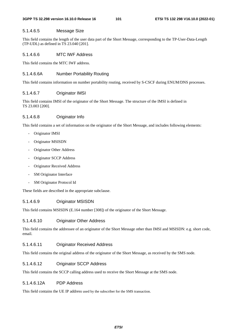#### 5.1.4.6.5 Message Size

This field contains the length of the user data part of the Short Message, corresponding to the TP-User-Data-Length (TP-UDL) as defined in TS 23.040 [201].

#### 5.1.4.6.6 MTC IWF Address

This field contains the MTC IWF address.

#### 5.1.4.6.6A Number Portability Routing

This field contains information on number portability routing, received by S-CSCF during ENUM/DNS processes.

#### 5.1.4.6.7 Originator IMSI

This field contains IMSI of the originator of the Short Message. The structure of the IMSI is defined in TS 23.003 [200].

#### 5.1.4.6.8 Originator Info

This field contains a set of information on the originator of the Short Message, and includes following elements:

- Originator IMSI
- Originator MSISDN
- Originator Other Address
- Originator SCCP Address
- Originator Received Address
- SM Originator Interface
- SM Originator Protocol Id

These fields are described in the appropriate subclause.

## 5.1.4.6.9 Originator MSISDN

This field contains MSISDN (E.164 number [308]) of the originator of the Short Message.

### 5.1.4.6.10 Originator Other Address

This field contains the addressee of an originator of the Short Message other than IMSI and MSISDN: e.g. short code, email.

#### 5.1.4.6.11 Originator Received Address

This field contains the original address of the originator of the Short Message, as received by the SMS node.

## 5.1.4.6.12 Originator SCCP Address

This field contains the SCCP calling address used to receive the Short Message at the SMS node.

#### 5.1.4.6.12A PDP Address

This field contains the UE IP address used by the subscriber for the SMS transaction.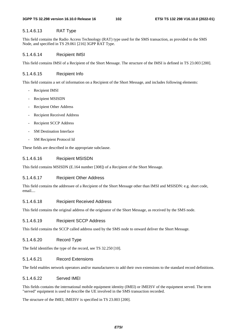# 5.1.4.6.13 RAT Type

This field contains the Radio Access Technology (RAT) type used for the SMS transaction, as provided to the SMS Node, and specified in TS 29.061 [216] 3GPP RAT Type.

# 5.1.4.6.14 Recipient IMSI

This field contains IMSI of a Recipient of the Short Message. The structure of the IMSI is defined in TS 23.003 [200].

# 5.1.4.6.15 Recipient Info

This field contains a set of information on a Recipient of the Short Message, and includes following elements:

- Recipient IMSI
- Recipient MSISDN
- Recipient Other Address
- Recipient Received Address
- Recipient SCCP Address
- **SM Destination Interface**
- SM Recipient Protocol Id

These fields are described in the appropriate subclause.

# 5.1.4.6.16 Recipient MSISDN

This field contains MSISDN (E.164 number [308]) of a Recipient of the Short Message.

# 5.1.4.6.17 Recipient Other Address

This field contains the addressee of a Recipient of the Short Message other than IMSI and MSISDN: e.g. short code, email

# 5.1.4.6.18 Recipient Received Address

This field contains the original address of the originator of the Short Message, as received by the SMS node.

# 5.1.4.6.19 Recipient SCCP Address

This field contains the SCCP called address used by the SMS node to onward deliver the Short Message.

# 5.1.4.6.20 Record Type

The field identifies the type of the record, see TS 32.250 [10].

# 5.1.4.6.21 Record Extensions

The field enables network operators and/or manufacturers to add their own extensions to the standard record definitions.

# 5.1.4.6.22 Served IMEI

This fields contains the international mobile equipment identity (IMEI) or IMEISV of the equipment served. The term "served" equipment is used to describe the UE involved in the SMS transaction recorded.

The structure of the IMEI, IMEISV is specified in TS 23.003 [200].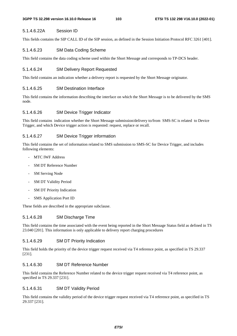# 5.1.4.6.22A Session ID

This fields contains the SIP CALL ID of the SIP session, as defined in the Session Initiation Protocol RFC 3261 [401].

# 5.1.4.6.23 SM Data Coding Scheme

This field contains the data coding scheme used within the Short Message and corresponds to TP-DCS header.

# 5.1.4.6.24 SM Delivery Report Requested

This field contains an indication whether a delivery report is requested by the Short Message originator.

# 5.1.4.6.25 SM Destination Interface

This field contains the information describing the interface on which the Short Message is to be delivered by the SMS node.

# 5.1.4.6.26 SM Device Trigger Indicator

This field contains indication whether the Short Message submission/delivery to/from SMS-SC is related to Device Trigger, and which Device trigger action is requested: request, replace or recall.

# 5.1.4.6.27 SM Device Trigger information

This field contains the set of information related to SMS submission to SMS-SC for Device Trigger, and includes following elements:

- MTC IWF Address
- SM DT Reference Number
- **SM Serving Node**
- SM DT Validity Period
- SM DT Priority Indication
- SMS Application Port ID

These fields are described in the appropriate subclause.

## 5.1.4.6.28 SM Discharge Time

This field contains the time associated with the event being reported in the Short Message Status field as defined in TS 23.040 [201]. This information is only applicable to delivery report charging procedures

## 5.1.4.6.29 SM DT Priority Indication

This field holds the priority of the device trigger request received via T4 reference point, as specified in TS 29.337 [231].

## 5.1.4.6.30 SM DT Reference Number

This field contains the Reference Number related to the device trigger request received via T4 reference point, as specified in TS 29.337 [231].

## 5.1.4.6.31 SM DT Validity Period

This field contains the validity period of the device trigger request received via T4 reference point, as specified in TS 29.337 [231].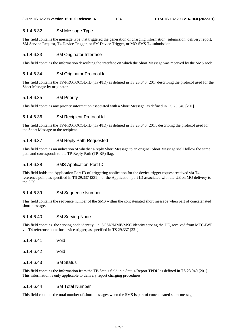### 5.1.4.6.32 SM Message Type

This field contains the message type that triggered the generation of charging information: submission, delivery report, SM Service Request, T4 Device Trigger, or SM Device Trigger, or MO-SMS T4 submission.

#### 5.1.4.6.33 SM Originator Interface

This field contains the information describing the interface on which the Short Message was received by the SMS node

## 5.1.4.6.34 SM Originator Protocol Id

This field contains the TP-PROTOCOL-ID (TP-PID) as defined in TS 23.040 [201] describing the protocol used for the Short Message by originator.

#### 5.1.4.6.35 SM Priority

This field contains any priority information associated with a Short Message, as defined in TS 23.040 [201].

## 5.1.4.6.36 SM Recipient Protocol Id

This field contains the TP-PROTOCOL-ID (TP-PID) as defined in TS 23.040 [201], describing the protocol used for the Short Message to the recipient.

#### 5.1.4.6.37 SM Reply Path Requested

This field contains an indication of whether a reply Short Message to an original Short Message shall follow the same path and corresponds to the TP-Reply-Path (TP-RP) flag.

#### 5.1.4.6.38 SMS Application Port ID

This field holds the Application Port ID of triggering application for the device trigger request received via T4 reference point, as specified in TS 29.337 [231] , or the Application port ID associated with the UE on MO delivery to the SCS.

#### 5.1.4.6.39 SM Sequence Number

This field contains the sequence number of the SMS within the concatenated short message when part of concatenated short message.

#### 5.1.4.6.40 SM Serving Node

This field contains the serving node identity, i.e. SGSN/MME/MSC identity serving the UE, received from MTC-IWF via T4 reference point for device trigger, as specified in TS 29.337 [231].

| 5.1.4.6.41 | Void             |
|------------|------------------|
| 5.1.4.6.42 | Void             |
| 5.1.4.6.43 | <b>SM Status</b> |

This field contains the information from the TP-Status field in a Status-Report TPDU as defined in TS 23.040 [201]. This information is only applicable to delivery report charging procedures.

## 5.1.4.6.44 SM Total Number

This field contains the total number of short messages when the SMS is part of concatenated short message.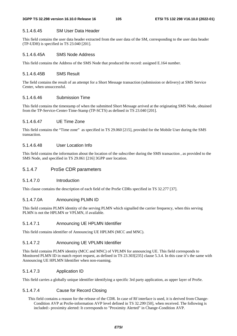## 5.1.4.6.45 SM User Data Header

This field contains the user data header extracted from the user data of the SM, corresponding to the user data header (TP-UDH) is specified in TS 23.040 [201].

## 5.1.4.6.45A SMS Node Address

This field contains the Address of the SMS Node that produced the record: assigned E.164 number.

## 5.1.4.6.45B SMS Result

The field contains the result of an attempt for a Short Message transaction (submission or delivery) at SMS Service Center, when unsuccessful.

## 5.1.4.6.46 Submission Time

This field contains the timestamp of when the submitted Short Message arrived at the originating SMS Node, obtained from the TP-Service-Center-Time-Stamp (TP-SCTS) as defined in TS 23.040 [201].

## 5.1.4.6.47 UE Time Zone

This field contains the "Time zone" as specified in TS 29.060 [215], provided for the Mobile User during the SMS transaction.

## 5.1.4.6.48 User Location Info

This field contains the information about the location of the subscriber during the SMS transaction , as provided to the SMS Node, and specified in TS 29.061 [216] 3GPP user location.

## 5.1.4.7 ProSe CDR parameters

#### 5.1.4.7.0 Introduction

This clause contains the description of each field of the ProSe CDRs specified in TS 32.277 [37].

## 5.1.4.7.0A Announcing PLMN ID

This field contains PLMN identity of the serving PLMN which signalled the carrier frequency, when this serving PLMN is not the HPLMN or VPLMN, if available.

#### 5.1.4.7.1 Announcing UE HPLMN Identifier

This field contains identifier of Announcing UE HPLMN (MCC and MNC).

#### 5.1.4.7.2 Announcing UE VPLMN Identifier

This field contains PLMN identity (MCC and MNC) of VPLMN for announcing UE. This field corresponds to Monitored PLMN ID in match report request, as defined in TS 23.303[235] clause 5.3.4. In this case it's the same with Announcing UE HPLMN Identifier when non-roaming.

#### 5.1.4.7.3 Application ID

This field carries a globally unique identifier identifying a specific 3rd party application, as upper layer of ProSe.

## 5.1.4.7.4 Cause for Record Closing

This field contains a reason for the release of the CDR. In case of Rf interface is used, it is derived from Change-Condition AVP at ProSe-information AVP level defined in TS 32.299 [50], when received. The following is included:- proximity alerted: It corresponds to "Proximity Alerted" in Change-Condition AVP.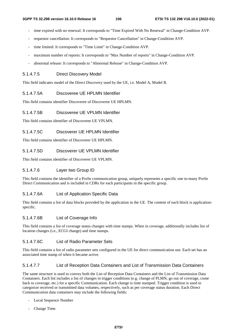- time expired with no renewal: It corresponds to "Time Expired With No Renewal" in Change-Condition AVP.
- requestor cancellation: It corresponds to "Requestor Cancellation" in Change-Condition AVP.
- time limited: It corresponds to "Time Limit" in Change-Condition AVP.
- maximum number of reports: It corresponds to "Max Number of reports" in Change-Condition AVP.
- abnormal release: It corresponds to "Abnormal Release" in Change-Condition AVP.

## 5.1.4.7.5 Direct Discovery Model

This field indicates model of the Direct Discovery used by the UE, i.e. Model A, Model B.

## 5.1.4.7.5A Discoveree UE HPLMN Identifier

This field contains identifier Discoveree of Discoveree UE HPLMN.

#### 5.1.4.7.5B Discoveree UE VPLMN Identifier

This field contains identifier of Discoveree UE VPLMN.

#### 5.1.4.7.5C Discoverer UE HPLMN Identifier

This field contains identifier of Discoverer UE HPLMN.

#### 5.1.4.7.5D Discoverer UE VPLMN Identifier

This field contains identifier of Discoverer UE VPLMN.

## 5.1.4.7.6 Layer two Group ID

This field contains the identifier of a ProSe communication group, uniquely represents a specific one to-many ProSe Direct Communication and is included in CDRs for each participants in the specific group.

## 5.1.4.7.6A List of Application Specific Data

This field contains a list of data blocks provided by the application in the UE. The content of each block is applicationspecific.

#### 5.1.4.7.6B List of Coverage Info

This field contains a list of coverage status changes with time stamps. When in coverage, additionally includes list of location changes (i.e., ECGI change) and time stamps.

#### 5.1.4.7.6C List of Radio Parameter Sets

This field contains a list of radio parameter sets configured in the UE for direct communication use. Each set has an associated time stamp of when it became active.

## 5.1.4.7.7 List of Reception Data Containers and List of Transmission Data Containers

The same structure is used to convey both the List of Reception Data Containers and the List of Transmission Data Containers. Each list includes a list of changes in trigger conditions (e.g. change of PLMN, go out of coverage, come back to coverage, etc.) for a specific Communication. Each change is time stamped. Trigger condition is used to categorize received or transmitted data volumes, respectively, such as per coverage status duration. Each Direct Communication data containers may include the following fields:

- Local Sequence Number
- Change Time.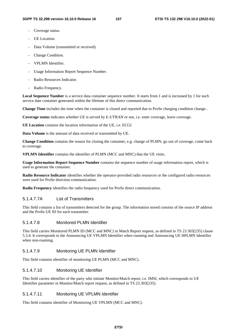- Coverage status.
- UE Location.
- Data Volume (transmitted or received).
- Change Condition.
- VPLMN Identifier.
- Usage Information Report Sequence Number.
- Radio Resources Indicator.
- Radio Frequency.

**Local Sequence Number** is a service data container sequence number. It starts from 1 and is increased by 1 for each service date container generated within the lifetime of this direct communication.

**Change Time** includes the time when the container is closed and reported due to ProSe charging condition change..

**Coverage status** indicates whether UE is served by E-UTRAN or not, i.e. enter coverage, leave coverage.

**UE Location** contains the location information of the UE, i.e. ECGI

**Data Volume** is the amount of data received or transmitted by UE.

**Change Condition** contains the reason for closing the container, e.g. change of PLMN, go out of coverage, come back to coverage.

**VPLMN Identifier** contains the identifier of PLMN (MCC and MNC) that the UE visits.

**Usage Information Report Sequence Number** contains the sequence number of usage information report, which is used to generate the container.

**Radio Resource Indicator** identifies whether the operator-provided radio resources or the configured radio resources were used for ProSe direction communication.

**Radio Frequency** identifies the radio frequency used for ProSe direct communication.

## 5.1.4.7.7A List of Transmitters

This field contains a list of transmitters detected for the group. The information stored consists of the source IP address and the ProSe UE ID for each transmitter.

### 5.1.4.7.8 Monitored PLMN Identifier

This field carries Monitored PLMN ID (MCC and MNC) in Match Report request, as defined in TS 23.303[235] clause 5.3.4. It corresponds to the Announcing UE VPLMN Identifier when roaming and Announcing UE HPLMN Identifier when non-roaming.

#### 5.1.4.7.9 Monitoring UE PLMN Identifier

This field contains identifier of monitoring UE PLMN (MCC and MNC).

### 5.1.4.7.10 Monitoring UE Identifier

This field carries identifier of the party who initiate Monitor/Match report, i.e. IMSI, which corresponds to UE Identifier parameter in Monitor/Match report request, as defined in TS 23.303[235].

#### 5.1.4.7.11 Monitoring UE VPLMN Identifier

This field contains identifier of Monitoring UE VPLMN (MCC and MNC).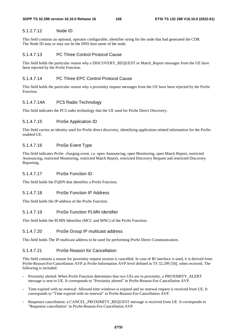### 5.1.2.7.12 Node ID

This field contains an optional, operator configurable, identifier string for the node that had generated the CDR. The Node ID may or may not be the DNS host name of the node.

### 5.1.4.7.13 PC Three Control Protocol Cause

This field holds the particular reason why a DISCOVERY\_REQUEST or Match\_Report messages from the UE have been rejected by the ProSe Function.

### 5.1.4.7.14 PC Three EPC Control Protocol Cause

This field holds the particular reason why a proximity request messages from the UE have been rejected by the ProSe Function.

#### 5.1.4.7.14A PC5 Radio Technology

This field indicates the PC5 radio technology that the UE used for ProSe Direct Discovery.

#### 5.1.4.7.15 ProSe Application ID

This field carries an identity used for ProSe direct discovery, identifying application related information for the ProSeenabled UE.

### 5.1.4.7.16 ProSe Event Type

This field indicates ProSe charging event, i.e. open Announcing, open Monitoring, open Match Report, restricted Announcing, restricted Monitoring, restricted Match Report, restricted Discovery Request and restricted Discovery Reporting.

#### 5.1.4.7.17 ProSe Function ID

This field holds the FQDN that identifies a ProSe Function.

### 5.1.4.7.18 ProSe Function IP Address

This field holds the IP-address of the ProSe Function.

#### 5.1.4.7.19 ProSe Function PLMN Identifier

This field holds the PLMN Identifier (MCC and MNC) of the ProSe Function.

#### 5.1.4.7.20 ProSe Group IP multicast address

This field holds The IP multicast address to be used for performing ProSe Direct Communication.

#### 5.1.4.7.21 ProSe Reason for Cancellation

This field contains a reason for proximity request session is cancelled. In case of Rf interface is used, it is derived from ProSe-Reason-For-Cancellation AVP at ProSe-Information AVP level defined in TS 32.299 [50], when received. The following is included:

- Proximity alerted: When ProSe Function determines that two UEs are in proximity, a PROXIMITY\_ALERT message is sent to UE. It corresponds to "Proximity alerted" in ProSe-Reason-For-Cancellation AVP.
- Time expired with no renewal: Allowed time windows is expired and no renewal request is received from UE. It corresponds to "Time expired with no renewal" in ProSe-Reason-For-Cancellation AVP.
- Requestor cancellation: a CANCEL\_PROXIMITY\_REQUEST message is received from UE. It corresponds to "Requestor cancellation" in ProSe-Reason-For-Cancellation AVP.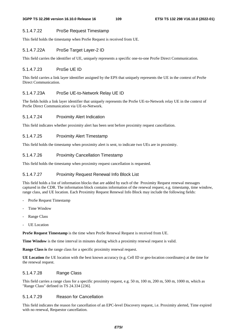## 5.1.4.7.22 ProSe Request Timestamp

This field holds the timestamp when ProSe Request is received from UE.

### 5.1.4.7.22A ProSe Target Layer-2 ID

This field carries the identifier of UE, uniquely represents a specific one-to-one ProSe Direct Communication.

## 5.1.4.7.23 ProSe UE ID

This field carries a link layer identifier assigned by the EPS that uniquely represents the UE in the context of ProSe Direct Communication.

### 5.1.4.7.23A ProSe UE-to-Network Relay UE ID

The fields holds a link layer identifier that uniquely represents the ProSe UE-to-Network relay UE in the context of ProSe Direct Communication via UE-to-Network.

### 5.1.4.7.24 Proximity Alert Indication

This field indicates whether proximity alert has been sent before proximity request cancellation.

## 5.1.4.7.25 Proximity Alert Timestamp

This field holds the timestamp when proximity alert is sent, to indicate two UEs are in proximity.

## 5.1.4.7.26 Proximity Cancellation Timestamp

This field holds the timestamp when proximity request cancellation is requested.

### 5.1.4.7.27 Proximity Request Renewal Info Block List

This field holds a list of information blocks that are added by each of the Proximity Request renewal messages captured in the CDR. The information block contains information of the renewal request, e.g. timestamp, time window, range class, and UE location. Each Proximity Request Renewal Info Block may include the following fields:

- ProSe Request Timestamp
- Time Window
- Range Class
- UE Location

**ProSe Request Timestamp** is the time when ProSe Renewal Request is received from UE.

**Time Window** is the time interval in minutes during which a proximity renewal request is valid.

**Range Class is** the range class for a specific proximity renewal request.

**UE Location** the UE location with the best known accuracy (e.g. Cell ID or geo-location coordinates) at the time for the renewal request.

## 5.1.4.7.28 Range Class

This field carries a range class for a specific proximity request, e.g. 50 m, 100 m, 200 m, 500 m, 1000 m, which as "Range Class" defined in TS 24.334 [236].

## 5.1.4.7.29 Reason for Cancellation

This field indicates the reason for cancellation of an EPC-level Discovery request, i.e. Proximity alerted, Time expired with no renewal, Requestor cancellation.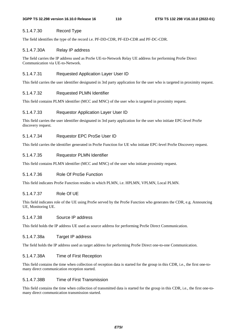#### 5.1.4.7.30 Record Type

The field identifies the type of the record i.e. PF-DD-CDR, PF-ED-CDR and PF-DC-CDR.

#### 5.1.4.7.30A Relay IP address

The field carries the IP address used as ProSe UE-to-Network Relay UE address for performing ProSe Direct Communication via UE-to-Network.

#### 5.1.4.7.31 Requested Application Layer User ID

This field carries the user identifier designated in 3rd party application for the user who is targeted in proximity request.

#### 5.1.4.7.32 Requested PLMN Identifier

This field contains PLMN identifier (MCC and MNC) of the user who is targeted in proximity request.

#### 5.1.4.7.33 Requestor Application Layer User ID

This field carries the user identifier designated in 3rd party application for the user who initiate EPC-level ProSe discovery request.

#### 5.1.4.7.34 Requestor EPC ProSe User ID

This field carries the identifier generated in ProSe Function for UE who initiate EPC-level ProSe Discovery request.

#### 5.1.4.7.35 Requestor PLMN Identifier

This field contains PLMN identifier (MCC and MNC) of the user who initiate proximity request.

### 5.1.4.7.36 Role Of ProSe Function

This field indicates ProSe Function resides in which PLMN, i.e. HPLMN, VPLMN, Local PLMN.

#### 5.1.4.7.37 Role Of UE

This field indicates role of the UE using ProSe served by the ProSe Function who generates the CDR, e.g. Announcing UE, Monitoring UE.

### 5.1.4.7.38 Source IP address

This field holds the IP address UE used as source address for performing ProSe Direct Communication.

#### 5.1.4.7.38a Target IP address

The field holds the IP address used as target address for performing ProSe Direct one-to-one Communication.

#### 5.1.4.7.38A Time of First Reception

This field contains the time when collection of reception data is started for the group in this CDR, i.e., the first one-tomany direct communication reception started.

### 5.1.4.7.38B Time of First Transmission

This field contains the time when collection of transmitted data is started for the group in this CDR, i.e., the first one-tomany direct communication transmission started.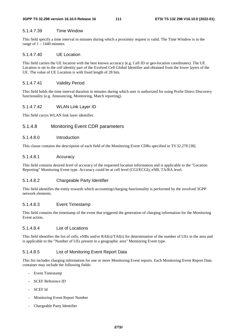#### **3GPP TS 32.298 version 16.10.0 Release 16 111 ETSI TS 132 298 V16.10.0 (2022-01)**

#### 5.1.4.7.39 Time Window

This field specify a time interval in minutes during which a proximity request is valid. The Time Window is in the range of  $1 - 1440$  minutes.

#### 5.1.4.7.40 UE Location

This field carries the UE location with the best known accuracy (e.g. Cell ID or geo-location coordinates). The UE Location is set to the cell identity part of the Evolved Cell Global Identifier and obtained from the lower layers of the UE. The value of UE Location is with fixed length of 28 bits.

#### 5.1.4.7.41 Validity Period

This field holds the time interval duration in minutes during which user is authorized for using ProSe Direct Discovery functionality (e.g. Announcing, Monitoring, Match reporting).

#### 5.1.4.7.42 WLAN Link Layer ID

This field carrys WLAN link layer identifier.

#### 5.1.4.8 Monitoring Event CDR parameters

#### 5.1.4.8.0 Introduction

This clause contains the description of each field of the Monitoring Event CDRs specified in TS 32.278 [38].

#### 5.1.4.8.1 Accuracy

This field contains desired level of accuracy of the requested location information and is applicable to the "Location Reporting" Monitoring Event type. Accuracy could be at cell level (CGI/ECGI), eNB, TA/RA level.

#### 5.1.4.8.2 Chargeable Party Identifier

This field identifies the entity towards which accounting/charging functionality is performed by the involved 3GPP network elements.

#### 5.1.4.8.3 Event Timestamp

This field contains the timestamp of the event that triggered the generation of charging information for the Monitoring Event action.

#### 5.1.4.8.4 List of Locations

This field identifies the list of cells, eNBs and/or RAI(s)/TAI(s) for determination of the number of UEs in the area and is applicable to the "Number of UEs present in a geographic area" Monitoring Event type.

#### 5.1.4.8.5 List of Monitoring Event Report Data

This list includes charging information for one or more Monitoring Event reports. Each Monitoring Event Report Data container may include the following fields:

- Event Timestamp
- SCEF Reference ID
- SCEF Id
- Monitoring Event Report Number
- Chargeable Party Identifier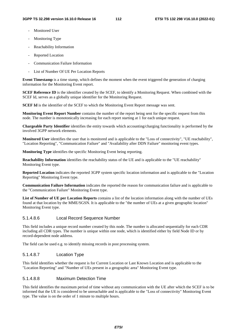- Monitored User
- Monitoring Type
- Reachability Information
- Reported Location
- Communication Failure Information
- List of Number Of UE Per Location Reports

**Event Timestamp** is a time stamp, which defines the moment when the event triggered the generation of charging information for the Monitoring Event report.

**SCEF Reference ID** is the identifier created by the SCEF, to identify a Monitoring Request. When combined with the SCEF Id, serves as a globally unique identifier for the Monitoring Request.

**SCEF Id** is the identifier of the SCEF to which the Monitoring Event Report message was sent.

**Monitoring Event Report Number** contains the number of the report being sent for the specific request from this node. The number is monotonically increasing for each report starting at 1 for each unique request.

**Chargeable Party Identifier** identifies the entity towards which accounting/charging functionality is performed by the involved 3GPP network elements.

**Monitored User** identifies the user that is monitored and is applicable to the "Loss of connectivity", "UE reachability", "Location Reporting", "Communication Failure" and "Availability after DDN Failure" monitoring event types.

**Monitoring Type** identifies the specific Monitoring Event being reporting.

**Reachability Information** identifies the reachability status of the UE and is applicable to the "UE reachability" Monitoring Event type.

**Reported Location** indicates the reported 3GPP system specific location information and is applicable to the "Location Reporting" Monitoring Event type.

**Communication Failure Information** indicates the reported the reason for communication failure and is applicable to the "Communication Failure" Monitoring Event type.

**List of Number of UE per Location Reports** contains a list of the location information along with the number of UEs found at that location by the MME/SGSN. It is applicable to the "the number of UEs at a given geographic location" Monitoring Event type.

#### 5.1.4.8.6 Local Record Sequence Number

This field includes a unique record number created by this node. The number is allocated sequentially for each CDR including all CDR types. The number is unique within one node, which is identified either by field Node ID or by record-dependent node address.

The field can be used e.g. to identify missing records in post processing system.

#### 5.1.4.8.7 Location Type

This field identifies whether the request is for Current Location or Last Known Location and is applicable to the "Location Reporting" and "Number of UEs present in a geographic area" Monitoring Event type.

#### 5.1.4.8.8 Maximum Detection Time

This field identifies the maximum period of time without any communication with the UE after which the SCEF is to be informed that the UE is considered to be unreachable and is applicable to the "Loss of connectivity" Monitoring Event type. The value is on the order of 1 minute to multiple hours.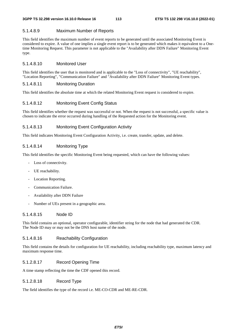### 5.1.4.8.9 Maximum Number of Reports

This field identifies the maximum number of event reports to be generated until the associated Monitoring Event is considered to expire. A value of one implies a single event report is to be generated which makes it equivalent to a Onetime Monitoring Request. This parameter is not applicable to the "Availability after DDN Failure" Monitoring Event type.

#### 5.1.4.8.10 Monitored User

This field identifies the user that is monitored and is applicable to the "Loss of connectivity", "UE reachability", "Location Reporting", "Communication Failure" and "Availability after DDN Failure" Monitoring Event types.

#### 5.1.4.8.11 Monitoring Duration

This field identifies the absolute time at which the related Monitoring Event request is considered to expire.

### 5.1.4.8.12 Monitoring Event Config Status

This field identifies whether the request was successful or not. When the request is not successful, a specific value is chosen to indicate the error occurred during handling of the Requested action for the Monitoring event.

### 5.1.4.8.13 Monitoring Event Configuration Activity

This field indicates Monitoring Event Configuration Activity, i.e. create, transfer, update, and delete.

### 5.1.4.8.14 Monitoring Type

This field identifies the specific Monitoring Event being requested, which can have the following values:

- Loss of connectivity.
- UE reachability.
- Location Reporting.
- Communication Failure.
- Availability after DDN Failure
- Number of UEs present in a geographic area.

### 5.1.4.8.15 Node ID

This field contains an optional, operator configurable, identifier string for the node that had generated the CDR. The Node ID may or may not be the DNS host name of the node.

### 5.1.4.8.16 Reachability Configuration

This field contains the details for configuration for UE reachability, including reachability type, maximum latency and maximum response time.

### 5.1.2.8.17 Record Opening Time

A time stamp reflecting the time the CDF opened this record.

#### 5.1.2.8.18 Record Type

The field identifies the type of the record i.e. ME-CO-CDR and ME-RE-CDR.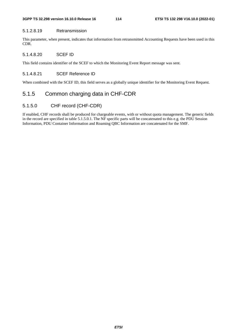#### 5.1.2.8.19 Retransmission

This parameter, when present, indicates that information from retransmitted Accounting Requests have been used in this CDR.

#### 5.1.4.8.20 SCEF ID

This field contains identifier of the SCEF to which the Monitoring Event Report message was sent.

### 5.1.4.8.21 SCEF Reference ID

When combined with the SCEF ID, this field serves as a globally unique identifier for the Monitoring Event Request.

# 5.1.5 Common charging data in CHF-CDR

### 5.1.5.0 CHF record (CHF-CDR)

If enabled, CHF records shall be produced for chargeable events, with or without quota management. The generic fields in the record are specified in table 5.1.5.0.1. The NF specific parts will be concatenated to this e.g. the PDU Session Information, PDU Container Information and Roaming QBC Information are concatenated for the SMF.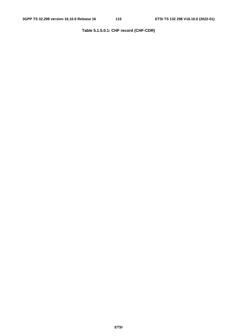# **Table 5.1.5.0.1: CHF record (CHF-CDR)**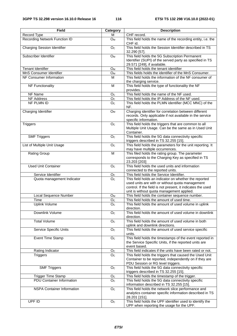| <b>Field</b>                       | Category                    | <b>Description</b>                                                                                                                                                                                                   |
|------------------------------------|-----------------------------|----------------------------------------------------------------------------------------------------------------------------------------------------------------------------------------------------------------------|
| Record Type                        | м                           | CHF record.                                                                                                                                                                                                          |
| Recording Network Function ID      | <b>O</b> <sub>M</sub>       | This field holds the name of the recording entity, i.e. the<br>CHF id.                                                                                                                                               |
| <b>Charging Session Identifier</b> | O <sub>C</sub>              | This field holds the Session Identifier described in TS<br>32.290 [57].                                                                                                                                              |
| Subscriber Identifier              | <b>O</b> <sub>M</sub>       | This field holds the 5G Subscription Permanent<br>Identifier (SUPI) of the served party as specified in TS<br>29.571 [249], if available.                                                                            |
| <b>Tenant Identifier</b>           | <b>O</b> <sub>M</sub>       | This field holds the tenant identifier                                                                                                                                                                               |
| MnS Consumer Identifier            | <b>O</b> <sub>M</sub>       | This fields holds the identifier of the MnS Consumer.                                                                                                                                                                |
| NF Consumer Information            | M                           | This field holds the information of the NF consumer of<br>the charging service.                                                                                                                                      |
| <b>NF Functionality</b>            | M                           | This field holds the type of functionality the NF<br>provides.                                                                                                                                                       |
| NF Name                            | O <sub>C</sub>              | This field holds the name of the NF used.                                                                                                                                                                            |
| NF Address                         | O <sub>C</sub>              | This field holds the IP Address of the NF used.                                                                                                                                                                      |
| NF PLMN ID                         | O <sub>C</sub>              | This field holds the PLMN identifier (MCC MNC) of the<br>NF.                                                                                                                                                         |
| Charging Identifier                | $\overline{O}_{M}$          | Charging identifier for correlation between different<br>records. Only applicable if not available in the service<br>specific information.                                                                           |
| <b>Triggers</b>                    | O <sub>C</sub>              | This field holds the triggers that are common to all<br>Multiple Unit Usage. Can be the same as in Used Unit<br>Container.                                                                                           |
| <b>SMF Triggers</b>                | $\overline{O}$ <sub>C</sub> | This field holds the 5G data connectivity specific<br>triggers described in TS 32.255 [15].                                                                                                                          |
| List of Multiple Unit Usage        | O <sub>C</sub>              | This field holds the parameters for the unit reporting. It<br>may have multiple occurrences.                                                                                                                         |
| <b>Rating Group</b>                | M                           | This filed holds the rating group. The parameter<br>corresponds to the Charging Key as specified in TS<br>23.203 [203]                                                                                               |
| <b>Used Unit Container</b>         | O <sub>C</sub>              | This field holds the used units and information<br>connected to the reported units.                                                                                                                                  |
| Service Identifier                 | O <sub>C</sub>              | This field holds the Service Identifier.                                                                                                                                                                             |
| Quota management Indicator         | O <sub>C</sub>              | This field holds an indicator on whether the reported<br>used units are with or without quota management<br>control. If the field is not present, it indicates the used<br>unit is without quota management applied. |
| Local Sequence Number              | <b>O</b> <sub>M</sub>       | This field holds the container sequence number.                                                                                                                                                                      |
| Time                               | O <sub>c</sub>              | This field holds the amount of used time.                                                                                                                                                                            |
| <b>Uplink Volume</b>               | O <sub>C</sub>              | This field holds the amount of used volume in uplink<br>direction.                                                                                                                                                   |
| Downlink Volume                    | O <sub>C</sub>              | This field holds the amount of used volume in downlink<br>direction.                                                                                                                                                 |
| <b>Total Volume</b>                | O <sub>C</sub>              | This field holds the amount of used volume in both<br>uplink and downlink directions.                                                                                                                                |
| Service Specific Units             | O <sub>C</sub>              | This field holds the amount of used service specific<br>units.                                                                                                                                                       |
| Event Time Stamp                   | O <sub>C</sub>              | This field holds the timestamps of the event reported in<br>the Service Specific Units, if the reported units are<br>event based.                                                                                    |
| Rating Indicator                   | O <sub>C</sub>              | This field indicates if the units have been rated or not.                                                                                                                                                            |
| <b>Triggers</b>                    | O <sub>C</sub>              | This field holds the triggers that caused the Used Unit<br>Container to be reported, independently on if they are<br>PDU Session or RG level triggers.                                                               |
| <b>SMF Triggers</b>                | O <sub>C</sub>              | This field holds the 5G data connectivity specific<br>triggers described in TS 32.255 [15].                                                                                                                          |
| Trigger Time Stamp                 | O <sub>C</sub>              | This field holds the timestamp of the trigger.                                                                                                                                                                       |
| <b>PDU Container Information</b>   | O <sub>C</sub>              | This field holds the 5G data connectivity specific<br>information described in TS 32.255 [15].                                                                                                                       |
| <b>NSPA Container Information</b>  | O <sub>C</sub>              | This field holds the network slice performance and<br>analytics container specific information described in TS<br>28.201 [151].                                                                                      |
| UPF ID                             | O <sub>C</sub>              | This field holds the UPF identifier used to identify the<br>UPF when reporting the usage for the UPF.                                                                                                                |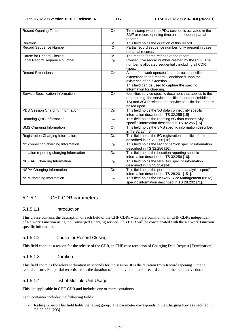| <b>Record Opening Time</b>              | O <sub>c</sub>        | Time stamp when the PDU session is activated in the        |
|-----------------------------------------|-----------------------|------------------------------------------------------------|
|                                         |                       | SMF or record opening time on subsequent partial           |
|                                         |                       | records.                                                   |
| Duration                                | M                     | This field holds the duration of this record.              |
| Record Sequence Number                  | $\overline{\text{c}}$ | Partial record sequence number, only present in case       |
|                                         |                       | of partial records.                                        |
| Cause for Record Closing                | M                     | The reason for the release of the record.                  |
| Local Record Sequence Number            | O <sub>M</sub>        | Consecutive record number created by the CDF. The          |
|                                         |                       | number is allocated sequentially including all CDR         |
|                                         |                       | types.                                                     |
| <b>Record Extensions</b>                | O <sub>C</sub>        | A set of network operator/manufacturer specific            |
|                                         |                       | extensions to the record. Conditioned upon the             |
|                                         |                       | existence of an extension.                                 |
|                                         |                       | This field can be used to capture the specific             |
|                                         |                       | information for charging.                                  |
| Service Specification Information       | O <sub>C</sub>        | Identifies service specific document that applies to the   |
|                                         |                       | request, e.g. the service specific document ('middle tier' |
|                                         |                       | TS) and 3GPP release the service specific document is      |
|                                         |                       | based upon.                                                |
| PDU Session Charging Information        | <b>O</b> <sub>M</sub> | This field holds the 5G data connectivity specific         |
|                                         |                       | information described in TS 32.255 [15]                    |
| Roaming QBC Information                 | O <sub>M</sub>        | This field holds the roaming 5G data connectivity          |
|                                         |                       | specific information described in TS 32.255 [15]           |
| SMS Charging Information                | O <sub>C</sub>        | This field holds the SMS specific information described    |
|                                         |                       | in TS 32.274 [34].                                         |
| Registration Charging Information       | <b>O</b> <sub>M</sub> | This field holds the 5G registration specific information  |
|                                         |                       | described in TS 32.256 [16].                               |
| N2 connection charging Information      | <b>O</b> <sub>M</sub> | This field holds the N2 connection specific information    |
|                                         |                       | described in TS 32.256 [16].                               |
| Location reporting charging Information | <b>O<sub>M</sub></b>  | This field holds the Location reporting specific           |
|                                         |                       | information described in TS 32.256 [16]                    |
| NEF API Charging Information            | <b>O</b> <sub>M</sub> | This field holds the NEF API specific information          |
|                                         |                       | described in TS 32.254 [14].                               |
| NSPA Charging Information               | O <sub>M</sub>        | This field holds the performance and analytics specific    |
|                                         |                       | information described in TS 28.201 [151].                  |
| NSM charging Information                | <b>O</b> <sub>M</sub> | This field holds the Network Slice Management (NSM)        |
|                                         |                       | specific information described in TS 28.202 [71].          |

## 5.1.5.1 CHF CDR parameters

### 5.1.5.1.1 Introduction

This clause contains the description of each field of the CHF CDRs which are common to all CHF CDRs independent of Network Function using the Converged Charging service. This CDR will be concatenated with the Network Function specific information.

### 5.1.5.1.2 Cause for Record Closing

This field contains a reason for the release of the CDR, in CHF case reception of Charging Data Request [Termination].

### 5.1.5.1.3 Duration

This field contains the relevant duration in seconds for the session. It is the duration from Record Opening Time to record closure. For partial records this is the duration of the individual partial record and not the cumulative duration.

#### 5.1.5.1.4 List of Multiple Unit Usage

This list applicable in CHF-CDR and includes one or more containers.

Each container includes the following fields:

Rating Group This field holds the rating group. The parameter corresponds to the Charging Key as specified in TS 23.203 [203]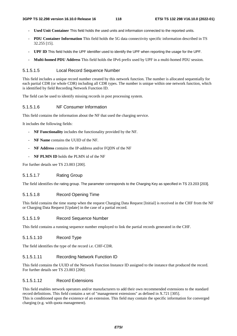- **Used Unit Container** This field holds the used units and information connected to the reported units.
- **PDU Container Information** This field holds the 5G data connectivity specific information described in TS 32.255 [15].
- **UPF ID** This field holds the UPF identifier used to identify the UPF when reporting the usage for the UPF.
- **Multi-homed PDU Address** This field holds the IPv6 prefix used by UPF in a multi-homed PDU session.

#### 5.1.5.1.5 Local Record Sequence Number

This field includes a unique record number created by this network function. The number is allocated sequentially for each partial CDR (or whole CDR) including all CDR types. The number is unique within one network function, which is identified by field Recording Network Function ID.

The field can be used to identify missing records in post processing system.

#### 5.1.5.1.6 NF Consumer Information

This field contains the information about the NF that used the charging service.

It includes the following fields:

- **NF Functionality** includes the functionality provided by the NF.
- **NF Name** contains the UUID of the NF.
- NF Address contains the IP-address and/or FODN of the NF
- NF PLMN ID holds the PLMN id of the NF

For further details see TS 23.003 [200].

#### 5.1.5.1.7 Rating Group

The field identifies the rating group. The parameter corresponds to the Charging Key as specified in TS 23.203 [203].

#### 5.1.5.1.8 Record Opening Time

This field contains the time stamp when the request Charging Data Request [Initial] is received in the CHF from the NF or Charging Data Request [Update] in the case of a partial record.

#### 5.1.5.1.9 Record Sequence Number

This field contains a running sequence number employed to link the partial records generated in the CHF.

#### 5.1.5.1.10 Record Type

The field identifies the type of the record i.e. CHF-CDR.

#### 5.1.5.1.11 Recording Network Function ID

This field contains the UUID of the Network Function Instance ID assigned to the instance that produced the record. For further details see TS 23.003 [200].

#### 5.1.5.1.12 Record Extensions

This field enables network operators and/or manufacturers to add their own recommended extensions to the standard record definitions. This field contains a set of "management extensions" as defined in X.721 [305]. This is conditioned upon the existence of an extension. This field may contain the specific information for converged

charging (e.g. with quota management).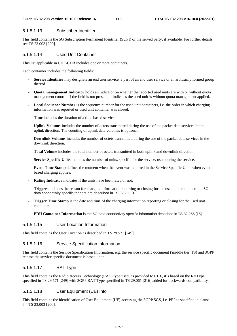#### **3GPP TS 32.298 version 16.10.0 Release 16 119 ETSI TS 132 298 V16.10.0 (2022-01)**

### 5.1.5.1.13 Subscriber Identifier

This field contains the 5G Subscription Permanent Identifier (SUPI) of the served party, if available. For further details see TS 23.003 [200].

### 5.1.5.1.14 Used Unit Container

This list applicable in CHF-CDR includes one or more containers.

Each container includes the following fields:

- **Service Identifier** may designate an end user service, a part of an end user service or an arbitrarily formed group thereof.
- **Quota management Indicator** holds an indicator on whether the reported used units are with or without quota management control. If the field is not present, it indicates the used unit is without quota management applied.
- **Local Sequence Number** is the sequence number for the used unit containers, i.e. the order in which charging information was reported or used unit container was closed.
- **Time** includes the duration of a time based service.
- Uplink Volume includes the number of octets transmitted during the use of the packet data services in the uplink direction. The counting of uplink data volumes is optional.
- **Downlink Volume** includes the number of octets transmitted during the use of the packet data services in the downlink direction.
- **Total Volume** includes the total number of octets transmitted in both uplink and downlink direction.
- **Service Specific Units** includes the number of units, specific for the service, used during the service.
- **Event Time Stamp** defines the moment when the event was reported in the Service Specific Units when event based charging applies.
- Rating Indicator indicates if the units have been rated or not.
- **Triggers** includes the reason for charging information reporting or closing for the used unit container, the 5G data connectivity specific triggers are described in TS 32.255 [15].
- **Trigger Time Stamp** is the date and time of the charging information reporting or closing for the used unit container.
- **PDU Container Information** is the 5G data connectivity specific information described in TS 32.255 [15].

## 5.1.5.1.15 User Location Information

This field contains the User Location as described in TS 29.571 [249].

## 5.1.5.1.16 Service Specification Information

This field contains the Service Specification Information, e.g. the service specific document ('middle tier' TS) and 3GPP release the service specific document is based upon.

## 5.1.5.1.17 RAT Type

This field contains the Radio Access Technology (RAT) type used, as provided to CHF, it's based on the RatType specified in TS 29.571 [249] with 3GPP RAT Type specified in TS 29.061 [216] added for backwards compatibility.

## 5.1.5.1.18 User Equipment (UE) Info

This field contains the identification of User Equipment (UE) accessing the 3GPP 5GS, i.e. PEI as specified in clause 6.4 TS 23.003 [200].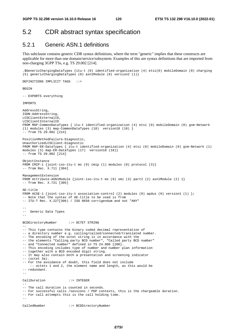DEFINITIONS IMPLICIT TAGS ::=

# 5.2 CDR abstract syntax specification

## 5.2.1 Generic ASN.1 definitions

This subclause contains generic CDR syntax definitions, where the term "generic" implies that these constructs are applicable for more than one domain/service/subsystem. Examples of this are syntax definitions that are imported from non-charging 3GPP TSs, e.g. TS 29.002 [214].

```
.$GenericChargingDataTypes {itu-t (0) identified-organization (4) etsi(0) mobileDomain (0) charging 
(5) genericChargingDataTypes (0) asn1Module (0) version2 (1)}
```

```
BEGIN
-- EXPORTS everything 
IMPORTS 
AddressString, 
ISDN-AddressString, 
LCSClientExternalID, 
LCSClientInternalID
FROM MAP-CommonDataTypes { itu-t identified-organization (4) etsi (0) mobileDomain (0) gsm-Network 
(1) modules (3) map-CommonDataTypes (18) version18 (18) } 
-- from TS 29.002 [214] 
PositionMethodFailure-Diagnostic, 
UnauthorizedLCSClient-Diagnostic 
FROM MAP-ER-DataTypes { itu-t identified-organization (4) etsi (0) mobileDomain (0) gsm-Network (1) 
modules (3) map-ER-DataTypes (17) version18 (18) }
-- from TS 29.002 [214] 
ObjectInstance 
FROM CMIP-1 {joint-iso-itu-t ms (9) cmip (1) modules (0) protocol (3)} 
-- from Rec. X.711 [304] 
ManagementExtension 
FROM Attribute-ASN1Module {joint-iso-itu-t ms (9) smi (3) part2 (2) asn1Module (2) 1} 
-- from Rec. X.721 [305] 
AE-title 
FROM ACSE-1 {joint-iso-itu-t association-control (2) modules (0) apdus (0) version1 (1) };
-- Note that the syntax of AE-title to be used is from 
-- ITU-T Rec. X.227[306) / ISO 8650 corrigendum and not "ANY" 
-- 
-- Generic Data Types 
-BCDDirectoryNumber ::= OCTET STRING 
-- 
-- This type contains the binary coded decimal representation of 
-- a directory number e.g. calling/called/connected/translated number. 
-- The encoding of the octet string is in accordance with the 
-- the elements "Calling party BCD number", "Called party BCD number" 
-- and "Connected number" defined in TS 24.008 [208]. 
-- This encoding includes type of number and number plan information
-- together with a BCD encoded digit string. 
-- It may also contain both a presentation and screening indicator 
-- (octet 3a).
-- For the avoidance of doubt, this field does not include 
     -- octets 1 and 2, the element name and length, as this would be 
-- redundant. 
-- 
CallDuration ::= INTEGER 
-- 
-- The call duration is counted in seconds. 
-- For successful calls /sessions / PDP contexts, this is the chargeable duration. 
-- For call attempts this is the call holding time. 
-CalledNumber ::= BCDDirectoryNumber
```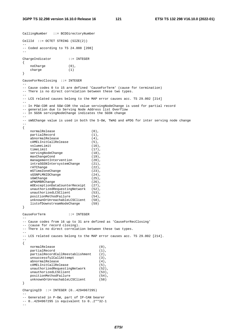CallingNumber ::= BCDDirectoryNumber CellId ::= OCTET STRING (SIZE(2)) -- -- Coded according to TS 24.008 [208] -- ChargeIndicator ::= INTEGER { noCharge (0), charge (1) } CauseForRecClosing ::= INTEGER  $-$ -- Cause codes 0 to 15 are defined 'CauseForTerm' (cause for termination) -- There is no direct correlation between these two types. -- -- LCS related causes belong to the MAP error causes acc. TS 29.002 [214] -- -- In PGW-CDR and SGW-CDR the value servingNodeChange is used for partial record -- generation due to Serving Node Address list Overflow -- In SGSN servingNodeChange indicates the SGSN change -- -- sWGChange value is used in both the S-GW, TWAG and ePDG for inter serving node change  $-$ { normalRelease (0), partialRecord (1), abnormalRelease (4),<br>
cAMELInitCallRelease (5), cAMELInitCallRelease (5),<br>volumeLimit (16), volumeLimit (16),<br>timeLimit (17), timeLimit servingNodeChange (18), maxChangeCond (19), managementIntervention (20), intraSGSNIntersystemChange (21), rATChange (22), mSTimeZoneChange (23), sGSNPLMNIDChange (24),<br>sGWChange (25), sGWChange aPNAMBRChange (26), mOExceptionDataCounterReceipt (27), unauthorizedRequestingNetwork (52), unauthorizedLCSClient (53), positionMethodFailure (54), unknownOrUnreachableLCSClient (58), listofDownstreamNodeChange (59) } CauseForTerm ::= INTEGER -- -- Cause codes from 16 up to 31 are defined as 'CauseForRecClosing' -- (cause for record closing). -- There is no direct correlation between these two types. -- -- LCS related causes belong to the MAP error causes acc. TS 29.002 [214]. -- { normalRelease (0), partialRecord (1), partialRecordCallReestablishment (2),  $\begin{array}{lll} \texttt{unsuccessful} & (3), \\ \texttt{unsuccessfulCal} & (3), \\ \texttt{abnormalRelease} & (4), \end{array}$ abnormalRelease (4),<br>
cAMELInitCallRelease (5), cAMELInitCallRelease (5), unauthorizedRequestingNetwork (52), unauthorizedLCSClient (53), quauthorizedLCSClient (53),<br>positionMethodFailure (54), unknownOrUnreachableLCSClient (58) } ChargingID ::= INTEGER (0..4294967295) -- -- Generated in P-GW, part of IP-CAN bearer -- 0..4294967295 is equivalent to 0..2\*\*32-1 --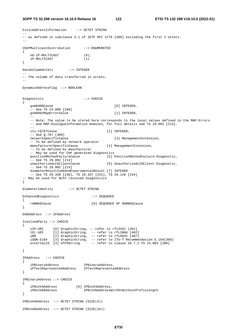**3GPP TS 32.298 version 16.10.0 Release 16 122 ETSI TS 132 298 V16.10.0 (2022-01)**

```
CivicAddressInformation ::= OCTET STRING 
-- 
-- as defined in subclause 3.1 of IETF RFC 4776 [409] excluding the first 3 octets. 
-CNIPMulticastDistribution ::= ENUMERATED 
{ 
    nO-IP-MULTICAST (0), 
    iP-MULTICAST (1) 
} 
DataVolumeOctets ::= INTEGER 
-- 
-- The volume of data transferred in octets. 
-- 
DynamicAddressFlag ::= BOOLEAN 
Diagnostics ::= CHOICE
{ 
   gsm0408Cause [0] INTEGER,
    -- See TS 24.008 [208] 
    gsm0902MapErrorValue [1] INTEGER, 
 -- 
    -- Note: The value to be stored here corresponds to the local values defined in the MAP-Errors 
   -- and MAP-DialogueInformation modules, for full details see TS 29.002 [214].
 -- 
   itu-t0767Cause [2] INTEGER,
    -- See Q.767 [309] 
    networkSpecificCause [3] ManagementExtension, 
    -- To be defined by network operator 
   manufacturerSpecificCause [4] ManagementExtension,
    -- To be defined by manufacturer 
    -- May be used for CHF generated diagnostics 
    positionMethodFailureCause [5] PositionMethodFailure-Diagnostic, 
    -- See TS 29.002 [214] 
    unauthorizedLCSClientCause [6] UnauthorizedLCSClient-Diagnostic, 
    -- See TS 29.002 [214] 
    diameterResultCodeAndExperimentalResult [7] INTEGER 
     -- See TS 29.338 [230], TS 29.337 [231], TS 29.128 [244] 
-- May be used for Nchf received diagnostics 
} 
DiameterIdentity ::= OCTET STRING
EnhancedDiagnostics ::= SEQUENCE
{ 
    rANNASCause [0] SEQUENCE OF RANNASCause 
} 
GSNAddress ::= IPAddress 
InvolvedParty ::= CHOICE 
{ 
 sIP-URI [0] GraphicString, -- refer to rfc3261 [401] 
 tEL-URI [1] GraphicString, -- refer to rfc3966 [402] 
 uRN [2] GraphicString, -- refer to rfc5031 [407] 
 iSDN-E164 [3] GraphicString, -- refer to ITU-T Recommendation E.164[308] 
 externalId [4] UTF8String -- refer to clause 19.7.2 TS 23.003 [200] 
} 
IPAddress ::= CHOICE 
{ 
 iPBinaryAddress IPBinaryAddress, 
 iPTextRepresentedAddress IPTextRepresentedAddress 
} 
IPBinaryAddress ::= CHOICE 
{ 
 iPBinV4Address [0] IPBinV4Address, 
 iPBinV6Address IPBinV6AddressWithOrWithoutPrefixLength 
} 
IPBinV4Address ::= OCTET STRING (SIZE(4)) 
IPBinV6Address ::= OCTET STRING (SIZE(16))
```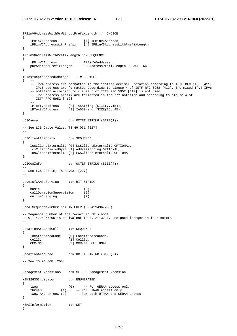```
IPBinV6AddressWithOrWithoutPrefixLength ::= CHOICE 
{ 
 iPBinV6Address [1] IPBinV6Address, 
 iPBinV6AddressWithPrefix [4] IPBinV6AddressWithPrefixLength 
} 
IPBinV6AddressWithPrefixLength ::= SEQUENCE 
{ 
    iPBinV6Address IPBinV6Address, 
    pDPAddressPrefixLength PDPAddressPrefixLength DEFAULT 64 
} 
IPTextRepresentedAddress ::= CHOICE 
\{ --
    -- IPv4 address are formatted in the "dotted decimal" notation according to IETF RFC 1166 [411]. 
    -- IPv6 address are formatted according to clause 4 of IETF RFC 5952 [412]. The mixed IPv4 IPv6 
    -- notation according to clause 5 of IETF RFC 5952 [412] is not used. 
    -- IPv6 address prefix are formatted in the "/" notation and according to clause 4 of 
   -- IETF RFC 5952 [412].
- iPTextV4Address [2] IA5String (SIZE(7..15)), 
 iPTextV6Address [3] IA5String (SIZE(15..45)) 
} 
LCSCause ::= OCTET STRING (SIZE(1))
-- 
-- See LCS Cause Value, TS 49.031 [227] 
-- 
LCSClientIdentity ::= SEQUENCE 
{ 
    lcsClientExternalID [0] LCSClientExternalID OPTIONAL, 
    lcsClientDialedByMS [1] AddressString OPTIONAL, 
    lcsClientInternalID [2] LCSClientInternalID OPTIONAL 
} 
LCSOoSInfo ::= OCTET STRING (SIZE(4))-- 
-- See LCS QoS IE, TS 49.031 [227] 
-- 
LevelOfCAMELService ::= BIT STRING 
{ 
basic (0),
 callDurationSupervision (1), 
 onlineCharging (2) 
} 
LocalSequenceNumber ::= INTEGER (0..4294967295) 
-- 
-- Sequence number of the record in this node 
-- 0.. 4294967295 is equivalent to 0..2**32-1, unsigned integer in four octets 
-- 
LocationAreaAndCell ::= SEQUENCE 
{ 
    locationAreaCode [0] LocationAreaCode, 
 cellId [1] CellId, 
 mCC-MNC [2] MCC-MNC OPTIONAL 
} 
LocationAreaCode ::= OCTET STRING (SIZE(2))
-- 
-- See TS 24.008 [208] 
-ManagementExtensions ::= SET OF ManagementExtension 
MBMS2G3GIndicator ::= ENUMERATED 
{ 
 twoG (0), -- For GERAN access only 
 threeG (1), -- For UTRAN access only 
 twoG-AND-threeG (2) -- For both UTRAN and GERAN access 
} 
MBMSInformation ::= SET 
{
```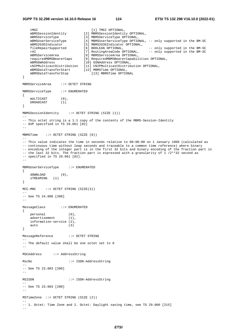```
tMGI [1] TMGI OPTIONAL,
 mBMSSessionIdentity [2] MBMSSessionIdentity OPTIONAL, 
 mBMSServiceType [3] MBMSServiceType OPTIONAL, 
 mBMSUserServiceType [4] MBMSUserServiceType OPTIONAL, -- only supported in the BM-SC 
 mBMS2G3GIndicator [5] MBMS2G3GIndicator OPTIONAL, 
 fileRepairSupported [6] BOOLEAN OPTIONAL, -- only supported in the BM-SC 
rAI                                  [7] RoutingAreaCode OPTIONAL,      -- only supported in the BM-SC
 mBMSServiceArea [8] MBMSServiceArea OPTIONAL, 
 requiredMBMSBearerCaps [9] RequiredMBMSBearerCapabilities OPTIONAL, 
 mBMSGWAddress [10] GSNAddress OPTIONAL, 
    cNIPMulticastDistribution [11] CNIPMulticastDistribution OPTIONAL, 
 mBMSDataTransferStart [12] MBMSTime OPTIONAL, 
 mBMSDataTransferStop [13] MBMSTime OPTIONAL 
} 
MBMSServiceArea ::= OCTET STRING 
MBMSServiceType ::= ENUMERATED 
{ 
    mULTICAST (0), 
    bROADCAST (1) 
} 
MBMSSessionIdentity ::= OCTET STRING (SIZE (1)) 
-- 
-- This octet string is a 1:1 copy of the contents of the MBMS-Session-Identity 
-- AVP specified in TS 29.061 [82] 
-- 
MBMSTime ::= OCTET STRING (SIZE (8)) 
-- 
-- This value indicates the time in seconds relative to 00:00:00 on 1 January 1900 (calculated as 
-- continuous time without leap seconds and traceable to a common time reference) where binary 
-- encoding of the integer part is in the first 32 bits and binary encoding of the fraction part in 
-- the last 32 bits. The fraction part is expressed with a granularity of 1 /2**32 second as 
-- specified in TS 29.061 [82]. 
-- 
MBMSUserServiceType ::= ENUMERATED 
{ 
   \begin{array}{ccccc}\n\text{downLOAD} & & & (0) \text{,} \\
\end{array} sTREAMING (1) 
} 
MCC-MNC ::= OCTET STRING (SIZE(3))
-- 
-- See TS 24.008 [208] 
-MessageClass ::= ENUMERATED 
{ 
 personal (0), 
advertisement (1),
  information-service (2),<br>auto (3)
             (3)} 
MessageReference ::= OCTET STRING 
-- 
-- The default value shall be one octet set to 0 
-- 
MSCAddress ::= AddressString 
MscNo ::= ISDN-AddressString 
-- 
-- See TS 23.003 [200] 
-- 
MSISDN ::= ISDN-AddressString 
-- 
-- See TS 23.003 [200] 
-- 
MSTimeZone ::= OCTET STRING (SIZE (2)) 
-- 
-- 1. Octet: Time Zone and 2. Octet: Daylight saving time, see TS 29.060 [215] 
--
```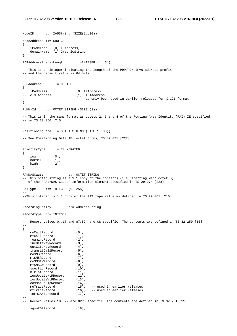$NodeID$  ::= IA5String (SIZE(1..20))

```
NodeAddress ::= CHOICE 
{ 
 iPAddress [0] IPAddress, 
 domainName [1] GraphicString 
} 
PDPAddressPrefixLength ::=INTEGER (1..64) 
-- 
-- This is an integer indicating the length of the PDP/PDN IPv6 address prefix 
-- and the default value is 64 bits. 
-- 
PDPAddress ::= CHOICE 
{ 
 iPAddress [0] IPAddress 
                          [1] ETSIAddress
                              has only been used in earlier releases for X.121 format
} 
PLMN-Id ::= OCTET STRING (SIZE (3)) 
-- 
-- This is in the same format as octets 2, 3 and 4 of the Routing Area Identity (RAI) IE specified 
-- in TS 29.060 [215] 
-- 
PositioningData ::= OCTET STRING (SIZE(1..33)) 
-- 
-- See Positioning Data IE (octet 3..n), TS 49.031 [227] 
-- 
PriorityType ::= ENUMERATED 
{ 
   low (0),<br>normal (1),
   normal
    high (2) 
} 
RANNASCause ::= OCTET STRING 
-- This octet string is a 1:1 copy of the contents (i.e. starting with octet 5) 
-- of the "RAN/NAS Cause" information element specified in TS 29.274 [223]. 
RATType ::= INTEGER (0..255)-- 
--This integer is 1:1 copy of the RAT type value as defined in TS 29.061 [215]. 
-- 
RecordingEntity ::= AddressString 
RecordType ::= INTEGER 
-- 
-- Record values 0..17 and 87,89 are CS specific. The contents are defined in TS 32.250 [10] 
-- 
{ 
    moCallRecord (0), 
   mtCallRecord (1),
    roamingRecord (2), 
    incGatewayRecord (3), 
    outGatewayRecord (4), 
    transitCallRecord (5), 
    moSMSRecord (6), 
   mtSMSRecord (7),<br>moSMSIWRecord (8),
    moSMSIWRecord (8), 
   mtSMSGWRecord (9),<br>ssActionRecord (10),
    ssActionRecord (10),<br>hlrIntRecord (11),
   hlrIntRecord
    locUpdateHLRRecord (12), 
    locUpdateVLRRecord (13), 
    commonEquipRecord (14), 
    moTraceRecord (15), -- used in earlier releases 
   morraceRecord (16), \frac{1}{16}, \frac{1}{16} arlier releases
    termCAMELRecord (17), 
-- 
-- Record values 18..22 are GPRS specific. The contents are defined in TS 32.251 [11] 
-- 
    sgsnPDPRecord (18),
```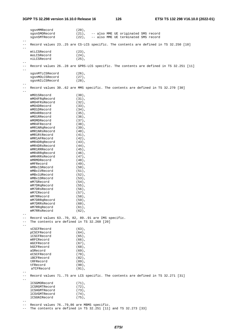sgsnMMRecord (20), sgsnSMORecord (21), -- also MME UE originated SMS record sgsnSMTRecord (22), -- also MME UE terminated SMS record  $-$ -- Record values 23..25 are CS-LCS specific. The contents are defined in TS 32.250 [10] - mtLCSRecord (23),<br>moLCSRecord (24), moLCSRecord (24), niLCSRecord (25), -- -- Record values 26..28 are GPRS-LCS specific. The contents are defined in TS 32.251 [11] - sgsnMTLCSRecord (26), sgsnMOLCSRecord (27),<br>sgsnNILCSRecord (28), sgsnNILCSRecord  $-$ -- Record values 30..62 are MMS specific. The contents are defined in TS 32.270 [30] mMO1SRecord (30),<br>mMO4FRqRecord (31), mMO4FRqRecord (31),<br>mMO4FRsRecord (32),  $mMO4FRSRecont$ mMO4DRecord (33), mMO1DRecord (34), mMO4RRecord (35), mMO1RRecord (36), mMOMDRecord (37), mMR4FRecord (38), mMR1NRqRecord (39),<br>mMR1NRsRecord (40), mMR1NRsRecord mMR1RtRecord (41), mMR1AFRecord (42),<br>mMR4DRqRecord (43), mMR4DRqRecord (43),<br>mMR4DRsRecord (44), mMR4DRsRecord (44),<br>mMR1RRRecord (45), mMR1RRRecord mMR4RRqRecord (46), mMR4RRsRecord (47), mMRMDRecord (48), mMFRecord (49), mMBx1SRecord (50), mMBx1VRecord (51),<br>mMBx1URecord (52), mMBx1URecord (52),<br>mMBx1DRecord (53), mMBx1DRecord (53),<br>mM7SRecord (54), mM7SRecord mM7DRqRecord (55),<br>mM7DRsRecord (56), mM7DRsRecord mM7CRecord (57), mM7RRecord (58), mM7DRRqRecord (59), mM7DRRsRecord (60), mM7RRqRecord (61), mM7RRsRecord (62),  $-$ -- Record values  $63..70, 82, 89..91$  are IMS specific.<br>-- The contents are defined in TS 32 260 [20] The contents are defined in TS 32.260 [20] - sCSCFRecord (63), pCSCFRecord (64), iCSCFRecord (65), mRFCRecord (66),<br>mGCFRecord (67),  $mGCFRecont$  bGCFRecord (68), aSRecord (69),<br>eCSCFRecord (70), eCSCFRecord (70),<br>iBCFRecord (82), iBCFRecord (82),<br>tRFRecord (89), tRFRecord (89), tFRecord (90),<br>aTCFRecord (91), aTCFRecord -- -- Record values 71..75 are LCS specific. The contents are defined in TS 32.271 [31] - lCSGMORecord (71), lCSRGMTRecord (72), lCSHGMTRecord (73), lCSVGMTRecord (74), lCSGNIRecord (75), -- -- Record values 76..79,86 are MBMS specific.

-- The contents are defined in TS 32.251 [11] and TS 32.273 [33]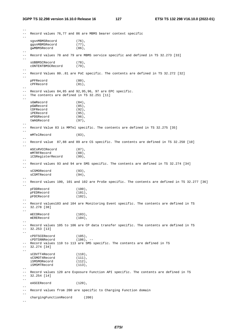-- -- Record values 76,77 and 86 are MBMS bearer context specific - sgsnMBMSRecord (76). ggsnMBMSRecord (77),<br>qwMBMSRecord (86), gwMBMSRecord -- -- Record values 78 and 79 are MBMS service specific and defined in TS 32.273 [33]  $\mathbf{L}$ sUBBMSCRecord (78), cONTENTBMSCRecord (79),  $-$ -- Record Values 80..81 are PoC specific. The contents are defined in TS 32.272 [32] - pPFRecord (80), cPFRecord (81),  $-$ -- Record values 84,85 and 92,95,96, 97 are EPC specific. -- The contents are defined in TS 32.251 [11] - sGWRecord (84), pGWRecord (85), tDFRecord (92), iPERecord (95), ePDGRecord (96), tWAGRecord (97), -- -- Record Value 83 is MMTel specific. The contents are defined in TS 32.275 [35] - mMTelRecord (83). -- -- Record value 87,88 and 89 are CS specific. The contents are defined in TS 32.250 [10] - mSCsRVCCRecord (87), mMTRFRecord (88), iCSRegisterRecord (99), -- -- Record values 93 and 94 are SMS specific. The contents are defined in TS 32.274 [34]  $$ sCSMORecord (93), sCSMTRecord (94), -- -- Record values 100, 101 and 102 are ProSe specific. The contents are defined in TS 32.277 [36] - pFDDRecord (100), pFEDRecord (101), pFDCRecord (102), -- -- Record values103 and 104 are Monitoring Event specific. The contents are defined in TS 32.278 [38]  $$  mECORecord (103), mERERecord (104), -- -- Record values 105 to 106 are CP data transfer specific. The contents are defined in TS  $-- 32.253$  [13]  $-1$  cPDTSCERecord (105), cPDTSNNRecord (106), -- -- Record values 110 to 113 are SMS specific. The contents are defined in TS -- 32.274 [34] - sCDVTT4Record (110), sCSMOT4Record (111), iSMSMORecord (112), iSMSMTRecord (113), -- -- Record values 120 are Exposure Function API specific. The contents are defined in TS  $-- 32.254 [14]$  $$ eASCERecord (120), -- -- Record values from 200 are specific to Charging Function domain - chargingFunctionRecord (200)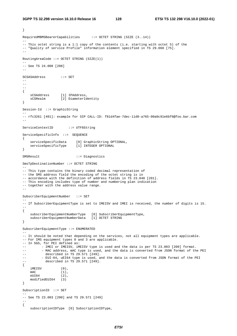```
} 
RequiredMBMSBearerCapabilities ::= OCTET STRING (SIZE (3..14)) 
-- 
-- This octet string is a 1:1 copy of the contents (i.e. starting with octet 5) of the 
-- "Quality of service Profile" information element specified in TS 29.060 [75]. 
-- 
RoutingAreaCode ::= OCTET STRING (SIZE(1)) 
-- 
-- See TS 24.008 [208] 
-SCSASAddress ::= SET 
--- 
-- 
{ 
   sCSAddress [1] IPAddress,<br>sCSRealm [2] DiameterId
                   [2] DiameterIdentity
} 
Session-Id ::= GraphicString 
-- 
-- rfc3261 [401]: example for SIP CALL-ID: f81d4fae-7dec-11d0-a765-00a0c91e6bf6@foo.bar.com 
-- 
ServiceContextID ::= UTF8String
ServiceSpecificInfo ::= SEQUENCE 
{ 
     serviceSpecificData [0] GraphicString OPTIONAL, 
   serviceSpecificType [1] INTEGER OPTIONAL
} 
SMSResult ::= Diagnostics 
SmsTpDestinationNumber ::= OCTET STRING 
-- 
-- This type contains the binary coded decimal representation of 
-- the SMS address field the encoding of the octet string is in 
-- accordance with the definition of address fields in TS 23.040 [201]. 
-- This encoding includes type of number and numbering plan indication 
-- together with the address value range.
-- 
SubscriberEquipmentNumber ::= SET 
-- 
-- If SubscriberEquipmentType is set to IMEISV and IMEI is received, the number of digits is 15. 
-- 
{ 
     subscriberEquipmentNumberType [0] SubscriberEquipmentType, 
     subscriberEquipmentNumberData [1] OCTET STRING 
} 
SubscriberEquipmentType ::= ENUMERATED 
-- 
-- It should be noted that depending on the services, not all equipment types are applicable. 
-- For IMS equipment types 0 and 3 are applicable. 
-- In 5GS, for PEI defined as: 
-- - IMEI or IMEISV, iMEISV type is used and the data is per TS 23.003 [200] format.
-- - MAC address, mAC type is used, and the data is converted from JSON format of the PEI
-- described in TS 29.571 [249]. 
-- - EUI-64, uEI64 type is used, and the data is converted from JSON format of the PEI
           described in TS 29.571 [249].
{ 
   \text{IMEISV} (0),<br>
\text{MAC} (1),
                   (1),
     eUI64 (2), 
    modifiedEUI64 (3) 
} 
SubscriptionID ::= SET 
-- 
-- See TS 23.003 [200] and TS 29.571 [249] 
-- 
{ 
    subscriptionIDType [0] SubscriptionIDType,
```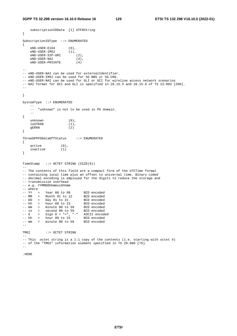```
 subscriptionIDData [1] UTF8String 
} 
SubscriptionIDType ::= ENUMERATED 
{ 
    eND-USER-E164 (0),<br>eND-USER-IMSI (1),
   eND-USER-IMSI (1),<br>eND-USER-SIP-URI (2).
    eND-USER-SIP-URI (2), 
    eND-USER-NAI (3), 
     eND-USER-PRIVATE (4) 
-- 
-- eND-USER-NAI can be used for externalIdentifier. 
-- eND-USER-IMSI can be used for 5G BRG or 5G CRG. 
-- eND-USER-NAI can be used for GLI or GCI for wireline access network scenarios 
-- NAI format for GCI and GLI is specified in 28.15.5 and 28.15.6 of TS 23.003 [200]. 
-} 
SystemType ::= ENUMERATED 
 -- 
     -- "unknown" is not to be used in PS domain. 
 -- 
{ 
   unknown (0),<br>iuUTRAN (1),
    iuUTRAN
    gERAN (2) 
} 
ThreeGPPPSDataOffStatus ::= ENUMERATED 
{ 
    \begin{align} \text{active} & (0), \\ \text{inactive} & (1) \end{align}inactive
} 
TimeStamp ::= OCTET STRING (SIZE(9)) 
-- 
-- The contents of this field are a compact form of the UTCTime format 
-- containing local time plus an offset to universal time. Binary coded 
-- decimal encoding is employed for the digits to reduce the storage and
-- transmission overhead 
-- e.g. YYMMDDhhmmssShhmm
-- where 
-- YY = Year 00 to 99 BCD encoded
-- MM = Month 01 to 12 BCD encoded
-- DD = Day 01 to 31 BCD encoded
-- hh = hour 00 to 23 BCD encoded 
-- mm = minute 00 to 59 BCD encoded
-- ss = second 00 to 59 BCD encoded
-- S = Sign 0 = "+", "-" ASCII encoded
-- hh = hour 00 to 23 BCD encoded
-- mm = minute 00 to 59 BCD encoded
-- 
TMGI ::= OCTET STRING
-- 
-- This octet string is a 1:1 copy of the contents (i.e. starting with octet 4) 
-- of the "TMGI" information element specified in TS 29.060 [75].
- -.#END
```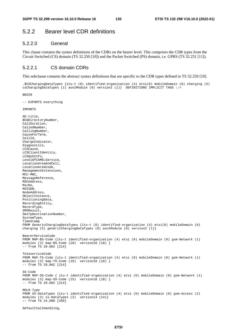# 5.2.2 Bearer level CDR definitions

### 5.2.2.0 General

This clause contains the syntax definitions of the CDRs on the bearer level. This comprises the CDR types from the Circuit Switched (CS) domain (TS 32.250 [10]) and the Packet Switched (PS) domain, i.e. GPRS (TS 32.251 [11]).

### 5.2.2.1 CS domain CDRs

This subclause contains the abstract syntax definitions that are specific to the CDR types defined in TS 32.250 [10].

.\$CSChargingDataTypes {itu-t (0) identified-organization (4) etsi(0) mobileDomain (0) charging (5) csChargingDataTypes (1) asn1Module (0) version2 (1)} DEFINITIONS IMPLICIT TAGS ::=

**BEGIN** 

-- EXPORTS everything

**IMPORTS** 

```
AE-title, 
BCDDirectoryNumber, 
CallDuration, 
CalledNumber, 
CallingNumber, 
CauseForTerm, 
CellId, 
ChargeIndicator, 
Diagnostics, 
LCSCause, 
LCSClientIdentity, 
LCSQoSInfo, 
LevelOfCAMELService, 
LocationAreaAndCell, 
LocationAreaCode, 
ManagementExtensions, 
MCC-MNC, 
MessageReference, 
MSCAddress, 
MscNo, 
MSISDN, 
NodeAddress, 
ObjectInstance, 
PositioningData, 
RecordingEntity, 
RecordType, 
SMSResult, 
SmsTpDestinationNumber, 
SystemType, 
TimeStamp 
FROM GenericChargingDataTypes {itu-t (0) identified-organization (4) etsi(0) mobileDomain (0) 
charging (5) genericChargingDataTypes (0) asn1Module (0) version2 (1) }
BearerServiceCode 
FROM MAP-BS-Code {itu-t identified-organization (4) etsi (0) mobileDomain (0) gsm-Network (1) 
modules (3) map-BS-Code (20) version18 (18) } 
-- from TS 29.002 [214] 
TeleserviceCode 
FROM MAP-TS-Code {itu-t identified-organization (4) etsi (0) mobileDomain (0) gsm-Network (1) 
modules (3) map-TS-Code (19) version18 (18) } 
-- from TS 29.002 [214]
SS-Code 
FROM MAP-SS-Code { itu-t identified-organization (4) etsi (0) mobileDomain (0) gsm-Network (1) 
modules (3) map-SS-Code (15) version18 (18) } 
-- from TS 29.002 [214] 
MOLR-Type 
FROM SS-DataTypes {itu-t identified-organization (4) etsi (0) mobileDomain (0) gsm-Access (2) 
modules (3) ss-DataTypes (2) version14 (14)} 
-- from TS 24.080 [209]
```
DefaultCallHandling,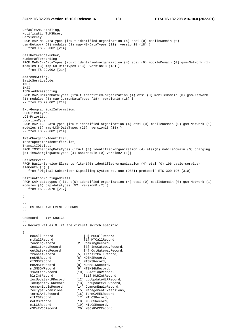DefaultSMS-Handling, NotificationToMSUser, ServiceKey FROM MAP-MS-DataTypes {itu-t identified-organization (4) etsi (0) mobileDomain (0) gsm-Network (1) modules (3) map-MS-DataTypes (11) version18 (18) } -- from TS 29.002 [214] CallReferenceNumber, NumberOfForwarding FROM MAP-CH-DataTypes {itu-t identified-organization (4) etsi (0) mobileDomain (0) gsm-Network (1) modules (3) map-CH-DataTypes (13) version18 (18) } -- from TS 29.002 [214] AddressString, BasicServiceCode, IMEI, IMSI, ISDN-AddressString FROM MAP-CommonDataTypes {itu-t identified-organization (4) etsi (0) mobileDomain (0) gsm-Network (1) modules (3) map-CommonDataTypes (18) version18 (18) }  $-$  from TS 29.002 [214] Ext-GeographicalInformation, LCSClientType, LCS-Priority, LocationType FROM MAP-LCS-DataTypes {itu-t identified-organization (4) etsi (0) mobileDomain (0) gsm-Network (1) modules (3) map-LCS-DataTypes (25) version18 (18) } -- from TS 29.002 [214] IMS-Charging-Identifier, InterOperatorIdentifierList, TransitIOILists FROM IMSChargingDataTypes {itu-t (0) identified-organization (4) etsi(0) mobileDomain (0) charging (5) imsChargingDataTypes (4) asn1Module (0) version2 (1)} BasicService FROM Basic-Service-Elements {itu-t(0) identified-organization (4) etsi (0) 196 basic-serviceelements (8) } -- from "Digital Subscriber Signalling System No. one (DSS1) protocol" ETS 300 196 [310] DestinationRoutingAddress FROM CAP-datatypes { itu-t(0) identified-organization (4) etsi (0) mobileDomain (0) gsm-Network (1) modules (3) cap-datatypes (52) version8 (7) } -- from TS 29.078 [217] ; -- -- CS CALL AND EVENT RECORDS -- CSRecord ::= CHOICE -- -- Record values 0..21 are circuit switch specific -- { moCallRecord [0] MOCallRecord, mtCallRecord [1] MTCallRecord, roamingRecord [2] RoamingRecord, incGatewayRecord [3] IncGatewayRecord, outGatewayRecord [4] OutGatewayRecord,<br>transitRecord [5] TransitCallRecord, transitRecord [5] TransitCallRecord,<br>moSMSRecord [6] MOSMSRecord, [6] MOSMSRecord, mtSMSRecord [7] MTSMSRecord, moSMSIWRecord [8] MOSMSIWRecor moSMSIWRecord [8] MOSMSIWRecord, mtSMSGWRecord [9] MTSMSGWRecord<br>ssActionRecord [10] SSActionRecor [10] SSActionRecord, hlrIntRecord [11] HLRIntRecord, locUpdateHLRRecord [12] LocUpdateHLRRecord, locUpdateVLRRecord [13] LocUpdateVLRRecord, commonEquipRecord [14] CommonEquipRecord, recTypeExtensions [15] ManagementExtensions, termCAMELRecord [16] TermCAMELRecord, mtLCSRecord [17] MTLCSRecord, moLCSRecord [18] MOLCSRecord,<br>
niLCSRecord [19] NILCSRecord, niLCSRecord [19] NILCSRecord, mSCsRVCCRecord [20] MSCsRVCCReco [20] MSCsRVCCRecord,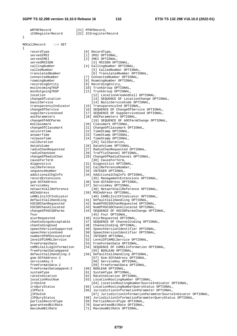}

{

mMTRFRecord [21] MTRFRecord, iCSRegisterRecord [22] ICSregisterRecord MOCallRecord ::= SET recordType [0] RecordType,  $s$ ervedIMSI servedIMEI servedMSISDN [3] MSISDN OPTIONAL, callingNumber [4] CallingNumber OPTIONAL, calledNumber [5] CalledNumber OPTIONAL, translatedNumber [6] TranslatedNumber OPTIONAL, connectedNumber [7] ConnectedNumber OPTIONAL, roamingNumber [8] RoamingNumber OPTIONAL, recordingEntity [9] RecordingEntity, mscIncomingTKGP [10] TrunkGroup OPTIONAL, mscOutgoingTKGP [11] TrunkGroup OPTIONAL, location [12] LocationAreaAndCell OPTIONAL,<br>changeOfLocation [13] SEQUENCE OF LocationChange OP changeOfLocation [13] SEQUENCE OF LocationChange OPTIONAL,<br>basicService [14] BasicServiceCode OPTIONAL, basicService [14] BasicServiceCode OPTIONAL, changeOfService [16] SEQUENCE OF ChangeOfService OPTIONAL,<br>supplServicesUsed [17] SEQUENCE OF SuppServiceUsed OPTIONAL,<br>aocParameters msClassmark [20] Classmark OPTIONAL, seizureTime [22] TimeStamp OPTIONAL, answerTime [23] TimeStamp OPTIONAL, releaseTime  $[24]$  TimeStamp OPTIONAL,<br>callDuration  $[25]$  CallDuration, callDuration [25] CallDuration,<br>dataVolume [26] DataVolume OPTION radioChanRequested [27] RadioChanRequested OPTIONAL, radioChanUsed [28] TrafficChannel OPTIONAL,<br>changeOfRadioChan [29] ChangeOfRadioChannel OPT causeForTerm [30] CauseForTerm, diagnostics [31] Diagnostics OPTIONAL, callReference [32] CallReferenceNumber, sequenceNumber [33] INTEGER OPTIONAL,<br>additionalChgInfo [34] AdditionalChgInfo additionalChgInfo [34] AdditionalChgInfo OPTIONAL,<br>recordExtensions [35] ManaqementExtensions OP recordExtensions [35] ManagementExtensions OPTIONAL,<br>  $\sigma$ sm-SCEAddress [36] Gsm-SCEAddress OPTIONAL, serviceKey [37] ServiceKey OPTIONAL, networkCallReference [38] NetworkCallReference OPTIONAL, mSCAddress [39] MSCAddress OPTIONAL, hSCSDChanRequested [42] NumOfHSCSDChanRequested OPTIONAL,<br>hSCSDChanAllocated [43] NumOfHSCSDChanAllocated OPTIONAL,<br>changeOfHSCSDParms [44] SEQUENCE OF HSCSDParmsChange OPTI fnur  $[45]$  Fnur OPTIONAL, aiurRequested [46] AiurRequested OPTIONAL, chanCodingUsed [48] ChannelCoding OPTIONAL, speechVersionSupported [49] SpeechVersionIden<br>speechVersionUsed [50] SpeechVersionIden<br>numberOfDPEncountered [51] INTEGER OPTIONAL,<br>levelOfCAMELService [52] LevelOfCAMELServi freeFormatData [53] FreeFormatData OPTIONAL, freeFormatDataAppend [55] BOOLEAN OPTIONAL, defaultCallHandling-2 [56] DefaultCallHandling OPTIONAL, gsm-SCFAddress-2 [57] Gsm-SCFAddress OPTIONAL,<br>serviceKev-2 [58] ServiceKey OPTIONAL, freeFormatData-2 [59] FreeFormatData OPTIONAL, freeFormatDataAppend-2 systemType [61] SystemType OPTIONAL, rateIndication [62] RateIndication OPTIONAL, locationRoutNum [63] LocationRoutingNumber OPTIONAL, partialRecordType [69] PartialRecordType OPTIONAL,<br>quaranteedBitRate [70] GuaranteedBitRate OPTIONAL,

| [1] IMSI OPTIONAL,   |  |
|----------------------|--|
| [2] IMEI OPTIONAL,   |  |
| [3] MSISDN OPT       |  |
| [4] CallingNumber    |  |
| [5] CalledNumb       |  |
| [6] Translated       |  |
| $[7]$ ConnoctodMumbo |  |

- 
- 
- 
- 
- -
	-
	-
- transparencyIndicator [15] TransparencyInd OPTIONAL,
	-
	- [17] SEQUENCE OF SuppServiceUsed OPTIONAL,
	- [18] AOCParameters OPTIONAL,
	- changeOfAOCParms [19] SEQUENCE OF AOCParmChange OPTIONAL,
		-
	- changeOfClassmark [21] ChangeOfClassmark OPTIONAL,
		-
		-
		-
		-
		- [26] DataVolume OPTIONAL,
		-
		-
		- [29] ChangeOfRadioChannel OPTIONAL,
			-
			-
			-
			-
			-
			-
		- [36] Gsm-SCFAddress OPTIONAL,
			-
			-
		-
		-
	- cAMELInitCFIndicator [40] CAMELInitCFIndicator OPTIONAL,
- defaultCallHandling [41] DefaultCallHandling OPTIONAL,
- hSCSDChanRequested [42] NumOfHSCSDChanRequested OPTIONAL,
	-
	- [44] SEQUENCE OF HSCSDParmsChange OPTIONAL,
		-
- chanCodingsAcceptable [47] SEQUENCE OF ChannelCoding OPTIONAL,
	-
	- [49] SpeechVersionIdentifier OPTIONAL,
	- [50] SpeechVersionIdentifier OPTIONAL,
	-
	- [52] LevelOfCAMELService OPTIONAL,
	-
	- cAMELCallLegInformation [54] SEQUENCE OF CAMELInformation OPTIONAL,
		- -
			- [58] ServiceKey OPTIONAL,
				-
		-
		-
		-
		-
	- lrnSoInd [64] LocationRoutingNumberSourceIndicator OPTIONAL,
	- lrnQuryStatus [65] LocationRoutingNumberQueryStatus OPTIONAL,
	- jIPPara [66] JurisdictionInformationParameter OPTIONAL,
		-
	- jIPSoInd [67] JurisdictionInformationParameterSourceIndicator OPTIONAL,
	- jIPQuryStatus [68] JurisdictionInformationParameterQueryStatus OPTIONAL,
		-
	- guaranteedBitRate [70] GuaranteedBitRate OPTIONAL,
		- [71] MaximumBitRate OPTIONAL,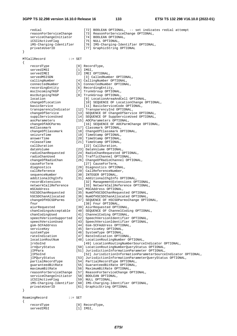servedIMSI

 redial [72] BOOLEAN OPTIONAL, -- set indicates redial attempt reasonForServiceChange [73] ReasonForServiceChange OPTIONAL,<br>serviceChangeInitiator [74] BOOLEAN OPTIONAL, serviceChangeInitiator iCSI2ActiveFlag [75] NULL OPTIONAL, iMS-Charging-Identifier [76] IMS-Charging-Identifier OPTIONAL, privateUserID [77] GraphicString OPTIONAL } MTCallRecord ::= SET { recordType [0] RecordType, servedIMSI [1] IMSI, servedIMEI [2] IMEI OPTIONAL, servedMSISDN [3] CalledNumber OPTIONAL,<br>callingNumber [4] CallingNumber OPTIONAL, [4] CallingNumber OPTIONAL, connectedNumber [5] ConnectedNumber OPTIONAL,<br>
recordingEntity [6] RecordingEntity, [6] RecordingEntity, mscIncomingTKGP [7] TrunkGroup OPTIONAL,<br>mscOutgoingTKGP [8] TrunkGroup OPTIONAL, mscOutgoingTKGP [8] TrunkGroup OPTIONAL, location [9] LocationAreaAndCell OPTIONAL,<br>
changeOfLocation [10] SEOUENCE OF LocationChange O [10] SEQUENCE OF LocationChange OPTIONAL, basicService [11] BasicServiceCode OPTIONAL, transparencyIndicator [12] TransparencyInd OPTIONAL, changeOfService [13] SEQUENCE OF ChangeOfService OPTIONAL, supplServicesUsed [14] SEQUENCE OF SuppServiceUsed OPTIONAL, aocParameters [15] AOCParameters OPTIONAL, changeOfAOCParms [16] SEQUENCE OF AOCParmChange OPTIONAL, msClassmark [17] Classmark OPTIONAL,<br>changeOfClassmark [18] ChangeOfClassmark O [18] ChangeOfClassmark OPTIONAL, seizureTime [19] TimeStamp OPTIONAL, answerTime [20] TimeStamp OPTIONAL, releaseTime [21] TimeStamp OPTIONAL,<br>callDuration [22] CallDuration [22] CallDuration, dataVolume [23] DataVolume OPTIONAL, radioChanRequested [24] RadioChanRequested OPTIONAL, radioChanUsed [25] TrafficChannel OPTIONAL, changeOfRadioChan [26] ChangeOfRadioChannel OPTIONAL, causeForTerm [27] CauseForTerm, diagnostics [28] Diagnostics OPTIONAL, callReference [29] CallReferenceNumber, sequenceNumber [30] INTEGER OPTIONAL,<br>additionalChqInfo [31] AdditionalChqInfo additionalChgInfo [31] AdditionalChgInfo OPTIONAL,<br>recordExtensions [32] ManagementExtensions OP [32] ManagementExtensions OPTIONAL, networkCallReference [33] NetworkCallReference OPTIONAL, mSCAddress [34] MSCAddress OPTIONAL, hSCSDChanRequested [35] NumOfHSCSDChanRequested OPTIONAL, hSCSDChanAllocated [36] NumOfHSCSDChanAllocated OPTIONAL, changeOfHSCSDParms [37] SEQUENCE OF HSCSDParmsChange OPTIONAL, fnur [38] Fnur OPTIONAL, [39] AiurRequested OPTIONAL, chanCodingsAcceptable [40] SEQUENCE OF ChannelCoding OPTIONAL, chanCodingUsed [41] ChannelCoding OPTIONAL, speechVersionSupported [42] SpeechVersionIdentifier OPTIONAL, speechVersionUsed [43] SpeechVersionIdentifier OPTIONAL, gsm-SCFAddress [44] Gsm-SCFAddress OPTIONAL, serviceKey [45] ServiceKey OPTIONAL, systemType [46] SystemType OPTIONAL, rateIndication [47] RateIndication OPTIONAL, locationRoutNum [48] LocationRoutingNumber OPTIONAL, lrnSoInd [49] LocationRoutingNumberSourceIndicator OPTIONAL, lrnQuryStatus [50] LocationRoutingNumberQueryStatus OPTIONAL, [51] JurisdictionInformationParameter OPTIONAL, jIPSoInd [52] JurisdictionInformationParameterSourceIndicator OPTIONAL,<br>iIPOuryStatus [53] JurisdictionInformationParameterOueryStatus OPTIONAL, jIPQuryStatus [53] JurisdictionInformationParameterQueryStatus OPTIONAL,<br>partialRecordType [54] PartialRecordType OPTIONAL, [54] PartialRecordType OPTIONAL, guaranteedBitRate [55] GuaranteedBitRate OPTIONAL,<br>maximumBitRate [56] MaximumBitRate OPTIONAL, [56] MaximumBitRate OPTIONAL, reasonForServiceChange [57] ReasonForServiceChange OPTIONAL, serviceChangeInitiator [58] BOOLEAN OPTIONAL, iCSI2ActiveFlag [59] NULL OPTIONAL, iMS-Charging-Identifier [60] IMS-Charging-Identifier OPTIONAL, privateUserID [61] GraphicString OPTIONAL } RoamingRecord ::= SET { recordType [0] RecordType,<br>servedIMSI [1] IMSI.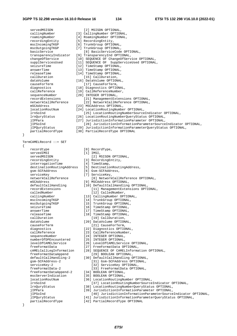[3] CallingNumber OPTIONAL,

| servedMSISDN          | [2] MSISDN OPTIONAL,     |
|-----------------------|--------------------------|
| callingNumber         | [3] CallingNumber OPTION |
| roamingNumber         | [4] RoamingNumber OPTION |
| recordingEntity       | [5] RecordingEntity,     |
| mscIncomingTKGP       | [6] TrunkGroup OPTIONAL, |
| mscOutgoingTKGP       | [7] TrunkGroup OPTIONAL, |
| basicService          | [8] BasicServiceCode     |
| transparencyIndicator | [9] TransparencyInd OPTI |
| changeOfService       | [10] SEQUENCE OF ChangeC |
| supplServicesUsed     | [11] SEQUENCE OF SuppSe  |
| seizureTime           | [12] TimeStamp OPTIONAL, |
| answerTime            | [13] TimeStamp OPTIONAL, |
| releaseTime           | [14] TimeStamp OPTIONAL, |
| callDuration          | [15] CallDuration,       |
| dataVolume            | [16] DataVolume OPTIONAL |
| causeForTerm          | [17] CauseForTerm,       |
| diagnostics           | [18] Diagnostics OPTIONA |
| callReference         | [19] CallReferenceNumber |
| sequenceNumber        | [20] INTEGER OPTIONAL,   |
| recordExtensions      | [21] ManagementExter     |
| networkCallReference  | [22] NetworkCallRefe     |
| mSCAddress            | [23] MSCAddress OPTIONAL |
| locationRoutNum       | [24] LocationRoutingNumb |
| lrnSoInd              | [25] LocationRouting     |
| lrnQuryStatus         | [26] LocationRoutingNumk |
| iIPPara               | [27] JurisdictionInforma |
| jIPSoInd              | [28] JurisdictionInf     |
| jIPQuryStatus         | [29] JurisdictionInforma |
| partialRecordType     | [30] PartialRecordType O |
| }                     |                          |

}

TermCAMELRecord ::= SET

{

| recordtype                                |
|-------------------------------------------|
| servedIMSI                                |
| servedMSISDN                              |
| recordingEntity                           |
| interrogationTime                         |
| destinationRoutingAddress                 |
| qsm-SCFAddress                            |
| serviceKey                                |
| networkCallReference                      |
| mSCAddress                                |
| defaultCallHandling                       |
| recordExtensions                          |
| calledNumber                              |
| callingNumber                             |
| mscIncomingTKGP                           |
| mscOutgoingTKGP                           |
| seizureTime                               |
| answerTime                                |
| releaseTime                               |
| callDuration                              |
| dataVolume                                |
| causeForTerm                              |
| diagnostics                               |
| callReference                             |
| sequenceNumber                            |
| numberOfDPEncountered                     |
| <i>levelOfCAMELService</i>                |
| freeFormatData                            |
| cAMELCallLegInformation                   |
| freeFormatDataAppend                      |
| defaultCallHandling-2<br>qsm-SCFAddress-2 |
| serviceKey-2                              |
| freeFormatData-2                          |
| freeFormatDataAppend-2                    |
| mscServerIndication                       |
| locationRoutNum                           |
| lrnSoInd                                  |
| lrnQuryStatus                             |
| jIPPara                                   |
| iIPSoInd                                  |
| jIPQuryStatus                             |
| partialRecordType                         |
|                                           |
|                                           |

| roamingNumber         | [4] RoamingNumber OPTIONAL,                         |
|-----------------------|-----------------------------------------------------|
| recordingEntity       | [5] RecordingEntity,                                |
| mscIncomingTKGP       | [6] TrunkGroup OPTIONAL,                            |
| mscOutgoingTKGP       | [7] TrunkGroup OPTIONAL,                            |
| basicService          | [8] BasicServiceCode OPTIONAL,                      |
| transparencyIndicator | [9] TransparencyInd OPTIONAL,                       |
| changeOfService       | [10] SEQUENCE OF ChangeOfService OPTIONAL,          |
| supplServicesUsed     | [11] SEQUENCE OF SuppServiceUsed OPTIONAL,          |
| seizureTime           | [12] TimeStamp OPTIONAL,                            |
| answerTime            | [13] TimeStamp OPTIONAL,                            |
| releaseTime           | [14] TimeStamp OPTIONAL,                            |
| callDuration          | [15] CallDuration,                                  |
| dataVolume            | [16] DataVolume OPTIONAL,                           |
| causeForTerm          | [17] CauseForTerm,                                  |
| diagnostics           | [18] Diagnostics OPTIONAL,                          |
| callReference         | [19] CallReferenceNumber,                           |
| sequenceNumber        | [20] INTEGER OPTIONAL,                              |
| recordExtensions      | [21] ManagementExtensions OPTIONAL,                 |
| networkCallReference  | [22] NetworkCallReference OPTIONAL,                 |
| mSCAddress            | [23] MSCAddress OPTIONAL,                           |
| locationRoutNum       | [24] LocationRoutingNumber OPTIONAL,                |
| lrnSoInd              | [25] LocationRoutingNumberSourceIndicator OPTIONAL, |
|                       |                                                     |

- [26] LocationRoutingNumberQueryStatus OPTIONAL,
- [27] JurisdictionInformationParameter OPTIONAL,
- [28] JurisdictionInformationParameterSourceIndicator OPTIONAL,
- [29] JurisdictionInformationParameterQueryStatus OPTIONAL,
- [30] PartialRecordType OPTIONAL
	- [0] RecordType,
	- [1] IMSI,
	- [2] MSISDN OPTIONAL,
	- [3] RecordingEntity,
	- $[4]$  TimeStamp,
	- [5] DestinationRoutingAddress,
	- [6] Gsm-SCFAddress,
	- [7] ServiceKey,
		- networkCallReference [8] NetworkCallReference OPTIONAL,
	- [9] MSCAddress OPTIONAL,
	- [10] DefaultCallHandling OPTIONAL, [11] ManagementExtensions OPTIONAL, [12] CalledNumber,
	- [13] CallingNumber OPTIONAL,
	-
	- [14] TrunkGroup OPTIONAL,
	- [15] TrunkGroup OPTIONAL,
	- [16] TimeStamp OPTIONAL,
	- [17] TimeStamp OPTIONAL,
	- [18] TimeStamp OPTIONAL,
	- [19] CallDuration,
	-
	-
	- [22] Diagnostics OPTIONAL,
	- [23] CallReferenceNumber,
	- [24] INTEGER OPTIONAL,
	- [25] INTEGER OPTIONAL,
	- [26] LevelOfCAMELService OPTIONAL,
	- [27] FreeFormatData OPTIONAL,
	- [28] SEQUENCE OF CAMELInformation OPTIONAL, [29] BOOLEAN OPTIONAL,
	- [30] DefaultCallHandling OPTIONAL,
		- [31] Gsm-SCFAddress OPTIONAL,
		- [32] ServiceKey OPTIONAL,
		- [33] FreeFormatData OPTIONAL,
	- [34] BOOLEAN OPTIONAL,
	- [35] BOOLEAN OPTIONAL,
	- [36] LocationRoutingNumber OPTIONAL,
		- [37] LocationRoutingNumberSourceIndicator OPTIONAL,
	- [38] LocationRoutingNumberQueryStatus OPTIONAL,
	- [39] JurisdictionInformationParameter OPTIONAL,
		- [40] JurisdictionInformationParameterSourceIndicator OPTIONAL,
	- [41] JurisdictionInformationParameterQueryStatus OPTIONAL,
	- [42] PartialRecordType OPTIONAL

}

*ETSI* 

[20] DataVolume OPTIONAL, [21] CauseForTerm,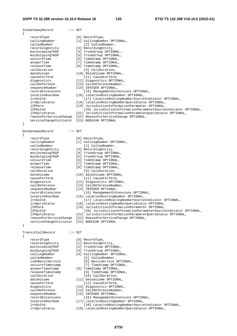| IncGatewayRecord                        | $: :=$ SET                                                                                                                   |
|-----------------------------------------|------------------------------------------------------------------------------------------------------------------------------|
| $\left\{ \right.$<br>recordType         | [0] RecordType,                                                                                                              |
| callingNumber                           | [1] CallingNumber OPTIONAL,                                                                                                  |
| calledNumber                            | [2] CalledNumber,                                                                                                            |
| recordingEntity                         | [3] RecordingEntity,                                                                                                         |
| mscIncomingTKGP                         | [4] TrunkGroup OPTIONAL,                                                                                                     |
| mscOutgoingTKGP                         | [5] TrunkGroup OPTIONAL,                                                                                                     |
| seizureTime                             | [6] TimeStamp OPTIONAL,                                                                                                      |
| answerTime                              | [7] TimeStamp OPTIONAL,                                                                                                      |
| releaseTime                             | [8] TimeStamp OPTIONAL,                                                                                                      |
| callDuration<br>dataVolume              | [9] CallDuration,<br>[10] DataVolume OPTIONAL,                                                                               |
| causeForTerm                            | [11] CauseForTerm,                                                                                                           |
| diagnostics                             | [12] Diagnostics OPTIONAL,                                                                                                   |
| callReference                           | [13] CallReferenceNumber,                                                                                                    |
| sequenceNumber                          | [14] INTEGER OPTIONAL,                                                                                                       |
| recordExtensions                        | [15] ManagementExtensions OPTIONAL,                                                                                          |
| locationRoutNum                         | [16] LocationRoutingNumber OPTIONAL,                                                                                         |
| lrnSoInd                                | [17] LocationRoutingNumberSourceIndicator OPTIONAL,                                                                          |
| lrnQuryStatus                           | [18] LocationRoutingNumberQueryStatus OPTIONAL,                                                                              |
| jIPPara                                 | [19] JurisdictionInformationParameter OPTIONAL,                                                                              |
| jIPSoInd                                | [20] JurisdictionInformationParameterSourceIndicator OPTIONAL,<br>[21] JurisdictionInformationParameterQueryStatus OPTIONAL, |
| jIPQuryStatus<br>reasonForServiceChange | [22] ReasonForServiceChange OPTIONAL,                                                                                        |
| serviceChangeInitiator                  | [23] BOOLEAN OPTIONAL                                                                                                        |
| $\}$                                    |                                                                                                                              |
|                                         |                                                                                                                              |
| OutGatewayRecord                        | $: :=$ SET                                                                                                                   |
| $\{$<br>recordType                      | [0] RecordType,                                                                                                              |
| callingNumber                           | [1] CallingNumber OPTIONAL,                                                                                                  |
| calledNumber                            | [2] CalledNumber,                                                                                                            |
| recordingEntity                         | [3] RecordingEntity,                                                                                                         |
| mscIncomingTKGP                         | [4] TrunkGroup OPTIONAL,                                                                                                     |
| mscOutgoingTKGP                         | [5] TrunkGroup OPTIONAL,                                                                                                     |
| seizureTime                             | [6] TimeStamp OPTIONAL,                                                                                                      |
| answerTime                              | [7] TimeStamp OPTIONAL,                                                                                                      |
| releaseTime<br>callDuration             | [8] TimeStamp OPTIONAL,<br>[9] CallDuration,                                                                                 |
| dataVolume                              | [10] DataVolume OPTIONAL,                                                                                                    |
| causeForTerm                            | [11] CauseForTerm,                                                                                                           |
| diagnostics                             | [12] Diagnostics OPTIONAL,                                                                                                   |
| callReference                           | [13] CallReferenceNumber,                                                                                                    |
| sequenceNumber                          | [14] INTEGER OPTIONAL,                                                                                                       |
| recordExtensions                        | [15] ManagementExtensions OPTIONAL,                                                                                          |
| locationRoutNum                         | [16] LocationRoutingNumber OPTIONAL,                                                                                         |
| lrnSoInd                                | [17] LocationRoutingNumberSourceIndicator OPTIONAL,<br>[18] LocationRoutingNumberQueryStatus OPTIONAL,                       |
| lrnQuryStatus                           |                                                                                                                              |
| jIPPara<br>jIPSoInd                     | [19] JurisdictionInformationParameter OPTIONAL,<br>[20] JurisdictionInformationParameterSourceIndicator OPTIONAL,            |
| jIPQuryStatus                           | [21] JurisdictionInformationParameterQueryStatus OPTIONAL,                                                                   |
| reasonForServiceChange                  | [22] ReasonForServiceChange OPTIONAL,                                                                                        |
| serviceChangeInitiator                  | [23] BOOLEAN OPTIONAL                                                                                                        |
| $\}$                                    |                                                                                                                              |
| TransitCallRecord                       | $: :=$ SET                                                                                                                   |
| $\{$                                    |                                                                                                                              |
| recordType                              | [0] RecordType,                                                                                                              |
| recordingEntity                         | [1] RecordingEntity,                                                                                                         |
| mscIncomingTKGP                         | [2] TrunkGroup OPTIONAL,                                                                                                     |
| mscOutgoingTKGP                         | [3] TrunkGroup OPTIONAL,                                                                                                     |
| callingNumber                           | [4] CallingNumber OPTIONAL,                                                                                                  |
| calledNumber<br>isdnBasicService        | [5] CalledNumber,<br>[6] BasicService OPTIONAL,                                                                              |
| seizureTimestamp                        | [7] TimeStamp OPTIONAL,                                                                                                      |
| answerTimestamp                         | [8] TimeStamp OPTIONAL,                                                                                                      |
| releaseTimestamp                        | [9] TimeStamp OPTIONAL,                                                                                                      |
| callDuration                            | [10] CallDuration,                                                                                                           |
| dataVolume                              | [11] DataVolume OPTIONAL,                                                                                                    |
| causeForTerm                            | [12] CauseForTerm,                                                                                                           |
| diagnostics                             | [13] Diagnostics OPTIONAL,                                                                                                   |
| callReference                           | [14] CallReferenceNumber,                                                                                                    |
| sequenceNumber<br>recordExtensions      | [15] INTEGER OPTIONAL,<br>[16] ManagementExtensions OPTIONAL,                                                                |
| locationRoutNum                         | [17] LocationRoutingNumber OPTIONAL,                                                                                         |
|                                         |                                                                                                                              |

- 
- lrnSoInd [18] LocationRoutingNumberSourceIndicator OPTIONAL,
- lrnQuryStatus [19] LocationRoutingNumberQueryStatus OPTIONAL,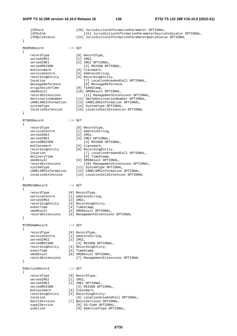| <sup>}</sup>                   | jIPPara<br>jIPSoInd<br>jIPQuryStatus                                                                                                                                                                                                                                         | [20] JurisdictionInformationParameter OPTIONAL,<br>[21] JurisdictionInformationParameterSourceIndicator OPTIONAL,<br>[22] JurisdictionInformationParameterQueryStatus OPTIONAL                                                                                                                                                                                                                                                                     |
|--------------------------------|------------------------------------------------------------------------------------------------------------------------------------------------------------------------------------------------------------------------------------------------------------------------------|----------------------------------------------------------------------------------------------------------------------------------------------------------------------------------------------------------------------------------------------------------------------------------------------------------------------------------------------------------------------------------------------------------------------------------------------------|
|                                | MOSMSRecord                                                                                                                                                                                                                                                                  | $\cdot \cdot = \text{SET}$                                                                                                                                                                                                                                                                                                                                                                                                                         |
| ₹<br><sup>}</sup>              | recordType<br>servedIMSI<br>servedIMEI<br>servedMSISDN<br>msClassmark<br>serviceCentre<br>recordingEntity<br>location<br>messageReference<br>originationTime<br>smsResult<br>recordExtensions<br>destinationNumber<br>cAMELSMSInformation<br>systemType<br>locationExtension | [0] RecordType,<br>$[1]$ IMSI,<br>[2] IMEI OPTIONAL,<br>[3] MSISDN OPTIONAL,<br>[4] Classmark,<br>[5] AddressString,<br>[6] RecordingEntity,<br>[7] LocationAreaAndCell OPTIONAL,<br>[8] MessageReference,<br>[9] TimeStamp,<br>[10] SMSResult OPTIONAL,<br>[11] ManagementExtensions OPTIONAL,<br>[12] SmsTpDestinationNumber OPTIONAL,<br>[13] CAMELSMSInformation OPTIONAL,<br>[14] SystemType OPTIONAL,<br>[15] LocationCellExtension OPTIONAL |
|                                | MTSMSRecord                                                                                                                                                                                                                                                                  | $\cdot \cdot = \text{SET}$                                                                                                                                                                                                                                                                                                                                                                                                                         |
| ₹<br>$\mathcal{E}$             | recordType<br>serviceCentre<br>servedIMSI<br>servedIMEI<br>servedMSISDN<br>msClassmark<br>recordingEntity<br>location<br>deliveryTime<br>smsResult<br>recordExtensions<br>systemType<br>cAMELSMSInformation<br>locationExtension                                             | [0] RecordType,<br>[1] AddressString,<br>$[2]$ IMSI,<br>[3] IMEI OPTIONAL,<br>[4] MSISDN OPTIONAL,<br>[5] Classmark,<br>[6] RecordingEntity,<br>[7] LocationAreaAndCell OPTIONAL,<br>[8] TimeStamp,<br>[9] SMSResult OPTIONAL,<br>[10] ManagementExtensions OPTIONAL,<br>[11] SystemType OPTIONAL,<br>[12] CAMELSMSInformation OPTIONAL,<br>[13] LocationCellExtension OPTIONAL                                                                    |
| $\{$                           | MOSMSIWRecord                                                                                                                                                                                                                                                                | $\cdot \cdot =$ SET                                                                                                                                                                                                                                                                                                                                                                                                                                |
| <sup>}</sup>                   | recordType<br>serviceCentre<br>servedIMSI<br>recordingEntity<br>eventTime<br>smsResult<br>recordExtensions                                                                                                                                                                   | [0] RecordType,<br>[1] AddressString,<br>$[2]$ IMSI,<br>[3] RecordingEntity,<br>[4] TimeStamp,<br>[5] SMSResult OPTIONAL,<br>[6] ManagementExtensions OPTIONAL                                                                                                                                                                                                                                                                                     |
|                                | MTSMSGWRecord                                                                                                                                                                                                                                                                | $\cdot \cdot =$ SET                                                                                                                                                                                                                                                                                                                                                                                                                                |
| $\mathcal{L}$<br>$\mathcal{E}$ | recordType<br>serviceCentre<br>servedIMSI<br>servedMSISDN<br>recordingEntity<br>eventTime<br>smsResult<br>recordExtensions                                                                                                                                                   | [0] RecordType,<br>[1] AddressString,<br>$[2]$ IMSI,<br>[3] MSISDN OPTIONAL,<br>[4] RecordingEntity,<br>[5] TimeStamp,<br>[6] SMSResult OPTIONAL,<br>[7] ManagementExtensions OPTIONAL                                                                                                                                                                                                                                                             |
| $\mathcal{L}$                  | SSActionRecord                                                                                                                                                                                                                                                               | $\cdot \cdot =$ SET                                                                                                                                                                                                                                                                                                                                                                                                                                |
|                                | recordType<br>servedIMSI<br>servedIMEI<br>servedMSISDN<br>msClassmark<br>recordingEntity<br>location<br>basicServices<br>supplService<br>ssAction                                                                                                                            | [0] RecordType,<br>$[1]$ IMSI,<br>[2] IMEI OPTIONAL,<br>[3] MSISDN OPTIONAL,<br>[4] Classmark,<br>[5] RecordingEntity,<br>[6] LocationAreaAndCell OPTIONAL,<br>[7] BasicServices OPTIONAL,<br>[8] SS-Code OPTIONAL,<br>[9] SSActionType OPTIONAL,                                                                                                                                                                                                  |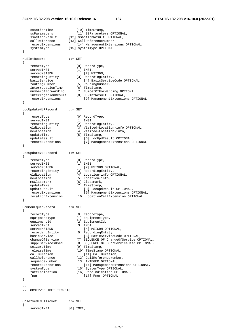#### **3GPP TS 32.298 version 16.10.0 Release 16 137 ETSI TS 132 298 V16.10.0 (2022-01)**

```
ssActionTime [10] TimeStamp,
    ssParameters [11] SSParameters OPTIONAL,
    ssActionResult [12] SSActionResult OPTIONAL,
    callReference [13] CallReferenceNumber,
     recordExtensions [14] ManagementExtensions OPTIONAL, 
    systemType [15] SystemType OPTIONAL
} 
HLRIntRecord ::= SET 
{ 
     recordType [0] RecordType, 
    servedIMSI [1] IMSI,
    servedMSISDN [2] MSISDN,
    recordingEntity [3] RecordingEntity,<br>basicService [4] BasicService
   basicService [4] BasicServiceCode OPTIONAL,<br>routingNumber [5] RoutingNumber,
 routingNumber [5] RoutingNumber, 
 interrogationTime [6] TimeStamp, 
 numberOfForwarding [7] NumberOfForwarding OPTIONAL, 
 interrogationResult [8] HLRIntResult OPTIONAL, 
     recordExtensions [9] ManagementExtensions OPTIONAL 
} 
LocUpdateHLRRecord ::= SET 
{ 
    recordType [0] RecordType,
    servedIMSI [1] IMSI,
    recordingEntity [2] RecordingEntity,<br>oldLocation [3] Visited-Location
                             [3] Visited-Location-info OPTIONAL,
    newLocation [4] Visited-Location-info, 
    updateTime [5] TimeStamp,<br>updateResult [6] LocUpd
    updateResult [6] LocUpdResult OPTIONAL,<br>
recordExtensions [7] ManagementExtensions (
                                 [7] ManagementExtensions OPTIONAL
} 
LocUpdateVLRRecord ::= SET 
{ 
    recordType [0] RecordType,<br>servedIMSI [1] IMSI,
    servedIMSI<br>servedMSISDN
                                 [2] MSISDN OPTIONAL,
     recordingEntity [3] RecordingEntity, 
   oldLocation [4] Location-info OPTIONAL,<br>
newLocation [5] Location-info,
    newLocation [5] Location-info,<br>msClassmark [6] Classmark,
                            [6] Classmark,
    updateTime [7] TimeStamp,
    updateResult [8] LocUpdResult OPTIONAL,<br>recordExtensions [9] ManagementExtensions (
     recordExtensions [9] ManagementExtensions OPTIONAL, 
                           [10] LocationCellExtension OPTIONAL
} 
CommonEquipRecord ::= SET 
{ 
     recordType [0] RecordType, 
    equipmentType [1] EquipmentType,<br>equipmentId [2] EquipmentId,
                            [2] EquipmentId,<br>[3] IMSI,
    servedIMSI<br>servedMSISDN
                                [4] MSISDN OPTIONAL,
     recordingEntity [5] RecordingEntity, 
    basicService [6] BasicServiceCode OPTIONAL,<br>changeOfService [7] SEQUENCE OF ChangeOfService OPTIONAL,
 changeOfService [7] SEQUENCE OF ChangeOfService OPTIONAL, 
 supplServicesUsed [8] SEQUENCE OF SuppServiceUsed OPTIONAL, 
    seizureTime [9] TimeStamp,
     releaseTime [10] TimeStamp OPTIONAL, 
    callDuration [11] CallDuration,<br>callReference [12] CallReferenceNumb
                            [12] CallReferenceNumber,
    sequenceNumber [13] INTEGER OPTIONAL.
    recordExtensions [14] ManagementExtensions OPTIONAL,<br>systemType OPTIONAL,
    systemType [15] SystemType OPTIONAL,<br>rateIndication [16] RateIndication OPTIC
                             [16] RateIndication OPTIONAL,
    fnur [17] Fnur OPTIONAL
} 
-- 
-- OBSERVED IMEI TICKETS
-ObservedIMEITicket ::= SET 
{ 
    servedIMEI [0] IMEI,
```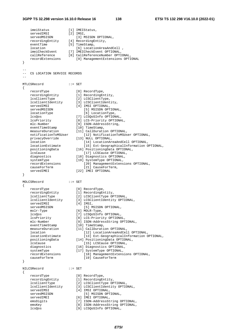#### **3GPP TS 32.298 version 16.10.0 Release 16 138 ETSI TS 132 298 V16.10.0 (2022-01)**

imeiStatus [1] IMEIStatus,<br>servedIMSI [2] IMSI, servedIMSI [2] IMSI, servedMSISDN [3] MSISDN OPTIONAL, recordingEntity [4] RecordingEntity, eventTime [5] TimeStamp, location [6] LocationAreaAndCell, imeiCheckEvent [7] IMEICheckEvent OPTIONAL, callReference [8] CallReferenceNumber OPTIONAL, recordExtensions [9] ManagementExtensions OPTIONAL } -- -- CS LOCATION SERVICE RECORDS -- MTLCSRecord ::= SET { recordType [0] RecordType, recordingEntity [1] RecordingEntity, lcsClientType [2] LCSClientType, lcsClientIdentity [3] LCSClientIdentity, servedIMSI [4] IMSI OPTIONAL, servedMSISDN [5] MSISDN OPTIONAL, locationType [6] LocationType, lcsQos [7] LCSQoSInfo OPTIONAL,<br>
lcsPriority [8] LCS-Priority OPTIONAL,<br>
mlc-Number [9] ISDN-AddressString, lcsPriority [8] LCS-Priority OPTIONAL, mlc-Number [9] ISDN-AddressString, eventTimeStamp [10] TimeStamp, measureDuration [11] CallDuration OPTIONAL, mediationToMSUser [12] NotificationToMSUser 0PTIONAL,<br>privacyOverride [13] NOTIFicationToMSUser OPTIONAL,<br> $\frac{133 \text{ NUL}}{211 \text{ NOL}} \cdot \frac{131 \text{ NPL}}{201 \text{ NPL}}$  privacyOverride [13] NULL OPTIONAL, location [14] LocationAreaAndCell OPTIONAL, locationEstimate [15] Ext-GeographicalInformation OPTIONAL, positioningData [16] PositioningData OPTIONAL, lcsCause [17] LCSCause OPTIONAL, diagnostics [18] Diagnostics OPTIONAL,<br>systemType [19] SystemType OPTIONAL,<br>recordExtensions [20] ManagementExtensi [19] SystemType OPTIONAL, record<br>[20] ManagementExtensions OPTIONAL, recordencessed: The CauseForTerm (21) CauseForTerm,<br>servedIMEI [22] IMEI OPTIONAL [22] IMEI OPTIONAL } MOLCSRecord ::= SET { recordType [0] RecordType, recordingEntity [1] RecordingEntity, lcsClientType [2] LCSClientType OPTIONAL, lcsClientIdentity [3] LCSClientIdentity OPTIONAL, servedIMSI [4] IMSI, servedMSISDN [4] IMSI,<br>servedMSISDN [5] MSISDN OPTIONAL,<br>molr-Type [6] MOLR-Type, [6] MOLR-Type, lcsQos [7] LCSQoSInfo OPTIONAL, lcsPriority [8] LCS-Priority OPTIONAL, mlc-Number [9] ISDN-AddressString OPTIONAL, eventTimeStamp [10] TimeStamp, measureDuration [11] CallDuration OPTIONAL, location [12] LocationAreaAndCell OPTIONAL, locationEstimate [13] Ext-GeographicalInformation OPTIONAL,<br>positioningData [14] PositioningData [14] Continued CPTIONAL, [14] PositioningData OPTIONAL, lcsCause [15] LCSCause OPTIONAL,<br>diagnostics [16] Diagnostics OPTIONAL, [16] Diagnostics OPTIONAL, systemType [17] SystemType OPTIONAL,<br>recordExtensions [18] ManagementExtens recordExtensions [18] ManagementExtensions OPTIONAL,<br>causeForTerm [19] CauseForTerm [19] CauseForTerm } NILCSRecord ::= SET { recordType [0] RecordType,<br>recordingEntity [1] RecordingEn [1] RecordingEntity, lcsClientType [2] LCSClientType OPTIONAL, lcsClientIdentity [3] LCSClientIdentity OPTIONAL, servedIMSI [4] IMSI OPTIONAL, servedMSISDN [5] MSISDN OPTIONAL, servedMSISDN [5] MSISDN OPTIONAL,<br>servedIMEI [6] IMEI OPTIONAL,<br>servedIMEI [6] IMEI OPTIONAL, emsDigits [7] ISDN-AddressString OPTIONAL,<br>emsKey [8] ISDN-AddressString OPTIONAL, [8] ISDN-AddressString OPTIONAL, lcsQos [9] LCSQoSInfo OPTIONAL,

*ETSI*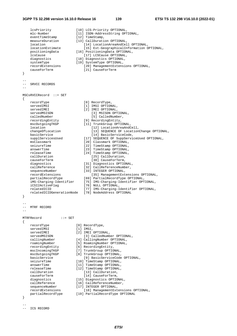#### **3GPP TS 32.298 version 16.10.0 Release 16 139 ETSI TS 132 298 V16.10.0 (2022-01)**

 lcsPriority [10] LCS-Priority OPTIONAL, mlc-Number [11] ISDN-AddressString OPTIONAL, eventTimeStamp [12] TimeStamp, measureDuration [13] CallDuration OPTIONAL, location [14] LocationAreaAndCell OPTIONAL,<br>locationEstimate [15] Ext-GeographicalInformation C locationEstimate [15] Ext-GeographicalInformation OPTIONAL, positioningData [16] PositioningData OPTIONAL,<br>lcsCause [17] LCSCause OPTIONAL, lcsCause [17] LCSCause OPTIONAL,<br>diagnostics [18] Diagnostics OPTIONAL, [18] Diagnostics OPTIONAL, [19] SystemType OPTIONAL, [20] ManagementExtensions OPTIONAL, communities (18) Diagnostics (18) Original SystemType (19) SystemType OPTION<br>
recordExtensions (20) ManagementExt<br>
causeForTerm (21) CauseForTerm } -- -- SRVCC RECORDS -- MSCsRVCCRecord ::= SET { recordType [0] RecordType, servedIMSI [1] IMSI OPTIONAL, servedIMEI [2] IMEI OPTIONAL, servedMSISDN [3] MSISDN OPTIONAL, calledNumber [5] CalledNumber, recordingEntity [9] RecordingEntity, mscOutgoingTKGP [11] TrunkGroup OPTIONAL, location [12] LocationAreaAndCell,<br>changeOfLocation [13] SEOUENCE OF Location [13] SEQUENCE OF LocationChange OPTIONAL, basicService [14] BasicServiceCode,<br>supplServicesUsed [17] SEQUENCE OF SuppServi supplServicesUsed [17] SEQUENCE OF SuppServiceUsed OPTIONAL,<br>msClassmark [20] Classmark OPTIONAL, msClassmark [20] Classmark OPTIONAL,<br>seizureTime [22] TimeStamp OPTIONAL, [22] TimeStamp OPTIONAL, answerTime [23] TimeStamp OPTIONAL, releaseTime [24] TimeStamp OPTIONAL, callDuration [25] CallDuration, causeForTerm [30] CauseForTerm, diagnostics [31] Diagnostics OPTIONAL,<br>callReference [32] CallReferenceNumber. [32] CallReferenceNumber,<br>[33] INTEGER OPTIONAL, sequenceNumber [33] INTEGER OPTIONAL, recordExtensions [35] ManagementExtensions OPTIONAL, partialRecordType [69] PartialRecordType OPTIONAL, iMS-Charging-Identifier [75] IMS-Charging-Identifier OPTIONAL, iCSI2ActiveFlag [76] NULL OPTIONAL, relatedICID [77] IMS-Charging-Identifier OPTIONAL, relatedICIDGenerationNode [78] NodeAddress OPTIONAL } -- -- MTRF RECORD -- MTRFRecord ::= SET { recordType [0] RecordType,<br>servedIMSI [1] IMSI, servedIMSI<br>servedIMEI [2] IMEI OPTIONAL, servedMSISDN [3] CalledNumber OPTIONAL, callingNumber [4] CallingNumber OPTIONAL, roamingNumber [5] RoamingNumber OPTIONAL, recordingEntity [6] RecordingEntity, mscIncomingTKGP [7] TrunkGroup OPTIONAL, mscOutgoingTKGP [8] TrunkGroup OPTIONAL, basicService [9] BasicServiceCode OPTIONAL,<br>seizureTime [10] TimeStamp OPTIONAL, seizureTime [10] TimeStamp OPTIONAL,<br>answerTime [11] TimeStamp OPTIONAL, answerTime [11] TimeStamp OPTIONAL,<br>releaseTime [12] TimeStamp OPTIONAL, releaseTime [12] TimeStamp OPTIONAL,<br>callDuration [13] CallDuration, [13] CallDuration, causeForTerm [14] CauseForTerm,<br>diagnostics [15] Diagnostics OPTIONAL, diagnostics [15] Diagnostics OPTIONAL, callReference [16] CallReferenceNumber, sequenceNumber [17] INTEGER OPTIONAL, recordExtensions [18] ManagementExtensions OPTIONAL, partialRecordType [19] PartialRecordType OPTIONAL }

-- ICS RECORD

--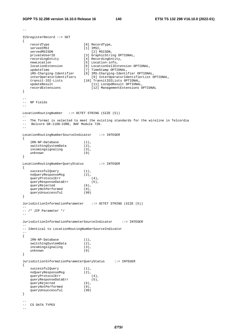```
-- 
ICSregisterRecord ::= SET 
{ 
    recordType [0] RecordType, 
servedIMSI [1] IMSI,
servedMSISDN [2] MSISDN,
 privateUserID [3] GraphicString OPTIONAL, 
 recordingEntity [4] RecordingEntity, 
newLocation [5] Location-info,
 locationExtension [6] LocationCellExtension OPTIONAL, 
 updateTime [7] TimeStamp OPTIONAL, 
 iMS-Charging-Identifier [8] IMS-Charging-Identifier OPTIONAL, 
 interOperatorIdentifiers [9] InterOperatorIdentifierList OPTIONAL, 
 transit-IOI-Lists [10] TransitIOILists OPTIONAL, 
 updateResult [11] LocUpdResult OPTIONAL, 
 recordExtensions [12] ManagementExtensions OPTIONAL 
} 
-- 
-- NP Fields 
-LocationRoutingNumber ::= OCTET STRING (SIZE (5)) 
--- The format is selected to meet the existing standards for the wireline in Telcordia 
-- Belcore GR-1100-CORE, BAF Module 720. 
-- 
LocationRoutingNumberSourceIndicator ::= INTEGER 
{ 
   \begin{aligned} &\text{1RN}-\text{NP-Databases} \qquad \qquad (1)\;,\\ &\text{switchingSystemData} \qquad \qquad (2)\;, \end{aligned} switchingSystemData (2), 
   incomingsignaling (3),
    unknown (9) 
} 
LocationRoutingNumberQueryStatus ::= INTEGER 
{ 
   successfulQuery (1),
   noQueryResponseMsg (2),<br>queryProtocolErr (4),
    queryProtocolErr (4), 
    queryResponseDataErr (5), 
    queryRejected (6), 
   queryNotPerformed (9),
    queryUnsuccessful (99) 
} 
JurisdictionInformationParameter ::= OCTET STRING (SIZE (5)) 
-- 
-- /* JIP Parameter */ 
-- 
JurisdictionInformationParameterSourceIndicator ::= INTEGER 
-- 
-- Identical to LocationRoutingNumberSourceIndicator 
-- 
{ 
    lRN-NP-Database (1), 
   switchingSystemData (2),
   incomingsignaling (3),
    unknown (9) 
} 
JurisdictionInformationParameterQueryStatus ::= INTEGER 
{ 
   successfulQuery (1),<br>noQueryResponseMsg (2),
   noQueryResponseMsg (2),<br>queryProtocolErr (4),
   queryProtocolErr
   queryResponseDataErr (5),
   queryRejected (6),
   queryNotPerformed (9),<br>queryUnsuccessful (99)
   queryUnsuccessful
} 
-- 
-- CS DATA TYPES 
--
```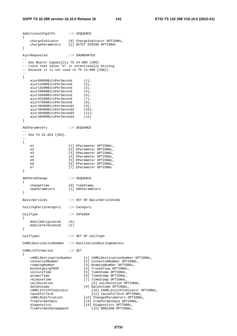#### **3GPP TS 32.298 version 16.10.0 Release 16 141 ETSI TS 132 298 V16.10.0 (2022-01)**

AdditionalChgInfo ::= SEQUENCE { chargeIndicator [0] ChargeIndicator OPTIONAL, chargeParameters [1] OCTET STRING OPTIONAL } AiurRequested ::= ENUMERATED -- -- See Bearer Capability TS 24.008 [208] -- (note that value "4" is intentionally missing -- because it is not used in TS 24.008 [208]) -- { aiur09600BitsPerSecond (1), aiur14400BitsPerSecond (2), aiur19200BitsPerSecond (3), aiur28800BitsPerSecond (5),<br>aiur38400BitsPerSecond (6), aiur38400BitsPerSecond (6),<br>aiur43200BitsPerSecond (7), aiur43200BitsPerSecond (7),<br>aiur57600BitsPerSecond (8), aiur57600BitsPerSecond (8), aiur38400BitsPerSecond1 (9),<br>aiur38400BitsPerSecond2 (10),<br>aiur38400BitsPerSecond3 (11), aiur38400BitsPerSecond2 aiur38400BitsPerSecond3 aiur38400BitsPerSecond4 (12) } AOCParameters ::= SEQUENCE -- -- See TS 22.024 [104]. -- { e1 [1] EParameter OPTIONAL, e2 [2] EParameter OPTIONAL, e3 [3] EParameter OPTIONAL, e4 [4] EParameter OPTIONAL,<br>e5 [5] EParameter OPTIONAL. [5] EParameter OPTIONAL, e6 [6] EParameter OPTIONAL, e7 [7] EParameter OPTIONAL } AOCParmChange ::= SEQUENCE { changeTime [0] TimeStamp, newParameters [1] AOCParameters } BasicServices ::= SET OF BasicServiceCode CallingPartyCategory ::= Category CallType ::= INTEGER { mobileOriginated (0), mobileTerminated (1) } CallTypes ::= SET OF CallType CAMELDestinationNumber ::= DestinationRoutingAddress CAMELInformation ::= SET { cAMELDestinationNumber [1] CAMELDestinationNumber OPTIONAL, connectedNumber roamingNumber [3] RoamingNumber OPTIONAL,<br>mscOutgoingTKGP [4] TrunkGroup OPTIONAL, mscOutgoingTKGP [4] TrunkGroup OPTIONAL, [5] TimeStamp OPTIONAL, answerTime [6] TimeStamp OPTIONAL, releaseTime [7] TimeStamp OPTIONAL, callDuration [8] CallDuration OPTIONAL, dataVolume [9] DataVolume OPTIONAL,<br>cAMELInitCFIndicator [10] CAMELInitCFIndi [10] CAMELInitCFIndicator OPTIONAL,<br>[11] CauseForTerm OPTIONAL, causeForTerm [11] CauseForTerm OPTIONAL, cAMELModification [12] ChangedParameters OPTIONAL, freeFormatData [13] FreeFormatData OPTIONAL, diagnostics [14] Diagnostics OPTIONAL, expressed (14) Diagnostics OPTIONAL,<br>freeFormatDataAppend [15] BOOLEAN OPTIONAL,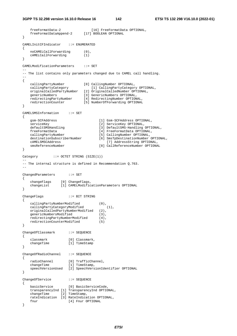```
 freeFormatData-2 [16] FreeFormatData OPTIONAL, 
 freeFormatDataAppend-2 [17] BOOLEAN OPTIONAL 
} 
CAMELInitCFIndicator ::= ENUMERATED 
{ 
     noCAMELCallForwarding (0), 
     cAMELCallForwarding (1) 
} 
CAMELModificationParameters ::= SET 
-- 
-- The list contains only parameters changed due to CAMEL call handling. 
-- 
{ 
 callingPartyNumber [0] CallingNumber OPTIONAL, 
 callingPartyCategory [1] CallingPartyCategory OPTIONAL, 
   originalCalledPartyNumber [2] OriginalCalledNumber OPTIONAL,<br>genericNumbers [3] GenericNumbers OPTIONAL,<br>redirectingPartyNumber [4] RedirectingNumber OPTIONAL,<br>\begin{bmatrix} 4 & \text{R} \\ 2 & \text{S} \end{bmatrix} ..., and the controllar option
                                [3] GenericNumbers OPTIONAL,
 redirectingPartyNumber [4] RedirectingNumber OPTIONAL, 
 redirectionCounter [5] NumberOfForwarding OPTIONAL 
} 
CAMELSMSInformation ::= SET 
{ 
     gsm-SCFAddress [1] Gsm-SCFAddress OPTIONAL, 
    serviceKey (2) ServiceKey OPTIONAL,
   defaultSMSHandling [3] DefaultSMS-Handling OPTIONAL,<br>freeFormatData (4) FreeFormatData OPTIONAL,
    freeFormatData [4] FreeFormatData OPTIONAL,<br>callingPartyNumber [5] CallingNumber OPTIONAL,
 callingPartyNumber [5] CallingNumber OPTIONAL, 
 destinationSubscriberNumber [6] SmsTpDestinationNumber OPTIONAL, 
   destinationSubscriberNumber [6] SmsTpDestinationNumber OPTI<br>
cAMELSMSCAddress<br>
smsReferenceNumber [8] CallReferenceNumber OPTIONAL,
                                        [8] CallReferenceNumber OPTIONAL
} 
Category ::= OCTET STRING (SIZE(1))
-- 
-- The internal structure is defined in Recommendation Q.763. 
-ChangedParameters ::= SET 
{ 
 changeFlags [0] ChangeFlags, 
 changeList [1] CAMELModificationParameters OPTIONAL 
} 
ChangeFlags ::= BIT STRING 
{ 
     callingPartyNumberModified (0), 
   callingPartyCategoryModified (1),
    originalCalledPartyNumberModified (2), 
     genericNumbersModified (3), 
    redirectingPartyNumberModified (4),<br>redirectionCounterModified (5)
     redirectionCounterModified (5) 
} 
ChangeOfClassmark ::= SEQUENCE 
{ 
 classmark [0] Classmark, 
 changeTime [1] TimeStamp 
} 
ChangeOfRadioChannel ::= SEQUENCE 
{ 
    radioChannel [0] TrafficChannel,<br>
changeTime [1] TimeStamp.
                         [1] TimeStamp,
     speechVersionUsed [2] SpeechVersionIdentifier OPTIONAL 
} 
ChangeOfService ::= SEQUENCE 
{ 
    basicService [0] BasicServiceCode, 
     transparencyInd [1] TransparencyInd OPTIONAL, 
 changeTime [2] TimeStamp, 
 rateIndication [3] RateIndication OPTIONAL, 
    fnur [4] Fnur OPTIONAL
}
```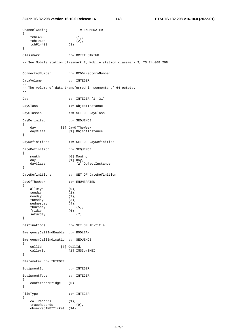```
ChannelCoding ::= ENUMERATED 
{ 
  tchF4800 (1),<br>tchF9600 (2),<br>tchF14400 (3)
   tchF9600 (2), 
   tchF14400
} 
Classmark ::= OCTET STRING 
-- 
-- See Mobile station classmark 2, Mobile station classmark 3, TS 24.008[208] 
-- 
ConnectedNumber ::= BCDDirectoryNumber 
DataVolume ::= INTEGER 
-- 
-- The volume of data transferred in segments of 64 octets. 
-- 
Day ::= INTEGER (1..31)DayClass ::= ObjectInstance 
DayClasses ::= SET OF DayClass 
DayDefinition ::= SEQUENCE
{ 
 day [0] DayOfTheWeek, 
 dayClass [1] ObjectInstance 
} 
DayDefinitions ::= SET OF DayDefinition 
DateDefinition ::= SEQUENCE
{ 
month [0] Month,
 day [1] Day, 
                  ...<br>[1] Day,<br>[2] ObjectInstance
} 
DateDefinitions ::= SET OF DateDefinition 
DayOfTheWeek ::= ENUMERATED 
{ 
  allDays (0),<br>sunday (1),
   sumday monday (2), 
   tuesday (3), 
   wednesday (4),<br>thursday (5),
  thursday<br>friday (6),
   friday (6),<br>saturday (7)
   saturday
} 
Destinations ::= SET OF AE-title 
EmergencyCallIndEnable ::= BOOLEAN 
EmergencyCallIndication ::= SEQUENCE 
{ 
 cellId [0] CellId, 
 callerId [1] IMSIorIMEI 
} 
EParameter ::= INTEGER 
EquipmentId ::= INTEGER
EquipmentType ::= INTEGER 
{ 
   conferenceBridge (0) 
} 
FileType ::= INTEGER
{ 
 callRecords (1), 
 traceRecords (9), 
    observedIMEITicket (14)
```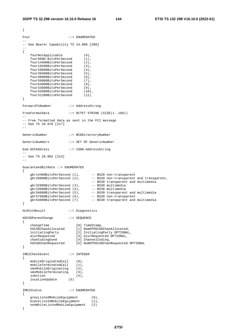```
} 
Fnur ::= ENUMERATED
-- 
-- See Bearer Capability TS 24.008 [208] 
-- 
{ 
    fnurNotApplicable (0), 
    fnur9600-BitsPerSecond (1), 
    fnur14400BitsPerSecond (2), 
    fnur19200BitsPerSecond (3), 
    fnur28800BitsPerSecond (4), 
    fnur38400BitsPerSecond (5), 
   fnur48000BitsPerSecond (6),<br>fnur56000BitsPerSecond (7),
    fnur56000BitsPerSecond (7), 
    fnur64000BitsPerSecond (8), 
    fnur33600BitsPerSecond (9), 
   fnur32000BitsPerSecond (10)<br>fnur31200BitsPerSecond (11)
    fnur31200BitsPerSecond (11) 
} 
ForwardToNumber ::= AddressString 
FreeFormatData ::= OCTET STRING (SIZE(1..160))
-- 
-- Free formatted data as sent in the FCI message 
-- See TS 29.078 [217] 
-- 
GenericNumber ::= BCDDirectoryNumber 
GenericNumbers ::= SET OF GenericNumber 
Gsm-SCFAddress ::= ISDN-AddressString 
-- 
-- See TS 29.002 [214] 
-- 
GuaranteedBitRate ::= ENUMERATED 
{ 
 gbr14400BitsPerSecond (1), -- BS20 non-transparent 
 gbr28800BitsPerSecond (2), -- BS20 non-transparent and transparent, 
 -- BS30 transparent and multimedia 
 gbr32000BitsPerSecond (3), -- BS30 multimedia 
 gbr33600BitsPerSecond (4), -- BS30 multimedia 
 gbr56000BitsPerSecond (5), -- BS30 transparent and multimedia 
 gbr57600BitsPerSecond (6), -- BS20 non-transparent 
 gbr64000BitsPerSecond (7) -- BS30 transparent and multimedia 
} 
HLRIntResult ::= Diagnostics 
HSCSDParmsChange ::= SEQUENCE 
{ 
 changeTime [0] TimeStamp, 
 hSCSDChanAllocated [1] NumOfHSCSDChanAllocated, 
 initiatingParty [2] InitiatingParty OPTIONAL, 
 aiurRequested [3] AiurRequested OPTIONAL, 
 chanCodingUsed [4] ChannelCoding, 
 hSCSDChanRequested [5] NumOfHSCSDChanRequested OPTIONAL 
} 
IMEICheckEvent ::= INTEGER 
{ 
    mobileOriginatedCall (0), 
   mobileTerminatedCall (1),<br>smsMobileOriginating (2),
   smsMobileOriginating (2),<br>smsMobileTerminating (3),
    smsMobileTerminating (3), 
   ssAction (4),
    locationUpdate (5) 
} 
IMEIStatus ::= ENUMERATED 
{ 
   greyListedMobileEquipment (0),
   blackListedMobileEquipment (1),
    nonWhiteListedMobileEquipment (2) 
}
```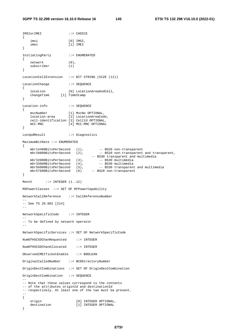```
IMSIorIMEI ::= CHOICE 
{ 
 imsi [0] IMSI, 
 imei [1] IMEI 
} 
InitiatingParty ::= ENUMERATED 
{ 
   network (0),<br>subscriber (1)
   subscriber
} 
LocationCellExtension ::= BIT STRING (SIZE (12)) 
LocationChange ::= SEQUENCE 
{ 
 location [0] LocationAreaAndCell, 
 changeTime [1] TimeStamp 
} 
Location-info ::= SEQUENCE
{ 
 mscNumber [1] MscNo OPTIONAL, 
 location-area [2] LocationAreaCode, 
    cell-identification [3] CellId OPTIONAL, 
   mCC-MNC [4] MCC-MNC OPTIONAL
} 
LocUpdResult ::= Diagnostics 
MaximumBitRate ::= ENUMERATED 
{ 
mbr14400BitsPerSecond (1), -- BS20 non-transparent
mbr28800BitsPerSecond (2), -- BS20 non-transparent and transparent,
 -- BS30 transparent and multimedia 
 mbr32000BitsPerSecond (3), -- BS30 multimedia 
 mbr33600BitsPerSecond (4), -- BS30 multimedia 
mbr56000BitsPerSecond (5), -- BS30 transparent and multimedia
 mbr57600BitsPerSecond (6) -- BS20 non-transparent 
} 
Month \qquad ::= \text{INTER } (1, .12)MSPowerClasses ::= SET OF RFPowerCapability 
NetworkCallReference ::= CallReferenceNumber 
-- 
-- See TS 29.002 [214] 
-- 
NetworkSpecificCode ::= INTEGER 
-- 
-- To be defined by network operator 
-- 
NetworkSpecificServices ::= SET OF NetworkSpecificCode 
NumOfHSCSDChanRequested ::= INTEGER 
NumOfHSCSDChanAllocated ::= INTEGER 
ObservedIMEITicketEnable ::= BOOLEAN 
OriginalCalledNumber ::= BCDDirectoryNumber 
OriginDestCombinations ::= SET OF OriginDestCombination 
OriginDestCombination ::= SEQUENCE 
-- 
-- Note that these values correspond to the contents 
-- of the attributes originId and destinationId 
-- respectively. At least one of the two must be present. 
-- 
{ 
 origin [0] INTEGER OPTIONAL, 
 destination [1] INTEGER OPTIONAL 
}
```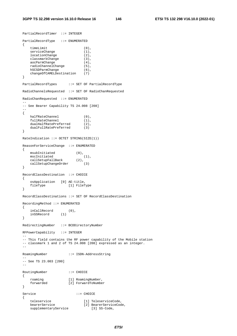```
PartialRecordTimer ::= INTEGER 
PartialRecordType ::= ENUMERATED 
{ 
    timeLimit (0), 
   serviceChange (1),<br>locationChange (2),
   locationChange
  classmarkChange (3),<br>aocParmChange (4),<br>radioChannelChange (5),
aocParmChange (4),
 radioChannelChange (5), 
hSCSDParmChange (6),
 changeOfCAMELDestination (7) 
} 
PartialRecordTypes ::= SET OF PartialRecordType 
RadioChannelsRequested ::= SET OF RadioChanRequested 
RadioChanRequested ::= ENUMERATED 
-- 
-- See Bearer Capability TS 24.008 [208] 
-- 
{ 
halfRateChannel (0),
fullRateChannel (1),
 dualHalfRatePreferred (2), 
 dualFullRatePreferred (3) 
} 
RateIndication ::= OCTET STRING(SIZE(1)) 
ReasonForServiceChange ::= ENUMERATED 
{ 
 msubInitiated (0), 
mscInitiated (1),
 callSetupFallBack (2), 
   callSetupChangeOrder (3) 
} 
RecordClassDestination ::= CHOICE 
{ 
    osApplication [0] AE-title, 
   fileType [1] FileType
} 
RecordClassDestinations ::= SET OF RecordClassDestination 
RecordingMethod ::= ENUMERATED 
{ 
 inCallRecord (0), 
 inSSRecord (1) 
} 
RedirectingNumber ::= BCDDirectoryNumber 
RFPowerCapability ::= INTEGER 
-- 
-- This field contains the RF power capability of the Mobile station 
-- classmark 1 and 2 of TS 24.008 [208] expressed as an integer. 
-RoamingNumber ::= ISDN-AddressString 
-- 
-- See TS 23.003 [200] 
-RoutingNumber ::= CHOICE
{ 
 roaming [1] RoamingNumber, 
 forwarded [2] ForwardToNumber 
} 
Service ::= CHOICE
{ 
 teleservice [1] TeleserviceCode, 
 bearerService [2] BearerServiceCode, 
supplementaryService [3] SS-Code,
```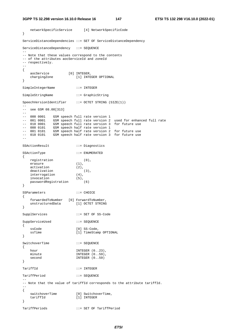#### **3GPP TS 32.298 version 16.10.0 Release 16 147 ETSI TS 132 298 V16.10.0 (2022-01)**

```
 networkSpecificService [4] NetworkSpecificCode 
} 
ServiceDistanceDependencies ::= SET OF ServiceDistanceDependency 
ServiceDistanceDependency ::= SEQUENCE 
-- 
-- Note that these values correspond to the contents 
-- of the attributes aocServiceId and zoneId
-- respectively.
-- 
{ 
 aocService [0] INTEGER, 
 chargingZone [1] INTEGER OPTIONAL 
} 
SimpleIntegerName ::= INTEGER 
SimpleStringName ::= GraphicString 
SpeechVersionIdentifier ::= OCTET STRING (SIZE(1))
-- 
-- see GSM 08.08[313] 
-- 
-- 000 0001 GSM speech full rate version 1 
-- 001 0001 GSM speech full rate version 2 used for enhanced full rate 
-- 010 0001 GSM speech full rate version 3 for future use 
-- 000 0101 GSM speech half rate version 1 
-- 001 0101 GSM speech half rate version 2 for future use 
-- 010 0101 GSM speech half rate version 3 for future use 
-- 
SSActionResult ::= Diagnostics 
SSActionType ::= ENUMERATED 
{ 
   registration (0),<br>erasure (1),
   erasure
   activation (2),
   deactivation (3),<br>interrogation (4),
interrogation (4),
 invocation (5), 
   passwordRegistration (6)
} 
SSParameters ::= CHOICE 
{ 
 forwardedToNumber [0] ForwardToNumber, 
 unstructuredData [1] OCTET STRING 
} 
SupplServices ::= SET OF SS-Code 
SuppServiceUsed ::= SEQUENCE 
{ 
   ssCode [0] SS-Code,
   ssTime [1] TimeStamp OPTIONAL
} 
SwitchoverTime ::= SEQUENCE
{ 
   hour INTEGER (0..23),
  minute 1NTEGER (0..59),<br>second 1NTEGER (0..59)
                        INTEGR (0..59)} 
TariffId ::= INTEGER 
TariffPeriod ::= SEQUENCE 
-- 
-- Note that the value of tariffId corresponds to the attribute tariffId. 
-- 
{ 
                      [0] SwitchoverTime,<br>[1] INTEGER
  switchoverTime<br>'ffid
}
```
TariffPeriods ::= SET OF TariffPeriod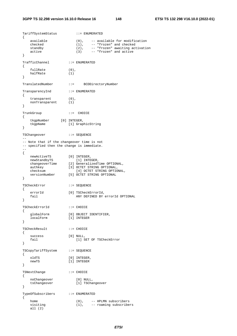TariffSystemStatus ::= ENUMERATED { available  $(0)$ , -- available for modification checked (1), -- "frozen" and checked standby (2), -- "frozen" awaiting activation active (3) -- "frozen" and active } TrafficChannel ::= ENUMERATED { fullRate  $(0)$ , halfRate (1) } TranslatedNumber ::= BCDDirectoryNumber TransparencyInd ::= ENUMERATED { transparent (0), nonTransparent (1) } TrunkGroup ::= CHOICE { tkgpNumber [0] INTEGER, tkgpName [1] GraphicString } TSChangeover ::= SEQUENCE -- -- Note that if the changeover time is not -- specified then the change is immediate. -- { newActiveTS [0] INTEGER, newStandbyTS [1] INTEGER, changeoverTime [2] GeneralizedTime OPTIONAL, authkey [3] OCTET STRING OPTIONAL, checksum [4] OCTET STRING OPTIONAL,<br>versionNumber [5] OCTET STRING OPTIONAL [5] OCTET STRING OPTIONAL } TSCheckError ::= SEQUENCE { errorId [0] TSCheckErrorId, fail ANY DEFINED BY errorId OPTIONAL } TSCheckErrorId ::= CHOICE { globalForm [0] OBJECT IDENTIFIER, localForm [1] INTEGER } TSCheckResult ::= CHOICE { success [0] NULL, fail [1] SET OF TSCheckError } TSCopyTariffSystem ::= SEQUENCE { oldTS [0] INTEGER, newTS [1] INTEGER } TSNextChange ::= CHOICE { noChangeover [0] NULL, tsChangeover [1] TSChangeover } TypeOfSubscribers ::= ENUMERATED { home  $(0)$ , -- HPLMN subscribers visiting (1), -- roaming subscribers all (2)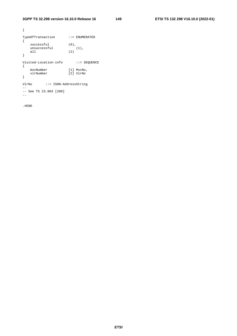```
} 
TypeOfTransaction ::= ENUMERATED 
{ 
successful (0),
unsuccessful (1),
 all (2) 
} 
Visited-Location-info ::= SEQUENCE 
{ 
 mscNumber [1] MscNo, 
 vlrNumber [2] VlrNo 
} 
VlrNo ::= ISDN-AddressString 
-- 
-- See TS 23.003 [200] 
-
```
.#END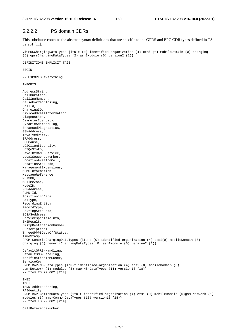## 5.2.2.2 PS domain CDRs

This subclause contains the abstract syntax definitions that are specific to the GPRS and EPC CDR types defined in TS 32.251 [11].

.\$GPRSChargingDataTypes {itu-t (0) identified-organization (4) etsi (0) mobileDomain (0) charging (5) gprsChargingDataTypes (2) asn1Module (0) version2 (1)}

DEFINITIONS IMPLICIT TAGS ::=

BEGIN

-- EXPORTS everything

IMPORTS

AddressString, CallDuration, CallingNumber, CauseForRecClosing, CellId, ChargingID, CivicAddressInformation, Diagnostics, DiameterIdentity, DynamicAddressFlag, EnhancedDiagnostics, GSNAddress, InvolvedParty, IPAddress, LCSCause, LCSClientIdentity, LCSQoSInfo, LevelOfCAMELService, LocalSequenceNumber, LocationAreaAndCell, LocationAreaCode, ManagementExtensions, MBMSInformation, MessageReference, MSISDN, MSTimeZone, NodeID, PDPAddress, PLMN-Id, PositioningData, RATType, RecordingEntity, RecordType, RoutingAreaCode, SCSASAddress, ServiceSpecificInfo, SMSResult, SmsTpDestinationNumber, SubscriptionID, ThreeGPPPSDataOffStatus, TimeStamp FROM GenericChargingDataTypes {itu-t (0) identified-organization (4) etsi(0) mobileDomain (0) charging (5) genericChargingDataTypes (0) asn1Module (0) version2 (1)} DefaultGPRS-Handling, DefaultSMS-Handling, NotificationToMSUser, ServiceKey FROM MAP-MS-DataTypes {itu-t identified-organization (4) etsi (0) mobileDomain (0) gsm-Network (1) modules (3) map-MS-DataTypes (11) version18 (18)} -- from TS 29.002 [214] IMEI, IMSI, ISDN-AddressString, RAIdentity FROM MAP-CommonDataTypes {itu-t identified-organization (4) etsi (0) mobileDomain (0)gsm-Network (1) modules (3) map-CommonDataTypes (18) version18 (18)}  $--$  from TS 29.002 [214]

CallReferenceNumber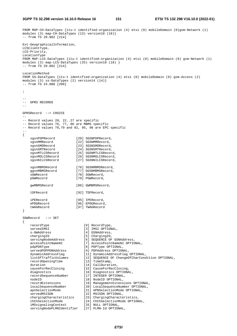**3GPP TS 32.298 version 16.10.0 Release 16 151 ETSI TS 132 298 V16.10.0 (2022-01)**

```
FROM MAP-CH-DataTypes {itu-t identified-organization (4) etsi (0) mobileDomain (0)gsm-Network (1) 
modules (3) map-CH-DataTypes (13) version18 (18)} 
-- from TS 29.002 [214]
Ext-GeographicalInformation, 
LCSClientType, 
LCS-Priority, 
LocationType 
FROM MAP-LCS-DataTypes {itu-t identified-organization (4) etsi (0) mobileDomain (0) gsm-Network (1) 
modules (3) map-LCS-DataTypes (25) version18 (18) } 
-- from TS 29.002 [214] 
LocationMethod 
FROM SS-DataTypes {itu-t identified-organization (4) etsi (0) mobileDomain (0) gsm-Access (2) 
modules (3) ss-DataTypes (2) version14 (14)} 
-- from TS 24.080 [209] 
; 
-- 
-- GPRS RECORDS 
-- 
GPRSRecord ::= CHOICE 
-- 
-- Record values 20, 22..27 are specific 
-- Record values 76, 77, 86 are MBMS specific 
-- Record values 78,79 and 92, 95, 96 are EPC specific 
-- 
{ 
    sgsnPDPRecord [20] SGSNPDPRecord,<br>sgsnMMRecord [22] SGSNMMRecord,
    sgsnMMRecord [22] SGSNMMRecord,<br>sgsnSMORecord [23] SGSNSMORecord
sgsnSMORecord [23] SGSNSMORecord,
 sgsnSMTRecord [24] SGSNSMTRecord, 
                          [25] SGSNMTLCSRecord,
    sgsnMTLCSRecord [25] SGSNMTLCSRecord,<br>sgsnMOLCSRecord [26] SGSNMOLCSRecord,<br>sgsnNILCSRecord [27] SGSNNILCSRecord,
                           .<br>[27] SGSNNILCSRecord,
    sgsnMBMSRecord [76] SGSNMBMSRecord,
    ggsnMBMSRecord [77] GGSNMBMSRecord,
    sGWRecord [78] SGWRecord,
     pGWRecord [79] PGWRecord, 
     gwMBMSRecord [86] GWMBMSRecord, 
     tDFRecord [92] TDFRecord, 
     iPERecord [95] IPERecord, 
     ePDGRecord [96] EPDGRecord, 
     tWAGRecord [97] TWAGRecord 
} 
SGWRecord ::= SET 
{ 
    recordType [0] RecordType,<br>servedIMSI [3] IMSI OPTION
                               served Internativer,<br>[3] IMSI OPTIONAL,
    s-GWAddress [4] GSNAddress,
    chargingID [5] ChargingID,
 servingNodeAddress [6] SEQUENCE OF GSNAddress, 
 accessPointNameNI [7] AccessPointNameNI OPTIONAL, 
     pdpPDNType [8] PDPType OPTIONAL, 
 servedPDPPDNAddress [9] PDPAddress OPTIONAL, 
 dynamicAddressFlag [11] DynamicAddressFlag OPTIONAL, 
    listOfTrafficVolumes [12] SEQUENCE OF ChangeOfCharCondition OPTIONAL,<br>recordOpeningTime [13] TimeStamp
    recordOpeningTime
    duration [14] CallDuration,<br>causeForRecClosing [15] CauseForRecCl
    causeForRecClosing [15] CauseForRecClosing,<br>diagnostics [16] Diagnostics OPTIONA
    diagnostics [16] Diagnostics OPTIONAL,<br>recordSequenceNumber [17] INTEGER OPTIONAL,
                                [17] INTEGER OPTIONAL,
    nodeID [18] NodeID OPTIONAL,
     recordExtensions [19] ManagementExtensions OPTIONAL, 
    localSequenceNumber [20] LocalSequenceNumber OPTIONAL,<br>apnSelectionMode [21] APNSelectionMode OPTIONAL,
 apnSelectionMode [21] APNSelectionMode OPTIONAL, 
servedMSISDN [22] MSISDN OPTIONAL,
 chargingCharacteristics [23] ChargingCharacteristics, 
 chChSelectionMode [24] ChChSelectionMode OPTIONAL, 
 iMSsignalingContext [25] NULL OPTIONAL, 
    servingNodePLMNIdentifier [27] PLMN-Id OPTIONAL,
```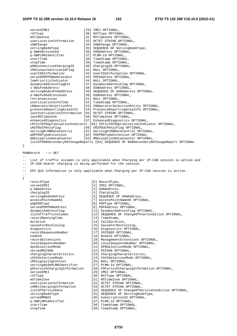|       | servedIMEI<br>rATType<br>mSTimeZone<br>userLocationInformation<br>sGWChange<br>servingNodeType<br>p-GWAddressUsed<br>p-GWPLMNIdentifier<br>startTime<br>stopTime<br>pDNConnectionChargingID<br>iMSIunauthenticatedFlaq<br>userCSGInformation<br>servedPDPPDNAddressExt<br>lowPriorityIndicator<br>dynamicAddressFlagExt | [29] IMEI OPTIONAL,<br>[30] RATType OPTIONAL,<br>[31] MSTimeZone OPTIONAL,<br>[32] OCTET STRING OPTIONAL,<br>[34] SGWChange OPTIONAL,<br>[35] SEQUENCE OF ServingNodeType,<br>[36] GSNAddress OPTIONAL,<br>[37] PLMN-Id OPTIONAL,<br>[38] TimeStamp OPTIONAL,<br>[39] TimeStamp OPTIONAL,<br>[40] ChargingID OPTIONAL,<br>[41] NULL OPTIONAL,<br>[42] UserCSGInformation OPTIONAL,<br>[43] PDPAddress OPTIONAL,<br>[44] NULL OPTIONAL,<br>[47] DynamicAddressFlag OPTIONAL, |
|-------|-------------------------------------------------------------------------------------------------------------------------------------------------------------------------------------------------------------------------------------------------------------------------------------------------------------------------|-----------------------------------------------------------------------------------------------------------------------------------------------------------------------------------------------------------------------------------------------------------------------------------------------------------------------------------------------------------------------------------------------------------------------------------------------------------------------------|
|       | s-GWiPv6Address<br>servingNodeiPv6Address                                                                                                                                                                                                                                                                               | [48] GSNAddress OPTIONAL,<br>[49] SEQUENCE OF GSNAddress OPTIONAL,                                                                                                                                                                                                                                                                                                                                                                                                          |
|       | p-GWiPv6AddressUsed                                                                                                                                                                                                                                                                                                     | [50] GSNAddress OPTIONAL,                                                                                                                                                                                                                                                                                                                                                                                                                                                   |
|       | retransmission                                                                                                                                                                                                                                                                                                          | [51] NULL OPTIONAL,                                                                                                                                                                                                                                                                                                                                                                                                                                                         |
|       | userLocationInfoTime<br>cNOperatorSelectionEnt                                                                                                                                                                                                                                                                          | [52] TimeStamp OPTIONAL,<br>[53] CNOperatorSelectionEntity OPTIONAL,                                                                                                                                                                                                                                                                                                                                                                                                        |
|       | presenceReportingAreaInfo                                                                                                                                                                                                                                                                                               | [54] PresenceReportingAreaInfo OPTIONAL,                                                                                                                                                                                                                                                                                                                                                                                                                                    |
|       | lastUserLocationInformation [55] OCTET STRING OPTIONAL,                                                                                                                                                                                                                                                                 |                                                                                                                                                                                                                                                                                                                                                                                                                                                                             |
|       | lastMSTimeZone                                                                                                                                                                                                                                                                                                          | [56] MSTimeZone OPTIONAL,                                                                                                                                                                                                                                                                                                                                                                                                                                                   |
|       | enhancedDiagnostics                                                                                                                                                                                                                                                                                                     | [57] EnhancedDiagnostics OPTIONAL,<br>cPCIoTEPSOptimisationIndicator [59] CPCIoTEPSOptimisationIndicator OPTIONAL,                                                                                                                                                                                                                                                                                                                                                          |
|       | uNIPDUCPOnlyFlaq                                                                                                                                                                                                                                                                                                        | [60] UNIPDUCPOnlyFlag OPTIONAL,                                                                                                                                                                                                                                                                                                                                                                                                                                             |
|       | servingPLMNRateControl                                                                                                                                                                                                                                                                                                  | [61] ServingPLMNRateControl OPTIONAL,                                                                                                                                                                                                                                                                                                                                                                                                                                       |
|       | pDPPDNTypeExtension                                                                                                                                                                                                                                                                                                     | [62] PDPPDNTypeExtension OPTIONAL,                                                                                                                                                                                                                                                                                                                                                                                                                                          |
|       | mOExceptionDataCounter                                                                                                                                                                                                                                                                                                  | [63] MOExceptionDataCounter OPTIONAL,<br>listOfRANSecondaryRATUsageReports [64] SEQUENCE OF RANSecondaryRATUsageReport OPTIONAL                                                                                                                                                                                                                                                                                                                                             |
| }     |                                                                                                                                                                                                                                                                                                                         |                                                                                                                                                                                                                                                                                                                                                                                                                                                                             |
|       |                                                                                                                                                                                                                                                                                                                         |                                                                                                                                                                                                                                                                                                                                                                                                                                                                             |
|       | PGWRecord<br>$\mathbf{f} := \mathbf{SET}$                                                                                                                                                                                                                                                                               |                                                                                                                                                                                                                                                                                                                                                                                                                                                                             |
| $- -$ | IP-CAN bearer charging is being performed for the session.                                                                                                                                                                                                                                                              | List of traffic volumes is only applicable when Charging per IP-CAN session is active and                                                                                                                                                                                                                                                                                                                                                                                   |
|       |                                                                                                                                                                                                                                                                                                                         |                                                                                                                                                                                                                                                                                                                                                                                                                                                                             |
|       |                                                                                                                                                                                                                                                                                                                         | EPC QoS Information is only applicable when Charging per IP-CAN session is active.                                                                                                                                                                                                                                                                                                                                                                                          |
| ₹     |                                                                                                                                                                                                                                                                                                                         |                                                                                                                                                                                                                                                                                                                                                                                                                                                                             |
|       | recordType                                                                                                                                                                                                                                                                                                              | [0] RecordType,                                                                                                                                                                                                                                                                                                                                                                                                                                                             |
|       | servedIMSI                                                                                                                                                                                                                                                                                                              | [3] IMSI OPTIONAL,                                                                                                                                                                                                                                                                                                                                                                                                                                                          |
|       | p-GWAddress<br>chargingID                                                                                                                                                                                                                                                                                               | [4] GSNAddress,<br>[5] ChargingID,                                                                                                                                                                                                                                                                                                                                                                                                                                          |
|       | servingNodeAddress                                                                                                                                                                                                                                                                                                      | [6] SEQUENCE OF GSNAddress,                                                                                                                                                                                                                                                                                                                                                                                                                                                 |
|       | accessPointNameNI                                                                                                                                                                                                                                                                                                       | [7] AccessPointNameNI OPTIONAL,                                                                                                                                                                                                                                                                                                                                                                                                                                             |
|       | pdpPDNType                                                                                                                                                                                                                                                                                                              | [8] PDPType OPTIONAL,                                                                                                                                                                                                                                                                                                                                                                                                                                                       |
|       | servedPDPPDNAddress                                                                                                                                                                                                                                                                                                     | [9] PDPAddress OPTIONAL,                                                                                                                                                                                                                                                                                                                                                                                                                                                    |
|       | dynamicAddressFlag<br>listOfTrafficVolumes                                                                                                                                                                                                                                                                              | [11] DynamicAddressFlag OPTIONAL,<br>[12] SEQUENCE OF ChangeOfCharCondition OPTIONAL,                                                                                                                                                                                                                                                                                                                                                                                       |
|       | recordOpeningTime                                                                                                                                                                                                                                                                                                       | [13] TimeStamp,                                                                                                                                                                                                                                                                                                                                                                                                                                                             |
|       | duration                                                                                                                                                                                                                                                                                                                | [14] CallDuration,                                                                                                                                                                                                                                                                                                                                                                                                                                                          |
|       | causeForRecClosing<br>diagnostics                                                                                                                                                                                                                                                                                       | [15] CauseForRecClosing,<br>[16] Diagnostics OPTIONAL,                                                                                                                                                                                                                                                                                                                                                                                                                      |
|       | recordSequenceNumber                                                                                                                                                                                                                                                                                                    | [17] INTEGER OPTIONAL,                                                                                                                                                                                                                                                                                                                                                                                                                                                      |
|       | nodeID                                                                                                                                                                                                                                                                                                                  | [18] NodeID OPTIONAL,                                                                                                                                                                                                                                                                                                                                                                                                                                                       |
|       | recordExtensions                                                                                                                                                                                                                                                                                                        | [19] ManagementExtensions OPTIONAL,                                                                                                                                                                                                                                                                                                                                                                                                                                         |
|       | localSequenceNumber<br>apnSelectionMode                                                                                                                                                                                                                                                                                 | [20] LocalSequenceNumber OPTIONAL,<br>[21] APNSelectionMode OPTIONAL,                                                                                                                                                                                                                                                                                                                                                                                                       |
|       | servedMSISDN                                                                                                                                                                                                                                                                                                            | [22] MSISDN OPTIONAL,                                                                                                                                                                                                                                                                                                                                                                                                                                                       |
|       | chargingCharacteristics                                                                                                                                                                                                                                                                                                 | [23] ChargingCharacteristics,                                                                                                                                                                                                                                                                                                                                                                                                                                               |
|       | chChSelectionMode                                                                                                                                                                                                                                                                                                       | [24] ChChSelectionMode OPTIONAL,                                                                                                                                                                                                                                                                                                                                                                                                                                            |
|       | iMSsignalingContext<br>servingNodePLMNIdentifier                                                                                                                                                                                                                                                                        | [25] NULL OPTIONAL,<br>[27] PLMN-Id OPTIONAL,                                                                                                                                                                                                                                                                                                                                                                                                                               |
|       | pSFurnishChargingInformation                                                                                                                                                                                                                                                                                            | [28] PSFurnishChargingInformation OPTIONAL,                                                                                                                                                                                                                                                                                                                                                                                                                                 |
|       | servedIMEI                                                                                                                                                                                                                                                                                                              | [29] IMEI OPTIONAL,                                                                                                                                                                                                                                                                                                                                                                                                                                                         |
|       | rATType<br>mSTimeZone                                                                                                                                                                                                                                                                                                   | [30] RATType OPTIONAL,<br>[31] MSTimeZone OPTIONAL,                                                                                                                                                                                                                                                                                                                                                                                                                         |
|       | userLocationInformation                                                                                                                                                                                                                                                                                                 | [32] OCTET STRING OPTIONAL,                                                                                                                                                                                                                                                                                                                                                                                                                                                 |
|       | cAMELChargingInformation                                                                                                                                                                                                                                                                                                | [33] OCTET STRING OPTIONAL,                                                                                                                                                                                                                                                                                                                                                                                                                                                 |
|       | listOfServiceData                                                                                                                                                                                                                                                                                                       | [34] SEQUENCE OF ChangeOfServiceCondition OPTIONAL,                                                                                                                                                                                                                                                                                                                                                                                                                         |
|       | servingNodeType                                                                                                                                                                                                                                                                                                         | [35] SEQUENCE OF ServingNodeType,                                                                                                                                                                                                                                                                                                                                                                                                                                           |
|       | servedMNNAI<br>p-GWPLMNIdentifier                                                                                                                                                                                                                                                                                       | [36] SubscriptionID OPTIONAL,<br>[37] PLMN-Id OPTIONAL,                                                                                                                                                                                                                                                                                                                                                                                                                     |
|       | startTime                                                                                                                                                                                                                                                                                                               | [38] TimeStamp OPTIONAL,                                                                                                                                                                                                                                                                                                                                                                                                                                                    |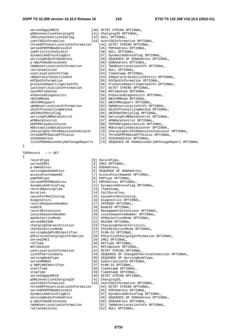| served3qpp2MEID                   |  | [40] OCTET STRING OPTIONAL,                          |
|-----------------------------------|--|------------------------------------------------------|
| pDNConnectionChargingID           |  | [41] ChargingID OPTIONAL,                            |
| iMSIunauthenticatedFlaq           |  | [42] NULL OPTIONAL,                                  |
| userCSGInformation                |  | [43] UserCSGInformation OPTIONAL,                    |
| threeGPP2UserLocationInformation  |  | [44] OCTET STRING OPTIONAL,                          |
| servedPDPPDNAddressExt            |  | [45] PDPAddress OPTIONAL,                            |
| lowPriorityIndicator              |  | [46] NULL OPTIONAL,                                  |
| dynamicAddressFlaqExt             |  | [47] DynamicAddressFlag OPTIONAL,                    |
| servingNodeiPv6Address            |  | [49] SEOUENCE OF GSNAddress OPTIONAL,                |
| p-GWiPv6AddressUsed               |  | [50] GSNAddress OPTIONAL,                            |
| tWANUserLocationInformation       |  | [51] TWANUserLocationInfo OPTIONAL,                  |
| retransmission                    |  | [52] NULL OPTIONAL,                                  |
| userLocationInfoTime              |  | [53] TimeStamp OPTIONAL,                             |
| cNOperatorSelectionEnt            |  | [54] CNOperatorSelectionEntity OPTIONAL,             |
| ePCOoSInformation                 |  | [55] EPCQoSInformation OPTIONAL,                     |
| presenceReportingAreaInfo         |  | [56] PresenceReportingAreaInfo OPTIONAL,             |
| lastUserLocationInformation       |  | [57] OCTET STRING OPTIONAL,                          |
| lastMSTimeZone                    |  | [58] MSTimeZone OPTIONAL,                            |
| enhancedDiagnostics               |  | [59] EnhancedDiagnostics OPTIONAL,                   |
| nBIFOMMode                        |  | [60] NBIFOMMode OPTIONAL,                            |
| nBIFOMSupport                     |  | [61] NBIFOMSupport OPTIONAL,                         |
| uWANUserLocationInformation       |  | [62] UWANUserLocationInfo OPTIONAL,                  |
| sGiPtPTunnellingMethod            |  | [64] SGiPtPTunnellingMethod OPTIONAL,                |
| uNIPDUCPOnlyFlaq                  |  | [65] UNIPDUCPOnlyFlag OPTIONAL,                      |
| servingPLMNRateControl            |  | [66] ServingPLMNRateControl OPTIONAL,                |
| aPNRateControl                    |  | [67] APNRateControl OPTIONAL,                        |
| pDPPDNTypeExtension               |  | [68] PDPPDNTypeExtension OPTIONAL,                   |
| mOExceptionDataCounter            |  | [69] MOExceptionDataCounter OPTIONAL,                |
| chargingPerIPCANSessionIndicator  |  | [70] ChargingPerIPCANSessionIndicator OPTIONAL,      |
| threeGPPPSDataOffStatus           |  | [71] ThreeGPPPSDataOffStatus OPTIONAL,               |
| sCSASAddress                      |  | [72] SCSASAddress OPTIONAL,                          |
| listOfRANSecondaryRATUsageReports |  | [73] SEQUENCE OF RANSecondaryRATUsageReport OPTIONAL |

| TDFRecord | $: :=$ SET |
|-----------|------------|

}

{

recordType  $[0]$  RecordType,<br>servedIMSI  $[3]$  IMSI OPTIONAL,<br>p-GWAddress  $[4]$  GSNAddress,

servedIMSI [3] IMSI OPTIONAL, p-GWAddress [4] GSNAddress, servingNodeAddress [6] SEQUENCE OF GSNAddress, accessPointNameNI [7] AccessPointNameNI OPTIONAL, pdpPDNType [8] PDPType OPTIONAL, servedPDPPDNAddress [9] PDPAddress OPTIONAL, dynamicAddressFlag [11] DynamicAddressFlag OPTIONAL, recordOpeningTime [13] TimeStamp, duration [14] CallDuration, causeForRecClosing [15] CauseForRecClosing, diagnostics [16] Diagnostics OPTIONAL, recordSequenceNumber [17] INTEGER OPTIONAL, nodeID [18] NodeID OPTIONAL, recordExtensions [19] ManagementExtensions OPTIONAL, localSequenceNumber [20] LocalSequenceNumber OPTIONAL, apnSelectionMode [21] APNSelectionMode OPTIONAL, servedMSISDN [22] MSISDN OPTIONAL, chargingCharacteristics [23] ChargingCharacteristics, chChSelectionMode [24] ChChSelectionMode OPTIONAL, servingNodePLMNIdentifier [27] PLMN-Id OPTIONAL, pSFurnishChargingInformation [28] PSFurnishChargingInformation OPTIONAL, servedIMEI [29] IMEI OPTIONAL, rATType [30] RATType OPTIONAL, mSTimeZone [31] MSTimeZone OPTIONAL, userLocationInformation [32] OCTET STRING OPTIONAL, listOfServiceData [34] SEQUENCE OF ChangeOfServiceCondition OPTIONAL, servingNodeType [35] SEQUENCE OF ServingNodeType, servingNodeType [35] SEQUENCE OF ServingNodeType,<br>servedMNNAI [36] SEQUENCE OF ServingNodeType,<br>p-GWPLMNIdentifier [37] PLMN-Id OPTIONAL, p-GWPLMNIdentifier [37] PLMN-Id OPTIONAL, startTime  $[38]$  TimeStamp OPTIONAL, stopTime  $[39]$  TimeStamp OPTIONAL, served3gpp2MEID [40] OCTET STRING OPTIONAL, pDNConnectionChargingID [41] ChargingID, userCSGInformation [43] UserCSGInformation OPTIONAL, threeGPP2UserLocationInformation [44] OCTET STRING OPTIONAL, servedPDPPDNAddressExt [45] PDPAddress OPTIONAL, dynamicAddressFlagExt [47] DynamicAddressFlag OPTIONAL, servingNodeiPv6Address [49] SEQUENCE OF GSNAddress OPTIONAL,<br>p-GWiPv6AddressUsed [50] GSNAddress OPTIONAL, p-GWiPv6AddressUsed [50] GSNAddress OPTIONAL, tWANUserLocationInformation [51] TWANUserLocationInfo OPTIONAL, retransmission [52] NULL OPTIONAL,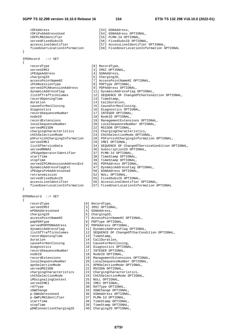tDFAddress [53] GSNAddress, tDFiPv6AddressUsed [54] GSNAddress OPTIONAL, tDFPLMNIdentifier [55] PLMN-Id OPTIONAL, [56] FixedSubsID OPTIONAL, accessLineIdentifier [57] AccessLineIdentifier OPTIONAL,<br>fixedUserLocationInformation [59] FixedUserLocationInformation C fixedUserLocationInformation [59] FixedUserLocationInformation OPTIONAL } IPERecord ::= SET { recordType [0] RecordType, servedIMSI [3] IMSI OPTIONAL, iPEdgeAddress [4] GSNAddress, chargingID [5] ChargingID, accessPointNameNI [7] AccessPointNameNI OPTIONAL, iPCANsessionType [8] PDPType OPTIONAL, servedIPCANsessionAddress [9] PDPAddress OPTIONAL, dynamicAddressFlag [11] DynamicAddressFlag OPTIONAL, listOfTrafficVolumes [12] SEQUENCE OF ChangeOfCharCondition OPTIONAL, recordOpeningTime [13] TimeStamp, duration [14] CallDuration, duration<br>
causeForRecClosing [15] CauseForRecClosing,<br>
16] Diagnostics OPTIONA diagnostics [16] Diagnostics OPTIONAL, recordSequenceNumber [17] INTEGER OPTIONAL, nodeID [18] NodeID OPTIONAL, recordExtensions [19] ManagementExtensions OPTIONAL, localSequenceNumber [20] LocalSequenceNumber OPTIONAL, servedMSISDN [22] MSISDN OPTIONAL, chargingCharacteristics [23] ChargingCharacteristics, chChSelectionMode [24] ChChSelectionMode OPTIONAL, pSFurnishChargingInformation [28] PSFurnishChargingInformation OPTIONAL, servedIMEI [29] IMEI OPTIONAL, listOfServiceData [34] SEQUENCE OF ChangeOfServiceCondition OPTIONAL, [36] SubscriptionID OPTIONAL, iPEdgeOperatorIdentifier [37] PLMN-Id OPTIONAL,<br>startTime [38] TimeStamp OPTIONA startTime  $[38]$  TimeStamp OPTIONAL, stopTime  $[39]$  TimeStamp OPTIONAL, servedIPCANsessionAddressExt [45] PDPAddress OPTIONAL, dynamicAddressFlagExt [47] DynamicAddressFlag OPTIONAL, iPEdgeiPv6AddressUsed [50] GSNAddress OPTIONAL, retransmission [52] NULL OPTIONAL, servedFixedSubsID [55] FixedSubsID OPTIONAL, accessLineIdentifier [56] AccessLineIdentifier OPTIONAL, fixedUserLocationInformation [57] FixedUserLocationInformation OPTIONAL } EPDGRecord ::= SET { recordType [0] RecordType, servedIMSI [3] IMSI OPTIONAL,<br>ePDGAddressUsed [4] GSNAddress, ePDGAddressUsed chargingID [5] ChargingID, accessPointNameNI [7] AccessPointNameNI OPTIONAL,<br>pdpPDNType [8] PDPType OPTIONAL, pdpPDNType [8] PDPType OPTIONAL, servedPDPPDNAddress [9] PDPAddress OPTIONAL, dynamicAddressFlag [11] DynamicAddressFlag OPTIONAL, listOfTrafficVolumes [12] SEQUENCE OF ChangeOfCharCondition OPTIONAL, recordOpeningTime [13] TimeStamp, duration [14] CallDuration, causeForRecClosing [15] CauseForRecClosing, diagnostics [16] Diagnostics OPTIONAL, recordSequenceNumber [17] INTEGER OPTIONAL, nodeID [18] NodeID OPTIONAL, recordExtensions [19] ManagementExtensions OPTIONAL, localSequenceNumber [20] LocalSequenceNumber OPTIONAL, apnSelectionMode [21] APNSelectionMode OPTIONAL, servedMSISDN [22] MSISDN OPTIONAL, chargingCharacteristics [23] ChargingCharacteristics, chChSelectionMode [24] ChChSelectionMode OPTIONAL, iMSsignalingContext [25] NULL OPTIONAL, servedIMEI [29] IMEI OPTIONAL, rATType  $[30]$  RATType OPTIONAL, sGWChange [34] SGWChange OPTIONAL, p-GWAddressUsed [36] GSNAddress OPTIONAL, p-GWAddressUsed [36] GSNAddress OPTIONAL,<br>p-GWPLMNIdentifier [37] PLMN-Id OPTIONAL, [37] PLMN-Id OPTIONAL, startTime [38] TimeStamp OPTIONAL,<br>stopTime [39] TimeStamp OPTIONAL,

pDNConnectionChargingID

[39] TimeStamp OPTIONAL,<br>[40] ChargingID OPTIONAL,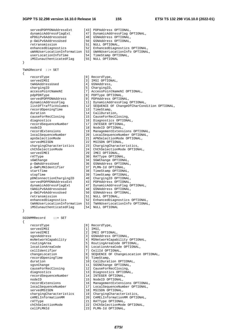#### **3GPP TS 32.298 version 16.10.0 Release 16 155 ETSI TS 132 298 V16.10.0 (2022-01)**

 servedPDPPDNAddressExt [43] PDPAddress OPTIONAL, dynamicAddressFlagExt [47] DynamicAddressFlag OPTIONAL, ePDGiPv6AddressUsed [48] GSNAddress OPTIONAL, p-GWiPv6AddressUsed [50] GSNAddress OPTIONAL, retransmission [51] NULL OPTIONAL, enhancedDiagnostics [52] EnhancedDiagnostics OPTIONAL, uWANUserLocationInformation [53] UWANUserLocationInfo OPTIONAL, userLocationInfoTime [54] TimeStamp OPTIONAL, iMSIunauthenticatedFlag [55] NULL OPTIONAL } TWAGRecord ::= SET { recordType  $[0]$  RecordType,<br>servedIMSI  $[3]$  IMSI OPTION [3] IMSI OPTIONAL,<br>[4] GSNAddress, tWAGAddressUsed chargingID [5] ChargingID,<br>accessPointNameNI [7] AccessPoint [7] AccessPointNameNI OPTIONAL, pdpPDNType [8] PDPType OPTIONAL, servedPDPPDNAddress [9] PDPAddress OPTIONAL, dynamicAddressFlag [11] DynamicAddressFlag OPTIONAL, listOfTrafficVolumes [12] SEQUENCE OF ChangeOfCharCondition OPTIONAL, recordOpeningTime [13] TimeStamp, duration [14] CallDuration, causeForRecClosing [15] CauseForRecClosing, diagnostics [16] Diagnostics OPTIONAL, recordSequenceNumber [17] INTEGER OPTIONAL,  $[18] \text{ NodeID OPTIONAL}, \\ \text{recordExtensions} \hspace{1.5em} [19] \text{ Management Extensions} \\ \text{localSequenceNumber} \hspace{1.5em} [20] \text{LocalSequenceNum} \\ \text{appSelectionMode} \hspace{1.5em} [21] \text{ APRSelectionMode} \\ \text{121} \text{APNSelectionMode} \\ \text{132} \text{MORTONMOL} \\ \text{143} \text{PINSelectionModel} \\ \text{154} \text{PINSelectionModel} \\ \text{165} \text{PINMENT} \\ \text{176} \text{PINCAL} \\ \text{187} \text{PINCAL} \\ \text{198} \text{PINC$  recordExtensions [19] ManagementExtensions OPTIONAL, localSequenceNumber [20] LocalSequenceNumber OPTIONAL, apnSelectionMode [21] APNSelectionMode OPTIONAL, servedMSISDN [22] MSISDN OPTIONAL, chargingCharacteristics [23] ChargingCharacteristics, chChSelectionMode [24] ChChSelectionMode OPTIONAL, chargingCnaracteristics<br>
chChSelectionMode [24] ChChSelectionM<br>
servedIMEI [29] IMEI OPTIONAL, rATType  $[30]$  RATType OPTIONAL, sGWChange [34] SGWChange OPTIONAL, p-GWAddressUsed [36] GSNAddress OPTIONAL, p-GWPLMNIdentifier [37] PLMN-Id OPTIONAL, startTime [38] TimeStamp OPTIONAL, stopTime [39] TimeStamp OPTIONAL, pDNConnectionChargingID [40] ChargingID OPTIONAL, servedPDPPDNAddressExt [43] PDPAddress OPTIONAL, dynamicAddressFlagExt [47] DynamicAddressFlag OPTIONAL, tWAGiPv6AddressUsed [48] GSNAddress OPTIONAL, p-GWiPv6AddressUsed [50] GSNAddress OPTIONAL, retransmission [51] NULL OPTIONAL, enhancedDiagnostics [52] EnhancedDiagnostics [52] EnhancedDiagnostics OPTIONAL, tWANUserLocationInformation [53] TWANUserLocationInfo OPTIONAL, iMSIunauthenticatedFlag [54] NULL OPTIONAL } SGSNMMRecord ::= SET { recordType  $[0]$  RecordType,<br>servedIMSI  $[1]$  IMSI.  $sec$  ved IMSI servedIMEI [2] IMEI OPTIONAL, sgsnAddress [3] GSNAddress OPTIONAL,<br>msNetworkCapability [4] MSNetworkCapability msNetworkCapability [4] MSNetworkCapability OPTIONAL, routingArea [5] RoutingAreaCode OPTIONAL, locationAreaCode [6] LocationAreaCode [6] [6] [1001] [6] [1001] [6] [1001] [6] [1001] [6] [1001] [6] [1001] [1 cellIdentifier [7] CellId OPTIONAL, changeLocation [8] SEQUENCE OF ChangeLocation OPTIONAL, recordOpeningTime recordOpeningTime [9] TimeStamp,<br>duration [10] CallDuration OPTIONAL, sgsnChange [11] SGSNChange OPTIONAL,<br>causeForRecClosing [12] CauseForRecClosing, causeForRecClosing [12] CauseForRecClosing,<br>diagnostics [13] Diagnostics OPTIONA [13] Diagnostics OPTIONAL,<br>[14] INTEGER OPTIONAL, recordSequenceNumber nodeID [15] NodeID OPTIONAL,<br>
recordExtensions [16] ManagementExtens<br>
localSequenceNumber [17] LocalSequenceNum<br>
[17] LocalSequenceNum [16] ManagementExtensions OPTIONAL, [17] LocalSequenceNumber OPTIONAL, servedMSISDN [18] MSISDN OPTIONAL, chargingCharacteristics [19] ChargingCharacteristics,<br>cAMELInformationMM [20] CAMELInformationMM OPTIC [20] CAMELInformationMM OPTIONAL, rATType (21) RATType OPTIONAL,<br>chChSelectionMode (22) ChChSelectionMode chChSelectionMode [22] ChChSelectionMode OPTIONAL, [23] PLMN-Id OPTIONAL,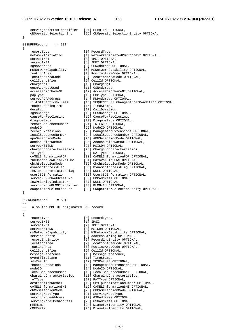```
servingNodePLMNIdentifier [24] PLMN-Id OPTIONAL,
    cNOperatorSelectionEnt [25] CNOperatorSelectionEntity OPTIONAL 
} 
SGSNPDPRecord ::= SET 
{ 
 recordType [0] RecordType, 
 networkInitiation [1] NetworkInitiatedPDPContext OPTIONAL, 
   servedIMSI [3] IMSI OPTIONAL,
servedIMEI [4] IMEI OPTIONAL,
 sgsnAddress [5] GSNAddress OPTIONAL, 
 msNetworkCapability [6] MSNetworkCapability OPTIONAL, 
 routingArea [7] RoutingAreaCode OPTIONAL, 
 locationAreaCode [8] LocationAreaCode OPTIONAL, 
 cellIdentifier [9] CellId OPTIONAL, 
chargingID [10] ChargingID,
 ggsnAddressUsed [11] GSNAddress, 
 accessPointNameNI [12] AccessPointNameNI OPTIONAL, 
 pdpType [13] PDPType OPTIONAL, 
 servedPDPAddress [14] PDPAddress OPTIONAL, 
 listOfTrafficVolumes [15] SEQUENCE OF ChangeOfCharCondition OPTIONAL, 
 recordOpeningTime [16] TimeStamp, 
duration [17] CallDuration,
 sgsnChange [18] SGSNChange OPTIONAL, 
 causeForRecClosing [19] CauseForRecClosing, 
 diagnostics [20] Diagnostics OPTIONAL, 
 recordSequenceNumber [21] INTEGER OPTIONAL, 
   nodeID [22] NodeID OPTIONAL,<br>recordExtensions [23] ManagementExtensions OPTIONAL,
 recordExtensions [23] ManagementExtensions OPTIONAL, 
 localSequenceNumber [24] LocalSequenceNumber OPTIONAL, 
 apnSelectionMode [25] APNSelectionMode OPTIONAL, 
 accessPointNameOI [26] AccessPointNameOI OPTIONAL, 
servedMSISDN [27] MSISDN OPTIONAL,
 chargingCharacteristics [28] ChargingCharacteristics, 
rATType [29] RATType OPTIONAL,
 cAMELInformationPDP [30] CAMELInformationPDP OPTIONAL, 
 rNCUnsentDownlinkVolume [31] DataVolumeGPRS OPTIONAL, 
 chChSelectionMode [32] ChChSelectionMode OPTIONAL, 
 dynamicAddressFlag [33] DynamicAddressFlag OPTIONAL, 
 iMSIunauthenticatedFlag [34] NULL OPTIONAL, 
 userCSGInformation [35] UserCSGInformation OPTIONAL, 
 servedPDPPDNAddressExt [36] PDPAddress OPTIONAL, 
 lowPriorityIndicator [37] NULL OPTIONAL, 
 servingNodePLMNIdentifier [38] PLMN-Id OPTIONAL, 
 cNOperatorSelectionEnt [39] CNOperatorSelectionEntity OPTIONAL 
} 
SGSNSMORecord ::= SET 
-- 
    also for MME UE originated SMS record
-- 
{ 
 recordType [0] RecordType, 
servedIMSI [1] IMSI,
servedIMEI [2] IMEI OPTIONAL,
servedMSISDN [3] MSISDN OPTIONAL,
                                     Capability OPTIONAL,
                                     ing OPTIONAL,
                                     Entity OPTIONAL,
                                      locationArea [7] LocationAreaCode OPTIONAL, 
                                     eaCode OPTIONAL,
 cellIdentifier [9] CellId OPTIONAL, 
                                     eference.
eventTimeStamp [11] TimeStamp,
                                      .<br>OPTIONAL,
                                     rtExtensions OPTIONAL,
                                     PTIONAL,
                                     lenceNumber OPTIONAL,
                                     characteristics.
                                     PTIONAL,
                                      inationNumber OPTIONAL,
                                     prmationSMS OPTIONAL,
                                     ctionMode OPTIONAL,
                                     deType ,
                                     ss OPTIONAL,
                                     ss OPTIONAL,
```

| recordType              | [0] RecordType,                 |
|-------------------------|---------------------------------|
| servedIMSI              | $[1]$ IMSI,                     |
| servedIMEI              | [2] IMEI OPTIONAL,              |
| servedMSISDN            | [3] MSISDN OPTIONAL,            |
| msNetworkCapability     | [4] MSNetworkCapability OPTIONA |
| serviceCentre           | [5] AddressString OPTIONAL,     |
| recordingEntity         | [6] RecordingEntity OPTIONAL,   |
| locationArea            | [7] LocationAreaCode OPTIONAL,  |
| routingArea             | [8] RoutingAreaCode OPTIONAL,   |
| cellIdentifier          | [9] CellId OPTIONAL,            |
| messageReference        | [10] MessageReference,          |
| eventTimeStamp          | [11] TimeStamp,                 |
| smsResult               | [12] SMSResult OPTIONAL,        |
| recordExtensions        | [13] ManagementExtensions OPTIO |
| nodeID                  | [14] NodeID OPTIONAL,           |
| localSequenceNumber     | [15] LocalSequenceNumber OPTION |
| chargingCharacteristics | [16] ChargingCharacteristics,   |
| rATType                 | [17] RATType OPTIONAL,          |
| destinationNumber       | [18] SmsTpDestinationNumber OPT |
| cAMELInformationSMS     | [19] CAMELInformationSMS OPTION |
| chChSelectionMode       | [20] ChChSelectionMode OPTIONAL |
| servingNodeType         | [21] ServingNodeType,           |
| servingNodeAddress      | [22] GSNAddress OPTIONAL,       |
| servingNodeiPv6Address  | [23] GSNAddress OPTIONAL,       |
| mMEName                 | [24] DiameterIdentity OPTIONAL, |
| mMERealm                | [25] DiameterIdentity OPTIONAL, |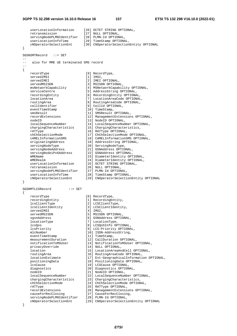userLocationInformation [26] OCTET STRING OPTIONAL, retransmission [27] NULL OPTIONAL, servingNodePLMNIdentifier [28] PLMN-Id OPTIONAL,<br>userLocationInfoTime [29] TimeStamp OPTIONAL,  $userLocationInfoTime$  cNOperatorSelectionEnt [30] CNOperatorSelectionEntity OPTIONAL } SGSNSMTRecord ::= SET - also for MME UE terminated SMS record -- { recordType [0] RecordType, servedIMSI [1] IMSI,<br>servedIMEI [2] IMEI servedIMEI [2] IMEI OPTIONAL, [3] MSISDN OPTIONAL, msNetworkCapability [4] MSNetworkCapability OPTIONAL, serviceCentre [5] AddressString OPTIONAL, recordingEntity [6] Addressiting OPTIONAL,<br>
locationArea [7] LocationAreaCode OPTIONAL, locationArea [7] LocationAreaCode OPTIONAL, routingArea [8] RoutingAreaCode OPTIONAL, cellIdentifier [9] CellId OPTIONAL, eventTimeStamp [10] TimeStamp, smsResult [11] SMSResult OPTIONAL, recordExtensions [12] ManagementExtensions OPTIONAL, nodeID [13] NodeID OPTIONAL, localSequenceNumber [14] LocalSequenceNumber OPTIONAL, chargingCharacteristics [15] ChargingCharacteristics, rATType [16] RATType OPTIONAL, chChSelectionMode [17] ChChSelectionMode OPTIONAL, cAMELInformationSMS [18] CAMELInformationSMS OPTIONAL, originatingAddress [19] AddressString OPTIONAL, servingNodeType [20] ServingNodeType, servingNodeAddress [21] GSNAddress OPTIONAL, servingNodeiPv6Address [22] GSNAddress OPTIONAL, mMEName [23] DiameterIdentity OPTIONAL, mMERealm [24] DiameterIdentity OPTIONAL, userLocationInformation [25] OCTET STRING OPTIONAL, retransmission [26] NULL OPTIONAL, servingNodePLMNIdentifier [27] PLMN-Id OPTIONAL,<br>userLocationInfoTime [28] TimeStamp OPTIONA userLocationInfoTime [28] TimeStamp OPTIONAL, cNOperatorSelectionEnt [29] CNOperatorSelectionEntity OPTIONAL } SGSNMTLCSRecord ::= SET { recordType [0] RecordType,<br>recordingEntity [1] RecordingEn [1] RecordingEntity, lcsClientType [2] LCSClientType,<br>lcsClientIdentity [3] LCSClientIdent [3] LCSClientIdentity, servedIMSI [4] IMSI, servedMSISDN [5] MSISDN OPTIONAL, sgsnAddress [6] GSNAddress OPTIONAL,<br>
locationType [7] LocationType, locationType [7] LocationType, lcsQos [8] LCSQoSInfo OPTIONAL, lcsPriority [9] LCS-Priority OPTIONAL, mlcNumber [10] ISDN-AddressString, eventTimeStamp [11] TimeStamp, measurementDuration [12] CallDuration OPTIONAL, notificationToMSUser [13] NotificationToMSUser OPTIONAL, privacyOverride [14] NULL OPTIONAL, location [15] LocationAreaAndCell OPTIONAL, routingArea [16] RoutingAreaCode OPTIONAL,<br>locationEstimate [17] Ext-GeographicalInformati locationEstimate [17] Ext-GeographicalInformation OPTIONAL, positioningData [18] PositioningData OPTIONAL, lcsCause [19] LCSCause OPTIONAL, diagnostics [20] Diagnostics OPTIONAL, nodeID [21] NodeID OPTIONAL, localSequenceNumber [22] LocalSequenceNumber OPTIONAL, chargingCharacteristics [23] ChargingCharacteristics, chChSelectionMode [24] ChChSelectionMode OPTIONAL, rATType [25] RATType OPTIONAL, recordExtensions [26] ManagementExtensions OPTIONAL, causeForRecClosing [27] CauseForRecClosing, servingNodePLMNIdentifier [28] PLMN-Id OPTIONAL, cNOperatorSelectionEnt [29] CNOperatorSelectionEntity OPTIONAL }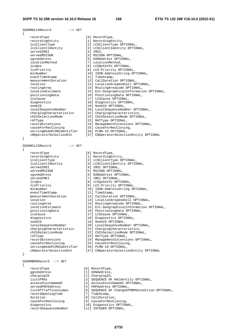SGSNMOLCSRecord ::= SET { recordType [0] RecordType, recordingEntity [1] RecordingEntity, lcsClientType [2] LCSClientType OPTIONAL, lcsClientIdentity [3] LCSClientIdentity OPTIONAL, servedIMSI [4] IMSI, servedMSISDN [5] MSISDN OPTIONAL, sgsnAddress [6] GSNAddress OPTIONAL, locationMethod [7] LocationMethod, lcsQos [8] LCSQoSInfo OPTIONAL, lcsPriority [9] LCS-Priority OPTIONAL, mlcNumber [10] ISDN-AddressString OPTIONAL, eventTimeStamp [11] TimeStamp, measurementDuration [12] CallDuration OPTIONAL, location [13] LocationAreaAndCell OPTIONAL, routingArea [14] RoutingAreaCode OPTIONAL, locationEstimate [15] Ext-GeographicalInformation OPTIONAL, positioningData [16] PositioningData OPTIONAL, lcsCause [17] LCSCause OPTIONAL, diagnostics [18] Diagnostics OPTIONAL, nodeID [19] NodeID OPTIONAL, localSequenceNumber [20] LocalSequenceNumber OPTIONAL, chargingCharacteristics [21] ChargingCharacteristics, chChSelectionMode [22] ChChSelectionMode OPTIONAL, rATType [23] RATType OPTIONAL, recordExtensions [24] ManagementExtensions OPTIONAL, causeForRecClosing [25] CauseForRecClosing, servingNodePLMNIdentifier [26] PLMN-Id OPTIONAL, cNOperatorSelectionEnt [27] CNOperatorSelectionEntity OPTIONAL } SGSNNILCSRecord ::= SET { recordType [0] RecordType,<br>recordingEntity [1] RecordingEntity, recordingEntity<br>lcsClientType<br>lcsClientIdentity lcsClientType [2] LCSClientType OPTIONAL, lcsClientIdentity [3] LCSClientIdentity OPTIONAL, servedIMSI [4] IMSI OPTIONAL, servedMSISDN [5] MSISDN OPTIONAL, sgsnAddress [6] GSNAddress OPTIONAL, servedIMEI [7] IMEI OPTIONAL, lcsQos [8] LCSQoSInfo OPTIONAL, lcsPriority [9] LCS-Priority OPTIONAL, mlcNumber [10] ISDN-AddressString OPTIONAL, eventTimeStamp [11] TimeStamp, measurementDuration [12] CallDuration OPTIONAL, location [13] LocationAreaAndCell OPTIONAL, routingArea [14] RoutingAreaCode OPTIONAL, locationEstimate [15] Ext-GeographicalInformation OPTIONAL, positioningData [16] PositioningData OPTIONAL, lcsCause [17] LCSCause OPTIONAL, diagnostics **business** [18] Diagnostics OPTIONAL, nodeID [19] NodeID OPTIONAL, localSequenceNumber [20] LocalSequenceNumber OPTIONAL, chargingCharacteristics [21] ChargingCharacteristics, chChSelectionMode [22] ChChSelectionMode OPTIONAL, rATType  $[23]$  RATType OPTIONAL, recordExtensions [24] ManagementExtensions OPTIONAL, causeForRecClosing [25] CauseForRecClosing, servingNodePLMNIdentifier [26] PLMN-Id OPTIONAL, cNOperatorSelectionEnt [27] CNOperatorSelectionEntity OPTIONAL }

{

SGSNMBMSRecord ::= SET recordType  $[0]$  RecordType,<br>qqsnAddress  $[1]$  GSNAddress, ggsnAddress [1] GSNAddress, chargingID [2] ChargingID, servedPDPAddress [5] PDPAddress OPTIONAL, recordOpeningTime [7] TimeStamp, duration [8] CallDuration, causeForRecClosing [9] CauseForRecClosing, diagnostics [10] Diagnostics OPTIONAL,

 listofRAs [3] SEQUENCE OF RAIdentity OPTIONAL, accessPointNameNI [4] AccessPointNameNI OPTIONAL,

listOfTrafficVolumes [6] SEQUENCE OF ChangeOfMBMSCondition OPTIONAL,

- 
- 

recordSequenceNumber [11] INTEGER OPTIONAL,

*ETSI*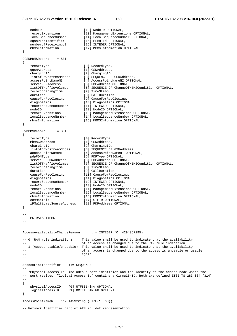```
nodeID [12] NodeID OPTIONAL,
 recordExtensions [13] ManagementExtensions OPTIONAL, 
 localSequenceNumber [14] LocalSequenceNumber OPTIONAL, 
 sgsnPLMNIdentifier [15] PLMN-Id OPTIONAL, 
    numberofReceivingUE [16] INTEGER OPTIONAL,
     mbmsInformation [17] MBMSInformation OPTIONAL 
} 
GGSNMBMSRecord ::= SET 
{ 
   \begin{array}{lll} {\rm recordType} & \hspace{1.5cm} [0] \hspace{.1cm} {\rm RecordType}\, , \\ {\rm ggnAddress} & \hspace{.1cm} [1] \hspace{.1cm} {\rm GSNAddress}\, , \end{array} ggsnAddress [1] GSNAddress, 
 chargingID [2] ChargingID, 
 listofDownstreamNodes [3] SEQUENCE OF GSNAddress, 
 accessPointNameNI [4] AccessPointNameNI OPTIONAL, 
 servedPDPAddress [5] PDPAddress OPTIONAL, 
 listOfTrafficVolumes [6] SEQUENCE OF ChangeOfMBMSCondition OPTIONAL, 
 recordOpeningTime [7] TimeStamp, 
    duration [8] CallDuration,<br>causeForRecClosing [9] CauseForRecClosing,
    causeForRecClosing [9] CauseForRecClosing,<br>diagnostics [10] Diagnostics OPTIONAL,
 diagnostics [10] Diagnostics OPTIONAL, 
 recordSequenceNumber [11] INTEGER OPTIONAL, 
    nodeID [12] NodeID OPTIONAL,
   recordExtensions [13] ManagementExtensions OPTIONAL,<br>
localSequenceNumber [14] LocalSequenceNumber OPTIONAL,
 localSequenceNumber [14] LocalSequenceNumber OPTIONAL, 
 mbmsInformation [15] MBMSInformation OPTIONAL 
} 
GWMBMSRecord ::= SET 
{ 
    \begin{array}{ccc} {\tt recordType} & \hspace{1.3cm} & \hspace{1.3cm} & \hspace{1.3cm} & \hspace{1.3cm} & \hspace{1.3cm} & \hspace{1.3cm} & \hspace{1.3cm} & \hspace{1.3cm} & \hspace{1.3cm} & \hspace{1.3cm} & \hspace{1.3cm} & \hspace{1.3cm} & \hspace{1.3cm} & \hspace{1.3cm} & \hspace{1.3cm} & \hspace{1.3cm} & \hspace{1.3cm} & \hspace{1.3cm} & \hspace{1.3cm} & \hspace{1.3cm} & \hspace{1.3cm mbmsGWAddress [1] GSNAddress, 
 chargingID [2] ChargingID, 
 listofDownstreamNodes [3] SEQUENCE OF GSNAddress, 
 accessPointNameNI [4] AccessPointNameNI OPTIONAL, 
 pdpPDNType [5] PDPType OPTIONAL, 
 servedPDPPDNAddress [6] PDPAddress OPTIONAL, 
 listOfTrafficVolumes [7] SEQUENCE OF ChangeOfMBMSCondition OPTIONAL, 
 recordOpeningTime [8] TimeStamp, 
     duration [9] CallDuration, 
     causeForRecClosing [10] CauseForRecClosing, 
    diagnostics [11] Diagnostics OPTIONAL,<br>recordSequenceNumber [12] INTEGER OPTIONAL.
   diagnostics<br>recordSequenceNumber
nodeID [13] NodeID OPTIONAL,
 recordExtensions [14] ManagementExtensions OPTIONAL, 
 localSequenceNumber [15] LocalSequenceNumber OPTIONAL, 
 mbmsInformation [16] MBMSInformation OPTIONAL, 
 commonTeid [17] CTEID OPTIONAL, 
     iPMulticastSourceAddress [18] PDPAddress OPTIONAL 
} 
-- 
-- PS DATA TYPES 
-- 
AccessAvailabilityChangeReason ::= INTEGER (0..4294967295) 
-- 
-- 0 (RAN rule indication) : This value shall be used to indicate that the availability 
                                of an access is changed due to the RAN rule indication.
-- 1 (Access usable/unusable): This value shall be used to indicate that the availability 
                                of an access is changed due to the access is unusable or usable
-- again.
-- 
AccessLineIdentifier ::= SEQUENCE 
-- 
-- "Physical Access Id" includes a port identifier and the identity of the access node where the 
-- port resides. "logical Access Id" contains a Circuit-ID. Both are defined ETSI TS 283 034 [314] 
-- 
{ 
     physicalAccessID [0] UTF8String OPTIONAL, 
     logicalAccessID [1] OCTET STRING OPTIONAL 
} 
AccessPointNameNI ::= IA5String (SIZE(1..63)) 
-- 
-- Network Identifier part of APN in dot representation.
```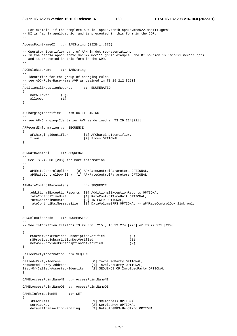```
3GPP TS 32.298 version 16.10.0 Release 16 160 ETSI TS 132 298 V16.10.0 (2022-01)
```

```
-- For example, if the complete APN is 'apn1a.apn1b.apn1c.mnc022.mcc111.gprs'
-- NI is 'apn1a.apn1b.apn1c' and is presented in this form in the CDR.
-- 
AccessPointNameOI ::= IA5String (SIZE(1..37)) 
-- 
-- Operator Identifier part of APN in dot representation. 
-- In the 'apn1a.apn1b.apn1c.mnc022.mcc111.gprs' example, the OI portion is 'mnc022.mcc111.gprs' 
-- and is presented in this form in the CDR. 
-- 
ADCRuleBaseName ::= IA5String 
-- 
-- identifier for the group of charging rules 
-- see ADC-Rule-Base-Name AVP as desined in TS 29.212 [220]
-- 
AdditionalExceptionReports ::= ENUMERATED 
{ 
 notAllowed (0), 
 allowed (1) 
} 
AFChargingIdentifier ::= OCTET STRING 
-- 
-- see AF-Charging-Identifier AVP as defined in TS 29.214[221] 
-AFRecordInformation ::= SEQUENCE 
{ 
 aFChargingIdentifier [1] AFChargingIdentifier, 
flows [2] Flows OPTIONAL
} 
APNRateControl ::= SEQUENCE 
-- 
-- See TS 24.008 [208] for more information 
-- 
{ 
     aPNRateControlUplink [0] APNRateControlParameters OPTIONAL, 
     aPNRateControlDownlink [1] APNRateControlParameters OPTIONAL 
} 
APNRateControlParameters ::= SEQUENCE 
{ 
    additionalExceptionReports [0] AdditionalExceptionReports OPTIONAL, 
 rateControlTimeUnit [1] RateControlTimeUnit OPTIONAL, 
 rateControlMaxRate [2] INTEGER OPTIONAL, 
    rateControlMaxMessageSize [3] DataVolumeGPRS OPTIONAL -- aPNRateControlDownlink only 
} 
APNSelectionMode ::= ENUMERATED 
-- 
-- See Information Elements TS 29.060 [215], TS 29.274 [223] or TS 29.275 [224] 
-{ 
    mSorNetworkProvidedSubscriptionVerified (0), 
    mSProvidedSubscriptionNotVerified (1), 
   networkProvidedSubscriptionNotVerified (2)
} 
CalleePartyInformation ::= SEQUENCE 
{ 
called-Party-Address [0] InvolvedParty OPTIONAL, 
requested-Party-Address [1] InvolvedParty OPTIONAL, 
list-Of-Called-Asserted-Identity [2] SEQUENCE OF InvolvedParty OPTIONAL 
} 
CAMELAccessPointNameNI ::= AccessPointNameNI 
CAMELAccessPointNameOI ::= AccessPointNameOI 
CAMELInformationMM ::= SET 
{ 
    sCFAddress [1] SCFAddress OPTIONAL,<br>serviceKey [2] ServiceKey OPTIONAL,
   serviceKey [2] ServiceKey OPTIONAL,<br>defaultTransactionHandling [3] DefaultGPRS-Handling
                                 [3] DefaultGPRS-Handling OPTIONAL,
```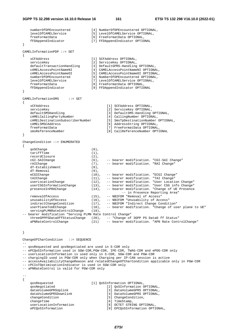numberOfDPEncountered [4] NumberOfDPEncountered OPTIONAL,<br>levelOfCAMELService [5] LevelOfCAMELService OPTIONAL, [5] LevelOfCAMELService OPTIONAL, freeFormatData [6] FreeFormatData OPTIONAL,<br>fFDAppendIndicator [7] FFDAppendIndicator OPTIO [7] FFDAppendIndicator OPTIONAL } CAMELInformationPDP ::= SET { sCFAddress [1] SCFAddress OPTIONAL, serviceKey (2) ServiceKey OPTIONAL, defaultTransactionHandling [3] DefaultGPRS-Handling OPTIONAL,<br>CAMELACCESSPOINTNameNI [4] CAMELACCESSPOINTNameNI OPTIONA cAMELAccessPointNameNI [4] CAMELAccessPointNameNI OPTIONAL, cAMELAccessPointNameOI [5] CAMELAccessPointNameOI OPTIONAL, numberOfDPEncountered [6] NumberOfDPEncountered OPTIONAL,<br>
levelOfCAMELService [7] LevelOfCAMELService OPTIONAL, levelOfCAMELService [7] LevelOfCAMELService OPTIONAL,<br>freeFormatData [8] FreeFormatData OPTIONAL, [8] FreeFormatData OPTIONAL, fFDAppendIndicator [9] FFDAppendIndicator OPTIONAL } CAMELInformationSMS ::= SET { sCFAddress [1] SCFAddress OPTIONAL, serviceKey (2) ServiceKey OPTIONAL, defaultSMSHandling (3) DefaultSMS-Handling OPTIONAL,<br>cAMELCallingPartyNumber [4] CallingNumber OPTIONAL, [4] CallingNumber OPTIONAL, cAMELDestinationSubscriberNumber [5] SmsTpDestinationNumber OPTIONAL, cAMELSMSCAddress [6] AddressString OPTIONAL, freeFormatData [7] FreeFormatData OPTIONAL,<br>smsReferenceNumber [8] CallReferenceNumber OPTI [8] CallReferenceNumber OPTIONAL } ChangeCondition ::= ENUMERATED { qoSChange (0), tariffTime (1), recordClosure (2), cGI-SAICHange (6), -- bearer modification. "CGI-SAI Change"<br>
rAIChange (7), -- bearer modification. "RAI Change" rAIChange (7), -- bearer modification. "RAI Change" dT-Establishment (8), dT-Removal (9),<br>eCGIChange (10) eCGIChange (10), -- bearer modification. "ECGI Change"<br>tAIChange (11), -- bearer modification. "TAI Change" tAIChange (11), -- bearer modification. "TAI Change" userLocationChange (12), -- bearer modification. "User Location Change" userCSGInformationChange (13), -- bearer modification. "User CSG info Change" presenceInPRAChange (14), -- bearer modification. "Change of UE Presence -- in Presence Reporting Area" removalOfAccess (15), -- NBIFOM "Removal of Access" unusabilityOfAccess (16), -- NBIFOM "Unusability of Access" indirectChangeCondition (17), -- NBIFOM "Indirect Change Condition" userPlaneToUEChange (18), -- bearer modification. "Change of user plane to UE" servingPLMNRateControlChange (19), -- bearer modification "Serving PLMN Rate Control Change" threeGPPPSDataOffStatusChange (20), -- "Change of 3GPP PS DataO ff Status" aPNRateControlChange (21) -- bearer modification. "APN Rate ControlChange"

### }

--

ChangeOfCharCondition ::= SEQUENCE

-- qosRequested and qosNegotiated are used in S-CDR only

- -- ePCQoSInformation used in SGW-CDR,PGW-CDR, IPE-CDR, TWAG-CDR and ePDG-CDR only
- -- userLocationInformation is used only in S-CDR, SGW-CDR and PGW-CDR
- -- chargingID used in PGW-CDR only when Charging per IP-CAN session is active
- -- accessAvailabilityChangeReason and relatedChangeOfCharCondition applicable only in PGW-CDR
- -- cPCIoTOptimisationIndicator is used in SGW-CDR only

-- aPNRateControl is valid for PGW-CDR only

-- {

| gosRequested            | [1] QoSInformation OPTIONAL,    |
|-------------------------|---------------------------------|
| qosNegotiated           | [2] QoSInformation OPTIONAL,    |
| dataVolumeGPRSUplink    | [3] DataVolumeGPRS OPTIONAL,    |
| dataVolumeGPRSDownlink  | [4] DataVolumeGPRS OPTIONAL,    |
| changeCondition         | [5] ChangeCondition,            |
| changeTime              | [6] TimeStamp,                  |
| userLocationInformation | [8] OCTET STRING OPTIONAL,      |
| ePCOoSInformation       | [9] EPCQoSInformation OPTIONAL, |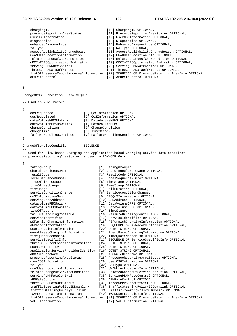# **3GPP TS 32.298 version 16.10.0 Release 16 162 ETSI TS 132 298 V16.10.0 (2022-01)**

|           | chargingID<br>presenceReportingAreaStatus<br>userCSGInformation<br>diagnostics<br>enhancedDiagnostics<br>rATType<br>accessAvailabilityChangeReason<br>uWANUserLocationInformation<br>relatedChangeOfCharCondition<br>cPCIoTEPSOptimisationIndicator<br>servingPLMNRateControl<br>threeGPPPSDataOffStatus<br>aPNRateControl                                                                                                                                                                                                                                                                                                                                                                                                                                                                                                                                                                                                        | [10] ChargingID OPTIONAL,<br>[11] PresenceReportingAreaStatus OPTIONAL,<br>[12] UserCSGInformation OPTIONAL,<br>[13] Diagnostics OPTIONAL,<br>[14] EnhancedDiagnostics OPTIONAL,<br>[15] RATType OPTIONAL,<br>[16] AccessAvailabilityChangeReason OPTIONAL,<br>[17] UWANUserLocationInfo OPTIONAL,<br>[18] RelatedChangeOfCharCondition OPTIONAL,<br>[19] CPCIoTEPSOptimisationIndicator OPTIONAL,<br>[20] ServingPLMNRateControl OPTIONAL,<br>[21] ThreeGPPPSDataOffStatus OPTIONAL,<br>listOfPresenceReportingAreaInformation [22] SEQUENCE OF PresenceReportingAreaInfo OPTIONAL,<br>[23] APNRateControl OPTIONAL                                                                                                                                                                                                                                                                                                                                                                                                                                                                                                                                                                                                                                                                                                                                                                                                                                                                      |
|-----------|-----------------------------------------------------------------------------------------------------------------------------------------------------------------------------------------------------------------------------------------------------------------------------------------------------------------------------------------------------------------------------------------------------------------------------------------------------------------------------------------------------------------------------------------------------------------------------------------------------------------------------------------------------------------------------------------------------------------------------------------------------------------------------------------------------------------------------------------------------------------------------------------------------------------------------------|-------------------------------------------------------------------------------------------------------------------------------------------------------------------------------------------------------------------------------------------------------------------------------------------------------------------------------------------------------------------------------------------------------------------------------------------------------------------------------------------------------------------------------------------------------------------------------------------------------------------------------------------------------------------------------------------------------------------------------------------------------------------------------------------------------------------------------------------------------------------------------------------------------------------------------------------------------------------------------------------------------------------------------------------------------------------------------------------------------------------------------------------------------------------------------------------------------------------------------------------------------------------------------------------------------------------------------------------------------------------------------------------------------------------------------------------------------------------------------------------|
| }         |                                                                                                                                                                                                                                                                                                                                                                                                                                                                                                                                                                                                                                                                                                                                                                                                                                                                                                                                   |                                                                                                                                                                                                                                                                                                                                                                                                                                                                                                                                                                                                                                                                                                                                                                                                                                                                                                                                                                                                                                                                                                                                                                                                                                                                                                                                                                                                                                                                                           |
|           | ChangeOfMBMSCondition ::= SEQUENCE                                                                                                                                                                                                                                                                                                                                                                                                                                                                                                                                                                                                                                                                                                                                                                                                                                                                                                |                                                                                                                                                                                                                                                                                                                                                                                                                                                                                                                                                                                                                                                                                                                                                                                                                                                                                                                                                                                                                                                                                                                                                                                                                                                                                                                                                                                                                                                                                           |
|           | -- Used in MBMS record                                                                                                                                                                                                                                                                                                                                                                                                                                                                                                                                                                                                                                                                                                                                                                                                                                                                                                            |                                                                                                                                                                                                                                                                                                                                                                                                                                                                                                                                                                                                                                                                                                                                                                                                                                                                                                                                                                                                                                                                                                                                                                                                                                                                                                                                                                                                                                                                                           |
| ₹<br>$\}$ | qosRequested<br>qosNegotiated<br>dataVolumeMBMSUplink<br>dataVolumeMBMSDownlink<br>changeCondition<br>changeTime<br>failureHandlingContinue                                                                                                                                                                                                                                                                                                                                                                                                                                                                                                                                                                                                                                                                                                                                                                                       | [1] QoSInformation OPTIONAL,<br>[2] QoSInformation OPTIONAL,<br>[3] DataVolumeMBMS OPTIONAL,<br>[4] DataVolumeMBMS,<br>[5] ChangeCondition,<br>[6] TimeStamp,<br>[7] FailureHandlingContinue OPTIONAL                                                                                                                                                                                                                                                                                                                                                                                                                                                                                                                                                                                                                                                                                                                                                                                                                                                                                                                                                                                                                                                                                                                                                                                                                                                                                     |
|           | ChangeOfServiceCondition<br>$\colon :=$ SEQUENCE                                                                                                                                                                                                                                                                                                                                                                                                                                                                                                                                                                                                                                                                                                                                                                                                                                                                                  |                                                                                                                                                                                                                                                                                                                                                                                                                                                                                                                                                                                                                                                                                                                                                                                                                                                                                                                                                                                                                                                                                                                                                                                                                                                                                                                                                                                                                                                                                           |
| $- -$     | -- presenceReportingAreaStatus is used in PGW-CDR Only                                                                                                                                                                                                                                                                                                                                                                                                                                                                                                                                                                                                                                                                                                                                                                                                                                                                            | -- Used for Flow based Charging and Application based Charging service data container                                                                                                                                                                                                                                                                                                                                                                                                                                                                                                                                                                                                                                                                                                                                                                                                                                                                                                                                                                                                                                                                                                                                                                                                                                                                                                                                                                                                     |
| €         | ratingGroup<br>chargingRuleBaseName<br>resultCode<br>localSequenceNumber<br>timeOfFirstUsage<br>timeOfLastUsage<br>timeUsage<br>serviceConditionChange<br>qoSInformationNeg<br>servingNodeAddress<br>datavolumeFBCUplink<br>datavolumeFBCDownlink<br>timeOfReport<br>failureHandlingContinue<br>serviceIdentifier<br>pSFurnishChargingInformation<br>aFRecordInformation<br>userLocationInformation<br>eventBasedChargingInformation<br>timeQuotaMechanism<br>serviceSpecificInfo<br>threeGPP2UserLocationInformation<br>sponsorIdentity<br>applicationServiceProviderIdentity<br>aDCRuleBaseName<br>presenceReportingAreaStatus<br>userCSGInformation<br>rATType<br>uWANUserLocationInformation<br>relatedChangeOfServiceCondition<br>servingPLMNRateControl<br>aPNRateControl<br>threeGPPPSDataOffStatus<br>trafficSteeringPolicyIDDownlink<br>trafficSteeringPolicyIDUplink<br>tWANUserLocationInformation<br>voLTEInformation | [1] RatingGroupId,<br>[2] ChargingRuleBaseName OPTIONAL,<br>[3] ResultCode OPTIONAL,<br>[4] LocalSequenceNumber OPTIONAL,<br>[5] TimeStamp OPTIONAL,<br>[6] TimeStamp OPTIONAL,<br>[7] CallDuration OPTIONAL,<br>[8] ServiceConditionChange,<br>[9] EPCQoSInformation OPTIONAL,<br>[10] GSNAddress OPTIONAL,<br>[12] DataVolumeGPRS OPTIONAL,<br>[13] DataVolumeGPRS OPTIONAL,<br>[14] TimeStamp,<br>[16] FailureHandlingContinue OPTIONAL,<br>[17] ServiceIdentifier OPTIONAL,<br>[18] PSFurnishChargingInformation OPTIONAL,<br>[19] SEQUENCE OF AFRecordInformation OPTIONAL,<br>[20] OCTET STRING OPTIONAL,<br>[21] EventBasedChargingInformation OPTIONAL,<br>[22] TimeQuotaMechanism OPTIONAL,<br>[23] SEQUENCE OF ServiceSpecificInfo OPTIONAL,<br>[24] OCTET STRING OPTIONAL,<br>[25] OCTET STRING OPTIONAL,<br>[26] OCTET STRING OPTIONAL,<br>[27] ADCRuleBaseName OPTIONAL,<br>[28] PresenceReportingAreaStatus OPTIONAL,<br>[29] UserCSGInformation OPTIONAL,<br>[30] RATType OPTIONAL,<br>[32] UWANUserLocationInfo OPTIONAL,<br>[33] RelatedChangeOfServiceCondition OPTIONAL,<br>[35] ServingPLMNRateControl OPTIONAL,<br>[36] APNRateControl OPTIONAL,<br>[37] ThreeGPPPSDataOffStatus OPTIONAL,<br>[38] TrafficSteeringPolicyIDDownlink OPTIONAL,<br>[39] TrafficSteeringPolicyIDUplink OPTIONAL,<br>[40] TWANUserLocationInfo OPTIONAL,<br>listOfPresenceReportingAreaInformation [41] SEQUENCE OF PresenceReportingAreaInfo OPTIONAL,<br>[42] VoLTEInformation OPTIONAL |

}

}

}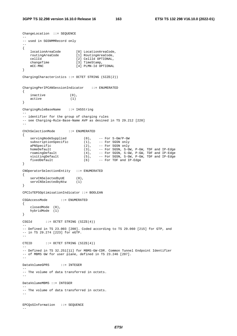```
ChangeLocation ::= SEQUENCE 
-- 
-- used in SGSNMMRecord only 
-- 
{ 
 locationAreaCode [0] LocationAreaCode, 
 routingAreaCode [1] RoutingAreaCode, 
 cellId [2] CellId OPTIONAL, 
   changeTime [3] TimeStamp,
    mCC-MNC [4] PLMN-Id OPTIONAL 
} 
ChargingCharacteristics ::= OCTET STRING (SIZE(2)) 
ChargingPerIPCANSessionIndicator ::= ENUMERATED 
{ 
   \begin{align} \text{inactive} \\ \text{active} \\ \text{(1)} \end{align}active
} 
ChargingRuleBaseName ::= IA5String 
-- 
-- identifier for the group of charging rules 
-- see Charging-Rule-Base-Name AVP as desined in TS 29.212 [220] 
-- 
ChChSelectionMode ::= ENUMERATED 
{ 
 servingNodeSupplied (0), -- For S-GW/P-GW 
subscriptionSpecific (1), -- For SGSN only
 aPNSpecific (2), -- For SGSN only 
 homeDefault (3), -- For SGSN, S-GW, P-GW, TDF and IP-Edge 
    roamingDefault (4), -- For SGSN, S-GW, P-GW, TDF and IP-Edge 
 visitingDefault (5), -- For SGSN, S-GW, P-GW, TDF and IP-Edge 
 fixedDefault (6) -- For TDF and IP-Edge 
} 
CNOperatorSelectionEntity ::= ENUMERATED 
{ 
   servCNSelectedbyUE (0),
   servCNSelectedbyNtw (1)
} 
CPCIoTEPSOptimisationIndicator ::= BOOLEAN 
CSGAccessMode ::= ENUMERATED 
{ 
    closedMode (0), 
    hybridMode (1) 
} 
CSGId ::= OCTET STRING (SIZE(4)) 
-- 
-- Defined in TS 23.003 [200]. Coded according to TS 29.060 [215] for GTP, and 
-- in TS 29.274 [223] for eGTP. 
-CTEID ::= OCTET STRING (SIZE(4)) 
-- 
-- Defined in TS 32.251[11] for MBMS-GW-CDR. Common Tunnel Endpoint Identifier 
-- of MBMS GW for user plane, defined in TS 23.246 [207]. 
-- 
DataVolumeGPRS ::= INTEGER 
-- 
-- The volume of data transferred in octets. 
-- 
DataVolumeMBMS ::= INTEGER 
-- 
-- The volume of data transferred in octets. 
-EPCQoSInformation ::= SEQUENCE 
--
```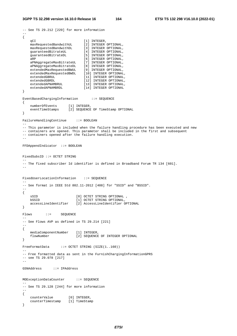```
-- See TS 29.212 [220] for more information 
-- 
{ 
qCI [1] INTEGER,
 maxRequestedBandwithUL [2] INTEGER OPTIONAL, 
 maxRequestedBandwithDL [3] INTEGER OPTIONAL, 
 guaranteedBitrateUL [4] INTEGER OPTIONAL, 
 guaranteedBitrateDL [5] INTEGER OPTIONAL, 
aRP [6] INTEGER OPTIONAL,
 aPNAggregateMaxBitrateUL [7] INTEGER OPTIONAL, 
 aPNAggregateMaxBitrateDL [8] INTEGER OPTIONAL, 
 extendedMaxRequestedBWUL [9] INTEGER OPTIONAL, 
 extendedMaxRequestedBWDL [10] INTEGER OPTIONAL, 
 extendedGBRUL [11] INTEGER OPTIONAL, 
 extendedGBRDL [12] INTEGER OPTIONAL, 
 extendedAPNAMBRUL [13] INTEGER OPTIONAL, 
 extendedAPNAMBRDL [14] INTEGER OPTIONAL 
} 
EventBasedChargingInformation ::= SEQUENCE 
{ 
 numberOfEvents [1] INTEGER, 
 eventTimeStamps [2] SEQUENCE OF TimeStamp OPTIONAL 
} 
FailureHandlingContinue ::= BOOLEAN 
-- 
-- This parameter is included when the failure handling procedure has been executed and new 
-- containers are opened. This parameter shall be included in the first and subsequent 
-- containers opened after the failure handling execution. 
-- 
FFDAppendIndicator ::= BOOLEAN 
FixedSubsID ::= OCTET STRING 
-- 
-- The fixed subscriber Id identifier is defined in Broadband Forum TR 134 [601]. 
-- 
FixedUserLocationInformation ::= SEQUENCE
-- 
-- See format in IEEE Std 802.11-2012 [408] for "SSID" and "BSSID". 
-- 
{ 
    sSID [0] OCTET STRING OPTIONAL , 
   bSSID [1] OCTET STRING OPTIONAL,
    accessLineIdentifier [2] AccessLineIdentifier OPTIONAL 
} 
Flows ::= SEQUENCE
-- 
-- See Flows AVP as defined in TS 29.214 [221] 
-- 
{ 
    mediaComponentNumber [1] INTEGER, 
    flowNumber [2] SEQUENCE OF INTEGER OPTIONAL 
} 
FreeFormatData ::= OCTET STRING (SIZE(1..160)) 
-- 
-- Free formatted data as sent in the FurnishChargingInformationGPRS 
-- see TS 29.078 [217] 
-- 
GSNAddress ::= IPAddress 
MOExceptionDataCounter ::= SEQUENCE 
-- 
-- See TS 29.128 [244] for more information 
-- 
{ 
 counterValue [0] INTEGER, 
 counterTimestamp [1] TimeStamp 
}
```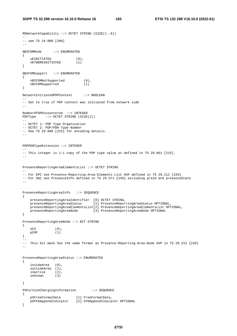MSNetworkCapability ::= OCTET STRING (SIZE(1..8))

```
-- 
-- see TS 24.008 [208] 
-- 
NBIFOMMode ::= ENUMERATED 
{ 
 uEINITIATED (0), 
 nETWORKINITIATED (1) 
} 
NBIFOMSupport ::= ENUMERATED 
{ 
   nBIFOMNotSupported (0),<br>nBIFOMSupported (1)
    nBIFOMSupported (1) 
} 
NetworkInitiatedPDPContext ::= BOOLEAN 
-- 
-- Set to true if PDP context was initiated from network side 
-- 
NumberOfDPEncountered ::= INTEGER 
PDPType ::= OCTET STRING (SIZE(2)) 
--- OCTET 1: PDP Type Organization 
-- OCTET 2: PDP/PDN Type Number 
-- See TS 29.060 [215] for encoding details. 
-PDPPDNTypeExtension ::= INTEGER 
-- 
-- This integer is 1:1 copy of the PDP type value as defined in TS 29.061 [215]. 
-- 
PresenceReportingAreaElementsList ::= OCTET STRING 
-- 
-- For EPC see Presence-Reporting-Area-Elements-List AVP defined in TS 29.212 [220] 
-- For 5GC see PresenceInfo defined in TS 29.571 [249] excluding praId and presenceState 
\equivPresenceReportingAreaInfo ::= SEQUENCE 
{ 
    presenceReportingAreaIdentifier [0] OCTET STRING, 
     presenceReportingAreaStatus [1] PresenceReportingAreaStatus OPTIONAL, 
    presenceReportingAreaElementsList[2] PresenceReportingAreaElementsList OPTIONAL, 
    presenceReportingAreaNode [3] PresenceReportingAreaNode OPTIONAL 
} 
PresenceReportingAreaNode ::= BIT STRING 
{ 
   \overline{OCS} (0),
    pCRF (1) 
} 
-- 
-- This bit mask has the same format as Presence-Reporting-Area-Node AVP in TS 29.212 [220] 
-- 
PresenceReportingAreaStatus ::= ENUMERATED 
{ 
     insideArea (0), 
     outsideArea (1), 
    inactive (2),<br>unknown (3)
   unknown
} 
PSFurnishChargingInformation ::= SEQUENCE 
{ 
 pSFreeFormatData [1] FreeFormatData, 
 pSFFDAppendIndicator [2] FFDAppendIndicator OPTIONAL 
}
```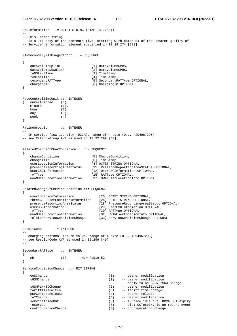**3GPP TS 32.298 version 16.10.0 Release 16 166 ETSI TS 132 298 V16.10.0 (2022-01)**

```
QoSInformation ::= OCTET STRING (SIZE (4..255)) 
-- 
-- This octet string 
-- is a 1:1 copy of the contents (i.e. starting with octet 5) of the "Bearer Quality of 
-- Service" information element specified in TS 29.274 [223]. 
-- 
RANSecondaryRATUsageReport ::= SEQUENCE 
-- 
{ 
   dataVolumeUplink [1] DataVolumeGPRS,<br>dataVolumeDownlink [2] DataVolumeGPRS,
   dataVolumeDownlink
   \begin{array}{lll}\n\texttt{rANSLartTime} & \texttt{[3]} \texttt{TimeStamp}, \\
\texttt{rANEndTime} & \texttt{[4]} \texttt{TimeStamp},\n\end{array}rANEndTime [4] TimeStamp,<br>secondaryRATType [5] SecondaryR
                                [5] SecondaryRATType OPTIONAL,
   chargingID [6] ChargingID OPTIONAL
} 
RateControlTimeUnit ::= INTEGER 
{ unrestricted (0), 
   minute (1),
   hour (2),
   day (3),
    week (4) 
} 
RatingGroupId ::= INTEGER 
-- 
-- IP service flow identity (DCCA), range of 4 byte (0... 4294967295) 
-- see Rating-Group AVP as used in TS 32.299 [50]
-- 
RelatedChangeOfCharCondition ::= SEQUENCE 
{ 
changeCondition [5] ChangeCondition,
changeTime [6] TimeStamp,
 userLocationInformation [8] OCTET STRING OPTIONAL, 
 presenceReportingAreaStatus [11] PresenceReportingAreaStatus OPTIONAL, 
 userCSGInformation [12] UserCSGInformation OPTIONAL, 
 rATType [15] RATType OPTIONAL, 
 uWANUserLocationInformation [17] UWANUserLocationInfo OPTIONAL 
} 
RelatedChangeOfServiceCondition ::= SEQUENCE 
{ 
    userLocationInformation [20] OCTET STRING OPTIONAL, 
 threeGPP2UserLocationInformation [24] OCTET STRING OPTIONAL, 
 presenceReportingAreaStatus [28] PresenceReportingAreaStatus OPTIONAL, 
    userCSGInformation [29] UserCSGInformation OPTIONAL, 
 rATType [30] RATType OPTIONAL, 
 uWANUserLocationInformation [32] UWANUserLocationInfo OPTIONAL, 
 relatedServiceConditionChange [33] ServiceConditionChange OPTIONAL 
} 
ResultCode ::= INTEGER 
-- 
-- charging protocol return value, range of 4 byte (0... 4294967295) 
-- see Result-Code AVP as used in 32.299 [40] 
-- 
SecondaryRATType ::= INTEGER 
{ 
    nR (0) -- New Radio 5G 
} 
ServiceConditionChange ::= BIT STRING 
{ 
    qoSChange (0), -- bearer modification 
   sGSNChange (1), -- bearer modification:
                                                -- apply to Gn-SGSN /SGW Change 
   sGSNPLMNIDChange (2), -- bearer modification
   tariffTimeSwitch (3), -- tariff time change
    pDPContextRelease (4), -- bearer release 
   rATChange (5), -- bearer modification
   serviceIdledOut (6), -- IP flow idle out, DCCA QHT expiry<br>reserved (7), -- old: QCTexpiry is no report event
   reserved (7), -- old: QCTexpiry is no report event configurationChange (8), -- configuration change
                                         (8), -- configuration change
```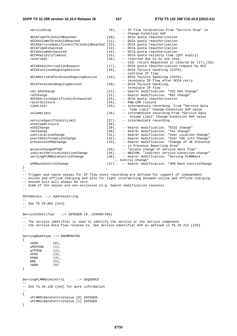### **3GPP TS 32.298 version 16.10.0 Release 16 167 ETSI TS 132 298 V16.10.0 (2022-01)**

}

|                                  | serviceStop                                                                                                                                                                                           | $(9)$ ,  |  | -- IP flow termination. From "Service Stop" in<br>-- Change-Condition AVP                     |  |
|----------------------------------|-------------------------------------------------------------------------------------------------------------------------------------------------------------------------------------------------------|----------|--|-----------------------------------------------------------------------------------------------|--|
|                                  | dCCATimeThresholdReached                                                                                                                                                                              | $(10)$ , |  | -- DCCA quota reauthorization                                                                 |  |
|                                  | dCCAVolumeThresholdReached                                                                                                                                                                            | $(11)$ , |  | -- DCCA quota reauthorization                                                                 |  |
|                                  | dCCAServiceSpecificUnitThresholdReached (12),                                                                                                                                                         |          |  | -- DCCA quota reauthorization                                                                 |  |
|                                  | dCCATimeExhausted                                                                                                                                                                                     | $(13)$ , |  | -- DCCA quota reauthorization                                                                 |  |
|                                  | dCCAVolumeExhausted                                                                                                                                                                                   | $(14)$ , |  | -- DCCA quota reauthorization                                                                 |  |
|                                  | dCCAValidityTimeout                                                                                                                                                                                   | $(15)$ , |  | -- DCCA quota validity time (QVT expiry)                                                      |  |
|                                  | reserved1                                                                                                                                                                                             | $(16)$ , |  | -- reserved due to no use case,                                                               |  |
|                                  |                                                                                                                                                                                                       |          |  | $--$ old: return Requested is covered by $(17)$ , $(18)$                                      |  |
|                                  | dCCAReauthorisationRequest                                                                                                                                                                            | $(17)$ , |  | -- DCCA quota reauthorization request by OCS                                                  |  |
|                                  | dCCAContinueOngoingSession                                                                                                                                                                            | $(18)$ , |  | -- DCCA failure handling (CCFH),                                                              |  |
|                                  |                                                                                                                                                                                                       |          |  | -- continue IP flow                                                                           |  |
|                                  | dCCARetryAndTerminateOngoingSession                                                                                                                                                                   | $(19)$ , |  | -- DCCA failure handling (CCFH),                                                              |  |
|                                  |                                                                                                                                                                                                       |          |  | -- terminate IP flow after DCCA retry                                                         |  |
|                                  | dCCATerminateOngoingSession                                                                                                                                                                           | $(20)$ , |  | -- DCCA failure handling,<br>-- terminate IP flow                                             |  |
|                                  | cGI-SAIChange                                                                                                                                                                                         | $(21)$ , |  | -- bearer modification. "CGI-SAI Change"                                                      |  |
|                                  | rAIChange                                                                                                                                                                                             | $(22)$ , |  | -- bearer modification. "RAI Change"                                                          |  |
|                                  | dCCAServiceSpecificUnitExhausted                                                                                                                                                                      | $(23)$ , |  | -- DCCA quota reauthorization                                                                 |  |
|                                  | recordClosure                                                                                                                                                                                         | $(24)$ , |  | -- PGW-CDR closure                                                                            |  |
|                                  | timeLimit                                                                                                                                                                                             | $(25)$ , |  | -- intermediate recording. From "Service Data                                                 |  |
|                                  |                                                                                                                                                                                                       |          |  | -- Time Limit" Change-Condition AVP value                                                     |  |
|                                  | volumeLimit                                                                                                                                                                                           | $(26)$ , |  | -- intermediate recording. From "Service Data                                                 |  |
|                                  |                                                                                                                                                                                                       |          |  | -- Volume Limit" Change-Condition AVP value                                                   |  |
|                                  | serviceSpecificUnitLimit                                                                                                                                                                              | $(27)$ , |  | -- intermediate recording                                                                     |  |
|                                  | envelopeClosure                                                                                                                                                                                       | $(28)$ , |  |                                                                                               |  |
|                                  | eCGIChange                                                                                                                                                                                            | $(29)$ , |  | -- bearer modification. "ECGI Change"                                                         |  |
|                                  | tAIChange                                                                                                                                                                                             | $(30)$ , |  | -- bearer modification. "TAI Change"                                                          |  |
|                                  | userLocationChange                                                                                                                                                                                    | $(31)$ , |  | -- bearer modification. "User Location Change"                                                |  |
|                                  | userCSGInformationChange                                                                                                                                                                              | $(32)$ , |  | -- bearer modification. "User CSG info Change"                                                |  |
|                                  | presenceInPRAChange                                                                                                                                                                                   | $(33)$ , |  | -- bearer modification. "Change of UE Presence                                                |  |
|                                  |                                                                                                                                                                                                       |          |  | -- in Presence Reporting Area"                                                                |  |
|                                  | accessChangeOfSDF                                                                                                                                                                                     | $(34)$ , |  | -- "access change of service data flow"                                                       |  |
|                                  | indirectServiceConditionChange                                                                                                                                                                        | $(35)$ , |  | -- NBIFOM: "indirect service condition change"                                                |  |
|                                  | servingPLMNRateControlChange                                                                                                                                                                          |          |  | (36), -- bearer modification. "Serving PLMNRate                                               |  |
|                                  |                                                                                                                                                                                                       |          |  | -- Control Change"                                                                            |  |
|                                  | aPNRateControlChange                                                                                                                                                                                  | (37)     |  | -- bearer modification. "APN Rate ControlChange                                               |  |
| $\}$                             |                                                                                                                                                                                                       |          |  |                                                                                               |  |
| $- -$                            |                                                                                                                                                                                                       |          |  |                                                                                               |  |
|                                  | -- Trigger and cause values for IP flow level recording are defined for support of independent<br>-- online and offline charging and also for tight interworking between online and offline charging. |          |  |                                                                                               |  |
|                                  | -- Unused bits will always be zero.                                                                                                                                                                   |          |  |                                                                                               |  |
|                                  | -- Some of the values are non-exclusive (e.g. bearer modification reasons).                                                                                                                           |          |  |                                                                                               |  |
| $- -$                            |                                                                                                                                                                                                       |          |  |                                                                                               |  |
|                                  |                                                                                                                                                                                                       |          |  |                                                                                               |  |
|                                  | SCFAddress ::= AddressString                                                                                                                                                                          |          |  |                                                                                               |  |
|                                  |                                                                                                                                                                                                       |          |  |                                                                                               |  |
|                                  | $--$ See TS 29.002 [214]                                                                                                                                                                              |          |  |                                                                                               |  |
| $- -$                            |                                                                                                                                                                                                       |          |  |                                                                                               |  |
|                                  |                                                                                                                                                                                                       |          |  |                                                                                               |  |
|                                  | ServiceIdentifier $::=$ INTEGER $(04294967295)$                                                                                                                                                       |          |  |                                                                                               |  |
|                                  |                                                                                                                                                                                                       |          |  |                                                                                               |  |
|                                  | -- The service identifier is used to identify the service or the service component                                                                                                                    |          |  | -- the service data flow relates to. See Service-Identifier AVP as defined in TS 29.212 [220] |  |
|                                  |                                                                                                                                                                                                       |          |  |                                                                                               |  |
|                                  | $ -$                                                                                                                                                                                                  |          |  |                                                                                               |  |
| $ServingNodeType :: = EWUMENTED$ |                                                                                                                                                                                                       |          |  |                                                                                               |  |
| $\{$                             |                                                                                                                                                                                                       |          |  |                                                                                               |  |
| sGSN                             | $(0)$ ,                                                                                                                                                                                               |          |  |                                                                                               |  |
|                                  | pMIPSGW<br>$(1)$ ,                                                                                                                                                                                    |          |  |                                                                                               |  |
| gTPSGW                           | $(2)$ ,                                                                                                                                                                                               |          |  |                                                                                               |  |
| ePDG                             | $(3)$ ,                                                                                                                                                                                               |          |  |                                                                                               |  |
| hSGW                             | $(4)$ ,                                                                                                                                                                                               |          |  |                                                                                               |  |
| mME                              | $(5)$ ,                                                                                                                                                                                               |          |  |                                                                                               |  |
| tWAN                             | (6)                                                                                                                                                                                                   |          |  |                                                                                               |  |
| }                                |                                                                                                                                                                                                       |          |  |                                                                                               |  |
|                                  |                                                                                                                                                                                                       |          |  |                                                                                               |  |
|                                  |                                                                                                                                                                                                       |          |  |                                                                                               |  |
|                                  | ServingPLMNRateControl<br>$\cdot \cdot =$ SEQUENCE                                                                                                                                                    |          |  |                                                                                               |  |
|                                  | -- See TS 29.128 [244] for more information                                                                                                                                                           |          |  |                                                                                               |  |
| $ -$                             |                                                                                                                                                                                                       |          |  |                                                                                               |  |
| $\{$                             |                                                                                                                                                                                                       |          |  |                                                                                               |  |
|                                  | sPLMNDLRateControlValue [0] INTEGER,                                                                                                                                                                  |          |  |                                                                                               |  |
|                                  | sPLMNULRateControlValue [1] INTEGER                                                                                                                                                                   |          |  |                                                                                               |  |
|                                  |                                                                                                                                                                                                       |          |  |                                                                                               |  |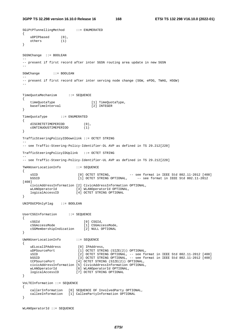SGiPtPTunnellingMethod ::= ENUMERATED

```
{ 
    uDPIPbased (0), 
    others (1) 
} 
SGSNChange ::= BOOLEAN 
-- 
-- present if first record after inter SGSN routing area update in new SGSN 
-- 
SGWChange ::= BOOLEAN 
-- 
-- present if first record after inter serving node change (SGW, ePDG, TWAG, HSGW) 
-- 
TimeQuotaMechanism ::= SEQUENCE 
{ 
    timeQuotaType [1] TimeQuotaType, 
   baseTimeInterval [2] INTEGER 
} 
TimeQuotaType ::= ENUMERATED 
{ 
   dISCRETETIMEPERIOD (0),
    cONTINUOUSTIMEPERIOD (1) 
} 
TrafficSteeringPolicyIDDownlink ::= OCTET STRING 
-- 
-- see Traffic-Steering-Policy-Identifier-DL AVP as defined in TS 29.212[220] 
TrafficSteeringPolicyIDUplink ::= OCTET STRING 
-- 
-- see Traffic-Steering-Policy-Identifier-UL AVP as defined in TS 29.212[220] 
TWANUserLocationInfo ::= SEQUENCE 
{ 
sSID                     [0] OCTET STRING,         -- see format in IEEE Std 802.11-2012 [408]
 bSSID [1] OCTET STRING OPTIONAL, -- see format in IEEE Std 802.11-2012 
[408] 
    civicAddressInformation [2] CivicAddressInformation OPTIONAL, 
    wLANOperatorId [3] WLANOperatorId OPTIONAL, 
    logicalAccessID [4] OCTET STRING OPTIONAL 
} 
UNIPDUCPOnlyFlag ::= BOOLEAN 
UserCSGInformation ::= SEQUENCE 
{ 
 cSGId [0] CSGId, 
 cSGAccessMode [1] CSGAccessMode, 
    cSGMembershipIndication [2] NULL OPTIONAL 
} 
UWANUserLocationInfo ::= SEQUENCE 
{ 
   uELocalIPAddress [0] IPAddress,<br>uDPSourcePort [1] OCTET STRI
                          [1] OCTET STRING (SIZE(2)) OPTIONAL,
 sSID [2] OCTET STRING OPTIONAL, -- see format in IEEE Std 802.11-2012 [408] 
 bSSID [3] OCTET STRING OPTIONAL, -- see format in IEEE Std 802.11-2012 [408] 
    tCPSourcePort [4] OCTET STRING (SIZE(2)) OPTIONAL, 
    civicAddressInformation [5] CivicAddressInformation OPTIONAL, 
 wLANOperatorId [6] WLANOperatorId OPTIONAL, 
 logicalAccessID [7] OCTET STRING OPTIONAL 
} 
VoLTEInformation ::= SEQUENCE 
{ 
 callerInformation [0] SEQUENCE OF InvolvedParty OPTIONAL, 
 calleeInformation [1] CalleePartyInformation OPTIONAL 
}
```

```
WLANOperatorId ::= SEQUENCE
```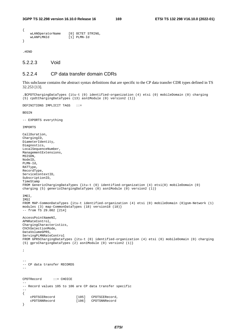```
{ 
     wLANOperatorName [0] OCTET STRING,<br>wLANPLMNId [1] PLMN-Id
                                   [1] PLMN-Id
}
```
.#END

### 5.2.2.3 Void

### 5.2.2.4 CP data transfer domain CDRs

This subclause contains the abstract syntax definitions that are specific to the CP data transfer CDR types defined in TS 32.253 [13].

```
.$CPDTChargingDataTypes {itu-t (0) identified-organization (4) etsi (0) mobileDomain (0) charging 
(5) cpdtChargingDataTypes (13) asn1Module (0) version2 (1)} 
DEFINITIONS IMPLICIT TAGS ::= 
BEGIN
-- EXPORTS everything 
IMPORTS 
CallDuration, 
ChargingID, 
DiameterIdentity, 
Diagnostics, 
LocalSequenceNumber, 
ManagementExtensions, 
MSISDN, 
NodeID, 
PLMN-Id, 
RATType, 
RecordType, 
ServiceContextID, 
SubscriptionID, 
TimeStamp 
FROM GenericChargingDataTypes {itu-t (0) identified-organization (4) etsi(0) mobileDomain (0) 
charging (5) genericChargingDataTypes (0) asn1Module (0) version2 (1)} 
IMEI, 
IMSI 
FROM MAP-CommonDataTypes {itu-t identified-organization (4) etsi (0) mobileDomain (0)gsm-Network (1) 
modules (3) map-CommonDataTypes (18) version18 (18)} 
-- from TS 29.002 [214] 
AccessPointNameNI, 
APNRateControl, 
ChargingCharacteristics, 
ChChSelectionMode, 
DataVolumeGPRS, 
ServingPLMNRateControl 
FROM GPRSChargingDataTypes {itu-t (0) identified-organization (4) etsi (0) mobileDomain (0) charging 
(5) gprsChargingDataTypes (2) asn1Module (0) version2 (1)} 
; 
-- 
-- CP data transfer RECORDS 
-- 
CPDTRecord ::= CHOICE 
-- 
-- Record values 105 to 106 are CP data transfer specific 
-- 
{ 
     cPDTSCERecord [105] CPDTSCERecord, 
     cPDTSNNRecord [106] CPDTSNNRecord 
}
```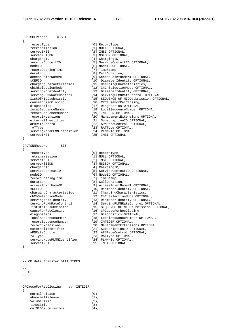CPDTSCERecord ::= SET { recordType [0] RecordType, retransmission [1] NULL OPTIONAL,<br>servedIMSI [2] IMSI OPTIONAL, servedIMSI [2] IMSI OPTIONAL,<br>servedMSISDN [3] MSISDN OPTIONA served<br>
Subsettional, chargingID [4] ChargingID, serviceContextID [5] ServiceContextID OPTIONAL, nodeID [6] NodeID OPTIONAL,<br>recordOpeningTime [7] TimeStamp, recordOpeningTime duration  $[8]$  CallDuration, accessPointNameNI [9] AccessPointNameNI OPTIONAL, sCEFID **[10]** DiameterIdentity OPTIONAL, chargingCharacteristics [11] ChargingCharacteristics, chChSelectionMode [12] ChChSelectionMode OPTIONAL, servingNodeIdentity [13] DiameterIdentity OPTIONAL, servingPLMNRateControl [14] ServingPLMNRateControl OPTIONAL, listOfNIDDsubmission [15] SEQUENCE OF NIDDsubmission OPTIONAL, causeForRecClosing [16] CPCauseForRecClosing, diagnostics and the control of the control of the diagnostics OPTIONAL, localSequenceNumber [18] LocalSequenceNumber OPTIONAL, recordSequenceNumber [19] INTEGER OPTIONAL, recordExtensions [20] ManagementExtensions OPTIONAL, externalIdentifier [21] SubscriptionID OPTIONAL, aPNRateControl [22] APNRateControl OPTIONAL, rATType  $[23]$  RATType OPTIONAL, servingNodePLMNIdentifier [24] PLMN-Id OPTIONAL, servedIMEI [25] IMEI OPTIONAL } CPDTSNNRecord ::= SET { recordType  $[0]$  RecordType, retransmission [1] NULL OPTIONAL, servedIMSI [2] IMSI OPTIONAL, servedMSISDN [3] MSISDN OPTIONAL, chargingID [4] ChargingID, serviceContextID [5] ServiceContextID OPTIONAL, nodeID [6] NodeID OPTIONAL,<br>recordOpeningTime [7] TimeStamp, recordOpeningTime duration [8] CallDuration,<br>
accessPointNameNI [9] AccessPointNameNI (9710NAL, accessPointNameNI [9] AccessPointNameNI OPTIONAL, sCEFID **[10]** DiameterIdentity OPTIONAL, chargingCharacteristics [11] ChargingCharacteristics, chChSelectionMode [12] ChChSelectionMode OPTIONAL, servingNodeIdentity [13] DiameterIdentity OPTIONAL, servingPLMNRateControl [14] ServingPLMNRateControl OPTIONAL, listOfNIDDsubmission [15] SEQUENCE OF NIDDsubmission OPTIONAL, causeForRecClosing [16] CPCauseForRecClosing, diagnostics and the control of the control of the diagnostics OPTIONAL, localSequenceNumber [18] LocalSequenceNumber OPTIONAL, recordSequenceNumber [19] INTEGER OPTIONAL, recordExtensions [20] ManagementExtensions OPTIONAL, externalIdentifier [21] SubscriptionID OPTIONAL, aPNRateControl [22] APNRateControl OPTIONAL, rATType  $[23]$  RATType OPTIONAL, servingNodePLMNIdentifier [24] PLMN-Id OPTIONAL, servedIMEI [25] IMEI OPTIONAL } -- -- CP data transfer DATA TYPES  $-$ --  $--- C$ --

CPCauseForRecClosing ::= INTEGER { normalRelease (0), abnormalRelease (1),<br>volumeLimit (2), volumeLimit (2),<br>timeLimit (3), timeLimit (3),<br>maxNIDDsubmissions (4), maxNIDDsubmissions (4),

*ETSI*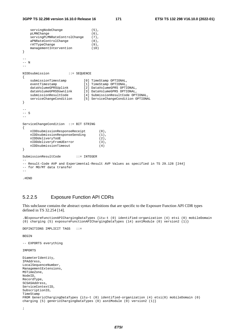```
servingNodeChange (5),
    pLMNChange (6),<br>servingPLMNRateControlChange (7),
    servingPLMNRateControlChange
    aPNRateControlChange (8),
    rATTypeChange (9),<br>manaqementIntervention (10)
     managementIntervention (10) 
} 
\mathbf{L}-- N 
-- 
NIDDsubmission ::= SEQUENCE 
{ 
    submissionTimestamp [0] TimeStamp OPTIONAL,<br>eventTimestamp [1] TimeStamp OPTIONAL,
 eventTimestamp [1] TimeStamp OPTIONAL, 
 dataVolumeGPRSUplink [2] DataVolumeGPRS OPTIONAL, 
 dataVolumeGPRSDownlink [3] DataVolumeGPRS OPTIONAL, 
 submissionResultCode [4] SubmissionResultCode OPTIONAL, 
 serviceChangeCondition [5] ServiceChangeCondition OPTIONAL 
} 
-- 
-- S 
- -ServiceChangeCondition ::= BIT STRING 
{ 
    nIDDsubmissionResponseReceipt (0),<br>nIDDsubmissionResponseSending (1),
     nIDDsubmissionResponseSending (1), 
    nIDDdeliveryToUE (2),<br>nIDDdeliveryFromUEerror (3),
    nIDDdeliveryFromUEerror (3)<br>nIDDsubmissionTimeout (4)
     nIDDsubmissionTimeout (4) 
} 
SubmissionResultCode ::= INTEGER 
-- 
-- Result-Code AVP and Experimental-Result AVP Values as specified in TS 29.128 [244] 
-- for MO/MT data transfer 
-
```
.#END

# 5.2.2.5 Exposure Function API CDRs

This subclause contains the abstract syntax definitions that are specific to the Exposure Function API CDR types defined in TS 32.254 [14].

.\$ExposureFunctionAPIChargingDataTypes {itu-t (0) identified-organization (4) etsi (0) mobileDomain (0) charging (5) exposureFunctionAPIChargingDataTypes (14) asn1Module (0) version2 (1)}

```
DEFINITIONS IMPLICIT TAGS ::=
```
**BEGIN** 

-- EXPORTS everything

IMPORTS

```
DiameterIdentity, 
IPAddress, 
LocalSequenceNumber, 
ManagementExtensions, 
MSTimeZone, 
NodeID, 
RecordType, 
SCSASAddress, 
ServiceContextID, 
SubscriptionID, 
TimeStamp 
FROM GenericChargingDataTypes {itu-t (0) identified-organization (4) etsi(0) mobileDomain (0) 
charging (5) genericChargingDataTypes (0) asn1Module (0) version2 (1)}
```

```
;
```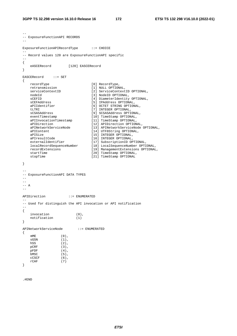```
-- 
-- ExposureFunctionAPI RECORDS 
- -ExposureFunctionAPIRecordType ::= CHOICE 
-- 
-- Record values 120 are ExposureFunctionAPI specific 
\rightarrow{ 
    eASCERecord [120] EASCERecord 
} 
EASCERecord ::= SET 
{ 
 recordType [0] RecordType, 
 retransmission [1] NULL OPTIONAL, 
 serviceContextID [2] ServiceContextID OPTIONAL, 
 nodeId [3] NodeID OPTIONAL, 
sCEFID [4] DiameterIdentity OPTIONAL,
 sCEFAddress [5] IPAddress OPTIONAL, 
 aPIIdentifier [6] OCTET STRING OPTIONAL, 
tLTRI [7] INTEGER OPTIONAL,
 sCSASAddress [9] SCSASAddress OPTIONAL, 
 eventTimestamp [10] TimeStamp OPTIONAL, 
 aPIInvocationTimestamp [11] TimeStamp OPTIONAL, 
 aPIDirection [12] APIDirection OPTIONAL, 
 aPINetworkServiceNode [13] APINetworkServiceNode OPTIONAL, 
 aPIContent [14] UTF8String OPTIONAL, 
 aPISize [15] INTEGER OPTIONAL, 
 aPIresultCode [16] INTEGER OPTIONAL, 
 externalIdentifier [17] SubscriptionID OPTIONAL, 
 localRecordSequenceNumber [18] LocalSequenceNumber OPTIONAL, 
 recordExtensions [19] ManagementExtensions OPTIONAL, 
 startTime [20] TimeStamp OPTIONAL, 
   startTime [20] TimeStamp OPTIONAL,<br>stopTime [21] TimeStamp OPTIONAL
} 
-- 
-- ExposureFunctionAPI DATA TYPES 
-- 
-- 
--- A-APIDirection ::= ENUMERATED 
-- 
-- Used for distinguish the API invocation or API notification 
-- 
{ 
 invocation (0), 
 notification (1) 
} 
APINetworkServiceNode ::= ENUMERATED 
{ 
   \mathsf{mME} \qquad \qquad (0) \; ,SGSN (1),
hSS (2),
  pCRF (3),
   pFDF (4),<br>bMSC (5),
  bMSC
  CCSCFrcace<br>cCSCF (6),<br>rCAF (7)
}
```
.#END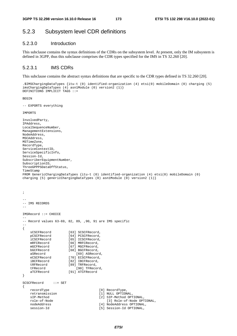# 5.2.3 Subsystem level CDR definitions

### 5.2.3.0 Introduction

This subclause contains the syntax definitions of the CDRs on the subsystem level. At present, only the IM subsystem is defined in 3GPP, thus this subclause comprises the CDR types specified for the IMS in TS 32.260 [20].

## 5.2.3.1 IMS CDRs

This subclause contains the abstract syntax definitions that are specific to the CDR types defined in TS 32.260 [20].

```
.$IMSChargingDataTypes {itu-t (0) identified-organization (4) etsi(0) mobileDomain (0) charging (5) 
imsChargingDataTypes (4) asn1Module (0) version2 (1)} 
DEFINITIONS IMPLICIT TAGS ::=
```
BEGIN

```
-- EXPORTS everything
```
IMPORTS

```
InvolvedParty, 
IPAddress, 
LocalSequenceNumber, 
ManagementExtensions, 
NodeAddress, 
MSCAddress, 
MSTimeZone, 
RecordType, 
ServiceContextID, 
ServiceSpecificInfo, 
Session-Id, 
SubscriberEquipmentNumber, 
SubscriptionID, 
ThreeGPPPSDataOffStatus, 
TimeStamp 
FROM GenericChargingDataTypes {itu-t (0) identified-organization (4) etsi(0) mobileDomain (0) 
charging (5) genericChargingDataTypes (0) asn1Module (0) version2 (1)} 
; 
-- 
-- IMS RECORDS 
-IMSRecord ::= CHOICE 
-- 
-- Record values 63-69, 82, 89, ,90, 91 are IMS specific 
-- 
{ 
   sCSCFRecord [63] SCSCFRecord,<br>pCSCFRecord [64] PCSCFRecord
                       [64] PCSCFRecord.
     iCSCFRecord [65] ICSCFRecord, 
   mRFCRecord [66] MRFCRecord,
   mGCFRecord [67] MGCFRecord,
   bGCFRecord [68] BGCFRecord,
    aSRecord [69] ASRecord<br>eCSCFRecord [70] ECSCFRecord,
    eCSCFRecord [70] ECSCFRecord,<br>iBCFRecord [82] IBCFRecord,
    iBCFRecord [82] IBCFRecord,<br>tRFRecord [89] TRFRecord,
                       [89] TRFRecord,
     tFRecord [90] TFRecord, 
     aTCFRecord [91] ATCFRecord 
} 
SCSCFRecord ::= SET 
{ 
     recordType [0] RecordType, 
    retransmission [1] NULL OPTIONAL, 
     sIP-Method [2] SIP-Method OPTIONAL, 
     role-of-Node [3] Role-of-Node OPTIONAL, 
    nodeAddress [4] NodeAddress OPTIONAL,<br>session-Id [5] Session-Id OPTIONAL,
                                        [5] Session-Id OPTIONAL,
```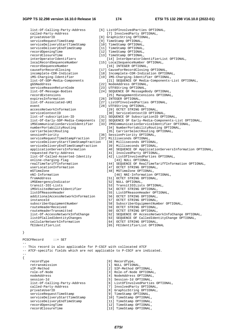privateUserID [8] GraphicString OPTIONAL,<br>serviceRequestTimeStamp [8] TimeStamp OPTIONAL, serviceRequestTimeStamp serviceDeliveryStartTimeStamp [10] TimeStamp OPTIONAL,<br>serviceDeliveryEndTimeStamp [11] TimeStamp OPTIONAL, serviceDeliveryEndTimeStamp<br>recordOpeningTime recordOpeningTime [12] TimeStamp OPTIONAL,<br>recordClosureTime [13] TimeStamp OPTIONAL, recordClosureTime [13] TimeStamp OPTIONAL,<br>interOperatorIdentifiers [13] TimeStamp OPTIONAL, recordSequenceNumber [16] INTEGER OPTIONAL, gGSNaddress [22] NodeAddress OPTIONAL, serviceReasonReturnCode [23] UTF8String OPTIONAL, expiresInformation [26] INTEGER OPTIONAL,<br>list-Of-Associated-URI [27] ListOfInvolvedPar event [28] UTF8String OPTIONAL, serviceRequestTimeStampFraction online-charging-flag [43] NULL OPTIONAL,<br>
realTimeTariffInformation [44] SEQUENCE OF RealTin iMSEmergencyIndicator transit-IOI-Lists [53] TransitIOILists OPTIONAL, iMSVisitedNetworkIdentifier [54] OCTET STRING OPTIONAL, listOfReasonHeader [55] ListOfReasonHeader OPTIONAL, additionalAccessNetworkInformation [56] OCTET STRING OPTIONAL, instanceId [57] OCTET STRING OPTIONAL, subscriberEquipmentNumber [58] SubscriberEquipmentNumber OPTIONAL, routeHeaderReceived [59] OCTET STRING OPTIONAL, routeHeaderTransmitted [60] OCTET STRING OPTIONAL, cellularNetworkInformation [64] OCTET STRING OPTIONAL,

- **3GPP TS 32.298 version 16.10.0 Release 16 174 ETSI TS 132 298 V16.10.0 (2022-01)** list-Of-Calling-Party-Address [6] ListOfInvolvedParties OPTIONAL, called-Party-Address [7] InvolvedParty OPTIONAL, [14] InterOperatorIdentifierList OPTIONAL, localRecordSequenceNumber [15] LocalSequenceNumber OPTIONAL, causeForRecordClosing [17] CauseForRecordClosing OPTIONAL, incomplete-CDR-Indication [18] Incomplete-CDR-Indication OPTIONAL, iMS-Charging-Identifier [19] IMS-Charging-Identifier OPTIONAL,<br>list-Of-SDP-Media-Components [21] SEQUENCE OF Media-Components-[21] SEQUENCE OF Media-Components-List OPTIONAL, list-Of-Message-Bodies [24] SEQUENCE OF MessageBody OPTIONAL, recordExtensions [25] ManagementExtensions OPTIONAL, [27] ListOfInvolvedParties OPTIONAL, accessNetworkInformation [29] OCTET STRING OPTIONAL, serviceContextID [30] ServiceContextID  $[30]$  ServiceContextID OPTIONAL, list-of-subscription-ID [31] SEQUENCE OF SubscriptionID OPTIONAL, list-Of-Early-SDP-Media-Components [32] SEQUENCE OF Early-Media-Components-List OPTIONAL, iMSCommunicationServiceIdentifier [33] IMSCommunicationServiceIdentifier OPTIONAL, numberPortabilityRouting [34] NumberPortabilityRouting OPTIONAL,<br>
(35) CarrierSelectRouting (25) CarrierSelectRouting OPTIONAL, [35] CarrierSelectRouting OPTIONAL, sessionPriority [36] SessionPriority OPTIONAL,<br>serviceRequestTimeStampFraction [37] Milliseconds OPTIONAL, serviceDeliveryStartTimeStampFraction [38] Milliseconds OPTIONAL, serviceDeliveryEndTimeStampFraction [39] Milliseconds OPTIONAL, applicationServersInformation [40] SEQUENCE OF ApplicationServersInformation OPTIONAL, requested-Party-Address [41] InvolvedParty OPTIONAL, list-Of-Called-Asserted-Identity [42] ListOfInvolvedParties OPTIONAL, [44] SEQUENCE OF RealTimeTariffInformation OPTIONAL, userLocationInformation [47] OCTET STRING OPTIONAL, mSTimeZone [48] MSTimeZone OPTIONAL,<br>nNI-Information [46] NNI-Information nNI-Information [46] NNI-Information OPTIONAL,<br>fromAddress [51] OCTET STRING OPTIONAL, [51] OCTET STRING OPTIONAL,<br>[52] NULL OPTIONAL,
	-
	-
	-
	-
	- -
	-
	-
	-
	-
- list-Of-AccessNetworkInfoChange [62] SEQUENCE OF AccessNetworkInfoChange OPTIONAL,
- listOfCalledIdentityChanges [63] SEQUENCE OF CalledIdentityChange OPTIONAL,
	-
- fEIdentifierList [65] FEIdentifierList OPTIONAL

#### }

{

PCSCFRecord ::= SET

-- -- This record is also applicable for P-CSCF with collocated ATCF -- ATCF-specific fields which are not applicable to P-CSCF are indicated. - recordType [0] RecordType, retransmission [1] NULL OPTIONAL,<br>sIP-Method [2] SIP-Method OPT sIP-Method [2] SIP-Method OPTIONAL,<br>role-of-Node [3] Role-of-Node OPTIONA [3] Role-of-Node OPTIONAL, nodeAddress [4] NodeAddress OPTIONAL, session-Id [5] Session-Id OPTIONAL, list-Of-Calling-Party-Address [6] ListOfInvolvedParties OPTIONAL, called-Party-Address [7] InvolvedParty OPTIONAL, privateUserID [8] GraphicString OPTIONAL, serviceRequestTimeStamp [9] TimeStamp OPTIONAL, serviceDeliveryStartTimeStamp [10] TimeStamp OPTIONAL, serviceDeliveryEndTimeStamp [11] TimeStamp OPTIONAL,<br>recordOpeningTime [12] TimeStamp OPTIONAL, recordOpeningTime [12] TimeStamp OPTIONAL,<br>recordClosureTime [13] TimeStamp OPTIONAL, [13] TimeStamp OPTIONAL,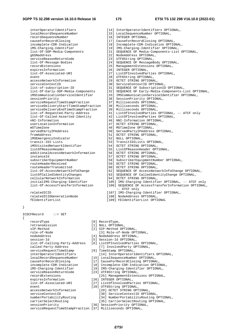[17] CauseForRecordClosing OPTIONAL,

 interOperatorIdentifiers [14] InterOperatorIdentifiers OPTIONAL, localRecordSequenceNumber [15] LocalSequenceNumber OPTIONAL, recordSequenceNumber [16] INTEGER OPTIONAL,<br>causeForRecordClosing [17] CauseForRecordClo incomplete-CDR-Indication [18] Incomplete-CDR-Indication OPTIONAL,<br>iMS-Charging-Identifier [19] IMS-Charging-Identifier OPTIONAL, iMS-Charging-Identifier [19] IMS-Charging-Identifier OPTIONAL,<br>list-Of-SDP-Media-Components [21] SEQUENCE OF Media-Components-List serviceReasonReturnCode [23] UTF8String OPTIONAL, list-Of-Message-Bodies [24] SEQUENCE OF MessageBody OPTIONAL, recordExtensions [25] ManagementExtensions OPTIONAL, expiresInformation [26] INTEGER OPTIONAL, list-Of-Associated-URI [27] ListOfInvolvedParties OPTIONAL, event [28] UTF8String OPTIONAL,<br>accessNetworkInformation [29] OCTET STRING OPTIONA serviceContextID [30] ServiceContextID OPTIONAL, list-of-subscription-ID [31] SEQUENCE OF SubscriptionID OPTIONAL, serviceRequestTimeStampFraction serviceDeliveryStartTimeStampFraction [38] Milliseconds OPTIONAL, serviceDeliveryEndTimeStampFraction [39] Milliseconds OPTIONAL, nNI-Information [46] NNI-Information OPTIONAL, userLocationInformation [47] OCTET STRING OPTIONAL, mSTimeZone [48] MSTimeZone OPTIONAL, fromAddress [51] OCTET STRING OPTIONAL,<br>iMSEmergencyIndicator [52] NULL OPTIONAL, iMSEmergencyIndicator<br>transit-IOI-Lists transit-IOI-Lists [53] TransitIOILists OPTIONAL,<br>iMSVisitedNetworkIdentifier [54] OCTET STRING OPTIONAL, iMSVisitedNetworkIdentifier [54] OCTET STRING OPTIONAL,<br>listOfReasonHeader (551 ListOfReasonHeader OPT additionalAccessNetworkInformation [56] OCTET STRING OPTIONAL, instanceId [57] OCTET STRING OPTIONAL, subscriberEquipmentNumber [58] SubscriberEquipmentNumber OPTIONAL, routeHeaderReceived [59] OCTET STRING OPTIONAL, routeHeaderTransmitted [60] OCTET STRING OPTIONAL, list-Of-AccessNetworkInfoChange [62] SEQUENCE OF AccessNetworkInfoChange OPTIONAL,<br>listOfCalledIdentityChanges [63] SEQUENCE OF CalledIdentityChange OPTIONAL, listOfCalledIdentityChanges [63] SEQUENCE OF CalledIdentityChange OPTIONAL, cellularNetworkInformation [64] OCTET STRING OPTIONAL,

 list-Of-SDP-Media-Components [21] SEQUENCE OF Media-Components-List OPTIONAL, [22] NodeAddress OPTIONAL, [29] OCTET STRING OPTIONAL, list-Of-Early-SDP-Media-Components [32] SEQUENCE OF Early-Media-Components-List OPTIONAL, iMSCommunicationServiceIdentifier [33] IMSCommunicationServiceIdentifier OPTIONAL, [36] SessionPriority OPTIONAL,<br>[37] Milliseconds OPTIONAL, list-of-Requested-Party-Address [41] ListOfInvolvedParties OPTIONAL, -- ATCF only [42] ListOfInvolvedParties OPTIONAL, [50] ServedPartyIPAddress OPTIONAL, [55] ListOfReasonHeader OPTIONAL,

- 
- 
- 
- initialIMS-Charging-Identifier [105] IMS-Charging-Identifier OPTIONAL, -- ATCF only [106] SEQUENCE OF AccessTransferInformation OPTIONAL, -- ATCF only

 relatedICID [107] IMS-Charging-Identifier OPTIONAL, relatedICIDGenerationNode [108] NodeAddress OPTIONAL, fEIdentifierList [109] FEIdentifierList OPTIONAL

}

{

ICSCFRecord ::= SET

recordType [0] RecordType,<br>retransmission [1] NULL OPTION retransmission [1] NULL OPTIONAL,<br>sIP-Method [2] SIP-Method OPT role-of-Node [3] Role-of-Node OPTIONAL, nodeAddress [4] NodeAddress OPTIONAL, session-Id [5] Session-Id OPTIONAL, list-Of-Calling-Party-Address [6] ListOfInvolvedParties OPTIONAL, called-Party-Address [7] InvolvedParty OPTIONAL, serviceRequestTimeStamp [9] TimeStamp OPTIONAL, interOperatorIdentifiers [14] InterOperatorIdentifiers OPTIONAL, localRecordSequenceNumber [15] LocalSequenceNumber OPTIONAL, causeForRecordClosing [17] CauseForRecordClosing OPTIONAL,<br>incomplete-CDR-Indication [18] Incomplete-CDR-Indication OPTIO incomplete-CDR-Indication [18] Incomplete-CDR-Indication OPTIONAL,<br>iMS-Charging-Identifier [19] IMS-Charging-Identifier OPTIONAL, iMS-Charging-Identifier [19] IMS-Charging-Identifier OPTIONAL, expiresInformation [26] INTEGER OPTIONAL, event [28] UTF8String OPTIONAL, accessNetworkInformation [29] OCTET STRING OPTIONAL, serviceContextID [30] ServiceContextID OPTIONAL, carrierSelectRouting [35] CarrierSelectRouting OPTIONAL,<br>sessionPriority [36] SessionPriority OPTIONAL,

- 
- [2] SIP-Method OPTIONAL,
	-
	-
- 
- -
	-
	-
- 
- 
- 
- [23] UTF8String OPTIONAL,
- recordExtensions [25] ManagementExtensions OPTIONAL,
	-
- list-Of-Associated-URI [27] ListOfInvolvedParties OPTIONAL,
	- - -
- numberPortabilityRouting [34] NumberPortabilityRouting OPTIONAL,
	-
	- [36] SessionPriority OPTIONAL,
- serviceRequestTimeStampFraction [37] Milliseconds OPTIONAL,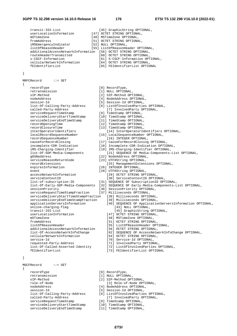#### **3GPP TS 32.298 version 16.10.0 Release 16 176 ETSI TS 132 298 V16.10.0 (2022-01)**

transit-IOI-List [45] GraphicString OPTIONAL, userLocationInformation [47] OCTET STRING OPTIONAL, mSTimeZone [48] MSTimeZone OPTIONAL, fromAddress [51] OCTET STRING OPTIONAL, iMSEmergencyIndicator [52] NULL OPTIONAL, listOfReasonHeader [55] ListOfReasonHeader OPTIONAL, additionalAccessNetworkInformation [56] OCTET STRING OPTIONAL,<br>routeHeaderTransmitted [60] OCTET STRING OPTIONAL. routed actes of the Contractors of the Contractors of the Contractors of the Contractors of the Contractors of the Contractors of the Contractors of the Contractors of the Contractors of the Contractors of the Contractors s-CSCF-Information [61] S-CSCF-Information OPTIONAL, cellularNetworkInformation [64] OCTET STRING OPTIONAL, fEIdentifierList [65] FEIdentifierList OPTIONAL MRFCRecord ::= SET recordType [0] RecordType,

retransmission  $\begin{array}{ccc} 11 & NULL & OPTIONAL, \\ \text{sIP-Method} & & & \end{array}$  sIP-Method [2] SIP-Method OPTIONAL, session-Id [5] Session-Id OPTIONAL, list-Of-Calling-Party-Address [6] ListOfInvolvedParties OPTIONAL, called-Party-Address [7] InvolvedParty OPTIONAL, serviceRequestTimeStamp [9] TimeStamp OPTIONAL, serviceDeliveryStartTimeStamp [10] TimeStamp OPTIONAL, serviceDeliveryEndTimeStamp [11] TimeStamp OPTIONAL, recordOpeningTime [12] TimeStamp OPTIONAL, recordClosureTime [13] TimeStamp OPTIONAL,<br>interOperatorIdentifiers [14] InterOperatorId localRecordSequenceNumber [15] LocalSequenceNumber OPTIONAL, recordSequenceNumber [16] INTEGER OPTIONAL,<br>causeForRecordClosing [17] CauseForRecordClosing causeForRecordClosing [17] CauseForRecordClosing OPTIONAL,<br>incomplete-CDR-Indication [18] Incomplete-CDR-Indication OPTIC iMS-Charging-Identifier [19] IMS-Charging-Identifier OPTIONAL, gGSNaddress [22] NodeAddress OPTIONAL, serviceReasonReturnCode [23] UTF8String OPTIONAL, recordExtensions [25] ManagementExtensions OPTIONAL, expiresInformation [26] INTEGER OPTIONAL, event [28] UTF8String OPTIONAL,<br>accessNetworkInformation [29] OCTET STRING OPT accessNetworkInformation [29] OCTET STRING OPTIONAL,<br>serviceContextID (30] ServiceContextID OPTIC serviceContextID<br>
1 [30] ServiceContextID OPTIONAL,<br>
1 [31] SEQUENCE OF SubscriptionID OPT list-Of-Early-SDP-Media-Components [32] SEQUENCE OF Early-Media-Components-List OPTIONAL, sessionPriority [36] SessionPriority OPTIONAL, serviceRequestTimeStampFraction [37] Milliseconds OPTIONAL, serviceDeliveryStartTimeStampFraction [38] Milliseconds OPTIONAL, serviceDeliveryEndTimeStampFraction [39] Milliseconds OPTIONAL, applicationServersInformation [40] SEQUENCE OF ApplicationServersInformation OPTIONAL, online-charging-flag [43] NULL OPTIONAL, transit-IOI-List [45] GraphicString OPTIONAL,<br>
userLocationInformation [47] OCTET STRING OPTIONAL, mSTimeZone [48] MSTimeZone OPTIONAL,<br>fromAddress [51] OCTET STRING OPTION fromAddress [51] OCTET STRING OPTIONAL, additionalAccessNetworkInformation<br>list-Of-AccessNetworkInfoChange cellularNetworkInformation [64] OCTET STRING OPTIONAL, service-Id [70] Service-Id OPTIONAL, requested-Party-Address [71] InvolvedParty OPTIONAL,

 list-Of-Called-Asserted-Identity [72] ListOfInvolvedParties OPTIONAL, fEIdentifierList [73] FEIdentifierList OPTIONAL

#### }

}

{

MGCFRecord ::= SET

{

 recordType [0] RecordType, retransmission [1] NULL OPTIONAL, sIP-Method [2] SIP-Method OPTIONAL, role-of-Node [3] Role-of-Node OPTIONAL, nodeAddress [4] NodeAddress OPTIONAL, session-Id [5] Session-Id OPTIONAL, list-Of-Calling-Party-Address [6] ListOfInvolvedParties OPTIONAL, called-Party-Address [7] InvolvedParty OPTIONAL, serviceRequestTimeStamp [9] TimeStamp OPTIONAL,<br>serviceDeliveryStartTimeStamp [10] TimeStamp OPTIONAL, serviceDeliveryStartTimeStamp [10] TimeStamp OPTIONAL,<br>serviceDeliveryEndTimeStamp [11] TimeStamp OPTIONAL, serviceDeliveryEndTimeStamp

- 
- [4] NodeAddress OPTIONAL,
- 
- 
- 
- 
- 
- 
- 
- - [14] InterOperatorIdentifiers OPTIONAL,
- 
- 
- 
- [18] Incomplete-CDR-Indication OPTIONAL,
	-
- list-Of-SDP-Media-Components [21] SEQUENCE OF Media-Components-List OPTIONAL,
	-
	-
	-
	-
	-
	-
	-
	- [31] SEQUENCE OF SubscriptionID OPTIONAL,
	-
	-
	- -
		-
		-
		- -
		- [47] OCTET STRING OPTIONAL,
		-
		-
		- listOfReasonHeader [55] ListOfReasonHeader OPTIONAL,
		-
		- [62] SEQUENCE OF AccessNetworkInfoChange OPTIONAL,
			-
		-
		-
		-
		-
	- -
		-
		-
		-
		-
		- -
		-
		-
		-
		-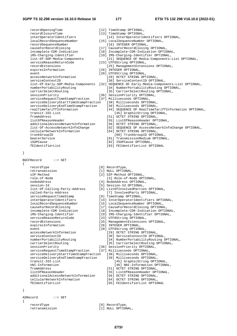| recordClosureTime                     | [13] TimeStamp OPTIONAL,              |
|---------------------------------------|---------------------------------------|
| interOperatorIdentifiers              | [14] InterOperatorIdentifiers OPT     |
| localRecordSequenceNumber             | [15] LocalSequenceNumber OPTIONAL,    |
| recordSequenceNumber                  | [16] INTEGER OPTIONAL,                |
| causeForRecordClosing                 | [17] CauseForRecordClosing OPTIONAL,  |
| incomplete-CDR-Indication             | [18] Incomplete-CDR-Indication OPTION |
| iMS-Charging-Identifier               | [19] IMS-Charging-Identifier OPTIONAL |
| list-Of-SDP-Media-Components          | [21] SEQUENCE OF Media-Components     |
| serviceReasonReturnCode               | [23] UTF8String OPTIONAL,             |
| recordExtensions                      | [25] ManagementExtensions OPTIONA     |
| expiresInformation                    | [26] INTEGER OPTIONAL,                |
| event.                                | [28] UTF8String OPTIONAL,             |
| accessNetworkInformation              | [29] OCTET STRING OPTIONAL,           |
| serviceContextID                      | [30] ServiceContextID OPTIONAL,       |
| list-Of-Early-SDP-Media-Components    | [32] SEQUENCE OF Early-Media-Componer |
| numberPortabilityRouting              | [34] NumberPortabilityRouting OPT     |
| carrierSelectRouting                  | [35] CarrierSelectRouting OPTIONA     |
| sessionPriority                       | [36] SessionPriority OPTIONAL,        |
| serviceRequestTimeStampFraction       | [37] Milliseconds OPTIONAL,           |
| serviceDeliveryStartTimeStampFraction | [38] Milliseconds OPTIONAL,           |
| serviceDeliveryEndTimeStampFraction   | [39] Milliseconds OPTIONAL,           |
| realTimeTariffInformation             | [44] SEQUENCE OF RealTimeTariffIr     |
| transit-IOI-List                      | [45] GraphicString OPTIONAL,          |
| fromAddress                           | [51] OCTET STRING OPTIONAL,           |
| listOfReasonHeader                    | [55] ListOfReasonHeader OPTIONAL,     |
| additionalAccessNetworkInformation    | [56] OCTET STRING OPTIONAL,           |
| list-Of-AccessNetworkInfoChange       | [62] SEQUENCE OF AccessNetworkInf     |
| cellularNetworkInformation            | [64] OCTET STRING OPTIONAL,           |
| trunkGroupID                          | [80] TrunkGroupID OPTIONAL,           |
| bearerService                         | [81] TransmissionMedium OPTIONAL,     |
| iSUPCause                             | [82] ISUPCause OPTIONAL.              |

- iSUPCause [82] ISUPCause OPTIONAL,<br>
fEIdentifierList 1831 FEIdentifierList OP
- }

BGCFRecord ::= SET

{

```
recordType [0] RecordType,<br>retransmission [1] NULL OPTION
   retransmission \begin{array}{ccc} 11 & NULL & OPTIONAL, \\ \text{sIP-Method} & & \end{array}sIP-Method [2] SIP-Method OPTIONAL,<br>role-of-Node [3] Role-of-Node OPT
   role-of-Node [3] Role-of-Node OPTIONAL,<br>nodeAddress [4] NodeAddress OPTIONAL,
   session-Id<br>
list-Of-Calling-Party-Address [6] ListOfInvolvedPartie<br>
[6] ListOfInvolvedPartie
    called-Party-Address [7] InvolvedParty OPTIONAL, 
   serviceRequestTimeStamp [9] TimeStamp OPTIONAL,
 interOperatorIdentifiers [14] InterOperatorIdentifiers OPTIONAL, 
 localRecordSequenceNumber [15] LocalSequenceNumber OPTIONAL, 
   causeForRecordClosing [17] CauseForRecordClosing OPTIONAL
 incomplete-CDR-Indication [18] Incomplete-CDR-Indication OPTIONAL, 
 iMS-Charging-Identifier [19] IMS-Charging-Identifier OPTIONAL, 
 serviceReasonReturnCode [23] UTF8String OPTIONAL, 
   serviceReasonReturnCode [23] UTF8String OPTIONAL,<br>
recordExtensions [25] ManagementExtensions OPTIONAL,<br>
expiresInformation [26] INTEGER OPTIONAL,
   event [28] UTF8String OPTIONAL,
    accessNetworkInformation [29] OCTET STRING OPTIONAL, 
   serviceContextID [30] ServiceContextID OPTIONAL,<br>numberPortabilityRouting [34] NumberPortabilityRouting 0<br>[34] NumberPortabilityRouting OPTIO
   carrierSelectRouting [35] CarrierSelectRouting OPTIONAL,
 sessionPriority [36] SessionPriority OPTIONAL, 
 serviceRequestTimeStampFraction [37] Milliseconds OPTIONAL, 
    serviceDeliveryStartTimeStampFraction [38] Milliseconds OPTIONAL, 
   serviceDeliveryEndTimeStampFraction<br>transit-IOT-List
   nNI-Information [46] NNI-Information OPTIONAL,<br>
fromAddress [51] OCTET STRING OPTIONAL,
    fromAddress [51] OCTET STRING OPTIONAL, 
   additionalAccessNetworkInformation
    cellularNetworkInformation [64] OCTET STRING OPTIONAL, 
    fEIdentifierList [65] FEIdentifierList OPTIONAL
```
- recordOpeningTime [12] TimeStamp OPTIONAL,
	- [13] TimeStamp OPTIONAL,
		- [14] InterOperatorIdentifiers OPTIONAL,
	- [15] LocalSequenceNumber OPTIONAL, [16] INTEGER OPTIONAL,
	- [17] CauseForRecordClosing OPTIONAL,
	- [18] Incomplete-CDR-Indication OPTIONAL,
	- ideology<br>Ins-Charging-Identifier OPTIONAL,
	- [21] SEQUENCE OF Media-Components-List OPTIONAL,
	- [23] UTF8String OPTIONAL,
	- [25] ManagementExtensions OPTIONAL,
	- [26] INTEGER OPTIONAL,
	- [28] UTF8String OPTIONAL,
		- [29] OCTET STRING OPTIONAL,
			- [30] ServiceContextID OPTIONAL,
	- [32] SEQUENCE OF Early-Media-Components-List OPTIONAL,
		- [34] NumberPortabilityRouting OPTIONAL,
		- [35] CarrierSelectRouting OPTIONAL,
	- [36] SessionPriority OPTIONAL,
	- [37] Milliseconds OPTIONAL,
	- ion [38] Milliseconds OPTIONAL,
		- [39] Milliseconds OPTIONAL,
		- [44] SEQUENCE OF RealTimeTariffInformation OPTIONAL, [45] GraphicString OPTIONAL,
		- [51] OCTET STRING OPTIONAL,
		- [55] ListOfReasonHeader OPTIONAL,
		- [56] OCTET STRING OPTIONAL,
		- [62] SEQUENCE OF AccessNetworkInfoChange OPTIONAL,
		- [64] OCTET STRING OPTIONAL,
			- [80] TrunkGroupID OPTIONAL,
			-
		-
		- fEIdentifierList [83] FEIdentifierList OPTIONAL
	- -
		- -
			-
	- [4] NodeAddress OPTIONAL,
	-
	- [6] ListOfInvolvedParties OPTIONAL,
		-
		-
		-
		-
		-
		-
		-
		-
	- [26] INTEGER OPTIONAL,
		- -
			-
			- [34] NumberPortabilityRouting OPTIONAL,
			-
		-
		- -
			- - [45] GraphicString OPTIONAL,
				-
			- [55] ListOfReasonHeader OPTIONAL,<br>[56] OCTET STRING OPTIONAL,
			-
			-
			-

}

ASRecord ::= SET

{

- 
- recordType [0] RecordType,
- retransmission [1] NULL OPTIONAL,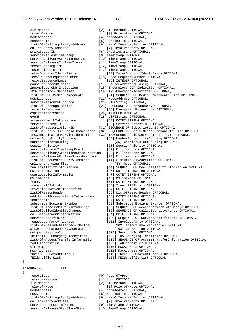sIP-Method [2] SIP-Method OPTIONAL, role-of-Node [3] Role-of-Node OPTIONAL,<br>
nodeAddress [4] NodeAddress OPTIONAL, [4] NodeAddress OPTIONAL, session-Id [5] Session-Id OPTIONAL, list-Of-Calling-Party-Address [6] ListOfInvolvedParties OPTIONAL, called-Party-Address [7] InvolvedParty OPTIONAL,<br>privateUserID [8] GraphicString OPTIONAL, privateUserID [8] GraphicString OPTIONAL,<br>serviceRequestTimeStamp [9] TimeStamp OPTIONAL, serviceDeliveryStartTimeStamp [10] TimeStamp OPTIONAL, serviceDeliveryEndTimeStamp [11] TimeStamp OPTIONAL, recordOpeningTime [12] TimeStamp OPTIONAL, recordClosureTime [13] TimeStamp OPTIONAL, gGSNaddress [22] NodeAddress OPTIONAL,<br>serviceReasonReturnCode [23] ITTERString OPTIONAL, expiresInformation [26] INTEGER OPTIONAL, event [28] UTF8String OPTIONAL,<br>accessNetworkInformation [29] OCTET STRING OPT serviceRequestTimeStampFraction serviceDeliveryStartTimeStampFraction [38] Milliseconds OPTIONAL, serviceDeliveryEndTimeStampFraction [39] Milliseconds OPTIONAL, online-charging-flag [43] NULL OPTIONAL, userLocationInformation [47] OCTET STRING OPTIONAL,<br>mSTimeZone [48] MSTimeZone OPTIONAL, mSTimeZone [48] MSTimeZone OPTIONAL,<br>
fromAddress [51] OCTET STRING OPTIONA fromAddress [51] OCTET STRING OPTIONAL, iMSVisitedNetworkIdentifier [54] OCTET STRING OPTIONAL, additionalAccessNetworkInformation [56] OCTET STRING OPTIONAL, instanceId [57] OCTET STRING OPTIONAL, cellularNetworkInformation [64] OCTET STRING OPTIONAL, alternateChargedPartyAddress outgoingSessionId [104] Session-Id OPTIONAL,<br>initialIMS-Charging-Identifier [105] IMS-Charging-Identif vlr-Number [110] MSCAddress OPTIONAL, msc-Address [111] MSCAddress OPTIONAL,<br>threeGPPPSDataOffStatus [112] ThreeGPPPSDataOffSta

}

{

ECSCFRecord ::= SET

serviceDeliveryStartTimeStamp

- service<br>
[9] TimeStamp OPTIONAL, interOperatorIdentifiers [14] InterOperatorIdentifiers OPTIONAL, localRecordSequenceNumber [15] LocalSequenceNumber OPTIONAL, [16] INTEGER OPTIONAL, causeForRecordClosing [17] CauseForRecordClosing OPTIONAL, incomplete-CDR-Indication [18] Incomplete-CDR-Indication OPTIONAL, iMS-Charging-Identifier [19] IMS-Charging-Identifier OPTIONAL,<br>list-Of-SDP-Media-Components [21] SEQUENCE OF Media-Components list-Of-SDP-Media-Components [21] SEQUENCE OF Media-Components-List OPTIONAL, [23] UTF8String OPTIONAL, list-Of-Message-Bodies [24] SEQUENCE OF MessageBody OPTIONAL, recordExtensions [25] ManagementExtensions OPTIONAL, [29] OCTET STRING OPTIONAL, serviceContextID [30] ServiceContextID OPTIONAL, list-of-subscription-ID [31] SEQUENCE OF SubscriptionID OPTIONAL, list-Of-Early-SDP-Media-Components [32] SEQUENCE OF Early-Media-Components-List OPTIONAL, iMSCommunicationServiceIdentifier [33] IMSCommunicationServiceIdentifier OPTIONAL, numberPortabilityRouting [34] NumberPortabilityRouting OPTIONAL,<br>carrierSelectRouting [35] CarrierSelectRouting OPTIONAL, carrierSelectRouting [35] CarrierSelectRouting OPTIONAL,<br>sessionPriority [36] SessionPriority OPTIONAL, [36] SessionPriority OPTIONAL,<br>[37] Milliseconds OPTIONAL, list-of-Requested-Party-Address [41] ListOfInvolvedParties OPTIONAL, realTimeTariffInformation [44] SEQUENCE OF RealTimeTariffInformation OPTIONAL, nNI-Information [46] NNI-Information OPTIONAL,<br>userLocationInformation [47] OCTET STRING OPTIONAL, [53] TransitIOILists OPTIONAL, listOfReasonHeader [55] ListOfReasonHeader OPTIONAL, subscriberEquipmentNumber [58] SubscriberEquipmentNumber OPTIONAL, list-Of-AccessNetworkInfoChange [62] SEQUENCE OF AccessNetworkInfoChange OPTIONAL, [63] SEQUENCE OF CalledIdentityChange OPTIONAL, serviceSpecificInfo [100] SEQUENCE OF ServiceSpecificInfo OPTIONAL,<br>requested-Party-Address [101] InvolvedParty OPTIONAL, requested-Party-Address [101] InvolvedParty OPTIONAL, [102] ListOfInvolvedParties OPTIONAL,<br>[103] UTF8String OPTIONAL, [105] IMS-Charging-Identifier OPTIONAL, list-Of-AccessTransferInformation [106] SEQUENCE OF AccessTransferInformation OPTIONAL, [109] TADIdentifier OPTIONAL, threeGPPPSDataOffStatus [112] ThreeGPPPSDataOffStatus OPTIONAL,<br>fEIdentifierList [113] FEIdentifierList OPTIONAL [113] FEIdentifierList OPTIONAL recordType [0] RecordType, retransmission [1] NULL OPTIONAL, sIP-Method [2] SIP-Method OPTIONAL,
- role-of-Node [3] Role-of-Node OPTIONAL,
- nodeAddress [4] NodeAddress OPTIONAL,
- session-Id
able session-Id
session-Id
session-Id
session-Id
session-Id
session-Id
session-Id
session-Id
session-Id
session-Id
session-Id
session-Id
session-Id
session-Id
session-Id
session-Id
session-Id
session-Id
session-
- list-Of-Calling-Party-Address [6] ListOfInvolvedParties OPTIONAL,
- called-Party-Address [7] InvolvedParty OPTIONAL,<br>serviceRequestTimeStamp [9] TimeStamp OPTIONAL,
- serviceRequestTimeStamp [9] TimeStamp OPTIONAL,<br>serviceDeliveryStartTimeStamp [10] TimeStamp OPTIONAL,
	- - *ETSI*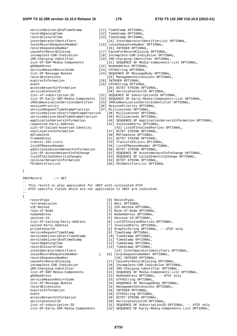}

serviceDeliveryEndTimeStamp [11] TimeStamp OPTIONAL, recordOpeningTime [12] TimeStamp OPTIONAL, recordClosureTime [13] TimeStamp OPTIONAL,<br>interOperatorIdentifiers [13] TimeStamp OPTIONAL, [14] InterOperatorIdentifierList OPTIONAL, localRecordSequenceNumber [15] LocalSequenceNumber OPTIONAL, recordSequenceNumber [16] INTEGER OPTIONAL,<br>causeForRecordClosing [17] CauseForRecordClosing causeForRecordClosing [17] CauseForRecordClosing OPTIONAL, incomplete-CDR-Indication [18] Incomplete-CDR-Indication OPTIONAL, iMS-Charging-Identifier [19] IMS-Charging-Identifier OPTIONAL,<br>list-Of-SDP-Media-Components [21] SEQUENCE OF Media-Components-[21] SEQUENCE OF Media-Components-List OPTIONAL, gGSNaddress [22] NodeAddress OPTIONAL,<br>serviceReasonReturnCode [23] UTF8String OPTIONAL, [23] UTF8String OPTIONAL, list-Of-Message-Bodies [24] SEQUENCE OF MessageBody OPTIONAL, recordExtensions [25] ManagementExtensions OPTIONAL, [26] INTEGER OPTIONAL, event [28] UTF8String OPTIONAL, accessNetworkInformation [29] OCTET STRING OPTIONAL, serviceContextID [30] ServiceContextID OPTIONAL, list-of-subscription-ID [31] SEQUENCE OF SubscriptionID OPTIONAL, list-Of-Early-SDP-Media-Components [32] SEQUENCE OF Early-Media-Components-List OPTIONAL, iMSCommunicationServiceIdentifier [33] IMSCommunicationServiceIdentifier OPTIONAL, sessionPriority [36] SessionPriority OPTIONAL, serviceRequestTimeStampFraction [37] Milliseconds OPTIONAL, serviceDeliveryStartTimeStampFraction [38] Milliseconds OPTIONAL, serviceDeliveryEndTimeStampFraction [39] Milliseconds OPTIONAL, applicationServersInformation [40] SEQUENCE OF ApplicationServersInformation OPTIONAL, requested-Party-Address [41] InvolvedParty OPTIONAL, list-Of-Called-Asserted-Identity [42] ListOfInvolvedParties OPTIONAL, [47] OCTET STRING OPTIONAL, mSTimeZone [48] MSTimeZone OPTIONAL, fromAddress [51] OCTET STRING OPTIONAL,<br>transit-IOI-Lists [53] TransitIOILists OPTION transit-IOI-Lists [53] TransitIOILists OPTIONAL,<br>1istOfReasonHeader [55] ListOfReasonHeader OPTION [55] ListOfReasonHeader OPTIONAL,<br>[56] OCTET STRING OPTIONAL, additionalAccessNetworkInformation<br>list-Of-AccessNetworkInfoChange list-Of-AccessNetworkInfoChange [62] SEQUENCE OF AccessNetworkInfoChange OPTIONAL, [63] SEQUENCE OF CalledIdentityChange OPTIONAL, cellularNetworkInformation [64] OCTET STRING OPTIONAL,<br>
fEIdentifierList (65) FEIdentifierList OPTIO fEIdentifierList [65] FEIdentifierList OPTIONAL IBCFRecord ::= SET -- -- This record is also applicable for IBCF with collocated ATCF -- ATCF-specific fields which are not applicable to IBCF are indicated. -- { recordType [0] RecordType, retransmission [1] NULL OPTIONAL, sIP-Method [2] SIP-Method OPTIONAL, role-of-Node [3] Role-of-Node OPTIONAL, nodeAddress [4] NodeAddress OPTIONAL, session-Id<br>list-Of-Calling-Party-Address [5] Session-Id OPTIONAL,<br>[6] ListOfInvolvedPartie [6] ListOfInvolvedParties OPTIONAL,<br>[7] InvolvedParty OPTIONAL, called-Party-Address<br>privateUserID [8] GraphicString OPTIONAL, -- ATCF only serviceRequestTimeStamp [9] TimeStamp OPTIONAL, serviceDeliveryStartTimeStamp [10] TimeStamp OPTIONAL, serviceDeliveryEndTimeStamp [11] TimeStamp OPTIONAL, recordOpeningTime [12] TimeStamp OPTIONAL, recordClosureTime [13] TimeStamp OPTIONAL, interOperatorIdentifiers [14] InterOperatorIdentifiers OPTIONAL, localRecordSequenceNumber [ 15] LocalSequenceNumber OPTIONAL, [16] INTEGER OPTIONAL, causeForRecordClosing [17] CauseForRecordClosing OPTIONAL, incomplete-CDR-Indication [18] Incomplete-CDR-Indication OPTIONAL,<br>iMS-Charging-Identifier [19] IMS-Charging-Identifier OPTIONAL, iMS-Charging-Identifier [19] IMS-Charging-Identifier OPTIONAL,<br>list-Of-SDP-Media-Components [21] SEQUENCE OF Media-Components-List [21] SEQUENCE OF Media-Components-List OPTIONAL, gGSNaddress [22] NodeAddress OPTIONAL, -- ATCF only serviceReasonReturnCode [23] UTF8String OPTIONAL, list-Of-Message-Bodies [24] SEQUENCE OF MessageBody OPTIONAL, recordExtensions [25] ManagementExtensions OPTIONAL, expiresInformation and the settlement of  $[26]$  INTEGER OPTIONAL, event [28] UTF8String OPTIONAL, accessNetworkInformation [29] OCTET STRING OPTIONAL, serviceContextID<br>
1ist-of-subscription-ID<br>
[31] SEQUENCE OF SubscriptionID<br>
[31] SEQUENCE OF SubscriptionID list-of-subscription-ID [31] SEQUENCE OF SubscriptionID OPTIONAL, -- ATCF only<br>list-Of-Early-SDP-Media-Components [32] SEQUENCE OF Early-Media-Components-List OPTIONAL, [32] SEQUENCE OF Early-Media-Components-List OPTIONAL,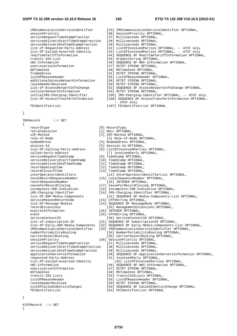#### **3GPP TS 32.298 version 16.10.0 Release 16 180 ETSI TS 132 298 V16.10.0 (2022-01)**

sessionPriority [36] SessionPriority OPTIONAL,<br>serviceRequestTimeStampFraction [37] Milliseconds OPTIONAL, serviceRequestTimeStampFraction [37] Milliseconds OPTIONAL, serviceDeliveryStartTimeStampFraction serviceDeliveryEndTimeStampFraction [39] Milliseconds OPTIONAL,<br>list-of-Requested-Party-Address [41] ListOfInvolvedParties list-of-Requested-Party-Address [41] ListOfInvolvedParties OPTIONAL, -- ATCF only list-Of-Called-Asserted-Identity [42] ListOfInvolvedParties OPTIONAL, -- ATCF only realTimeTariffInformation [44] SEQUENCE OF RealTimeTariffInformation OPTIONAL,<br>
[45] GraphicString OPTIONAL, nNI-Information [46] SEQUENCE OF NNI-Information OPTIONAL, userLocationInformation [47] OCTET STRING OPTIONAL, mSTimeZone [48] MSTimeZone OPTIONAL, fromAddress [51] OCTET STRING OPTIONAL, listOfReasonHeader [55] ListOfReasonHeader OPTIONAL, additionalAccessNetworkInformation<br>routeHeaderReceived routeHeaderReceived [59] OCTET STRING OPTIONAL,<br>list-Of-AccessNetworkInfoChange [62] SEQUENCE OF AccessNetw cellularNetworkInformation [64] OCTET STRING OPTIONAL,<br>initialIMS-Charging-Identifier [105] IMS-Charging-Identifi initialIMS-Charging-Identifier [105] IMS-Charging-Identifier OPTIONAL, -- ATCF only<br>list-Of-AccessTransferInformation [106] SEQUENCE OF AccessTransferInformation OPTIONAL

}

TRFRecord ::= SET

{

 recordType [0] RecordType, retransmission [1] NULL OPTIONAL,<br>sIP-Method [2] SIP-Method OPT sIP-Method [2] SIP-Method OPTIONAL,<br>role-of-Node [3] Role-of-Node OPT role-of-Node [3] Role-of-Node OPTIONAL,<br>
nodeAddress [4] NodeAddress OPTIONAL, nodeAddress [4] NodeAddress OPTIONAL,<br>session-Id [5] Session-Id OPTIONAL, session-Id<br>
list-Of-Calling-Party-Address [5] Session-Id OPTIONAL,<br>
[6] ListOfInvolvedPartie called-Party-Address [7] InvolvedParty OPTIONAL, serviceRequestTimeStamp [9] TimeStamp OPTIONAL, serviceDeliveryStartTimeStamp [10] TimeStamp OPTIONAL, serviceDeliveryEndTimeStamp [11] TimeStamp OPTIONAL, recordOpeningTime [12] TimeStamp OPTIONAL, recordClosureTime [13] TimeStamp OPTIONAL,<br>interOperatorIdentifiers [14] InterOperatorId interOperatorIdentifiers [14] InterOperatorIdentifierList OPTIONAL,<br>
localRecordSequenceNumber [15] LocalSequenceNumber OPTIONAL, localRecordSequenceNumber [15] LocalSequenceNumber OPTIONAL, causeForRecordClosing [17] CauseForRecordClosing OPTIONAL, incomplete-CDR-Indication [18] Incomplete-CDR-Indication OPTIONAL, iMS-Charging-Identifier [19] IMS-Charging-Identifier OPTIONAL,<br>list-Of-SDP-Media-Components [21] SEQUENCE OF Media-ComponentsserviceReasonReturnCode [23] UTF8String OPTIONAL, list-Of-Message-Bodies [24] SEQUENCE OF MessageBody OPTIONAL, recordExtensions [25] ManagementExtensions OPTIONAL, expiresInformation [26] INTEGER OPTIONAL, event [28] UTF8String OPTIONAL, serviceContextID [30] ServiceContextID OPTIONAL,<br>list-of-subscription-ID [31] SEQUENCE OF SubscriptionID OPT list-Of-Early-SDP-Media-Components [32] SEQUENCE OF Early-Media-Components-List OPTIONAL, numberPortabilityRouting [34] NumberPortabilityRouting OPTIONAL, carrierSelectRouting [35] CarrierSelectRouting OPTIONAL, sessionPriority [36] SessionPriority OPTIONAL, serviceRequestTimeStampFraction [37] Milliseconds OPTIONAL, serviceDeliveryStartTimeStampFraction [38] Milliseconds OPTIONAL, serviceDeliveryEndTimeStampFraction [39] Milliseconds OPTIONAL, applicationServersInformation [40] SEQUENCE OF ApplicationServersInformation OPTIONAL,<br>requested-Party-Address [41] InvolvedParty OPTIONAL, requested-Party-Address [41] InvolvedParty OPTIONAL, list-Of-Called-Asserted-Identity [42] ListOfInvolvedParties OPTIONAL,<br>nNI-Information [46] SEQUENCE OF NNI-Information OPTIONA nNI-Information [46] SEQUENCE OF NNI-Information OPTIONAL,<br>userLocationInformation [47] OCTET STRING OPTIONAL, userLocationInformation [47] OCTET STRING OPTIONAL,<br>mSTimeZone [48] MSTimeZone OPTIONAL, mSTimeZone [48] MSTimeZone OPTIONAL, listOfReasonHeader [55] ListOfReasonHeader OPTIONAL, routeHeaderReceived [59] OCTET STRING OPTIONAL, listOfCalledIdentityChanges [63] SEQUENCE OF CalledIdentityChange OPTIONAL, fEIdentifierList [64] FEIdentifierList OPTIONAL

- iMSCommunicationServiceIdentifier [33] IMSCommunicationServiceIdentifier OPTIONAL,
	-
	-
	-
	-
	-
	-
	-
	- [45] GraphicString OPTIONAL,
	-
	-
	-
	-
	-
	-
	-
	- [62] SEQUENCE OF AccessNetworkInfoChange OPTIONAL,
	-
	- - [106] SEQUENCE OF AccessTransferInformation OPTIONAL, -- ATCF only
- fEIdentifierList [107] FEIdentifierList OPTIONAL
	-
	-
	-
	-
	-
	-
	- [6] ListOfInvolvedParties OPTIONAL,
	-
	-
	-
	-
	-
	-
	-
	-
	- [16] INTEGER OPTIONAL,
	-
	-
	-
	- [21] SEQUENCE OF Media-Components-List OPTIONAL,
	-
	-
	-
	-
	-
	-
	- [31] SEQUENCE OF SubscriptionID OPTIONAL,
	-
	- [33] IMSCommunicationServiceIdentifier OPTIONAL,
		-
		-
		-
		-
		-
		-
		-
		- -
			-
		-
		-
		- [53] TransitIOILists OPTIONAL,
		-
		-
		-
		-
		-

- }
- ATCFRecord ::= SET
- {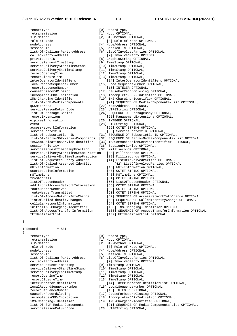recordType  $[0]$  RecordType, retransmission [1] NULL OPTIONAL,<br>sIP-Method [2] SIP-Method OPT sIP-Method [2] SIP-Method OPTIONAL,<br>role-of-Node [2] SIP-Method OPTIONAL, nodeAddress [4] NodeAddress OPTIONAL, session-Id<br>
list-Of-Calling-Party-Address [5] Session-Id OPTIONAL,<br>
[6] ListOfInvolvedPartie list-Of-Calling-Party-Address [6] ListOfInvolvedParties OPTIONAL, privateUserID [8] GraphicString OPTIONAL, serviceRequestTimeStamp [9] TimeStamp OPTIONAL, serviceDeliveryStartTimeStamp [10] TimeStamp OPTIONAL, serviceDeliveryEndTimeStamp  $\begin{minipage}[c]{0.9\linewidth} \begin{tabular}{l} \multicolumn{2}{l}{{\small\texttt{server}}}\texttt{EndTimeStamp} & \multicolumn{2}{l}{[11]}\end{tabular} & \multicolumn{2}{l}{\small\texttt{TimeStamp} } {\small\texttt{OPTIONAL}},\\ \multicolumn{2}{l}{\small\texttt{recordOpeningTime}} & \multicolumn{2}{l}{[12]}\end{tabular} & \multicolumn{2}{l}{\small\texttt{TimeStamp} } {\small\texttt{OPTIONAL}}, \end{minipage} \end{minipage}$ recordClosureTime [13] TimeStamp OPTIONAL,<br>interOperatorIdentifiers [14] InterOperatorId localRecordSequenceNumber [15] LocalSequenceNumber OPTIONAL, recordSequenceNumber [16] INTEGER OPTIONAL, causeForRecordClosing [17] CauseForRecordClosing OPTIONAL,<br>incomplete-CDR-Indication [18] Incomplete-CDR-Indication OPTIC incomplete-CDR-Indication [18] Incomplete-CDR-Indication OPTIONAL,<br>iMS-Charging-Identifier [19] IMS-Charging-Identifier OPTIONAL, iMS-Charging-Identifier [19] IMS-Charging-Identifier OPTIONAL,<br>list-Of-SDP-Media-Components [21] SEQUENCE OF Media-Components gGSNaddress [22] NodeAddress OPTIONAL, serviceReasonReturnCode [23] UTF8String OPTIONAL, list-Of-Message-Bodies [24] SEQUENCE OF MessageBody OPTIONAL, recordExtensions [25] ManagementExtensions OPTIONAL, expiresInformation [26] INTEGER OPTIONAL, event [28] UTF8String OPTIONAL, accessNetworkInformation [29] OCTET STRING OPTIONAL,<br>serviceContextID (30) ServiceContextID OPTIC list-of-subscription-ID [31] SEQUENCE OF SubscriptionID OPTIONAL, list-Of-Early-SDP-Media-Components [32] SEQUENCE OF Early-Media-Components-List OPTIONAL, iMSCommunicationServiceIdentifier [33] IMSCommunicationServiceIdentifier OPTIONAL, serviceRequestTimeStampFraction serviceDeliveryStartTimeStampFraction [38] Milliseconds OPTIONAL, serviceDeliveryEndTimeStampFraction [39] Milliseconds OPTIONAL, list-of-Requested-Party-Address [41] ListOfInvolvedParties OPTIONAL, nNI-Information [46] NNI-Information OPTIONAL, userLocationInformation [47] OCTET STRING OPTIONAL,<br>mSTimeZone [48] MSTimeZone OPTIONAL, mSTimeZone [48] MSTimeZone OPTIONAL,<br>
fromAddress [51] OCTET STRING OPTIONA fromAddress [51] OCTET STRING OPTIONAL, additionalAccessNetworkInformation routeHeaderReceived [59] OCTET STRING OPTIONAL, routeHeaderTransmitted [60] OCTET STRING OPTIONAL,<br>list-Of-AccessNetworkInfoChange [62] SEQUENCE OF AccessNetw listOfCalledIdentityChanges [63] SEQUENCE OF CalledIdentityChange OPTIONAL, cellularNetworkInformation [64] OCTET STRING OPTIONAL, initialIMS-Charging-Identifier [105] IMS-Charging-Identifier OPTIONAL,

}

TFRecord ::= SET

{

recordType  $[0]$  RecordType, retransmission [1] NULL OPTIONAL, sIP-Method [2] SIP-Method OPTIONAL, role-of-Node [3] Role-of-Node OPTIONAL, nodeAddress [4] NodeAddress OPTIONAL, session-Id<br>
list-Of-Calling-Party-Address [5] Session-Id OPTIONAL,<br>
[6] ListOfInvolvedPartie called-Party-Address [7] InvolvedParty OPTIONAL, serviceRequestTimeStamp [9] TimeStamp OPTIONAL,<br>serviceDeliveryStartTimeStamp [10] TimeStamp OPTIONAL, serviceDeliveryStartTimeStamp [10] TimeStamp OPTIONAL,<br>serviceDeliveryEndTimeStamp [11] TimeStamp OPTIONAL, serviceDeliveryEndTimeStamp recordOpeningTime [12] TimeStamp OPTIONAL, recordClosureTime [13] TimeStamp OPTIONAL, localRecordSequenceNumber [15] LocalSequenceNumber OPTIONAL, recordSequenceNumber [16] INTEGER OPTIONAL, causeForRecordClosing [17] CauseForRecordClosing OPTIONAL, incomplete-CDR-Indication [18] Incomplete-CDR-Indication OPTIONAL,<br>iMS-Charging-Identifier [19] IMS-Charging-Identifier OPTIONAL, iMS-Charging-Identifier [19] IMS-Charging-Identifier OPTIONAL,<br>list-Of-SDP-Media-Components [21] SEOUENCE OF Media-ComponentsserviceReasonReturnCode [23] UTF8String OPTIONAL,

- 
- 
- [3] Role-of-Node OPTIONAL,
- 
- 
- 
- [7] InvolvedParty OPTIONAL,
- 
- 
- 
- 
- 
- 
- 
- [14] InterOperatorIdentifiers OPTIONAL,
- 
- 
- 
- 
- [21] SEQUENCE OF Media-Components-List OPTIONAL,
- 
- 
- -
	-
- 
- -
	- [30] ServiceContextID OPTIONAL,
- 
- -
- [36] SessionPriority OPTIONAL,<br>[37] Milliseconds OPTIONAL,
	- -
		-
		-
- list-Of-Called-Asserted-Identity [42] ListOfInvolvedParties OPTIONAL,
	-
	-
	-
	-
	- [55] ListOfReasonHeader OPTIONAL,<br>[56] OCTET STRING OPTIONAL,
	-
	-
	-
	- list-Of-AccessNetworkInfoChange [62] SEQUENCE OF AccessNetworkInfoChange OPTIONAL,
	-
	-
	-
	-
- list-Of-AccessTransferInformation [106] SEQUENCE OF AccessTransferInformation OPTIONAL,
	- fEIdentifierList [107] FEIdentifierList OPTIONAL
	-
	-
	- -
	-
	-
	- [6] ListOfInvolvedParties OPTIONAL,
		-
	-
	-
	-
	-
	-
- interOperatorIdentifiers [14] InterOperatorIdentifierList OPTIONAL,
	-
	-
	-
	- -
		- [21] SEQUENCE OF Media-Components-List OPTIONAL,
	- - *ETSI*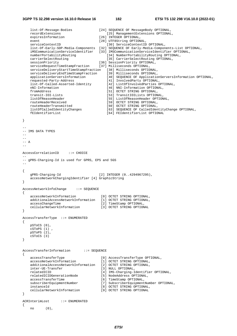}

{

}

}

}

}

{

```
 list-Of-Message-Bodies [24] SEQUENCE OF MessageBody OPTIONAL, 
     recordExtensions [25] ManagementExtensions OPTIONAL, 
    expiresInformation [26] INTEGER OPTIONAL,
    event [28] UTF8String OPTIONAL,
    serviceContextID [30] ServiceContextID OPTIONAL,
     list-Of-Early-SDP-Media-Components [32] SEQUENCE OF Early-Media-Components-List OPTIONAL, 
     iMSCommunicationServiceIdentifier [33] IMSCommunicationServiceIdentifier OPTIONAL, 
                                                 [34] NumberPortabilityRouting OPTIONAL,
     carrierSelectRouting [35] CarrierSelectRouting OPTIONAL, 
 sessionPriority [36] SessionPriority OPTIONAL, 
 serviceRequestTimeStampFraction [37] Milliseconds OPTIONAL, 
 serviceDeliveryStartTimeStampFraction [38] Milliseconds OPTIONAL, 
 serviceDeliveryEndTimeStampFraction [39] Milliseconds OPTIONAL, 
    applicationServersInformation [40] SEQUENCE OF ApplicationServersInformation OPTIONAL,<br>requested-Party-Address [41] InvolvedParty OPTIONAL,
    requested-Party-Address [41] InvolvedParty OPTIONAL,<br>list-Of-Called-Asserted-Identity [42] ListOfInvolvedParties 0
     list-Of-Called-Asserted-Identity [42] ListOfInvolvedParties OPTIONAL, 
                                                 [46] NNI-Information OPTIONAL,
     fromAddress [51] OCTET STRING OPTIONAL, 
    transit-IOI-Lists [53] TransitIOILists OPTIONAL,<br>listOfReasonHeader [55] ListOfReasonHeader OPTION
     listOfReasonHeader [55] ListOfReasonHeader OPTIONAL, 
    \begin{array}{lll} {\tt routeHeaderReceived} & \hspace{1.3cm} & \hspace{1.3cm} & \hspace{1.3cm} & \hspace{1.3cm} & \hspace{1.3cm} & \hspace{1.3cm} & \hspace{1.3cm} & \hspace{1.3cm} & \hspace{1.3cm} & \hspace{1.3cm} & \hspace{1.3cm} & \hspace{1.3cm} & \hspace{1.3cm} & \hspace{1.3cm} & \hspace{1.3cm} & \hspace{1.3cm} & \hspace{1.3cm} & \hspace{1.3cm} & \hspace{1.3cm} & \hspace{1.3cm} & \hspace{1.[60] OCTET STRING OPTIONAL,
     listOfCalledIdentityChanges [63] SEQUENCE OF CalledIdentityChange OPTIONAL, 
     fEIdentifierList [64] FEIdentifierList OPTIONAL 
-- 
-- IMS DATA TYPES 
-- 
-- 
-- A 
-- 
AccessCorrelationID ::= CHOICE 
-- 
-- gPRS-Charging-Id is used for GPRS, EPS and 5GS 
-- 
     gPRS-Charging-Id [2] INTEGER (0..4294967295), 
     accessNetworkChargingIdentifier [4] GraphicString 
AccessNetworkInfoChange ::= SEQUENCE 
{ 
     accessNetworkInformation [0] OCTET STRING OPTIONAL, 
     additionalAccessNetworkInformation [1] OCTET STRING OPTIONAL, 
    accessChangeTime [2] TimeStamp OPTIONAL,<br>cellularNetworkInformation [3] OCTET STRING OPTIONAL
    cellularNetworkInformation
AccessTransferType ::= ENUMERATED 
{ 
     pSToCS (0), 
     cSToPS (1) , 
     pSToPS (2), 
     cSToCS (3) 
AccessTransferInformation ::= SEQUENCE 
{ 
    accessTransferType [0] AccessTransferType OPTIONAL,<br>accessNetworkInformation [1] OCTET STRING OPTIONAL,
                                              [1] OCTET STRING OPTIONAL,
    additionalAccessNetworkInformation [2] OCTET STRING OPTIONAL,<br>inter-UE-Transfer [3] NULL OPTIONAL,
    inter-UE-Transfer<br>relatedICID
                                             [4] IMS-Charging-Identifier OPTIONAL,<br>[5] NodeAddress OPTIONAL,
    relatedICIDGenerationNode
    accessTransferTime [6] TimeStamp OPTIONAL,<br>subscriberEquipmentNumber [7] SubscriberEquipment
                                             [7] SubscriberEquipmentNumber OPTIONAL,
     instanceId [8] OCTET STRING OPTIONAL, 
     cellularNetworkInformation [9] OCTET STRING OPTIONAL 
ACRInterimLost ::= ENUMERATED 
     no (0),
```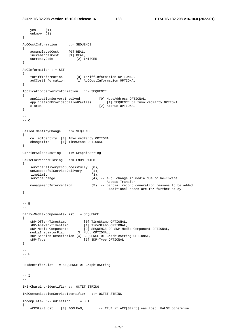```
 yes (1), 
    unknown (2) 
} 
AoCCostInformation ::= SEQUENCE 
{ 
 accumulatedCost [0] REAL, 
 incrementalCost [1] REAL, 
    currencyCode [2] INTEGER 
} 
AoCInformation ::= SET 
{ 
 tariffInformation [0] TariffInformation OPTIONAL, 
 aoCCostInformation [1] AoCCostInformation OPTIONAL 
} 
ApplicationServersInformation ::= SEQUENCE 
{ 
   applicationServersInvolved [0] NodeAddress OPTIONAL,<br>applicationProvidedCalledParties [1] SEQUENCE OF Invol
                                        application Provided Called Party OPTIONAL,
   sTatus [2] Status OPTIONAL
} 
-- 
--- C-- 
CalledIdentityChange ::= SEQUENCE 
{ 
    calledIdentity [0] InvolvedParty OPTIONAL, 
    changeTime [1] TimeStamp OPTIONAL 
} 
CarrierSelectRouting ::= GraphicString 
CauseForRecordClosing ::= ENUMERATED 
{ 
    serviceDeliveryEndSuccessfully (0), 
   unSuccessfulServiceDelivery (1),<br>timeLimit (3),
   timeLimit<br>serviceChange
                                    (4), -- e.g. change in media due to Re-Invite,
    -- Access Transfer 
                                  models righter<br>(5) -- partial record generation reasons to be added
                                          -- Additional codes are for further study 
} 
-- 
-- E 
-- 
Early-Media-Components-List ::= SEQUENCE 
{ 
 sDP-Offer-Timestamp [0] TimeStamp OPTIONAL, 
 sDP-Answer-Timestamp [1] TimeStamp OPTIONAL, 
                               space of SDP-Media-Component OPTIONAL,
   media-components<br>mediaInitiatorFlag [3] NULL OPTIONAL,
    sDP-Session-Description [4] SEQUENCE OF GraphicString OPTIONAL, 
   sDP-Type \begin{bmatrix} 5 \end{bmatrix} SDP-Type OPTIONAL
} 
-- 
-- F 
-- 
FEIdentifierList ::= SEQUENCE OF GraphicString 
-- 
--- T
-- 
IMS-Charging-Identifier ::= OCTET STRING 
IMSCommunicationServiceIdentifier ::= OCTET STRING 
Incomplete-CDR-Indication ::= SET 
{ 
   aCRStartLost [0] BOOLEAN, -- TRUE if ACR[Start] was lost, FALSE otherwise
```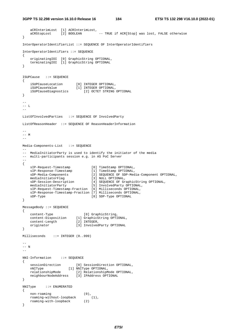```
 aCRInterimLost [1] ACRInterimLost, 
   aCRStopLost [2] BOOLEAN -- TRUE if ACR[Stop] was lost, FALSE otherwise
} 
InterOperatorIdentifierList ::= SEQUENCE OF InterOperatorIdentifiers 
InterOperatorIdentifiers ::= SEQUENCE 
{ 
 originatingIOI [0] GraphicString OPTIONAL, 
 terminatingIOI [1] GraphicString OPTIONAL 
} 
ISUPCause ::= SEQUENCE 
{ 
 iSUPCauseLocation [0] INTEGER OPTIONAL, 
 iSUPCauseValue [1] INTEGER OPTIONAL, 
 iSUPCauseDiagnostics [2] OCTET STRING OPTIONAL 
} 
-- 
-- L 
-- 
ListOfInvolvedParties ::= SEQUENCE OF InvolvedParty 
ListOfReasonHeader ::= SEQUENCE OF ReasonHeaderInformation 
-- 
--- M-- 
Media-Components-List ::= SEQUENCE 
--- MediaInitiatorParty is used to identify the initiator of the media 
-- multi-participants session e.g. in AS PoC Server 
-- 
{ 
 sIP-Request-Timestamp [0] TimeStamp OPTIONAL, 
 sIP-Response-Timestamp [1] TimeStamp OPTIONAL, 
 sDP-Media-Components [2] SEQUENCE OF SDP-Media-Component OPTIONAL, 
 mediaInitiatorFlag [3] NULL OPTIONAL, 
 sDP-Session-Description [4] SEQUENCE OF GraphicString OPTIONAL, 
 mediaInitiatorParty [5] InvolvedParty OPTIONAL, 
    sIP-Request-Timestamp-Fraction [6] Milliseconds OPTIONAL, 
    sIP-Response-Timestamp-Fraction [7] Milliseconds OPTIONAL, 
   sDP-Type [8] SDP-Type OPTIONAL
} 
MessageBody ::= SEQUENCE 
{ 
 content-Type [0] GraphicString, 
 content-Disposition [1] GraphicString OPTIONAL, 
 content-Length [2] INTEGER, 
 originator [3] InvolvedParty OPTIONAL 
} 
Milliseconds ::= INTEGER (0..999) 
-- 
-- N 
-NNI-Information ::= SEQUENCE 
{ 
 sessionDirection [0] SessionDirection OPTIONAL, 
 nNIType [1] NNIType OPTIONAL, 
 relationshipMode [2] RelationshipMode OPTIONAL, 
 neighbourNodeAddress [3] IPAddress OPTIONAL 
} 
NNIType ::= ENUMERATED 
{ 
   non-roaming (0),
    roaming-without-loopback (1), 
    roaming-with-loopback (2) 
}
```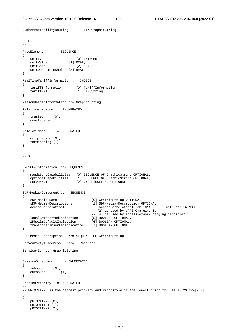NumberPortabilityRouting ::= GraphicString

```
-- 
--- R
-RateElement ::= SEQUENCE
{ 
unitType [0] INTEGER,
 unitValue [1] REAL, 
unitCost [2] REAL,
    unitQuotaThreshold [3] REAL 
} 
RealTimeTariffInformation ::= CHOICE 
{ 
 tariffInformation [0] TariffInformation, 
 tariffXml [1] UTF8String 
} 
ReasonHeaderInformation ::= GraphicString 
RelationshipMode ::= ENUMERATED 
{ 
    trusted (0), 
    non-trusted (1) 
} 
Role-of-Node ::= ENUMERATED 
{ 
    originating (0), 
   terminating (1) 
} 
-- 
-- S 
-- 
S-CSCF-Information ::= SEQUENCE 
{ 
 mandatoryCapabilities [0] SEQUENCE OF GraphicString OPTIONAL, 
 optionalCapabilities [1] SEQUENCE OF GraphicString OPTIONAL, 
  serverName [2] GraphicString OPTIONAL
} 
SDP-Media-Component ::= SEQUENCE 
{ 
 sDP-Media-Name [0] GraphicString OPTIONAL, 
 sDP-Media-Descriptions [1] SDP-Media-Description OPTIONAL, 
 accessCorrelationID AccessCorrelationID OPTIONAL, -- not used in MGCF 
 -- [2] is used by gPRS-Charging-Id 
-- [4] is used by accessNetworkChargingIdentifier
 localGWInsertedIndication [5] BOOLEAN OPTIONAL, 
 iPRealmDefaultIndication [6] BOOLEAN OPTIONAL, 
    transcoderInsertedIndication [7] BOOLEAN OPTIONAL 
} 
SDP-Media-Description ::= SEQUENCE OF GraphicString 
ServedPartyIPAddress ::= IPAddress 
Service-Id ::= GraphicString 
SessionDirection ::= ENUMERATED 
{ 
 inbound (0), 
 outbound (1) 
} 
SessionPriority ::= ENUMERATED 
-- 
-- PRIORITY-0 is the highest priority and Priority-4 is the lowest priority. See TS 29.229[232] 
-- 
{ 
    pRIORITY-0 (0), 
    pRIORITY-1 (1), 
   \overline{p}RIORITY-2 (2),
```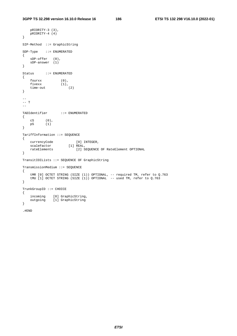```
 pRIORITY-3 (3), 
   pRIORITY-4 (4) 
} 
SIP-Method ::= GraphicString 
SDP-Type ::= ENUMERATED 
{ 
 sDP-offer (0), 
 sDP-answer (1) 
} 
Status ::= ENUMERATED 
{ 
 fourxx (0), 
fivexx (1),
 time-out (2) 
} 
-- 
-- T
-TADIdentifier ::= ENUMERATED 
{ 
 cS (0), 
 pS (1) 
} 
TariffInformation ::= SEQUENCE 
{ 
 currencyCode [0] INTEGER, 
scaleFactor [1] REAL,
                     rateElement OPTIONAL [2] SEQUENCE OF RateElement OPTIONAL
} 
TransitIOILists ::= SEQUENCE OF GraphicString 
TransmissionMedium ::= SEQUENCE 
{ 
 tMR [0] OCTET STRING (SIZE (1)) OPTIONAL, -- required TM, refer to Q.763 
 tMU [1] OCTET STRING (SIZE (1)) OPTIONAL -- used TM, refer to Q.763 
} 
TrunkGroupID ::= CHOICE 
{ 
 incoming [0] GraphicString, 
 outgoing [1] GraphicString 
}
```
.#END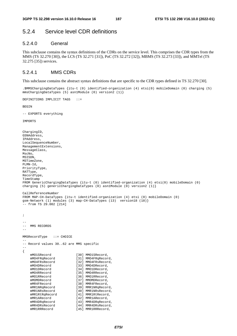# 5.2.4 Service level CDR definitions

### 5.2.4.0 General

This subclause contains the syntax definitions of the CDRs on the service level. This comprises the CDR types from the MMS (TS 32.270 [30]), the LCS (TS 32.271 [31]), PoC (TS 32.272 [32]), MBMS (TS 32.273 [33]), and MMTel (TS 32.275 [35]) services.

### 5.2.4.1 MMS CDRs

#### This subclause contains the abstract syntax definitions that are specific to the CDR types defined in TS 32.270 [30].

.\$MMSChargingDataTypes {itu-t (0) identified-organization (4) etsi(0) mobileDomain (0) charging (5) mmsChargingDataTypes (5) asn1Module (0) version2 (1)}

DEFINITIONS IMPLICIT TAGS ::=

BEGIN

-- EXPORTS everything

IMPORTS

```
ChargingID, 
GSNAddress, 
IPAddress, 
LocalSequenceNumber, 
ManagementExtensions, 
MessageClass, 
MscNo, 
MSISDN, 
MSTimeZone, 
PLMN-Id, 
PriorityType, 
RATType, 
RecordType, 
TimeStamp 
FROM GenericChargingDataTypes {itu-t (0) identified-organization (4) etsi(0) mobileDomain (0) 
charging (5) genericChargingDataTypes (0) asn1Module (0) version2 (1)} 
CallReferenceNumber 
FROM MAP-CH-DataTypes {itu-t identified-organization (4) etsi (0) mobileDomain (0) 
gsm-Network (1) modules (3) map-CH-DataTypes (13) version18 (18)} 
-- from TS 29.002 [214] 
; 
-- 
   MMS RECORDS
-- 
MMSRecordType ::= CHOICE 
-- 
-- Record values 30..62 are MMS specific 
-- 
{ 
    mMO1SRecord [30] MMO1SRecord,
    mMO4FRqRecord [31] MMO4FRqRecord,<br>mMO4FRsRecord [32] MMO4FRsRecord,
    mMO4FRsRecord [32] MMO4FRsRecord,<br>mMO4DRecord [33] MMO4DRecord,
    mMO4DRecord [33] MMO4DRecord,<br>mMO1DRecord [34] MMO1DRecord.
                              [34] MMO1DRecord.
    mMO4RRecord [35] MMO4RRecord,
    mMO1RRecord [36] MMO1RRecord,
    mMOMDRecord [37] MMOMDRecord,
    mMR4FRecord [38] MMR4FRecord,
     mMR1NRqRecord [39] MMR1NRqRecord, 
    mMR1NRsRecord [40] MMR1NRsRecord,<br>mMR1RtRqRecord [41] MMR1RtRecord,
    mMR1RtRqRecord [41] MMR1RtRecord, mMR1ARecord,
                              [42] MMR1ARecord,
     mMR4DRqRecord [43] MMR4DRqRecord, 
    mMR4DRsRecord [44] MMR4DRsRecord,<br>mMR1RRRecord [45] MMR1RRRecord,
                              [45] MMR1RRRecord,
```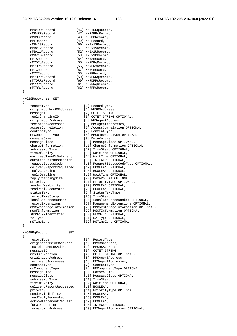|   | mMR4RRqRecord           | [46] MMR4RRqRecord,                    |
|---|-------------------------|----------------------------------------|
|   | mMR4RRsRecord           | [47] MMR4RRsRecord,                    |
|   | mMRMDRecord             | [48] MMRMDRecord,                      |
|   | mMFRecord               | [49] MMFRecord,                        |
|   | mMBx1SRecord            | [50] MMBx1SRecord,                     |
|   | mMBx1VRecord            | [51] MMBx1VRecord,                     |
|   | mMBx1URecord            | [52] MMBx1URecord,                     |
|   | mMBx1DRecord            | [53] MMBx1DRecord,                     |
|   | mM7SRecord              | [54] MM7SRecord,                       |
|   |                         |                                        |
|   | mM7DRqRecord            | [55] MM7DRqRecord,                     |
|   | mM7DRsRecord            | [56] MM7DRsRecord,                     |
|   | mM7CRecord              | [57] MM7CRecord,                       |
|   | mM7RRecord              | [58] MM7RRecord,                       |
|   | mM7DRRqRecord           | [59] MM7DRRqRecord,                    |
|   | mM7DRRsRecord           | [60] MM7DRRsRecord,                    |
|   | mM7RRqRecord            | [61] MM7RRqRecord,                     |
|   | mM7RRsRecord            | [62] MM7RRsRecord                      |
| } |                         |                                        |
|   |                         |                                        |
|   | MMO1SRecord ::= SET     |                                        |
| ₹ | recordType              | [0] RecordType,                        |
|   | originatorMmsRSAddress  | [1] MMSRSAddress,                      |
|   | messageID               |                                        |
|   |                         | [2] OCTET STRING,                      |
|   | replyChargingID         | [3] OCTET STRING OPTIONAL,             |
|   | originatorAddress       | [4] MMSAgentAddress,                   |
|   | recipientAddresses      | [5] MMSAgentAddresses,                 |
|   | accessCorrelation       | [6] AccessCorrelation OPTIONAL,        |
|   | contentType             | [7] ContentType,                       |
|   | mmComponentType         | [8] MMComponentType OPTIONAL,          |
|   | messageSize             | [9] DataVolume,                        |
|   | messageClass            | [10] MessageClass OPTIONAL,            |
|   | chargeInformation       | [11] ChargeInformation OPTIONAL,       |
|   | submissionTime          | [12] TimeStamp OPTIONAL,               |
|   | timeOfExpiry            | [13] WaitTime OPTIONAL,                |
|   | earliestTimeOfDelivery  | [14] WaitTime OPTIONAL,                |
|   | durationOfTransmission  | [15] INTEGER OPTIONAL,                 |
|   | requestStatusCode       | [16] RequestStatusCodeType OPTIONAL,   |
|   | deliveryReportRequested | [17] BOOLEAN OPTIONAL,                 |
|   | replyCharging           | [18] BOOLEAN OPTIONAL,                 |
|   | replyDeadline           | [19] WaitTime OPTIONAL,                |
|   | replyChargingSize       | [20] DataVolume OPTIONAL,              |
|   | priority                | [21] PriorityType OPTIONAL,            |
|   | senderVisibility        | [22] BOOLEAN OPTIONAL,                 |
|   | readReplyRequested      | [23] BOOLEAN OPTIONAL,                 |
|   | statusText              | [24] StatusTextType,                   |
|   | recordTimeStamp         | [25] TimeStamp,                        |
|   | localSequenceNumber     | [26] LocalSequenceNumber OPTIONAL,     |
|   | recordExtensions        | [27] ManagementExtensions OPTIONAL,    |
|   | mMBoxstorageInformation | [28] MMBoxStorageInformation OPTIONAL, |
|   | mscfInformation         | [29] MSCFInformation OPTIONAL,         |
|   | sGSNPLMNIdentifier      | [30] PLMN-Id OPTIONAL,                 |
|   | rATType                 | [31] RATType OPTIONAL,                 |
|   | mSTimeZone              | [32] MSTimeZone OPTIONAL               |
| } |                         |                                        |
|   |                         |                                        |
|   |                         |                                        |

# }

}

{

MMO4FRqRecord ::= SET

{

| <i>recordivhe</i>       | 1 U I                                                 | RECOLUIYPE,            |
|-------------------------|-------------------------------------------------------|------------------------|
| originatorMmsRSAddress  | [1]                                                   | MMSRSAddress,          |
| recipientMmsRSAddress   | [2]                                                   | MMSRSAddress,          |
| messageID               | $\begin{bmatrix} 3 \end{bmatrix}$                     | OCTET STRING,          |
| mms3GPPVersion          | [4]                                                   | OCTET STRING OPTI      |
| originatorAddress       | [5]                                                   | MMSAgentAddress,       |
| recipientAddresses      | [6]                                                   | MMSAgentAddresses      |
| contentType             | [7]                                                   | ContentType,           |
| mmComponentType         | [8]                                                   | MMComponentType O      |
| messageSize             | $\begin{array}{c} \boxed{9} \\ \boxed{1} \end{array}$ | DataVolume,            |
| messageClass            |                                                       | [10] MessageClass OPTI |
| submissionTime          |                                                       | [11] TimeStamp,        |
| timeOfExpiry            |                                                       | [12] WaitTime OPTIONAL |
| deliveryReportRequested | [13]                                                  | BOOLEAN,               |
| priority                |                                                       | [14] PriorityType OPTI |
| senderVisibility        |                                                       | $[15]$ BOOLEAN,        |
| readReplyRequested      |                                                       | $[16]$ BOOLEAN,        |
| acknowledgementRequest  |                                                       | $[17]$ BOOLEAN,        |
| forwardCounter          | [18]                                                  | INTEGER OPTIONAL,      |
| forwardingAddress       |                                                       | [19] MMSAgentAddresses |

OPTIONAL, One OPTIONAL recordType [0] RecordType, [4] OCTET STRING OPTIONAL, recipientAddresses [6] MMSAgentAddresses,

mmComponentType [8] MMComponentType OPTIONAL,

- [9] DataVolume,
- [10] MessageClass OPTIONAL,
- [11] TimeStamp,
- [12] WaitTime OPTIONAL,
- [13] BOOLEAN,
- [14] Priority Type OPTIONAL,
- [15] BOOLEAN,
- [16] BOOLEAN,
- [17] BOOLEAN,
- 
- [18] INTEGER OPTIONAL,
- gAddress [19] MMSAgentAddresses OPTIONAL,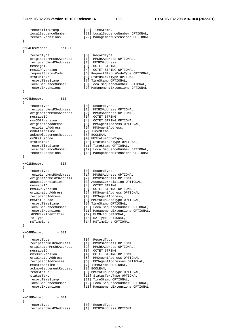```
recordTimeStamp [20] TimeStamp,<br>localSequenceNumber [21] LocalSeque
                        [21] LocalSequenceNumber OPTIONAL,
    recordExtensions [22] ManagementExtensions OPTIONAL 
} 
MMO4FRsRecord ::= SET 
{ 
 recordType [0] RecordType, 
 originatorMmsRSAddress [1] MMSRSAddress OPTIONAL, 
 recipientMmsRSAddress [2] MMSRSAddress, 
messageID [3] OCTET STRING,
 mms3GPPVersion [4] OCTET STRING OPTIONAL, 
 requestStatusCode [5] RequestStatusCodeType OPTIONAL, 
 statusText [6] StatusTextType OPTIONAL, 
 recordTimeStamp [7] TimeStamp OPTIONAL, 
 localSequenceNumber [8] LocalSequenceNumber OPTIONAL, 
 recordExtensions [9] ManagementExtensions OPTIONAL 
} 
MMO4DRecord ::= SET 
{ 
 recordType [0] RecordType, 
 recipientMmsRSAddress [1] MMSRSAddress OPTIONAL, 
 originatorMmsRSAddress [2] MMSRSAddress OPTIONAL, 
messageID [3] OCTET STRING,
 mms3GPPVersion [4] OCTET STRING OPTIONAL, 
 originatorAddress [5] MMSAgentAddress OPTIONAL, 
 recipientAddress [6] MMSAgentAddress, 
mmDateAndTime [7] TimeStamp,
 acknowledgementRequest [8] BOOLEAN, 
 mmStatusCode [9] MMStatusCodeType, 
 statusText [10] StatusTextType OPTIONAL, 
 recordTimeStamp [11] TimeStamp OPTIONAL, 
 localSequenceNumber [12] LocalSequenceNumber OPTIONAL, 
 recordExtensions [13] ManagementExtensions OPTIONAL 
} 
MMO1DRecord ::= SET 
{ 
 recordType [0] RecordType, 
 recipientMmsRSAddress [1] MMSRSAddress OPTIONAL, 
 originatorMmsRSAddress [2] MMSRSAddress OPTIONAL, 
 accessCorrelation [3] AccessCorrelation OPTIONAL, 
messageID [4] OCTET STRING,
 mms3GPPVersion [5] OCTET STRING OPTIONAL, 
 originatorAddress [6] MMSAgentAddress OPTIONAL, 
 recipientAddress [7] MMSAgentAddress, 
 mmStatusCode [8] MMStatusCodeType OPTIONAL, 
 recordTimeStamp [9] TimeStamp OPTIONAL, 
 localSequenceNumber [10] LocalSequenceNumber OPTIONAL, 
 recordExtensions [11] ManagementExtensions OPTIONAL, 
 sGSNPLMNIdentifier [12] PLMN-Id OPTIONAL, 
rATType [13] RATType OPTIONAL,
 mSTimeZone [14] MSTimeZone OPTIONAL 
} 
MMO4RRecord ::= SET 
{ 
 recordType [0] RecordType, 
 recipientMmsRSAddress [1] MMSRSAddress OPTIONAL, 
 originatorMmsRSAddress [2] MMSRSAddress OPTIONAL, 
messageID [3] OCTET STRING,
 mms3GPPVersion [4] OCTET STRING OPTIONAL, 
 originatorAddress [5] MMSAgentAddress OPTIONAL, 
 recipientAddresses [6] MMSAgentAddresses OPTIONAL, 
 mmDateAndTime [7] TimeStamp OPTIONAL, 
 acknowledgementRequest [8] BOOLEAN, 
 readStatus [9] MMStatusCodeType OPTIONAL, 
 statusText [10] StatusTextType OPTIONAL, 
 recordTimeStamp [11] TimeStamp OPTIONAL, 
 localSequenceNumber [12] LocalSequenceNumber OPTIONAL, 
 recordExtensions [13] ManagementExtensions OPTIONAL 
} 
MMO1RRecord ::= SET 
{ 
   recordType [0] RecordType,<br>recipientMmsRSAddress [1] MMSRSAddres
                        recipient Musriss (1) MMSRSAddress OPTIONAL,
```
*ETSI*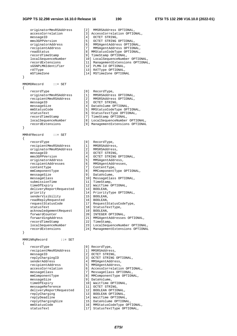#### **3GPP TS 32.298 version 16.10.0 Release 16 190 ETSI TS 132 298 V16.10.0 (2022-01)**

 originatorMmsRSAddress [2] MMSRSAddress OPTIONAL, accessCorrelation [3] AccessCorrelation OPTIONAL, messageID [4] OCTET STRING, mms3GPPVersion [5] OCTET STRING OPTIONAL, originatorAddress [6] MMSAgentAddress OPTIONAL, recipientAddress [7] MMSAgentAddress OPTIONAL, readStatus [8] MMStatusCodeType OPTIONAL, recordTimeStamp [9] TimeStamp OPTIONAL, localSequenceNumber [10] LocalSequenceNumber OPTIONAL, recordExtensions [11] ManagementExtensions OPTIONAL, sGSNPLMNIdentifier [12] PLMN-Id OPTIONAL, rATType [13] RATType OPTIONAL, mSTimeZone [14] MSTimeZone OPTIONAL } MMOMDRecord ::= SET { recordType [0] RecordType, originatorMmsRSAddress [1] MMSRSAddress OPTIONAL, recipientMmsRSAddress [2] MMSRSAddress OPTIONAL, messageID [3] OCTET STRING, messageSize [4] DataVolume OPTIONAL, mmStatusCode [5] MMStatusCodeType OPTIONAL, statusText [6] StatusTextType OPTIONAL, recordTimeStamp [7] TimeStamp OPTIONAL, localSequenceNumber [8] LocalSequenceNumber OPTIONAL, recordExtensions [9] ManagementExtensions OPTIONAL } MMR4FRecord ::= SET { recordType [0] RecordType, recipientMmsRSAddress [1] MMSRSAddress, originatorMmsRSAddress [2] MMSRSAddress, messageID [3] OCTET STRING, mms3GPPVersion [4] OCTET STRING OPTIONAL, originatorAddress [5] MMSAgentAddress, recipientAddresses [6] MMSAgentAddresses, contentType [7] ContentType, mmComponentType [8] MMComponentType OPTIONAL, messageSize [9] DataVolume, messageClass [10] MessageClass OPTIONAL, submissionTime [11] TimeStamp, timeOfExpiry [12] WaitTime OPTIONAL, deliveryReportRequested [13] BOOLEAN, priority [14] PriorityType OPTIONAL, senderVisibility [15] BOOLEAN, readReplyRequested [16] BOOLEAN, requestStatusCode [17] RequestStatusCodeType, statusText [18] StatusTextType, acknowledgementRequest [19] BOOLEAN, forwardCounter [20] INTEGER OPTIONAL, forwardingAddress [21] MMSAgentAddresses OPTIONAL, recordTimeStamp [22] TimeStamp, localSequenceNumber [23] LocalSequenceNumber OPTIONAL, recordExtensions [24] ManagementExtensions OPTIONAL MMR1NRqRecord ::= SET { recordType [0] RecordType, recipientMmsRSAddress [1] MMSRSAddress, messageID [2] OCTET STRING, replyChargingID [3] OCTET STRING OPTIONAL, senderAddress [4] MMSAgentAddress, recipientAddress [5] MMSAgentAddress, accessCorrelation [6] AccessCorrelation OPTIONAL, messageClass [7] MessageClass OPTIONAL, mmComponentType [8] MMComponentType OPTIONAL, messageSize [9] DataVolume,

}

- 
- timeOfExpiry [10] WaitTime OPTIONAL,
- messageReference [11] OCTET STRING,
- deliveryReportRequested [12] BOOLEAN OPTIONAL,
- replyCharging [13] BOOLEAN OPTIONAL,
- replyDeadline [14] WaitTime OPTIONAL,
- replyChargingSize [15] DataVolume OPTIONAL,
- mmStatusCode [16] MMStatusCodeType OPTIONAL,
	- statusText [17] StatusTextType OPTIONAL,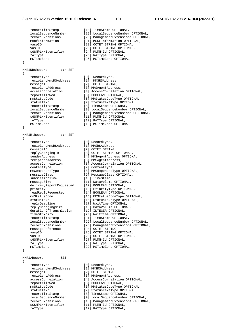## **3GPP TS 32.298 version 16.10.0 Release 16 191 ETSI TS 132 298 V16.10.0 (2022-01)**

| recordTimeStamp<br>localSequenceNumber<br>recordExtensions<br>mscfInformation<br>vaspID<br>vasID<br>sGSNPLMNIdentifier<br>rATType<br>mSTimeZone<br>}                                                                                                                                                                                                                                                                                                                                                                                            | [18] TimeStamp OPTIONAL,<br>[19] LocalSequenceNumber OPTIONAL,<br>[20] ManagementExtensions OPTIONAL,<br>[21] MSCFInformation OPTIONAL,<br>[22] OCTET STRING OPTIONAL,<br>[23] OCTET STRING OPTIONAL,<br>[24] PLMN-Id OPTIONAL,<br>[25] RATType OPTIONAL,<br>[26] MSTimeZone OPTIONAL                                                                                                                                                                                                                                                                                                                                                                                                                                                                                                                                                                                   |
|-------------------------------------------------------------------------------------------------------------------------------------------------------------------------------------------------------------------------------------------------------------------------------------------------------------------------------------------------------------------------------------------------------------------------------------------------------------------------------------------------------------------------------------------------|-------------------------------------------------------------------------------------------------------------------------------------------------------------------------------------------------------------------------------------------------------------------------------------------------------------------------------------------------------------------------------------------------------------------------------------------------------------------------------------------------------------------------------------------------------------------------------------------------------------------------------------------------------------------------------------------------------------------------------------------------------------------------------------------------------------------------------------------------------------------------|
| MMR1NRsRecord<br>$\mathbf{f} := \mathbf{SET}$                                                                                                                                                                                                                                                                                                                                                                                                                                                                                                   |                                                                                                                                                                                                                                                                                                                                                                                                                                                                                                                                                                                                                                                                                                                                                                                                                                                                         |
| $\{$<br>recordType<br>recipientMmsRSAddress<br>messageID<br>recipientAddress<br>accessCorrelation<br>reportAllowed<br>mmStatusCode<br>statusText<br>recordTimeStamp<br>localSequenceNumber<br>recordExtensions<br>sGSNPLMNIdentifier<br>rATType<br>mSTimeZone                                                                                                                                                                                                                                                                                   | [0]<br>RecordType,<br>[1]<br>MMSRSAddress,<br>$\left[\begin{array}{c}2\end{array}\right]$<br>OCTET STRING,<br>[3] MMSAgentAddress,<br>[4] AccessCorrelation OPTIONAL,<br>[5] BOOLEAN OPTIONAL,<br>[6] MMStatusCodeType OPTIONAL,<br>[7] StatusTextType OPTIONAL,<br>[8] TimeStamp OPTIONAL,<br>[9] LocalSequenceNumber OPTIONAL,<br>[10] ManagementExtensions OPTIONAL,<br>[11] PLMN-Id OPTIONAL,<br>[12] RATType OPTIONAL,<br>[13] MSTimeZone OPTIONAL                                                                                                                                                                                                                                                                                                                                                                                                                 |
| }                                                                                                                                                                                                                                                                                                                                                                                                                                                                                                                                               |                                                                                                                                                                                                                                                                                                                                                                                                                                                                                                                                                                                                                                                                                                                                                                                                                                                                         |
| MMR1RtRecord<br>$\cdot \cdot =$ SET<br>$\{$                                                                                                                                                                                                                                                                                                                                                                                                                                                                                                     |                                                                                                                                                                                                                                                                                                                                                                                                                                                                                                                                                                                                                                                                                                                                                                                                                                                                         |
| recordType<br>recipientMmsRSAddress<br>messageID<br>replyChargingID<br>senderAddress<br>recipientAddress<br>accessCorrelation<br>contentType<br>mmComponentType<br>messageClass<br>submissionTime<br>messageSize<br>deliveryReportRequested<br>priority<br>readReplyRequested<br>mmStatusCode<br>statusText<br>replyDeadline<br>replyChargingSize<br>durationOfTransmission<br>timeOfExpiry<br>recordTimeStamp<br>localSequenceNumber<br>recordExtensions<br>messageReference<br>vaspID<br>vasID<br>sGSNPLMNIdentifier<br>rATType<br>mSTimeZone | [0] RecordType,<br>[1] MMSRSAddress,<br>[2] OCTET STRING,<br>[3] OCTET STRING OPTIONAL,<br>[4] MMSAgentAddress OPTIONAL,<br>[5] MMSAgentAddress,<br>[6] AccessCorrelation OPTIONAL,<br>[7] ContentType,<br>[8] MMComponentType OPTIONAL,<br>[9] MessageClass OPTIONAL,<br>[10] TimeStamp,<br>[11] DataVolume OPTIONAL,<br>[12] BOOLEAN OPTIONAL,<br>[13] PriorityType OPTIONAL,<br>[14] BOOLEAN OPTIONAL,<br>[15] MMStatusCodeType OPTIONAL,<br>[16] StatusTextType OPTIONAL,<br>[17] WaitTime OPTIONAL,<br>[18] DataVolume OPTIONAL,<br>[19] INTEGER OPTIONAL,<br>[20] WaitTime OPTIONAL,<br>[21] TimeStamp OPTIONAL,<br>[22] LocalSequenceNumber OPTIONAL,<br>[23] ManagementExtensions OPTIONAL,<br>[24] OCTET STRING,<br>[25] OCTET STRING OPTIONAL,<br>[26] OCTET STRING OPTIONAL,<br>[27] PLMN-Id OPTIONAL,<br>[28] RATType OPTIONAL,<br>[29] MSTimeZone OPTIONAL |
| $\mathcal{F}$                                                                                                                                                                                                                                                                                                                                                                                                                                                                                                                                   |                                                                                                                                                                                                                                                                                                                                                                                                                                                                                                                                                                                                                                                                                                                                                                                                                                                                         |
| MMR1ARecord<br>$\cdots$ SET<br>$\{$<br>recordType<br>recipientMmsRSAddress<br>messageID<br>recipientAddress<br>accessCorrelation<br>reportAllowed<br>mmStatusCode<br>statusText<br>recordTimeStamp<br>localSequenceNumber<br>recordExtensions<br>sGSNPLMNIdentifier<br>rATType                                                                                                                                                                                                                                                                  | [0] RecordType,<br>[1] MMSRSAddress,<br>[2] OCTET STRING,<br>[3] MMSAgentAddress,<br>[4] AccessCorrelation OPTIONAL,<br>[5] BOOLEAN OPTIONAL,<br>[6] MMStatusCodeType OPTIONAL,<br>[7] StatusTextType OPTIONAL,<br>[8] TimeStamp OPTIONAL,<br>[9] LocalSequenceNumber OPTIONAL,<br>[10] ManagementExtensions OPTIONAL,<br>[11] PLMN-Id OPTIONAL,<br>[12] RATType OPTIONAL,                                                                                                                                                                                                                                                                                                                                                                                                                                                                                              |

*ETSI*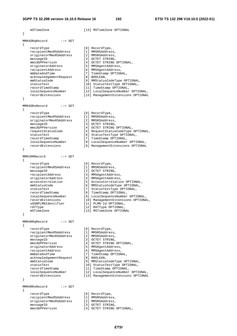```
 mSTimeZone [13] MSTimeZone OPTIONAL 
} 
MMR4DRqRecord ::= SET 
{ 
 recordType [0] RecordType, 
 recipientMmsRSAddress [1] MMSRSAddress, 
 originatorMmsRSAddress [2] MMSRSAddress, 
messageID [3] OCTET STRING,
 mms3GPPVersion [4] OCTET STRING OPTIONAL, 
 originatorAddress [5] MMSAgentAddress, 
 recipientAddress [6] MMSAgentAddress, 
 mmDateAndTime [7] TimeStamp OPTIONAL, 
 acknowledgementRequest [8] BOOLEAN, 
 mmStatusCode [9] MMStatusCodeType OPTIONAL, 
 statusText [10] StatusTextType OPTIONAL, 
 recordTimeStamp [11] TimeStamp OPTIONAL, 
 localSequenceNumber [12] LocalSequenceNumber OPTIONAL, 
 recordExtensions [13] ManagementExtensions OPTIONAL 
} 
MMR4DRsRecord ::= SET 
{ 
 recordType [0] RecordType, 
 recipientMmsRSAddress [1] MMSRSAddress, 
 originatorMmsRSAddress [2] MMSRSAddress, 
messageID [3] OCTET STRING,
 mms3GPPVersion [4] OCTET STRING OPTIONAL, 
 requestStatusCode [5] RequestStatusCodeType OPTIONAL, 
 statusText [6] StatusTextType OPTIONAL, 
 recordTimeStamp [7] TimeStamp OPTIONAL, 
 localSequenceNumber [8] LocalSequenceNumber OPTIONAL, 
 recordExtensions [9] ManagementExtensions OPTIONAL 
} 
MMR1RRRecord ::= SET 
{ 
 recordType [0] RecordType, 
 recipientMmsRSAddress [1] MMSRSAddress, 
messageID [2] OCTET STRING,
 recipientAddress [3] MMSAgentAddress, 
 originatorAddress [4] MMSAgentAddress, 
 accessCorrelation [5] AccessCorrelation OPTIONAL, 
 mmStatusCode [6] MMStatusCodeType OPTIONAL, 
 statusText [7] StatusTextType OPTIONAL, 
 recordTimeStamp [8] TimeStamp OPTIONAL, 
 localSequenceNumber [9] LocalSequenceNumber OPTIONAL, 
 recordExtensions [10] ManagementExtensions OPTIONAL, 
 sGSNPLMNIdentifier [11] PLMN-Id OPTIONAL, 
 rATType [12] RATType OPTIONAL, 
   mSTimeZone [13] MSTimeZone OPTIONAL 
} 
MMR4RRqRecord ::= SET 
{ 
 recordType [0] RecordType, 
 recipientMmsRSAddress [1] MMSRSAddress, 
 originatorMmsRSAddress [2] MMSRSAddress, 
messageID [3] OCTET STRING,
 mms3GPPVersion [4] OCTET STRING OPTIONAL, 
 originatorAddress [5] MMSAgentAddress, 
 recipientAddress [6] MMSAgentAddress, 
 mmDateAndTime [7] TimeStamp OPTIONAL, 
 acknowledgementRequest [8] BOOLEAN, 
 mmStatusCode [9] MMStatusCodeType OPTIONAL, 
 statusText [10] StatusTextType OPTIONAL, 
 recordTimeStamp [11] TimeStamp OPTIONAL, 
 localSequenceNumber [12] LocalSequenceNumber OPTIONAL, 
 recordExtensions [13] ManagementExtensions OPTIONAL 
} 
MMR4RRsRecord ::= SET 
{ 
   recordType [0] RecordType,
```
 recipientMmsRSAddress [1] MMSRSAddress, originatorMmsRSAddress [2] MMSRSAddress, messageID [3] OCTET STRING,<br>mms3GPPVersion [4] OCTET STRING

- 
- [4] OCTET STRING OPTIONAL,
	-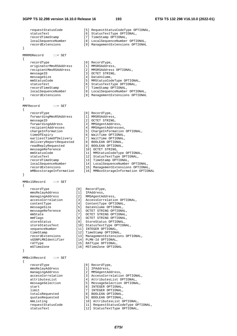requestStatusCode [5] RequestStatusCodeType OPTIONAL, statusText [6] StatusTextType OPTIONAL, recordTimeStamp [7] TimeStamp OPTIONAL, localSequenceNumber [8] LocalSequenceNumber OPTIONAL, recordExtensions [9] ManagementExtensions OPTIONAL } MMRMDRecord ::= SET { recordType [0] RecordType, originatorMmsRSAddress [1] MMSRSAddress, recipientMmsRSAddress [2] MMSRSAddress OPTIONAL, messageID [3] OCTET STRING, messageSize [4] DataVolume,<br>mmStatusCode [5] MMStatusCod .<br>[5] MMStatusCodeType OPTIONAL,<br>[6] StatusTextType OPTIONAL, statusText [6] StatusTextType OPTIONAL, recordTimeStamp [7] TimeStamp OPTIONAL, localSequenceNumber [8] LocalSequenceNumber OPTIONAL, recordExtensions [9] ManagementExtensions OPTIONAL } MMFRecord ::= SET { recordType [0] RecordType, forwardingMmsRSAddress [1] MMSRSAddress, messageID [2] OCTET STRING, forwardingAddress [3] MMSAgentAddress, recipientAddresses [4] MMSAgentAddresses, chargeInformation [5] ChargeInformation OPTIONAL, timeOfExpiry [6] WaitTime OPTIONAL, earliestTimeOfDelivery [7] WaitTime OPTIONAL, deliveryReportRequested [8] BOOLEAN OPTIONAL, readReplyRequested [9] BOOLEAN OPTIONAL, messageReference [10] OCTET STRING, mmStatusCode [11] MMStatusCodeType OPTIONAL, statusText [12] StatusTextType OPTIONAL, recordTimeStamp [13] TimeStamp OPTIONAL, localSequenceNumber [14] LocalSequenceNumber OPTIONAL, recordExtensions [15] ManagementExtensions OPTIONAL, mMBoxstorageInformation [15] Managementancembrons of from mBoxstorageInformation OPTIONAL } MMBx1SRecord ::= SET { recordType [0] RecordType, mmsRelayAddress [1] IPAddress, managingAddress [2] MMSAgentAddress, accessCorrelation [3] AccessCorrelation OPTIONAL, contentType [4] ContentType OPTIONAL, messageSize [5] DataVolume OPTIONAL, messageReference [6] OCTET STRING OPTIONAL, mmState [7] OCTET STRING OPTIONAL, mmFlags [8] OCTET STRING OPTIONAL, storeStatus [9] StoreStatus OPTIONAL, storeStatusText [10] StatusTextType OPTIONAL, sequenceNumber [11] INTEGER OPTIONAL, timeStamp [12] TimeStamp OPTIONAL, recordExtensions [13] ManagementExtensions OPTIONAL, sGSNPLMNIdentifier [14] PLMN-Id OPTIONAL, rATType [15] RATType OPTIONAL, mSTimeZone [16] MSTimeZone OPTIONAL } MMBx1VRecord ::= SET { recordType [0] RecordType,<br>mmsRelayAddress [1] IPAddress, -------<sub>1P</sub>-<br>mmsRelayAddress<br>managingAddress managingAddress [2] MMSAgentAddress, accessCorrelation [3] AccessCorrelation OPTIONAL, attributesList [4] AttributesList OPTIONAL, messageSelection [5] MessageSelection OPTIONAL, start [6] INTEGER OPTIONAL, limit [7] INTEGER OPTIONAL, totalsRequested [8] BOOLEAN OPTIONAL, quotasRequested [9] BOOLEAN OPTIONAL, mmListing [10] AttributesList OPTIONAL, requestStatusCode [11] RequestStatusCodeType OPTIONAL, mmListing<br>
requestStatusCode [11] RequestStatusCodeType OP<br>
statusText [12] StatusTextType OPTIONAL,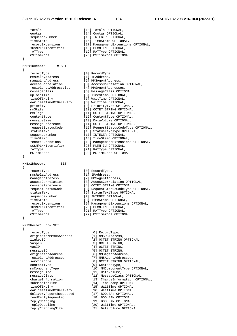#### **3GPP TS 32.298 version 16.10.0 Release 16 194 ETSI TS 132 298 V16.10.0 (2022-01)**

 totals [13] Totals OPTIONAL, quotas [14] Quotas OPTIONAL,<br>sequenceNumber [15] INTEGER OPTIONAL, sequenceNumber [15] INTEGER OPTIONAL, timeStamp [16] TimeStamp OPTIONAL, recordExtensions [17] ManagementExtensions OPTIONAL, sGSNPLMNIdentifier [18] PLMN-Id OPTIONAL, rATType [19] RATType OPTIONAL, mSTimeZone [20] MSTimeZone OPTIONAL } MMBx1URecord ::= SET { recordType [0] RecordType, mmsRelayAddress [1] IPAddress, managingAddress [2] MMSAgentAddress, recipientsAddressList [4] MMSAgentAddresses, messageClass [5] MessageClass OPTIONAL, uploadTime [6] TimeStamp OPTIONAL, timeOfExpiry [7] WaitTime OPTIONAL, earliestTimeOfDelivery [8] WaitTime OPTIONAL, priority [9] PriorityType OPTIONAL, mmState [10] OCTET STRING OPTIONAL, mmFlags [11] OCTET STRING OPTIONAL, contentType [12] ContentType OPTIONAL, messageSize [13] DataVolume OPTIONAL, messageReference [14] OCTET STRING OPTIONAL, statusText [16] StatusTextType OPTIONAL, sequenceNumber [17] INTEGER OPTIONAL, timeStamp [18] TimeStamp OPTIONAL, sGSNPLMNIdentifier [20] PLMN-Id OPTIONAL, rATType  $[21]$  RATType OPTIONAL, mSTimeZone [22] MSTimeZone OPTIONAL } MMBx1DRecord ::= SET { recordType [0] RecordType,<br>mmsRelayAddress [1] IPAddress,<br>managingAddress [2] MMSAgentAdd mmsRelayAddress [1] IPAddress, managingAddress [2] MMSAgentAddress, accessCorrelation [3] AccessCorrelation OPTIONAL, messageReference [4] OCTET STRING OPTIONAL, requestStatusCode [5] RequestStatusCodeType OPTIONAL, statusText [6] StatusTextType OPTIONAL, sequenceNumber [7] INTEGER OPTIONAL, timeStamp [8] TimeStamp OPTIONAL, sGSNPLMNIdentifier [20] PLMN-Id OPTIONAL, rATType  $[21]$  RATType OPTIONAL, mSTimeZone [22] MSTimeZone OPTIONAL } MM7SRecord ::= SET { recordType [0] RecordType, originatorMmsRSAddress [1] MMSRSAddress, vaspID [3] OCTET STRING, vasID  $[4]$  OCTET STRING, messageID [5] OCTET STRING, originatorAddress [6] MMSAgentAddress, recipientAddresses [7] MMSAgentAddresses, contentType [9] ContentType, messageSize [11] DataVolume, submissionTime  $[14]$  TimeStamp OPTIONAL, timeOfExpiry [15] WaitTime OPTIONAL, earliestTimeOfDelivery [16] WaitTime OPTIONAL, deliveryReportRequested [17] BOOLEAN OPTIONAL, readReplyRequested [18] BOOLEAN OPTIONAL, replyCharging [19] BOOLEAN OPTIONAL,

 accessCorrelation [3] AccessCorrelation OPTIONAL, requestStatusCode [15] RequestStatusCodeType OPTIONAL, recordExtensions [19] ManagementExtensions OPTIONAL,

- 
- -
- 
- 
- 
- 
- 
- 
- 
- 
- recordExtensions [9] ManagementExtensions OPTIONAL,
	-
	-
	-
- linkedID [2] OCTET STRING OPTIONAL, serviceCode [8] OCTET STRING OPTIONAL, mmComponentType [10] MMComponentType OPTIONAL, messageClass [12] MessageClass OPTIONAL, chargeInformation [13] ChargeInformation OPTIONAL, replyDeadline [20] WaitTime OPTIONAL,<br>replyChargingSize [21] DataVolume OPTIONAL,
- replyDeadline [20] WaitTime OPTIONAL,
	- - *ETSI*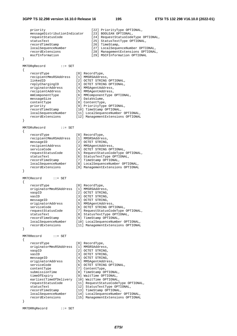#### **3GPP TS 32.298 version 16.10.0 Release 16 195 ETSI TS 132 298 V16.10.0 (2022-01)**

```
 priority [22] PriorityType OPTIONAL, 
 messageDistributionIndicator [23] BOOLEAN OPTIONAL, 
 requestStatusCode [24] RequestStatusCodeType OPTIONAL, 
 statusText [25] StatusTextType OPTIONAL, 
recordTimeStamp [26] TimeStamp,
 localSequenceNumber [27] LocalSequenceNumber OPTIONAL, 
 recordExtensions [28] ManagementExtensions OPTIONAL, 
 mscfInformation [29] MSCFInformation OPTIONAL 
} 
MM7DRqRecord ::= SET 
{ 
   recordType [0] RecordType,<br>recipientMmsRSAddress [1] MMSRSAddress,
 recipientMmsRSAddress [1] MMSRSAddress, 
 linkedID [2] OCTET STRING OPTIONAL, 
 replyChargingID [3] OCTET STRING OPTIONAL, 
 originatorAddress [4] MMSAgentAddress, 
 recipientAddress [5] MMSAgentAddress, 
 mmComponentType [6] MMComponentType OPTIONAL, 
messageSize [7] DataVolume,
 contentType [8] ContentType, 
 priority [9] PriorityType OPTIONAL, 
 recordTimeStamp [10] TimeStamp OPTIONAL, 
 localSequenceNumber [11] LocalSequenceNumber OPTIONAL, 
 recordExtensions [12] ManagementExtensions OPTIONAL 
} 
MM7DRsRecord ::= SET 
{ 
    recordType [0] RecordType, 
   recipientMmsRSAddress [1] MMSRSAddress,
messageID [2] OCTET STRING,
 recipientAddress [3] MMSAgentAddress, 
serviceCode [4] OCTET STRING OPTIONAL,
 requestStatusCode [5] RequestStatusCodeType OPTIONAL, 
 statusText [6] StatusTextType OPTIONAL, 
 recordTimeStamp [7] TimeStamp OPTIONAL, 
 localSequenceNumber [8] LocalSequenceNumber OPTIONAL, 
 recordExtensions [9] ManagementExtensions OPTIONAL 
} 
MM7CRecord ::= SET 
{ 
    recordType [0] RecordType, 
   originatorMmsRSAddress [1] MMSRSAddress,<br>vaspID [2] OCTET STRING,
vaspID [2] OCTET STRING,
vasID [3] OCTET STRING,
 messageID [4] OCTET STRING, 
 originatorAddress [5] MMSAgentAddress, 
serviceCode [6] OCTET STRING OPTIONAL,
 requestStatusCode [7] RequestStatusCodeType OPTIONAL, 
 statusText [8] StatusTextType OPTIONAL, 
 recordTimeStamp [9] TimeStamp OPTIONAL, 
 localSequenceNumber [10] LocalSequenceNumber OPTIONAL, 
 recordExtensions [11] ManagementExtensions OPTIONAL 
} 
MM7RRecord ::= SET 
{ 
    recordType [0] RecordType, 
    originatorMmsRSAddress [1] MMSRSAddress, 
   vaspID [2] OCTET STRING,
vasID [3] OCTET STRING,
messageID [4] OCTET STRING,
 originatorAddress [5] MMSAgentAddress, 
serviceCode [6] OCTET STRING OPTIONAL,
 contentType [7] ContentType, 
 submissionTime [8] TimeStamp OPTIONAL, 
 timeOfExpiry [9] WaitTime OPTIONAL, 
 earliestTimeOfDelivery [10] WaitTime OPTIONAL, 
 requestStatusCode [11] RequestStatusCodeType OPTIONAL, 
 statusText [12] StatusTextType OPTIONAL, 
 recordTimeStamp [13] TimeStamp OPTIONAL, 
 localSequenceNumber [14] LocalSequenceNumber OPTIONAL, 
 recordExtensions [15] ManagementExtensions OPTIONAL 
}
```
MM7DRRqRecord ::= SET

*ETSI*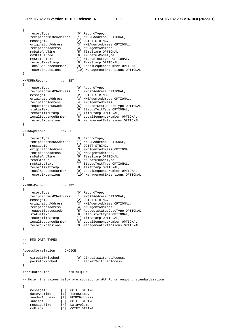mmFlags [5] OCTET STRING,

{ recordType [0] RecordType, recipientMmsRSAddress [1] MMSRSAddress OPTIONAL, messageID [2] OCTET STRING, originatorAddress [3] MMSAgentAddress OPTIONAL, recipientAddress [4] MMSAgentAddress, mmDateAndTime [5] TimeStamp OPTIONAL, mmStatusCode [6] MMStatusCodeType, mmStatusText [7] StatusTextType OPTIONAL, recordTimeStamp [8] TimeStamp OPTIONAL, localSequenceNumber [9] LocalSequenceNumber OPTIONAL, recordExtensions [10] ManagementExtensions OPTIONAL } MM7DRRsRecord ::= SET { recordType [0] RecordType, recipientMmsRSAddress [1] MMSRSAddress OPTIONAL, messageID [2] OCTET STRING, originatorAddress [3] MMSAgentAddress OPTIONAL, recipientAddress [4] MMSAgentAddress, requestStatusCode [5] RequestStatusCodeType OPTIONAL, statusText [6] StatusTextType OPTIONAL, recordTimeStamp [7] TimeStamp OPTIONAL, localSequenceNumber [8] LocalSequenceNumber OPTIONAL, recordExtensions [9] ManagementExtensions OPTIONAL } MM7RRqRecord ::= SET { recordType [0] RecordType, recipientMmsRSAddress [1] MMSRSAddress OPTIONAL, messageID [2] OCTET STRING, originatorAddress [3] MMSAgentAddress OPTIONAL, recipientAddress [4] MMSAgentAddress, mmDateAndTime [5] TimeStamp OPTIONAL, readStatus [6] MMStatusCodeType, mmStatusText [7] StatusTextType OPTIONAL, recordTimeStamp [8] TimeStamp OPTIONAL, localSequenceNumber [9] LocalSequenceNumber OPTIONAL, recordExtensions [10] ManagementExtensions OPTIONAL } MM7RRsRecord ::= SET { recordType [0] RecordType, recipientMmsRSAddress [1] MMSRSAddress OPTIONAL, messageID [2] OCTET STRING, originatorAddress [3] MMSAgentAddress OPTIONAL, recipientAddress [4] MMSAgentAddress, requestStatusCode [5] RequestStatusCodeType OPTIONAL, statusText [6] StatusTextType OPTIONAL, recordTimeStamp [7] TimeStamp OPTIONAL, localSequenceNumber [8] LocalSequenceNumber OPTIONAL, recordExtensions [9] ManagementExtensions OPTIONAL } -- -- MMS DATA TYPES -- AccessCorrelation ::= CHOICE { circuitSwitched [0] CircuitSwitchedAccess, packetSwitched [1] PacketSwitchedAccess } AttributesList ::= SEQUENCE -- -- Note: the values below are subject to WAP Forum ongoing standardization -- { messageID [0] OCTET STRING, dateAndTime [1] TimeStamp, senderAddress [2] MMSRSAddress, subject [3] OCTET STRING, messageSize [4] DataVolume ,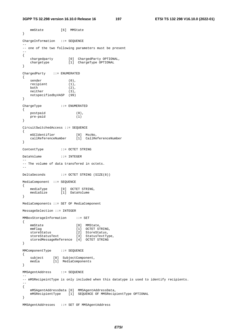#### **3GPP TS 32.298 version 16.10.0 Release 16 197 ETSI TS 132 298 V16.10.0 (2022-01)**

```
 mmState [6] MMState 
} 
ChargeInformation ::= SEQUENCE 
-- 
-- one of the two following parameters must be present 
-- 
{ 
 chargedparty [0] ChargedParty OPTIONAL, 
 chargetype [1] ChargeType OPTIONAL 
} 
ChargedParty ::= ENUMERATED 
{ 
   sender (0),
  recipient (1),
  both (2),
   neither (3), 
   notspecifiedbyVASP (99) 
} 
ChargeType ::= ENUMERATED 
{ 
    postpaid (0), 
   pre-paid (1) 
} 
CircuitSwitchedAccess ::= SEQUENCE 
{ 
 mSCIdentifier [0] MscNo, 
 callReferenceNumber [1] CallReferenceNumber 
} 
ContentType ::= OCTET STRING 
DataVolume ::= INTEGER 
-- 
-- The volume of data transfered in octets. 
-- 
DeltaSeconds ::= OCTET STRING (SIZE(8)) 
MediaComponent ::= SEQUENCE 
{ 
 mediaType [0] OCTET STRING, 
 mediaSize [1] DataVolume 
} 
MediaComponents ::= SET OF MediaComponent 
MessageSelection ::= INTEGER 
MMBoxStorageInformation ::= SET 
{ 
mmState [0] MMState,
mmFlag [1] OCTET STRING,
storeStatus [2] StoreStatus,
 storeStatusText [3] StatusTextType, 
    storedMessageReference [4] OCTET STRING 
} 
MMComponentType ::= SEQUENCE 
{ 
 subject [0] SubjectComponent, 
 media [1] MediaComponents 
} 
MMSAgentAddress ::= SEQUENCE 
-- 
-- mMSRecipeintType is only included when this datatype is used to identify recipients. 
-- 
{ 
    mMSAgentAddressData [0] MMSAgentAddressData, 
    mMSRecipientType [1] SEQUENCE OF MMSRecipientType OPTIONAL 
} 
MMSAgentAddresses ::= SET OF MMSAgentAddress
```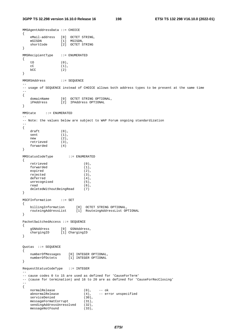```
MMSAgentAddressData ::= CHOICE 
{ 
   eMail-address [0] OCTET STRING,
 mSISDN [1] MSISDN, 
 shortCode [2] OCTET STRING 
} 
MMSRecipientType ::= ENUMERATED 
{ 
    tO (0), 
   \mathsf{c}\mathsf{C} (1),
   bCC (2)
} 
MMSRSAddress ::= SEQUENCE 
-- 
-- usage of SEQUENCE instead of CHOICE allows both address types to be present at the same time 
-{ 
 domainName [0] OCTET STRING OPTIONAL, 
 iPAddress [2] IPAddress OPTIONAL 
} 
MMState ::= ENUMERATED 
-- 
-- Note: the values below are subject to WAP Forum ongoing standardization 
-{ 
   draft (0),<br>sent (1),
   sent
   new (2),<br>retrieved (3),
   retrieved (3)<br>forwarded (4)
   forwarded
} 
MMStatusCodeType ::= ENUMERATED 
{ 
   retrieved (0),
    forwarded (1), 
   expired (2),<br>rejected (3),
   rejected (3),<br>deferred (4),
   deferred (4),<br>intercognised (5),
   unrecognised
   read (6),
    deletedWithoutBeingRead (7) 
} 
MSCFInformation ::= SET 
{ 
 billingInformation [0] OCTET STRING OPTIONAL, 
 routeingAddressList [1] RouteingAddressList OPTIONAL 
} 
PacketSwitchedAccess ::= SEQUENCE 
{ 
 gSNAddress [0] GSNAddress, 
 chargingID [1] ChargingID 
} 
Quotas ::= SEQUENCE 
{ 
    numberOfMessages [0] INTEGER OPTIONAL, 
    numberOfOctets [1] INTEGER OPTIONAL 
} 
RequestStatusCodeType ::= INTEGER 
--- cause codes 0 to 15 are used as defined for 'CauseForTerm' 
-- (cause for termination) and 16 to 20 are as defined for 'CauseForRecClosing' 
-- 
{ 
   normalRelease (0), -- ok<br>abnormalRelease (4), -- er:
   abnormalRelease (4), -- error unspecified
   serviceDenied (30),
   messageFormatCorrupt (31),<br>sendingAddressUnresolved (32),
   sendingAddressUnresolved (32),<br>messaqeNotFound (33),
    messageNotFound (33),
```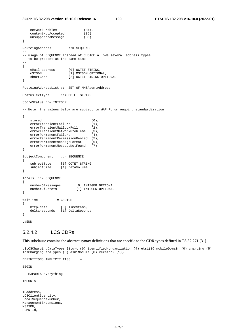```
3GPP TS 32.298 version 16.10.0 Release 16 199 ETSI TS 132 298 V16.10.0 (2022-01)
```

```
 networkProblem (34), 
    contentNotAccepted (35),<br>unsupportedMessage (36)
   unsupportedMessage
} 
RouteingAddress ::= SEQUENCE 
-- 
-- usage of SEQUENCE instead of CHOICE allows several address types 
-- to be present at the same time 
-- 
{ 
   eMail-address [0] OCTET STRING,
    mSISDN [1] MSISDN OPTIONAL, 
    shortCode [2] OCTET STRING OPTIONAL 
} 
RouteingAddressList ::= SET OF MMSAgentAddress 
StatusTextType ::= OCTET STRING 
StoreStatus ::= INTEGER 
-- 
-- Note: the values below are subject to WAP Forum ongoing standardization 
-{ 
   stored (0),
   errorTransientFailure (1),
    errorTransientMailboxFull (2),
   errorTransientNetworkProblems (3),<br>errorPermanentFailure (4),
    errorPermanentFailure (4), 
   errorPermanentPermissionDenied (5),<br>errorPermanentMessageFormat (6),
    errorPermanentMessageFormat (6)<br>errorPermanentMessageNotFound (7)
    errorPermanentMessageNotFound
} 
SubjectComponent ::= SEQUENCE 
{ 
 subjectType [0] OCTET STRING, 
 subjectSize [1] DataVolume 
} 
Totals ::= SEQUENCE 
{ 
   numberOfMessages [0] INTEGER OPTIONAL,
     numberOfOctets [1] INTEGER OPTIONAL 
} 
WaitTime ::= CHOICE 
{ 
   http-date [0] TimeStamp,
    delta-seconds [1] DeltaSeconds 
} 
.#END
```
# 5.2.4.2 LCS CDRs

This subclause contains the abstract syntax definitions that are specific to the CDR types defined in TS 32.271 [31].

.\$LCSChargingDataTypes {itu-t (0) identified-organization (4) etsi(0) mobileDomain (0) charging (5) lcsChargingDataTypes (6) asn1Module (0) version2 (1)}

DEFINITIONS IMPLICIT TAGS ::=

BEGIN

-- EXPORTS everything

IMPORTS

IPAddress, LCSClientIdentity, LocalSequenceNumber, ManagementExtensions, MSISDN, PLMN-Id,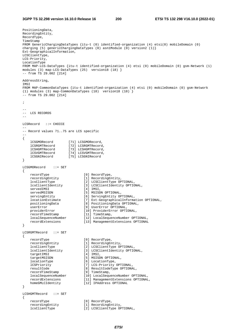```
PositioningData, 
RecordingEntity, 
RecordType, 
TimeStamp 
FROM GenericChargingDataTypes {itu-t (0) identified-organization (4) etsi(0) mobileDomain (0) 
charging (5) genericChargingDataTypes (0) asn1Module (0) version2 (1)} 
Ext-GeographicalInformation, 
LCSClientType, 
LCS-Priority, 
LocationType 
FROM MAP-LCS-DataTypes {itu-t identified-organization (4) etsi (0) mobileDomain (0) gsm-Network (1) 
modules (3) map-LCS-DataTypes (25) version18 (18) } 
-- from TS 29.002 [214] 
AddressString, 
IMSI 
FROM MAP-CommonDataTypes {itu-t identified-organization (4) etsi (0) mobileDomain (0) gsm-Network 
(1) modules (3) map-CommonDataTypes (18) version18 (18) } 
-- from TS 29.002 [214] 
; 
-- 
-- LCS RECORDS 
- -LCSRecord ::= CHOICE 
-- 
-- Record values 71..75 are LCS specific 
-{ 
   lCSGMORecord [71] LCSGMORecord,<br>1CSRGMTRecord [72] LCSRGMTRecord
   lCSRGMTRecord [72] LCSRGMTRecord,<br>lCSHGMTRecord [73] LCSHGMTRecord,
                     ....<br>[73] LCSHGMTRecord,
 lCSVGMTRecord [74] LCSVGMTRecord, 
 lCSGNIRecord [75] LCSGNIRecord 
} 
LCSGMORecord ::= SET 
{ 
 recordType [0] RecordType, 
 recordingEntity [1] RecordingEntity, 
 lcsClientType [2] LCSClientType OPTIONAL, 
 lcsClientIdentity [3] LCSClientIdentity OPTIONAL, 
servedIMSI [4] IMSI,
servedMSISDN [5] MSISDN OPTIONAL,
 servingEntity [6] ServingEntity OPTIONAL, 
 locationEstimate [7] Ext-GeographicalInformation OPTIONAL, 
 positioningData [8] PositioningData OPTIONAL, 
 userError [9] UserError OPTIONAL, 
 providerError [10] ProviderError OPTIONAL, 
recordTimeStamp [11] TimeStamp,
 localSequenceNumber [12] LocalSequenceNumber OPTIONAL, 
 recordExtensions [13] ManagementExtensions OPTIONAL 
} 
LCSRGMTRecord ::= SET 
{ 
 recordType [0] RecordType, 
 recordingEntity [1] RecordingEntity, 
   \begin{tabular}{ll} \texttt{recordingEntity} & \texttt{[1] RecordingEntity} \\ \texttt{losClientType} & \texttt{[2] LCSClientType OPTIMAL} \\ \texttt{losClientIdentity} & \texttt{[3] LCSClientIdentity OPTIO} \\ \end{tabular}[3] LCSClientIdentity OPTIONAL,<br>[4] IMSI,
    ---<br>targetIMSI<br>targetMSISDN
 targetMSISDN [5] MSISDN OPTIONAL, 
 locationType [6] LocationType, 
    lCSPriority [7] LCS-Priority OPTIONAL,<br>resultCode [8] ResultCodeType OPTIONAL,
 resultCode [8] ResultCodeType OPTIONAL, 
 recordTimeStamp [9] TimeStamp, 
 localSequenceNumber [10] LocalSequenceNumber OPTIONAL, 
 recordExtensions [11] ManagementExtensions OPTIONAL, 
 homeGMLCIdentity [12] IPAddress OPTIONAL 
} 
LCSHGMTRecord ::= SET 
{ 
 recordType [0] RecordType, 
 recordingEntity [1] RecordingEntity, 
 lcsClientType [2] LCSClientType OPTIONAL,
```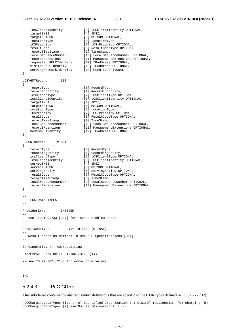#### **3GPP TS 32.298 version 16.10.0 Release 16 201 ETSI TS 132 298 V16.10.0 (2022-01)**

```
lcsClientIdentity [3] LCSClientIdentity OPTIONAL,<br>targetIMSI [4] IMSI,
    targetIMSI
    targetMSISDN [5] MSISDN OPTIONAL,
    locationType [6] LocationType,<br>1CSPriority [7] LCS-Priority
                                [7] LCS-Priority OPTIONAL,<br>[8] ResultCodeType OPTIONAL,
 resultCode [8] ResultCodeType OPTIONAL, 
 recordTimeStamp [9] TimeStamp, 
 localSequenceNumber [10] LocalSequenceNumber OPTIONAL, 
 recordExtensions [11] ManagementExtensions OPTIONAL, 
 requestingGMLCIdentity [12] IPAddress OPTIONAL, 
 visitedGMLCIdentity [13] IPAddress OPTIONAL, 
 servingNetworkIdentity [14] PLMN-Id OPTIONAL 
} 
LCSVGMTRecord ::= SET 
{ 
   recordType [0] RecordType,<br>recordingEntity [1] RecordingEn
   recordingEntity [1] RecordingEntity,<br>lcsClientType [2] LCSClientType OP
    lcsClientType [2] Recording<br>
lcsClientType [2] LCSClientType OPTIONAL,<br>
lcsClientIdentity [3] LCSClientIdentity OPTIO
                                 [3] LCSClientIdentity OPTIONAL,<br>[4] IMSI,
   targetIMSI
   targetMSISDN [5] MSISDN OPTIONAL,<br>locationType [6] LocationType,
 locationType [6] LocationType, 
 lCSPriority [7] LCS-Priority OPTIONAL, 
    resultCode [8] ResultCodeType OPTIONAL, 
   recordTimeStamp
   localSequenceNumber [10] LocalSequenceNumber [10] LocalSequenceNumber OPTIONAL,<br>recordExtensions [11] ManagementExtensions OPTIONAL
    recordExtensions [11] ManagementExtensions OPTIONAL, 
                                il2] IPAddress OPTIONAL
} 
LCSGNIRecord ::= SET 
{ 
    recordType [0] RecordType, 
    recordingEntity [1] RecordingEntity,<br>legClientThro [1] RecordingEntity,
     lcsClientType [2] LCSClientType OPTIONAL, 
    lcsClientIdentity [3] LCSClientIdentity OPTIONAL, 
   servedIMSI [4] IMSI,
   servedMSISDN [5] MSISDN OPTIONAL,<br>servingEntity [6] ServingEntity OP
                                [6] ServingEntity OPTIONAL,
   resultCode [7] ResultCodeType OPTIONAL,<br>
recordTimeStamp [8] TimeStamp,
   recordTimestamp<br>localSequenceNumber
 localSequenceNumber [9] LocalSequenceNumber OPTIONAL, 
 recordExtensions [10] ManagementExtensions OPTIONAL 
} 
-- 
-- LCS DATA TYPES 
-- 
ProviderError ::= INTEGER 
-- 
-- see ITU-T Q.733 [307] for invoke problem codes 
-- 
ResultCodeType ::= INTEGER (0..MAX) 
-- 
-- Result codes as defined in OMA-MLP Specifications [311] 
-- 
ServingEntity ::= AddressString 
UserError ::= OCTET STRING (SIZE (1)) 
-- 
-- see TS 29.002 [214] for error code values 
-
```
END

## 5.2.4.3 PoC CDRs

This subclause contains the abstract syntax definitions that are specific to the CDR types defined in TS 32.272 [32].

POCChargingDataTypes {itu-t (0) identified-organization (4) etsi(0) mobileDomain (0) charging (5) pocChargingDataTypes (7) asn1Module (0) version2 (1)}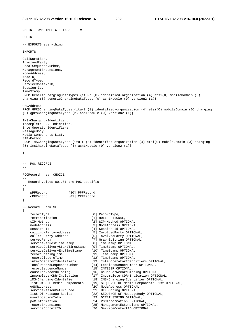DEFINITIONS IMPLICIT TAGS ::=

BEGIN -- EXPORTS everything IMPORTS CallDuration, InvolvedParty, LocalSequenceNumber, ManagementExtensions, NodeAddress, NodeID, RecordType, ServiceContextID, Session-Id, TimeStamp FROM GenericChargingDataTypes {itu-t (0) identified-organization (4) etsi(0) mobileDomain (0) charging (5) genericChargingDataTypes (0) asn1Module (0) version2 (1)} GSNAddress FROM GPRSChargingDataTypes {itu-t (0) identified-organization (4) etsi(0) mobileDomain (0) charging (5) gprsChargingDataTypes (2) asn1Module (0) version2 (1)} IMS-Charging-Identifier, Incomplete-CDR-Indication, InterOperatorIdentifiers, MessageBody, Media-Components-List, SIP-Method FROM IMSChargingDataTypes {itu-t (0) identified-organization (4) etsi(0) mobileDomain (0) charging (5) imsChargingDataTypes (4) asn1Module (0) version2 (1)} ; -- -- POC RECORDS -- POCRecord ::= CHOICE -- -- Record values 80..81 are PoC specific -- { pPFRecord [80] PPFRecord, cPFRecord [81] CPFRecord } PPFRecord ::= SET { recordType [0] RecordType, retransmission [1] NULL OPTIONAL,<br>sIP-Method [2] SIP-Method OPT sIP-Method [2] SIP-Method OPTIONAL,<br>nodeAddress [3] NodeAddress OPTIONAL, nodeAddress [3] NodeAddress OPTIONAL,<br>session-Id [4] Session-Id OPTIONAL, [4] Session-Id OPTIONAL, calling-Party-Address [5] InvolvedParty OPTIONAL, called-Party-Address [6] InvolvedParty OPTIONAL, servedParty [7] GraphicString OPTIONAL, serviceRequestTimeStamp [8] TimeStamp OPTIONAL, serviceDeliveryStartTimeStamp [9] TimeStamp OPTIONAL,<br>serviceDeliveryEndTimeStamp [10] TimeStamp OPTIONAL,<br>[11] TimeStamp OPTIONAL, serviceDeliveryEndTimeStamp [10] TimeStamp OPTIONAL, recordOpeningTime [11] TimeStamp OPTIONAL, recordClosureTime [12] TimeStamp OPTIONAL, interOperatorIdentifiers [13] InterOperatorIdentifiers OPTIONAL, localRecordSequenceNumber [14] LocalSequenceNumber OPTIONAL, recordSequenceNumber [15] INTEGER OPTIONAL, causeForRecordClosing [16] CauseForRecordClosing OPTIONAL, incomplete-CDR-Indication [17] Incomplete-CDR-Indication OPTIONAL, iMS-Charging-Identifier [18] IMS-Charging-Identifier OPTIONAL, list-Of-SDP-Media-Components [19] SEQUENCE OF Media-Components-List OPTIONAL, gGSNaddress [20] NodeAddress OPTIONAL, serviceReasonReturnCode [21] UTF8String OPTIONAL,<br>list-Of-Messaqe-Bodies [22] SEQUENCE OF MessageB [22] SEQUENCE OF MessageBody OPTIONAL, userLocationInfo [23] OCTET STRING OPTIONAL, poCInformation [24] POCInformation OPTIONAL,<br>recordExtensions [25] ManagementExtensions OPT [25] ManagementExtensions OPTIONAL, serviceContextID [26] ServiceContextID OPTIONAL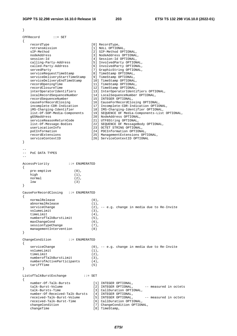| $\}$                                                                                                                                                                                                                                                                                                                                                                                                                                                                                                                                                                                                         |                                                                                                                                                                                                                                                                                                                                                                                                                                                                                                                                                                                                                                                                                                                                                                                                                                                                            |
|--------------------------------------------------------------------------------------------------------------------------------------------------------------------------------------------------------------------------------------------------------------------------------------------------------------------------------------------------------------------------------------------------------------------------------------------------------------------------------------------------------------------------------------------------------------------------------------------------------------|----------------------------------------------------------------------------------------------------------------------------------------------------------------------------------------------------------------------------------------------------------------------------------------------------------------------------------------------------------------------------------------------------------------------------------------------------------------------------------------------------------------------------------------------------------------------------------------------------------------------------------------------------------------------------------------------------------------------------------------------------------------------------------------------------------------------------------------------------------------------------|
| CPFRecord<br>$\cdots$ SET<br>$\mathcal{L}$                                                                                                                                                                                                                                                                                                                                                                                                                                                                                                                                                                   |                                                                                                                                                                                                                                                                                                                                                                                                                                                                                                                                                                                                                                                                                                                                                                                                                                                                            |
| recordType<br>retransmission<br>sIP-Method<br>nodeAddress<br>session-Id<br>calling-Party-Address<br>called-Party-Address<br>servedParty<br>serviceRequestTimeStamp<br>serviceDeliveryStartTimeStamp<br>serviceDeliveryEndTimeStamp<br>recordOpeningTime<br>recordClosureTime<br>interOperatorIdentifiers<br>localRecordSequenceNumber<br>recordSequenceNumber<br>causeForRecordClosing<br>incomplete-CDR-Indication<br>iMS-Charging-Identifier<br>list-Of-SDP-Media-Components<br>qGSNaddress<br>serviceReasonReturnCode<br>list-Of-Message-Bodies<br>userLocationInfo<br>poCInformation<br>recordExtensions | [0] RecordType,<br>[1] NULL OPTIONAL,<br>[2] SIP-Method OPTIONAL,<br>[3] NodeAddress OPTIONAL,<br>[4] Session-Id OPTIONAL,<br>[5] InvolvedParty OPTIONAL,<br>[6] InvolvedParty OPTIONAL,<br>[7] GraphicString OPTIONAL,<br>[8] TimeStamp OPTIONAL,<br>[9] TimeStamp OPTIONAL,<br>[10] TimeStamp OPTIONAL,<br>[11] TimeStamp OPTIONAL,<br>[12] TimeStamp OPTIONAL,<br>[13] InterOperatorIdentifiers OPTIONAL,<br>[14] LocalSequenceNumber OPTIONAL,<br>[15] INTEGER OPTIONAL,<br>[16] CauseForRecordClosing OPTIONAL,<br>[17] Incomplete-CDR-Indication OPTIONAL,<br>[18] IMS-Charging-Identifier OPTIONAL,<br>[19] SEQUENCE OF Media-Components-List OPTIONAL,<br>[20] NodeAddress OPTIONAL,<br>[21] UTF8String OPTIONAL,<br>[22] SEQUENCE OF MessageBody OPTIONAL,<br>[23] OCTET STRING OPTIONAL,<br>[24] POCInformation OPTIONAL,<br>[25] ManagementExtensions OPTIONAL, |
| serviceContextID<br>}                                                                                                                                                                                                                                                                                                                                                                                                                                                                                                                                                                                        | [26] ServiceContextID OPTIONAL                                                                                                                                                                                                                                                                                                                                                                                                                                                                                                                                                                                                                                                                                                                                                                                                                                             |
| POC DATA TYPES<br>AccessPriority<br>$: :=$ ENUMERATED<br>$\mathcal{L}$                                                                                                                                                                                                                                                                                                                                                                                                                                                                                                                                       |                                                                                                                                                                                                                                                                                                                                                                                                                                                                                                                                                                                                                                                                                                                                                                                                                                                                            |
| pre-emptive<br>$(0)$ ,<br>high<br>$(1)$ ,<br>normal<br>$(2)$ ,<br>1 <sub>ow</sub>                                                                                                                                                                                                                                                                                                                                                                                                                                                                                                                            |                                                                                                                                                                                                                                                                                                                                                                                                                                                                                                                                                                                                                                                                                                                                                                                                                                                                            |
| (3)<br>}                                                                                                                                                                                                                                                                                                                                                                                                                                                                                                                                                                                                     |                                                                                                                                                                                                                                                                                                                                                                                                                                                                                                                                                                                                                                                                                                                                                                                                                                                                            |
| CauseForRecordClosinq<br>$: :=$ ENUMERATED<br>₹                                                                                                                                                                                                                                                                                                                                                                                                                                                                                                                                                              |                                                                                                                                                                                                                                                                                                                                                                                                                                                                                                                                                                                                                                                                                                                                                                                                                                                                            |
| normalRelease<br>abnormalRelease<br>serviceChange<br>volumeLimit<br>timeLimit<br>numberofTalkBurstLimit<br>maxChangeCond<br>sessionTypeChange<br>managementIntervention<br>}                                                                                                                                                                                                                                                                                                                                                                                                                                 | $(0)$ ,<br>$(1)$ ,<br>(2), -- e.g. change in media due to Re-Invite<br>$(3)$ ,<br>$(4)$ ,<br>$(5)$ ,<br>$(6)$ ,<br>$(7)$ ,<br>(8)                                                                                                                                                                                                                                                                                                                                                                                                                                                                                                                                                                                                                                                                                                                                          |
|                                                                                                                                                                                                                                                                                                                                                                                                                                                                                                                                                                                                              |                                                                                                                                                                                                                                                                                                                                                                                                                                                                                                                                                                                                                                                                                                                                                                                                                                                                            |
| ChangeCondition<br>$: :=$ ENUMERATED<br>$\{$<br>serviceChange<br>volumeLimit<br>timeLimit<br>numberofTalkBurstLimit<br>numberofActiveParticipants<br>tariffTime<br>}                                                                                                                                                                                                                                                                                                                                                                                                                                         | $(0)$ , -- e.g. change in media due to Re-Invite<br>$(1)$ ,<br>$(2)$ ,<br>$(3)$ ,<br>$(4)$ ,<br>(5)                                                                                                                                                                                                                                                                                                                                                                                                                                                                                                                                                                                                                                                                                                                                                                        |
| ListofTalkBurstExchange<br>$\mathbf{f} := \mathbf{SET}$                                                                                                                                                                                                                                                                                                                                                                                                                                                                                                                                                      |                                                                                                                                                                                                                                                                                                                                                                                                                                                                                                                                                                                                                                                                                                                                                                                                                                                                            |
| $\{$<br>number-Of-Talk-Bursts<br>talk-Burst-Volume<br>talk-Bursts-Time<br>number-Of-Received-Talk-Bursts<br>received-Talk-Burst-Volume<br>received-Talk-Burst-Time<br>changeCondition<br>changeTime                                                                                                                                                                                                                                                                                                                                                                                                          | [1] INTEGER OPTIONAL,<br>-- measured in octets<br>[2] INTEGER OPTIONAL,<br>[3] CallDuration OPTIONAL,<br>[4] INTEGER OPTIONAL,<br>[5] INTEGER OPTIONAL,<br>-- measured in octets<br>[6] CallDuration OPTIONAL,<br>[7] ChangeCondition OPTIONAL,<br>[8] TimeStamp,                                                                                                                                                                                                                                                                                                                                                                                                                                                                                                                                                                                                          |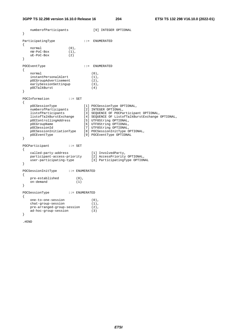| }      | numberofParticipants                                                                                                                                                                                           |                                     | [9] INTEGER OPTIONAL                                                                                                                                                                                                                                                                                        |
|--------|----------------------------------------------------------------------------------------------------------------------------------------------------------------------------------------------------------------|-------------------------------------|-------------------------------------------------------------------------------------------------------------------------------------------------------------------------------------------------------------------------------------------------------------------------------------------------------------|
| {<br>} | ParticipatingType<br>normal<br>nW-PoC-Box<br>uE-PoC-Box                                                                                                                                                        | $(0)$ ,<br>$(1)$ ,<br>(2)           | $: :=$ ENUMERATED                                                                                                                                                                                                                                                                                           |
| ₹<br>ł | POCEventType<br>normal<br>instantPersonalAlert<br>pOCGroupAdvertisement<br>earlySessionSettingup<br>pOCTalkBurst                                                                                               |                                     | $: :=$ ENUMERATED<br>$(0)$ ,<br>$(1)$ ,<br>$(2)$ ,<br>$(3)$ ,<br>(4)                                                                                                                                                                                                                                        |
| ₹<br>ł | POCInformation<br>pOCSessionType<br>numberofParticipants<br>listofParticipants<br>listofTalkBurstExchange<br>pOCControllingAddress<br>pOCGroupName<br>pOCSessionId<br>pOCSessionInitiationType<br>pOCEventType | $\cdot \cdot = \text{SET}$          | [1] POCSessionType OPTIONAL,<br>[2] INTEGER OPTIONAL,<br>[3] SEQUENCE OF POCParticipant OPTIONAL,<br>[4] SEQUENCE OF ListofTalkBurstExchange OPTIONAL,<br>[5] UTF8String OPTIONAL,<br>[6] UTF8String OPTIONAL,<br>[7] UTF8String OPTIONAL,<br>[8] POCSessionInitType OPTIONAL,<br>[9] POCEventType OPTIONAL |
| ₹<br>} | POCParticipant<br>called-party-address<br>participant-access-priority<br>user-participating-type                                                                                                               | $\mathbf{f} := \mathbf{SET}$        | [1] InvolvedParty,<br>[2] AccessPriority OPTIONAL,<br>[3] ParticipatingType OPTIONAL                                                                                                                                                                                                                        |
| ₹<br>} | POCSessionInitType<br>pre-established<br>on-demand                                                                                                                                                             | $: :=$ ENUMERATED<br>$(0)$ ,<br>(1) |                                                                                                                                                                                                                                                                                                             |
| ₹<br>} | POCSessionType<br>one-to-one-session<br>chat-group-session<br>pre-arranged-group-session<br>ad-hoc-group-session                                                                                               | $: :=$ ENUMERATED                   | $(0)$ ,<br>$(1)$ ,<br>$(2)$ ,<br>(3)                                                                                                                                                                                                                                                                        |

.#END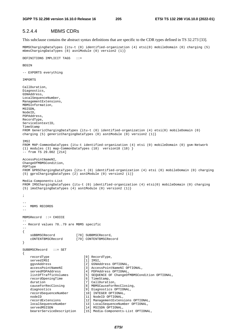## 5.2.4.4 MBMS CDRs

This subclause contains the abstract syntax definitions that are specific to the CDR types defined in TS 32.273 [33].

MBMSChargingDataTypes {itu-t (0) identified-organization (4) etsi(0) mobileDomain (0) charging (5) mbmsChargingDataTypes (8) asn1Module (0) version2 (1)}

```
DEFINITIONS IMPLICIT TAGS ::=
```
**BEGIN** 

```
-- EXPORTS everything
```
IMPORTS

```
CallDuration, 
Diagnostics, 
GSNAddress, 
LocalSequenceNumber, 
ManagementExtensions, 
MBMSInformation, 
MSISDN, 
NodeID, 
PDPAddress, 
RecordType, 
ServiceContextID, 
TimeStamp 
FROM GenericChargingDataTypes {itu-t (0) identified-organization (4) etsi(0) mobileDomain (0) 
charging (5) genericChargingDataTypes (0) asn1Module (0) version2 (1)} 
IMSI 
FROM MAP-CommonDataTypes {itu-t identified-organization (4) etsi (0) mobileDomain (0) gsm-Network 
(1) modules (3) map-CommonDataTypes (18) version18 (18) } 
-- from TS 29.002 [214] 
AccessPointNameNI, 
ChangeOfMBMSCondition, 
PDPType 
FROM GPRSChargingDataTypes {itu-t (0) identified-organization (4) etsi (0) mobileDomain (0) charging 
(5) gprsChargingDataTypes (2) asn1Module (0) version2 (1)} 
Media-Components-List 
FROM IMSChargingDataTypes {itu-t (0) identified-organization (4) etsi(0) mobileDomain (0) charging 
(5) imsChargingDataTypes (4) asn1Module (0) version2 (1)} 
; 
-- 
-- MBMS RECORDS 
-- 
MBMSRecord ::= CHOICE 
-- 
-- Record values 78..79 are MBMS specific 
-- 
{ 
    sUBBMSCRecord [78] SUBBMSCRecord<br>cONTENTBMSCRecord [79] CONTENTBMSCRec
                             cONTENTBMSCRecord [79] CONTENTBMSCRecord 
} 
SUBBMSCRecord ::= SET 
{ 
    recordType [0] RecordType,<br>servedIMSI [1] TMST
    servedIMSI [1] IMSI,<br>qqsnAddress [2] GSNAd
    ggsnAddress [2] GSNAddress OPTIONAL,<br>accessPointNameNI [3] AccessPointNameNI OP
                                 [3] AccessPointNameNI OPTIONAL,
     servedPDPAddress [4] PDPAddress OPTIONAL, 
     listOfTrafficVolumes [5] SEQUENCE OF ChangeOfMBMSCondition OPTIONAL, 
     recordOpeningTime [6] TimeStamp, 
    duration [7] CallDuration,<br>causeForRecClosing [8] MBMSCauseForR
                                  [8] MBMSCauseForRecClosing,
    diagnostics [9] Diagnostics OPTIONAL,
     recordSequenceNumber [10] INTEGER OPTIONAL, 
    nodeID [11] NodeID OPTIONAL,<br>recordExtensions [12] ManagementExtens
     recordExtensions [12] ManagementExtensions OPTIONAL, 
                                 lis, names, extending the control of the sequence Number OPTIONAL,
    servedMSISDN [14] MSISDN OPTIONAL,
     bearerServiceDescription [15] Media-Components-List OPTIONAL,
```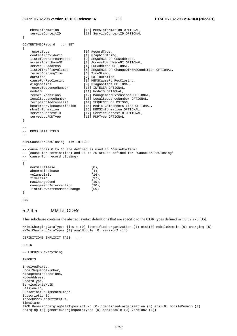```
 mbmsInformation [16] MBMSInformation OPTIONAL, 
   serviceContextID [17] ServiceContextID OPTIONAL
} 
CONTENTBMSCRecord ::= SET 
{ 
   recordType [0] RecordType,<br>contentProviderId [1] GraphicStri
                             [1] GraphicString,
    listofDownstreamNodes [2] SEQUENCE OF GSNAddress, 
   accessPointNameNI [3] AccessPointNameNI OPTIONAL,
   servedPDPAddress [4] PDPAddress OPTIONAL,
   listOfTrafficVolumes [5] SEQUENCE OF ChangeOfMBMSCondition OPTIONAL,<br>recordOpeningTime [6] TimeStamp,
   recordOpeningTime
   duration [7] CallDuration,<br>causeForRecClosing [8] MBMSCauseForR
                              [8] MBMSCauseForRecClosing,
   diagnostics [9] Diagnostics OPTIONAL,
    recordSequenceNumber [10] INTEGER OPTIONAL, 
   nodeID [11] NodeID OPTIONAL,<br>recordExtensions [12] ManagementExtens
                             [12] ManagementExtensions OPTIONAL,
 localSequenceNumber [13] LocalSequenceNumber OPTIONAL, 
 recipientAddressList [14] SEQUENCE OF MSISDN, 
    bearerServiceDescription [15] Media-Components-List OPTIONAL, 
 mbmsInformation [16] MBMSInformation OPTIONAL, 
 serviceContextID [17] ServiceContextID OPTIONAL, 
   servedpdpPDNType [18] PDPType OPTIONAL
} 
-- 
-- MBMS DATA TYPES 
-MBMSCauseForRecClosing ::= INTEGER 
-- 
-- cause codes 0 to 15 are defined as used in 'CauseForTerm' 
-- (cause for termination) and 16 to 20 are as defined for 'CauseForRecClosing' 
-- (cause for record closing) 
-- 
{ 
   normalRelease (0),
   abnormalRelease (4),
   volumeLimit (16),<br>timeLimit (17),
   timeLimit
   maxChangeCond (19),
   managementIntervention (20),
    listofDownstreamNodeChange (59) 
}
```

```
END
```
### 5.2.4.5 MMTel CDRs

This subclause contains the abstract syntax definitions that are specific to the CDR types defined in TS 32.275 [35].

MMTelChargingDataTypes {itu-t (0) identified-organization (4) etsi(0) mobileDomain (0) charging (5) mMTelChargingDataTypes (9) asn1Module (0) version2 (1)}

DEFINITIONS IMPLICIT TAGS ::=

**BEGIN** 

```
-- EXPORTS everything
```
IMPORTS

```
InvolvedParty, 
LocalSequenceNumber, 
ManagementExtensions, 
NodeAddress, 
RecordType, 
ServiceContextID, 
Session-Id, 
SubscriberEquipmentNumber, 
SubscriptionID, 
ThreeGPPPSDataOffStatus, 
TimeStamp 
FROM GenericChargingDataTypes {itu-t (0) identified-organization (4) etsi(0) mobileDomain (0) 
charging (5) genericChargingDataTypes (0) asn1Module (0) version2 (1)}
```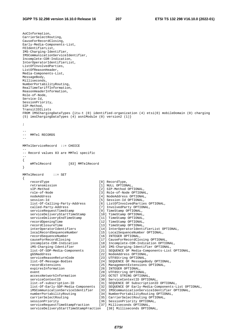AoCInformation, CarrierSelectRouting, CauseForRecordClosing, Early-Media-Components-List, FEIdentifierList, IMS-Charging-Identifier, IMSCommunicationServiceIdentifier, Incomplete-CDR-Indication, InterOperatorIdentifierList, ListOfInvolvedParties, ListOfReasonHeader, Media-Components-List, MessageBody, Milliseconds, NumberPortabilityRouting, RealTimeTariffInformation, ReasonHeaderInformation, Role-of-Node, Service-Id, SessionPriority, SIP-Method, TransitIOILists FROM IMSChargingDataTypes {itu-t (0) identified-organization (4) etsi(0) mobileDomain (0) charging (5) imsChargingDataTypes (4) asn1Module (0) version2 (1)} ; -- -- MMTel RECORDS -- MMTelServiceRecord ::= CHOICE -- -- Record values 83 are MMTel specific -- { mMTelRecord [83] MMTelRecord } MMTelRecord ::= SET { recordType  $[0]$  RecordType retransmission [1] NULL OPTIONAL, sIP-Method  $[2]$  SIP-Method OPTIONAL,<br>role-of-Node  $[3]$  Role-of-Node OPTIONA [3] Role-of-Node OPTIONAL, nodeAddress [4] NodeAddress OPTIONAL, session-Id [5] Session-Id OPTIONAL, list-Of-Calling-Party-Address [6] ListOfInvolvedParties OPTIONAL, called-Party-Address [7] InvolvedParty OPTIONAL, serviceRequestTimeStamp [9] TimeStamp OPTIONAL, serviceDeliveryStartTimeStamp [10] TimeStamp OPTIONAL, serviceDeliveryEndTimeStamp [11] TimeStamp OPTIONAL, recordOpeningTime [12] TimeStamp OPTIONAL, recordClosureTime [13] TimeStamp OPTIONAL, interOperatorIdentifiers [14] InterOperatorIdentifierList OPTIONAL, localRecordSequenceNumber [15] LocalSequenceNumber OPTIONAL, recordSequenceNumber [16] INTEGER OPTIONAL, causeForRecordClosing [17] CauseForRecordClosing OPTIONAL, incomplete-CDR-Indication [18] Incomplete-CDR-Indication OPTIONAL, iMS-Charging-Identifier [19] IMS-Charging-Identifier OPTIONAL, list-Of-SDP-Media-Components [21] SEQUENCE OF Media-Components-List OPTIONAL, gGSNaddress [22] NodeAddress OPTIONAL, serviceReasonReturnCode [23] UTF8String OPTIONAL, list-Of-Message-Bodies [24] SEQUENCE OF MessageBody OPTIONAL, recordExtensions [25] ManagementExtensions OPTIONAL, expiresInformation [26] INTEGER OPTIONAL,<br>event [28] ITERString OPTION [28] UTF8String OPTIONAL,<br>[29] OCTET STRING OPTIONAL, event<br>accessNetworkInformation serviceContextID [30] ServiceContextID OPTIONAL, list-of-subscription-ID [31] SEQUENCE OF SubscriptionID OPTIONAL, list-Of-Early-SDP-Media-Components [32] SEQUENCE OF Early-Media-Components-List OPTIONAL, iMSCommunicationServiceIdentifier [33] IMSCommunicationServiceIdentifier OPTIONAL, numberPortabilityRouting [34] NumberPortabilityRouting OPTIONAL, carrierSelectRouting [35] CarrierSelectRouting OPTIONAL, sessionPriority [36] SessionPriority OPTIONAL, serviceRequestTimeStampFraction [37] Milliseconds OPTIONAL, serviceDeliveryStartTimeStampFraction [38] Milliseconds OPTIONAL,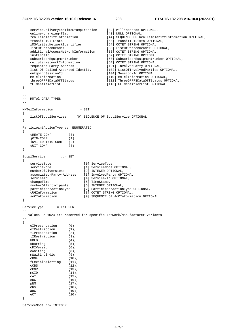```
serviceDeliveryEndTimeStampFraction [39] Milliseconds OPTIONAL,
   online-charging-flag [43] NULL OPTIONAL,<br>realTimeTariffInformation [44] SEQUENCE OF Re
   realTimeTariffInformation [44] SEQUENCE OF RealTimeTariffInformation OPTIONAL,<br>transit-IOI-Lists [53] TransitIOILists OPTIONAL,
                                        [53] TransitIOILists OPTIONAL,
    iMSVisitedNetworkIdentifier [54] OCTET STRING OPTIONAL, 
 listOfReasonHeader [55] ListOfReasonHeader OPTIONAL, 
 additionalAccessNetworkInformation [56] OCTET STRING OPTIONAL, 
 instanceId [57] OCTET STRING OPTIONAL, 
   subscriberEquipmentNumber [58] SubscriberEquipmentNumber OPTIONAL,<br>
cellularNetworkInformation [64] OCTET STRING OPTIONAL,<br>
requested-Party-Address [101] InvolvedBarty OPTIONAL
 cellularNetworkInformation [64] OCTET STRING OPTIONAL, 
 requested-Party-Address [101] InvolvedParty OPTIONAL, 
 list-Of-Called-Asserted-Identity [102] ListOfInvolvedParties OPTIONAL, 
 outgoingSessionId [104] Session-Id OPTIONAL, 
 mMTelInformation [110] MMTelInformation OPTIONAL, 
    threeGPPPSDataOffStatus [112] ThreeGPPPSDataOffStatus OPTIONAL, 
                                         [113] FEIdentifierList OPTIONAL
} 
-- 
-- MMTel DATA TYPES 
-- 
MMTelInformation ::= SET 
{ 
    listOfSupplServices [0] SEQUENCE OF SupplService OPTIONAL 
} 
ParticipantActionType ::= ENUMERATED 
{ 
   \mathtt{c}\mathtt{REATE}\mathtt{-}\mathtt{CONF} \qquad\qquad\qquad\qquad\qquad\texttt{(0)},jOTN-CONF (1),
   iNVITED-INTO-CONF (2),<br>
G<sup>IIIT</sup>-CONF (3)
   qUIT-CONF (3) 
} 
SupplService ::= SET 
{ 
serviceType [0] ServiceType,
serviceMode [1] ServiceMode OPTIONAL,
 numberOfDiversions [2] INTEGER OPTIONAL, 
    associated-Party-Address [3] InvolvedParty OPTIONAL, 
    serviceId [4] Service-Id OPTIONAL,
    changeTime [5] TimeStamp,
    numberOfParticipants [6] INTEGER OPTIONAL, 
    participantActionType [7] ParticipantActionType OPTIONAL, 
    cUGInformation [8] OCTET STRING OPTIONAL, 
    aoCInformation [9] SEQUENCE OF AoCInformation OPTIONAL 
} 
ServiceType ::= INTEGER 
- -
-- Values ≥ 1024 are reserved for specific Network/Manufacturer variants 
-- 
{ 
    oIPresentation (0), 
   oIRestriction (1),<br>tIPresentation (2),
   tIPresentation (2),<br>
+TRestriction (3),
   tIRestriction
   hOLD (4),<br>cBarring (5),
   cBarring
    cDIVersion (6), 
    cWaiting (8), 
   mWaitingIndic (9),
    cONF (10), 
   fLexibleAlerting (11),<br>cCBS (12),
   cCBS (12), \text{cCNR} (13).
                       (13),
   mCID (14),<br>cAT (15),
                       (15),
    cUG (16), 
    pNM (17), 
   CRS (18),
    aoC (19), 
    eCT (20) 
} 
ServiceMode ::= INTEGER
```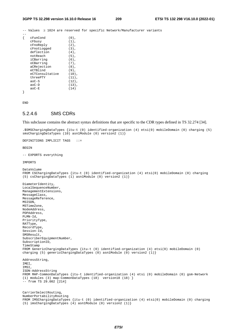-- Values ≥ 1024 are reserved for specific Network/Manufacturer variants  $-$ 

| cFunCond        | $(0)$ ,  |
|-----------------|----------|
|                 |          |
| cFbusy          | $(1)$ ,  |
| cFnoReply       | $(2)$ ,  |
| cFnotLogged     | $(3)$ ,  |
| deflection      | $(4)$ ,  |
| notReach        | $(5)$ ,  |
| iCBarring       | $(6)$ .  |
| oCBarrinq       | $(7)$ ,  |
| aCRejection     | $(8)$ ,  |
| eCTBlind        | $(9)$ ,  |
| eCTConsultative | $(10)$ , |
| threePTY        | $(11)$ , |
| $a_0C-S$        | $(12)$ , |
| $a_0C-D$        | $(13)$ , |
| $a_0C-F$        | (14)     |
|                 |          |

END

### 5.2.4.6 SMS CDRs

This subclause contains the abstract syntax definitions that are specific to the CDR types defined in TS 32.274 [34].

```
.$SMSChargingDataTypes {itu-t (0) identified-organization (4) etsi(0) mobileDomain (0) charging (5) 
smsChargingDataTypes (10) asn1Module (0) version2 (1)} 
DEFINITIONS IMPLICIT TAGS ::= 
BEGIN 
-- EXPORTS everything 
IMPORTS 
DataVolume 
FROM CSChargingDataTypes {itu-t (0) identified-organization (4) etsi(0) mobileDomain (0) charging 
(5) csChargingDataTypes (1) asn1Module (0) version2 (1)} 
DiameterIdentity, 
LocalSequenceNumber, 
ManagementExtensions, 
MessageClass, 
MessageReference, 
MSISDN, 
MSTimeZone, 
NodeAddress, 
PDPAddress, 
PLMN-Id, 
PriorityType, 
RATType, 
RecordType, 
Session-Id, 
SMSResult, 
SubscriberEquipmentNumber, 
SubscriptionID, 
TimeStamp 
FROM GenericChargingDataTypes {itu-t (0) identified-organization (4) etsi(0) mobileDomain (0) 
charging (5) genericChargingDataTypes (0) asn1Module (0) version2 (1)} 
AddressString, 
IMEI, 
TMST
ISDN-AddressString 
FROM MAP-CommonDataTypes {itu-t identified-organization (4) etsi (0) mobileDomain (0) gsm-Network 
(1) modules (3) map-CommonDataTypes (18) version18 (18) } 
-- from TS 29.002 [214] 
CarrierSelectRouting, 
NumberPortabilityRouting 
FROM IMSChargingDataTypes {itu-t (0) identified-organization (4) etsi(0) mobileDomain (0) charging 
(5) imsChargingDataTypes (4) asn1Module (0) version2 (1)}
```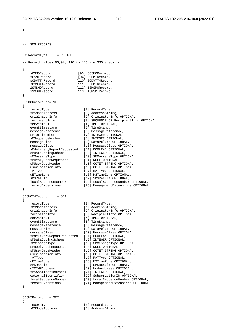```
; 
-- 
-- SMS RECORDS 
-- 
SMSRecordType ::= CHOICE 
-- 
-- Record values 93,94, 110 to 113 are SMS specific. 
-- 
{ 
  sCSMORecord [93] SCSMORecord,
  sCSMTRecord [94] SCSMTRecord,<br>sCDVTT4Record [110] SCDVTT4Record<br>sCSMOT4Record [111] SCSMTRecord,<br>[111] SCSMTRecord,
sCDVTT4Record [110] SCDVTT4Record,
sCSMOT4Record [111] SCSMTRecord,
 iSMSMORecord [112] ISMSMORecord, 
 iSMSMTRecord [113] ISMSMTRecord 
} 
SCSMORecord ::= SET 
{ 
 recordType [0] RecordType, 
sMSNodeAddress [1] AddressString,
 originatorInfo [2] OriginatorInfo OPTIONAL, 
 recipientInfo [3] SEQUENCE OF RecipientInfo OPTIONAL, 
servedIMEI [4] IMEI OPTIONAL,
eventtimestamp [5] TimeStamp,
 messageReference [6] MessageReference, 
sMTotalNumber [7] INTEGER OPTIONAL,
 sMSequenceNumber [8] INTEGER OPTIONAL, 
 messageSize [9] DataVolume OPTIONAL, 
 messageClass [10] MessageClass OPTIONAL, 
 sMdeliveryReportRequested [11] BOOLEAN OPTIONAL, 
 sMDataCodingScheme [12] INTEGER OPTIONAL, 
 sMMessageType [13] SMMessageType OPTIONAL, 
 sMReplyPathRequested [14] NULL OPTIONAL, 
 sMUserDataHeader [15] OCTET STRING OPTIONAL, 
 userLocationInfo [16] OCTET STRING OPTIONAL, 
rATType [17] RATType OPTIONAL,
 uETimeZone [18] MSTimeZone OPTIONAL, 
sMSResult [19] SMSResult OPTIONAL,
 localSequenceNumber [22] LocalSequenceNumber OPTIONAL, 
 recordExtensions [23] ManagementExtensions OPTIONAL 
} 
SCSMOT4Record ::= SET 
{ 
 recordType [0] RecordType, 
sMSNodeAddress [1] AddressString,
 originatorInfo [2] OriginatorInfo OPTIONAL, 
 recipientInfo [3] RecipientInfo OPTIONAL, 
servedIMEI [4] IMEI OPTIONAL,
eventtimestamp [5] TimeStamp,
 messageReference [6] MessageReference, 
 messageSize [9] DataVolume OPTIONAL, 
 messageClass [10] MessageClass OPTIONAL, 
 sMdeliveryReportRequested [11] BOOLEAN OPTIONAL, 
 sMDataCodingScheme [12] INTEGER OPTIONAL, 
 sMMessageType [13] SMMessageType OPTIONAL, 
 sMReplyPathRequested [14] NULL OPTIONAL, 
 sMUserDataHeader [15] OCTET STRING OPTIONAL, 
 userLocationInfo [16] OCTET STRING OPTIONAL, 
rATType [17] RATType OPTIONAL,
uETimeZone [18] MSTimeZone OPTIONAL,
sMSResult [19] SMSResult OPTIONAL,
 mTCIWFAddress [20] NodeAddress OPTIONAL, 
 sMSApplicationPortID [21] INTEGER OPTIONAL, 
 externalIdentifier [22] SubscriptionID OPTIONAL, 
 localSequenceNumber [23] LocalSequenceNumber OPTIONAL, 
 recordExtensions [24] ManagementExtensions OPTIONAL 
} 
SCSMTRecord ::= SET
```
recordType [0] RecordType,<br>sMSNodeAddress [1] AddressStri

{

- [1] AddressString,
	- *ETSI*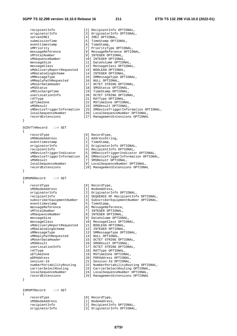| recipientInfo                                                         | [2] RecipientInfo OPTIONAL,                                         |
|-----------------------------------------------------------------------|---------------------------------------------------------------------|
| originatorInfo                                                        | [3] OriginatorInfo OPTIONAL,                                        |
| servedIMEI                                                            | [4] IMEI OPTIONAL,                                                  |
| submissionTime                                                        | [5] TimeStamp OPTIONAL,                                             |
| eventtimestamp<br>sMPriority                                          | [6] TimeStamp,<br>[7] PriorityType OPTIONAL,                        |
| messageReference                                                      | [8] MessageReference OPTIONAL,                                      |
| sMTotalNumber                                                         | [9] INTEGER OPTIONAL,                                               |
| sMSequenceNumber                                                      | [10] INTEGER OPTIONAL,                                              |
| messageSize                                                           | [11] DataVolume OPTIONAL,                                           |
| messageClass                                                          | [12] MessageClass OPTIONAL,                                         |
| sMdeliveryReportRequested                                             | [13] BOOLEAN OPTIONAL,                                              |
| sMDataCodingScheme                                                    | [14] INTEGER OPTIONAL,                                              |
| sMMessageType                                                         | [15] SMMessageType OPTIONAL,                                        |
| sMReplyPathRequested                                                  | [16] NULL OPTIONAL,                                                 |
| sMUserDataHeader<br>sMSStatus                                         | [17] OCTET STRING OPTIONAL,<br>[18] SMSStatus OPTIONAL,             |
| sMDischargeTime                                                       | [19] TimeStamp OPTIONAL,                                            |
| userLocationInfo                                                      | [20] OCTET STRING OPTIONAL,                                         |
| rATType                                                               | [21] RATType OPTIONAL,                                              |
| uETimeZone                                                            | [22] MSTimeZone OPTIONAL,                                           |
| sMSResult                                                             | [23] SMSResult OPTIONAL,                                            |
| sMDeviceTriggerInformation                                            | [25] SMDeviceTriggerInformation OPTIONAL,                           |
| localSequenceNumber                                                   | [26] LocalSequenceNumber OPTIONAL,                                  |
| recordExtensions                                                      | [27] ManagementExtensions OPTIONAL                                  |
| }                                                                     |                                                                     |
| SCDVTT4Record<br>$\mathcal{L} := \mathcal{S} \mathcal{E} \mathcal{T}$ |                                                                     |
| $\mathcal{L}$                                                         |                                                                     |
| recordType                                                            | [0] RecordType,                                                     |
| sMSNodeAddress                                                        | [1] AddressString,                                                  |
| eventtimestamp                                                        | [2] TimeStamp,                                                      |
| originatorInfo                                                        | [3] OriginatorInfo OPTIONAL,                                        |
| recipientInfo                                                         | [4] RecipientInfo OPTIONAL,                                         |
| sMDeviceTriggerIndicator                                              | [5] SMDeviceTriggerIndicator OPTIONAL,                              |
| sMDeviceTriggerInformation<br>sMSResult                               | [6] SMDeviceTriggerInformation OPTIONAL,<br>[7] SMSResult OPTIONAL, |
|                                                                       | [9] LocalSequenceNumber OPTIONAL,                                   |
|                                                                       |                                                                     |
| localSequenceNumber                                                   |                                                                     |
| recordExtensions                                                      | [10] ManagementExtensions OPTIONAL                                  |
| }                                                                     |                                                                     |
| ISMSMORecord<br>$\mathcal{L} := \mathcal{S} \mathcal{E} \mathcal{T}$  |                                                                     |
| $\{$                                                                  |                                                                     |
| recordType                                                            | [0] RecordType,                                                     |
| sMSNodeAddress                                                        | [1] NodeAddress,                                                    |
| originatorInfo                                                        | [2] OriginatorInfo OPTIONAL,                                        |
| recipientInfo                                                         | [3] SEQUENCE OF RecipientInfo OPTIONAL,                             |
| subscriberEquipmentNumber                                             | [4] SubscriberEquipmentNumber OPTIONAL,                             |
| eventtimestamp                                                        | [5] TimeStamp,                                                      |
| messageReference<br>sMTotalNumber                                     | [6] MessageReference,<br>[7] INTEGER OPTIONAL,                      |
| sMSequenceNumber                                                      | [8] INTEGER OPTIONAL,                                               |
| messageSize                                                           | [9] DataVolume OPTIONAL,                                            |
| messageClass                                                          | [10] MessageClass OPTIONAL,                                         |
| sMdeliveryReportRequested                                             | [11] BOOLEAN OPTIONAL,                                              |
| sMDataCodingScheme                                                    | [12] INTEGER OPTIONAL,                                              |
| sMMessageType                                                         | [13] SMMessageType OPTIONAL,                                        |
| sMReplyPathRequested                                                  | [14] NULL OPTIONAL,                                                 |
| sMUserDataHeader<br>sMSResult                                         | [15] OCTET STRING OPTIONAL,                                         |
| userLocationInfo                                                      | [16] SMSResult OPTIONAL,<br>[17] OCTET STRING OPTIONAL,             |
| rATType                                                               | [18] RATType OPTIONAL,                                              |
| uETimeZone                                                            | [19] MSTimeZone OPTIONAL,                                           |
| pDPAddress                                                            | [20] PDPAddress OPTIONAL,                                           |
| session-Id                                                            | [21] Session-Id OPTIONAL,                                           |
| numberPortabilityRouting                                              | [22] NumberPortabilityRouting OPTIONAL,                             |
| carrierSelectRouting                                                  | [23] CarrierSelectRouting OPTIONAL,                                 |
| localSequenceNumber                                                   | [24] LocalSequenceNumber OPTIONAL,                                  |
| recordExtensions                                                      | [25] ManagementExtensions OPTIONAL                                  |
| }                                                                     |                                                                     |
|                                                                       |                                                                     |
| ISMSMTRecord<br>$\cdots$ SET                                          |                                                                     |

 recordType [0] RecordType, sMSNodeAddress [1] NodeAddress, recipientInfo [2] RecipientInfo OPTIONAL,

- 
- 
- 
- originatorInfo [3] OriginatorInfo OPTIONAL,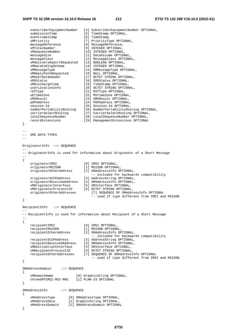```
 subscriberEquipmentNumber [4] SubscriberEquipmentNumber OPTIONAL, 
submissionTime [5] TimeStamp OPTIONAL,
eventtimestamp [6] TimeStamp,
 sMPriority [7] PriorityType OPTIONAL, 
 messageReference [8] MessageReference, 
sMTotalNumber [9] INTEGER OPTIONAL,
 sMSequenceNumber [10] INTEGER OPTIONAL, 
 messageSize [11] DataVolume OPTIONAL, 
 messageClass [12] MessageClass OPTIONAL, 
 sMdeliveryReportRequested [13] BOOLEAN OPTIONAL, 
 sMDataCodingScheme [14] INTEGER OPTIONAL, 
 sMMessageType [15] SMMessageType OPTIONAL, 
 sMReplyPathRequested [16] NULL OPTIONAL, 
 sMUserDataHeader [17] OCTET STRING OPTIONAL, 
sMSStatus [18] SMSStatus OPTIONAL,
 sMDischargeTime [19] TimeStamp OPTIONAL, 
 userLocationInfo [20] OCTET STRING OPTIONAL, 
 rATType [21] RATType OPTIONAL, 
 uETimeZone [22] MSTimeZone OPTIONAL, 
   sMSResult [23] SMSResult OPTIONAL,<br>
pDPAddress [24] PDPAddress OPTIONAL,
                            [24] PDPAddress OPTIONAL,
session-Id [25] Session-Id OPTIONAL,
 numberPortabilityRouting [26] NumberPortabilityRouting OPTIONAL, 
 carrierSelectRouting [27] CarrierSelectRouting OPTIONAL, 
 localSequenceNumber [28] LocalSequenceNumber OPTIONAL, 
 recordExtensions [29] ManagementExtensions OPTIONAL 
} 
-- 
-- SMS DATA TYPES 
-- 
OriginatorInfo ::= SEQUENCE 
-- 
-- OriginatorInfo is used for information about Originator of a Short Message 
-- 
{ 
 originatorIMSI [0] IMSI OPTIONAL, 
 originatorMSISDN [1] MSISDN OPTIONAL, 
   originatorOtherAddress [2] SMAddressInfo OPTIONAL,<br>-- included for backwards compatibility
 -- included for backwards compatibility 
 originatorSCCPAddress [3] AddressString OPTIONAL, 
 originatorReceivedAddress [4] SMAddressInfo OPTIONAL, 
 sMOriginatorInterface [5] SMInterface OPTIONAL, 
   sMOriginatorInterface [5] SMInterface OPTIONAL,<br>sMOriginatorProtocolID [6] OCTET STRING OPTIONAL,
    originatorOtherAddresses [7] SEQUENCE OF SMAddressInfo OPTIONAL 
                                 -- used if type different from IMSI and MSISDN 
} 
RecipientInfo ::= SEQUENCE 
-- 
-- RecipientInfo is used for information about Recipient of a Short Message 
{ 
 recipientIMSI [0] IMSI OPTIONAL, 
 recipientMSISDN [1] MSISDN OPTIONAL, 
                            recipientOtherAddress [2] SMAddressInfo OPTIONAL, 
   -- included for backwards compatibility<br>recipientSCCPAddress [3] AddressString OPTIONAL,<br>recipientReceivedAddress [11] Tillians
 recipientSCCPAddress [3] AddressString OPTIONAL, 
 recipientReceivedAddress [4] SMAddressInfo OPTIONAL, 
 sMDestinationInterface [5] SMInterface OPTIONAL, 
 sMRecipientProtocolID [6] OCTET STRING OPTIONAL, 
    recipientOtherAddresses [7] SEQUENCE OF SMAddressInfo OPTIONAL 
                                 -- used if type different from IMSI and MSISDN 
} 
SMAddressDomain ::= SEQUENCE 
{ 
   sMDomainName [0] GraphicString OPTIONAL,
    threeGPPIMSI-MCC-MNC [1] PLMN-Id OPTIONAL 
} 
SMAddressInfo ::= SEQUENCE 
{ 
 sMAddressType [0] SMAddressType OPTIONAL, 
 sMAddressData [1] GraphicString OPTIONAL, 
 sMAddressDomain [2] SMAddressDomain OPTIONAL 
}
```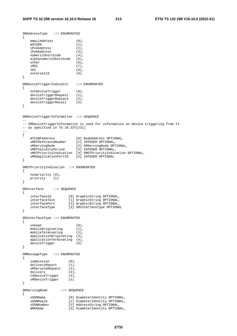```
SMAddressType ::= ENUMERATED 
{ 
   emailAddress (0),
   mSISDN (1),<br>iPv4Address (2),
   iPv4Address (2),<br>iPv6Address (3),
   iPv6Address (3),<br>numericShortCode (4),
    numericShortCode (4), 
    alphanumericShortCode (5), 
    other (6), 
   \text{IMSI} (7),
 nAI (8), 
    externalId (9) 
} 
SMDeviceTriggerIndicator ::= ENUMERATED 
{ 
   notDeviceTrigger (0),<br>deviceTriggerRequest (1),
   deviceTriggerRequest (1),<br>deviceTriggerReplace (2),
   deviceTriggerReplace
    deviceTriggerRecall (3) 
} 
SMDeviceTriggerInformation ::= SEQUENCE 
-- 
-- SMDeviceTriggerInformation is used for information on device triggering from T4 
-- as specified in TS 29.337[231] 
-- 
{ 
 mTCIWFAddress [0] NodeAddress OPTIONAL, 
 sMDTReferenceNumber [1] INTEGER OPTIONAL, 
 sMServingNode [2] SMServingNode OPTIONAL, 
 sMDTValidityPeriod [3] INTEGER OPTIONAL, 
    sMDTPriorityIndication [4] SMDTPriorityIndication OPTIONAL, 
    sMSApplicationPortID [5] INTEGER OPTIONAL 
} 
SMDTPriorityIndication ::= ENUMERATED 
{ 
    nonpriority (0), 
    priority (1) 
} 
SMInterface ::= SEQUENCE
{ 
 interfaceId [0] GraphicString OPTIONAL, 
 interfaceText [1] GraphicString OPTIONAL, 
 interfacePort [2] GraphicString OPTIONAL, 
 interfaceType [3] SMInterfaceType OPTIONAL 
} 
SMInterfaceType ::= ENUMERATED 
{ 
   unkown (0),<br>mobileOriginating (1).
   mobileOriginating
   mobileTerminating (2),
    applicationOriginating (3), 
   applicationTerminating (4),
    deviceTrigger (5) 
} 
SMMessageType ::= ENUMERATED 
{ 
   submission (0).
 deliveryReport (1), 
 sMServiceRequest (2), 
   delivery (3),
    t4DeviceTrigger (4), 
    sMDeviceTrigger (5) 
} 
SMServingNode ::= SEQUENCE 
{ 
   sGSNName [0] DiameterIdentity OPTIONAL,
   sGSNRealm [1] DiameterIdentity OPTIONAL,<br>sGSNNumber [2] AddressString OPTIONAL,
                      [2] AddressString OPTIONAL,
    mMEName [3] DiameterIdentity OPTIONAL,
```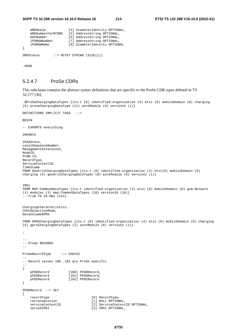| mMERealm          |  | [4] DiameterIdentity OPTIONAL, |
|-------------------|--|--------------------------------|
| mMENumberForMTSMS |  | [5] AddressString OPTIONAL,    |
| mSCNumber         |  | [6] AddressString OPTIONAL,    |
| iPSMGWNumber      |  | [7] AddressString OPTIONAL,    |
| iPSMGWName        |  | [8] DiameterIdentity OPTIONAL  |
|                   |  |                                |
| SMSStatus         |  | $::=$ OCTET STRING (SIZE(1))   |

.#END

### 5.2.4.7 ProSe CDRs

This subclause contains the abstract syntax definitions that are specific to the ProSe CDR types defined in TS 32.277 [36].

```
.$ProSeChargingDataTypes {itu-t (0) identified-organization (4) etsi (0) mobileDomain (0) charging 
(5) proseChargingDataType (11) asn1Module (0) version2 (1)} 
DEFINITIONS IMPLICIT TAGS ::= 
BEGIN 
-- EXPORTS everything 
IMPORTS 
IPAddress, 
LocalSequenceNumber, 
ManagementExtensions, 
NodeID, 
PLMN-Id, 
RecordType, 
ServiceContextID, 
TimeStamp 
FROM GenericChargingDataTypes {itu-t (0) identified-organization (4) etsi(0) mobileDomain (0) 
charging (5) genericChargingDataTypes (0) asn1Module (0) version2 (1)} 
TMST
FROM MAP-CommonDataTypes {itu-t identified-organization (4) etsi (0) mobileDomain (0) gsm-Network 
(1) modules (3) map-CommonDataTypes (18) version18 (18)} 
- from TS 29.002 [214]
ChargingCharacteristics, 
ChChSelectionMode, 
DataVolumeGPRS 
FROM GPRSChargingDataTypes {itu-t (0) identified-organization (4) etsi (0) mobileDomain (0) charging 
(5) gprsChargingDataTypes (2) asn1Module (0) version2 (1)} 
; 
-- 
-- ProSe RECORDS 
-- 
ProSeRecordType ::= CHOICE 
-- 
-- Record values 100..102 are ProSe specific 
-{ 
   pFDDRecord [100] PFDDRecord,<br>pFEDRecord [101] PFEDRecord,
                       [101] PFEDRecord,
     pFDCRecord [102] PFDCRecord 
} 
PFDDRecord ::= SET 
{ 
    recordType [0] RecordType,
     retransmission [1] NULL OPTIONAL, 
     serviceContextID [2] ServiceContextID OPTIONAL, 
    servedIMSI [3] IMSI OPTIONAL,
```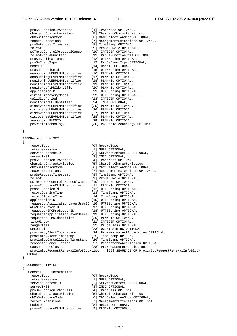| proSeFunctionIPAddress      | [4] IPAddress OPTIONAL,             |
|-----------------------------|-------------------------------------|
| chargingCharacteristics     | [5] ChargingCharacteristics,        |
| chChSelectionMode           | [6] ChChSelectionMode OPTIONAL,     |
| recordExtensions            | ManagementExtensions OPTIONA<br>[7] |
| proSeRequestTimestamp       | [8] TimeStamp OPTIONAL,             |
| roleofUE                    | [9] ProSeUERole OPTIONAL,           |
| pCThreeControlProtocolCause | [10] INTEGER OPTIONAL,              |
| roleofProSeFunction         | [11] ProSeFunctionRole OPTIONAL,    |
| proSeApplicationID          | [12] UTF8String OPTIONAL,           |
| proSeEventType              | [13] ProSeEventType OPTIONAL,       |
| nodeID                      | [14] NodeID OPTIONAL,               |
| proseFunctionId             | [15] UTF8String OPTIONAL,           |
| announcingUEHPLMNIdentifier | [16] PLMN-Id OPTIONAL,              |
| announcingUEVPLMNIdentifier | [17] PLMN-Id OPTIONAL,              |
| monitoringUEHPLMNIdentifier | [18] PLMN-Id OPTIONAL,              |
| monitoringUEVPLMNIdentifier | [19] PLMN-Id OPTIONAL,              |
| monitoredPLMNIdentifier     | [20] PLMN-Id OPTIONAL,              |
| applicationID               | [21] UTF8String OPTIONAL,           |
| directDiscoveryModel        | [22] UTF8String OPTIONAL,           |
| validityPeriod              | [23] INTEGER OPTIONAL,              |
| monitoringUEIdentifier      | [24] IMSI OPTIONAL,                 |
| discovererUEHPLMNIdentifier | [25] PLMN-Id OPTIONAL,              |
| discovererUEVPLMNIdentifier | [26] PLMN-Id OPTIONAL,              |
| discovereeUEHPLMNIdentifier | [27] PLMN-Id OPTIONAL,              |
| discovereeUEVPLMNIdentifier | [28] PLMN-Id OPTIONAL,              |
| announcingPLMNID            | [29] PLMN-Id OPTIONAL,              |
| pc5RadioTechnology          | [30] PC5RadioTechnology OPTIONAL    |

}

PFEDRecord ::= SET {

| $\{$ |                                                           |                                                                                        |
|------|-----------------------------------------------------------|----------------------------------------------------------------------------------------|
|      | recordType                                                | [0] RecordType,                                                                        |
|      | retransmission                                            | [1] NULL OPTIONAL,                                                                     |
|      | serviceContextID                                          | [2] ServiceContextID OPTIONAL,                                                         |
|      | servedIMSI                                                | [3] IMSI OPTIONAL,                                                                     |
|      | proSeFunctionIPAddress                                    | [4] IPAddress OPTIONAL,                                                                |
|      | chargingCharacteristics                                   | [5] ChargingCharacteristics,                                                           |
|      | chChSelectionMode                                         | [6] ChChSelectionMode OPTIONAL,                                                        |
|      | recordExtensions                                          | [7] ManagementExtensions OPTIONAL,                                                     |
|      | proSeRequestTimestamp                                     | [8] TimeStamp OPTIONAL,                                                                |
|      | roleofUE                                                  | [9] ProSeUERole OPTIONAL,                                                              |
|      | pCThreeEPCControlProtocolCause                            | [10] INTEGER OPTIONAL,                                                                 |
|      | proseFunctionPLMNIdentifier                               | [11] PLMN-Id OPTIONAL,                                                                 |
|      | proseFunctionId                                           | [12] UTF8String OPTIONAL,                                                              |
|      | recordOpeningTime                                         | [13] TimeStamp OPTIONAL,                                                               |
|      | recordClosureTime                                         | [14] TimeStamp OPTIONAL,                                                               |
|      | applicationID                                             | [15] UTF8String OPTIONAL,                                                              |
|      | requestorApplicationLayerUserID [16] UTF8String OPTIONAL, |                                                                                        |
|      | wLANLinkLayerID                                           | [17] UTF8String OPTIONAL,                                                              |
|      | requestorEPCProSeUserID                                   | [18] UTF8String OPTIONAL,                                                              |
|      | requestedApplicationLayerUserID [19] UTF8String OPTIONAL, |                                                                                        |
|      | requestedPLMNIdentifier                                   | [20] PLMN-Id OPTIONAL,                                                                 |
|      | timeWindow                                                | [21] INTEGER OPTIONAL,                                                                 |
|      | rangeClass                                                | [22] RangeClass OPTIONAL,                                                              |
|      | uELocation                                                | [23] OCTET STRING OPTIONAL,                                                            |
|      | proximityAlertIndication                                  | [24] ProximityAlertIndication OPTIONAL,                                                |
|      | proximityAlertTimestamp                                   | [25] TimeStamp OPTIONAL,                                                               |
|      | proximityCancellationTimestamp [26] TimeStamp OPTIONAL,   |                                                                                        |
|      | reasonforCancellation                                     | [27] ReasonforCancellation OPTIONAL,                                                   |
|      | causeForRecClosing                                        | [28] ProSeCauseForRecClosing,                                                          |
|      |                                                           | proximityRequestRenewalInfoBlockList [29] SEQUENCE OF ProximityRequestRenewalInfoBlock |
|      | OPTIONAL                                                  |                                                                                        |
| }    |                                                           |                                                                                        |
|      |                                                           |                                                                                        |
|      | $PFDCRecord :: = SET$                                     |                                                                                        |
|      |                                                           |                                                                                        |
|      | -- General CDR information                                |                                                                                        |
|      | recordType                                                | [0] RecordType,                                                                        |
|      | retransmission                                            | [1] NULL OPTIONAL,                                                                     |
|      | $\alpha$                                                  | [2] CorrigoContovtID ODTIONAL                                                          |

 serviceContextID [2] ServiceContextID OPTIONAL, servedIMSI [3] IMSI OPTIONAL, proSeFunctionIPAddress [4] IPAddress OPTIONAL, chargingCharacteristics [5] ChargingCharacteristics, chChSelectionMode [6] ChChSelectionMode OPTIONAL, recordExtensions [7] ManagementExtensions OPTIONAL,

- nodell Optional,<br>[9] PLMN-Id Optional, proseFunctionPLMNIdentifier
	-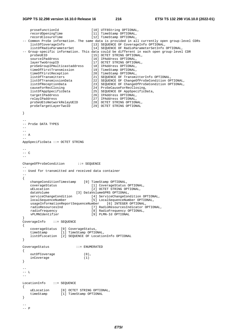```
proseFunctionId [10] UTF8String OPTIONAL,
    recordOpeningTime [11] TimeStamp OPTIONAL, 
   recordClosureTime [12] TimeStamp OPTIONAL,
-- Common ProSe information. The same data is provided in all currently open group-level CDRs 
 listOfCoverageInfo [13] SEQUENCE OF CoverageInfo OPTIONAL, 
 listOfRadioParameterSet [14] SEQUENCE OF RadioParameterSetInfo OPTIONAL, 
-- Group-specific information. This data could be different in each open group-level CDR<br>proSeUEID [15] OCTET STRING OPTIONAL.
   proSeUEID [15] OCTET STRING OPTIONAL,<br>sourceIPaddress [16] IPAddress OPTIONAL,
 sourceIPaddress [16] IPAddress OPTIONAL, 
 layerTwoGroupID [17] OCTET STRING OPTIONAL, 
 proSeGroupIPmulticastaddress [18] IPAddress OPTIONAL, 
 timeOfFirstTransmission [19] TimeStamp OPTIONAL, 
 timeOfFirstReception [20] TimeStamp OPTIONAL, 
 listOfTransmitters [21] SEQUENCE OF TransmitterInfo OPTIONAL, 
 listOfTransmissionData [22] SEQUENCE OF ChangeOfProSeCondition OPTIONAL, 
 listOfReceptionData [23] SEQUENCE OF ChangeOfProSeCondition OPTIONAL, 
 causeForRecClosing [24] ProSeCauseForRecClosing, 
 listOfAppSpecificData [25] SEQUENCE OF AppSpecificData, 
   targetIPaddress [26] IPAddress OPTIONAL, 
 relayIPaddress [27] IPAddress OPTIONAL, 
   proSeUEtoNetworkRelayUEID [28] OCTET STRING OPTIONAL, 
   proSeTargetLayerTwoID [29] OCTET STRING OPTIONAL 
} 
-- 
-- ProSe DATA TYPES 
-- 
-- 
--- \Delta-- 
AppSpecificData ::= OCTET STRING 
-- 
-- C 
-- 
ChangeOfProSeCondition ::= SEQUENCE 
-- 
-- Used for transmitted and received data container 
-- 
{ 
    changeConditionTimestamp [0] TimeStamp OPTIONAL, 
 coverageStatus [1] CoverageStatus OPTIONAL, 
 uELocation [2] OCTET STRING OPTIONAL, 
 dataVolume [3] DataVolumeGPRS OPTIONAL, 
 serviceChangeCondition [4] ServiceChangeCondition OPTIONAL, 
 localSequenceNumber [5] LocalSequenceNumber OPTIONAL, 
    usageInformationReportSequenceNumber [6] INTEGER OPTIONAL, 
    radioResourcesInd [7] RadioResourcesIndicator OPTIONAL, 
 radiofrequency [8] RadioFrequency OPTIONAL, 
 vPLMNIdentifier [9] PLMN-Id OPTIONAL 
}<br>CoverageInfo
            : := SEQUENCE
{ 
 coverageStatus [0] CoverageStatus, 
 timeStamp [1] TimeStamp OPTIONAL, 
    listOfLocation [2] SEQUENCE OF LocationInfo OPTIONAL 
} 
CoverageStatus ::= ENUMERATED 
{ 
   outOfCoverage (0),<br>inCoverage (1)
   inCoverage
} 
-- 
-- L
-- 
LocationInfo ::= SEQUENCE 
{ 
 uELocation [0] OCTET STRING OPTIONAL, 
 timeStamp [1] TimeStamp OPTIONAL 
} 
-- 
-- P
```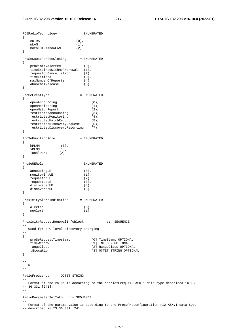-- PC5RadioTechnology ::= ENUMERATED { eUTRA (0),  $\begin{align} \text{wLAN} \qquad \qquad (1) \;, \\ \text{bothEUTRAAndWLAN} \qquad \qquad (2) \end{align}$  bothEUTRAAndWLAN (2) } ProSeCauseForRecClosing ::= ENUMERATED { proximityAlerted (0), timeExpiredWithNoRrenewal (1), requestorCancellation (2), timeLimited (3), maxNumberOfReports (4), abnormalRelease (5) } ProSeEventType ::= ENUMERATED { openAnnouncing (0), openMonitoring (1), openMatchReport (2), restrictedAnnouncing (3),<br>restrictedMonitoring (4), restrictedMonitoring (4), restrictedMatchReport (5), restrictedDiscoveryRequest (6), restrictedDiscoveryReporting (7) } ProSeFunctionRole ::= ENUMERATED { hPLMN (0),  $vPLMN$  (1), localPLMN (2) } ProSeUERole ::= ENUMERATED { annoucingUE (0),<br>monitoringUE (1), monitoringUE (1),<br>requestorUE (2), requestorUE (2),<br>requestedUE (3), requestedUE (3), discovererUE (4), discovereeUE (5) } ProximityAlertIndication ::= ENUMERATED { alerted  $(0)$ , noAlert (1) } ProximityRequestRenewalInfoBlock ::= SEQUENCE -- -- Used for EPC-level discovery charging -- { proSeRequestTimestamp [0] TimeStamp OPTIONAL, timeWindow [1] INTEGER OPTIONAL, -<br>timeWindow (1) INTEGER OPTIONAL,<br>rangeClass (2) RangeClass OPTIONAL, uELocation [3] OCTET STRING OPTIONAL }  $-$ -- R -- RadioFrequency ::= OCTET STRING -- -- Format of the value is according to the carrierFreq-r12 ASN.1 data type described in TS -- 36.331 [241]. -- RadioParameterSetInfo ::= SEQUENCE -- -- Format of the params value is according to the ProsePreconfiguration-r12 ASN.1 data type

-- described in TS 36.331 [241].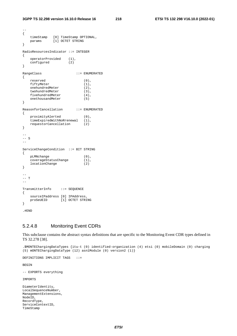--

```
{ 
   timeStamp [0] TimeStamp OPTIONAL,<br>params [1] OCTET STRING
              [1] OCTET STRING
} 
RadioResourcesIndicator ::= INTEGER
{ 
   operatorProvided (1),
    configured (2) 
} 
RangeClass ::= ENUMERATED 
{ 
    reserved (0), 
   fiftyMeter (1),
    onehundredMeter (2), 
   twohundredMeter (3),<br>fivehundredMeter (4),
   fivehundredMeter (4)<br>onethousandMeter (5)
    onethousandMeter (5) 
} 
ReasonforCancellation ::= ENUMERATED 
{ 
   proximityAlerted (0),
    timeExpiredWithNoRrenewal (1), 
    requestorCancellation (2) 
} 
--- S 
\simServiceChangeCondition ::= BIT STRING 
{ 
pLMNchange (0),
 coverageStatusChange (1), 
    locationChange (2) 
} 
-- 
-- T 
-- 
TransmitterInfo ::= SEQUENCE 
{ 
    sourceIPaddress [0] IPAddress, 
    proSeUEID [1] OCTET STRING 
} 
.#END
```
## 5.2.4.8 Monitoring Event CDRs

This subclause contains the abstract syntax definitions that are specific to the Monitoring Event CDR types defined in TS 32.278 [38].

```
.$MONTEChargingDataTypes {itu-t (0) identified-organization (4) etsi (0) mobileDomain (0) charging 
(5) mONTEChargingDataType (12) asn1Module (0) version2 (1)} 
DEFINITIONS IMPLICIT TAGS ::= 
BEGIN 
-- EXPORTS everything 
IMPORTS 
DiameterIdentity, 
LocalSequenceNumber, 
ManagementExtensions, 
NodeID, 
RecordType, 
ServiceContextID, 
TimeStamp
```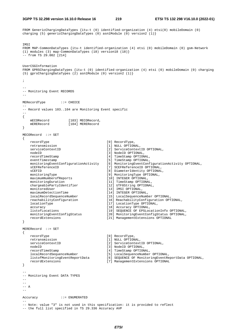**3GPP TS 32.298 version 16.10.0 Release 16 219 ETSI TS 132 298 V16.10.0 (2022-01)**

FROM GenericChargingDataTypes {itu-t (0) identified-organization (4) etsi(0) mobileDomain (0) charging (5) genericChargingDataTypes (0) asn1Module (0) version2 (1) } TMST FROM MAP-CommonDataTypes {itu-t identified-organization (4) etsi (0) mobileDomain (0) gsm-Network (1) modules (3) map-CommonDataTypes (18) version18 (18)}  $-$  from TS 29.002 [214] UserCSGInformation FROM GPRSChargingDataTypes {itu-t (0) identified-organization (4) etsi (0) mobileDomain (0) charging (5) gprsChargingDataTypes (2) asn1Module (0) version2 (1)} ; -- -- Monitoring Event RECORDS -- MERecordType ::= CHOICE -- -- Record values 103..104 are Monitoring Event specific -- { mECORecord [103] MECORecord, mERERecord [104] MERERecord } MECORecord ::= SET { recordType [0] RecordType,<br>
retransmission [1] NULL OPTION [1] NULL OPTIONAL, serviceContextID [2] ServiceContextID OPTIONAL, nodeID [3] NodeID OPTIONAL, recordTimeStamp [4] TimeStamp OPTIONAL, eventTimestamp [5] TimeStamp OPTIONAL,<br>monitoringEventConfigurationActivity [6] MonitoringEventConf [6] MonitoringEventConfigurationActivity OPTIONAL, sCEFReferenceID [7] SCEFReferenceID OPTIONAL,<br>sCEFID [8] DiameterIdentity OPTIONAL [8] DiameterIdentity OPTIONAL, monitoringType [9] MonitoringType OPTIONAL,<br>maximumNumberofReports [10] INTEGER OPTIONAL, maximumNumberofReports<br>monitoringDuration [11] TimeStamp OPTIONAL, chargeablePartyIdentifier [12] UTF8String OPTIONAL, monitoredUser [13] IMSI OPTIONAL, maximumDetectionTime [14] INTEGER OPTIONAL, localRecordSequenceNumber [15] LocalSequenceNumber OPTIONAL, reachabilityConfiguration [16] ReachabilityConfiguration OPTIONAL, locationType [17] LocationType OPTIONAL, accuracy [18] Accuracy OPTIONAL, listofLocations [19] SEQUENCE OF EPSLocationInfo OPTIONAL,<br>monitoringEventConfigStatus [20] MonitoringEventConfigStatus OPTIONAL, [20] MonitoringEventConfigStatus OPTIONAL, recordExtensions [21] ManagementExtensions OPTIONAL } MERERecord ::= SET { recordType [0] RecordType, retransmission [1] NULL OPTIONAL, serviceContextID [2] ServiceContext [2] ServiceContextID OPTIONAL, nodeID [3] NodeID OPTIONAL, recordTimeStamp [4] TimeStamp OPTIONAL, localRecordSequenceNumber [5] LocalSequenceNumber OPTIONAL, [6] SEQUENCE OF MonitoringEventReportData OPTIONAL, recordExtensions [7] ManagementExtensions OPTIONAL } -- -- Monitoring Event DATA TYPES

-- --  $--- A$  $-$ 

--

Accuracy ::= ENUMERATED

-- Note: value "3" is not used in this specification: it is provided to reflect -- the full list specified in TS 29.336 Accuracy AVP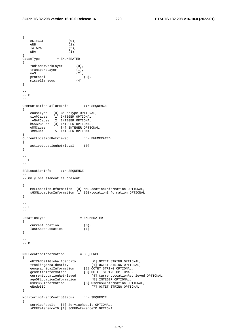```
-{ 
    cGIECGI (0), 
   eNB (1),<br>1ATARA (2),
   \begin{array}{ccc} \text{IATARA} & (2) \\ \text{pRA} & (3) \end{array}pRA}<br>CauseType
             ::= ENUMERATED
{ 
    radioNetworkLayer (0), 
 transportLayer (1), 
nAS (2),
   protocol (2),<br>protocol (3),<br>miscellaneous (4)
   miscellaneous
} 
--- C 
-- 
CommunicationFailureInfo ::= SEQUENCE 
{ 
    causeType [0] CauseType OPTIONAL, 
 s1APCause [1] INTEGER OPTIONAL, 
 rANAPCause [2] INTEGER OPTIONAL, 
    bSSGPCause [3] INTEGER OPTIONAL, 
 gMMCause [4] INTEGER OPTIONAL, 
 sMCause [5] INTEGER OPTIONAL 
} 
CurrentLocationRetrieved ::= ENUMERATED 
{ 
    activeLocationRetrieval (0) 
} 
-- 
--- E
-- 
EPSLocationInfo ::= SEQUENCE
-- 
-- Only one element is present. 
-- 
{ 
    mMELocationInformation [0] MMELocationInformation OPTIONAL, 
    sGSNLocationInformation [1] SGSNLocationInformation OPTIONAL 
} 
-- 
-- L 
-- 
LocationType ::= ENUMERATED 
{ 
   currentLocation (0),<br>lastKnownLocation (1)
   lastKnownLocation
} 
- --- M 
-MMELocationInformation ::= SEQUENCE 
{ 
 eUTRANCellGlobalIdentity [0] OCTET STRING OPTIONAL, 
 trackingAreaIdentity [1] OCTET STRING OPTIONAL, 
 geographicalInformation [2] OCTET STRING OPTIONAL, 
 geodeticInformation [3] OCTET STRING OPTIONAL, 
 currentLocationRetrieved [4] CurrentLocationRetrieved OPTIONAL, 
 ageOfLocationInformation [5] INTEGER OPTIONAL, 
 userCSGInformation [6] UserCSGInformation OPTIONAL, 
 eNodeBID [7] OCTET STRING OPTIONAL 
} 
MonitoringEventConfigStatus ::= SEQUENCE 
{ 
    serviceResult [0] ServiceResult OPTIONAL, 
    sCEFReferenceID [1] SCEFReferenceID OPTIONAL,
```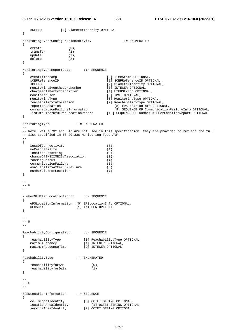```
 sCEFID [2] DiameterIdentity OPTIONAL 
} 
MonitoringEventConfigurationActivity ::= ENUMERATED 
{ 
    create (0),<br>transfer (1),
    transfer (1),<br>update (2).
   underer delete (3) 
} 
MonitoringEventReportData ::= SEQUENCE 
{ 
    eventTimestamp [0] TimeStamp OPTIONAL,<br>sCEFReferenceID [1] SCEFReferenceID OPT
                                             [1] SCEFReferenceID OPTIONAL,
   sCEFID [2] DiameterIdentity OPTIONAL,<br>monitoringEventReportNumber [3] INTEGER OPTIONAL,
   monitoringEventReportNumber
   concourse the chargeablePartyIdentifier [4] UTF8String OPTIONAL,<br>monitoredUser [5] IMSI OPTIONAL,
   monitoredUser [5] IMSI OPTIONAL,<br>monitoringType [6] MonitoringType
   monitoringType [6] MonitoringType OPTIONAL,<br>
reachabilityInformation [7] ReachabilityType OPTIONA
                                            reachabilityType OPTIONAL,<br>[8] EPSLocation Info OPTIONAL,
 reportedLocation [8] EPSLocationInfo OPTIONAL, 
 communicationFailureInformation [9] SEQUENCE OF CommunicationFailureInfo OPTIONAL, 
 listOfNumberOfUEPerLocationReport [10] SEQUENCE OF NumberOfUEPerLocationReport OPTIONAL 
} 
MonitoringType ::= ENUMERATED 
-- 
-- Note: value "3" and "4" are not used in this specification: they are provided to reflect the full 
-- list specified in TS 29.336 Monitoring-Type AVP. 
-- 
{ 
    lossOfConnectivity (0), 
    ueReachability (1), 
   locationReporting (2),<br>changeOfIMSIIMEISVAssociation (3),
     changeOfIMSIIMEISVAssociation (3), 
   roamingStatus (4),<br>communicationFailure (5), (5),
   communicationFailure (5),<br>availabilityAfterDDNFailure (6),
   availabilityAfterDDNFailure
   numberOfUEPerLocation (7)
} 
---- N-- 
NumberOfUEPerLocationReport ::= SEQUENCE 
{ 
     ePSLocationInformation [0] EPSLocationInfo OPTIONAL, 
    uECount [1] INTEGER OPTIONAL 
} 
-- 
--- R-- 
ReachabilityConfiguration ::= SEQUENCE 
{ 
                               [0] ReachabilityType OPTIONAL,<br>[1] INTEGER OPTIONAL,
   reachabilityType<br>maximumLatency
   maximumResponseTime [2] INTEGER OPTIONAL
} 
ReachabilityType ::= ENUMERATED 
{ 
   reachabilityforSMS (0),<br>reachabilityforData (1)
    reachabilityforData (1) 
} 
-- 
-- S 
-- 
SGSNLocationInformation ::= SEQUENCE 
{ 
 cellGlobalIdentity [0] OCTET STRING OPTIONAL, 
 locationAreaIdentity [1] OCTET STRING OPTIONAL,
```
serviceAreaIdentity [2] OCTET STRING OPTIONAL,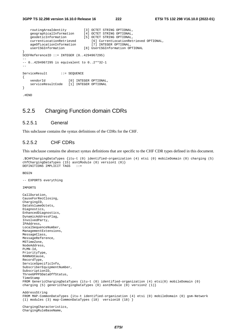```
 routingAreaIdentity [3] OCTET STRING OPTIONAL, 
 geographicalInformation [4] OCTET STRING OPTIONAL, 
 geodeticInformation [5] OCTET STRING OPTIONAL, 
     currentLocationRetrieved [6] CurrentLocationRetrieved OPTIONAL, 
    ageOfLocationInformation [7] INTEGER OPTIONAL,<br>userCSGInformation [8] UserCSGInformation OP
                               [8] UserCSGInformation OPTIONAL
} 
SCEFReferenceID ::= INTEGER (0..4294967295) 
-- 
-- 0..4294967295 is equivalent to 0..2**32-1 
-- 
ServiceResult ::= SEQUENCE
{ 
    vendorId [0] INTEGER OPTIONAL,
     serviceResultCode [1] INTEGER OPTIONAL 
}
```
.#END

## 5.2.5 Charging Function domain CDRs

### 5.2.5.1 General

This subclause contains the syntax definitions of the CDRs for the CHF.

## 5.2.5.2 CHF CDRs

This subclause contains the abstract syntax definitions that are specific to the CHF CDR types defined in this document.

```
.$CHFChargingDataTypes {itu-t (0) identified-organization (4) etsi (0) mobileDomain (0) charging (5) 
chfChargingDataTypes (15) asn1Module (0) version1 (0)} 
DEFINITIONS IMPLICIT TAGS ::=
```
**BEGIN** 

```
-- EXPORTS everything
```
ChargingRuleBaseName,

IMPORTS

```
CallDuration, 
CauseForRecClosing, 
ChargingID, 
DataVolumeOctets, 
Diagnostics, 
EnhancedDiagnostics, 
DynamicAddressFlag, 
InvolvedParty, 
IPAddress, 
LocalSequenceNumber, 
ManagementExtensions, 
MessageClass, 
MessageReference, 
MSTimeZone, 
NodeAddress, 
PLMN-Id, 
PriorityType, 
RANNASCause, 
RecordType, 
ServiceSpecificInfo, 
SubscriberEquipmentNumber, 
SubscriptionID, 
ThreeGPPPSDataOffStatus, 
TimeStamp 
FROM GenericChargingDataTypes {itu-t (0) identified-organization (4) etsi(0) mobileDomain (0) 
charging (5) genericChargingDataTypes (0) asn1Module (0) version2 (1)} 
AddressString 
FROM MAP-CommonDataTypes {itu-t identified-organization (4) etsi (0) mobileDomain (0) gsm-Network 
(1) modules (3) map-CommonDataTypes (18) version18 (18) } 
ChargingCharacteristics,
```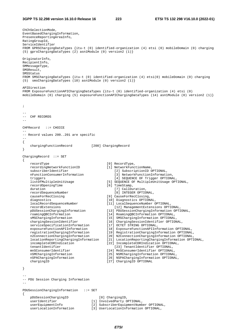ChChSelectionMode, EventBasedChargingInformation, PresenceReportingAreaInfo, RatingGroupId, ServiceIdentifier FROM GPRSChargingDataTypes {itu-t (0) identified-organization (4) etsi (0) mobileDomain (0) charging (5) gprsChargingDataTypes (2) asn1Module (0) version2 (1)} OriginatorInfo, RecipientInfo, SMMessageType, SMSResult, SMSStatus FROM SMSChargingDataTypes {itu-t (0) identified-organization (4) etsi(0) mobileDomain (0) charging (5) smsChargingDataTypes (10) asn1Module (0) version2 (1)} APIDirection FROM ExposureFunctionAPIChargingDataTypes {itu-t (0) identified-organization (4) etsi (0) mobileDomain (0) charging (5) exposureFunctionAPIChargingDataTypes (14) asn1Module (0) version2 (1)} ; -- -- CHF RECORDS -- CHFRecord ::= CHOICE -- -- Record values 200..201 are specific -- { chargingFunctionRecord [200] ChargingRecord } ChargingRecord ::= SET { recordType [0] RecordType, recordingNetworkFunctionID [1] NetworkFunctionName, subscriberIdentifier [2] SubscriptionID OPTIONAL,<br>nFunctionConsumerInformation [3] NetworkFunctionInformati [3] NetworkFunctionInformation, triggers [4] SEQUENCE OF Trigger OPTIONAL,<br>listOfMultipleInitIsage [5] SEQUENCE OF MultipleInitIsage OPT [5] SEQUENCE OF MultipleUnitUsage OPTIONAL, recordOpeningTime [6] TimeStamp, duration  $[7]$  CallDuration, recordSequenceNumber [8] INTEGER OPTIONAL,<br>causeForRecClosing [9] CauseForRecClosing, [9] CauseForRecClosing, diagnostics [10] Diagnostics OPTIONAL, localRecordSequenceNumber [11] LocalSequenceNumber OPTIONAL, recordExtensions [12] ManagementExtensions OPTIONAL, pDUSessionChargingInformation [13] PDUSessionChargingInformation OPTIONAL, roamingQBCInformation [14] RoamingQBCInformation OPTIONAL, sMSChargingInformation [15] SMSChargingInformation OPTIONAL<br>chargingSessionIdentifier [16] ChargingSessionIdentifier OPTIO [16] ChargingSessionIdentifier OPTIONAL,<br>[17] OCTET STRING OPTIONAL, serviceSpecificationInformation<br>exposureFunctionAPIInformation [18] ExposureFunctionAPIInformation OPTIONAL, registrationChargingInformation [19] RegistrationChargingInformation OPTIONAL, n2ConnectionChargingInformation [20] N2ConnectionChargingInformation OPTIONAL, locationReportingChargingInformation [21] LocationReportingChargingInformation OPTIONAL, incompleteCDRIndication [22] IncompleteCDRIndication OPTIONAL, tenantIdentifier [23] TenantIdentifier OPTIONAL, mnSConsumerIdentifier [24] MnSConsumerIdentifier OPTIONAL, nSMChargingInformation [25] NSMChargingInformation OPTIONAL,<br>nSPAChargingInformation [26] NSPAChargingInformation OPTIONAL [26] NSPAChargingInformation OPTIONAL, chargingID [27] ChargingID OPTIONAL } -- -- PDU Session Charging Information -- PDUSessionChargingInformation ::= SET { pDUSessionChargingID [0] ChargingID, userIdentifier [1] InvolvedParty OPTIONAL,<br>userEquipmentInfo [2] SubscriberEquipmentNumb<br>userIerLinities userEquipmentInfo [2] SubscriberEquipmentNumber OPTIONAL,<br>userLocationInformation [3] UserLocationInformation OPTIONAL. ii UserLocationInformation OPTIONAL,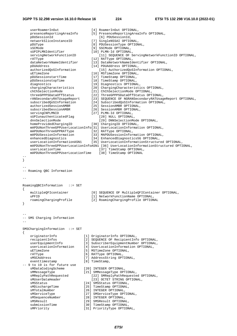}

{

}

{

```
userRoamerInOut [4] RoamerInOut OPTIONAL,
    presenceReportingAreaInfo [5] PresenceReportingAreaInfo OPTIONAL, 
    pDUSessionId [6] PDUSessionId, 
    networkSliceInstanceID [7] SingleNSSAI OPTIONAL, 
    pDUType [8] PDUSessionType OPTIONAL, 
   sSCMode (9) SSCMode OPTIONAL,<br>sUPIPLMNIdentifier [10] PLMN-Id OPTIONAL
                                 [10] PLMN-Id OPTIONAL,
   servingNetworkFunctionID [11] SEQUENCE OF ServingNetworkFunctionID OPTIONAL,
   rATType [12] RATType OPTIONAL,
    dataNetworkNameIdentifier [13] DataNetworkNameIdentifier OPTIONAL, 
    pDUAddress [14] PDUAddress OPTIONAL, 
    authorizedQoSInformation [15] AuthorizedQoSInformation OPTIONAL, 
   uETimeZone [16] MSTimeZone OPTIONAL,
   pDUSessionstartTime [17] TimeStamp OPTIONAL,<br>pDUSessionstopTime [18] TimeStamp OPTIONAL,
                                [18] TimeStamp OPTIONAL,<br>[19] Diagnostics OPTIONAL,
 diagnostics [19] Diagnostics OPTIONAL, 
 chargingCharacteristics [20] ChargingCharacteristics OPTIONAL, 
 chChSelectionMode [21] ChChSelectionMode OPTIONAL, 
 threeGPPPSDataOffStatus [22] ThreeGPPPSDataOffStatus OPTIONAL, 
 rANSecondaryRATUsageReport [23] SEQUENCE OF NGRANSecondaryRATUsageReport OPTIONAL, 
 subscribedQoSInformation [24] SubscribedQoSInformation OPTIONAL, 
 authorizedSessionAMBR [25] SessionAMBR OPTIONAL, 
 subscribedSessionAMBR [26] SessionAMBR OPTIONAL, 
 servingCNPLMNID [27] PLMN-Id OPTIONAL, 
 sUPIunauthenticatedFlag [28] NULL OPTIONAL, 
 dnnSelectionMode [29] DNNSelectionMode OPTIONAL, 
 homeProvidedChargingID [30] ChargingID OPTIONAL, 
    mAPDUNonThreeGPPUserLocationInfo[31] UserLocationInformation OPTIONAL, 
 mAPDUNonThreeGPPRATType [32] RATType OPTIONAL, 
 mAPDUSessionInformation [33] MAPDUSessionInformation OPTIONAL, 
 enhancedDiagnostics [34] EnhancedDiagnostics5G OPTIONAL, 
 userLocationInformationASN1 [35] UserLocationInformationStructured OPTIONAL, 
    mAPDUNonThreeGPPUserLocationInfoASN1 [36] UserLocationInformationStructured OPTIONAL, 
   userLocationTime [37] TimeStamp OPTIONAL,
    mAPDUNonThreeGPPUserLocationTime [38] TimeStamp OPTIONAL 
-- 
-- 
-- Roaming QBC Information 
-- 
RoamingQBCInformation ::= SET 
    multipleQFIcontainer [0] SEQUENCE OF MultipleQFIContainer OPTIONAL, 
    uPFID [1] NetworkFunctionName OPTIONAL, 
    roamingChargingProfile [2] RoamingChargingProfile OPTIONAL 
-- 
-- SMS Charging Information 
-- 
SMSChargingInformation ::= SET 
    originatorInfo [1] OriginatorInfo OPTIONAL, 
    recipientInfos [2] SEQUENCE OF RecipientInfo OPTIONAL, 
    userEquipmentInfo [3] SubscriberEquipmentNumber OPTIONAL, 
    userLocationInformation [4] UserLocationInformation OPTIONAL, 
   uETimeZone [5] MSTimeZone OPTIONAL,
   rATType (6) RATType OPTIONAL,<br>sMSCAddress (7) AddressString OPT
   sMSCAddress [7] AddressString OPTIONAL,<br>eventtimestamp [8] TimeStamp,
                             [8] TimeStamp,
-- 9 to 19 is for future use 
   sMDataCodingScheme [20] INTEGER OPTIONAL,<br>sMMessaqeType [21] SMMessaqeType OPT
   sMMessageType [21] SMMessageType OPTIONAL,<br>sMReplyPathRequested [22] SMReplyPathRequeste
                                 [22] SMReplyPathRequested OPTIONAL,
   sMUserDataHeader [23] OCTET STRING OPTIONAL,
   sMSStatus [24] SMSStatus OPTIONAL,
   sMDischargeTime [25] TimeStamp OPTIONAL,<br>sMTotalNumber [26] INTEGER OPTIONAL,
                            [26] INTEGER OPTIONAL,
   sMServiceType [27] SMServiceType OPTIONAL,
   sMSequenceNumber [28] INTEGER OPTIONAL,
   sMSResult [29] SMSResult OPTIONAL,<br>submissionTime [30] TimeStamp OPTIONAL,
                             [30] TimeStamp OPTIONAL,
   sMPriority [31] PriorityType OPTIONAL,
```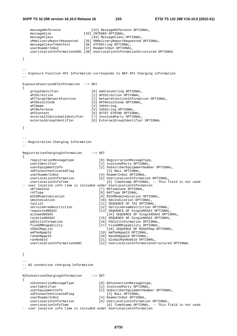## **3GPP TS 32.298 version 16.10.0 Release 16 225 ETSI TS 132 298 V16.10.0 (2022-01)**

|               | messageReference<br>messageSize                                      | [32] MessageReference OPTIONAL,<br>[33] INTEGER OPTIONAL,                                  |
|---------------|----------------------------------------------------------------------|--------------------------------------------------------------------------------------------|
|               | messageClass<br>sMdeliveryReportRequested                            | [34] MessageClass OPTIONAL,<br>[35] SMdeliveryReportRequested OPTIONAL,                    |
|               | messageClassTokenText                                                | [36] UTF8String OPTIONAL,                                                                  |
|               | userRoamerInOut                                                      | [37] RoamerInOut OPTIONAL,                                                                 |
|               |                                                                      | userLocationInformationASN1 [38] UserLocationInformationStructured OPTIONAL                |
| }             |                                                                      |                                                                                            |
|               |                                                                      |                                                                                            |
|               |                                                                      | -- Exposure Function API Information corresponds to NEF API Charging information           |
|               |                                                                      |                                                                                            |
|               | ExposureFunctionAPIInformation ::= SET                               |                                                                                            |
| $\{$          |                                                                      |                                                                                            |
|               | groupIdentifier<br>aPIDirection                                      | [0] AddressString OPTIONAL,<br>[1] APIDirection OPTIONAL,                                  |
|               | aPITargetNetworkFunction                                             | [2] NetworkFunctionInformation OPTIONAL,                                                   |
|               | aPIResultCode                                                        | [3] APIResultCode OPTIONAL,                                                                |
|               | aPIName<br>aPIReference                                              | [4] IA5String,<br>[5] IA5String OPTIONAL,                                                  |
|               | aPIContent                                                           | [6] OCTET STRING OPTIONAL,                                                                 |
|               | externalIndividualIdentifier                                         | [7] InvolvedParty OPTIONAL,                                                                |
|               | externalGroupIdentifier                                              | [8] ExternalGroupIdentifier OPTIONAL                                                       |
| }             |                                                                      |                                                                                            |
|               |                                                                      |                                                                                            |
|               |                                                                      |                                                                                            |
|               | -- Registration Charging Information                                 |                                                                                            |
| $- -$         |                                                                      |                                                                                            |
|               | RegistrationChargingInformation                                      | $\therefore$ = SET                                                                         |
| $\mathcal{L}$ |                                                                      |                                                                                            |
|               | registrationMessagetype                                              | [0] RegistrationMessageType,                                                               |
|               | userIdentifier<br>userEquipmentInfo                                  | [1] InvolvedParty OPTIONAL,<br>[2] SubscriberEquipmentNumber OPTIONAL,                     |
|               | sUPIunauthenticatedFlag                                              | [3] NULL OPTIONAL,                                                                         |
|               | userRoamerInOut                                                      | [4] RoamerInOut OPTIONAL,                                                                  |
|               | userLocationInformation<br>userLocationInfoTime                      | [5] UserLocationInformation OPTIONAL,<br>[6] TimeStamp OPTIONAL, -- This field is not used |
|               | -- user location info time is included under UserLocationInformation |                                                                                            |
|               | uETimeZone                                                           | [7] MSTimeZone OPTIONAL,                                                                   |
|               | rATType                                                              | [8] RATType OPTIONAL,                                                                      |
|               | mICOModeIndication<br>smsIndication                                  | [9] MICOModeIndication OPTIONAL,<br>[10] SmsIndication OPTIONAL,                           |
|               | taiList                                                              | [11] SEQUENCE OF TAI OPTIONAL,                                                             |
|               | serviceAreaRestriction                                               | [12] ServiceAreaRestriction OPTIONAL,                                                      |
|               | requestedNSSAI<br>allowedNSSAI                                       | [13] SEQUENCE OF SingleNSSAI OPTIONAL,<br>[14] SEQUENCE OF SingleNSSAI OPTIONAL,           |
|               | rejectedNSSAI                                                        | [15] SEQUENCE OF SingleNSSAI OPTIONAL,                                                     |
|               | pSCellInformation                                                    | [16] PSCellInformation OPTIONAL,                                                           |
|               | fiveGMMCapability                                                    | [17] FiveGMMCapability OPTIONAL,                                                           |
|               | nSSAIMapList<br>amfUeNgapId                                          | [18] SEOUENCE OF NSSAIMap OPTIONAL,<br>[19] AmfUeNgapId OPTIONAL,                          |
|               | ranUeNqapId                                                          | [20] RanUeNgapId OPTIONAL,                                                                 |
|               | ranNodeId                                                            | [21] GlobalRanNodeId OPTIONAL,                                                             |
|               | userLocationInformationASN1                                          | [22] UserLocationInformationStructured OPTIONAL                                            |
|               |                                                                      |                                                                                            |
| }             |                                                                      |                                                                                            |
|               |                                                                      |                                                                                            |
|               | -- N2 connection charging Information                                |                                                                                            |
| $- -$         |                                                                      |                                                                                            |
|               | N2ConnectionChargingInformation                                      | $\mathbf{f} := \mathbf{S} \mathbf{E} \mathbf{T}$                                           |
| $\{$          |                                                                      |                                                                                            |
|               | n2ConnectionMessageType                                              | [0] N2ConnectionMessageType,                                                               |
|               | userIdentifier<br>userEquipmentInfo                                  | [1] InvolvedParty OPTIONAL,<br>[2] SubscriberEquipmentNumber OPTIONAL,                     |
|               | sUPIunauthenticatedFlag                                              | [3] NULL OPTIONAL,                                                                         |
|               | userRoamerInOut                                                      | [4] RoamerInOut OPTIONAL,                                                                  |
|               | userLocationInformation<br>userLocationInfoTime                      | [5] UserLocationInformation OPTIONAL,<br>[6] TimeStamp OPTIONAL, -- This field is not used |
|               |                                                                      |                                                                                            |

-- user location info time is included under UserLocationInformation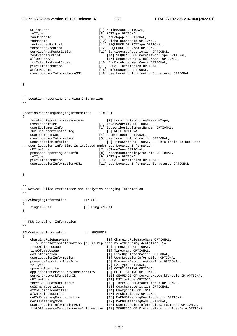### **3GPP TS 32.298 version 16.10.0 Release 16 226 ETSI TS 132 298 V16.10.0 (2022-01)**

| uETimeZone                                                      | [7] MSTimeZone OPTIONAL,                                                                         |
|-----------------------------------------------------------------|--------------------------------------------------------------------------------------------------|
| rATType<br>ranUeNgapId                                          | [8] RATType OPTIONAL,<br>[9] RanUeNgapId OPTIONAL,                                               |
| ranNodeId                                                       | [10] GlobalRanNodeId OPTIONAL,                                                                   |
| restrictedRatList                                               | [11] SEQUENCE OF RATType OPTIONAL,                                                               |
| forbiddenAreaList                                               | [12] SEQUENCE OF Area OPTIONAL,                                                                  |
| serviceAreaRestriction<br>restrictedCnList                      | [13] ServiceAreaRestriction OPTIONAL,<br>[14] SEQUENCE OF CoreNetworkType OPTIONAL,              |
| allowedNSSAI                                                    | [15] SEQUENCE OF SingleNSSAI OPTIONAL,                                                           |
| rrcEstablishmentCause                                           | [16] RrcEstablishmentCause OPTIONAL,                                                             |
| pSCellInformation                                               | [17] PSCellInformation OPTIONAL,                                                                 |
| amfUeNgapId<br>userLocationInformationASN1                      | [18] AmfUeNgapId OPTIONAL,<br>[19] UserLocationInformationStructured OPTIONAL                    |
|                                                                 |                                                                                                  |
| $\}$                                                            |                                                                                                  |
|                                                                 |                                                                                                  |
| -- Location reporting charging Information                      |                                                                                                  |
| $ -$                                                            |                                                                                                  |
| LocationReportingChargingInformation                            | $: :=$ SET                                                                                       |
| $\mathcal{L}$<br>locationReportingMessagetype                   | [0] LocationReportingMessageType,                                                                |
| userIdentifier                                                  | [1] InvolvedParty OPTIONAL,                                                                      |
| userEquipmentInfo<br>sUPIunauthenticatedFlag                    | [2] SubscriberEquipmentNumber OPTIONAL,                                                          |
| userRoamerInOut                                                 | [3] NULL OPTIONAL,<br>[4] RoamerInOut OPTIONAL,                                                  |
| userLocationInformation                                         | [5] UserLocationInformation OPTIONAL,                                                            |
| userLocationInfoTime                                            | [6] TimeStamp OPTIONAL, -- This field is not used                                                |
| uETimeZone                                                      | -- user location info time is included under UserLocationInformation<br>[7] MSTimeZone OPTIONAL, |
| presenceReportingAreaInfo                                       | [8] PresenceReportingAreaInfo OPTIONAL,                                                          |
| rATType                                                         | [9] RATType OPTIONAL,                                                                            |
| pSCellInformation                                               | [10] PSCellInformation OPTIONAL,                                                                 |
| userLocationInformationASN1                                     | [11] UserLocationInformationStructured OPTIONAL                                                  |
|                                                                 |                                                                                                  |
| }                                                               |                                                                                                  |
|                                                                 |                                                                                                  |
| -- Network Slice Performance and Analytics charging Information |                                                                                                  |
|                                                                 |                                                                                                  |
| NSPAChargingInformation                                         | $\mathbf{f} := \mathbf{SET}$                                                                     |
| $\{$                                                            |                                                                                                  |
| singelNSSAI<br>}                                                | [0] SingleNSSAI                                                                                  |
|                                                                 |                                                                                                  |
| -- PDU Container Information                                    |                                                                                                  |
|                                                                 |                                                                                                  |
|                                                                 |                                                                                                  |
| PDUContainerInformation<br>$\mathcal{L}_{\mathcal{L}}$          | $\cdot \cdot =$ SEQUENCE                                                                         |
| chargingRuleBaseName                                            | [0] ChargingRuleBaseName OPTIONAL,                                                               |
|                                                                 | -- aFCorrelationInformation [1] is replaced by afChargingIdentifier [14]                         |
| timeOfFirstUsage<br>timeOfLastUsage                             | [2] TimeStamp OPTIONAL,<br>[3] TimeStamp OPTIONAL,                                               |
| qoSInformation                                                  | [4] FiveGQoSInformation OPTIONAL,                                                                |
| userLocationInformation                                         | [5] UserLocationInformation OPTIONAL,                                                            |
| presenceReportingAreaInfo                                       | [6] PresenceReportingAreaInfo OPTIONAL,                                                          |
| rATType<br>sponsorIdentity                                      | [7] RATType OPTIONAL,<br>[8] OCTET STRING OPTIONAL,                                              |
| applicationServiceProviderIdentity                              | [9] OCTET STRING OPTIONAL,                                                                       |
| servingNetworkFunctionID                                        | [10] SEQUENCE OF ServingNetworkFunctionID OPTIONAL,                                              |
| uETimeZone                                                      | [11] MSTimeZone OPTIONAL,                                                                        |
| threeGPPPSDataOffStatus                                         | [12] ThreeGPPPSDataOffStatus OPTIONAL,                                                           |
| qoSCharacteristics<br>afChargingIdentifier                      | [13] QoSCharacteristics OPTIONAL,<br>[14] ChargingID OPTIONAL,                                   |
| afChargingIdString                                              | [15] AFChargingID OPTIONAL,                                                                      |
| mAPDUSteeringFunctionality                                      | [16] MAPDUSteeringFunctionality OPTIONAL,                                                        |
| mAPDUSteeringMode                                               | [17] MAPDUSteeringMode OPTIONAL,                                                                 |

userLocationInformationASN1 [18] UserLocationInformationStructured OPTIONAL,

listOfPresenceReportingAreaInformation [19] SEQUENCE OF PresenceReportingAreaInfo OPTIONAL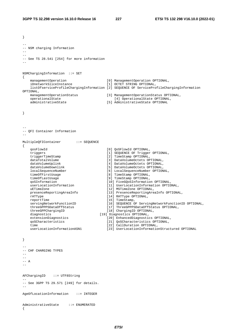```
} 
-- 
-- NSM charging Information 
--- 
-- See TS 28.541 [254] for more information 
-- 
NSMChargingInformation ::= SET 
{ 
 managementOperation [0] ManagementOperation OPTIONAL, 
 iDnetworkSliceInstance [1] OCTET STRING OPTIONAL, 
     listOfserviceProfileChargingInformation [2] SEQUENCE OF ServiceProfileChargingInformation 
OPTIONAL,<br>managementOperationStatus
    managementOperationStatus [3] ManagementOperationStatus OPTIONAL,<br>
operationalState [4] OperationalState OPTIONAL,<br>
dministrativeState [5] AdministrativeState OPTIONAL,
    operationalState [4] OperationalState OPTIONAL,<br>administrativeState [5] AdministrativeState OPTIONAL
                                                  [5] AdministrativeState OPTIONAL
} 
-- 
-- QFI Container Information 
-- 
MultipleQFIContainer ::= SEQUENCE 
{ 
     qosFlowId [0] QoSFlowId OPTIONAL, 
     triggers [1] SEQUENCE OF Trigger OPTIONAL, 
     triggerTimeStamp [2] TimeStamp OPTIONAL, 
    dataTotalVolume [3] DataVolumeOctets OPTIONAL,<br>dataVolumeUplink [4] DataVolumeOctets OPTIONAL,
    dataVolumeUplink [4] DataVolumeOctets OPTIONAL,<br>dataVolumeDownlink [5] DataVolumeOctets OPTIONAL.
    dataVolumeDownlink [5] DataVolumeOctets OPTIONAL,<br>localSequenceNumber [6] LocalSequenceNumber OPTION
     localSequenceNumber [6] LocalSequenceNumber OPTIONAL, 
    timeOfFirstUsage [8] TimeStamp OPTIONAL,<br>timeOfLastUsage [9] TimeStamp OPTIONAL,
    timeOfLastUsage [9] TimeStamp OPTIONAL,<br>qoSInformation [10] FiveGOoSInformation
    qoSInformation [10] FiveGQoSInformation OPTIONAL,<br>userLocationInformation [11] UserLocationInformation OPTIC
                                                   [11] UserLocationInformation OPTIONAL,
    uETimeZone [12] MSTimeZone OPTIONAL,<br>presenceReportingAreaInfo [13] PresenceReportingArea
                                                   [13] PresenceReportingAreaInfo OPTIONAL,
    rATType [14] RATType OPTIONAL,
    reportTime [15] TimeStamp,
    servingNetworkFunctionID [16] SEQUENCE OF ServingNetworkFunctionID OPTIONAL,<br>threeGPPPSDataOffStatus [17] ThreeGPPPSDataOffStatus OPTIONAL,
    threeGPPPSDataOffStatus [17] ThreeGPPPSDataOffStatus OPTIONAL,<br>threeGPPChargingID [18] ChargingID OPTIONAL,
 threeGPPChargingID [18] ChargingID OPTIONAL, 
diagnostics and the control of the control of the control of the control of the control of the control of the control of the control of the control of the control of the control of the control of the control of the control
    extensionDiagnostics [20] EnhancedDiagnostics OPTIONAL,<br>goSCharacteristics [21] QoSCharacteristics OPTIONAL,
    qoSCharacteristics [21] QoSCharacteristics OPTIONAL,<br>time [22] CallDuration OPTIONAL.
    time [22] CallDuration OPTIONAL,<br>userLocationInformationASN1 [23] UserLocationInformation
                                                   [23] UserLocationInformationStructured OPTIONAL
} 
-- 
-- CHF CHARGING TYPES 
-- 
-- 
--- A-AFChargingID ::= UTF8String 
-- 
-- See 3GPP TS 29.571 [249] for details. 
-- 
AgeOfLocationInformation ::= INTEGER 
AdministrativeState ::= ENUMERATED 
{
```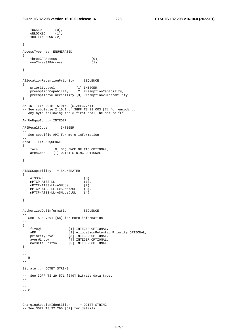```
 lOCKED (0), 
 uNLOCKED (1), 
    sHUTTINGDOWN (2) 
} 
AccessType ::= ENUMERATED 
{ 
   \begin{array}{ll} {\tt threeGPPAccess} & \hspace{2.5cm} (0) \, , \\ {\tt nonThreeGPPAccess} & \end{array} nonThreeGPPAccess (1) 
} 
AllocationRetentionPriority ::= SEQUENCE 
{ 
 priorityLevel [1] INTEGER, 
 preemptionCapability [2] PreemptionCapability, 
    preemptionVulnerability [3] PreemptionVulnerability 
} 
AMFID ::= OCTET STRING (SIZE(3..6)) 
-- See subclause 2.10.1 of 3GPP TS 23.003 [7] for encoding. 
-- Any byte following the 3 first shall be set to "F" 
AmfUeNgapId ::= INTEGER 
APIResultCode ::= INTEGER 
-- 
-- See specific API for more information 
-- 
Area ::= SEQUENCE 
{ 
    tacs [0] SEQUENCE OF TAC OPTIONAL, 
    areaCode [1] OCTET STRING OPTIONAL 
} 
ATSSSCapability ::= ENUMERATED 
{ 
 aTSSS-LL (0), 
 mPTCP-ATSS-LL (1), 
 mPTCP-ATSS-LL-ASModeUL (2), 
 mPTCP-ATSS-LL-ExSDModeUL (3), 
 mPTCP-ATSS-LL-ASModeDLUL (4) 
} 
AuthorizedQoSInformation ::= SEQUENCE 
-- 
-- See TS 32.291 [58] for more information 
-- 
{ 
 fiveQi [1] INTEGER OPTIONAL, 
 aRP [2] AllocationRetentionPriority OPTIONAL, 
 priorityLevel [3] INTEGER OPTIONAL, 
 averWindow [4] INTEGER OPTIONAL, 
 maxDataBurstVol [5] INTEGER OPTIONAL 
} 
-- 
-- B 
-- 
Bitrate ::= OCTET STRING 
-- 
-- See 3GPP TS 29.571 [249] Bitrate data type. 
-- 
-- 
-- C 
-ChargingSessionIdentifier ::= OCTET STRING 
-- See 3GPP TS 32.290 [57] for details.
```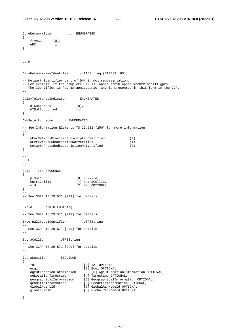```
CoreNetworkType ::= ENUMERATED 
{ 
 fiveGC (0), 
 ePC (1) 
} 
\sim-- D 
-- 
DataNetworkNameIdentifier ::= IA5String (SIZE(1..63)) 
-- 
-- Network Identifier part of DNN in dot representation. 
-- For example, if the complete DNN is 'apn1a.apn1b.apn1c.mnc022.mcc111.gprs'
-- The Identifier is 'apnla.apn1b.apn1c' and is presented in this form in the CDR.
DelayToleranceIndicator ::= ENUMERATED 
{ 
    dTSupported (0),<br>dTNotSupported (1)
    dTNotSupported
} 
DNNSelectionMode ::= ENUMERATED 
-- 
-- See Information Elements TS 29.502 [250] for more information 
-- 
{ 
    uEorNetworkProvidedSubscriptionVerified (0),<br>uEProvidedSubscriptionNotVerified (1),
    uEProvidedSubscriptionNotVerified (1)<br>networkProvidedSubscriptionNotVerified (2)
    networkProvidedSubscriptionNotVerified (2) 
} 
-- 
-- E 
-- 
Ecgi ::= SEQUENCE
{ 
   plmnId [0] PLMN-Id,<br>eutraCellId [1] EutraCel
                            [1] EutraCellId.
    nid [2] Nid OPTIONAL 
} 
-- 
-- See 3GPP TS 29.571 [249] for details 
-- 
ENbId ::= UTF8String 
- -
-- See 3GPP TS 29.571 [249] for details 
ExternalGroupIdentifier ::= UTF8String
-- 
-- See 3GPP TS 29.571 [249] for details 
-- 
EutraCellId ::= UTF8String 
-- 
-- See 3GPP TS 29.571 [249] for details 
-- 
EutraLocation ::= SEQUENCE 
{ 
    tai (0) TAI OPTIONAL,<br>ecgi (1) Ecgi OPTIONAL
                                [1] Ecgi OPTIONAL,<br>[3] AqeOfLocationInformation OPTIONAL,
 ageOfLocationInformation [3] AgeOfLocationInformation OPTIONAL, 
 ueLocationTimestamp [4] TimeStamp OPTIONAL, 
 geographicalInformation [5] GeographicalInformation OPTIONAL, 
 geodeticInformation [6] GeodeticInformation OPTIONAL, 
 globalNgenbId [7] GlobalRanNodeId OPTIONAL, 
    globalNgenbId [7] GlobalRanNodeId OPTIONAL<br>globalENbId [8] GlobalRanNodeId OPTIONAL
```
}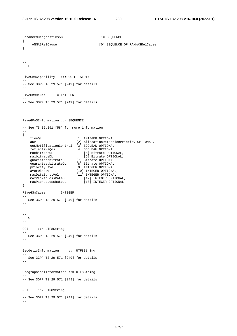```
EnhancedDiagnostics5G ::= SEQUENCE
{ 
    rANNASRelCause [0] SEQUENCE OF RANNASRelCause 
} 
-- 
-- F 
-FiveGMMCapability ::= OCTET STRING 
-- 
-- See 3GPP TS 29.571 [249] for details 
-FiveGMmCause ::= INTEGER 
-- 
-- See 3GPP TS 29.571 [249] for details 
-- 
FiveGQoSInformation ::= SEQUENCE 
-- 
-- See TS 32.291 [58] for more information 
-- 
{ 
 fiveQi [1] INTEGER OPTIONAL, 
 aRP [2] AllocationRetentionPriority OPTIONAL, 
 qoSNotificationControl [3] BOOLEAN OPTIONAL, 
 reflectiveQos [4] BOOLEAN OPTIONAL, 
 maxbitrateUL [5] Bitrate OPTIONAL, 
 maxbitrateDL [6] Bitrate OPTIONAL, 
 guaranteedbitrateUL [7] Bitrate OPTIONAL, 
 guaranteedbitrateDL [8] Bitrate OPTIONAL, 
 priorityLevel [9] INTEGER OPTIONAL, 
 averWindow [10] INTEGER OPTIONAL, 
 maxDataBurstVol [11] INTEGER OPTIONAL, 
 maxPacketLossRateDL [12] INTEGER OPTIONAL, 
 maxPacketLossRateUL [13] INTEGER OPTIONAL 
} 
FiveGSmCause ::= INTEGER 
-- 
-- See 3GPP TS 29.571 [249] for details 
-- 
--- G 
-- 
GCI ::= UTF8String
-- 
-- See 3GPP TS 29.571 [249] for details 
-- 
GeodeticInformation ::= UTF8String 
-- 
-- See 3GPP TS 29.571 [249] for details 
-- 
GeographicalInformation ::= UTF8String 
-- 
-- See 3GPP TS 29.571 [249] for details 
\simGLI ::= UTF8String
-- 
-- See 3GPP TS 29.571 [249] for details 
--
```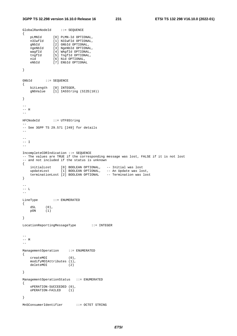```
GlobalRanNodeId ::= SEQUENCE 
{ 
 pLMNId [0] PLMN-Id OPTIONAL, 
 n3IwfId [1] N3IwFId OPTIONAL, 
 gNbId [2] GNbId OPTIONAL, 
 ngeNbId [3] NgeNbId OPTIONAL, 
 wagfId [4] WAgfId OPTIONAL, 
 tngfId [5] TngfId OPTIONAL, 
 nid [6] Nid OPTIONAL, 
 eNbId [7] ENbId OPTIONAL 
} 
GNbId ::= SEQUENCE 
{ 
 bitLength [0] INTEGER, 
 gNbValue [1] IA5String (SIZE(10)) 
} 
-- 
-- H 
-HFCNodeId ::= UTF8String 
-- 
-- See 3GPP TS 29.571 [249] for details 
-- 
-- 
-- I
\simIncompleteCDRIndication ::= SEQUENCE 
-- The values are TRUE if the corresponding message was lost, FALSE if it is not lost 
-- and not included if the status is unknown 
{ 
 initialLost [0] BOOLEAN OPTIONAL, -- Initial was lost 
 updateLost [1] BOOLEAN OPTIONAL, -- An Update was lost, 
 terminationLost [2] BOOLEAN OPTIONAL -- Termination was lost 
} 
-- 
-- L 
-- 
LineType ::= ENUMERATED 
{ 
    dSL (0), 
    pON (1) 
} 
LocationReportingMessageType ::= INTEGER 
-- 
-- M 
-- 
ManagementOperation ::= ENUMERATED 
{ 
    createMOI (0), 
    modifyMOIAttributes (1), 
    deleteMOI (2) 
} 
ManagementOperationStatus ::= ENUMERATED 
{ 
    oPERATION-SUCCEEDED (0), 
    oPERATION-FAILED (1) 
} 
MnSConsumerIdentifier ::= OCTET STRING
```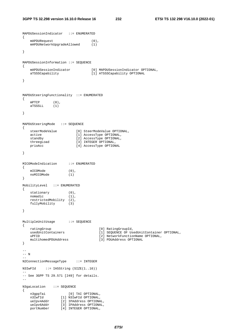```
MAPDUSessionIndicator ::= ENUMERATED 
{ 
   mAPDURequest (0),
    mAPDUNetworkUpgradeAllowed (1) 
} 
MAPDUSessionInformation ::= SEQUENCE 
{ 
 mAPDUSessionIndicator [0] MAPDUSessionIndicator OPTIONAL, 
 aTSSSCapability [1] ATSSSCapability OPTIONAL 
} 
MAPDUSteeringFunctionality ::= ENUMERATED 
{ 
    mPTCP (0), 
    aTSSSLL (1) 
} 
MAPDUSteeringMode ::= SEQUENCE 
{ 
    steerModeValue [0] SteerModeValue OPTIONAL, 
    active [1] AccessType OPTIONAL, 
   standby [2] AccessType OPTIONAL,<br>threegLoad [3] INTEGER OPTIONAL,
   threegLoad [3] INTEGER OPTIONAL,<br>prioAcc [4] AccessType OPTION
                         [4] AccessType OPTIONAL
} 
MICOModeIndication ::= ENUMERATED 
{ 
   mICOMode (0),<br>
noMICOMode (1)
   noMICOMode
} 
MobilityLevel ::= ENUMERATED 
{ 
 stationary (0), 
nomadic (1),
    restrictedMobility (2), 
    fullyMobility (3) 
} 
MultipleUnitUsage ::= SEQUENCE 
{ 
   ratingGroup [0] RatingGroupId,
    usedUnitContainers [1] SEQUENCE OF UsedUnitContainer OPTIONAL, 
   uPFID<br>
multihomedPDUAddress                         [3] PDUAddress OPTIONAL,
                                    [3] PDUAddress OPTIONAL
} 
-- 
-- N 
-- 
N2ConnectionMessageType ::= INTEGER 
N3IwFId ::= IA5String (SIZE(1..16)) 
-- 
-- See 3GPP TS 29.571 [249] for details. 
-- 
N3gaLocation ::= SEQUENCE 
{ 
 n3gppTai [0] TAI OPTIONAL, 
 n3IwfId [1] N3IwFId OPTIONAL, 
 ueIpv4Addr [2] IPAddress OPTIONAL, 
 ueIpv6Addr [3] IPAddress OPTIONAL, 
 portNumber [4] INTEGER OPTIONAL,
```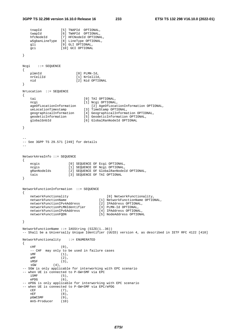tnapId [5] TNAPId OPTIONAL, twapId [6] TWAPId OPTIONAL,

```
 hfcNodeId [7] HFCNodeId OPTIONAL, 
    w5gbanLineType [8] LineType OPTIONAL, 
   gli [9] GLI OPTIONAL,
    gci [10] GCI OPTIONAL 
} 
Ncgi ::= SEQUENCE 
{ 
    plmnId [0] PLMN-Id, 
   nrCellId [1] NrCellId,<br>
nid [2] Nid OPTIC
                          [2] Nid OPTIONAL
} 
NrLocation ::= SEQUENCE 
{ 
    tai [0] TAI OPTIONAL, 
   ncgi [1] Ncgi OPTIONAL,
    ageOfLocationInformation [2] AgeOfLocationInformation OPTIONAL, 
   ueLocationTimestamp [3] TimeStamp OPTIONAL,<br>geographicalInformation [4] GeographicalInforma
   geographicalInformation [4] GeographicalInformation OPTIONAL,<br>geodeticInformation [5] GeodeticInformation OPTIONAL,
 geodeticInformation [5] GeodeticInformation OPTIONAL, 
 globalGnbId [6] GlobalRanNodeId OPTIONAL 
} 
-- 
-- See 3GPP TS 29.571 [249] for details 
-- 
NetworkAreaInfo ::= SEQUENCE 
{ 
   ecgis [0] SEQUENCE OF Ecgi OPTIONAL,
   ncgis [1] SEQUENCE OF Ncgi OPTIONAL,
    gRanNodeIds [2] SEQUENCE OF GlobalRanNodeId OPTIONAL, 
    tais [3] SEQUENCE OF TAI OPTIONAL 
} 
NetworkFunctionInformation ::= SEQUENCE 
{ 
    networkFunctionality [0] NetworkFunctionality, 
    networkFunctionName [1] NetworkFunctionName OPTIONAL, 
 networkFunctionIPv4Address [2] IPAddress OPTIONAL, 
 networkFunctionPLMNIdentifier [3] PLMN-Id OPTIONAL, 
    networkFunctionIPv6Address [4] IPAddress OPTIONAL, 
   networkFunctionFQDN [5] NodeAddress OPTIONAL
} 
NetworkFunctionName ::= IA5String (SIZE(1..36)) 
-- Shall be a Universally Unique Identifier (UUID) version 4, as described in IETF RFC 4122 [410] 
NetworkFunctionality ::= ENUMERATED 
{ 
   \text{CHF} \qquad \qquad (0) \; , -- CHF may only to be used in failure cases 
   \text{SMF} (1),<br>aMF (2),
                  (2),
   SMSF (3),
   \text{sgw} (4),
-- SGW is only applicable for interworking with EPC scenario 
-- when UE is connected to P-GW+SMF via EPC iSMF
                  (5),
    ePDG (6), 
-- ePDG is only applicable for interworking with EPC scenario 
-- when UE is connected to P-GW+SMF via EPC/ePDG 
   CEF (7),
    nEF (8), 
    pGWCSMF (9), 
   mnS-Producer (10)
```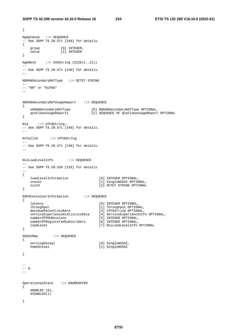```
} 
NgApCause ::= SEQUENCE 
-- See 3GPP TS 29.571 [249] for details. 
{ 
group [0] INTEGER,
 value [1] INTEGER 
} 
NgeNbId ::= IA5String (SIZE(1..21)) 
-- 
-- See 3GPP TS 29.571 [249] for details. 
\mathbf{L}NGRANSecondaryRATType ::= OCTET STRING 
-- 
-- "NR" or "EUTRA" 
NGRANSecondaryRATUsageReport ::= SEQUENCE 
{ 
    nGRANSecondaryRATType [0] NGRANSecondaryRATType OPTIONAL, 
    qosFlowsUsageReports [1] SEQUENCE OF QosFlowsUsageReport OPTIONAL 
} 
Nid ::= UTF8String-- 
-- See 3GPP TS 29.571 [249] for details. 
-- 
NrCellId ::= UTF8String 
-- 
-- See 3GPP TS 29.571 [249] for details. 
\mathbf{L}NsiLoadLevelInfo ::= SEQUENCE 
-- 
-- See 3GPP TS 29.520 [233] for details 
-{ 
    loadLevelInformation [0] INTEGER OPTIONAL, 
    snssai [1] SingleNSSAI OPTIONAL, 
                                   nsiId [2] OCTET STRING OPTIONAL 
} 
NSPAContainerInformation ::= SEQUENCE 
{ 
   latency [0] INTEGER OPTIONAL,<br>throughput [1] Throughput OPTIONAL,
 throughput [1] Throughput OPTIONAL, 
 maximumPacketLossRate [3] UTF8String OPTIONAL, 
 serviceExperienceStatisticsData [4] ServiceExperienceInfo OPTIONAL, 
 numberOfPDUSessions [5] INTEGER OPTIONAL, 
 numberOfRegisteredSubscribers [6] INTEGER OPTIONAL, 
 loadLevel [7] NsiLoadLevelInfo OPTIONAL 
} 
NSSAIMap ::= SEQUENCE 
\{servingSnssai [0] SingleNSSAI,
    homeSnssai [1] SingleNSSAI 
} 
---- 0-- 
OperationalState ::= ENUMERATED 
{ 
    eNABLED (0), 
    dISABLED(1) 
}
```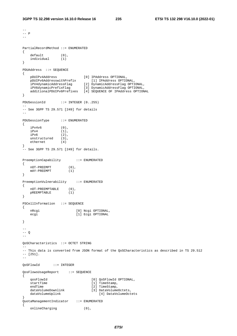--

```
--- P-PartialRecordMethod ::= ENUMERATED 
{ 
   default (0),
    individual (1) 
} 
PDUAddress ::= SEQUENCE 
{ 
 pDUIPv4Address [0] IPAddress OPTIONAL, 
 pDUIPv6AddresswithPrefix [1] IPAddress OPTIONAL, 
 iPV4dynamicAddressFlag [2] DynamicAddressFlag OPTIONAL, 
 iPV6dynamicPrefixFlag [3] DynamicAddressFlag OPTIONAL, 
 additionalPDUIPv6Prefixes [4] SEQUENCE OF IPAddress OPTIONAL 
} 
PDUSessionId ::= INTEGER (0..255) 
-- 
-- See 3GPP TS 29.571 [249] for details 
-- 
PDUSessionType ::= ENUMERATED 
{ 
   iPv4v6 (0),<br>iPv4 (1),
   iPv4<br>iPv6
                 (2),
   unstructured (3),<br>ethernet (4)
   ethernet
} 
-- See 3GPP TS 29.571 [249] for details. 
PreemptionCapability ::= ENUMERATED 
{ 
 nOT-PREEMPT (0), 
 mAY-PREEMPT (1) 
} 
PreemptionVulnerability ::= ENUMERATED 
{ 
   nOT-PREEMPTABLE (0),<br>pREEMPTABLE (1)
   pREEMPTABLE
} 
PSCellInformation ::= SEQUENCE 
{ 
    nRcgi [0] Ncgi OPTIONAL, 
   ecgi [1] Ecgi OPTIONAL
} 
---- 0-- 
QoSCharacteristics ::= OCTET STRING 
-- 
-- This data is converted from JSON format of the QoSCharacteristics as described in TS 29.512 
-- [251]. 
-- 
QoSFlowId ::= INTEGER 
QosFlowsUsageReport ::= SEQUENCE 
{ 
    qosFlowId [0] QoSFlowId OPTIONAL, 
                                 [1] TimeStamp,
   endTime [2] TimeStamp,<br>dataVolumeDownlink [3] DataVolume
                                 [3] DataVolumeOctets,
   dataVolumeUplink [4] DataVolumeOctets
} 
QuotaManagementIndicator ::= ENUMERATED 
{ 
    onlineCharging (0),
```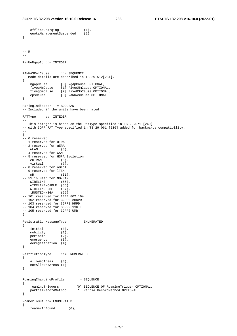offlineCharging (1),

```
 quotaManagementSuspended (2) 
} 
-- 
-- R 
-RanUeNgapId ::= INTEGER 
RANNASRelCause ::= SEQUENCE 
-- Mode details are described in TS 29.512[251]. 
{ 
    ngApCause [0] NgApCause OPTIONAL, 
 fivegMmCause [1] FiveGMmCause OPTIONAL, 
 fivegSmCause [2] FiveGSmCause OPTIONAL, 
 epsCause [3] RANNASCause OPTIONAL 
} 
RatingIndicator ::= BOOLEAN 
-- Included if the units have been rated. 
RATType ::= INTEGER 
-- 
-- This integer is based on the RatType specified in TS 29.571 [249] 
-- with 3GPP RAT Type specified in TS 29.061 [216] added for backwards compatibility. 
-- 
{ 
-- 0 reserved 
-- 1 reserved for uTRA 
-- 2 reserved for gERA 
   wI, AN (3)
-- 4 reserved for GAN 
-- 5 reserved for HSPA Evolution 
 eUTRAN (6), 
 virtual (7), 
-- 8 reserved for nBIoT 
-- 9 reserved for lTEM 
    nR (51), 
-- 51 is used for NG-RAN 
wIRELINE (55),
 wIRELINE-CABLE (56), 
 wIRELINE-BBF (57), 
 tRUSTED-N3GA (65) 
-- 101 reserved for IEEE 802.16e 
-- 102 reserved for 3GPP2 eHRPD 
-- 103 reserved for 3GPP2 HRPD 
-- 104 reserved for 3GPP2 1xRTT 
-- 105 reserved for 3GPP2 UMB 
} 
RegistrationMessageType ::= ENUMERATED 
{ 
    initial (0), 
   mobility (1),<br>periodic (2),<br>emergency (3),
   periodic
   emergency
    deregistration (4) 
} 
RestrictionType ::= ENUMERATED 
{ 
    allowedAreas (0), 
    notAllowedAreas (1) 
} 
RoamingChargingProfile ::= SEQUENCE
{ 
 roamingTriggers [0] SEQUENCE OF RoamingTrigger OPTIONAL, 
 partialRecordMethod [1] PartialRecordMethod OPTIONAL 
} 
RoamerInOut ::= ENUMERATED 
{ 
    roamerInBound (0),
```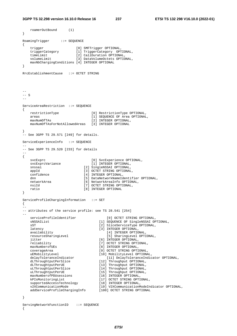```
3GPP TS 32.298 version 16.10.0 Release 16 237 ETSI TS 132 298 V16.10.0 (2022-01)
```

```
 roamerOutBound (1) 
} 
RoamingTrigger ::= SEQUENCE
{ 
 trigger [0] SMFTrigger OPTIONAL, 
 triggerCategory [1] TriggerCategory OPTIONAL, 
 timeLimit [2] CallDuration OPTIONAL, 
 volumeLimit [3] DataVolumeOctets OPTIONAL, 
    maxNbChargingConditions [4] INTEGER OPTIONAL 
} 
RrcEstablishmentCause ::= OCTET STRING 
-- 
-- S 
-- 
ServiceAreaRestriction ::= SEQUENCE 
{ 
    restrictionType [0] RestrictionType OPTIONAL, 
    areas [1] SEQUENCE OF Area OPTIONAL, 
   maxNumOfTAs [2] INTEGER OPTIONAL,
    maxNumOfTAsForNotAllowedAreas [3] INTEGER OPTIONAL 
} 
-- See 3GPP TS 29.571 [249] for details. 
ServiceExperienceInfo ::= SEQUENCE 
-- 
-- See 3GPP TS 29.520 [233] for details 
-{ 
   svcExprc [0] SvcExperience OPTIONAL,<br>svcExprcVariance [1] INTEGER OPTIONAL,
                              [1] INTEGER OPTIONAL,
   snssai [2] SingleNSSAI OPTIONAL,
   appId [3] OCTET STRING OPTIONAL,
   confidence [4] INTEGER OPTIONAL,<br>dnn [5] DataNetworkNameId
   dnn [5] DataNetworkNameIdentifier OPTIONAL,<br>
[6] NetworkAreaInfo OPTIONAL,
                           [6] NetworkAreaInfo OPTIONAL,
  nsiId [7] OCTET STRING OPTIONAL,
    ratio [8] INTEGER OPTIONAL 
} 
ServiceProfileChargingInformation ::= SET 
{ 
-- 
-- attributes of the service profile: see TS 28.541 [254] 
-- 
   serviceProfileIdentifier [0] OCTET STRING OPTIONAL,<br>sNSSAIList [1] SEQUENCE OF SingleNSSAI OP
   sNSSAIList [1] SEQUENCE OF SingleNSSAI OPTIONAL,<br>sST [2] SliceServiceType OPTIONAL,
   sST [2] SliceServiceType OPTIONAL,<br>
latency [3] INTEGER OPTIONAL,
                                  [3] INTEGER OPTIONAL,
    availability [4] INTEGER OPTIONAL, 
    resourceSharingLevel [5] SharingLevel OPTIONAL, 
   jitter [6] INTEGER OPTIONAL,<br>reliability [7] OCTET STRING OPTI
                                  [7] OCTET STRING OPTIONAL,
   maxNumberofUEs [8] INTEGER OPTIONAL,
 coverageArea [9] OCTET STRING OPTIONAL, 
 uEMobilityLevel [10] MobilityLevel OPTIONAL, 
 delayToleranceIndicator [11] DelayToleranceIndicator OPTIONAL, 
 dLThroughtputPerSlice [12] Throughput OPTIONAL, 
 dLThroughtputPerUE [13] Throughput OPTIONAL, 
 uLThroughtputPerSlice [14] Throughput OPTIONAL, 
 uLThroughtputPerUE [15] Throughput OPTIONAL, 
 maxNumberofPDUsessions [16] INTEGER OPTIONAL, 
 kPIsMonitoringList [17] OCTET STRING OPTIONAL, 
 supportedAccessTechnology [18] INTEGER OPTIONAL, 
 v2XCommunicationMode [19] V2XCommunicationModeIndicator OPTIONAL, 
 addServiceProfileChargingInfo [100] OCTET STRING OPTIONAL
```
- }
- ServingNetworkFunctionID ::= SEQUENCE {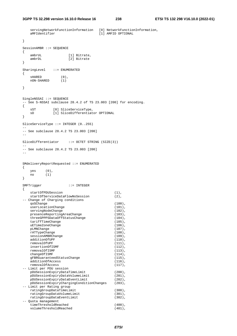```
servingNetworkFunctionInformation [0] NetworkFunctionInformation,<br>aMFIdentifier [1] AMFID OPTIONAL
                                       [1] AMFID OPTIONAL
} 
SessionAMBR ::= SEQUENCE 
{ 
   ambrUL [1] Bitrate,<br>ambrDL [2] Bitrate
                   [2] Bitrate
} 
SharingLevel ::= ENUMERATED 
{ 
    sHARED (0),<br>nON-SHARED (1)
   nON-SHARED
} 
SingleNSSAI ::= SEQUENCE 
-- See S-NSSAI subclause 28.4.2 of TS 23.003 [200] for encoding.
{ 
sST [0] SliceServiceType,
 sD [1] SliceDifferentiator OPTIONAL 
} 
SliceServiceType ::= INTEGER (0..255) 
-- 
-- See subclause 28.4.2 TS 23.003 [200] 
-SliceDifferentiator ::= OCTET STRING (SIZE(3)) 
-- 
-- See subclause 28.4.2 TS 23.003 [200] 
-SMdeliveryReportRequested ::= ENUMERATED 
{ 
    yes (0), 
    no (1) 
} 
SMFTrigger ::= INTEGER 
{ 
   startOfPDUSession (1),
   startOfServiceDataFlowNoSession (2),
-- Change of Charging conditions 
   qoSChange (100),<br>userLocationChange (101),
   userLocationChange
   servingNodeChange (102),<br>
presenceReportingAreaChange (103),
   presenceReportingAreaChange
    threeGPPPSDataOffStatusChange (104),<br>tariffTimeChange (105),
    tariffTimeChange (105),<br>uETimeZoneChange (106),
   uETimeZoneChange (106), uETimeZoneChange (106), (107), (107), (107), (107), (107), (107), (107), (107), (107), (107), (107), (107), (107), (107), (107), (107), (107), (107), (107), (107), (107), (107), (107), (107), (107),
   pLMNChange
   rATTypeChange (108),<br>sessionAMBRChange (109),
   sessionAMBRChange
   additionOfUPF (110),
   removalOfUPF (111),
   insertionOfISMF (112),
   removalOfISMF (113),
   changeOfISMF (114),<br>qFBRGuaranteedStatusChange (115),
   gFBRGuaranteedStatusChange (115),<br>additionOfAccess (116).
   additionOfAccess
   removalOfAccess (117),
-- Limit per PDU session 
   pDUSessionExpiryDataTimeLimit (200),<br>pDUSessionExpiryDataVolumeLimit (201),
   pDUSessionExpiryDataVolumeLimit
    pDUSessionExpiryDataEventLimit (202), 
    pDUSessionExpiryChargingConditionChanges (203), 
-- Limit per Rating group 
    ratingGroupDataTimeLimit (300), 
   ratingGroupDataVolumeLimit (301),
   ratingGroupDataEventLimit (302),
-- Quota management 
     timeThresholdReached (400), 
     volumeThresholdReached (401),
```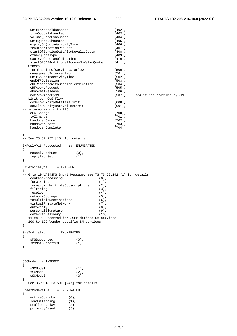| unitThresholdReached                                                                                                                                                                                                                                                                                                                                                                                                                                                            | $(402)$ ,                                                                                                                                                                            |
|---------------------------------------------------------------------------------------------------------------------------------------------------------------------------------------------------------------------------------------------------------------------------------------------------------------------------------------------------------------------------------------------------------------------------------------------------------------------------------|--------------------------------------------------------------------------------------------------------------------------------------------------------------------------------------|
| timeQuotaExhausted                                                                                                                                                                                                                                                                                                                                                                                                                                                              | $(403)$ ,                                                                                                                                                                            |
| volumeQuotaExhausted                                                                                                                                                                                                                                                                                                                                                                                                                                                            | $(404)$ ,                                                                                                                                                                            |
| unitQuotaExhausted                                                                                                                                                                                                                                                                                                                                                                                                                                                              | $(405)$ ,                                                                                                                                                                            |
| expiryOfQuotaValidityTime                                                                                                                                                                                                                                                                                                                                                                                                                                                       | $(406)$ ,                                                                                                                                                                            |
| reAuthorizationRequest                                                                                                                                                                                                                                                                                                                                                                                                                                                          | $(407)$ ,                                                                                                                                                                            |
|                                                                                                                                                                                                                                                                                                                                                                                                                                                                                 |                                                                                                                                                                                      |
| startOfServiceDataFlowNoValidQuota                                                                                                                                                                                                                                                                                                                                                                                                                                              | $(408)$ ,                                                                                                                                                                            |
| otherQuotaType                                                                                                                                                                                                                                                                                                                                                                                                                                                                  | $(409)$ ,                                                                                                                                                                            |
| expiryOfQuotaHoldingTime                                                                                                                                                                                                                                                                                                                                                                                                                                                        | $(410)$ ,                                                                                                                                                                            |
| startOfSDFAdditionalAccessNoValidQuota                                                                                                                                                                                                                                                                                                                                                                                                                                          | $(411)$ ,                                                                                                                                                                            |
| -- Others                                                                                                                                                                                                                                                                                                                                                                                                                                                                       |                                                                                                                                                                                      |
| terminationOfServiceDataFlow                                                                                                                                                                                                                                                                                                                                                                                                                                                    | $(500)$ ,                                                                                                                                                                            |
| managementIntervention                                                                                                                                                                                                                                                                                                                                                                                                                                                          | $(501)$ ,                                                                                                                                                                            |
| unitCountInactivityTime                                                                                                                                                                                                                                                                                                                                                                                                                                                         | $(502)$ ,                                                                                                                                                                            |
| endOfPDUSession                                                                                                                                                                                                                                                                                                                                                                                                                                                                 | $(503)$ ,                                                                                                                                                                            |
| cHFResponseWithSessionTermination                                                                                                                                                                                                                                                                                                                                                                                                                                               |                                                                                                                                                                                      |
|                                                                                                                                                                                                                                                                                                                                                                                                                                                                                 | $(504)$ ,                                                                                                                                                                            |
| cHFAbortRequest                                                                                                                                                                                                                                                                                                                                                                                                                                                                 | $(505)$ ,                                                                                                                                                                            |
| abnormalRelease                                                                                                                                                                                                                                                                                                                                                                                                                                                                 | $(506)$ ,                                                                                                                                                                            |
| notProvidedBySMF                                                                                                                                                                                                                                                                                                                                                                                                                                                                | (507), -- used if not provided by SMF                                                                                                                                                |
| -- Limit per QoS Flow                                                                                                                                                                                                                                                                                                                                                                                                                                                           |                                                                                                                                                                                      |
| qoSFlowExpiryDataTimeLimit                                                                                                                                                                                                                                                                                                                                                                                                                                                      | $(600)$ ,                                                                                                                                                                            |
| qoSFlowExpiryDataVolumeLimit                                                                                                                                                                                                                                                                                                                                                                                                                                                    | $(601)$ ,                                                                                                                                                                            |
| -- interworking with EPC                                                                                                                                                                                                                                                                                                                                                                                                                                                        |                                                                                                                                                                                      |
| eCGIChange                                                                                                                                                                                                                                                                                                                                                                                                                                                                      | $(700)$ ,                                                                                                                                                                            |
| tAIChange                                                                                                                                                                                                                                                                                                                                                                                                                                                                       | $(701)$ ,                                                                                                                                                                            |
| handoverCancel                                                                                                                                                                                                                                                                                                                                                                                                                                                                  | $(702)$ ,                                                                                                                                                                            |
|                                                                                                                                                                                                                                                                                                                                                                                                                                                                                 |                                                                                                                                                                                      |
| handoverStart                                                                                                                                                                                                                                                                                                                                                                                                                                                                   | $(703)$ ,                                                                                                                                                                            |
| handoverComplete                                                                                                                                                                                                                                                                                                                                                                                                                                                                | (704)                                                                                                                                                                                |
|                                                                                                                                                                                                                                                                                                                                                                                                                                                                                 |                                                                                                                                                                                      |
| $\mathcal{E}$                                                                                                                                                                                                                                                                                                                                                                                                                                                                   |                                                                                                                                                                                      |
| $--$ See TS 32.255 [15] for details.                                                                                                                                                                                                                                                                                                                                                                                                                                            |                                                                                                                                                                                      |
|                                                                                                                                                                                                                                                                                                                                                                                                                                                                                 |                                                                                                                                                                                      |
| SMReplyPathRequested<br>$: :=$ ENUMERATED                                                                                                                                                                                                                                                                                                                                                                                                                                       |                                                                                                                                                                                      |
| $\left\{ \right.$                                                                                                                                                                                                                                                                                                                                                                                                                                                               |                                                                                                                                                                                      |
| noReplyPathSet<br>$(0)$ ,                                                                                                                                                                                                                                                                                                                                                                                                                                                       |                                                                                                                                                                                      |
| replyPathSet<br>(1)                                                                                                                                                                                                                                                                                                                                                                                                                                                             |                                                                                                                                                                                      |
| $\mathcal{E}$                                                                                                                                                                                                                                                                                                                                                                                                                                                                   |                                                                                                                                                                                      |
|                                                                                                                                                                                                                                                                                                                                                                                                                                                                                 |                                                                                                                                                                                      |
| $\left\{ \right.$<br>contentProcessing<br>forwarding<br>forwardingMultipleSubscriptions<br>filtering<br>receipt<br>networkStorage<br>toMultipleDestinations<br>virtualPrivateNetwork<br>autoreply<br>personalSignature<br>deferredDelivery<br>-- 11 to 99 Reserved for 3GPP defined SM services<br>-- 100 to 199 Vendor specific SM services<br>$\mathcal{F}$<br>$SmsIndication :: = ENUMERATED$<br>$\left\{ \right.$<br>sMSSupported<br>$(0)$ ,<br>sMSNotSupported<br>(1)<br>ł | -- 0 to 10 VAS4SMS Short Message, see TS TS 22.142 [x] for details<br>$(0)$ ,<br>$(1)$ ,<br>$(2)$ ,<br>$(3)$ ,<br>$(4)$ ,<br>$(5)$ ,<br>$(6)$ ,<br>$(7)$ ,<br>(8)<br>$(9)$ ,<br>(10) |
| $SSCMode ::=INTER$<br>$\left\{ \right.$<br>sSCMode1<br>$(1)$ ,<br>sSCMode2<br>$(2)$ ,<br>sSCMode3<br>(3)<br>}<br>-- See 3GPP TS 23.501 [247] for details.<br>SteerModeValue ::= ENUMERATED<br>$\{$<br>activeStandby<br>$(0)$ ,<br>loadBalancing<br>$(1)$ ,<br>smallestDelay<br>$(2)$ ,<br>priorityBased<br>(3)                                                                                                                                                                  |                                                                                                                                                                                      |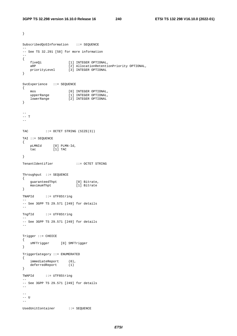```
} 
SubscribedQoSInformation ::= SEQUENCE 
-- 
-- See TS 32.291 [58] for more information 
-- 
{ 
 fiveQi [1] INTEGER OPTIONAL, 
 aRP [2] AllocationRetentionPriority OPTIONAL, 
 priorityLevel [3] INTEGER OPTIONAL 
} 
SvcExperience ::= SEQUENCE 
{ 
mos [0] INTEGER OPTIONAL,
 upperRange [1] INTEGER OPTIONAL, 
 lowerRange [2] INTEGER OPTIONAL 
} 
-- 
-- T 
-- 
TAC ::= OCTET STRING (SIZE(3))
TAI ::= SEQUENCE 
\{ pLMNId [0] PLMN-Id, 
 tac [1] TAC 
} 
TenantIdentifier ::= OCTET STRING 
Throughput ::= SEQUENCE 
\{ guaranteedThpt [0] Bitrate, 
 maximumThpt [1] Bitrate 
} 
TNAPId ::= UTF8String 
-- 
-- See 3GPP TS 29.571 [249] for details 
-- 
TngfId ::= UTF8String 
-- 
-- See 3GPP TS 29.571 [249] for details 
-- 
Trigger ::= CHOICE 
{ 
    sMFTrigger [0] SMFTrigger 
} 
TriggerCategory ::= ENUMERATED 
\{ immediateReport (0), 
 deferredReport (1) 
} 
TWAPId ::= UTF8String 
-- 
-- See 3GPP TS 29.571 [249] for details 
-- 
--- U 
-UsedUnitContainer ::= SEQUENCE
```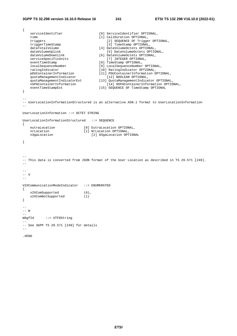```
{ 
   serviceIdentifier [0] ServiceIdentifier OPTIONAL,
   time [1] CallDuration OPTIONAL,
   triggers [2] SEQUENCE OF Trigger OPTIONAL,
   triggerTimeStamp [3] TimeStamp OPTIONAL,<br>dataTotalVolume [4] DataVolumeOctets OPTION.
   dataTotalVolume [4] DataVolumeOctets OPTIONAL,<br>dataVolumeUplink [5] DataVolumeOctets OPTIC
   dataVolumeUplink [5] DataVolumeOctets OPTIONAL,<br>dataVolumeDownlink [6] DataVolumeOctets OPTIONAL,
 dataVolumeDownlink [6] DataVolumeOctets OPTIONAL, 
 serviceSpecificUnits [7] INTEGER OPTIONAL, 
   eventTimeStamp [8] TimeStamp OPTIONAL,
   \begin{minipage}[c]{0.9cm}{\textbf{localSequenceNumber}} & \textbf{[9]} LocalSequenceNumber} \\ \textbf{ratingIndicate} & \textbf{[10]} Rationalcator \textbf{OPTIONAL}, \\ \textbf{pDUContaine} & \textbf{[11]} PDUContainerInformation \textbf{OPTIONAL}, \end{minipage} \vspace{-0.1cm} ratingIndicator [10] RatingIndicator OPTIONAL, 
 pDUContainerInformation [11] PDUContainerInformation OPTIONAL, 
 quotaManagementIndicator [12] BOOLEAN OPTIONAL, 
 quotaManagementIndicatorExt [13] QuotaManagementIndicator OPTIONAL, 
 nSPAContainerInformation [14] NSPAContainerInformation OPTIONAL, 
 eventTimeStampExt [15] SEQUENCE OF TimeStamp OPTIONAL 
} 
-- 
-- UserLocationInformationStructured is an alternative ASN.1 format to UserLocationInformation 
-- 
UserLocationInformation ::= OCTET STRING 
UserLocationInformationStructured ::= SEQUENCE 
{ 
 eutraLocation [0] EutraLocation OPTIONAL, 
 nrLocation [1] NrLocation OPTIONAL, 
 n3gaLocation [2] N3gaLocation OPTIONAL 
} 
-- 
-- This data is converted from JSON format of the User Location as described in TS 29.571 [249]. 
-- 
-- 
-- V 
-- 
V2XCommunicationModeIndicator ::= ENUMERATED 
{ 
   v2XComSupported (0),<br>v2XComNotSupported (1)
    v2XComNotSupported (1) 
} 
-- 
-- W 
-- 
WAgfId ::= UTF8String 
-- 
-- See 3GPP TS 29.571 [249] for details 
-.#END
```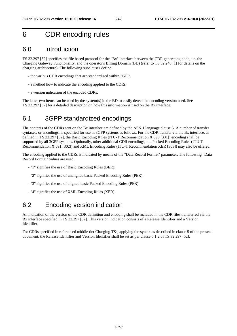# 6 CDR encoding rules

## 6.0 Introduction

TS 32.297 [52] specifies the file based protocol for the "Bx" interface between the CDR generating node, i.e. the Charging Gateway Functionality, and the operator's Billing Domain (BD) (refer to TS 32.240 [1] for details on the charging architecture). The following subclauses define

- the various CDR encodings that are standardised within 3GPP,
- a method how to indicate the encoding applied to the CDRs,
- a version indication of the encoded CDRs.

The latter two items can be used by the system(s) in the BD to easily detect the encoding version used. See TS 32.297 [52] for a detailed description on how this information is used on the Bx interface.

# 6.1 3GPP standardized encodings

The contents of the CDRs sent on the Bx interface are defined by the ASN.1 language clause 5. A number of transfer syntaxes, or encodings, is specified for use in 3GPP systems as follows. For the CDR transfer via the Bx interface, as defined in TS 32.297 [52], the Basic Encoding Rules (ITU-T Recommendation X.690 [301]) encoding shall be supported by all 3GPP systems. Optionally, other additional CDR encodings, i.e. Packed Encoding Rules (ITU-T Recommendation X.691 [302]) and XML Encoding Rules (ITU-T Recommendation XER [303]) may also be offered.

The encoding applied to the CDRs is indicated by means of the "Data Record Format" parameter. The following "Data Record Format" values are used:

- "1" signifies the use of Basic Encoding Rules (BER);
- "2" signifies the use of unaligned basic Packed Encoding Rules (PER);
- "3" signifies the use of aligned basic Packed Encoding Rules (PER);
- "4" signifies the use of XML Encoding Rules (XER).

## 6.2 Encoding version indication

An indication of the version of the CDR definition and encoding shall be included in the CDR files transferred via the Bx interface specified in TS 32.297 [52]. This version indication consists of a Release Identifier and a Version Identifier.

For CDRs specified in referenced middle tier Charging TSs, applying the syntax as described in clause 5 of the present document, the Release Identifier and Version Identifier shall be set as per clause 6.1.2 of TS 32.297 [52].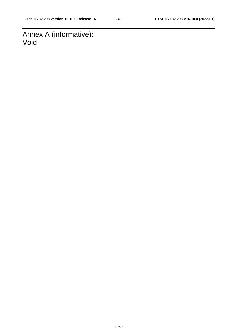Annex A (informative): Void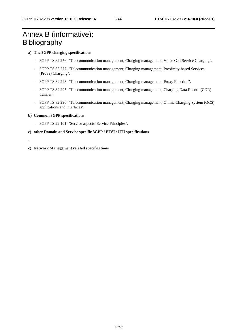# Annex B (informative): Bibliography

#### **a) The 3GPP charging specifications**

- 3GPP TS 32.276: "Telecommunication management; Charging management; Voice Call Service Charging".
- 3GPP TS 32.277: "Telecommunication management; Charging management; Proximity-based Services (ProSe) Charging".
- 3GPP TS 32.293: "Telecommunication management; Charging management; Proxy Function".
- 3GPP TS 32.295: "Telecommunication management; Charging management; Charging Data Record (CDR) transfer".
- 3GPP TS 32.296: "Telecommunication management; Charging management; Online Charging System (OCS) applications and interfaces".

#### **b) Common 3GPP specifications**

- 3GPP TS 22.101: "Service aspects; Service Principles".
- **c) other Domain and Service specific 3GPP / ETSI / ITU specifications**
- -
- **c) Network Management related specifications**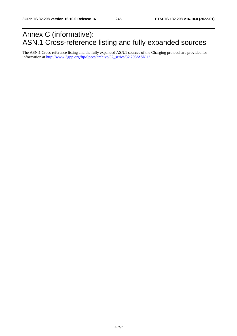# Annex C (informative): ASN.1 Cross-reference listing and fully expanded sources

The ASN.1 Cross-reference listing and the fully expanded ASN.1 sources of the Charging protocol are provided for information at http://www.3gpp.org/ftp/Specs/archive/32\_series/32.298/ASN.1/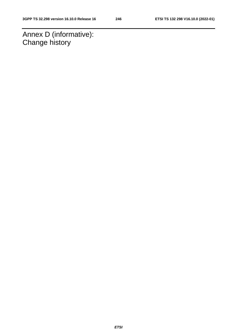Annex D (informative): Change history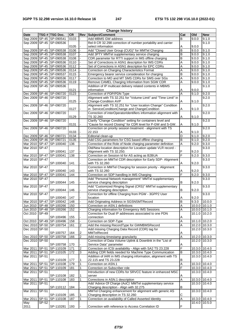| <b>Change history</b> |              |                              |           |                         |                                                                   |                |               |               |  |  |
|-----------------------|--------------|------------------------------|-----------|-------------------------|-------------------------------------------------------------------|----------------|---------------|---------------|--|--|
| <b>Date</b>           |              | TSG # TSG Doc.               | <b>CR</b> | Rev                     | Subject/Comment                                                   | Cat            | Old           | <b>New</b>    |  |  |
|                       |              | Sep 2009 SP-45 SP-090541     | 0103      |                         | Add MBMS GW address                                               | B              | 9.0.0         | 9.1.0         |  |  |
|                       |              | Sep 2009 SP-45 SP-090536     |           |                         | Rel-9 CR 32.298 correction of number portability and carrier      |                |               | 9.1.0         |  |  |
|                       |              |                              | 0105      |                         | select information                                                | Α              | 9.0.0         |               |  |  |
|                       |              | Sep 2009 SP-45 SP-090538     | 0106      |                         | Add "Closed User Group (CUG)" for MMTel Charging                  | B              | 9.0.0         | 9.1.0         |  |  |
|                       |              | Sep 2009 SP-45 SP-090538     | 0107      |                         | Add 3PTY MMTel supplementary service charging                     | B              | 9.0.0         | 9.1.0         |  |  |
|                       |              | Sep 2009 SP-45 SP-090538     | 0108      |                         | CDR parameter for RTTI support in IMS offline charging            | B              | 9.0.0         | 9.1.0         |  |  |
|                       |              | Sep 2009 SP-45 SP-090536     | 0110      |                         | Set of Corrections in ASN1 description for IMS CDRs               | Α              | 9.0.0         | 9.1.0         |  |  |
|                       |              | Sep 2009 SP-45 SP-090536     | 0112      |                         | Set of Corrections in ASN1 description for EPC CDRs               | A              | 9.0.0         | 9.1.0         |  |  |
|                       |              | Sep 2009 SP-45 SP-090536     | 0114      |                         | Correction on Charging Characteristics Format                     | Α              | 9.0.0         | 9.1.0         |  |  |
|                       |              | Sep 2009 SP-45 SP-090537     | 0115      |                         | Emergency bearer service consideration for charging               | B              | 9.0.0         | 9.1.0         |  |  |
|                       |              | Sep 2009 SP-45 SP-090536     | 0117      |                         | Correction to MO and MT SMS CDRs for SMS over SGs                 | A              | 9.0.0         | 9.1.0         |  |  |
|                       |              | Sep 2009 SP-45 SP-090536     | 0119      |                         | Remove CAMEL Charging Information from SGW CDR                    | Α              | 9.0.0         | 9.1.0         |  |  |
|                       |              | Sep 2009 SP-45 SP-090536     |           |                         | Addition of IP multicast delivery related contents in MBMS        |                |               | 9.1.0         |  |  |
|                       |              |                              | 0121      |                         | information                                                       | Α              | 9.0.0         |               |  |  |
|                       |              | Dec 2009 SP-46 SP-090720     | 0123      |                         | Correction of PDP/PDN Type                                        | A              | 9.1.0         | 9.2.0         |  |  |
|                       |              | Dec 2009 SP-46 SP-090720     |           |                         | Alignment with TS 32.251 for "Volume Limit" and "Time Limit" in   |                |               | 9.2.0         |  |  |
|                       |              |                              | 0125      |                         | Change-Condition AVP                                              | Α              | 9.1.0         |               |  |  |
|                       |              | Dec 2009 SP-46 SP-090720     |           |                         | Alignment with TS 32.251 for "User location Change" Condition     |                |               | 9.2.0         |  |  |
|                       |              |                              | 0127      |                         | in ServiceConditionChange and ChangeCondition                     | Α              | 9.1.0         |               |  |  |
|                       |              | Dec 2009 SP-46 SP-090720     |           |                         | Correction of interOperatorIdentifiers information alignment with |                |               | 9.2.0         |  |  |
|                       |              |                              | 0129      |                         | TS 32.260                                                         | Α              | 9.1.0         |               |  |  |
|                       |              | Dec 2009 SP-46 SP-090720     |           |                         | Clarify "Change Condition" setting for containers level and       |                |               | 9.2.0         |  |  |
|                       |              |                              | 0131      |                         | "Cause for record Closing" for CDR level for P-GW and S-GW.       | Α              | 9.1.0         |               |  |  |
|                       |              | Dec 2009 SP-46 SP-090720     |           |                         | Correction on priority session treatment - alignment with TS      |                |               | 9.2.0         |  |  |
|                       |              |                              | 0133      |                         | 22.153                                                            | Α              | 9.1.0         |               |  |  |
|                       |              |                              |           |                         |                                                                   | D              |               |               |  |  |
|                       |              | Dec 2009 SP-46 SP-090721     | 0134      |                         | Editorial clean-up                                                |                | 9.1.0         | 9.2.0         |  |  |
|                       |              | Dec 2009 SP-46 SP-090721     | 0135      |                         | Add CSG parameters for CSG based offline charging                 | B              | 9.1.0         | 9.2.0         |  |  |
|                       |              | Mar 2010   SP-47   SP-100040 | 136       |                         | Correction of the Role of Node charging parameter definition      | A              | 9.2.0         | 9.3.0         |  |  |
| Mar 2010              | <b>SP-47</b> |                              |           |                         | Old/New location description for Location update VLR record -     |                |               | 9.3.0         |  |  |
|                       |              | SP-100041                    | 137       |                         | Alignment with TS 32.250.                                         | F              | 9.2.0         |               |  |  |
| Mar 2010 SP-47        |              | SP-100041                    | 138       |                         | Correction on Session Id for AS acting as B2BUA                   | E              | 9.2.0         | 9.3.0         |  |  |
| Mar 2010              | <b>SP-47</b> |                              |           |                         | Correction on MMTel CDR description for Early SDP- Alignment      |                |               | 9.3.0         |  |  |
|                       |              | SP-100040                    | 141       |                         | with TS 32.260                                                    | A              | 9.2.0         |               |  |  |
| Mar 2010              | <b>SP-47</b> |                              |           |                         | Correction in MMTel Charging for session priority - Alignment     |                |               | 9.3.0         |  |  |
|                       |              | SP-100040                    | 143       |                         | with TS 32.260                                                    | Α              | 9.2.0         |               |  |  |
| Mar 2010 SP-47        |              | SP-100041                    | 144       |                         | Correction on SDP handling in IMS Charging                        | F              | 9.2.0         | 9.3.0         |  |  |
| Mar 2010 SP-47        |              |                              |           |                         | Add "Personal Network management" MMTel supplementary             |                |               | 9.3.0         |  |  |
|                       |              | SP-100044                    | 145       |                         | service charging description                                      | B              | 9.2.0         |               |  |  |
| Mar 2010              | SP-47        |                              |           |                         | Add "Customized Ringing Signal (CRS)" MMTel supplementary         |                |               | 9.3.0         |  |  |
|                       |              | SP-100044                    | 146       |                         | service charging description                                      | B              | 9.2.0         |               |  |  |
| Mar 2010              | <b>SP-47</b> |                              |           |                         | Correction for offline Charging from PGW - 3GPP2 User             |                |               | 9.3.0         |  |  |
|                       |              | SP-100040                    | 147       |                         | location                                                          | Α              | 9.2.0         |               |  |  |
|                       |              | Mar 2010   SP-47   SP-100042 | 148       |                         | Add Originating Address in SGSNSMTRecord                          | B              | 9.3.0         | 10.0.0        |  |  |
|                       |              | Jun 2010   SP-48   SP-100266 | 150       |                         | Correction on ASN.1 definitions                                   | Α              | 10.0.0        | 10.1.0        |  |  |
|                       |              | Jun 2010   SP-48   SP-100266 | 152       |                         | Charging information for Emergency IMS Sessions                   | Α              | 10.0.0 10.1.0 |               |  |  |
| Oct 2010              | $SP-49$      |                              |           |                         | Correction for Dual IP addresses associated to one PDN            |                | 10.1.0 10.2.0 |               |  |  |
|                       |              | SP-100496                    | 155       |                         | connection                                                        | Α              |               |               |  |  |
|                       |              | Oct 2010   SP-49   SP-100496 | 158       | $\blacksquare$          | Correction on SDP-Type                                            | Α              | 10.1.0 10.2.0 |               |  |  |
|                       |              | Dec 2010 SP-50 SP-100754     | 161       | $\overline{2}$          | Add the missing RecordType for GWMBMSRecord                       | Α              | 10.2.0 10.3.0 |               |  |  |
| Dec 2010 SP-50        |              |                              |           |                         | Add missing Charging Data Record (CDR) tag for                    |                | 10.2.0 10.3.0 |               |  |  |
|                       |              | SP-100757                    | 164       | $\overline{\mathbf{c}}$ | MMTelRecord                                                       | Α              |               |               |  |  |
|                       |              | Dec 2010 SP-50 SP-100758     | 166       | $\boldsymbol{2}$        | Add missing timestamp granularity                                 | Α              | 10.2.0 10.3.0 |               |  |  |
| Dec 2010 SP-50        |              |                              |           |                         | Correction of Data Volume Uplink & Downlink in the "List of       |                | 10.2.0        | 10.3.0        |  |  |
|                       |              | SP-100758                    | 170       |                         | Service Data" parameter                                           |                |               |               |  |  |
|                       |              | Mar 2011 SP-51 SP-110109     | 171       | $\overline{2}$          | Correction on ICSI availability - Align with SA2 TS 23.228        | Α<br>F         | 10.3.0 10.4.0 |               |  |  |
|                       |              |                              |           |                         |                                                                   |                |               |               |  |  |
|                       |              | Mar 2011   SP-51   SP-110105 | 172       | 3                       | Adding CDR fields needed for Machine Type Communication           | B              | 10.3.0 10.4.0 |               |  |  |
| Mar 2011 SP-51        |              |                              |           |                         | Addition of IARI in IMS charging information, alignment with TS   |                | 10.3.0 10.4.0 |               |  |  |
|                       |              | SP-110109                    | 177       | 1                       | 22.115 and TS 23.228                                              | В              |               |               |  |  |
|                       |              | Mar 2011   SP-51   SP-110108 | 179       | $\mathbf 1$             | Correction on ASN.1                                               | $\overline{A}$ | 10.3.0 10.4.0 |               |  |  |
|                       |              | Mar 2011   SP-51   SP-110109 | 181       | 1                       | Correction on Subscriber role                                     | F              | 10.3.0 10.4.0 |               |  |  |
| Mar 2011 SP-51        |              |                              |           |                         | Introduction of new CDRs for SRVCC feature in enhanced MSC        |                | 10.3.0        | 10.4.0        |  |  |
|                       |              | SP-110108                    | 182       | 1                       | server                                                            | Α              |               |               |  |  |
| Mar 2011              |              | SP-51 SP-110108              | 183       | $\mathbf{1}$            | Corrections in ASN.1 description                                  | A              | 10.3.0        | 10.4.0        |  |  |
| Mar 2011 SP-51        |              |                              |           |                         | Add 'Advice Of Charge (AoC)' MMTel supplementary service          |                | 10.3.0        | 10.4.0        |  |  |
|                       |              | SP-110112                    | 184       |                         | Charging description - Align with 32.275                          | B              |               |               |  |  |
| Mar 2011              | SP-51        |                              |           |                         | MMTel Charging enhancement for alignment with generic AS          |                | 10.3.0        | 10.4.0        |  |  |
|                       |              | SP-110109                    | 185       | 1                       | Charging description in TS 32.260                                 | С              |               |               |  |  |
| Mar 2011              |              | SP-51 SP-110108              | 187       | $\mathbf{1}$            | Correction on availability of Called Asserted Identity            | Α              | 10.3.0 10.4.0 |               |  |  |
| May                   | SP-52        |                              |           |                         |                                                                   |                |               | 10.4.0 10.5.0 |  |  |
| 2011                  |              | SP-110281                    | 193       |                         | Correction with reference to Access Correlation ID                | F              |               |               |  |  |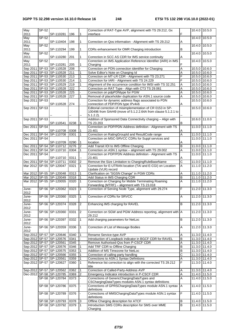| May            | SP-52 |                                       |            |                     | Correction of RAT-Type AVP, alignment with TS 29.212, Gx                                                |                       | 10.4.0                  | 10.5.0                        |
|----------------|-------|---------------------------------------|------------|---------------------|---------------------------------------------------------------------------------------------------------|-----------------------|-------------------------|-------------------------------|
| 2011           |       | SP-110281                             | 196        | 1                   | interface                                                                                               | F                     |                         |                               |
| May            | SP-52 |                                       |            |                     |                                                                                                         |                       | 10.4.0                  | 10.5.0                        |
| 2011<br>May    | SP-52 | SP-110404                             | 198        | 1                   | Correction on Qos information - Alignment with TS 29.212                                                | Α                     | 10.4.0                  | 10.5.0                        |
| 2011           |       | SP-110294                             | 199        | 1                   | CDRs enhancement for OMR Charging introduction                                                          | B                     |                         |                               |
| May            | SP-52 |                                       |            |                     |                                                                                                         |                       | 10.4.0                  | 10.5.0                        |
| 2011           |       | SP-110280                             | 201        | 1                   | Correction in SCC AS CDR for IMS service continuity                                                     | Α                     |                         |                               |
| May            | SP-52 |                                       |            |                     | Correction on IMS Application Reference Identifier (IARI) in IMS                                        |                       | 10.4.0                  | 10.5.0                        |
| 2011           |       | SP-110281<br>Sep 2011 SP-53 SP-110528 | 205        | 1<br>$\overline{a}$ | Charging<br>Correction on PDN connection identifier for Charging                                        | F<br>A                |                         | 10.6.0                        |
|                |       | Sep 2011 SP-53 SP-110528              | 208<br>211 | 1                   | Solve Editor's Note on Charging Id                                                                      | Α                     | 10.5.0<br>10.5.0 10.6.0 |                               |
|                |       | Sep 2011   SP-53   SP-110530          | 213        | 1                   | Correction on MT-LR CDR - Alignment with TS 23.271                                                      | F                     | 10.5.0 10.6.0           |                               |
|                |       | Sep 2011   SP-53   SP-110530          | 214        | 1                   | Correction for IARI - Alignment with TS 24.229                                                          | F                     | 10.5.0 10.6.0           |                               |
|                |       | Sep 2011 SP-53 SP-110529              | 219        | 1                   | Alignment of the occurrence condition for IMSI with TS 32.251                                           | Α                     | 10.5.0 10.6.0           |                               |
|                |       | Sep 2011   SP-53   SP-110528          | 222        |                     | Correction on RAT Type - Align with CT3 TS 29.061                                                       | A                     | 10.5.0 10.6.0           |                               |
|                |       | Sep 2011   SP-53   SP-110528          | 225        |                     | Correction on pdpPDNtype for PGW                                                                        | Α                     | 10.5.0 10.6.0           |                               |
|                |       | Sep 2011 SP-53 SP-110528              | 227        | 1                   | Removal of placeholder duplication for ASN.1 source code                                                | A                     | 10.5.0                  | 10.6.0                        |
| Sep 2011 SP-53 |       |                                       |            |                     | Correction for dynamic address flags associated to PDN                                                  |                       | 10.5.0                  | 10.6.0                        |
| Sep 2011 SP-53 |       | SP-110528                             | 274        |                     | connection of PDP/PDN type IPv4v6<br>Editorial correction of misimplementation of CR 0153 in SP-        | Α                     | 10.5.0 10.6.0           |                               |
|                |       |                                       |            |                     | 100496 from SA#49 (move of 5.1.2.2.64A from clause 5.1.2.1 to                                           |                       |                         |                               |
|                |       |                                       |            |                     | $5.1.2.2$ ).                                                                                            |                       |                         |                               |
| Sep 2011 SP-53 |       |                                       |            |                     | Addition of Sponsored Data Connectivity charging - Align with                                           |                       | 10.6.0                  | 11.0.0                        |
|                |       | SP-110541                             | 0238       | 1                   | TS 23.203                                                                                               | В                     |                         |                               |
| Dec 2011 SP-54 |       |                                       |            |                     | Correction on PDP/PDN Address definition - Alignment with TS                                            |                       | 11.0.0                  | 11.1.0                        |
|                |       | SP-110708                             | 0308       |                     | 23.401                                                                                                  | Α                     |                         |                               |
| Dec 2011 SP-54 |       | Dec 2011   SP-54   SP-110708          | 0301       | 1                   | Correction on RatingGroupId and ResultCode range<br>Correction on MSC-SRVCC CDRs for Suppl services and | A                     | 11.0.0<br>11.0.0        | 11.1.0<br>$\overline{11.1.0}$ |
|                |       | SP-110709                             | 0290       |                     | location                                                                                                | Α                     |                         |                               |
|                |       | Dec 2011 SP-54 SP-110712              | 0276       | $\overline{2}$      | Add Transit IOI to IMS Offline Charging                                                                 | B                     | 11.0.0 11.1.0           |                               |
|                |       | Dec 2011 SP-54 SP-110710              | 0304       | 1                   | Correction on ASN.1 syntax - alignment with TS 29.002                                                   | Α                     | 11.0.0                  | 11.1.0                        |
| Dec 2011 SP-54 |       |                                       |            |                     | Correction on PDP/PDN Address definition - Alignment with TS                                            |                       | 11.0.0 11.1.0           |                               |
|                |       | SP-110710                             | 0311       |                     | 23.401                                                                                                  | Α                     |                         |                               |
|                |       | Dec 2011   SP-54   SP-110711          | 0302       | 2                   | Remove the Size Limitation to ChargingRuleBaseName                                                      | $\overline{\text{c}}$ | 11.0.0 11.1.0           |                               |
|                |       | Mar 2012 SP-55 SP-120047              | 0321       | $\mathbf{1}$        | Correction for E-UTRAN location (TAI and E-CGI) on Location                                             | A                     | 11.1.0                  | 11.2.0                        |
|                |       | Mar 2012   SP-55   SP-120048          | 0313       |                     | Update (VLR) record<br>Clarification on "SGSN Change" in PGW CDRs                                       | Α                     | 11.1.0                  | 11.2.0                        |
|                |       | Mar 2012 SP-55 SP-120049              | 0318       | $\mathbf{1}$        | Add Status in IMS Charging CDR                                                                          | B                     | 11.1.0 11.2.0           |                               |
|                |       | Mar 2012   SP-55   SP-120055          | 0320       | $\mathbf{1}$        | Correction on Charging for Mobile Terminating Roaming                                                   | A                     | 11.1.0                  | 11.2.0                        |
|                |       |                                       |            |                     | Forwarding (MTRF) - alignment with TS 23.018                                                            |                       |                         |                               |
| June-          |       | SP-56 SP-120362                       | 0323       | $\mathbf{1}$        | Correction of Serving Node Type, alignment with 29.274                                                  | F                     | 11.2.0                  | 11.3.0                        |
| 2012           |       |                                       |            |                     |                                                                                                         |                       |                         |                               |
| June-          |       | SP-56 SP-120360                       | 0325       | $\mathbf{1}$        | Correction of CDRs for SRVCC                                                                            | A                     | 11.2.0                  | 11.3.0                        |
| 2012<br>June-  |       | SP-56 SP-120374                       | 0328       | $\overline{2}$      | Enhancing IMS charging for RAVEL                                                                        | B                     | 11.2.0 11.3.0           |                               |
| 2012           |       |                                       |            |                     |                                                                                                         |                       |                         |                               |
| June-          |       | SP-56 SP-120360                       | 0331       | $\overline{2}$      | Correction on SGW and PGW Address reporting, alignment with A                                           |                       | 11.2.0 11.3.0           |                               |
| 2012           |       |                                       |            |                     | 29.212                                                                                                  |                       |                         |                               |
| June-          |       | SP-56 SP-120397                       | 0332       | $\mathbf{1}$        | Add charging parameters for NetLoc                                                                      | $\overline{B}$        | 11.2.0                  | 11.3.0                        |
| 2012           |       |                                       |            |                     |                                                                                                         |                       |                         |                               |
| June-<br>2012  |       | SP-56 SP-120359                       | 0336       | 1                   | Correction of List of Message Bodies                                                                    | Α                     | 11.2.0                  | 11.30                         |
|                |       | Sep-2012 SP-57 SP-120646              | 0340       | $\mathbf{1}$        | Rename Service-type AVP                                                                                 | Α                     | 11.3.0 11.4.0           |                               |
|                |       | Sep-2012 SP-57 SP-120576              | 0341       |                     | Introduction of Loopback indicator in BGCF CDR for RAVEL                                                | B                     | 11.3.0 11.4.0           |                               |
|                |       | Sep-2012 SP-57 SP-120561              | 0345       |                     | Remove Authorised-Qos from P-CSCF CDR                                                                   | Α                     | 11.3.0 11.4.0           |                               |
|                |       | Sep-2012 SP-57 SP-120576              | 0346       |                     | Add TRF CDR to Offline Charging                                                                         | B                     | 11.3.0 11.4.0           |                               |
|                |       | Sep-2012 SP-57 SP-120575              | 0353       |                     | Addition of MS Timezone for NetLoc                                                                      | B                     | 11.3.0                  | 11.4.0                        |
|                |       | Sep-2012 SP-57 SP-120566              | 0355       |                     | Correction of calling party handling                                                                    | С                     | $11.3.0$ $11.4.0$       |                               |
|                |       | Sep-2012 SP-57 SP-120561              | 0359       |                     | Corrections to ASN.1 Syntax Definitions                                                                 | Α                     | 11.3.0 11.4.0           |                               |
|                |       | Sep-2012 SP-57 SP-120627              | 0360       | 1                   | Reference list correction to align with the corrected TS 29.212                                         | F                     | 11.3.0                  | 11.4.0                        |
|                |       | Sep-2012 SP-57 SP-120562              | 0362       |                     | title<br>Correction of Called-Party-Address AVP                                                         | Α                     | $11.3.0$ $11.4.0$       |                               |
|                |       | Dec-2012 SP-58 SP-120785              | 0369       | 2                   | Emergency Indicator introduction in P-CSCF CDR                                                          | Α                     | 11.4.0 11.5.0           |                               |
|                |       | SP-58 SP-120784                       | 0373       |                     | Corrections of GenericChargingDataTypes and                                                             | A                     | 11.4.0                  | 11.5.0                        |
|                |       |                                       |            |                     | CSChargingDataTypes modules ASN.1 syntax definitions                                                    |                       |                         |                               |
|                |       | SP-58 SP-120786                       | 0375       |                     | Corrections of GPRSChargingDataTypes module ASN.1 syntax                                                | A                     | 11.4.0                  | 11.5.0                        |
|                |       |                                       |            |                     | definitions                                                                                             |                       |                         |                               |
|                |       | SP-58 SP-120789                       | 0376       |                     | Corrections of MMSChargingDataTypes module ASN.1 syntax<br>definitions                                  | F                     | 11.4.0 11.5.0           |                               |
|                |       | SP-58 SP-120793                       | 0378       | 3                   | Offline Charging description for ATCF                                                                   | B                     | 11.4.0 11.5.0           |                               |
|                |       | SP-58 SP-120792                       | 0379       | 1                   | Introduction SMS CDRs description for SMS over MME                                                      | $\sf B$               | 11.4.0 11.5.0           |                               |
|                |       |                                       |            |                     | Charging                                                                                                |                       |                         |                               |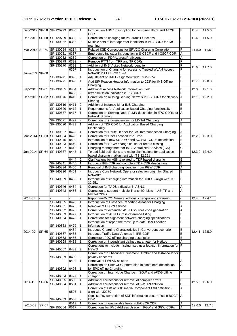|                |       | Dec-2012 SP-58 SP-120793 | 0380         | $\overline{1}$ | Introduction ASN.1 description for combined IBCF and ATCF<br><b>CDR</b>                                       | B                   | 11.4.0 11.5.0       |        |
|----------------|-------|--------------------------|--------------|----------------|---------------------------------------------------------------------------------------------------------------|---------------------|---------------------|--------|
|                |       | Dec-2012 SP-58 SP-120789 | 0382         | 2              | Correction on charging for IMS transit functions                                                              | F                   | 11.4.0              | 11.5.0 |
|                |       | SP-130062                | 0366         | 3              | Multiple sets of inter operator identifiers in IMS CDRs for IMS                                               | F                   |                     |        |
|                |       |                          |              |                | roaming                                                                                                       |                     |                     |        |
|                |       | Mar-2013 SP-59 SP-130054 | 0384         |                | Related ICID Corrections for SRVCC Charging Correlation                                                       | F                   | 11.5.0              | 11.6.0 |
|                |       | SP-130051                | 0387         |                | Emergency Indicator introduction in S-CSCF and I-CSCF CDR                                                     | A                   |                     |        |
|                |       | SP-130052                | 0389         |                | Correction on PDPAddressPrefixLength                                                                          | Α                   |                     |        |
|                |       | SP-130279                | 0392         |                | Remove RTTI from TRF and TF CDRs                                                                              | F                   |                     |        |
|                |       | SP-130270                | 0393         | $\mathbf{1}$   | Addition of IMS Visited Network Identifier                                                                    | F                   | 11.6.0              | 11.7.0 |
|                |       |                          | 0397         | 1              | Introduction of Charging for access to Trusted WLAN Access                                                    | F                   |                     |        |
| Jun-2013 SP-60 |       |                          |              |                | Network in EPC - over S2a                                                                                     |                     |                     |        |
|                |       | SP-130271                | 0396         | 1              | Adjustment on IMEI - alignment with TS 29.274                                                                 | F                   |                     |        |
|                |       | SP-130271                | 0398         |                | Add SIP Reason Header Information to CDR for IMS Offline<br>Charging                                          | B                   | 11.7.0              | 12.0.0 |
|                |       | Sep-2013 SP-61 SP-130435 | 0404         | 1              | Additional Access Network Information Field                                                                   | B                   | $\overline{12.0.0}$ | 12.1.0 |
|                |       |                          | 0405         |                | retransmission indication in PS CDRs                                                                          | F                   |                     |        |
|                |       | Dec-2013 SP-62 SP-130676 | 0410         | $\mathbf{1}$   | Correction on missing Serving Network in PS CDRs for Network A                                                |                     | 12.1.0              | 12.2.0 |
|                |       |                          |              |                | Sharing                                                                                                       |                     |                     |        |
|                |       | SP-130619                | 0411         | 2              | Addition of Instance Id for IMS Charging                                                                      | B                   |                     |        |
|                |       | SP-130620                | 0412         | $\mathbf{1}$   | Requirements for Application Based Charging functionality                                                     | B                   |                     |        |
|                |       | SP-130677                | 0417         | 1              | Correction on Serving Node PLMN description in EPC CDRs for A                                                 |                     |                     |        |
|                |       |                          |              |                | Network Sharing                                                                                               |                     |                     |        |
|                |       | SP-130671                | 0422         |                | Correction on inconsistencies for MMTel Charging                                                              | A                   |                     |        |
|                |       | SP-130620                | 0423         | 1              | Addition of TDF CDR for Application Based Charging                                                            | B                   |                     |        |
|                |       |                          |              |                | functionality                                                                                                 |                     |                     |        |
|                |       | SP-130627                | 0425         |                | Correction for Route Header for IMS Interconnection Charging                                                  | Α                   |                     |        |
|                |       | Mar-2014 SP-63 SP-140034 | 0428         |                | Correction for User Location Info Time                                                                        | А<br>B              | 12.2.0 12.3.0       |        |
|                |       | SP-140045                | 0429<br>0440 |                | Introduction of new SC-SMO and SC-SMT CDRs description<br>Correction for S-GW change cause for record closing |                     |                     |        |
|                |       | SP-140033<br>SP-140037   | 0442         |                | Charging management for IMS Centralized Services (ICS)                                                        | Α<br>$\overline{c}$ |                     |        |
|                |       | Jun-2014 SP-64 SP-140337 | 0443         |                | To add field definitions and make clarifications for application                                              | $\overline{B}$      | 12.3.0              | 12.4.0 |
|                |       |                          |              |                | based charging in alignment with TS 32.251                                                                    |                     |                     |        |
|                |       |                          | 0444         | $\overline{2}$ | Clarifications for ASN.1 related to TDF based charging                                                        | B                   |                     |        |
|                |       | SP-140341                | 0445         |                | Introduce IPE-CDR and complete TDF-CDR description                                                            | B                   |                     |        |
|                |       | SP-140334                | 0450         |                | Removal of IMS charging identifier from PGW CDR                                                               | Α                   |                     |        |
|                |       | SP-140336                | 0451         |                | Introduce Core Network Operator selection origin for Shared                                                   | B                   |                     |        |
|                |       |                          |              |                | <b>Networks</b>                                                                                               |                     |                     |        |
|                |       | SP-140339                | 0452         | $\mathbf{1}$   | Introduction of charging information for CHIPS - align with TS                                                | B                   |                     |        |
|                |       |                          |              |                | 32.251                                                                                                        |                     |                     |        |
|                |       | SP-140346                | 0454         |                | Correction for TADS indication in ASN.1                                                                       | A                   |                     |        |
|                |       | SP-140343                | 0456         | $\mathbf{1}$   | Correction to support multiple Transit IOI Lists in AS, TF and<br><b>MMTel CDRs</b>                           | A                   |                     |        |
| 2014-07        |       |                          |              |                | Rapporteur/MCC: General editorial changes and clean-up.                                                       |                     | 12.4.0 12.4.1       |        |
|                |       | SP-140565                | 0470         | $\vert$ 1      | Introduction of Presence Reporting Areas for Charging                                                         | B                   |                     |        |
|                |       | SP-140561 0475           |              | $\overline{1}$ | Removal of CDIVN service                                                                                      | A                   |                     |        |
|                |       | SP-140562                | 0476         | $\vert$ 1      | Correction for expanded ASN.1 sources code generation                                                         | Α                   |                     |        |
|                |       | SP-140563                | 0477         | $\mathbf{1}$   | Introduction of ASN.1 Cross-reference listing                                                                 | B                   |                     |        |
|                |       | SP-140564                | 0478         | 1              | Corrections for alignment between charging specifications                                                     | F                   |                     |        |
|                |       |                          |              |                | Introduction of report the most up to date User Location                                                      | В                   |                     |        |
|                |       | SP-140563                | 0479         | 1              | Information                                                                                                   |                     |                     |        |
| 2014-09        | SP-65 |                          | 0484         | 1              | Introduce Charging Characteristics in Convergent scenario                                                     | B                   | 12.4.1              | 12.5.0 |
|                |       | SP-140567                | 0485         |                | Introduce Traffic Data Volumes in IPE-CDR                                                                     | B                   |                     |        |
|                |       | SP-140563                | 0486         |                | Complete ePDG offline charging description                                                                    | B                   |                     |        |
|                |       | SP-140568                | 0488         |                | Correction on inconsistent defined parameter for NetLoc                                                       | Α                   |                     |        |
|                |       |                          |              |                | Corrections to include missing fixed user location information for F                                          |                     |                     |        |
|                |       | SP-140567                | 0489         | 2              | <b>NSWO</b>                                                                                                   |                     |                     |        |
|                |       |                          | 0490         |                | Correction of Subscriber Equipment Number and Instance Id for F<br>privacy concerns                           |                     |                     |        |
|                |       | SP-140563                | 0492         | $\mathbf{1}$   | Removal of I-WLAN solution                                                                                    | Α                   |                     |        |
|                |       |                          |              |                | Correction on User CSG Information in containers description                                                  | A                   |                     |        |
|                |       | SP-140802                | 0498         | 1              | for EPC offline Charging                                                                                      |                     |                     |        |
|                |       |                          |              |                | Correction on Inter Node Change in SGW and ePDG offline                                                       | $\overline{F}$      |                     |        |
|                |       | SP-140804                | 0499         | 1              | charging                                                                                                      |                     |                     |        |
|                |       | SP-140805                | 0500         |                | Additional corrections for removal of compiler errors                                                         | F                   |                     |        |
| 2014-12        | SP-66 | SP-140804                | 0501         |                | Additional corrections for removal of I-WLAN solution                                                         | F                   | 12.5.0              | 12.6.0 |
|                |       |                          |              |                | Correction of List of SDP media Component field definition-                                                   | A                   |                     |        |
|                |       |                          | 0505         | 1              | align with 32260                                                                                              |                     |                     |        |
|                |       |                          |              |                | Consistency correction of SDP information occurrence in BGCF                                                  | <b>IA</b>           |                     |        |
|                |       | SP-140803                | 0508         |                | CDR                                                                                                           |                     |                     |        |
|                |       |                          |              |                |                                                                                                               |                     |                     |        |
| 2015-03        | SP-67 | SP-150064                | 0513<br>0517 | $\overline{1}$ | Correction for unavailable fields in E-CSCF CDR<br>Corrections for IPv6 Address Usage in PGW and SGW CDRs     | Α<br>A              | 12.6.0              | 12.7.0 |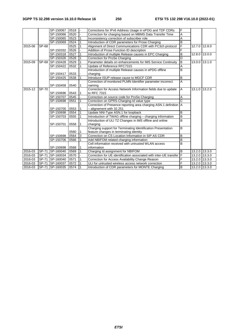|         |              | SP-150067       | 0518 |   | Corrections for IPv6 Address Usage in ePDG and TDF CDRs            | F                       |               |               |
|---------|--------------|-----------------|------|---|--------------------------------------------------------------------|-------------------------|---------------|---------------|
|         |              | SP-150066       | 0520 |   | Correction for charging based on MBMS Data Transfer Time           | A                       |               |               |
|         |              | SP-150065       | 0523 |   | Inconsistency correction of subscriber role                        | A                       |               |               |
|         |              | SP-150069       | 0524 |   | Introduction of CDR parameters for Prose Charging                  | B                       |               |               |
| 2015-06 | SP-68        |                 | 0525 |   | Alignment of Direct Communications CDR with PC3ch protocol         | F                       |               | 12.7.0 12.8.0 |
|         |              | SP-150332       | 0526 |   | Addition of Prose Function ID description                          | F                       |               |               |
|         |              | SP-150318       | 0527 |   | Introduction of multiple Release causes in EPC Charging            | B                       | 12.8.0        | 13.0.0        |
|         |              | SP-150326       | 0528 |   | Correction for ProSe Charging                                      | D                       |               |               |
| 2015-09 |              | SP-69 SP-150428 | 0529 |   | Parameter details on enhancements for IMS Service Continuity       | $\overline{B}$          | 13.0.0        | 13.1.0        |
|         |              | SP-150422       | 0532 |   | Update of Reference RFC7315                                        | A                       |               |               |
|         |              |                 |      |   | Introduction of multiple Release causes in ePDG offline            | B                       |               |               |
|         |              | SP-150417       | 0533 |   | charging                                                           |                         |               |               |
|         |              | SP-150425       | 0538 |   | Introduce ISUP release cause to MGCF CDR                           | B                       |               |               |
|         |              |                 |      |   | Correction of monitored PLMN Identifier parameter incorrect        | $\overline{A}$          |               |               |
|         |              | SP-150458       | 0540 |   | naming                                                             |                         |               |               |
| 2015-12 | <b>SP-70</b> |                 |      |   | Correction for Access Network Information fields due to update     | A                       | 13.1.0        | 13.2.0        |
|         |              | SP-150696       | 0543 |   | to RFC 7315                                                        |                         |               |               |
|         |              | SP-150707       | 0545 |   | Correction on source code for ProSe Charging                       | Α                       |               |               |
|         |              | SP-150698       | 0551 |   | Correction on GPRS-Charging-Id value type                          | Ć                       |               |               |
|         |              |                 |      |   | Correction of Presence reporting area charging ASN.1 definition A  |                         |               |               |
|         |              | SP-150700       | 0553 |   | - alignement with 32.251                                           |                         |               |               |
|         |              | SP-150698       | 0554 |   | Update NNI-Type ASN.1 for loopback                                 | <sub>B</sub>            |               |               |
|         |              | SP-150703       | 0555 |   | Introduction of TWAG offline charging - charging information       | $\overline{B}$          |               |               |
|         |              |                 |      |   | Introduction of ULI TZ Changes in IMS offline and online           | B                       |               |               |
|         |              | SP-150701       | 0558 |   | charging                                                           |                         |               |               |
|         |              |                 |      |   | Charging support for Terminating Identification Presentation       | $\overline{B}$          |               |               |
|         |              |                 | 0560 |   | feature changes in terminating identity                            |                         |               |               |
|         |              | SP-150698       | 0564 | 3 | Correction on CS Location Information in SIP AS CDR                | B                       |               |               |
|         |              | SP-150706       | 0566 |   | Add NBIFOM related charging information                            | B                       |               |               |
|         |              |                 |      |   | Cell information received with untrusted WLAN access               | $\overline{\mathsf{B}}$ |               |               |
|         |              | SP-150698       | 0568 |   | information                                                        |                         |               |               |
| 2016-03 |              | SP-71 SP-160040 | 0569 |   | Charging Id assignment for NBIFOM                                  | B                       | 13.2.0 13.3.0 |               |
| 2016-03 |              | SP-71 SP-160034 | 0570 |   | Correction for UE identification associated with inter-UE transfer | F                       |               | 13.2.0 13.3.0 |
| 2016-03 |              | SP-71 SP-160040 | 0571 |   | Correction for Access Availability Change Reason                   | F                       | 13.2.0        | 13.3.0        |
| 2016-03 |              | SP-71 SP-160037 | 0572 |   | ULI for untrusted wireless access network correction               | F                       | 13.2.0 13.3.0 |               |
| 2016-03 |              | SP-71 SP-160035 | 0574 |   | Introduction of CDR parameters for MONTE Charging                  | B                       | 13.2.0 13.3.0 |               |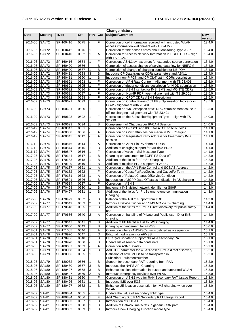| <b>Change history</b> |                           |             |           |                         |     |                                                                                                              |                       |  |  |
|-----------------------|---------------------------|-------------|-----------|-------------------------|-----|--------------------------------------------------------------------------------------------------------------|-----------------------|--|--|
| Date                  | <b>Meeting</b>            | <b>TDoc</b> | <b>CR</b> | Rev                     | Cat | <b>Subject/Comment</b>                                                                                       | <b>New</b><br>version |  |  |
| 2016-06               | SA#72                     | SP-160416   | 0575      |                         | F   | Correction of cell information received with untrusted WLAN<br>access information - alignment with TS 24.229 | 13.4.0                |  |  |
| 2016-06               | <b>SA#72</b>              | SP-160412   | 0576      | 1                       | F   | Correction for the editor's notes about Monitoring-Type AVP                                                  | 13.4.0                |  |  |
| 2016-06               | SA#72                     | SP-160410   | 0582      | $\mathbf{1}$            | A   | Correction for Access Network Information in BGCF CDR - align<br>with TS 32.260                              | 13.4.0                |  |  |
| 2016-06               | <b>SA#72</b>              | SP-160416   | 0584      | 1                       | F   | Corrections ASN.1 syntax errors for expanded source generation                                               | 13.4.0                |  |  |
| 2016-06 SA#72         |                           | SP-160420   | 0586      | $\blacksquare$          | B   | Completion of access change of service data flow for NBIFOM                                                  | 13.4.0                |  |  |
| 2016-06               | <b>SA#72</b>              | SP-160420   | 0587      | 1                       | В   | Completion of change of charging condition for NBIFOM                                                        | 13.4.0                |  |  |
| 2016-06 SA#72         |                           | SP-160411   | 0588      | 3                       | B   | Introduce CP Data transfer CDRs parameters and ASN.1                                                         | 13.4.0                |  |  |
| 2016-06               | SA#72                     | SP-160411   | 0590      | $\mathbf{1}$            | B   | Introduce non-IP PDN and CP CloT opt in CDRs description                                                     | 13.4.0                |  |  |
| 2016-09               | SA#73                     | SP-160621   | 0593      | 1                       | F   | Correction on APN Rate Control - Alignment with TS 23.401                                                    | 13.5.0                |  |  |
| 2016-09               | <b>SA#73</b>              | SP-160621   | 0595      | $\mathbf{1}$            | F   | Correction of trigger conditions description for NIDD submission                                             | 13.5.0                |  |  |
| 2016-09               | SA#73                     | SP-160622   | 0596      |                         | F   | Correction on ASN.1 syntax for IMS, SMS and MONTE CDRs                                                       | 13.5.0                |  |  |
| 2016-09               | SA#73                     | SP-160621   | 0597      | 1                       | F   | Correction on Non-IP PDP type - alignement with TS 29.061                                                    | 13.5.0                |  |  |
| 2016-09               | <b>SA#73</b>              | SP-160622   | 0598      | ä,                      | F   | Correction on CPDT CDRs ASN.1 description                                                                    | 13.5.0                |  |  |
| 2016-09               | SA#73                     | SP-160621   | 0599      | $\mathbf{1}$            | F   | Correction on Control Plane CloT EPS Optimisation Indicator in<br>PGW - alignement with 23.401               | 13.5.0                |  |  |
| 2016-09               | SA#73                     | SP-160621   | 0600      | $\mathbf{1}$            | F   | Correction on "MO exception data" RRC establishment cause in<br>offline charging - alignement with TS 23.401 | 13.5.0                |  |  |
| 2016-09               | <b>SA#73</b>              | SP-160623   | 0592      | $\mathbf{1}$            | F   | Correction on the SubscriberEquipmentType - align with TS<br>32.299                                          | 14.0.0                |  |  |
| 2016-09               | <b>SA#73</b>              | SP-160623   | 0594      | $\mathbf{1}$            | B   | Complement of Charging per IP-CAN Session                                                                    | 14.0.0                |  |  |
| 2016-12 SA#74         |                           | SP-160847   | 0601      | $\omega$                | F   | Correction on P-CSCF and IBCF for ATCF specific fields                                                       | 14.1.0                |  |  |
| 2016-12               | <b>SA#74</b>              | SP-160858   | 0606      |                         | Α   | Correction on OMR attributes per media in IMS Charging                                                       | 14.1.0                |  |  |
| 2016-12               | <b>SA#74</b>              | SP-160845   | 0612      |                         | A   | Correction on Requested Party Address for Emergency IMS<br>session                                           | 14.1.0                |  |  |
| 2016-12 SA#74         |                           | SP-160846   | 0614      | 1                       | Α   | Correction on ASN.1 in PS domain CDRs                                                                        | 14.1.0                |  |  |
| 2016-12               | $\overline{\text{SA#74}}$ | SP-160844   | 0615      | $\mathbf{1}$            | B   | Addition of charging support for Mulitiple PRAs                                                              | 14.1.0                |  |  |
| 2016-12 SA#74         |                           | SP-160847   | 0616      | 1                       | F   | Correction of value in SM Message Type                                                                       | 14.1.0                |  |  |
| 2017-03 SA#75         |                           | SP-170144   | 0617      | $\mathbf{1}$            | B   | Charging enhancement for 3GPP PS Data off                                                                    | 14.2.0                |  |  |
| 2017-03 SA#75         |                           | SP-170133   | 0618      | $\mathbf{1}$            | B   | Addition of the fields for ProSe Charging                                                                    | 14.2.0                |  |  |
| 2017-03               | SA#75                     | SP-170129   | 0619      | $\mathbf{1}$            | B   | Addition of multiple PRAs support for AULC                                                                   | 14.2.0                |  |  |
| 2017-03 SA#75         |                           | SP-170137   | 0621      | $\mathbf{1}$            | A   | Correction on the APN Rate Control and SCS/AS Address                                                        | 14.2.0                |  |  |
| 2017-03 SA#75         |                           | SP-170132   | 0622      | $\overline{a}$          | F   | Correction of CauseForRecClosing and CauseForTerm                                                            | 14.2.0                |  |  |
| 2017-03               | SA#75                     | SP-170131   | 0623      | 1                       | Α   | Correction of RelatedChangeOfServiceCondition                                                                | 14.2.0                |  |  |
| 2017-06               | <b>SA#76</b>              | SP-170501   | 0626      | 1                       | в   | Introduction of 3GPP Data Off status indication in AS charging                                               | 14.3.0                |  |  |
| 2017-06 SA#76         |                           | SP-170514   | 0627      | $\mathbf{1}$            | F   | Correction in ASN.1                                                                                          | 14.3.0                |  |  |
| 2017-06               | SA#76                     | SP-170498   | 0630      | 1                       | B   | Implement IMS visited network identifier for S8HR                                                            | 14.3.0                |  |  |
| 2017-06               | SA#76                     | SP-170497   | 0631      | $\mathbf{1}$            | B   | Addition of the fields for ProSe one-to-one communication<br>Charging                                        | 14.3.0                |  |  |
| 2017-06 SA#76         |                           | SP-170499   | 0632      |                         | B   | Deletion of the AULC support from TDF                                                                        | 14.3.0                |  |  |
| 2017-09               | <b>SA#77</b>              | SP-170649   | 0633      | $\boldsymbol{2}$        | B   | Introduce Device Trigger and SMS MO via T4 charging                                                          | 14.4.0                |  |  |
| 2017-09 SA#77         |                           | SP-170648   | 0635      | $\overline{2}$          | B   | Addition of the fields for ProSe Direct discovery for public safety<br>use                                   | 14.4.0                |  |  |
| 2017-09               | <b>SA#77</b>              | SP-170656   | 0640      | $\overline{2}$          | A   | Correction on handling of Private and Public user ID for IMS<br>charging                                     | 14.4.0                |  |  |
| 2017-09               | <b>SA#77</b>              | SP-170647   | 0641      | 3                       | B   | Addition of FE Identifier List to IMS Charging                                                               | 14.4.0                |  |  |
| 2017-09 SA#77         |                           | SP-170650   | 0643      | $\mathbf{1}$            | B   | Charging enhancement for eFMSS                                                                               | 15.0.0                |  |  |
| 2018-01               | <b>SA#78</b>              | SP-171005   | 0646      | 1                       | Α   | Correction where rANNASCause is defined as a sequence                                                        | 15.1.0                |  |  |
| 2018-01               | <b>SA#78</b>              | SP-170970   | 0647      | 1                       | D   | Editorial modification for eFMSS                                                                             | 15.1.0                |  |  |
| 2018-01               | SA#78                     | SP-170966   | 0648      | $\mathbf{1}$            | B   | EPC QoS update to support NR as a secondary RAT                                                              | 15.1.0                |  |  |
| 2018-01               | <b>SA#78</b>              | SP-170970   | 0650      |                         | B   | Update list of service data containers                                                                       | 15.1.0                |  |  |
| 2018-03 SA#79         |                           | SP-180067   | 0653      |                         | Α   | Correction ASN.1 syntax                                                                                      | 15.2.0                |  |  |
| 2018-03               | SA#79                     | SP-180068   | 0654      | 1                       | B   | Add CDR parameter for WLAN-based ProSe direct discovery                                                      | 15.2.0                |  |  |
| 2018-03               | SA#79                     | SP-180066   | 0655      | $\mathbf{1}$            | F   | Definition of how IMEI is to be transported in<br>SubscriberEquipmentNumber                                  | 15.2.0                |  |  |
| 2018-03               | SA#79                     | SP-180062   | 0656      | 1                       | В   | Support for secondary RAT reporting from RAN                                                                 | 15.2.0                |  |  |
| 2018-06               | SA#80                     | SP-180430   | 0657      | 3                       | B   | Introduce the NAPS API Charging                                                                              | 15.3.0                |  |  |
| 2018-06 SA#80         |                           | SP-180427   | 0658      | $\overline{3}$          | B   | Enhance location information in trusted and untrusted WLAN                                                   | 15.3.0                |  |  |
| 2018-06               | <b>SA#80</b>              | SP-180427   | 0659      | $\overline{\mathbf{c}}$ | в   | Introduce Emergency services over WLAN                                                                       | 15.3.0                |  |  |
| 2018-06               | SA#80                     | SP-180431   | 0660      |                         | F   | Correction on ASN.1 type for RAN Secondary RAT Usage Report                                                  | 15.3.0                |  |  |
| 2018-06               | SA#80                     | SP-180426   | 0661      | $\mathbf{1}$            | B   | Introduce IMS over 5GS                                                                                       | 15.3.0                |  |  |
| 2018-06               | SA#80                     | SP-180427   | 0662      | $\mathbf{1}$            | B   | Enhance UE location description for IMS charging when over<br>WLAN                                           | 15.3.0                |  |  |
| 2018-09               | SA#81                     | SP-180834   | 0665      |                         | F   | Update the value of secondary RAT type                                                                       | 15.4.0                |  |  |
| 2018-09 SA#81         |                           | SP-180834   | 0666      | 1                       | F   | Add ChargingID to RAN Secondary RAT Usage Report                                                             | 15.4.0                |  |  |
| 2018-09               | SA#81                     | SP-180833   | 0667      | $\mathbf{1}$            | B   | Introduction of CHF-CDR                                                                                      | 15.4.0                |  |  |
| 2018-09               | SA#81                     | SP-180832   | 0668      | 1                       | B   | Addition of DataVolumeOctets in generic CDR part                                                             | 15.4.0                |  |  |
| 2018-09               | SA#81                     | SP-180832   | 0669      | $\mathbf{1}$            | B   | Introduce new Charging Function record type                                                                  | 15.4.0                |  |  |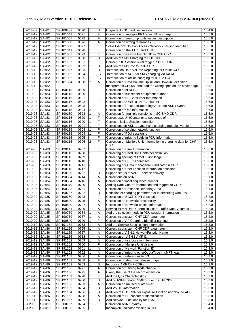| 2018-09 SA#81 |                                  | SP-180832              | 0670              | $\mathbf{1}$   | B      | Upgrade ASN1 modules version                                     | 15.4.0           |
|---------------|----------------------------------|------------------------|-------------------|----------------|--------|------------------------------------------------------------------|------------------|
| 2018-12 SA#82 |                                  | SP-181041              | 0671              | 1              | F      | Correction on multiple PRA(s) in offline charging                | 15.5.0           |
| 2018-12 SA#82 |                                  | SP-181057              | 0672              |                | F      | Correction of session priority values description                | 15.5.0           |
| 2018-12 SA#82 |                                  | SP-181060              | 0676              | 1              | Α      | Correction on wrong references                                   | 15.5.0           |
| 2018-12 SA#82 |                                  | SP-181058              | 0677              | 1              | F      | Solve Editor's Note on Access Network charging Identifier        | 15.5.0           |
| 2018-12 SA#82 |                                  | SP-181041              | 0678              | 1              | F      | Correction on the TTRL and TLTRL                                 | 15.5.0           |
| 2018-12 SA#82 |                                  | SP-181057              | 0679              | 1              | F      | Correction of NetworkFunctionID in CHF CDR                       | 15.5.0           |
|               |                                  |                        | 0680              | 1              |        |                                                                  |                  |
| 2018-12 SA#82 |                                  | SP-181052              |                   |                | B      | Addition of SMS Charging to CHF CDR                              | 15.5.0           |
| 2018-12 SA#82 |                                  | SP-181157              | 0681              | 1              | F      | Correct PDU Session level trigger in CHF CDR                     | 15.5.0           |
| 2018-12 SA#82 |                                  | SP-181052              | 0682              | $\mathbf{1}$   | B      | Addition of SMS info to CHF CDR                                  | 15.5.0           |
| 2018-12 SA#82 |                                  | SP-181057              | 0683              | 1              | B      | Introduction Data Volume Reporting for Option 4&7                | 15.5.0           |
| 2018-12 SA#82 |                                  | SP-181052              | 0684              |                | B      | Introduction of 5GS for SMS charging via Ro Rf                   | 15.5.0           |
| 2018-12       | SA#82                            | SP-181052              | 0685              | $\mathbf{1}$   | B      | Introduction of offline charging for IP-SM-GW                    | 15.5.0           |
| 2018-12 SA#82 |                                  | SP-181054              | 0688              | $\overline{2}$ | A      | Correction of Data Volume Uplink and Downlink definition         | 15.5.0           |
| 2018-12 SA#82 |                                  |                        |                   |                |        | Incorporates CR0680 that had the wrong spec on the cover page.   | 15.5.1           |
|               |                                  |                        |                   |                |        |                                                                  |                  |
| 2019-03 SA#83 |                                  | SP-190115              | 0689              | 1              | F      | Correction of of NSSAI                                           | 15.6.0           |
| 2019-03 SA#83 |                                  | SP-190115              | 0690              |                | F      | Correction of subscriber equipment number                        | 15.6.0           |
| 2019-03 SA#83 |                                  | SP-190116              | 0691              |                | F      | Correction of NF Consumer Information                            | 15.6.0           |
| 2019-03 SA#83 |                                  | SP-190117              | 0692              |                | F      | Correction of SMSF as NF Consumer                                | 15.6.0           |
| 2019-03       | SA#83                            | SP-190195              | 0693              | 1              | F      | Correction of PresenceReportingAreaNode ASN1 syntax              | 15.6.0           |
| 2019-03 SA#83 |                                  | SP-190115              | 0694              | $\overline{c}$ | F      | Correction of Qos Information                                    | 15.6.0           |
| 2019-03 SA#83 |                                  | SP-190130              | 0698              | $\mathbf{1}$   | Α      | Correction for multiple recipients in SC-SMO CDR                 | 15.6.0           |
|               |                                  |                        | 0699              | 1              | F      |                                                                  | 15.6.0           |
| 2019-03 SA#83 |                                  | SP-190116              |                   |                |        | Correct usedUnitContainer to sequence of                         |                  |
| 2019-03 SA#83 |                                  | SP-190116              | 0700              | 1              | F      | Correct missing Session Identifier                               | 15.6.0           |
| 2019-03 SA#83 |                                  | SP-190116              | 0701              | $\mathbf{1}$   | F      | Corrections on ASN.1 syntax and charging modules version         | 15.6.0           |
| 2019-03 SA#83 |                                  | SP-190115              | 0703              | $\mathbf{1}$   | F      | Correction of serving network function                           | 15.6.0           |
| 2019-03 SA#83 |                                  | SP-190115              | 0704              | 1              | F      | Correction of PDU session Id                                     | 15.6.0           |
| 2019-03 SA#83 |                                  | SP-190115              | 0705              |                | F      | Correction of missing fields in PDU Information                  | 15.6.0           |
| 2019-03       | SA#83                            | SP-190115              | 0706              | $\overline{2}$ | F      | Correction on Multiple Unit Information in charging data for CHF | 15.6.0           |
|               |                                  |                        |                   |                |        | <b>CDR</b>                                                       |                  |
|               |                                  |                        |                   | 1              | F      |                                                                  |                  |
| 2019-03       | SA#83                            | SP-190115              | 0707              |                |        | Correction of User Information                                   | 15.6.0           |
| 2019-03 SA#83 |                                  | SP-190115              | 0708              | 1              | F      | Correcting of Used Unit Container definition                     | 15.6.0           |
| 2019-03 SA#83 |                                  | SP-190115              | 0709              |                | F      | Correcting spelling of timeOfFirstUsage                          | 15.6.0           |
| 2019-03 SA#83 |                                  | SP-190115              | 0710              | 1              | F      | Correction of UE IP Addresses                                    | 15.6.0           |
| 2019-03 SA#83 |                                  | SP-190115              | 0711              |                | F      | Correcting of Quota management Indicator in CDR                  | 15.6.0           |
| 2019-03       | SA#83                            | SP-190115              | 0712              |                | F      | Correcting of User Location Information definition               | 15.6.0           |
| 2019-03 SA#83 |                                  | SP-190129              | 0702              | 1              | B      | Support status of VoLTE service delivery                         | 16.0.0           |
|               |                                  | SP-190384              | 0714              |                | Α      | Corrections on ASN.1                                             | 16.1.0           |
| 2019-06 SA#84 |                                  |                        |                   |                |        |                                                                  |                  |
| 2019-06       | SA#84                            | SP-190384              | 0716              | 1              | Α      | Correction of local sequence number                              | 16.1.0           |
| $2019 - 06$   | SA#84                            | SP-190379              | 0720              |                | Α      | Adding Rate-Control information and triggers to CDRs             | 16.1.0           |
| 2019-06       | SA#84                            | SP-190383              | $\overline{072}1$ |                | Α      | Correction of Presence Reporting Area                            | 16.1.0           |
| 2019-09       | SA#85                            | SP-190757              | 0722              | 1              | B      | Definition of charging parameter for interworking with EPC       | 16.2.0           |
| 2019-09       | SA#85                            | SP-190750              | 0723              |                | F      | Correction of BGCF CDR description                               | 16.2.0           |
| 2019-09       | SA#85                            | SP-190840              | 0725              |                | Α      | Correction on NetworkFunctionality                               | 16.2.0           |
| 2019-09       | SA#85                            | SP-190840              | 0727              | 1              | Α      | Correction of NetworkFunctionInformation                         | 16.2.0           |
| 2019-09 SA#85 |                                  | SP-190751              | 0729              |                |        | Serving PLMN Rate Control in List of Traffic Data Volumes        | 16.2.0           |
|               |                                  |                        |                   | $\vert$ 1      | A      |                                                                  |                  |
| 2019-09 SA#85 |                                  | SP-190759              | 0734              | 1              | Α      | Add the selection mode in PDU session information                | 16.2.0           |
| 2019-09 SA#85 |                                  | SP-190759              | 0737              | $\mathbf{1}$   | Α      | Correct inconsistent CHF CDR parameter                           | 16.2.0           |
| 2019-09 SA#85 |                                  | SP-190840              | 0740              | 1              | F      | Correction of AF Charging Identifier naming                      | 16.2.0           |
| 2019-12 SA#86 |                                  | SP-191162              | 0753              | 1              | Α      | Add the Service Specification Information                        | 16.3.0           |
| 2019-12 SA#86 |                                  | SP-191156              | 0755              | 1              | Α      | Correct inconsistent CHF CDR parameter                           | 16.3.0           |
| 2019-12 SA#86 |                                  | SP-191156              | 0757              |                | Α      | Correction of ASN.1 NetworkFunctionName                          | 16.3.0           |
| 2019-12 SA#86 |                                  | SP-191156              | 0758              |                | Α      | Correction on ASN.1 AMF ID                                       | 16.3.0           |
| 2019-12 SA#86 |                                  | SP-191162              | 0759              | 1              | Α      | Correction of userLocationInformation                            | 16.3.0           |
|               |                                  |                        |                   |                |        |                                                                  |                  |
| 2019-12 SA#86 |                                  | SP-191162              | 0760              |                | F      | Correction of Multiple Unit Usage                                | 16.3.0           |
| 2019-12 SA#86 |                                  | SP-191162              | 0761              | 1              | Α      | Correction of Network Function ID                                | 16.3.0           |
| 2019-12 SA#86 |                                  | SP-191162              | 0762              | 1              | Α      | Correction of missing otherQuotaType in sMFTrigger               | 16.3.0           |
| 2019-12 SA#86 |                                  | SP-191162              | 0766              | 1              | Α      | Correction of references to 5G                                   | 16.3.0           |
| 2019-12 SA#86 |                                  | SP-191162              | 0768              |                | Α      | Correction of abnormal release trigger                           | 16.3.0           |
| 2019-12 SA#86 |                                  | SP-191153              | 0769              | 1              | B      | Introduce AMF CHF CDRs                                           | 16.3.0           |
| 2019-12 SA#86 |                                  | SP-191156              | 0771              | 1              | Α      | Correction of Serving Node change                                | 16.3.0           |
| 2019-12 SA#86 |                                  | SP-191156              | 0775              | 1              | Α      | Clarify the use of the record extension                          | 16.3.0           |
|               |                                  |                        |                   | 1              | F      |                                                                  |                  |
| 2019-12 SA#86 |                                  | SP-191159              | 0778              |                |        | Add the Qos Characteristics                                      | 16.3.0           |
| 2019-12 SA#86 |                                  | SP-191167              | 0780              | 1              | В      | Adding I-SMF related SMFTrigger in CHF CDR                       | 16.3.0           |
| 2019-12 SA#86 |                                  | SP-191156              | 0783              |                | Α      | Correction on unused quota timer                                 | 16.3.0           |
| 2019-12 SA#86 |                                  | SP-191182              | 0784              | 1              | B      | Add VoLTE information                                            | 16.3.0           |
|               |                                  |                        |                   |                |        |                                                                  |                  |
| 2019-12 SA#86 |                                  | SP-191154              | 0786              |                | B      | Addition of CHF CDR for exposure function northbound API         | 16.3.0           |
| 2019-12 SA#86 |                                  | SP-191162              | 0788              | 1              | Α      |                                                                  | 16.3.0           |
|               |                                  |                        |                   | 1              |        | Correction to NF consumer identification                         |                  |
| 2019-12 SA#86 |                                  | SP-191167              | 0789              |                | B      | Add NetworkFunctionality for I-SMF                               | 16.3.0           |
|               | 2020-03 SA#87E<br>2020-03 SA#87E | SP-200167<br>SP-200166 | 0794<br>0795      | 1<br>1         | F<br>F | Correction ASN.1 syntax<br>Incomplete indicator missing in CDR   | 16.4.0<br>16.4.0 |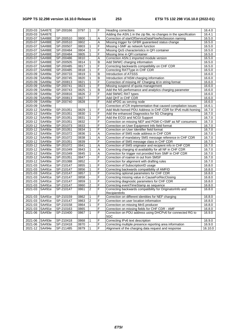## **3GPP TS 32.298 version 16.10.0 Release 16 253 ETSI TS 132 298 V16.10.0 (2022-01)**

| 2020-03 SA#87E |                | SP-200166 | 0797 | 1                | F | <b>Heading corrections</b>                                        | 16.4.0           |
|----------------|----------------|-----------|------|------------------|---|-------------------------------------------------------------------|------------------|
| 2020-03        | <b>SA#87E</b>  |           |      |                  |   | Adding the ASN.1 in the zip file, no changes in the specification | 16.4.1           |
| 2020-07        | <b>SA#88E</b>  | SP-200510 | 0800 | 1                | Α | Correction of startOfServiceDataFlowNoSession naming              | 16.5.0           |
| 2020-07        | <b>SA#88E</b>  | SP-200510 | 0802 |                  | A | Missing trigger for GFBR guaranteed status change                 | 16.5.0           |
| 2020-07        | <b>SA#88E</b>  | SP-200507 | 0803 | 1                | F | Missing I-SMF as network function                                 | 16.5.0           |
| 2020-07        |                | SP-200484 | 0804 | $\mathbf{1}$     | F |                                                                   |                  |
|                | <b>SA#88E</b>  |           |      | $\mathbf{1}$     | F | Missing QoS characteristics in QFI container                      | 16.5.0<br>16.5.0 |
| 2020-07        | <b>SA#88E</b>  | SP-200484 | 0805 | $\overline{a}$   |   | Missing time in QFI container                                     |                  |
| 2020-07        | <b>SA#88E</b>  | SP-200486 | 0810 |                  | Α | Correction ASN.1 imported module version                          | 16.5.0           |
| 2020-07        | <b>SA#88E</b>  | SP-200505 | 0814 | $\mathbf{1}$     | B | Add 5WWC charging information                                     | 16.5.0           |
| 2020-07        | <b>SA#88E</b>  | SP-200485 | 0817 | $\mathbf{1}$     | F | Correcting backwards compatibility on CHF CDR                     | 16.5.0           |
| 2020-07        | <b>SA#88E</b>  | SP-200485 | 0818 | $\mathbf{1}$     | F | Correcting RATType in CHF CDR                                     | 16.5.0           |
| 2020-09 SA#89e |                | SP-200733 | 0819 | 1                | B | Introduction of ATSSS                                             | 16.6.0           |
| 2020-09        | SA#89e         | SP-200745 | 0820 | $\mathbf{1}$     | B | Introduction of NSM charging information                          | 16.6.0           |
| 2020-09        | SA#89e         | SP-200813 | 0821 | 1                | F | Correction of missing AF Charging Id in string format             | 16.6.0           |
| 2020-09        | SA#89e         | SP-200741 | 0823 | 1                | F | Missing suspend of quota management                               | 16.6.0           |
| 2020-09        | SA#89e         | SP-200743 | 0825 | 1                | B | Add the NS performance and analytics charging parameter           | 16.6.0           |
| 2020-09        | SA#89e         | SP-200816 | 0826 | $\overline{2}$   | F | Add 5WWC RAT types                                                | 16.6.0           |
| 2020-09        | SA#89e         | SP-200813 | 0827 |                  | F | Add QHT in CHF CDR                                                | 16.6.0           |
| 2020-09 SA#89e |                | SP-200740 | 0828 |                  | F | Add ePDG as serving node                                          | 16.6.0           |
| 2020-09 SA#89e |                |           |      |                  |   | Correction of CR implementation that caused compilation issues    | 16.6.1           |
| 2020-12 SA#90e |                | SP-201051 | 0829 | 1                | F | Add Multi-homed PDU Address in CHF-CDR for IPv6 multi-homing      | 16.7.0           |
| 2020-12 SA#90e |                | SP-201051 | 0830 | $\mathbf{1}$     | F | Add the enhanced Diagnostics for 5G Charging                      | 16.7.0           |
| 2020-12 SA#90e |                | SP-201051 | 0831 | 1                | F | Add the ECGI and NCGI Support                                     | 16.7.0           |
| 2020-12 SA#90e |                | SP-201051 | 0832 |                  | F | Correction on missing NEF and PGW-C+SMF as NF consumers           | 16.7.0           |
| 2020-12 SA#90e |                | SP-201073 | 0833 |                  | F | Correction on User Equipment Info field format                    | 16.7.0           |
| 2020-12 SA#90e |                | SP-201051 | 0834 | 1                | F | Correction on User Identifier field format                        | 16.7.0           |
| 2020-12 SA#90e |                | SP-201072 | 0836 | 1                | Α | Correction of SMS node address in CHF CDR                         | 16.7.0           |
| 2020-12 SA#90e |                | SP-201072 | 0838 | 1                | Α | Correction of mandatory SMS message reference in CHF CDR          | 16.7.0           |
| 2020-12 SA#90e |                | SP-201051 | 0839 |                  | F | Correction of SMS message class in CHF CDR                        | 16.7.0           |
| 2020-12 SA#90e |                | SP-201072 | 0841 | 1                | Α | Correction of SMS originator and recipient info in CHF CDR        | 16.7.0           |
| 2020-12        | $S$ A#90e      | SP-201049 | 0843 | 1                | Α | Correcting charging id availability for all NF in CHF CDR         | 16.7.0           |
| 2020-12 SA#90e |                | SP-201049 | 0845 | 1                | A | Correction for trigger not provided from SMF in CHF CDR           | 16.7.0           |
| 2020-12 SA#90e |                | SP-201051 | 0847 |                  | F | Correction of roamer in out from SMSF                             | 16.7.0           |
| 2020-12 SA#90e |                | SP-201088 | 0852 |                  | F | Correction for alignment with drafting rules                      | 16.7.0           |
| 2021-03 SA#91e |                | SP-210147 | 0855 | $\mathbf{1}$     | F | Correction of SubscriptionID usage                                | 16.8.0           |
| 2021-03 SA#91e |                | SP-210147 | 0856 | $\mathbf{1}$     | F | Correcting backwards compatibility of AMFID                       | 16.8.0           |
| 2021-03 SA#91e |                | SP-210147 | 0857 | $\mathbf{1}$     | F | Correcting optional parameters for CHF CDR                        | 16.8.0           |
| 2021-03 SA#91e |                | SP-210147 | 0858 | $\overline{a}$   | F | Correcting missing value in CauseForRecClosing                    | 16.8.0           |
| 2021-03 SA#91e |                | SP-210147 | 0859 | $\mathbf{1}$     | F | Correcting diagnostic parameters for CHF CDR                      | 16.8.0           |
| 2021-03 SA#91e |                | SP-210147 | 0860 | $\boldsymbol{2}$ | F | Correcting eventTimeStamp as sequence                             | 16.8.0           |
| 2021-03        | SA#91e         | SP-210147 | 0861 | 2                | F | Correcting backwards compatibility for OriginatorInfo and         | 16.8.0           |
|                |                |           |      |                  |   | RecipientInfo                                                     |                  |
| 2021-03        | SA#91e         | SP-210159 | 0862 | 1                | F | Correction on different identities for NEF charging               | 16.8.0           |
|                | 2021-03 SA#91e | SP-210147 | 0863 | $\overline{2}$   | F | Correction on user location information                           | 16.8.0           |
| 2021-03 SA#91e |                | SP-210158 | 0864 | 1                | F | Correction on missing MnS producer                                | 16.8.0           |
| 2021-03        | SA#91e         | SP-210163 | 0865 |                  | F | Correction on missing fields for CHF CDR - AMF                    | 16.8.0           |
| 2021-06        | SA#93e         | SP-210400 | 0867 | $\mathbf{1}$     | F | Correction on PDU address using DHCPv6 for connected RG to        | 16.9.0           |
|                |                |           |      |                  |   | 5GC                                                               |                  |
| 2021-06        | SA#93e         | SP-210418 | 0868 | 1                | F | Correcting IPv6 text description                                  | 16.9.0           |
| 2021-06        | SA#93e         | SP-210418 | 0870 |                  | F | Correcting multiple presence reporting area information           | 16.9.0           |
| 2021-12 SA#94e |                | SP-211485 | 0879 | $\mathbf{1}$     | F | Alignment of the charging data request and response               | 16.10.0          |
|                |                |           |      |                  |   |                                                                   |                  |